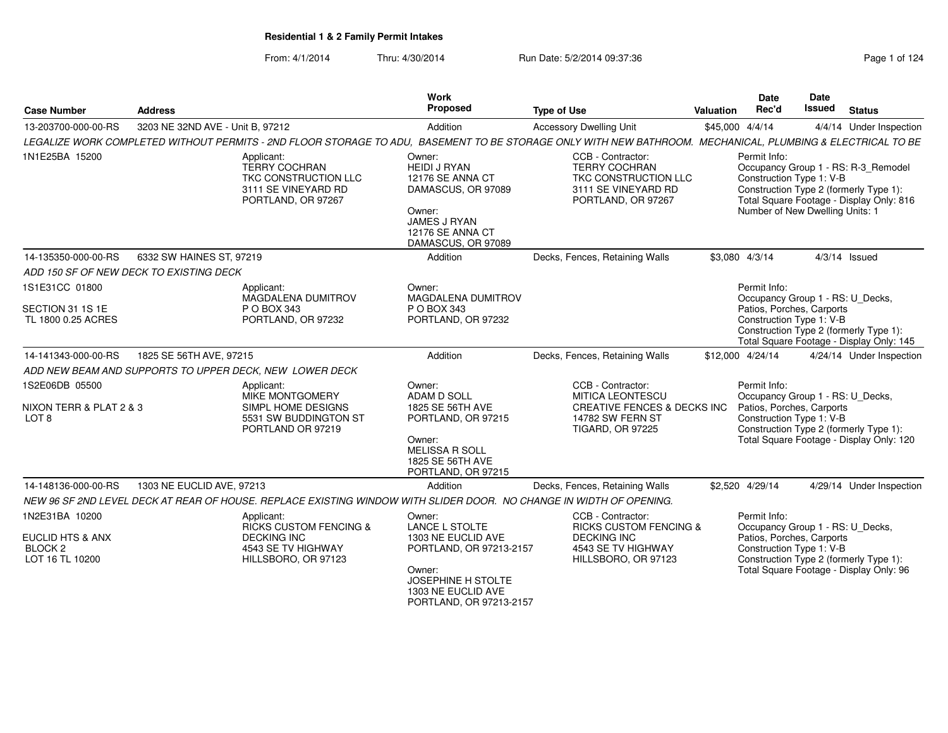From: 4/1/2014Thru: 4/30/2014 **Run Date: 5/2/2014 09:37:36** Pag

|  | Page 1 of 124 |
|--|---------------|
|--|---------------|

| <b>Case Number</b>                                            | <b>Address</b>                                                                                                                                             | <b>Work</b><br>Proposed                                                                                                                             | <b>Type of Use</b>                                                                                                                           | Valuation        | <b>Date</b><br>Rec'd                    | <b>Date</b><br><b>Issued</b>                                | <b>Status</b>                                                                                                             |
|---------------------------------------------------------------|------------------------------------------------------------------------------------------------------------------------------------------------------------|-----------------------------------------------------------------------------------------------------------------------------------------------------|----------------------------------------------------------------------------------------------------------------------------------------------|------------------|-----------------------------------------|-------------------------------------------------------------|---------------------------------------------------------------------------------------------------------------------------|
| 13-203700-000-00-RS                                           | 3203 NE 32ND AVE - Unit B, 97212                                                                                                                           | Addition                                                                                                                                            | <b>Accessory Dwelling Unit</b>                                                                                                               | \$45,000 4/4/14  |                                         |                                                             | 4/4/14 Under Inspection                                                                                                   |
|                                                               | LEGALIZE WORK COMPLETED WITHOUT PERMITS - 2ND FLOOR STORAGE TO ADU, BASEMENT TO BE STORAGE ONLY WITH NEW BATHROOM. MECHANICAL, PLUMBING & ELECTRICAL TO BE |                                                                                                                                                     |                                                                                                                                              |                  |                                         |                                                             |                                                                                                                           |
| 1N1E25BA 15200                                                | Applicant:<br><b>TERRY COCHRAN</b><br>TKC CONSTRUCTION LLC<br>3111 SE VINEYARD RD<br>PORTLAND, OR 97267                                                    | Owner:<br><b>HEIDI J RYAN</b><br>12176 SE ANNA CT<br>DAMASCUS, OR 97089<br>Owner:<br>JAMES J RYAN<br>12176 SE ANNA CT<br>DAMASCUS, OR 97089         | CCB - Contractor:<br><b>TERRY COCHRAN</b><br>TKC CONSTRUCTION LLC<br>3111 SE VINEYARD RD<br>PORTLAND, OR 97267                               |                  | Permit Info:                            | Construction Type 1: V-B<br>Number of New Dwelling Units: 1 | Occupancy Group 1 - RS: R-3_Remodel<br>Construction Type 2 (formerly Type 1):<br>Total Square Footage - Display Only: 816 |
| 14-135350-000-00-RS                                           | 6332 SW HAINES ST, 97219                                                                                                                                   | Addition                                                                                                                                            | Decks, Fences, Retaining Walls                                                                                                               | \$3,080 4/3/14   |                                         |                                                             | $4/3/14$ Issued                                                                                                           |
|                                                               | ADD 150 SF OF NEW DECK TO EXISTING DECK                                                                                                                    |                                                                                                                                                     |                                                                                                                                              |                  |                                         |                                                             |                                                                                                                           |
| 1S1E31CC 01800                                                | Applicant:<br><b>MAGDALENA DUMITROV</b>                                                                                                                    | Owner:<br><b>MAGDALENA DUMITROV</b>                                                                                                                 |                                                                                                                                              |                  | Permit Info:                            |                                                             | Occupancy Group 1 - RS: U_Decks,                                                                                          |
| SECTION 31 1S 1E<br>TL 1800 0.25 ACRES                        | P O BOX 343<br>PORTLAND, OR 97232                                                                                                                          | P O BOX 343<br>PORTLAND, OR 97232                                                                                                                   |                                                                                                                                              |                  |                                         | Patios, Porches, Carports<br>Construction Type 1: V-B       | Construction Type 2 (formerly Type 1):<br>Total Square Footage - Display Only: 145                                        |
| 14-141343-000-00-RS                                           | 1825 SE 56TH AVE, 97215                                                                                                                                    | Addition                                                                                                                                            | Decks, Fences, Retaining Walls                                                                                                               | \$12,000 4/24/14 |                                         |                                                             | 4/24/14 Under Inspection                                                                                                  |
|                                                               | ADD NEW BEAM AND SUPPORTS TO UPPER DECK, NEW LOWER DECK                                                                                                    |                                                                                                                                                     |                                                                                                                                              |                  |                                         |                                                             |                                                                                                                           |
| 1S2E06DB 05500<br>NIXON TERR & PLAT 2 & 3<br>LOT <sub>8</sub> | Applicant:<br>MIKE MONTGOMERY<br>SIMPL HOME DESIGNS<br>5531 SW BUDDINGTON ST<br>PORTLAND OR 97219                                                          | Owner:<br><b>ADAM D SOLL</b><br>1825 SE 56TH AVE<br>PORTLAND, OR 97215<br>Owner:<br><b>MELISSA R SOLL</b><br>1825 SE 56TH AVE<br>PORTLAND, OR 97215 | CCB - Contractor:<br><b>MITICA LEONTESCU</b><br><b>CREATIVE FENCES &amp; DECKS INC</b><br><b>14782 SW FERN ST</b><br><b>TIGARD, OR 97225</b> |                  | Permit Info:                            | Patios, Porches, Carports<br>Construction Type 1: V-B       | Occupancy Group 1 - RS: U_Decks,<br>Construction Type 2 (formerly Type 1):<br>Total Square Footage - Display Only: 120    |
| 14-148136-000-00-RS                                           | 1303 NE EUCLID AVE, 97213                                                                                                                                  | Addition                                                                                                                                            | Decks, Fences, Retaining Walls                                                                                                               |                  | \$2,520 4/29/14                         |                                                             | 4/29/14 Under Inspection                                                                                                  |
|                                                               | NEW 96 SF 2ND LEVEL DECK AT REAR OF HOUSE. REPLACE EXISTING WINDOW WITH SLIDER DOOR. NO CHANGE IN WIDTH OF OPENING.                                        |                                                                                                                                                     |                                                                                                                                              |                  |                                         |                                                             |                                                                                                                           |
| 1N2E31BA 10200                                                | Applicant:<br><b>RICKS CUSTOM FENCING &amp;</b>                                                                                                            | Owner:<br><b>LANCE L STOLTE</b>                                                                                                                     | CCB - Contractor:<br><b>RICKS CUSTOM FENCING &amp;</b>                                                                                       |                  | Permit Info:                            |                                                             | Occupancy Group 1 - RS: U Decks,                                                                                          |
| EUCLID HTS & ANX<br>BLOCK <sub>2</sub><br>LOT 16 TL 10200     | <b>DECKING INC</b><br>4543 SE TV HIGHWAY<br>HILLSBORO, OR 97123                                                                                            | 1303 NE EUCLID AVE<br>PORTLAND, OR 97213-2157<br>Owner:                                                                                             | <b>DECKING INC</b><br>4543 SE TV HIGHWAY<br>HILLSBORO, OR 97123                                                                              |                  |                                         | Patios, Porches, Carports<br>Construction Type 1: V-B       | Construction Type 2 (formerly Type 1):                                                                                    |
|                                                               |                                                                                                                                                            | JOSEPHINE H STOLTE<br>1303 NE EUCLID AVE<br>PORTLAND, OR 97213-2157                                                                                 |                                                                                                                                              |                  | Total Square Footage - Display Only: 96 |                                                             |                                                                                                                           |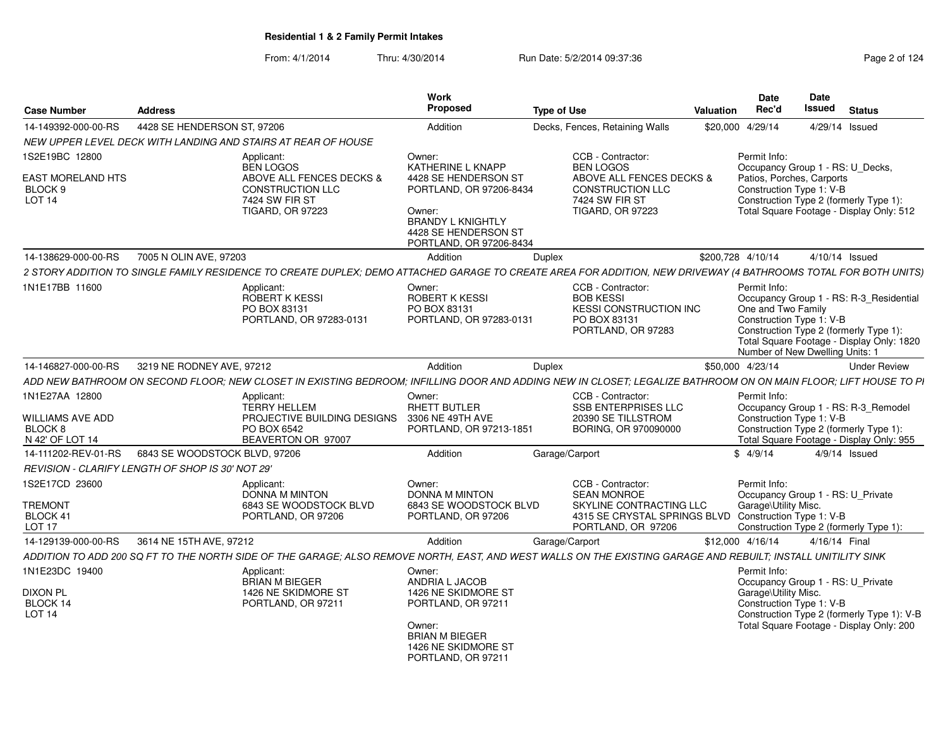From: 4/1/2014Thru: 4/30/2014 Run Date: 5/2/2014 09:37:36 Research 2010 124

| <b>Case Number</b>                                                          | <b>Address</b>                                                                                                                                                  | Work<br><b>Proposed</b>                                                                                                                               | <b>Type of Use</b>                                                                                                                                | <b>Valuation</b> | Date<br>Rec'd                        | Date<br>Issued                                                                                        | <b>Status</b>                                                                          |
|-----------------------------------------------------------------------------|-----------------------------------------------------------------------------------------------------------------------------------------------------------------|-------------------------------------------------------------------------------------------------------------------------------------------------------|---------------------------------------------------------------------------------------------------------------------------------------------------|------------------|--------------------------------------|-------------------------------------------------------------------------------------------------------|----------------------------------------------------------------------------------------|
| 14-149392-000-00-RS                                                         | 4428 SE HENDERSON ST, 97206                                                                                                                                     | Addition                                                                                                                                              | Decks, Fences, Retaining Walls                                                                                                                    | \$20,000         | 4/29/14                              | 4/29/14 Issued                                                                                        |                                                                                        |
|                                                                             | NEW UPPER LEVEL DECK WITH LANDING AND STAIRS AT REAR OF HOUSE                                                                                                   |                                                                                                                                                       |                                                                                                                                                   |                  |                                      |                                                                                                       |                                                                                        |
| 1S2E19BC 12800                                                              | Applicant:<br><b>BEN LOGOS</b>                                                                                                                                  | Owner:<br><b>KATHERINE L KNAPP</b>                                                                                                                    | CCB - Contractor:<br><b>BEN LOGOS</b>                                                                                                             |                  | Permit Info:                         | Occupancy Group 1 - RS: U Decks,                                                                      |                                                                                        |
| EAST MORELAND HTS<br>BLOCK <sub>9</sub><br><b>LOT 14</b>                    | ABOVE ALL FENCES DECKS &<br><b>CONSTRUCTION LLC</b><br>7424 SW FIR ST<br><b>TIGARD, OR 97223</b>                                                                | 4428 SE HENDERSON ST<br>PORTLAND, OR 97206-8434<br>Owner:<br><b>BRANDY L KNIGHTLY</b><br>4428 SE HENDERSON ST<br>PORTLAND, OR 97206-8434              | ABOVE ALL FENCES DECKS &<br>CONSTRUCTION LLC<br><b>7424 SW FIR ST</b><br><b>TIGARD, OR 97223</b>                                                  |                  |                                      | Patios, Porches, Carports<br>Construction Type 1: V-B<br>Construction Type 2 (formerly Type 1):       | Total Square Footage - Display Only: 512                                               |
| 14-138629-000-00-RS                                                         | 7005 N OLIN AVE, 97203                                                                                                                                          | Addition                                                                                                                                              | <b>Duplex</b>                                                                                                                                     |                  | \$200.728 4/10/14                    | $4/10/14$ Issued                                                                                      |                                                                                        |
|                                                                             | 2 STORY ADDITION TO SINGLE FAMILY RESIDENCE TO CREATE DUPLEX; DEMO ATTACHED GARAGE TO CREATE AREA FOR ADDITION, NEW DRIVEWAY (4 BATHROOMS TOTAL FOR BOTH UNITS) |                                                                                                                                                       |                                                                                                                                                   |                  |                                      |                                                                                                       |                                                                                        |
| 1N1E17BB 11600                                                              | Applicant:<br>ROBERT K KESSI<br>PO BOX 83131<br>PORTLAND, OR 97283-0131                                                                                         | Owner:<br>ROBERT K KESSI<br>PO BOX 83131<br>PORTLAND, OR 97283-0131                                                                                   | CCB - Contractor:<br><b>BOB KESSI</b><br><b>KESSI CONSTRUCTION INC</b><br>PO BOX 83131<br>PORTLAND, OR 97283                                      |                  | Permit Info:<br>One and Two Family   | Construction Type 1: V-B<br>Construction Type 2 (formerly Type 1):<br>Number of New Dwelling Units: 1 | Occupancy Group 1 - RS: R-3_Residential<br>Total Square Footage - Display Only: 1820   |
| 14-146827-000-00-RS                                                         | 3219 NE RODNEY AVE, 97212                                                                                                                                       | Addition                                                                                                                                              | Duplex                                                                                                                                            |                  | \$50,000 4/23/14                     |                                                                                                       | <b>Under Review</b>                                                                    |
|                                                                             | ADD NEW BATHROOM ON SECOND FLOOR; NEW CLOSET IN EXISTING BEDROOM; INFILLING DOOR AND ADDING NEW IN CLOSET; LEGALIZE BATHROOM ON ON MAIN FLOOR; LIFT HOUSE TO PI |                                                                                                                                                       |                                                                                                                                                   |                  |                                      |                                                                                                       |                                                                                        |
| 1N1E27AA 12800<br>WILLIAMS AVE ADD<br>BLOCK <sub>8</sub><br>N 42' OF LOT 14 | Applicant:<br><b>TERRY HELLEM</b><br>PROJECTIVE BUILDING DESIGNS<br>PO BOX 6542<br>BEAVERTON OR 97007                                                           | Owner:<br>RHETT BUTLER<br>3306 NE 49TH AVE<br>PORTLAND, OR 97213-1851                                                                                 | CCB - Contractor:<br><b>SSB ENTERPRISES LLC</b><br>20390 SE TILLSTROM<br>BORING, OR 970090000                                                     |                  | Permit Info:                         | Construction Type 1: V-B<br>Construction Type 2 (formerly Type 1):                                    | Occupancy Group 1 - RS: R-3_Remodel<br>Total Square Footage - Display Only: 955        |
| 14-111202-REV-01-RS                                                         | 6843 SE WOODSTOCK BLVD, 97206                                                                                                                                   | Addition                                                                                                                                              | Garage/Carport                                                                                                                                    |                  | \$4/9/14                             |                                                                                                       | $4/9/14$ Issued                                                                        |
|                                                                             | REVISION - CLARIFY LENGTH OF SHOP IS 30' NOT 29'                                                                                                                |                                                                                                                                                       |                                                                                                                                                   |                  |                                      |                                                                                                       |                                                                                        |
| 1S2E17CD 23600<br><b>TREMONT</b><br>BLOCK 41<br><b>LOT 17</b>               | Applicant:<br><b>DONNA M MINTON</b><br>6843 SE WOODSTOCK BLVD<br>PORTLAND, OR 97206                                                                             | Owner:<br><b>DONNA M MINTON</b><br>6843 SE WOODSTOCK BLVD<br>PORTLAND, OR 97206                                                                       | CCB - Contractor:<br><b>SEAN MONROE</b><br>SKYLINE CONTRACTING LLC<br>4315 SE CRYSTAL SPRINGS BLVD Construction Type 1: V-B<br>PORTLAND, OR 97206 |                  | Permit Info:<br>Garage\Utility Misc. | Occupancy Group 1 - RS: U_Private                                                                     | Construction Type 2 (formerly Type 1):                                                 |
| 14-129139-000-00-RS                                                         | 3614 NE 15TH AVE, 97212                                                                                                                                         | Addition                                                                                                                                              | Garage/Carport                                                                                                                                    |                  | \$12,000 4/16/14                     | 4/16/14 Final                                                                                         |                                                                                        |
|                                                                             | ADDITION TO ADD 200 SQ FT TO THE NORTH SIDE OF THE GARAGE; ALSO REMOVE NORTH, EAST, AND WEST WALLS ON THE EXISTING GARAGE AND REBUILT; INSTALL UNITILITY SINK   |                                                                                                                                                       |                                                                                                                                                   |                  |                                      |                                                                                                       |                                                                                        |
| 1N1E23DC 19400<br><b>DIXON PL</b><br>BLOCK 14<br><b>LOT 14</b>              | Applicant:<br><b>BRIAN M BIEGER</b><br>1426 NE SKIDMORE ST<br>PORTLAND, OR 97211                                                                                | Owner:<br>ANDRIA L JACOB<br>1426 NE SKIDMORE ST<br>PORTLAND, OR 97211<br>Owner:<br><b>BRIAN M BIEGER</b><br>1426 NE SKIDMORE ST<br>PORTLAND, OR 97211 |                                                                                                                                                   |                  | Permit Info:<br>Garage\Utility Misc. | Occupancy Group 1 - RS: U_Private<br>Construction Type 1: V-B                                         | Construction Type 2 (formerly Type 1): V-B<br>Total Square Footage - Display Only: 200 |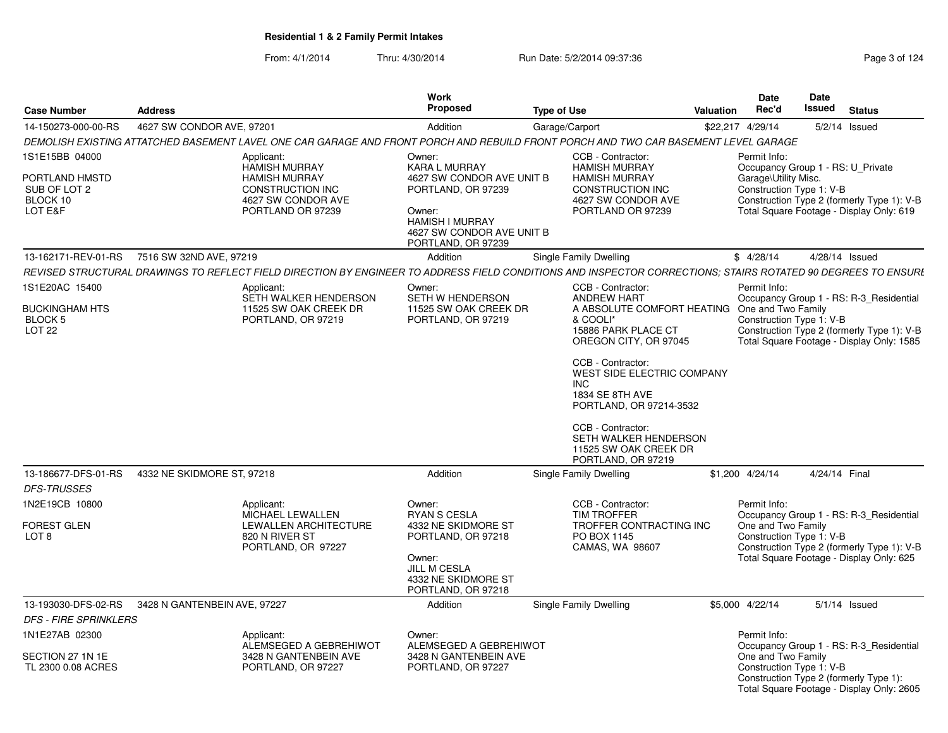From: 4/1/2014Thru: 4/30/2014 Run Date: 5/2/2014 09:37:36 Research 2010 124

| <b>Case Number</b>                                                      | <b>Address</b>               |                                                                                                                                                               | Work<br>Proposed                                                                                                                                                         | <b>Type of Use</b> |                                                                                                                                                                                                                                                                                                                          | Valuation | <b>Date</b><br>Rec'd                                             | Date<br>Issued | <b>Status</b>                                                                                                                      |
|-------------------------------------------------------------------------|------------------------------|---------------------------------------------------------------------------------------------------------------------------------------------------------------|--------------------------------------------------------------------------------------------------------------------------------------------------------------------------|--------------------|--------------------------------------------------------------------------------------------------------------------------------------------------------------------------------------------------------------------------------------------------------------------------------------------------------------------------|-----------|------------------------------------------------------------------|----------------|------------------------------------------------------------------------------------------------------------------------------------|
| 14-150273-000-00-RS                                                     | 4627 SW CONDOR AVE, 97201    |                                                                                                                                                               | Addition                                                                                                                                                                 |                    | Garage/Carport                                                                                                                                                                                                                                                                                                           |           | \$22,217 4/29/14                                                 |                | $5/2/14$ Issued                                                                                                                    |
|                                                                         |                              | DEMOLISH EXISTING ATTATCHED BASEMENT LAVEL ONE CAR GARAGE AND FRONT PORCH AND REBUILD FRONT PORCH AND TWO CAR BASEMENT LEVEL GARAGE                           |                                                                                                                                                                          |                    |                                                                                                                                                                                                                                                                                                                          |           |                                                                  |                |                                                                                                                                    |
| 1S1E15BB 04000<br>PORTLAND HMSTD<br>SUB OF LOT 2<br>BLOCK 10<br>LOT E&F |                              | Applicant:<br><b>HAMISH MURRAY</b><br><b>HAMISH MURRAY</b><br><b>CONSTRUCTION INC</b><br>4627 SW CONDOR AVE<br>PORTLAND OR 97239                              | Owner:<br><b>KARA L MURRAY</b><br>4627 SW CONDOR AVE UNIT B<br>PORTLAND, OR 97239<br>Owner:<br><b>HAMISH I MURRAY</b><br>4627 SW CONDOR AVE UNIT B<br>PORTLAND, OR 97239 |                    | CCB - Contractor:<br><b>HAMISH MURRAY</b><br><b>HAMISH MURRAY</b><br><b>CONSTRUCTION INC</b><br>4627 SW CONDOR AVE<br>PORTLAND OR 97239                                                                                                                                                                                  |           | Permit Info:<br>Garage\Utility Misc.<br>Construction Type 1: V-B |                | Occupancy Group 1 - RS: U_Private<br>Construction Type 2 (formerly Type 1): V-B<br>Total Square Footage - Display Only: 619        |
| 13-162171-REV-01-RS                                                     | 7516 SW 32ND AVE, 97219      |                                                                                                                                                               | Addition                                                                                                                                                                 |                    | <b>Single Family Dwelling</b>                                                                                                                                                                                                                                                                                            |           | \$4/28/14                                                        |                | 4/28/14 Issued                                                                                                                     |
|                                                                         |                              | REVISED STRUCTURAL DRAWINGS TO REFLECT FIELD DIRECTION BY ENGINEER TO ADDRESS FIELD CONDITIONS AND INSPECTOR CORRECTIONS; STAIRS ROTATED 90 DEGREES TO ENSURI |                                                                                                                                                                          |                    |                                                                                                                                                                                                                                                                                                                          |           |                                                                  |                |                                                                                                                                    |
| 1S1E20AC 15400                                                          |                              | Applicant:                                                                                                                                                    | Owner:                                                                                                                                                                   |                    | CCB - Contractor:                                                                                                                                                                                                                                                                                                        |           | Permit Info:                                                     |                |                                                                                                                                    |
| <b>BUCKINGHAM HTS</b><br><b>BLOCK 5</b><br>LOT <sub>22</sub>            |                              | SETH WALKER HENDERSON<br>11525 SW OAK CREEK DR<br>PORTLAND, OR 97219                                                                                          | SETH W HENDERSON<br>11525 SW OAK CREEK DR<br>PORTLAND, OR 97219                                                                                                          |                    | <b>ANDREW HART</b><br>A ABSOLUTE COMFORT HEATING<br>& COOLI*<br>15886 PARK PLACE CT<br>OREGON CITY, OR 97045<br>CCB - Contractor:<br>WEST SIDE ELECTRIC COMPANY<br><b>INC</b><br>1834 SE 8TH AVE<br>PORTLAND, OR 97214-3532<br>CCB - Contractor:<br>SETH WALKER HENDERSON<br>11525 SW OAK CREEK DR<br>PORTLAND, OR 97219 |           | One and Two Family<br>Construction Type 1: V-B                   |                | Occupancy Group 1 - RS: R-3 Residential<br>Construction Type 2 (formerly Type 1): V-B<br>Total Square Footage - Display Only: 1585 |
| 13-186677-DFS-01-RS                                                     | 4332 NE SKIDMORE ST, 97218   |                                                                                                                                                               | Addition                                                                                                                                                                 |                    | <b>Single Family Dwelling</b>                                                                                                                                                                                                                                                                                            |           | \$1,200 4/24/14                                                  |                | 4/24/14 Final                                                                                                                      |
| <b>DFS-TRUSSES</b>                                                      |                              |                                                                                                                                                               |                                                                                                                                                                          |                    |                                                                                                                                                                                                                                                                                                                          |           |                                                                  |                |                                                                                                                                    |
| 1N2E19CB 10800<br><b>FOREST GLEN</b><br>LOT <sub>8</sub>                |                              | Applicant:<br><b>MICHAEL LEWALLEN</b><br>LEWALLEN ARCHITECTURE<br>820 N RIVER ST<br>PORTLAND, OR 97227                                                        | Owner:<br><b>RYAN S CESLA</b><br>4332 NE SKIDMORE ST<br>PORTLAND, OR 97218<br>Owner:<br>JILL M CESLA<br>4332 NE SKIDMORE ST<br>PORTLAND, OR 97218                        |                    | CCB - Contractor:<br><b>TIM TROFFER</b><br>TROFFER CONTRACTING INC<br>PO BOX 1145<br>CAMAS, WA 98607                                                                                                                                                                                                                     |           | Permit Info:<br>One and Two Family<br>Construction Type 1: V-B   |                | Occupancy Group 1 - RS: R-3 Residential<br>Construction Type 2 (formerly Type 1): V-B<br>Total Square Footage - Display Only: 625  |
| 13-193030-DFS-02-RS                                                     | 3428 N GANTENBEIN AVE, 97227 |                                                                                                                                                               | Addition                                                                                                                                                                 |                    | <b>Single Family Dwelling</b>                                                                                                                                                                                                                                                                                            |           | \$5,000 4/22/14                                                  |                | $5/1/14$ Issued                                                                                                                    |
| <b>DFS - FIRE SPRINKLERS</b>                                            |                              |                                                                                                                                                               |                                                                                                                                                                          |                    |                                                                                                                                                                                                                                                                                                                          |           |                                                                  |                |                                                                                                                                    |
| 1N1E27AB 02300<br>SECTION 27 1N 1E<br>TL 2300 0.08 ACRES                |                              | Applicant:<br>ALEMSEGED A GEBREHIWOT<br>3428 N GANTENBEIN AVE<br>PORTLAND, OR 97227                                                                           | Owner:<br>ALEMSEGED A GEBREHIWOT<br>3428 N GANTENBEIN AVE<br>PORTLAND, OR 97227                                                                                          |                    |                                                                                                                                                                                                                                                                                                                          |           | Permit Info:<br>One and Two Family<br>Construction Type 1: V-B   |                | Occupancy Group 1 - RS: R-3_Residential<br>Construction Type 2 (formerly Type 1):<br>Total Square Footage - Display Only: 2605     |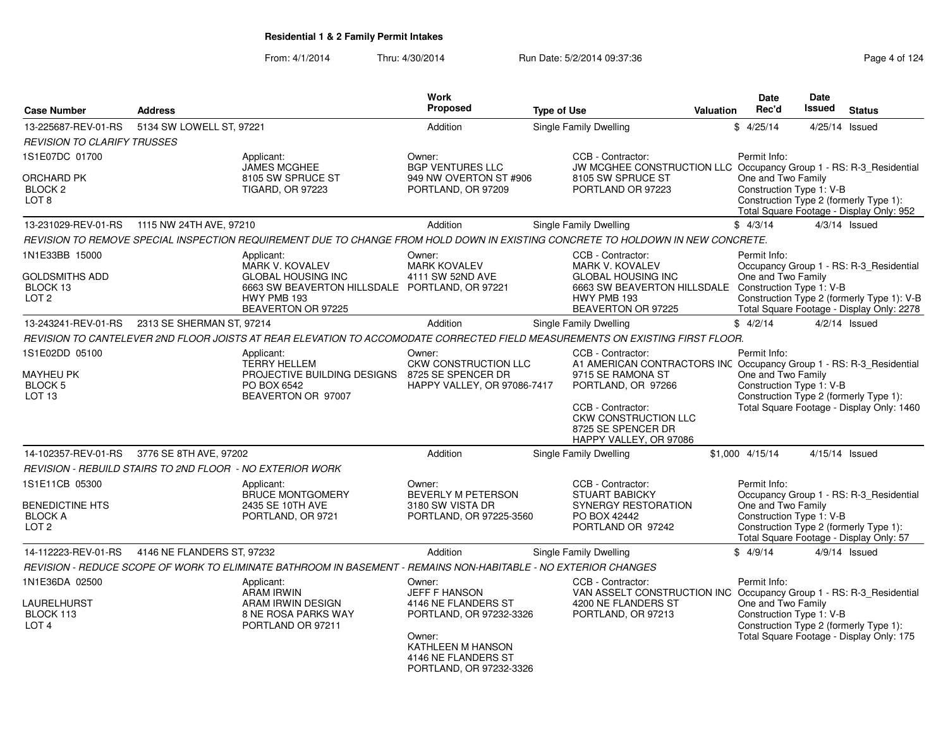| <b>Case Number</b>                                                             | <b>Address</b>             |                                                                                                                                 | <b>Work</b><br>Proposed                                                          | <b>Type of Use</b> |                                                                                                                                             | <b>Valuation</b> | <b>Date</b><br>Rec'd                                           | <b>Date</b><br><b>Issued</b> | <b>Status</b>                                                                                                                |
|--------------------------------------------------------------------------------|----------------------------|---------------------------------------------------------------------------------------------------------------------------------|----------------------------------------------------------------------------------|--------------------|---------------------------------------------------------------------------------------------------------------------------------------------|------------------|----------------------------------------------------------------|------------------------------|------------------------------------------------------------------------------------------------------------------------------|
|                                                                                |                            |                                                                                                                                 |                                                                                  |                    |                                                                                                                                             |                  |                                                                |                              |                                                                                                                              |
| 13-225687-REV-01-RS                                                            | 5134 SW LOWELL ST, 97221   |                                                                                                                                 | Addition                                                                         |                    | Single Family Dwelling                                                                                                                      |                  | \$4/25/14                                                      | 4/25/14                      | Issued                                                                                                                       |
| <b>REVISION TO CLARIFY TRUSSES</b>                                             |                            |                                                                                                                                 |                                                                                  |                    |                                                                                                                                             |                  |                                                                |                              |                                                                                                                              |
| 1S1E07DC 01700                                                                 |                            | Applicant:<br>JAMES MCGHEE                                                                                                      | Owner:<br><b>BGP VENTURES LLC</b>                                                |                    | CCB - Contractor:<br>JW MCGHEE CONSTRUCTION LLC Occupancy Group 1 - RS: R-3_Residential                                                     |                  | Permit Info:                                                   |                              |                                                                                                                              |
| <b>ORCHARD PK</b><br>BLOCK <sub>2</sub><br>LOT <sub>8</sub>                    |                            | 8105 SW SPRUCE ST<br><b>TIGARD, OR 97223</b>                                                                                    | 949 NW OVERTON ST #906<br>PORTLAND, OR 97209                                     |                    | 8105 SW SPRUCE ST<br>PORTLAND OR 97223                                                                                                      |                  | One and Two Family<br>Construction Type 1: V-B                 |                              | Construction Type 2 (formerly Type 1):<br>Total Square Footage - Display Only: 952                                           |
| 13-231029-REV-01-RS 1115 NW 24TH AVE, 97210                                    |                            |                                                                                                                                 | Addition                                                                         |                    | <b>Single Family Dwelling</b>                                                                                                               |                  | \$4/3/14                                                       |                              | $4/3/14$ Issued                                                                                                              |
|                                                                                |                            | REVISION TO REMOVE SPECIAL INSPECTION REQUIREMENT DUE TO CHANGE FROM HOLD DOWN IN EXISTING CONCRETE TO HOLDOWN IN NEW CONCRETE. |                                                                                  |                    |                                                                                                                                             |                  |                                                                |                              |                                                                                                                              |
| 1N1E33BB 15000                                                                 |                            | Applicant:<br>MARK V. KOVALEV                                                                                                   | Owner:<br><b>MARK KOVALEV</b>                                                    |                    | CCB - Contractor:<br><b>MARK V. KOVALEV</b>                                                                                                 |                  | Permit Info:                                                   |                              | Occupancy Group 1 - RS: R-3 Residential                                                                                      |
| <b>GOLDSMITHS ADD</b><br>BLOCK 13<br>LOT <sub>2</sub>                          |                            | <b>GLOBAL HOUSING INC</b><br>6663 SW BEAVERTON HILLSDALE PORTLAND, OR 97221<br>HWY PMB 193<br>BEAVERTON OR 97225                | 4111 SW 52ND AVE                                                                 |                    | <b>GLOBAL HOUSING INC</b><br>6663 SW BEAVERTON HILLSDALE<br>HWY PMB 193<br>BEAVERTON OR 97225                                               |                  | One and Two Family<br>Construction Type 1: V-B                 |                              | Construction Type 2 (formerly Type 1): V-B<br>Total Square Footage - Display Only: 2278                                      |
| 13-243241-REV-01-RS                                                            | 2313 SE SHERMAN ST, 97214  |                                                                                                                                 | Addition                                                                         |                    | Single Family Dwelling                                                                                                                      |                  | \$4/2/14                                                       |                              | $4/2/14$ Issued                                                                                                              |
|                                                                                |                            | REVISION TO CANTELEVER 2ND FLOOR JOISTS AT REAR ELEVATION TO ACCOMODATE CORRECTED FIELD MEASUREMENTS ON EXISTING FIRST FLOOR.   |                                                                                  |                    |                                                                                                                                             |                  |                                                                |                              |                                                                                                                              |
| 1S1E02DD 05100                                                                 |                            | Applicant:<br><b>TERRY HELLEM</b>                                                                                               | Owner:<br>CKW CONSTRUCTION LLC                                                   |                    | CCB - Contractor:<br>A1 AMERICAN CONTRACTORS INC Occupancy Group 1 - RS: R-3_Residential                                                    |                  | Permit Info:                                                   |                              |                                                                                                                              |
| MAYHEU PK<br><b>BLOCK 5</b><br>LOT <sub>13</sub>                               |                            | PROJECTIVE BUILDING DESIGNS<br>PO BOX 6542<br>BEAVERTON OR 97007                                                                | 8725 SE SPENCER DR<br>HAPPY VALLEY, OR 97086-7417                                |                    | 9715 SE RAMONA ST<br>PORTLAND, OR 97266<br>CCB - Contractor:<br><b>CKW CONSTRUCTION LLC</b><br>8725 SE SPENCER DR<br>HAPPY VALLEY, OR 97086 |                  | One and Two Family<br>Construction Type 1: V-B                 |                              | Construction Type 2 (formerly Type 1):<br>Total Square Footage - Display Only: 1460                                          |
| 14-102357-REV-01-RS                                                            | 3776 SE 8TH AVE, 97202     |                                                                                                                                 | Addition                                                                         |                    | Single Family Dwelling                                                                                                                      |                  | \$1,000 4/15/14                                                | 4/15/14 Issued               |                                                                                                                              |
| REVISION - REBUILD STAIRS TO 2ND FLOOR - NO EXTERIOR WORK                      |                            |                                                                                                                                 |                                                                                  |                    |                                                                                                                                             |                  |                                                                |                              |                                                                                                                              |
| 1S1E11CB 05300<br><b>BENEDICTINE HTS</b><br><b>BLOCK A</b><br>LOT <sub>2</sub> |                            | Applicant:<br><b>BRUCE MONTGOMERY</b><br>2435 SE 10TH AVE<br>PORTLAND, OR 9721                                                  | Owner:<br>BEVERLY M PETERSON<br>3180 SW VISTA DR<br>PORTLAND, OR 97225-3560      |                    | CCB - Contractor:<br><b>STUART BABICKY</b><br>SYNERGY RESTORATION<br>PO BOX 42442<br>PORTLAND OR 97242                                      |                  | Permit Info:<br>One and Two Family<br>Construction Type 1: V-B |                              | Occupancy Group 1 - RS: R-3_Residential<br>Construction Type 2 (formerly Type 1):<br>Total Square Footage - Display Only: 57 |
| 14-112223-REV-01-RS                                                            | 4146 NE FLANDERS ST, 97232 |                                                                                                                                 | Addition                                                                         |                    | <b>Single Family Dwelling</b>                                                                                                               |                  | \$4/9/14                                                       |                              | $4/9/14$ Issued                                                                                                              |
|                                                                                |                            | REVISION - REDUCE SCOPE OF WORK TO ELIMINATE BATHROOM IN BASEMENT - REMAINS NON-HABITABLE - NO EXTERIOR CHANGES                 |                                                                                  |                    |                                                                                                                                             |                  |                                                                |                              |                                                                                                                              |
| 1N1E36DA 02500<br>LAURELHURST<br>BLOCK 113<br>LOT <sub>4</sub>                 |                            | Applicant:<br><b>ARAM IRWIN</b><br>ARAM IRWIN DESIGN<br>8 NE ROSA PARKS WAY<br>PORTLAND OR 97211                                | Owner:<br><b>JEFF F HANSON</b><br>4146 NE FLANDERS ST<br>PORTLAND, OR 97232-3326 |                    | CCB - Contractor:<br>VAN ASSELT CONSTRUCTION INC Occupancy Group 1 - RS: R-3 Residential<br>4200 NE FLANDERS ST<br>PORTLAND, OR 97213       |                  | Permit Info:<br>One and Two Family<br>Construction Type 1: V-B |                              | Construction Type 2 (formerly Type 1):                                                                                       |
|                                                                                |                            |                                                                                                                                 | Owner:<br>KATHLEEN M HANSON<br>4146 NE FLANDERS ST<br>PORTLAND, OR 97232-3326    |                    |                                                                                                                                             |                  |                                                                |                              | Total Square Footage - Display Only: 175                                                                                     |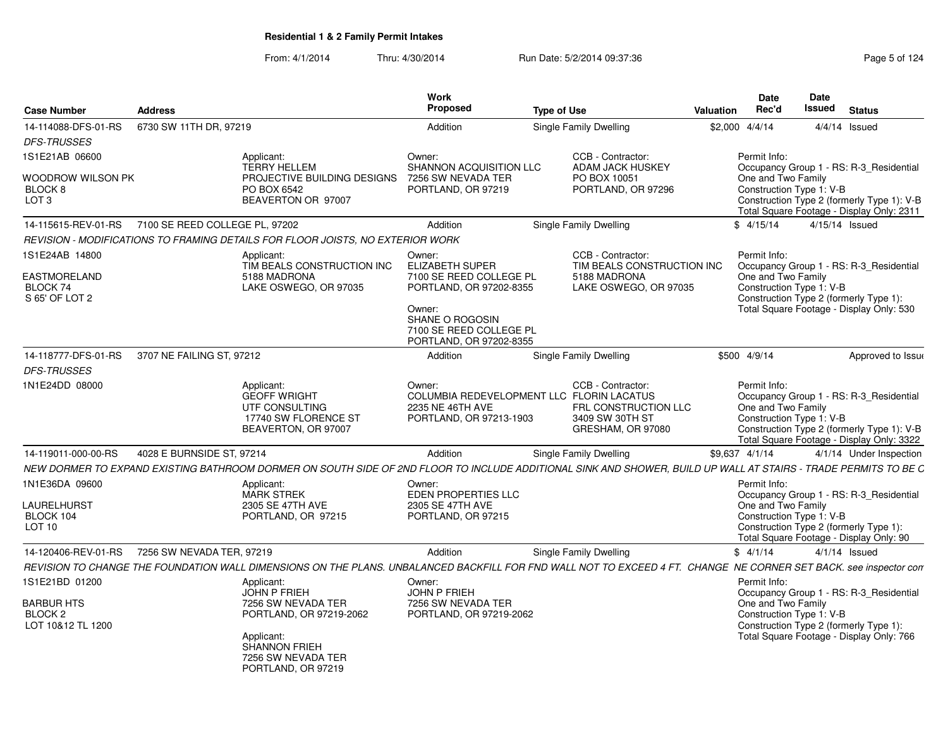From: 4/1/2014Thru: 4/30/2014 Run Date: 5/2/2014 09:37:36 Research 24

| 6730 SW 11TH DR, 97219<br>14-114088-DFS-01-RS<br>Addition<br>Single Family Dwelling<br>\$2,000 4/4/14<br>$4/4/14$ Issued<br><b>DFS-TRUSSES</b><br>1S1E21AB 06600<br>CCB - Contractor:<br>Permit Info:<br>Applicant:<br>Owner:<br>SHANNON ACQUISITION LLC<br>Occupancy Group 1 - RS: R-3_Residential<br><b>TERRY HELLEM</b><br><b>ADAM JACK HUSKEY</b><br>7256 SW NEVADA TER<br>One and Two Family<br>Woodrow Wilson PK<br>PROJECTIVE BUILDING DESIGNS<br>PO BOX 10051<br>Construction Type 1: V-B<br>BLOCK <sub>8</sub><br>PO BOX 6542<br>PORTLAND, OR 97219<br>PORTLAND, OR 97296<br>LOT <sub>3</sub><br>BEAVERTON OR 97007<br>Construction Type 2 (formerly Type 1): V-B<br>Total Square Footage - Display Only: 2311<br>4/15/14 Issued<br>Addition<br>Single Family Dwelling<br>\$4/15/14<br>REVISION - MODIFICATIONS TO FRAMING DETAILS FOR FLOOR JOISTS. NO EXTERIOR WORK<br>1S1E24AB 14800<br>CCB - Contractor:<br>Applicant:<br>Permit Info:<br>Owner:<br>TIM BEALS CONSTRUCTION INC<br>TIM BEALS CONSTRUCTION INC<br><b>ELIZABETH SUPER</b><br>Occupancy Group 1 - RS: R-3_Residential<br>5188 MADRONA<br>7100 SE REED COLLEGE PL<br>5188 MADRONA<br>One and Two Family<br>Construction Type 1: V-B<br>BLOCK 74<br>LAKE OSWEGO, OR 97035<br>LAKE OSWEGO, OR 97035<br>PORTLAND, OR 97202-8355<br>Construction Type 2 (formerly Type 1):<br>S 65' OF LOT 2<br>Total Square Footage - Display Only: 530<br>Owner:<br>SHANE O ROGOSIN<br>7100 SE REED COLLEGE PL<br>PORTLAND, OR 97202-8355<br>Single Family Dwelling<br>\$500 4/9/14<br>3707 NE FAILING ST, 97212<br>Addition<br>Approved to Issue<br><b>DFS-TRUSSES</b><br>Owner:<br>CCB - Contractor:<br>Permit Info:<br>Applicant:<br><b>GEOFF WRIGHT</b><br>COLUMBIA REDEVELOPMENT LLC FLORIN LACATUS<br>Occupancy Group 1 - RS: R-3_Residential<br>One and Two Family<br>UTF CONSULTING<br>FRL CONSTRUCTION LLC<br>2235 NE 46TH AVE<br>Construction Type 1: V-B<br>17740 SW FLORENCE ST<br>PORTLAND, OR 97213-1903<br>3409 SW 30TH ST<br>GRESHAM, OR 97080<br>Construction Type 2 (formerly Type 1): V-B<br>BEAVERTON, OR 97007<br>Total Square Footage - Display Only: 3322<br>14-119011-000-00-RS<br>4028 E BURNSIDE ST, 97214<br>Addition<br>Single Family Dwelling<br>\$9,637 4/1/14<br>4/1/14 Under Inspection<br>Permit Info:<br>Applicant:<br>Owner:<br><b>MARK STREK</b><br>EDEN PROPERTIES LLC<br>Occupancy Group 1 - RS: R-3 Residential<br>2305 SE 47TH AVE<br>2305 SE 47TH AVE<br>One and Two Family<br>LAURELHURST<br>Construction Type 1: V-B<br>BLOCK 104<br>PORTLAND, OR 97215<br>PORTLAND, OR 97215<br>Construction Type 2 (formerly Type 1):<br>LOT <sub>10</sub><br>Total Square Footage - Display Only: 90<br>Single Family Dwelling<br>14-120406-REV-01-RS<br>7256 SW NEVADA TER, 97219<br>Addition<br>\$4/1/14<br>$4/1/14$ Issued<br>1S1E21BD 01200<br>Permit Info:<br>Applicant:<br>Owner:<br><b>JOHN P FRIEH</b><br><b>JOHN P FRIEH</b><br>Occupancy Group 1 - RS: R-3_Residential<br>One and Two Family<br>7256 SW NEVADA TER<br>7256 SW NEVADA TER<br>Construction Type 1: V-B<br>BLOCK <sub>2</sub><br>PORTLAND, OR 97219-2062<br>PORTLAND, OR 97219-2062<br>Construction Type 2 (formerly Type 1):<br>LOT 10&12 TL 1200<br>Total Square Footage - Display Only: 766<br>Applicant:<br><b>SHANNON FRIEH</b><br>7256 SW NEVADA TER<br>PORTLAND, OR 97219 | <b>Case Number</b><br><b>Address</b> |  | <b>Work</b><br><b>Proposed</b> | <b>Type of Use</b> | <b>Valuation</b> | <b>Date</b><br>Rec'd | Date<br>Issued | <b>Status</b> |  |
|---------------------------------------------------------------------------------------------------------------------------------------------------------------------------------------------------------------------------------------------------------------------------------------------------------------------------------------------------------------------------------------------------------------------------------------------------------------------------------------------------------------------------------------------------------------------------------------------------------------------------------------------------------------------------------------------------------------------------------------------------------------------------------------------------------------------------------------------------------------------------------------------------------------------------------------------------------------------------------------------------------------------------------------------------------------------------------------------------------------------------------------------------------------------------------------------------------------------------------------------------------------------------------------------------------------------------------------------------------------------------------------------------------------------------------------------------------------------------------------------------------------------------------------------------------------------------------------------------------------------------------------------------------------------------------------------------------------------------------------------------------------------------------------------------------------------------------------------------------------------------------------------------------------------------------------------------------------------------------------------------------------------------------------------------------------------------------------------------------------------------------------------------------------------------------------------------------------------------------------------------------------------------------------------------------------------------------------------------------------------------------------------------------------------------------------------------------------------------------------------------------------------------------------------------------------------------------------------------------------------------------------------------------------------------------------------------------------------------------------------------------------------------------------------------------------------------------------------------------------------------------------------------------------------------------------------------------------------------------------------------------------------------------------------------------------------------------------------------------------------------------------------------------------------------------------------------------------------------------------------------------------------------------------------------------------------------------------------|--------------------------------------|--|--------------------------------|--------------------|------------------|----------------------|----------------|---------------|--|
| 14-115615-REV-01-RS 7100 SE REED COLLEGE PL, 97202<br>NEW DORMER TO EXPAND EXISTING BATHROOM DORMER ON SOUTH SIDE OF 2ND FLOOR TO INCLUDE ADDITIONAL SINK AND SHOWER, BUILD UP WALL AT STAIRS - TRADE PERMITS TO BE C<br>REVISION TO CHANGE THE FOUNDATION WALL DIMENSIONS ON THE PLANS. UNBALANCED BACKFILL FOR FND WALL NOT TO EXCEED 4 FT. CHANGE NE CORNER SET BACK. see inspector con                                                                                                                                                                                                                                                                                                                                                                                                                                                                                                                                                                                                                                                                                                                                                                                                                                                                                                                                                                                                                                                                                                                                                                                                                                                                                                                                                                                                                                                                                                                                                                                                                                                                                                                                                                                                                                                                                                                                                                                                                                                                                                                                                                                                                                                                                                                                                                                                                                                                                                                                                                                                                                                                                                                                                                                                                                                                                                                                                  |                                      |  |                                |                    |                  |                      |                |               |  |
|                                                                                                                                                                                                                                                                                                                                                                                                                                                                                                                                                                                                                                                                                                                                                                                                                                                                                                                                                                                                                                                                                                                                                                                                                                                                                                                                                                                                                                                                                                                                                                                                                                                                                                                                                                                                                                                                                                                                                                                                                                                                                                                                                                                                                                                                                                                                                                                                                                                                                                                                                                                                                                                                                                                                                                                                                                                                                                                                                                                                                                                                                                                                                                                                                                                                                                                                             |                                      |  |                                |                    |                  |                      |                |               |  |
|                                                                                                                                                                                                                                                                                                                                                                                                                                                                                                                                                                                                                                                                                                                                                                                                                                                                                                                                                                                                                                                                                                                                                                                                                                                                                                                                                                                                                                                                                                                                                                                                                                                                                                                                                                                                                                                                                                                                                                                                                                                                                                                                                                                                                                                                                                                                                                                                                                                                                                                                                                                                                                                                                                                                                                                                                                                                                                                                                                                                                                                                                                                                                                                                                                                                                                                                             |                                      |  |                                |                    |                  |                      |                |               |  |
|                                                                                                                                                                                                                                                                                                                                                                                                                                                                                                                                                                                                                                                                                                                                                                                                                                                                                                                                                                                                                                                                                                                                                                                                                                                                                                                                                                                                                                                                                                                                                                                                                                                                                                                                                                                                                                                                                                                                                                                                                                                                                                                                                                                                                                                                                                                                                                                                                                                                                                                                                                                                                                                                                                                                                                                                                                                                                                                                                                                                                                                                                                                                                                                                                                                                                                                                             |                                      |  |                                |                    |                  |                      |                |               |  |
|                                                                                                                                                                                                                                                                                                                                                                                                                                                                                                                                                                                                                                                                                                                                                                                                                                                                                                                                                                                                                                                                                                                                                                                                                                                                                                                                                                                                                                                                                                                                                                                                                                                                                                                                                                                                                                                                                                                                                                                                                                                                                                                                                                                                                                                                                                                                                                                                                                                                                                                                                                                                                                                                                                                                                                                                                                                                                                                                                                                                                                                                                                                                                                                                                                                                                                                                             |                                      |  |                                |                    |                  |                      |                |               |  |
|                                                                                                                                                                                                                                                                                                                                                                                                                                                                                                                                                                                                                                                                                                                                                                                                                                                                                                                                                                                                                                                                                                                                                                                                                                                                                                                                                                                                                                                                                                                                                                                                                                                                                                                                                                                                                                                                                                                                                                                                                                                                                                                                                                                                                                                                                                                                                                                                                                                                                                                                                                                                                                                                                                                                                                                                                                                                                                                                                                                                                                                                                                                                                                                                                                                                                                                                             | <b>EASTMORELAND</b>                  |  |                                |                    |                  |                      |                |               |  |
|                                                                                                                                                                                                                                                                                                                                                                                                                                                                                                                                                                                                                                                                                                                                                                                                                                                                                                                                                                                                                                                                                                                                                                                                                                                                                                                                                                                                                                                                                                                                                                                                                                                                                                                                                                                                                                                                                                                                                                                                                                                                                                                                                                                                                                                                                                                                                                                                                                                                                                                                                                                                                                                                                                                                                                                                                                                                                                                                                                                                                                                                                                                                                                                                                                                                                                                                             | 14-118777-DFS-01-RS                  |  |                                |                    |                  |                      |                |               |  |
|                                                                                                                                                                                                                                                                                                                                                                                                                                                                                                                                                                                                                                                                                                                                                                                                                                                                                                                                                                                                                                                                                                                                                                                                                                                                                                                                                                                                                                                                                                                                                                                                                                                                                                                                                                                                                                                                                                                                                                                                                                                                                                                                                                                                                                                                                                                                                                                                                                                                                                                                                                                                                                                                                                                                                                                                                                                                                                                                                                                                                                                                                                                                                                                                                                                                                                                                             |                                      |  |                                |                    |                  |                      |                |               |  |
|                                                                                                                                                                                                                                                                                                                                                                                                                                                                                                                                                                                                                                                                                                                                                                                                                                                                                                                                                                                                                                                                                                                                                                                                                                                                                                                                                                                                                                                                                                                                                                                                                                                                                                                                                                                                                                                                                                                                                                                                                                                                                                                                                                                                                                                                                                                                                                                                                                                                                                                                                                                                                                                                                                                                                                                                                                                                                                                                                                                                                                                                                                                                                                                                                                                                                                                                             | 1N1E24DD 08000                       |  |                                |                    |                  |                      |                |               |  |
|                                                                                                                                                                                                                                                                                                                                                                                                                                                                                                                                                                                                                                                                                                                                                                                                                                                                                                                                                                                                                                                                                                                                                                                                                                                                                                                                                                                                                                                                                                                                                                                                                                                                                                                                                                                                                                                                                                                                                                                                                                                                                                                                                                                                                                                                                                                                                                                                                                                                                                                                                                                                                                                                                                                                                                                                                                                                                                                                                                                                                                                                                                                                                                                                                                                                                                                                             |                                      |  |                                |                    |                  |                      |                |               |  |
|                                                                                                                                                                                                                                                                                                                                                                                                                                                                                                                                                                                                                                                                                                                                                                                                                                                                                                                                                                                                                                                                                                                                                                                                                                                                                                                                                                                                                                                                                                                                                                                                                                                                                                                                                                                                                                                                                                                                                                                                                                                                                                                                                                                                                                                                                                                                                                                                                                                                                                                                                                                                                                                                                                                                                                                                                                                                                                                                                                                                                                                                                                                                                                                                                                                                                                                                             |                                      |  |                                |                    |                  |                      |                |               |  |
|                                                                                                                                                                                                                                                                                                                                                                                                                                                                                                                                                                                                                                                                                                                                                                                                                                                                                                                                                                                                                                                                                                                                                                                                                                                                                                                                                                                                                                                                                                                                                                                                                                                                                                                                                                                                                                                                                                                                                                                                                                                                                                                                                                                                                                                                                                                                                                                                                                                                                                                                                                                                                                                                                                                                                                                                                                                                                                                                                                                                                                                                                                                                                                                                                                                                                                                                             | 1N1E36DA 09600                       |  |                                |                    |                  |                      |                |               |  |
|                                                                                                                                                                                                                                                                                                                                                                                                                                                                                                                                                                                                                                                                                                                                                                                                                                                                                                                                                                                                                                                                                                                                                                                                                                                                                                                                                                                                                                                                                                                                                                                                                                                                                                                                                                                                                                                                                                                                                                                                                                                                                                                                                                                                                                                                                                                                                                                                                                                                                                                                                                                                                                                                                                                                                                                                                                                                                                                                                                                                                                                                                                                                                                                                                                                                                                                                             |                                      |  |                                |                    |                  |                      |                |               |  |
|                                                                                                                                                                                                                                                                                                                                                                                                                                                                                                                                                                                                                                                                                                                                                                                                                                                                                                                                                                                                                                                                                                                                                                                                                                                                                                                                                                                                                                                                                                                                                                                                                                                                                                                                                                                                                                                                                                                                                                                                                                                                                                                                                                                                                                                                                                                                                                                                                                                                                                                                                                                                                                                                                                                                                                                                                                                                                                                                                                                                                                                                                                                                                                                                                                                                                                                                             |                                      |  |                                |                    |                  |                      |                |               |  |
|                                                                                                                                                                                                                                                                                                                                                                                                                                                                                                                                                                                                                                                                                                                                                                                                                                                                                                                                                                                                                                                                                                                                                                                                                                                                                                                                                                                                                                                                                                                                                                                                                                                                                                                                                                                                                                                                                                                                                                                                                                                                                                                                                                                                                                                                                                                                                                                                                                                                                                                                                                                                                                                                                                                                                                                                                                                                                                                                                                                                                                                                                                                                                                                                                                                                                                                                             | <b>BARBUR HTS</b>                    |  |                                |                    |                  |                      |                |               |  |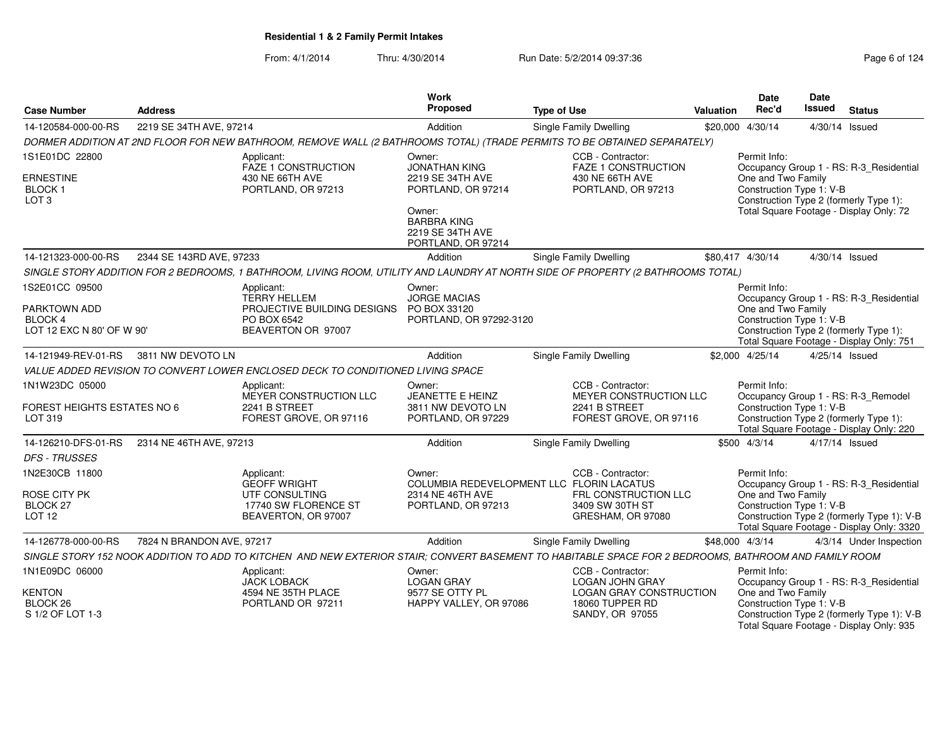From: 4/1/2014Thru: 4/30/2014 **Run Date: 5/2/2014 09:37:36** Page 6 of 1244 09:37:36

| Page 6 of 124 |  |  |
|---------------|--|--|
|---------------|--|--|

| <b>Case Number</b>                                       | <b>Address</b>            |                                                                                                                                                       | Work<br>Proposed                                                       | <b>Type of Use</b>                                                   | Valuation | <b>Date</b><br>Rec'd                           | <b>Date</b><br>Issued | <b>Status</b>                                                                           |
|----------------------------------------------------------|---------------------------|-------------------------------------------------------------------------------------------------------------------------------------------------------|------------------------------------------------------------------------|----------------------------------------------------------------------|-----------|------------------------------------------------|-----------------------|-----------------------------------------------------------------------------------------|
| 14-120584-000-00-RS                                      | 2219 SE 34TH AVE, 97214   |                                                                                                                                                       | Addition                                                               | <b>Single Family Dwelling</b>                                        |           | \$20,000 4/30/14                               | 4/30/14 Issued        |                                                                                         |
|                                                          |                           | DORMER ADDITION AT 2ND FLOOR FOR NEW BATHROOM, REMOVE WALL (2 BATHROOMS TOTAL) (TRADE PERMITS TO BE OBTAINED SEPARATELY)                              |                                                                        |                                                                      |           |                                                |                       |                                                                                         |
| 1S1E01DC 22800                                           |                           | Applicant:<br>FAZE 1 CONSTRUCTION                                                                                                                     | Owner:<br><b>JONATHAN KING</b>                                         | CCB - Contractor:<br><b>FAZE 1 CONSTRUCTION</b>                      |           | Permit Info:                                   |                       | Occupancy Group 1 - RS: R-3 Residential                                                 |
| <b>ERNESTINE</b><br><b>BLOCK1</b><br>LOT <sub>3</sub>    |                           | 430 NE 66TH AVE<br>PORTLAND, OR 97213                                                                                                                 | 2219 SE 34TH AVE<br>PORTLAND, OR 97214                                 | 430 NE 66TH AVE<br>PORTLAND, OR 97213                                |           | One and Two Family<br>Construction Type 1: V-B |                       | Construction Type 2 (formerly Type 1):                                                  |
|                                                          |                           |                                                                                                                                                       | Owner:<br><b>BARBRA KING</b><br>2219 SE 34TH AVE<br>PORTLAND, OR 97214 |                                                                      |           |                                                |                       | Total Square Footage - Display Only: 72                                                 |
| 14-121323-000-00-RS                                      | 2344 SE 143RD AVE, 97233  |                                                                                                                                                       | Addition                                                               | <b>Single Family Dwelling</b>                                        |           | \$80,417 4/30/14                               | 4/30/14 Issued        |                                                                                         |
|                                                          |                           | SINGLE STORY ADDITION FOR 2 BEDROOMS, 1 BATHROOM, LIVING ROOM, UTILITY AND LAUNDRY AT NORTH SIDE OF PROPERTY (2 BATHROOMS TOTAL)                      |                                                                        |                                                                      |           |                                                |                       |                                                                                         |
| 1S2E01CC 09500                                           |                           | Applicant:                                                                                                                                            | Owner:                                                                 |                                                                      |           | Permit Info:                                   |                       |                                                                                         |
| PARKTOWN ADD                                             |                           | <b>TERRY HELLEM</b><br>PROJECTIVE BUILDING DESIGNS                                                                                                    | <b>JORGE MACIAS</b><br>PO BOX 33120                                    |                                                                      |           | One and Two Family                             |                       | Occupancy Group 1 - RS: R-3_Residential                                                 |
| BLOCK 4                                                  |                           | PO BOX 6542                                                                                                                                           | PORTLAND, OR 97292-3120                                                |                                                                      |           | Construction Type 1: V-B                       |                       |                                                                                         |
| LOT 12 EXC N 80' OF W 90'                                |                           | BEAVERTON OR 97007                                                                                                                                    |                                                                        |                                                                      |           |                                                |                       | Construction Type 2 (formerly Type 1):<br>Total Square Footage - Display Only: 751      |
| 14-121949-REV-01-RS                                      | 3811 NW DEVOTO LN         |                                                                                                                                                       | Addition                                                               | <b>Single Family Dwelling</b>                                        |           | \$2,000 4/25/14                                | 4/25/14 Issued        |                                                                                         |
|                                                          |                           | VALUE ADDED REVISION TO CONVERT LOWER ENCLOSED DECK TO CONDITIONED LIVING SPACE                                                                       |                                                                        |                                                                      |           |                                                |                       |                                                                                         |
| 1N1W23DC 05000                                           |                           | Applicant:<br>MEYER CONSTRUCTION LLC                                                                                                                  | Owner:<br>JEANETTE E HEINZ                                             | CCB - Contractor:<br>MEYER CONSTRUCTION LLC                          |           | Permit Info:                                   |                       | Occupancy Group 1 - RS: R-3_Remodel                                                     |
| <b>FOREST HEIGHTS ESTATES NO 6</b><br>LOT 319            |                           | 2241 B STREET<br>FOREST GROVE, OR 97116                                                                                                               | 3811 NW DEVOTO LN<br>PORTLAND, OR 97229                                | 2241 B STREET<br>FOREST GROVE, OR 97116                              |           | Construction Type 1: V-B                       |                       | Construction Type 2 (formerly Type 1):<br>Total Square Footage - Display Only: 220      |
| 14-126210-DFS-01-RS                                      | 2314 NE 46TH AVE, 97213   |                                                                                                                                                       | Addition                                                               | Single Family Dwelling                                               |           | \$500 4/3/14                                   | 4/17/14 Issued        |                                                                                         |
| <b>DFS - TRUSSES</b>                                     |                           |                                                                                                                                                       |                                                                        |                                                                      |           |                                                |                       |                                                                                         |
| 1N2E30CB 11800                                           |                           | Applicant:<br><b>GEOFF WRIGHT</b>                                                                                                                     | Owner:                                                                 | CCB - Contractor:<br>COLUMBIA REDEVELOPMENT LLC FLORIN LACATUS       |           | Permit Info:                                   |                       | Occupancy Group 1 - RS: R-3_Residential                                                 |
| ROSE CITY PK<br>BLOCK <sub>27</sub><br>LOT <sub>12</sub> |                           | UTF CONSULTING<br>17740 SW FLORENCE ST<br>BEAVERTON, OR 97007                                                                                         | 2314 NE 46TH AVE<br>PORTLAND, OR 97213                                 | FRL CONSTRUCTION LLC<br>3409 SW 30TH ST<br>GRESHAM, OR 97080         |           | One and Two Family<br>Construction Type 1: V-B |                       | Construction Type 2 (formerly Type 1): V-B<br>Total Square Footage - Display Only: 3320 |
| 14-126778-000-00-RS                                      | 7824 N BRANDON AVE, 97217 |                                                                                                                                                       | Addition                                                               | Single Family Dwelling                                               |           | \$48,000 4/3/14                                |                       | 4/3/14 Under Inspection                                                                 |
|                                                          |                           | SINGLE STORY 152 NOOK ADDITION TO ADD TO KITCHEN AND NEW EXTERIOR STAIR; CONVERT BASEMENT TO HABITABLE SPACE FOR 2 BEDROOMS, BATHROOM AND FAMILY ROOM |                                                                        |                                                                      |           |                                                |                       |                                                                                         |
| 1N1E09DC 06000                                           |                           | Applicant:<br><b>JACK LOBACK</b>                                                                                                                      | Owner:<br><b>LOGAN GRAY</b>                                            | CCB - Contractor:<br><b>LOGAN JOHN GRAY</b>                          |           | Permit Info:                                   |                       | Occupancy Group 1 - RS: R-3_Residential                                                 |
| <b>KENTON</b><br>BLOCK <sub>26</sub><br>S 1/2 OF LOT 1-3 |                           | 4594 NE 35TH PLACE<br>PORTLAND OR 97211                                                                                                               | 9577 SE OTTY PL<br>HAPPY VALLEY, OR 97086                              | <b>LOGAN GRAY CONSTRUCTION</b><br>18060 TUPPER RD<br>SANDY, OR 97055 |           | One and Two Family<br>Construction Type 1: V-B |                       | Construction Type 2 (formerly Type 1): V-B<br>Total Square Footage - Display Only: 935  |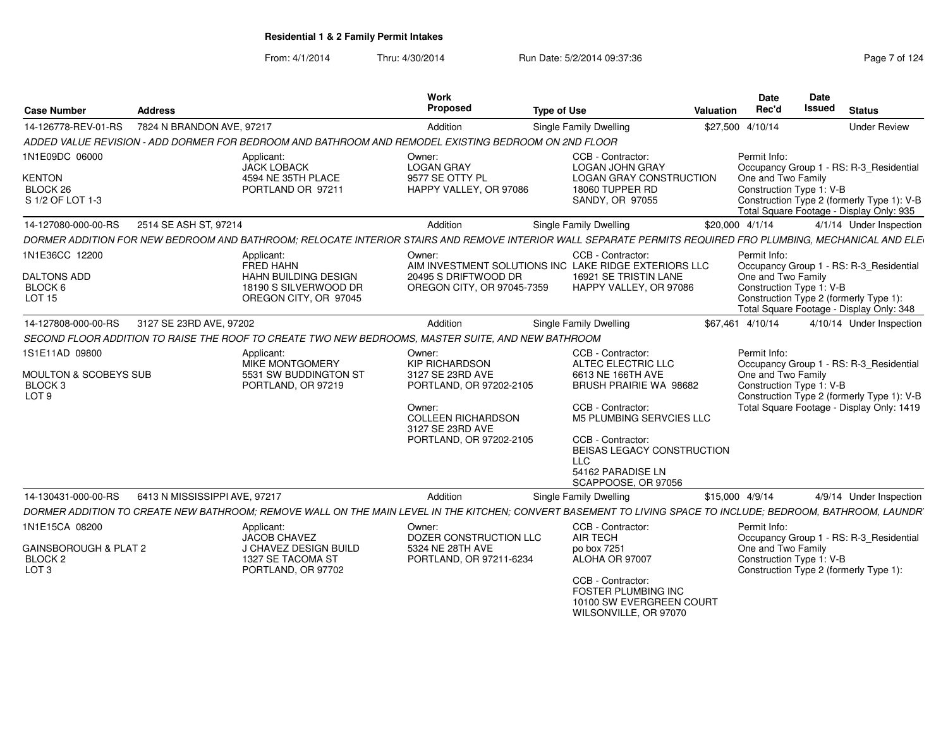| <b>Case Number</b>                                                   | <b>Address</b>                |                                                                                                                                                              | Work<br>Proposed                                                                                                      | <b>Type of Use</b>                                             | <b>Valuation</b>                                                                                                   | Date<br>Rec'd                                                  | Date<br><b>Issued</b> | <b>Status</b>                                                                                                                      |  |  |
|----------------------------------------------------------------------|-------------------------------|--------------------------------------------------------------------------------------------------------------------------------------------------------------|-----------------------------------------------------------------------------------------------------------------------|----------------------------------------------------------------|--------------------------------------------------------------------------------------------------------------------|----------------------------------------------------------------|-----------------------|------------------------------------------------------------------------------------------------------------------------------------|--|--|
| 14-126778-REV-01-RS                                                  | 7824 N BRANDON AVE, 97217     |                                                                                                                                                              | Addition                                                                                                              | Single Family Dwelling                                         |                                                                                                                    |                                                                |                       | <b>Under Review</b>                                                                                                                |  |  |
|                                                                      |                               | ADDED VALUE REVISION - ADD DORMER FOR BEDROOM AND BATHROOM AND REMODEL EXISTING BEDROOM ON 2ND FLOOR                                                         |                                                                                                                       |                                                                |                                                                                                                    |                                                                |                       |                                                                                                                                    |  |  |
| 1N1E09DC 06000<br><b>KENTON</b>                                      |                               | Applicant:<br><b>JACK LOBACK</b><br>4594 NE 35TH PLACE                                                                                                       | Owner:<br><b>LOGAN GRAY</b><br>9577 SE OTTY PL                                                                        | CCB - Contractor:<br><b>LOGAN JOHN GRAY</b><br>18060 TUPPER RD | LOGAN GRAY CONSTRUCTION                                                                                            | Permit Info:<br>One and Two Family                             |                       | Occupancy Group 1 - RS: R-3_Residential                                                                                            |  |  |
| BLOCK 26<br>PORTLAND OR 97211<br>S 1/2 OF LOT 1-3                    |                               |                                                                                                                                                              | HAPPY VALLEY, OR 97086                                                                                                | SANDY, OR 97055                                                | Construction Type 1: V-B<br>Construction Type 2 (formerly Type 1): V-B<br>Total Square Footage - Display Only: 935 |                                                                |                       |                                                                                                                                    |  |  |
| 14-127080-000-00-RS                                                  | 2514 SE ASH ST, 97214         |                                                                                                                                                              | Addition                                                                                                              | <b>Single Family Dwelling</b>                                  | \$20,000 4/1/14                                                                                                    |                                                                |                       | 4/1/14 Under Inspection                                                                                                            |  |  |
|                                                                      |                               | DORMER ADDITION FOR NEW BEDROOM AND BATHROOM; RELOCATE INTERIOR STAIRS AND REMOVE INTERIOR WALL SEPARATE PERMITS REQUIRED FRO PLUMBING, MECHANICAL AND ELE   |                                                                                                                       |                                                                |                                                                                                                    |                                                                |                       |                                                                                                                                    |  |  |
| 1N1E36CC 12200<br><b>DALTONS ADD</b><br>BLOCK 6<br>LOT <sub>15</sub> |                               | Applicant:<br>FRED HAHN<br><b>HAHN BUILDING DESIGN</b><br>18190 S SILVERWOOD DR<br>OREGON CITY, OR 97045                                                     | Owner:<br>AIM INVESTMENT SOLUTIONS INC LAKE RIDGE EXTERIORS LLC<br>20495 S DRIFTWOOD DR<br>OREGON CITY, OR 97045-7359 | CCB - Contractor:                                              | 16921 SE TRISTIN LANE<br>HAPPY VALLEY, OR 97086                                                                    | Permit Info:<br>One and Two Family<br>Construction Type 1: V-B |                       | Occupancy Group 1 - RS: R-3 Residential<br>Construction Type 2 (formerly Type 1):<br>Total Square Footage - Display Only: 348      |  |  |
| 14-127808-000-00-RS                                                  | 3127 SE 23RD AVE, 97202       |                                                                                                                                                              | Addition                                                                                                              | <b>Single Family Dwelling</b>                                  |                                                                                                                    | \$67.461 4/10/14                                               |                       | 4/10/14 Under Inspection                                                                                                           |  |  |
|                                                                      |                               | SECOND FLOOR ADDITION TO RAISE THE ROOF TO CREATE TWO NEW BEDROOMS, MASTER SUITE, AND NEW BATHROOM                                                           |                                                                                                                       |                                                                |                                                                                                                    |                                                                |                       |                                                                                                                                    |  |  |
| 1S1E11AD 09800                                                       |                               | Applicant:                                                                                                                                                   | Owner:                                                                                                                | CCB - Contractor:                                              |                                                                                                                    | Permit Info:                                                   |                       |                                                                                                                                    |  |  |
| <b>MOULTON &amp; SCOBEYS SUB</b><br>BLOCK 3<br>LOT <sub>9</sub>      |                               | <b>MIKE MONTGOMERY</b><br>5531 SW BUDDINGTON ST<br>PORTLAND, OR 97219                                                                                        | <b>KIP RICHARDSON</b><br>3127 SE 23RD AVE<br>PORTLAND, OR 97202-2105<br>Owner:                                        | ALTEC ELECTRIC LLC<br>6613 NE 166TH AVE<br>CCB - Contractor:   | BRUSH PRAIRIE WA 98682                                                                                             | One and Two Family<br>Construction Type 1: V-B                 |                       | Occupancy Group 1 - RS: R-3_Residential<br>Construction Type 2 (formerly Type 1): V-B<br>Total Square Footage - Display Only: 1419 |  |  |
|                                                                      |                               |                                                                                                                                                              | <b>COLLEEN RICHARDSON</b><br>3127 SE 23RD AVE                                                                         |                                                                | <b>M5 PLUMBING SERVCIES LLC</b>                                                                                    |                                                                |                       |                                                                                                                                    |  |  |
|                                                                      |                               |                                                                                                                                                              | PORTLAND, OR 97202-2105                                                                                               | CCB - Contractor:<br><b>LLC</b>                                | BEISAS LEGACY CONSTRUCTION                                                                                         |                                                                |                       |                                                                                                                                    |  |  |
|                                                                      |                               |                                                                                                                                                              |                                                                                                                       | 54162 PARADISE LN                                              | SCAPPOOSE, OR 97056                                                                                                |                                                                |                       |                                                                                                                                    |  |  |
| 14-130431-000-00-RS                                                  | 6413 N MISSISSIPPI AVE, 97217 |                                                                                                                                                              | Addition                                                                                                              | Single Family Dwelling                                         | \$15,000 4/9/14                                                                                                    |                                                                |                       | 4/9/14 Under Inspection                                                                                                            |  |  |
|                                                                      |                               | DORMER ADDITION TO CREATE NEW BATHROOM; REMOVE WALL ON THE MAIN LEVEL IN THE KITCHEN; CONVERT BASEMENT TO LIVING SPACE TO INCLUDE; BEDROOM, BATHROOM, LAUNDR |                                                                                                                       |                                                                |                                                                                                                    |                                                                |                       |                                                                                                                                    |  |  |
| 1N1E15CA 08200                                                       |                               | Applicant:                                                                                                                                                   | Owner:                                                                                                                | CCB - Contractor:                                              |                                                                                                                    | Permit Info:                                                   |                       |                                                                                                                                    |  |  |
| GAINSBOROUGH & PLAT 2<br>BLOCK <sub>2</sub><br>LOT <sub>3</sub>      |                               | <b>JACOB CHAVEZ</b><br>J CHAVEZ DESIGN BUILD<br>1327 SE TACOMA ST<br>PORTLAND, OR 97702                                                                      | DOZER CONSTRUCTION LLC<br>5324 NE 28TH AVE<br>PORTLAND, OR 97211-6234                                                 | <b>AIR TECH</b><br>po box 7251<br>ALOHA OR 97007               |                                                                                                                    | One and Two Family<br>Construction Type 1: V-B                 |                       | Occupancy Group 1 - RS: R-3_Residential<br>Construction Type 2 (formerly Type 1):                                                  |  |  |
|                                                                      |                               |                                                                                                                                                              |                                                                                                                       | CCB - Contractor:                                              | FOSTER PLUMBING INC<br>10100 SW EVERGREEN COURT<br>WILSONVILLE, OR 97070                                           |                                                                |                       |                                                                                                                                    |  |  |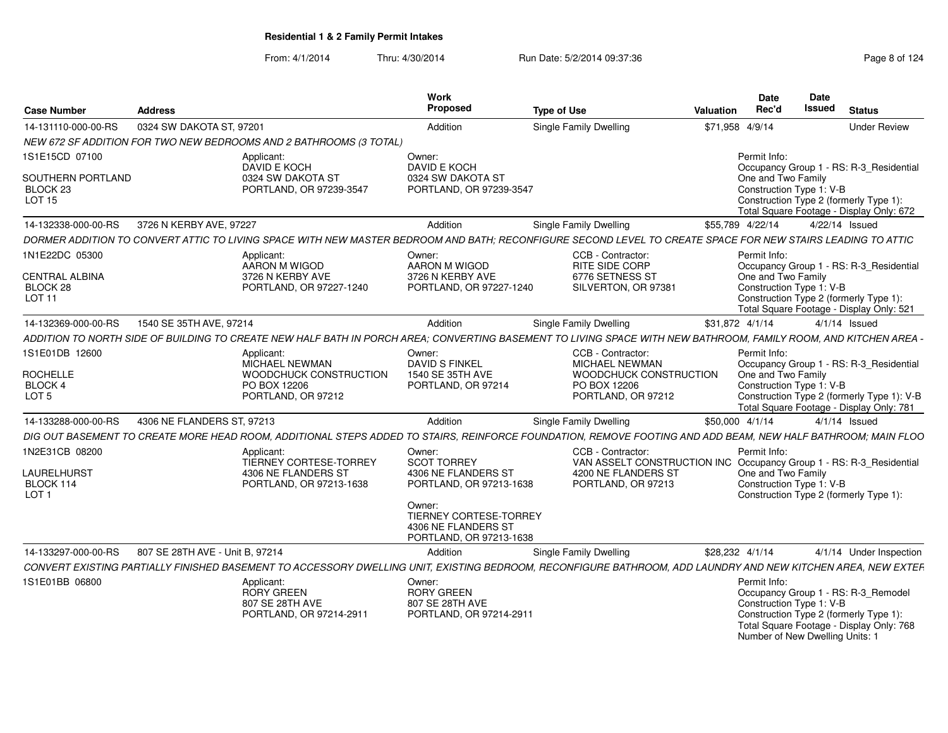| <b>Case Number</b>                                        | Address                         |                                                                                                                                                                  | Work<br><b>Proposed</b>                                                                   | <b>Type of Use</b>                                                                       | Valuation        | <b>Date</b><br>Rec'd | <b>Date</b><br><b>Issued</b>                                | <b>Status</b>                                                                                                             |
|-----------------------------------------------------------|---------------------------------|------------------------------------------------------------------------------------------------------------------------------------------------------------------|-------------------------------------------------------------------------------------------|------------------------------------------------------------------------------------------|------------------|----------------------|-------------------------------------------------------------|---------------------------------------------------------------------------------------------------------------------------|
| 14-131110-000-00-RS                                       | 0324 SW DAKOTA ST, 97201        |                                                                                                                                                                  | Addition                                                                                  | Single Family Dwelling                                                                   | \$71,958 4/9/14  |                      |                                                             | <b>Under Review</b>                                                                                                       |
|                                                           |                                 | NEW 672 SF ADDITION FOR TWO NEW BEDROOMS AND 2 BATHROOMS (3 TOTAL)                                                                                               |                                                                                           |                                                                                          |                  |                      |                                                             |                                                                                                                           |
| 1S1E15CD 07100                                            |                                 | Applicant:<br>DAVID E KOCH                                                                                                                                       | Owner:<br>DAVID E KOCH                                                                    |                                                                                          |                  | Permit Info:         |                                                             | Occupancy Group 1 - RS: R-3_Residential                                                                                   |
| SOUTHERN PORTLAND<br>BLOCK <sub>23</sub><br><b>LOT 15</b> |                                 | 0324 SW DAKOTA ST<br>PORTLAND, OR 97239-3547                                                                                                                     | 0324 SW DAKOTA ST<br>PORTLAND, OR 97239-3547                                              |                                                                                          |                  | One and Two Family   | Construction Type 1: V-B                                    | Construction Type 2 (formerly Type 1):<br>Total Square Footage - Display Only: 672                                        |
| 14-132338-000-00-RS                                       | 3726 N KERBY AVE, 97227         |                                                                                                                                                                  | Addition                                                                                  | Single Family Dwelling                                                                   | \$55,789 4/22/14 |                      | 4/22/14 Issued                                              |                                                                                                                           |
|                                                           |                                 | DORMER ADDITION TO CONVERT ATTIC TO LIVING SPACE WITH NEW MASTER BEDROOM AND BATH; RECONFIGURE SECOND LEVEL TO CREATE SPACE FOR NEW STAIRS LEADING TO ATTIC      |                                                                                           |                                                                                          |                  |                      |                                                             |                                                                                                                           |
| 1N1E22DC 05300                                            |                                 | Applicant:<br>AARON M WIGOD                                                                                                                                      | Owner:<br>AARON M WIGOD                                                                   | CCB - Contractor:<br>RITE SIDE CORP                                                      |                  | Permit Info:         |                                                             | Occupancy Group 1 - RS: R-3_Residential                                                                                   |
| <b>CENTRAL ALBINA</b><br>BLOCK 28                         |                                 | 3726 N KERBY AVE<br>PORTLAND, OR 97227-1240                                                                                                                      | 3726 N KERBY AVE<br>PORTLAND, OR 97227-1240                                               | 6776 SETNESS ST<br>SILVERTON, OR 97381                                                   |                  | One and Two Family   | Construction Type 1: V-B                                    |                                                                                                                           |
| <b>LOT 11</b>                                             |                                 |                                                                                                                                                                  |                                                                                           |                                                                                          |                  |                      |                                                             | Construction Type 2 (formerly Type 1):<br>Total Square Footage - Display Only: 521                                        |
| 14-132369-000-00-RS                                       | 1540 SE 35TH AVE, 97214         |                                                                                                                                                                  | Addition                                                                                  | Single Family Dwelling                                                                   | \$31,872 4/1/14  |                      | $4/1/14$ Issued                                             |                                                                                                                           |
|                                                           |                                 | ADDITION TO NORTH SIDE OF BUILDING TO CREATE NEW HALF BATH IN PORCH AREA: CONVERTING BASEMENT TO LIVING SPACE WITH NEW BATHROOM. FAMILY ROOM, AND KITCHEN AREA - |                                                                                           |                                                                                          |                  |                      |                                                             |                                                                                                                           |
| 1S1E01DB 12600                                            |                                 | Applicant:<br>MICHAEL NEWMAN                                                                                                                                     | Owner:<br><b>DAVID S FINKEL</b>                                                           | CCB - Contractor:<br><b>MICHAEL NEWMAN</b>                                               |                  | Permit Info:         |                                                             | Occupancy Group 1 - RS: R-3_Residential                                                                                   |
| <b>ROCHELLE</b><br>BLOCK 4                                |                                 | WOODCHUCK CONSTRUCTION<br>PO BOX 12206                                                                                                                           | 1540 SE 35TH AVE<br>PORTLAND, OR 97214                                                    | WOODCHUCK CONSTRUCTION<br>PO BOX 12206                                                   |                  | One and Two Family   | Construction Type 1: V-B                                    |                                                                                                                           |
| LOT <sub>5</sub>                                          |                                 | PORTLAND, OR 97212                                                                                                                                               |                                                                                           | PORTLAND, OR 97212                                                                       |                  |                      |                                                             | Construction Type 2 (formerly Type 1): V-B<br>Total Square Footage - Display Only: 781                                    |
| 14-133288-000-00-RS                                       | 4306 NE FLANDERS ST, 97213      |                                                                                                                                                                  | Addition                                                                                  | Single Family Dwelling                                                                   | \$50,000 4/1/14  |                      | $4/1/14$ Issued                                             |                                                                                                                           |
|                                                           |                                 | DIG OUT BASEMENT TO CREATE MORE HEAD ROOM. ADDITIONAL STEPS ADDED TO STAIRS. REINFORCE FOUNDATION. REMOVE FOOTING AND ADD BEAM. NEW HALF BATHROOM: MAIN FLOO     |                                                                                           |                                                                                          |                  |                      |                                                             |                                                                                                                           |
| 1N2E31CB 08200                                            |                                 | Applicant:<br>TIERNEY CORTESE-TORREY                                                                                                                             | Owner:<br><b>SCOT TORREY</b>                                                              | CCB - Contractor:<br>VAN ASSELT CONSTRUCTION INC Occupancy Group 1 - RS: R-3_Residential |                  | Permit Info:         |                                                             |                                                                                                                           |
| LAURELHURST                                               |                                 | 4306 NE FLANDERS ST                                                                                                                                              | 4306 NE FLANDERS ST                                                                       | 4200 NE FLANDERS ST                                                                      |                  | One and Two Family   |                                                             |                                                                                                                           |
| BLOCK 114<br>LOT <sub>1</sub>                             |                                 | PORTLAND, OR 97213-1638                                                                                                                                          | PORTLAND, OR 97213-1638                                                                   | PORTLAND, OR 97213                                                                       |                  |                      | Construction Type 1: V-B                                    | Construction Type 2 (formerly Type 1):                                                                                    |
|                                                           |                                 |                                                                                                                                                                  | Owner:<br><b>TIERNEY CORTESE-TORREY</b><br>4306 NE FLANDERS ST<br>PORTLAND, OR 97213-1638 |                                                                                          |                  |                      |                                                             |                                                                                                                           |
| 14-133297-000-00-RS                                       | 807 SE 28TH AVE - Unit B. 97214 |                                                                                                                                                                  | Addition                                                                                  | Single Family Dwelling                                                                   | \$28,232 4/1/14  |                      |                                                             | 4/1/14 Under Inspection                                                                                                   |
|                                                           |                                 | CONVERT EXISTING PARTIALLY FINISHED BASEMENT TO ACCESSORY DWELLING UNIT. EXISTING BEDROOM. RECONFIGURE BATHROOM. ADD LAUNDRY AND NEW KITCHEN AREA. NEW EXTEF     |                                                                                           |                                                                                          |                  |                      |                                                             |                                                                                                                           |
| 1S1E01BB 06800                                            |                                 | Applicant:<br>RORY GREEN<br>807 SE 28TH AVE<br>PORTLAND, OR 97214-2911                                                                                           | Owner:<br><b>RORY GREEN</b><br>807 SE 28TH AVE<br>PORTLAND, OR 97214-2911                 |                                                                                          |                  | Permit Info:         | Construction Type 1: V-B<br>Number of New Dwelling Units: 1 | Occupancy Group 1 - RS: R-3_Remodel<br>Construction Type 2 (formerly Type 1):<br>Total Square Footage - Display Only: 768 |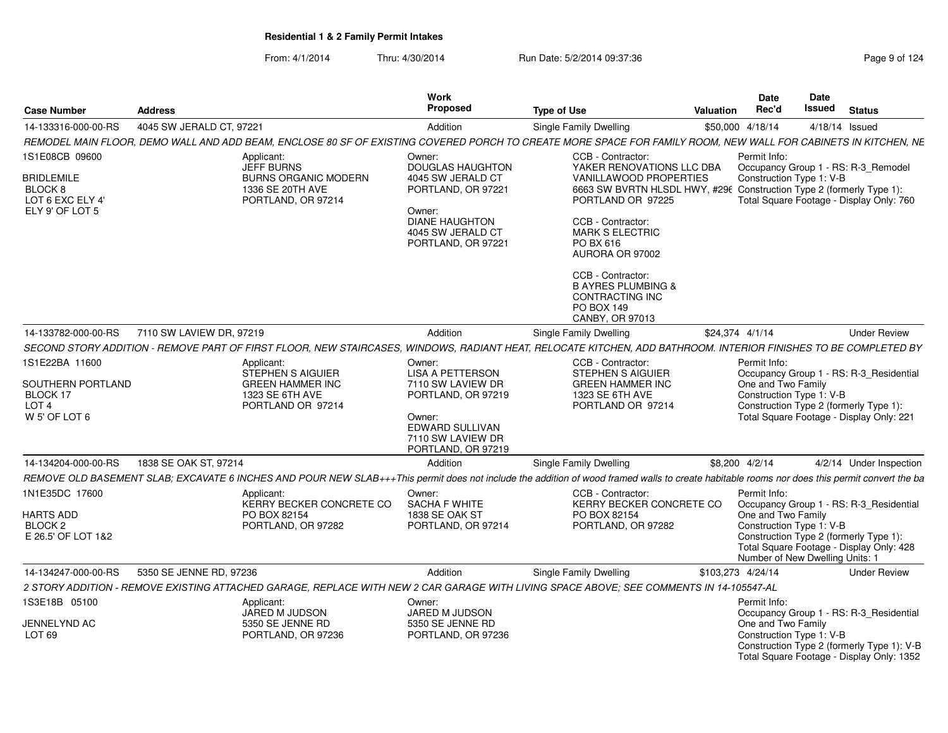| <b>Case Number</b>                                                                               | <b>Address</b>           |                                                                                                                                                                                              | Work<br>Proposed                                                                                                      | <b>Type of Use</b>                                                                                                                                                                                                      | Valuation | <b>Date</b><br>Rec'd                                                                              | <b>Date</b><br>Issued | <b>Status</b>                                                                                                                 |
|--------------------------------------------------------------------------------------------------|--------------------------|----------------------------------------------------------------------------------------------------------------------------------------------------------------------------------------------|-----------------------------------------------------------------------------------------------------------------------|-------------------------------------------------------------------------------------------------------------------------------------------------------------------------------------------------------------------------|-----------|---------------------------------------------------------------------------------------------------|-----------------------|-------------------------------------------------------------------------------------------------------------------------------|
| 14-133316-000-00-RS                                                                              | 4045 SW JERALD CT, 97221 |                                                                                                                                                                                              | Addition                                                                                                              | Single Family Dwelling                                                                                                                                                                                                  |           | \$50,000 4/18/14                                                                                  |                       | 4/18/14 Issued                                                                                                                |
|                                                                                                  |                          | REMODEL MAIN FLOOR, DEMO WALL AND ADD BEAM, ENCLOSE 80 SF OF EXISTING COVERED PORCH TO CREATE MORE SPACE FOR FAMILY ROOM, NEW WALL FOR CABINETS IN KITCHEN, NE                               |                                                                                                                       |                                                                                                                                                                                                                         |           |                                                                                                   |                       |                                                                                                                               |
| 1S1E08CB 09600                                                                                   |                          | Applicant:<br><b>JEFF BURNS</b>                                                                                                                                                              | Owner:<br><b>DOUGLAS HAUGHTON</b>                                                                                     | CCB - Contractor:<br>YAKER RENOVATIONS LLC DBA                                                                                                                                                                          |           | Permit Info:                                                                                      |                       |                                                                                                                               |
| <b>BRIDLEMILE</b><br>BLOCK 8<br>LOT 6 EXC ELY 4'<br>ELY 9' OF LOT 5                              |                          | <b>BURNS ORGANIC MODERN</b><br>1336 SE 20TH AVE<br>PORTLAND, OR 97214                                                                                                                        | 4045 SW JERALD CT<br>PORTLAND, OR 97221<br>Owner:<br><b>DIANE HAUGHTON</b><br>4045 SW JERALD CT<br>PORTLAND, OR 97221 | VANILLAWOOD PROPERTIES<br>6663 SW BVRTN HLSDL HWY, #296 Construction Type 2 (formerly Type 1):<br>PORTLAND OR 97225<br>CCB - Contractor:<br><b>MARK S ELECTRIC</b><br>PO BX 616<br>AURORA OR 97002<br>CCB - Contractor: |           | Construction Type 1: V-B                                                                          |                       | Occupancy Group 1 - RS: R-3_Remodel<br>Total Square Footage - Display Only: 760                                               |
|                                                                                                  |                          |                                                                                                                                                                                              |                                                                                                                       | <b>B AYRES PLUMBING &amp;</b><br>CONTRACTING INC<br>PO BOX 149<br>CANBY, OR 97013                                                                                                                                       |           |                                                                                                   |                       |                                                                                                                               |
| 14-133782-000-00-RS                                                                              | 7110 SW LAVIEW DR, 97219 |                                                                                                                                                                                              | Addition                                                                                                              | Single Family Dwelling                                                                                                                                                                                                  |           | \$24.374 4/1/14                                                                                   |                       | <b>Under Review</b>                                                                                                           |
|                                                                                                  |                          | SECOND STORY ADDITION - REMOVE PART OF FIRST FLOOR. NEW STAIRCASES, WINDOWS, RADIANT HEAT, RELOCATE KITCHEN, ADD BATHROOM. INTERIOR FINISHES TO BE COMPLETED BY                              |                                                                                                                       |                                                                                                                                                                                                                         |           |                                                                                                   |                       |                                                                                                                               |
| 1S1E22BA 11600<br>SOUTHERN PORTLAND<br>BLOCK 17<br>LOT <sub>4</sub><br>W <sub>5</sub> ' OF LOT 6 |                          | Applicant:<br>STEPHEN S AIGUIER<br><b>GREEN HAMMER INC</b><br>1323 SE 6TH AVE<br>PORTLAND OR 97214                                                                                           | Owner:<br><b>LISA A PETTERSON</b><br>7110 SW LAVIEW DR<br>PORTLAND, OR 97219<br>Owner:<br>EDWARD SULLIVAN             | CCB - Contractor:<br><b>STEPHEN S AIGUIER</b><br><b>GREEN HAMMER INC</b><br>1323 SE 6TH AVE<br>PORTLAND OR 97214                                                                                                        |           | Permit Info:<br>One and Two Family<br>Construction Type 1: V-B                                    |                       | Occupancy Group 1 - RS: R-3_Residential<br>Construction Type 2 (formerly Type 1):<br>Total Square Footage - Display Only: 221 |
|                                                                                                  |                          |                                                                                                                                                                                              | 7110 SW LAVIEW DR<br>PORTLAND, OR 97219                                                                               |                                                                                                                                                                                                                         |           |                                                                                                   |                       |                                                                                                                               |
| 14-134204-000-00-RS                                                                              | 1838 SE OAK ST, 97214    |                                                                                                                                                                                              | Addition                                                                                                              | Single Family Dwelling                                                                                                                                                                                                  |           | \$8,200 4/2/14                                                                                    |                       | 4/2/14 Under Inspection                                                                                                       |
|                                                                                                  |                          | REMOVE OLD BASEMENT SLAB; EXCAVATE 6 INCHES AND POUR NEW SLAB+++This permit does not include the addition of wood framed walls to create habitable rooms nor does this permit convert the ba |                                                                                                                       |                                                                                                                                                                                                                         |           |                                                                                                   |                       |                                                                                                                               |
| 1N1E35DC 17600<br><b>HARTS ADD</b><br>BLOCK 2<br>E 26.5' OF LOT 1&2                              |                          | Applicant:<br>KERRY BECKER CONCRETE CO<br>PO BOX 82154<br>PORTLAND, OR 97282                                                                                                                 | Owner:<br>SACHA F WHITE<br>1838 SE OAK ST<br>PORTLAND, OR 97214                                                       | CCB - Contractor:<br>KERRY BECKER CONCRETE CO<br>PO BOX 82154<br>PORTLAND, OR 97282                                                                                                                                     |           | Permit Info:<br>One and Two Family<br>Construction Type 1: V-B<br>Number of New Dwelling Units: 1 |                       | Occupancy Group 1 - RS: R-3_Residential<br>Construction Type 2 (formerly Type 1):<br>Total Square Footage - Display Only: 428 |
| 14-134247-000-00-RS                                                                              | 5350 SE JENNE RD, 97236  |                                                                                                                                                                                              | Addition                                                                                                              | Single Family Dwelling                                                                                                                                                                                                  |           | \$103,273 4/24/14                                                                                 |                       | <b>Under Review</b>                                                                                                           |
|                                                                                                  |                          | 2 STORY ADDITION - REMOVE EXISTING ATTACHED GARAGE, REPLACE WITH NEW 2 CAR GARAGE WITH LIVING SPACE ABOVE; SEE COMMENTS IN 14-105547-AL                                                      |                                                                                                                       |                                                                                                                                                                                                                         |           |                                                                                                   |                       |                                                                                                                               |
| 1S3E18B 05100<br>JENNELYND AC<br>LOT <sub>69</sub>                                               |                          | Applicant:<br>JARED M JUDSON<br>5350 SE JENNE RD<br>PORTLAND, OR 97236                                                                                                                       | Owner:<br>JARED M JUDSON<br>5350 SE JENNE RD<br>PORTLAND, OR 97236                                                    |                                                                                                                                                                                                                         |           | Permit Info:<br>One and Two Family<br>Construction Type 1: V-B                                    |                       | Occupancy Group 1 - RS: R-3 Residential                                                                                       |
|                                                                                                  |                          |                                                                                                                                                                                              |                                                                                                                       |                                                                                                                                                                                                                         |           |                                                                                                   |                       | Construction Type 2 (formerly Type 1): V-B<br>Total Square Footage - Display Only: 1352                                       |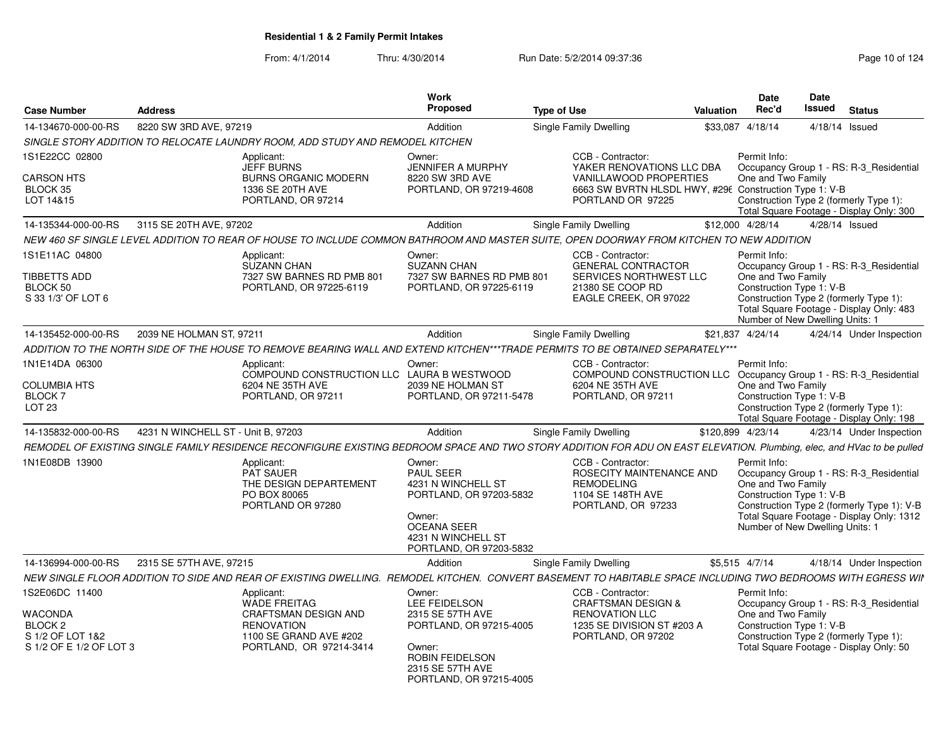From: 4/1/2014

| <b>Case Number</b>                                                                             | <b>Address</b>                                                                                           |                                                                                                                                                                        | <b>Work</b><br>Proposed                                                                                                                                   | <b>Type of Use</b> |                                                                                                                                                                | Valuation    | <b>Date</b><br>Rec'd                                                                              | <b>Date</b><br><b>Issued</b>                                                                                                  | <b>Status</b>                                                                                                                      |
|------------------------------------------------------------------------------------------------|----------------------------------------------------------------------------------------------------------|------------------------------------------------------------------------------------------------------------------------------------------------------------------------|-----------------------------------------------------------------------------------------------------------------------------------------------------------|--------------------|----------------------------------------------------------------------------------------------------------------------------------------------------------------|--------------|---------------------------------------------------------------------------------------------------|-------------------------------------------------------------------------------------------------------------------------------|------------------------------------------------------------------------------------------------------------------------------------|
| 14-134670-000-00-RS                                                                            | 8220 SW 3RD AVE, 97219                                                                                   |                                                                                                                                                                        | Addition                                                                                                                                                  |                    | Single Family Dwelling                                                                                                                                         | \$33,087     | 4/18/14                                                                                           |                                                                                                                               | $4/18/14$ Issued                                                                                                                   |
|                                                                                                |                                                                                                          | SINGLE STORY ADDITION TO RELOCATE LAUNDRY ROOM, ADD STUDY AND REMODEL KITCHEN                                                                                          |                                                                                                                                                           |                    |                                                                                                                                                                |              |                                                                                                   |                                                                                                                               |                                                                                                                                    |
| 1S1E22CC 02800<br><b>CARSON HTS</b><br>BLOCK 35<br>LOT 14&15                                   | Applicant:<br><b>JEFF BURNS</b><br><b>BURNS ORGANIC MODERN</b><br>1336 SE 20TH AVE<br>PORTLAND, OR 97214 |                                                                                                                                                                        | Owner:<br><b>JENNIFER A MURPHY</b><br>8220 SW 3RD AVE<br>PORTLAND, OR 97219-4608                                                                          |                    | CCB - Contractor:<br>YAKER RENOVATIONS LLC DBA<br><b>VANILLAWOOD PROPERTIES</b><br>6663 SW BVRTN HLSDL HWY, #296 Construction Type 1: V-B<br>PORTLAND OR 97225 | Permit Info: | One and Two Family                                                                                | Occupancy Group 1 - RS: R-3 Residential<br>Construction Type 2 (formerly Type 1):<br>Total Square Footage - Display Only: 300 |                                                                                                                                    |
| 14-135344-000-00-RS                                                                            | 3115 SE 20TH AVE, 97202                                                                                  |                                                                                                                                                                        | Addition                                                                                                                                                  |                    | Single Family Dwelling                                                                                                                                         |              | \$12,000 4/28/14                                                                                  |                                                                                                                               | 4/28/14 Issued                                                                                                                     |
|                                                                                                |                                                                                                          | NEW 460 SF SINGLE LEVEL ADDITION TO REAR OF HOUSE TO INCLUDE COMMON BATHROOM AND MASTER SUITE, OPEN DOORWAY FROM KITCHEN TO NEW ADDITION                               |                                                                                                                                                           |                    |                                                                                                                                                                |              |                                                                                                   |                                                                                                                               |                                                                                                                                    |
| 1S1E11AC 04800<br><b>TIBBETTS ADD</b><br>BLOCK 50<br>S 33 1/3' OF LOT 6                        |                                                                                                          | Applicant:<br><b>SUZANN CHAN</b><br>7327 SW BARNES RD PMB 801<br>PORTLAND, OR 97225-6119                                                                               | Owner:<br><b>SUZANN CHAN</b><br>7327 SW BARNES RD PMB 801<br>PORTLAND, OR 97225-6119                                                                      |                    | CCB - Contractor:<br><b>GENERAL CONTRACTOR</b><br>SERVICES NORTHWEST LLC<br>21380 SE COOP RD<br>EAGLE CREEK, OR 97022                                          |              | Permit Info:<br>One and Two Family<br>Construction Type 1: V-B<br>Number of New Dwelling Units: 1 |                                                                                                                               | Occupancy Group 1 - RS: R-3 Residential<br>Construction Type 2 (formerly Type 1):<br>Total Square Footage - Display Only: 483      |
| 14-135452-000-00-RS                                                                            | 2039 NE HOLMAN ST, 97211                                                                                 |                                                                                                                                                                        | Addition                                                                                                                                                  |                    | <b>Single Family Dwelling</b>                                                                                                                                  |              | \$21,837 4/24/14                                                                                  |                                                                                                                               | 4/24/14 Under Inspection                                                                                                           |
|                                                                                                |                                                                                                          | ADDITION TO THE NORTH SIDE OF THE HOUSE TO REMOVE BEARING WALL AND EXTEND KITCHEN***TRADE PERMITS TO BE OBTAINED SEPARATELY***                                         |                                                                                                                                                           |                    |                                                                                                                                                                |              |                                                                                                   |                                                                                                                               |                                                                                                                                    |
| 1N1E14DA 06300<br><b>COLUMBIA HTS</b><br>BLOCK 7<br>LOT <sub>23</sub>                          |                                                                                                          | Applicant:<br>COMPOUND CONSTRUCTION LLC LAURA B WESTWOOD<br>6204 NE 35TH AVE<br>PORTLAND, OR 97211                                                                     | Owner:<br>2039 NE HOLMAN ST<br>PORTLAND, OR 97211-5478                                                                                                    |                    | CCB - Contractor:<br>COMPOUND CONSTRUCTION LLC<br>6204 NE 35TH AVE<br>PORTLAND, OR 97211                                                                       |              | Permit Info:<br>One and Two Family<br>Construction Type 1: V-B                                    |                                                                                                                               | Occupancy Group 1 - RS: R-3 Residential<br>Construction Type 2 (formerly Type 1):<br>Total Square Footage - Display Only: 198      |
| 14-135832-000-00-RS                                                                            | 4231 N WINCHELL ST - Unit B, 97203                                                                       |                                                                                                                                                                        | Addition                                                                                                                                                  |                    | Single Family Dwelling                                                                                                                                         |              | \$120,899 4/23/14                                                                                 |                                                                                                                               | 4/23/14 Under Inspection                                                                                                           |
|                                                                                                |                                                                                                          | REMODEL OF EXISTING SINGLE FAMILY RESIDENCE RECONFIGURE EXISTING BEDROOM SPACE AND TWO STORY ADDITION FOR ADU ON EAST ELEVATION. Plumbing, elec, and HVac to be pulled |                                                                                                                                                           |                    |                                                                                                                                                                |              |                                                                                                   |                                                                                                                               |                                                                                                                                    |
| 1N1E08DB 13900                                                                                 |                                                                                                          | Applicant:<br><b>PAT SAUER</b><br>THE DESIGN DEPARTEMENT<br>PO BOX 80065<br>PORTLAND OR 97280                                                                          | Owner:<br>PAUL SEER<br>4231 N WINCHELL ST<br>PORTLAND, OR 97203-5832<br>Owner:<br><b>OCEANA SEER</b><br>4231 N WINCHELL ST<br>PORTLAND, OR 97203-5832     |                    | CCB - Contractor:<br>ROSECITY MAINTENANCE AND<br><b>REMODELING</b><br>1104 SE 148TH AVE<br>PORTLAND, OR 97233                                                  |              | Permit Info:<br>One and Two Family<br>Construction Type 1: V-B<br>Number of New Dwelling Units: 1 |                                                                                                                               | Occupancy Group 1 - RS: R-3_Residential<br>Construction Type 2 (formerly Type 1): V-B<br>Total Square Footage - Display Only: 1312 |
| 14-136994-000-00-RS                                                                            | 2315 SE 57TH AVE, 97215                                                                                  |                                                                                                                                                                        | Addition                                                                                                                                                  |                    | Single Family Dwelling                                                                                                                                         |              | \$5,515 4/7/14                                                                                    |                                                                                                                               | 4/18/14 Under Inspection                                                                                                           |
|                                                                                                |                                                                                                          | NEW SINGLE FLOOR ADDITION TO SIDE AND REAR OF EXISTING DWELLING. REMODEL KITCHEN. CONVERT BASEMENT TO HABITABLE SPACE INCLUDING TWO BEDROOMS WITH EGRESS WII           |                                                                                                                                                           |                    |                                                                                                                                                                |              |                                                                                                   |                                                                                                                               |                                                                                                                                    |
| 1S2E06DC 11400<br>WACONDA<br>BLOCK <sub>2</sub><br>S 1/2 OF LOT 1&2<br>S 1/2 OF E 1/2 OF LOT 3 |                                                                                                          | Applicant:<br><b>WADE FREITAG</b><br><b>CRAFTSMAN DESIGN AND</b><br><b>RENOVATION</b><br>1100 SE GRAND AVE #202<br>PORTLAND, OR 97214-3414                             | Owner:<br>LEE FEIDELSON<br>2315 SE 57TH AVE<br>PORTLAND, OR 97215-4005<br>Owner:<br><b>ROBIN FEIDELSON</b><br>2315 SE 57TH AVE<br>PORTLAND, OR 97215-4005 |                    | CCB - Contractor:<br><b>CRAFTSMAN DESIGN &amp;</b><br><b>RENOVATION LLC</b><br>1235 SE DIVISION ST #203 A<br>PORTLAND, OR 97202                                |              | Permit Info:<br>One and Two Family<br>Construction Type 1: V-B                                    |                                                                                                                               | Occupancy Group 1 - RS: R-3_Residential<br>Construction Type 2 (formerly Type 1):<br>Total Square Footage - Display Only: 50       |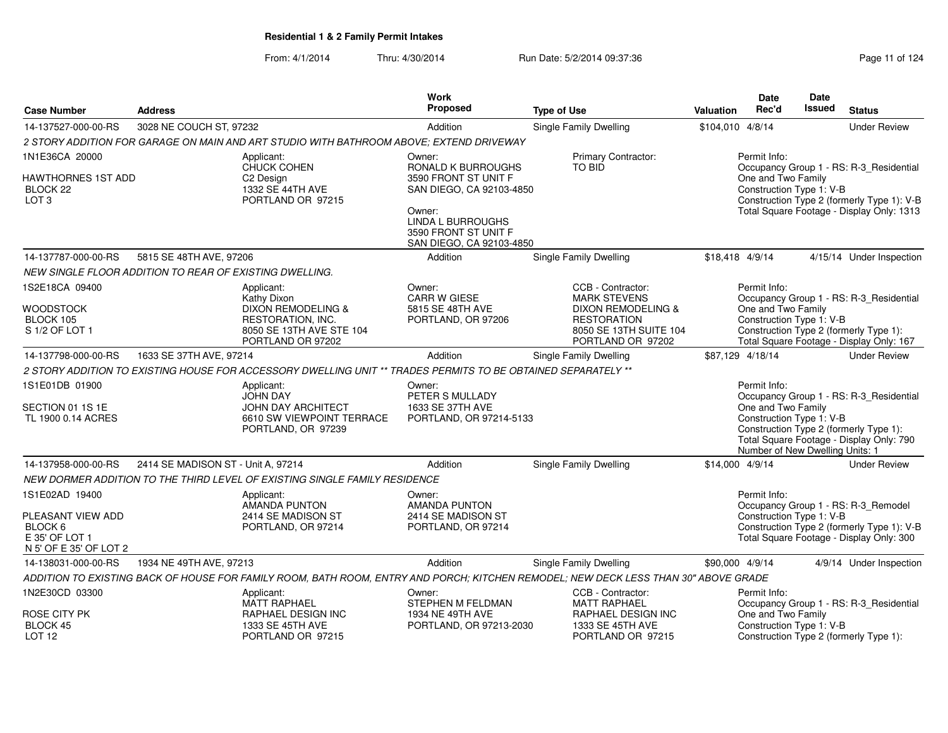| <b>Case Number</b>                                      | <b>Address</b>                     |                                                                                                                                     | <b>Work</b><br><b>Proposed</b>             | <b>Type of Use</b>                                   | Valuation        | <b>Date</b><br>Rec'd            | <b>Date</b><br><b>Issued</b> | <b>Status</b>                                                                      |
|---------------------------------------------------------|------------------------------------|-------------------------------------------------------------------------------------------------------------------------------------|--------------------------------------------|------------------------------------------------------|------------------|---------------------------------|------------------------------|------------------------------------------------------------------------------------|
|                                                         |                                    |                                                                                                                                     |                                            |                                                      |                  |                                 |                              |                                                                                    |
| 14-137527-000-00-RS                                     | 3028 NE COUCH ST, 97232            |                                                                                                                                     | Addition                                   | <b>Single Family Dwelling</b>                        | \$104,010 4/8/14 |                                 |                              | <b>Under Review</b>                                                                |
|                                                         |                                    | 2 STORY ADDITION FOR GARAGE ON MAIN AND ART STUDIO WITH BATHROOM ABOVE; EXTEND DRIVEWAY                                             |                                            |                                                      |                  |                                 |                              |                                                                                    |
| 1N1E36CA 20000                                          |                                    | Applicant:<br>CHUCK COHEN                                                                                                           | Owner:                                     | Primary Contractor:<br><b>TO BID</b>                 |                  | Permit Info:                    |                              |                                                                                    |
| HAWTHORNES 1ST ADD                                      |                                    | C <sub>2</sub> Design                                                                                                               | RONALD K BURROUGHS<br>3590 FRONT ST UNIT F |                                                      |                  | One and Two Family              |                              | Occupancy Group 1 - RS: R-3_Residential                                            |
| BLOCK 22                                                |                                    | 1332 SE 44TH AVE                                                                                                                    | SAN DIEGO, CA 92103-4850                   |                                                      |                  | Construction Type 1: V-B        |                              |                                                                                    |
| LOT <sub>3</sub>                                        |                                    | PORTLAND OR 97215                                                                                                                   |                                            |                                                      |                  |                                 |                              | Construction Type 2 (formerly Type 1): V-B                                         |
|                                                         |                                    |                                                                                                                                     | Owner:<br>LINDA L BURROUGHS                |                                                      |                  |                                 |                              | Total Square Footage - Display Only: 1313                                          |
|                                                         |                                    |                                                                                                                                     | 3590 FRONT ST UNIT F                       |                                                      |                  |                                 |                              |                                                                                    |
|                                                         |                                    |                                                                                                                                     | SAN DIEGO, CA 92103-4850                   |                                                      |                  |                                 |                              |                                                                                    |
| 14-137787-000-00-RS                                     | 5815 SE 48TH AVE, 97206            |                                                                                                                                     | Addition                                   | Single Family Dwelling                               | \$18,418 4/9/14  |                                 |                              | 4/15/14 Under Inspection                                                           |
| NEW SINGLE FLOOR ADDITION TO REAR OF EXISTING DWELLING. |                                    |                                                                                                                                     |                                            |                                                      |                  |                                 |                              |                                                                                    |
| 1S2E18CA 09400                                          |                                    | Applicant:                                                                                                                          | Owner:                                     | CCB - Contractor:                                    |                  | Permit Info:                    |                              |                                                                                    |
| WOODSTOCK                                               |                                    | Kathy Dixon<br><b>DIXON REMODELING &amp;</b>                                                                                        | CARR W GIESE<br>5815 SE 48TH AVE           | <b>MARK STEVENS</b><br><b>DIXON REMODELING &amp;</b> |                  | One and Two Family              |                              | Occupancy Group 1 - RS: R-3_Residential                                            |
| BLOCK 105                                               |                                    | <b>RESTORATION, INC.</b>                                                                                                            | PORTLAND, OR 97206                         | <b>RESTORATION</b>                                   |                  | Construction Type 1: V-B        |                              |                                                                                    |
| S 1/2 OF LOT 1                                          |                                    | 8050 SE 13TH AVE STE 104                                                                                                            |                                            | 8050 SE 13TH SUITE 104                               |                  |                                 |                              | Construction Type 2 (formerly Type 1):                                             |
|                                                         |                                    | PORTLAND OR 97202                                                                                                                   |                                            | PORTLAND OR 97202                                    |                  |                                 |                              | Total Square Footage - Display Only: 167                                           |
| 14-137798-000-00-RS                                     | 1633 SE 37TH AVE, 97214            |                                                                                                                                     | Addition                                   | <b>Single Family Dwelling</b>                        | \$87,129 4/18/14 |                                 |                              | <b>Under Review</b>                                                                |
|                                                         |                                    | 2 STORY ADDITION TO EXISTING HOUSE FOR ACCESSORY DWELLING UNIT ** TRADES PERMITS TO BE OBTAINED SEPARATELY **                       |                                            |                                                      |                  |                                 |                              |                                                                                    |
| 1S1E01DB 01900                                          |                                    | Applicant:<br><b>JOHN DAY</b>                                                                                                       | Owner:<br>PETER S MULLADY                  |                                                      |                  | Permit Info:                    |                              | Occupancy Group 1 - RS: R-3_Residential                                            |
| SECTION 01 1S 1E                                        |                                    | JOHN DAY ARCHITECT                                                                                                                  | 1633 SE 37TH AVE                           |                                                      |                  | One and Two Family              |                              |                                                                                    |
| TL 1900 0.14 ACRES                                      |                                    | 6610 SW VIEWPOINT TERRACE                                                                                                           | PORTLAND, OR 97214-5133                    |                                                      |                  | Construction Type 1: V-B        |                              |                                                                                    |
|                                                         |                                    | PORTLAND, OR 97239                                                                                                                  |                                            |                                                      |                  |                                 |                              | Construction Type 2 (formerly Type 1):<br>Total Square Footage - Display Only: 790 |
|                                                         |                                    |                                                                                                                                     |                                            |                                                      |                  | Number of New Dwelling Units: 1 |                              |                                                                                    |
| 14-137958-000-00-RS                                     | 2414 SE MADISON ST - Unit A, 97214 |                                                                                                                                     | Addition                                   | Single Family Dwelling                               | \$14,000 4/9/14  |                                 |                              | <b>Under Review</b>                                                                |
|                                                         |                                    | NEW DORMER ADDITION TO THE THIRD LEVEL OF EXISTING SINGLE FAMILY RESIDENCE                                                          |                                            |                                                      |                  |                                 |                              |                                                                                    |
| 1S1E02AD 19400                                          |                                    | Applicant:                                                                                                                          | Owner:                                     |                                                      |                  | Permit Info:                    |                              |                                                                                    |
|                                                         |                                    | <b>AMANDA PUNTON</b>                                                                                                                | <b>AMANDA PUNTON</b>                       |                                                      |                  |                                 |                              | Occupancy Group 1 - RS: R-3_Remodel                                                |
| PLEASANT VIEW ADD<br>BLOCK 6                            |                                    | 2414 SE MADISON ST<br>PORTLAND, OR 97214                                                                                            | 2414 SE MADISON ST<br>PORTLAND, OR 97214   |                                                      |                  | Construction Type 1: V-B        |                              | Construction Type 2 (formerly Type 1): V-B                                         |
| E 35' OF LOT 1                                          |                                    |                                                                                                                                     |                                            |                                                      |                  |                                 |                              | Total Square Footage - Display Only: 300                                           |
| N 5' OF E 35' OF LOT 2                                  |                                    |                                                                                                                                     |                                            |                                                      |                  |                                 |                              |                                                                                    |
| 14-138031-000-00-RS                                     | 1934 NE 49TH AVE, 97213            |                                                                                                                                     | Addition                                   | <b>Single Family Dwelling</b>                        | \$90,000 4/9/14  |                                 |                              | 4/9/14 Under Inspection                                                            |
|                                                         |                                    | ADDITION TO EXISTING BACK OF HOUSE FOR FAMILY ROOM, BATH ROOM, ENTRY AND PORCH; KITCHEN REMODEL; NEW DECK LESS THAN 30" ABOVE GRADE |                                            |                                                      |                  |                                 |                              |                                                                                    |
| 1N2E30CD 03300                                          |                                    | Applicant:                                                                                                                          | Owner:                                     | CCB - Contractor:                                    |                  | Permit Info:                    |                              |                                                                                    |
| ROSE CITY PK                                            |                                    | <b>MATT RAPHAEL</b><br>RAPHAEL DESIGN INC                                                                                           | STEPHEN M FELDMAN<br>1934 NE 49TH AVE      | <b>MATT RAPHAEL</b><br>RAPHAEL DESIGN INC            |                  | One and Two Family              |                              | Occupancy Group 1 - RS: R-3_Residential                                            |
| BLOCK 45                                                |                                    | 1333 SE 45TH AVE                                                                                                                    | PORTLAND, OR 97213-2030                    | 1333 SE 45TH AVE                                     |                  | Construction Type 1: V-B        |                              |                                                                                    |
| <b>LOT 12</b>                                           |                                    | PORTLAND OR 97215                                                                                                                   |                                            | PORTLAND OR 97215                                    |                  |                                 |                              | Construction Type 2 (formerly Type 1):                                             |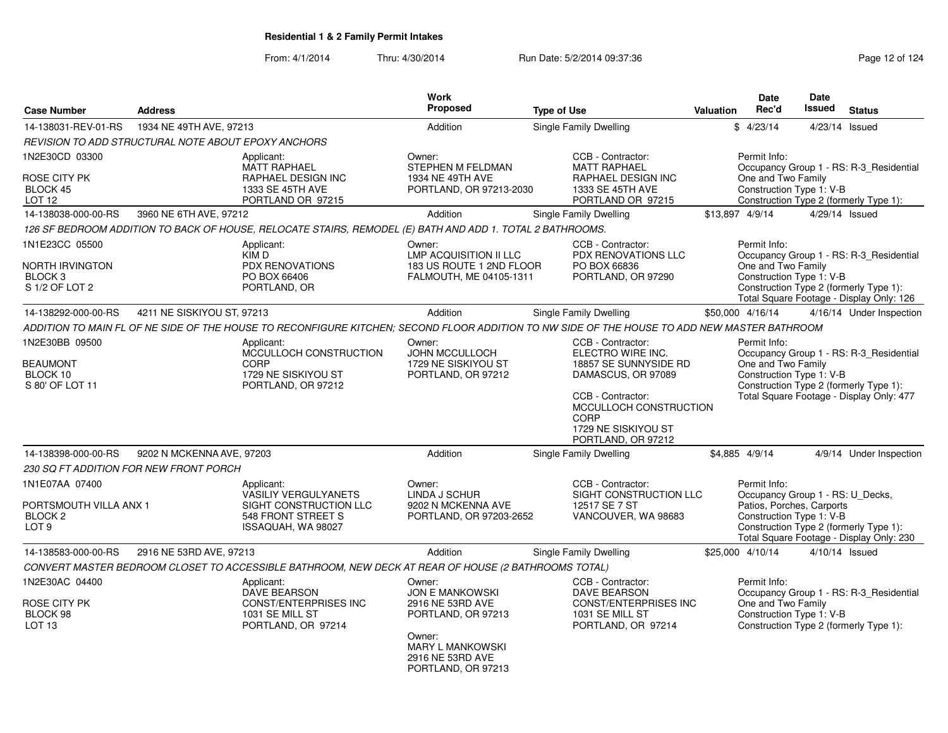From: 4/1/2014Thru: 4/30/2014 **Run Date: 5/2/2014 09:37:36** Page 12 of 124

| <b>Case Number</b>                                                                 | <b>Address</b>             |                                                                                                                                              | Work<br>Proposed                                                                                                                                          | <b>Type of Use</b>                                                                                                            | <b>Valuation</b> | <b>Date</b><br>Rec'd                                                                                      | Date<br><b>Issued</b> | <b>Status</b>                                                                                                                 |
|------------------------------------------------------------------------------------|----------------------------|----------------------------------------------------------------------------------------------------------------------------------------------|-----------------------------------------------------------------------------------------------------------------------------------------------------------|-------------------------------------------------------------------------------------------------------------------------------|------------------|-----------------------------------------------------------------------------------------------------------|-----------------------|-------------------------------------------------------------------------------------------------------------------------------|
| 14-138031-REV-01-RS                                                                | 1934 NE 49TH AVE, 97213    |                                                                                                                                              | Addition                                                                                                                                                  | Single Family Dwelling                                                                                                        |                  | \$4/23/14                                                                                                 | 4/23/14               | Issued                                                                                                                        |
| REVISION TO ADD STRUCTURAL NOTE ABOUT EPOXY ANCHORS                                |                            |                                                                                                                                              |                                                                                                                                                           |                                                                                                                               |                  |                                                                                                           |                       |                                                                                                                               |
| 1N2E30CD 03300                                                                     |                            | Applicant:                                                                                                                                   | Owner:                                                                                                                                                    | CCB - Contractor:                                                                                                             |                  | Permit Info:                                                                                              |                       |                                                                                                                               |
| ROSE CITY PK<br><b>BLOCK 45</b><br>LOT 12                                          |                            | <b>MATT RAPHAEL</b><br>RAPHAEL DESIGN INC<br>1333 SE 45TH AVE<br>PORTLAND OR 97215                                                           | STEPHEN M FELDMAN<br>1934 NE 49TH AVE<br>PORTLAND, OR 97213-2030                                                                                          | <b>MATT RAPHAEL</b><br>RAPHAEL DESIGN INC<br>1333 SE 45TH AVE<br>PORTLAND OR 97215                                            |                  | One and Two Family<br>Construction Type 1: V-B                                                            |                       | Occupancy Group 1 - RS: R-3_Residential<br>Construction Type 2 (formerly Type 1):                                             |
| 14-138038-000-00-RS                                                                | 3960 NE 6TH AVE, 97212     |                                                                                                                                              | Addition                                                                                                                                                  | Single Family Dwelling                                                                                                        |                  | \$13,897 4/9/14                                                                                           |                       | 4/29/14 Issued                                                                                                                |
|                                                                                    |                            | 126 SF BEDROOM ADDITION TO BACK OF HOUSE, RELOCATE STAIRS, REMODEL (E) BATH AND ADD 1. TOTAL 2 BATHROOMS.                                    |                                                                                                                                                           |                                                                                                                               |                  |                                                                                                           |                       |                                                                                                                               |
| 1N1E23CC 05500<br><b>NORTH IRVINGTON</b><br>BLOCK <sub>3</sub><br>S 1/2 OF LOT 2   |                            | Applicant:<br>KIM D<br><b>PDX RENOVATIONS</b><br>PO BOX 66406<br>PORTLAND, OR                                                                | Owner:<br><b>LMP ACQUISITION II LLC</b><br>183 US ROUTE 1 2ND FLOOR<br>FALMOUTH, ME 04105-1311                                                            | CCB - Contractor:<br>PDX RENOVATIONS LLC<br>PO BOX 66836<br>PORTLAND, OR 97290                                                |                  | Permit Info:<br>One and Two Family<br>Construction Type 1: V-B                                            |                       | Occupancy Group 1 - RS: R-3_Residential<br>Construction Type 2 (formerly Type 1):<br>Total Square Footage - Display Only: 126 |
| 14-138292-000-00-RS                                                                | 4211 NE SISKIYOU ST, 97213 |                                                                                                                                              | Addition                                                                                                                                                  | Single Family Dwelling                                                                                                        |                  | \$50,000 4/16/14                                                                                          |                       | 4/16/14 Under Inspection                                                                                                      |
|                                                                                    |                            | ADDITION TO MAIN FL OF NE SIDE OF THE HOUSE TO RECONFIGURE KITCHEN; SECOND FLOOR ADDITION TO NW SIDE OF THE HOUSE TO ADD NEW MASTER BATHROOM |                                                                                                                                                           |                                                                                                                               |                  |                                                                                                           |                       |                                                                                                                               |
| 1N2E30BB 09500<br><b>BEAUMONT</b>                                                  |                            | Applicant:<br>MCCULLOCH CONSTRUCTION<br>CORP                                                                                                 | Owner:<br><b>JOHN MCCULLOCH</b><br>1729 NE SISKIYOU ST                                                                                                    | CCB - Contractor:<br>ELECTRO WIRE INC.<br>18857 SE SUNNYSIDE RD                                                               |                  | Permit Info:<br>One and Two Family                                                                        |                       | Occupancy Group 1 - RS: R-3_Residential                                                                                       |
| BLOCK 10<br>S 80' OF LOT 11                                                        |                            | 1729 NE SISKIYOU ST<br>PORTLAND, OR 97212                                                                                                    | PORTLAND, OR 97212                                                                                                                                        | DAMASCUS, OR 97089<br>CCB - Contractor:<br>MCCULLOCH CONSTRUCTION<br><b>CORP</b><br>1729 NE SISKIYOU ST<br>PORTLAND, OR 97212 |                  | Construction Type 1: V-B                                                                                  |                       | Construction Type 2 (formerly Type 1):<br>Total Square Footage - Display Only: 477                                            |
| 14-138398-000-00-RS                                                                | 9202 N MCKENNA AVE, 97203  |                                                                                                                                              | Addition                                                                                                                                                  | Single Family Dwelling                                                                                                        |                  | \$4,885 4/9/14                                                                                            |                       | 4/9/14 Under Inspection                                                                                                       |
| 230 SQ FT ADDITION FOR NEW FRONT PORCH                                             |                            |                                                                                                                                              |                                                                                                                                                           |                                                                                                                               |                  |                                                                                                           |                       |                                                                                                                               |
| 1N1E07AA 07400<br>PORTSMOUTH VILLA ANX 1<br>BLOCK <sub>2</sub><br>LOT <sub>9</sub> |                            | Applicant:<br>VASILIY VERGULYANETS<br>SIGHT CONSTRUCTION LLC<br>548 FRONT STREET S<br>ISSAQUAH, WA 98027                                     | Owner:<br>LINDA J SCHUR<br>9202 N MCKENNA AVE<br>PORTLAND, OR 97203-2652                                                                                  | CCB - Contractor:<br>SIGHT CONSTRUCTION LLC<br>12517 SE 7 ST<br>VANCOUVER, WA 98683                                           |                  | Permit Info:<br>Occupancy Group 1 - RS: U_Decks,<br>Patios, Porches, Carports<br>Construction Type 1: V-B |                       | Construction Type 2 (formerly Type 1):<br>Total Square Footage - Display Only: 230                                            |
| 14-138583-000-00-RS                                                                | 2916 NE 53RD AVE, 97213    |                                                                                                                                              | Addition                                                                                                                                                  | Single Family Dwelling                                                                                                        |                  | \$25,000 4/10/14                                                                                          |                       | 4/10/14 Issued                                                                                                                |
|                                                                                    |                            | CONVERT MASTER BEDROOM CLOSET TO ACCESSIBLE BATHROOM, NEW DECK AT REAR OF HOUSE (2 BATHROOMS TOTAL)                                          |                                                                                                                                                           |                                                                                                                               |                  |                                                                                                           |                       |                                                                                                                               |
| 1N2E30AC 04400<br>ROSE CITY PK<br>BLOCK 98<br>LOT 13                               |                            | Applicant:<br><b>DAVE BEARSON</b><br><b>CONST/ENTERPRISES INC</b><br>1031 SE MILL ST<br>PORTLAND, OR 97214                                   | Owner:<br><b>JON E MANKOWSKI</b><br>2916 NE 53RD AVE<br>PORTLAND, OR 97213<br>Owner:<br><b>MARY L MANKOWSKI</b><br>2916 NE 53RD AVE<br>PORTLAND, OR 97213 | CCB - Contractor:<br>DAVE BEARSON<br><b>CONST/ENTERPRISES INC</b><br>1031 SE MILL ST<br>PORTLAND, OR 97214                    |                  | Permit Info:<br>One and Two Family<br>Construction Type 1: V-B                                            |                       | Occupancy Group 1 - RS: R-3 Residential<br>Construction Type 2 (formerly Type 1):                                             |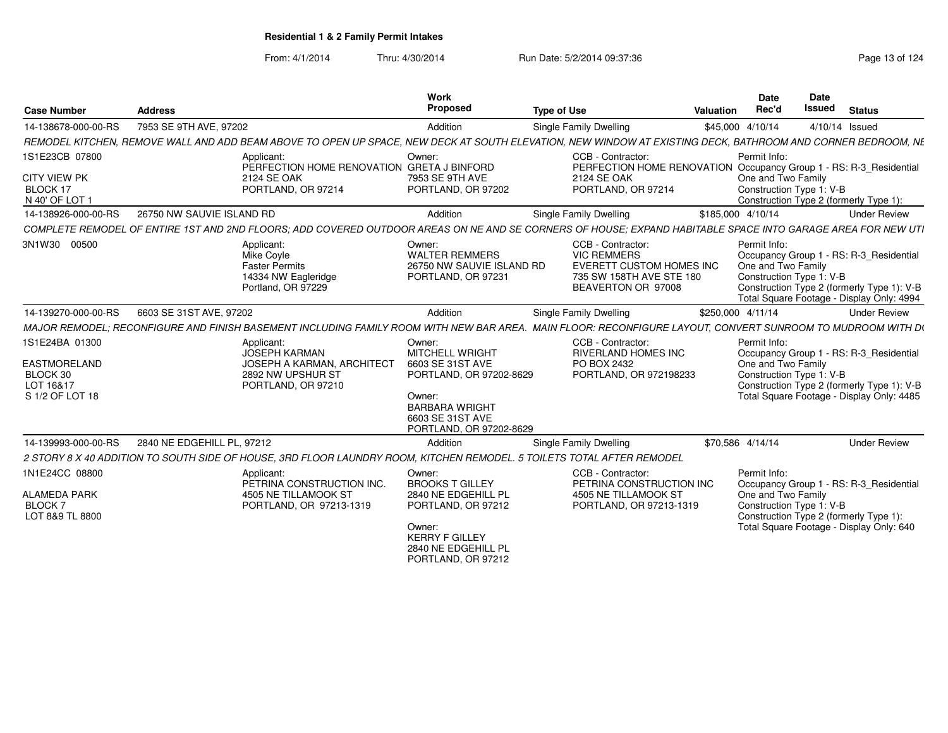| <b>Case Number</b>                                                         | <b>Address</b>                                                                                                                                              | Work<br>Proposed                                                                                                                                                  | <b>Type of Use</b>                                                                                                    | Date<br><b>Rec'd</b><br>Valuation  | <b>Date</b><br><b>Issued</b><br><b>Status</b>                                                                                                                  |
|----------------------------------------------------------------------------|-------------------------------------------------------------------------------------------------------------------------------------------------------------|-------------------------------------------------------------------------------------------------------------------------------------------------------------------|-----------------------------------------------------------------------------------------------------------------------|------------------------------------|----------------------------------------------------------------------------------------------------------------------------------------------------------------|
| 14-138678-000-00-RS                                                        | 7953 SE 9TH AVE, 97202                                                                                                                                      | Addition                                                                                                                                                          | <b>Single Family Dwelling</b>                                                                                         | \$45,000 4/10/14                   | 4/10/14 Issued                                                                                                                                                 |
|                                                                            | REMODEL KITCHEN, REMOVE WALL AND ADD BEAM ABOVE TO OPEN UP SPACE, NEW DECK AT SOUTH ELEVATION, NEW WINDOW AT EXISTING DECK, BATHROOM AND CORNER BEDROOM, NE |                                                                                                                                                                   |                                                                                                                       |                                    |                                                                                                                                                                |
| 1S1E23CB 07800<br><b>CITY VIEW PK</b><br>BLOCK 17                          | Applicant:<br>PERFECTION HOME RENOVATION GRETA J BINFORD<br>2124 SE OAK<br>PORTLAND, OR 97214                                                               | Owner:<br>7953 SE 9TH AVE<br>PORTLAND, OR 97202                                                                                                                   | CCB - Contractor:<br>2124 SE OAK<br>PORTLAND, OR 97214                                                                | Permit Info<br>One and Two Family  | PERFECTION HOME RENOVATION Occupancy Group 1 - RS: R-3_Residential<br>Construction Type 1: V-B                                                                 |
| N 40' OF LOT<br>14-138926-000-00-RS                                        | 26750 NW SAUVIE ISLAND RD                                                                                                                                   | Addition                                                                                                                                                          |                                                                                                                       | \$185,000 4/10/14                  | Construction Type 2 (formerly Type 1):<br><b>Under Review</b>                                                                                                  |
|                                                                            | COMPLETE REMODEL OF ENTIRE 1ST AND 2ND FLOORS: ADD COVERED OUTDOOR AREAS ON NE AND SE CORNERS OF HOUSE: EXPAND HABITABLE SPACE INTO GARAGE AREA FOR NEW UTI |                                                                                                                                                                   | <b>Single Family Dwelling</b>                                                                                         |                                    |                                                                                                                                                                |
| 3N1W30 00500                                                               |                                                                                                                                                             |                                                                                                                                                                   |                                                                                                                       | Permit Info                        |                                                                                                                                                                |
|                                                                            | Applicant:<br>Mike Coyle<br><b>Faster Permits</b><br>14334 NW Eagleridge<br>Portland, OR 97229                                                              | Owner:<br><b>WALTER REMMERS</b><br>26750 NW SAUVIE ISLAND RD<br>PORTLAND, OR 97231                                                                                | CCB - Contractor:<br><b>VIC REMMERS</b><br>EVERETT CUSTOM HOMES INC<br>735 SW 158TH AVE STE 180<br>BEAVERTON OR 97008 | One and Two Family                 | Occupancy Group 1 - RS: R-3_Residential<br>Construction Type 1: V-B<br>Construction Type 2 (formerly Type 1): V-B<br>Total Square Footage - Display Only: 4994 |
| 14-139270-000-00-RS                                                        | 6603 SE 31ST AVE, 97202                                                                                                                                     | Addition                                                                                                                                                          | <b>Single Family Dwelling</b>                                                                                         | \$250,000 4/11/14                  | <b>Under Review</b>                                                                                                                                            |
|                                                                            | MAJOR REMODEL; RECONFIGURE AND FINISH BASEMENT INCLUDING FAMILY ROOM WITH NEW BAR AREA. MAIN FLOOR: RECONFIGURE LAYOUT, CONVERT SUNROOM TO MUDROOM WITH D(  |                                                                                                                                                                   |                                                                                                                       |                                    |                                                                                                                                                                |
| 1S1E24BA 01300<br>EASTMORELAND<br>BLOCK 30<br>LOT 16&17<br>S 1/2 OF LOT 18 | Applicant:<br>JOSEPH KARMAN<br><b>JOSEPH A KARMAN, ARCHITECT</b><br>2892 NW UPSHUR ST<br>PORTLAND, OR 97210                                                 | Owner:<br><b>MITCHELL WRIGHT</b><br>6603 SE 31ST AVE<br>PORTLAND, OR 97202-8629<br>Owner:<br><b>BARBARA WRIGHT</b><br>6603 SE 31ST AVE<br>PORTLAND, OR 97202-8629 | CCB - Contractor:<br><b>RIVERLAND HOMES INC</b><br>PO BOX 2432<br>PORTLAND, OR 972198233                              | Permit Info:<br>One and Two Family | Occupancy Group 1 - RS: R-3_Residential<br>Construction Type 1: V-B<br>Construction Type 2 (formerly Type 1): V-B<br>Total Square Footage - Display Only: 4485 |
| 14-139993-000-00-RS                                                        | 2840 NE EDGEHILL PL. 97212                                                                                                                                  | Addition                                                                                                                                                          | Single Family Dwelling                                                                                                | \$70,586 4/14/14                   | <b>Under Review</b>                                                                                                                                            |
|                                                                            | 2 STORY 8 X 40 ADDITION TO SOUTH SIDE OF HOUSE. 3RD FLOOR LAUNDRY ROOM. KITCHEN REMODEL. 5 TOILETS TOTAL AFTER REMODEL                                      |                                                                                                                                                                   |                                                                                                                       |                                    |                                                                                                                                                                |
| 1N1E24CC 08800<br><b>ALAMEDA PARK</b><br><b>BLOCK7</b><br>LOT 8&9 TL 8800  | Applicant:<br>PETRINA CONSTRUCTION INC.<br>4505 NE TILLAMOOK ST<br>PORTLAND, OR 97213-1319                                                                  | Owner:<br><b>BROOKS T GILLEY</b><br>2840 NE EDGEHILL PL<br>PORTLAND, OR 97212<br>Owner:<br><b>KERRY F GILLEY</b><br>2840 NE EDGEHILL PL<br>PORTLAND, OR 97212     | CCB - Contractor:<br>PETRINA CONSTRUCTION INC<br>4505 NE TILLAMOOK ST<br>PORTLAND, OR 97213-1319                      | Permit Info:<br>One and Two Family | Occupancy Group 1 - RS: R-3_Residential<br>Construction Type 1: V-B<br>Construction Type 2 (formerly Type 1):<br>Total Square Footage - Display Only: 640      |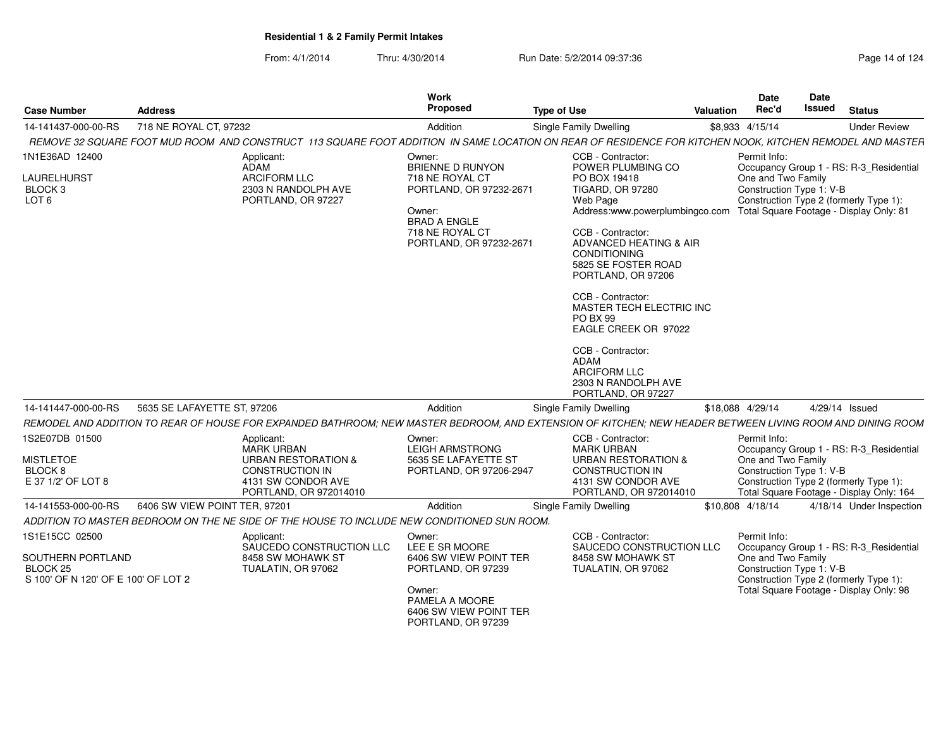| <b>Case Number</b>                                                                                | <b>Address</b>                |                                                                                                                                                           | Work<br>Proposed                                                                                                                                               | <b>Type of Use</b>                                                                                                                                                                                                                                                                                                                                                                                                                                                                       | Valuation | <b>Date</b><br>Rec'd                                           | Date<br>Issued | <b>Status</b>                                                                                                                 |
|---------------------------------------------------------------------------------------------------|-------------------------------|-----------------------------------------------------------------------------------------------------------------------------------------------------------|----------------------------------------------------------------------------------------------------------------------------------------------------------------|------------------------------------------------------------------------------------------------------------------------------------------------------------------------------------------------------------------------------------------------------------------------------------------------------------------------------------------------------------------------------------------------------------------------------------------------------------------------------------------|-----------|----------------------------------------------------------------|----------------|-------------------------------------------------------------------------------------------------------------------------------|
| 14-141437-000-00-RS                                                                               | 718 NE ROYAL CT, 97232        |                                                                                                                                                           | Addition                                                                                                                                                       | Single Family Dwelling                                                                                                                                                                                                                                                                                                                                                                                                                                                                   |           | \$8,933 4/15/14                                                |                | <b>Under Review</b>                                                                                                           |
|                                                                                                   |                               | REMOVE 32 SQUARE FOOT MUD ROOM AND CONSTRUCT 113 SQUARE FOOT ADDITION IN SAME LOCATION ON REAR OF RESIDENCE FOR KITCHEN NOOK, KITCHEN REMODEL AND MASTER  |                                                                                                                                                                |                                                                                                                                                                                                                                                                                                                                                                                                                                                                                          |           |                                                                |                |                                                                                                                               |
| 1N1E36AD 12400<br>LAURELHURST<br>BLOCK <sub>3</sub><br>LOT <sub>6</sub>                           |                               | Applicant:<br>ADAM<br>ARCIFORM LLC<br>2303 N RANDOLPH AVE<br>PORTLAND, OR 97227                                                                           | Owner:<br><b>BRIENNE D RUNYON</b><br>718 NE ROYAL CT<br>PORTLAND, OR 97232-2671<br>Owner:<br><b>BRAD A ENGLE</b><br>718 NE ROYAL CT<br>PORTLAND, OR 97232-2671 | CCB - Contractor:<br>POWER PLUMBING CO<br>PO BOX 19418<br><b>TIGARD, OR 97280</b><br>Web Page<br>Address:www.powerplumbingco.com Total Square Footage - Display Only: 81<br>CCB - Contractor:<br>ADVANCED HEATING & AIR<br><b>CONDITIONING</b><br>5825 SE FOSTER ROAD<br>PORTLAND, OR 97206<br>CCB - Contractor:<br>MASTER TECH ELECTRIC INC<br><b>PO BX 99</b><br>EAGLE CREEK OR 97022<br>CCB - Contractor:<br>ADAM<br><b>ARCIFORM LLC</b><br>2303 N RANDOLPH AVE<br>PORTLAND, OR 97227 |           | Permit Info:<br>One and Two Family<br>Construction Type 1: V-B |                | Occupancy Group 1 - RS: R-3_Residential<br>Construction Type 2 (formerly Type 1):                                             |
| 14-141447-000-00-RS                                                                               | 5635 SE LAFAYETTE ST, 97206   |                                                                                                                                                           | Addition                                                                                                                                                       | Single Family Dwelling                                                                                                                                                                                                                                                                                                                                                                                                                                                                   |           | \$18,088 4/29/14                                               |                | 4/29/14 Issued                                                                                                                |
|                                                                                                   |                               | REMODEL AND ADDITION TO REAR OF HOUSE FOR EXPANDED BATHROOM; NEW MASTER BEDROOM, AND EXTENSION OF KITCHEN; NEW HEADER BETWEEN LIVING ROOM AND DINING ROOM |                                                                                                                                                                |                                                                                                                                                                                                                                                                                                                                                                                                                                                                                          |           |                                                                |                |                                                                                                                               |
| 1S2E07DB 01500<br><b>MISTLETOE</b><br>BLOCK <sub>8</sub><br>E 37 1/2' OF LOT 8                    |                               | Applicant:<br><b>MARK URBAN</b><br><b>URBAN RESTORATION &amp;</b><br><b>CONSTRUCTION IN</b><br>4131 SW CONDOR AVE<br>PORTLAND, OR 972014010               | Owner:<br><b>LEIGH ARMSTRONG</b><br>5635 SE LAFAYETTE ST<br>PORTLAND, OR 97206-2947                                                                            | CCB - Contractor:<br><b>MARK URBAN</b><br><b>URBAN RESTORATION &amp;</b><br><b>CONSTRUCTION IN</b><br>4131 SW CONDOR AVE<br>PORTLAND, OR 972014010                                                                                                                                                                                                                                                                                                                                       |           | Permit Info:<br>One and Two Family<br>Construction Type 1: V-B |                | Occupancy Group 1 - RS: R-3_Residential<br>Construction Type 2 (formerly Type 1):<br>Total Square Footage - Display Only: 164 |
| 14-141553-000-00-RS                                                                               | 6406 SW VIEW POINT TER, 97201 |                                                                                                                                                           | Addition                                                                                                                                                       | Single Family Dwelling                                                                                                                                                                                                                                                                                                                                                                                                                                                                   |           | \$10,808 4/18/14                                               |                | 4/18/14 Under Inspection                                                                                                      |
|                                                                                                   |                               | ADDITION TO MASTER BEDROOM ON THE NE SIDE OF THE HOUSE TO INCLUDE NEW CONDITIONED SUN ROOM.                                                               |                                                                                                                                                                |                                                                                                                                                                                                                                                                                                                                                                                                                                                                                          |           |                                                                |                |                                                                                                                               |
| 1S1E15CC 02500<br>SOUTHERN PORTLAND<br>BLOCK <sub>25</sub><br>S 100' OF N 120' OF E 100' OF LOT 2 |                               | Applicant:<br>SAUCEDO CONSTRUCTION LLC<br>8458 SW MOHAWK ST<br>TUALATIN, OR 97062                                                                         | Owner:<br>LEE E SR MOORE<br>6406 SW VIEW POINT TER<br>PORTLAND, OR 97239<br>Owner:<br>PAMELA A MOORE<br>6406 SW VIEW POINT TER<br>PORTLAND, OR 97239           | CCB - Contractor:<br>SAUCEDO CONSTRUCTION LLC<br>8458 SW MOHAWK ST<br>TUALATIN, OR 97062                                                                                                                                                                                                                                                                                                                                                                                                 |           | Permit Info:<br>One and Two Family<br>Construction Type 1: V-B |                | Occupancy Group 1 - RS: R-3_Residential<br>Construction Type 2 (formerly Type 1):<br>Total Square Footage - Display Only: 98  |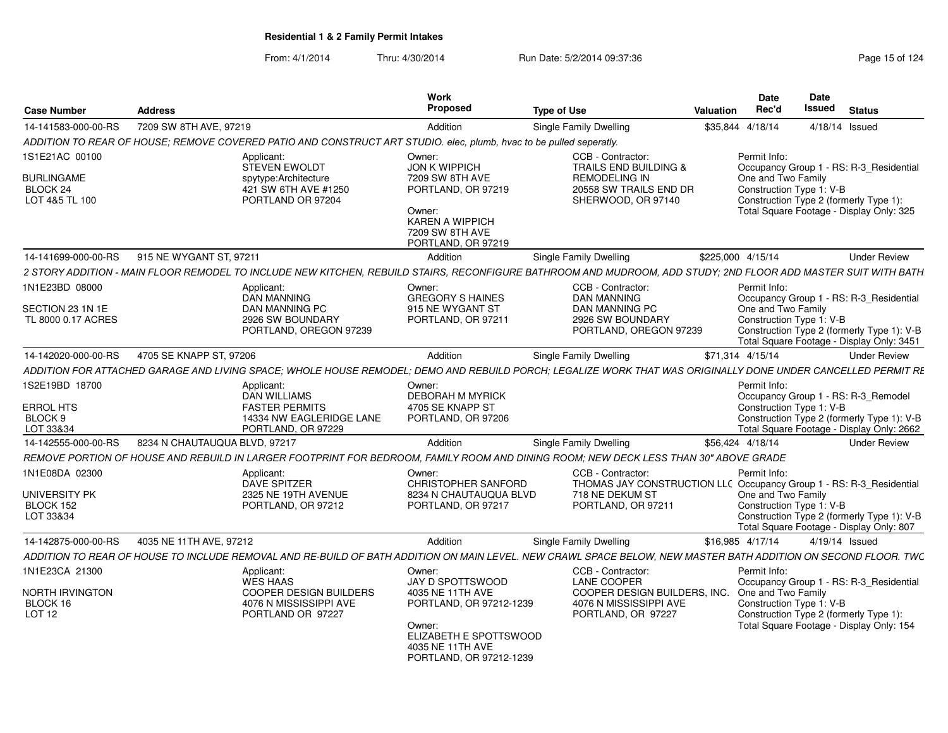| Case Number                                     | <b>Address</b>                                                                                                                                                 | Work<br>Proposed                                                                                                                           | <b>Type of Use</b>                                                                            | Date<br>Rec'd<br>Valuation                                                               | <b>Date</b><br>Issued | <b>Status</b>                                                                           |
|-------------------------------------------------|----------------------------------------------------------------------------------------------------------------------------------------------------------------|--------------------------------------------------------------------------------------------------------------------------------------------|-----------------------------------------------------------------------------------------------|------------------------------------------------------------------------------------------|-----------------------|-----------------------------------------------------------------------------------------|
| 14-141583-000-00-RS                             | 7209 SW 8TH AVE, 97219                                                                                                                                         | Addition                                                                                                                                   | Single Family Dwelling                                                                        | \$35,844 4/18/14                                                                         | 4/18/14 Issued        |                                                                                         |
|                                                 | ADDITION TO REAR OF HOUSE; REMOVE COVERED PATIO AND CONSTRUCT ART STUDIO. elec, plumb, hvac to be pulled seperatly.                                            |                                                                                                                                            |                                                                                               |                                                                                          |                       |                                                                                         |
| 1S1E21AC 00100                                  | Applicant:                                                                                                                                                     | Owner:                                                                                                                                     | CCB - Contractor:                                                                             | Permit Info:                                                                             |                       |                                                                                         |
| <b>BURLINGAME</b><br>BLOCK 24<br>LOT 4&5 TL 100 | <b>STEVEN EWOLDT</b><br>spytype:Architecture<br>421 SW 6TH AVE #1250<br>PORTLAND OR 97204                                                                      | <b>JON K WIPPICH</b><br>7209 SW 8TH AVE<br>PORTLAND, OR 97219<br>Owner:<br><b>KAREN A WIPPICH</b><br>7209 SW 8TH AVE<br>PORTLAND, OR 97219 | TRAILS END BUILDING &<br><b>REMODELING IN</b><br>20558 SW TRAILS END DR<br>SHERWOOD, OR 97140 | One and Two Family<br>Construction Type 1: V-B<br>Construction Type 2 (formerly Type 1): |                       | Occupancy Group 1 - RS: R-3 Residential<br>Total Square Footage - Display Only: 325     |
| 14-141699-000-00-RS                             | 915 NE WYGANT ST. 97211                                                                                                                                        | Addition                                                                                                                                   | <b>Single Family Dwelling</b>                                                                 | \$225,000 4/15/14                                                                        |                       | <b>Under Review</b>                                                                     |
|                                                 | 2 STORY ADDITION - MAIN FLOOR REMODEL TO INCLUDE NEW KITCHEN. REBUILD STAIRS. RECONFIGURE BATHROOM AND MUDROOM. ADD STUDY: 2ND FLOOR ADD MASTER SUIT WITH BATH |                                                                                                                                            |                                                                                               |                                                                                          |                       |                                                                                         |
| 1N1E23BD 08000                                  | Applicant:                                                                                                                                                     | Owner:                                                                                                                                     | CCB - Contractor:                                                                             | Permit Info:                                                                             |                       |                                                                                         |
|                                                 | <b>DAN MANNING</b>                                                                                                                                             | <b>GREGORY S HAINES</b>                                                                                                                    | <b>DAN MANNING</b>                                                                            |                                                                                          |                       | Occupancy Group 1 - RS: R-3_Residential                                                 |
| SECTION 23 1N 1E                                | DAN MANNING PC                                                                                                                                                 | 915 NE WYGANT ST                                                                                                                           | DAN MANNING PC                                                                                | One and Two Family                                                                       |                       |                                                                                         |
| TL 8000 0.17 ACRES                              | 2926 SW BOUNDARY<br>PORTLAND, OREGON 97239                                                                                                                     | PORTLAND, OR 97211                                                                                                                         | 2926 SW BOUNDARY<br>PORTLAND, OREGON 97239                                                    | Construction Type 1: V-B                                                                 |                       | Construction Type 2 (formerly Type 1): V-B<br>Total Square Footage - Display Only: 3451 |
| 14-142020-000-00-RS                             | 4705 SE KNAPP ST, 97206                                                                                                                                        | Addition                                                                                                                                   | Single Family Dwelling                                                                        | \$71,314 4/15/14                                                                         |                       | <b>Under Review</b>                                                                     |
|                                                 | ADDITION FOR ATTACHED GARAGE AND LIVING SPACE; WHOLE HOUSE REMODEL; DEMO AND REBUILD PORCH; LEGALIZE WORK THAT WAS ORIGINALLY DONE UNDER CANCELLED PERMIT RE   |                                                                                                                                            |                                                                                               |                                                                                          |                       |                                                                                         |
| 1S2E19BD 18700                                  | Applicant:                                                                                                                                                     | Owner:                                                                                                                                     |                                                                                               | Permit Info:                                                                             |                       |                                                                                         |
|                                                 | <b>DAN WILLIAMS</b>                                                                                                                                            | <b>DEBORAH M MYRICK</b>                                                                                                                    |                                                                                               |                                                                                          |                       | Occupancy Group 1 - RS: R-3_Remodel                                                     |
| <b>ERROL HTS</b>                                | <b>FASTER PERMITS</b>                                                                                                                                          | 4705 SE KNAPP ST                                                                                                                           |                                                                                               | Construction Type 1: V-B                                                                 |                       |                                                                                         |
| BLOCK 9                                         | 14334 NW EAGLERIDGE LANE                                                                                                                                       | PORTLAND, OR 97206                                                                                                                         |                                                                                               |                                                                                          |                       | Construction Type 2 (formerly Type 1): V-B                                              |
| LOT 33&34                                       | PORTLAND, OR 97229                                                                                                                                             |                                                                                                                                            |                                                                                               |                                                                                          |                       | Total Square Footage - Display Only: 2662                                               |
| 14-142555-000-00-RS                             | 8234 N CHAUTAUQUA BLVD, 97217                                                                                                                                  | Addition                                                                                                                                   | Single Family Dwelling                                                                        | \$56,424 4/18/14                                                                         |                       | <b>Under Review</b>                                                                     |
|                                                 | REMOVE PORTION OF HOUSE AND REBUILD IN LARGER FOOTPRINT FOR BEDROOM, FAMILY ROOM AND DINING ROOM; NEW DECK LESS THAN 30" ABOVE GRADE                           |                                                                                                                                            |                                                                                               |                                                                                          |                       |                                                                                         |
| 1N1E08DA 02300                                  | Applicant:                                                                                                                                                     | Owner:                                                                                                                                     | CCB - Contractor:                                                                             | Permit Info:                                                                             |                       |                                                                                         |
|                                                 | <b>DAVE SPITZER</b><br>2325 NE 19TH AVENUE                                                                                                                     | <b>CHRISTOPHER SANFORD</b><br>8234 N CHAUTAUQUA BLVD                                                                                       | THOMAS JAY CONSTRUCTION LL( Occupancy Group 1 - RS: R-3_Residential<br>718 NE DEKUM ST        | One and Two Family                                                                       |                       |                                                                                         |
| UNIVERSITY PK<br>BLOCK 152                      | PORTLAND, OR 97212                                                                                                                                             | PORTLAND, OR 97217                                                                                                                         | PORTLAND, OR 97211                                                                            | Construction Type 1: V-B                                                                 |                       |                                                                                         |
| LOT 33&34                                       |                                                                                                                                                                |                                                                                                                                            |                                                                                               |                                                                                          |                       | Construction Type 2 (formerly Type 1): V-B                                              |
|                                                 |                                                                                                                                                                |                                                                                                                                            |                                                                                               |                                                                                          |                       | Total Square Footage - Display Only: 807                                                |
| 14-142875-000-00-RS                             | 4035 NE 11TH AVE, 97212                                                                                                                                        | Addition                                                                                                                                   | Single Family Dwelling                                                                        | \$16,985 4/17/14                                                                         | 4/19/14 Issued        |                                                                                         |
|                                                 | ADDITION TO REAR OF HOUSE TO INCLUDE REMOVAL AND RE-BUILD OF BATH ADDITION ON MAIN LEVEL. NEW CRAWL SPACE BELOW, NEW MASTER BATH ADDITION ON SECOND FLOOR. TWC |                                                                                                                                            |                                                                                               |                                                                                          |                       |                                                                                         |
| 1N1E23CA 21300                                  | Applicant:                                                                                                                                                     | Owner:                                                                                                                                     | CCB - Contractor:                                                                             | Permit Info:                                                                             |                       |                                                                                         |
|                                                 | WES HAAS                                                                                                                                                       | JAY D SPOTTSWOOD                                                                                                                           | LANE COOPER                                                                                   |                                                                                          |                       | Occupancy Group 1 - RS: R-3_Residential                                                 |
| NORTH IRVINGTON                                 | <b>COOPER DESIGN BUILDERS</b>                                                                                                                                  | 4035 NE 11TH AVE                                                                                                                           | COOPER DESIGN BUILDERS, INC. One and Two Family                                               |                                                                                          |                       |                                                                                         |
| BLOCK 16                                        | 4076 N MISSISSIPPI AVE                                                                                                                                         | PORTLAND, OR 97212-1239                                                                                                                    | 4076 N MISSISSIPPI AVE                                                                        | Construction Type 1: V-B                                                                 |                       |                                                                                         |
| LOT 12                                          | PORTLAND OR 97227                                                                                                                                              |                                                                                                                                            | PORTLAND, OR 97227                                                                            | Construction Type 2 (formerly Type 1):                                                   |                       |                                                                                         |
|                                                 |                                                                                                                                                                | Owner:<br>ELIZABETH E SPOTTSWOOD                                                                                                           |                                                                                               |                                                                                          |                       | Total Square Footage - Display Only: 154                                                |
|                                                 |                                                                                                                                                                | 4035 NE 11TH AVE<br>PORTLAND, OR 97212-1239                                                                                                |                                                                                               |                                                                                          |                       |                                                                                         |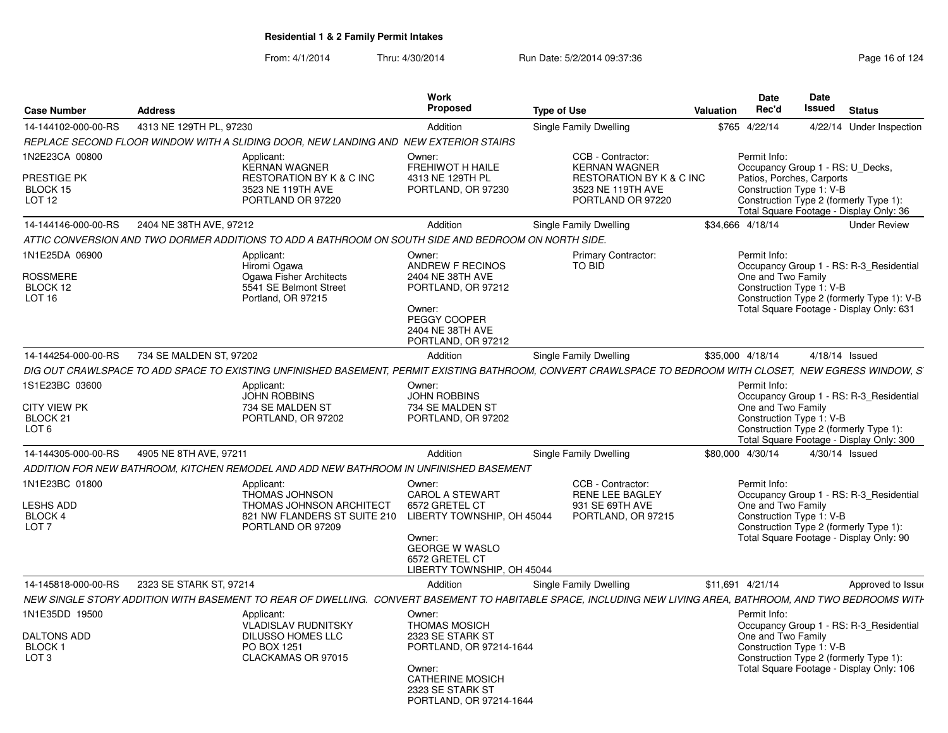| <b>Case Number</b>                                                               | <b>Address</b>                                                                                                                                               | <b>Work</b><br>Proposed                                                                                                                                             | <b>Type of Use</b>                                                                                              | Valuation        | <b>Date</b><br>Rec'd                                                  | <b>Date</b><br><b>Issued</b>                                                                                          | <b>Status</b>                                                                                                                     |
|----------------------------------------------------------------------------------|--------------------------------------------------------------------------------------------------------------------------------------------------------------|---------------------------------------------------------------------------------------------------------------------------------------------------------------------|-----------------------------------------------------------------------------------------------------------------|------------------|-----------------------------------------------------------------------|-----------------------------------------------------------------------------------------------------------------------|-----------------------------------------------------------------------------------------------------------------------------------|
| 14-144102-000-00-RS                                                              | 4313 NE 129TH PL, 97230                                                                                                                                      | Addition                                                                                                                                                            | Single Family Dwelling                                                                                          | \$765            | 4/22/14                                                               |                                                                                                                       | 4/22/14 Under Inspection                                                                                                          |
|                                                                                  | REPLACE SECOND FLOOR WINDOW WITH A SLIDING DOOR, NEW LANDING AND NEW EXTERIOR STAIRS                                                                         |                                                                                                                                                                     |                                                                                                                 |                  |                                                                       |                                                                                                                       |                                                                                                                                   |
| 1N2E23CA 00800<br>PRESTIGE PK<br>BLOCK 15<br>LOT <sub>12</sub>                   | Applicant:<br><b>KERNAN WAGNER</b><br><b>RESTORATION BY K &amp; C INC</b><br>3523 NE 119TH AVE<br>PORTLAND OR 97220                                          | Owner:<br><b>FREHIWOT H HAILE</b><br>4313 NE 129TH PL<br>PORTLAND, OR 97230                                                                                         | CCB - Contractor:<br><b>KERNAN WAGNER</b><br>RESTORATION BY K & C INC<br>3523 NE 119TH AVE<br>PORTLAND OR 97220 |                  | Permit Info:<br>Patios, Porches, Carports<br>Construction Type 1: V-B | Occupancy Group 1 - RS: U Decks,<br>Construction Type 2 (formerly Type 1):<br>Total Square Footage - Display Only: 36 |                                                                                                                                   |
| 14-144146-000-00-RS                                                              | 2404 NE 38TH AVE, 97212                                                                                                                                      | Addition                                                                                                                                                            | Single Family Dwelling                                                                                          | \$34,666 4/18/14 |                                                                       |                                                                                                                       | <b>Under Review</b>                                                                                                               |
|                                                                                  | ATTIC CONVERSION AND TWO DORMER ADDITIONS TO ADD A BATHROOM ON SOUTH SIDE AND BEDROOM ON NORTH SIDE.                                                         |                                                                                                                                                                     |                                                                                                                 |                  |                                                                       |                                                                                                                       |                                                                                                                                   |
| 1N1E25DA 06900<br><b>ROSSMERE</b><br>BLOCK 12<br>LOT <sub>16</sub>               | Applicant:<br>Hiromi Ogawa<br>Ogawa Fisher Architects<br>5541 SE Belmont Street<br>Portland, OR 97215                                                        | Owner:<br>ANDREW F RECINOS<br>2404 NE 38TH AVE<br>PORTLAND, OR 97212<br>Owner:<br>PEGGY COOPER<br>2404 NE 38TH AVE<br>PORTLAND, OR 97212                            | <b>Primary Contractor:</b><br>TO BID                                                                            |                  | Permit Info:<br>One and Two Family                                    | Construction Type 1: V-B                                                                                              | Occupancy Group 1 - RS: R-3 Residential<br>Construction Type 2 (formerly Type 1): V-B<br>Total Square Footage - Display Only: 631 |
| 14-144254-000-00-RS                                                              | 734 SE MALDEN ST, 97202                                                                                                                                      | Addition                                                                                                                                                            | Single Family Dwelling                                                                                          | \$35,000 4/18/14 |                                                                       |                                                                                                                       | 4/18/14 Issued                                                                                                                    |
|                                                                                  | DIG OUT CRAWLSPACE TO ADD SPACE TO EXISTING UNFINISHED BASEMENT, PERMIT EXISTING BATHROOM, CONVERT CRAWLSPACE TO BEDROOM WITH CLOSET, NEW EGRESS WINDOW, S   |                                                                                                                                                                     |                                                                                                                 |                  |                                                                       |                                                                                                                       |                                                                                                                                   |
| 1S1E23BC 03600<br><b>CITY VIEW PK</b><br>BLOCK <sub>21</sub><br>LOT <sub>6</sub> | Applicant:<br><b>JOHN ROBBINS</b><br>734 SE MALDEN ST<br>PORTLAND, OR 97202                                                                                  | Owner:<br><b>JOHN ROBBINS</b><br>734 SE MALDEN ST<br>PORTLAND, OR 97202                                                                                             |                                                                                                                 |                  | Permit Info:<br>One and Two Family                                    | Construction Type 1: V-B                                                                                              | Occupancy Group 1 - RS: R-3_Residential<br>Construction Type 2 (formerly Type 1):<br>Total Square Footage - Display Only: 300     |
| 14-144305-000-00-RS                                                              | 4905 NE 8TH AVE, 97211                                                                                                                                       | Addition                                                                                                                                                            | Single Family Dwelling                                                                                          | \$80,000 4/30/14 |                                                                       |                                                                                                                       | 4/30/14 Issued                                                                                                                    |
|                                                                                  | ADDITION FOR NEW BATHROOM, KITCHEN REMODEL AND ADD NEW BATHROOM IN UNFINISHED BASEMENT                                                                       |                                                                                                                                                                     |                                                                                                                 |                  |                                                                       |                                                                                                                       |                                                                                                                                   |
| 1N1E23BC 01800<br>LESHS ADD<br>BLOCK 4<br>LOT <sub>7</sub>                       | Applicant:<br>THOMAS JOHNSON<br>THOMAS JOHNSON ARCHITECT<br>821 NW FLANDERS ST SUITE 210<br>PORTLAND OR 97209                                                | Owner:<br><b>CAROL A STEWART</b><br>6572 GRETEL CT<br>LIBERTY TOWNSHIP, OH 45044<br>Owner:<br><b>GEORGE W WASLO</b><br>6572 GRETEL CT<br>LIBERTY TOWNSHIP, OH 45044 | CCB - Contractor:<br><b>RENE LEE BAGLEY</b><br>931 SE 69TH AVE<br>PORTLAND, OR 97215                            |                  | Permit Info:<br>One and Two Family                                    | Construction Type 1: V-B                                                                                              | Occupancy Group 1 - RS: R-3_Residential<br>Construction Type 2 (formerly Type 1):<br>Total Square Footage - Display Only: 90      |
| 14-145818-000-00-RS                                                              | 2323 SE STARK ST, 97214                                                                                                                                      | Addition                                                                                                                                                            | Single Family Dwelling                                                                                          | \$11,691 4/21/14 |                                                                       |                                                                                                                       | Approved to Issue                                                                                                                 |
|                                                                                  | NEW SINGLE STORY ADDITION WITH BASEMENT TO REAR OF DWELLING. CONVERT BASEMENT TO HABITABLE SPACE, INCLUDING NEW LIVING AREA, BATHROOM, AND TWO BEDROOMS WITH |                                                                                                                                                                     |                                                                                                                 |                  |                                                                       |                                                                                                                       |                                                                                                                                   |
| 1N1E35DD 19500<br><b>DALTONS ADD</b><br><b>BLOCK1</b><br>LOT 3                   | Applicant:<br><b>VLADISLAV RUDNITSKY</b><br><b>DILUSSO HOMES LLC</b><br>PO BOX 1251<br>CLACKAMAS OR 97015                                                    | Owner:<br><b>THOMAS MOSICH</b><br>2323 SE STARK ST<br>PORTLAND, OR 97214-1644<br>Owner:<br><b>CATHERINE MOSICH</b><br>2323 SE STARK ST<br>PORTLAND, OR 97214-1644   |                                                                                                                 |                  | Permit Info:<br>One and Two Family                                    | Construction Type 1: V-B                                                                                              | Occupancy Group 1 - RS: R-3_Residential<br>Construction Type 2 (formerly Type 1):<br>Total Square Footage - Display Only: 106     |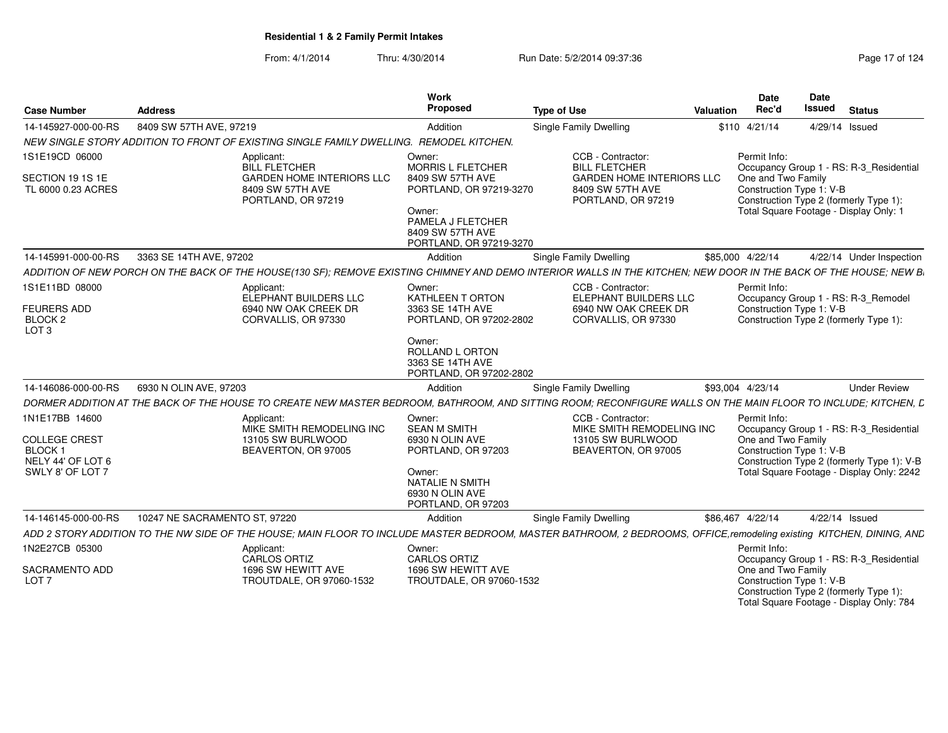| <b>Case Number</b>                                           | <b>Address</b>                                                                                                                                                       | Work<br>Proposed                                                                                                                                                | <b>Type of Use</b>                                                                                                      | <b>Date</b><br>Rec'd<br>Valuation  | Date<br>Issued<br><b>Status</b>                                                                                                                         |  |
|--------------------------------------------------------------|----------------------------------------------------------------------------------------------------------------------------------------------------------------------|-----------------------------------------------------------------------------------------------------------------------------------------------------------------|-------------------------------------------------------------------------------------------------------------------------|------------------------------------|---------------------------------------------------------------------------------------------------------------------------------------------------------|--|
| 14-145927-000-00-RS                                          | 8409 SW 57TH AVE, 97219                                                                                                                                              | Addition                                                                                                                                                        | <b>Single Family Dwelling</b>                                                                                           | \$110 4/21/14                      | 4/29/14 Issued                                                                                                                                          |  |
|                                                              | NEW SINGLE STORY ADDITION TO FRONT OF EXISTING SINGLE FAMILY DWELLING. REMODEL KITCHEN.                                                                              |                                                                                                                                                                 |                                                                                                                         |                                    |                                                                                                                                                         |  |
| 1S1E19CD 06000<br>SECTION 19 1S 1E<br>TL 6000 0.23 ACRES     | Applicant:<br><b>BILL FLETCHER</b><br><b>GARDEN HOME INTERIORS LLC</b><br>8409 SW 57TH AVE<br>PORTLAND, OR 97219                                                     | Owner:<br><b>MORRIS L FLETCHER</b><br>8409 SW 57TH AVE<br>PORTLAND, OR 97219-3270<br>Owner:<br>PAMELA J FLETCHER<br>8409 SW 57TH AVE<br>PORTLAND, OR 97219-3270 | CCB - Contractor:<br><b>BILL FLETCHER</b><br><b>GARDEN HOME INTERIORS LLC</b><br>8409 SW 57TH AVE<br>PORTLAND, OR 97219 | Permit Info:<br>One and Two Family | Occupancy Group 1 - RS: R-3_Residential<br>Construction Type 1: V-B<br>Construction Type 2 (formerly Type 1):<br>Total Square Footage - Display Only: 1 |  |
| 14-145991-000-00-RS                                          | 3363 SE 14TH AVE, 97202                                                                                                                                              | Addition                                                                                                                                                        | <b>Single Family Dwelling</b>                                                                                           | \$85,000 4/22/14                   | 4/22/14 Under Inspection                                                                                                                                |  |
|                                                              | ADDITION OF NEW PORCH ON THE BACK OF THE HOUSE(130 SF); REMOVE EXISTING CHIMNEY AND DEMO INTERIOR WALLS IN THE KITCHEN; NEW DOOR IN THE BACK OF THE HOUSE; NEW B     |                                                                                                                                                                 |                                                                                                                         |                                    |                                                                                                                                                         |  |
| 1S1E11BD 08000                                               | Applicant:<br>ELEPHANT BUILDERS LLC                                                                                                                                  | Owner:<br>KATHLEEN T ORTON                                                                                                                                      | CCB - Contractor:<br><b>ELEPHANT BUILDERS LLC</b>                                                                       | Permit Info:                       | Occupancy Group 1 - RS: R-3_Remodel                                                                                                                     |  |
| <b>FEURERS ADD</b><br>BLOCK <sub>2</sub><br>LOT <sub>3</sub> | 6940 NW OAK CREEK DR<br>CORVALLIS, OR 97330                                                                                                                          | 3363 SE 14TH AVE<br>PORTLAND, OR 97202-2802                                                                                                                     | 6940 NW OAK CREEK DR<br>CORVALLIS, OR 97330                                                                             |                                    | Construction Type 1: V-B<br>Construction Type 2 (formerly Type 1):                                                                                      |  |
|                                                              |                                                                                                                                                                      | Owner:<br>ROLLAND L ORTON<br>3363 SE 14TH AVE<br>PORTLAND, OR 97202-2802                                                                                        |                                                                                                                         |                                    |                                                                                                                                                         |  |
| 14-146086-000-00-RS                                          | 6930 N OLIN AVE, 97203                                                                                                                                               | Addition                                                                                                                                                        | Single Family Dwelling                                                                                                  | \$93,004 4/23/14                   | <b>Under Review</b>                                                                                                                                     |  |
|                                                              | DORMER ADDITION AT THE BACK OF THE HOUSE TO CREATE NEW MASTER BEDROOM, BATHROOM, AND SITTING ROOM; RECONFIGURE WALLS ON THE MAIN FLOOR TO INCLUDE; KITCHEN, L        |                                                                                                                                                                 |                                                                                                                         |                                    |                                                                                                                                                         |  |
| 1N1E17BB 14600                                               | Applicant:<br>MIKE SMITH REMODELING INC                                                                                                                              | Owner:<br><b>SEAN M SMITH</b>                                                                                                                                   | CCB - Contractor:<br>MIKE SMITH REMODELING INC                                                                          | Permit Info:                       | Occupancy Group 1 - RS: R-3_Residential                                                                                                                 |  |
| <b>COLLEGE CREST</b><br>BLOCK 1                              | 13105 SW BURLWOOD<br>BEAVERTON, OR 97005                                                                                                                             | 6930 N OLIN AVE<br>PORTLAND, OR 97203                                                                                                                           | 13105 SW BURLWOOD<br>BEAVERTON, OR 97005                                                                                | One and Two Family                 | Construction Type 1: V-B                                                                                                                                |  |
| NELY 44' OF LOT 6                                            |                                                                                                                                                                      |                                                                                                                                                                 |                                                                                                                         |                                    | Construction Type 2 (formerly Type 1): V-B                                                                                                              |  |
| SWLY 8' OF LOT 7                                             |                                                                                                                                                                      | Owner:<br>NATALIE N SMITH<br>6930 N OLIN AVE<br>PORTLAND, OR 97203                                                                                              |                                                                                                                         |                                    | Total Square Footage - Display Only: 2242                                                                                                               |  |
| 14-146145-000-00-RS                                          | 10247 NE SACRAMENTO ST, 97220                                                                                                                                        | Addition                                                                                                                                                        | Single Family Dwelling                                                                                                  | \$86,467 4/22/14                   | 4/22/14 Issued                                                                                                                                          |  |
|                                                              | ADD 2 STORY ADDITION TO THE NW SIDE OF THE HOUSE; MAIN FLOOR TO INCLUDE MASTER BEDROOM, MASTER BATHROOM, 2 BEDROOMS, OFFICE,remodeling existing KITCHEN, DINING, AND |                                                                                                                                                                 |                                                                                                                         |                                    |                                                                                                                                                         |  |
| 1N2E27CB 05300                                               | Applicant:<br>CARLOS ORTIZ                                                                                                                                           | Owner:<br><b>CARLOS ORTIZ</b>                                                                                                                                   |                                                                                                                         | Permit Info:                       | Occupancy Group 1 - RS: R-3_Residential                                                                                                                 |  |
| SACRAMENTO ADD<br>LOT <sub>7</sub>                           | 1696 SW HEWITT AVE<br>TROUTDALE, OR 97060-1532                                                                                                                       | 1696 SW HEWITT AVE<br>TROUTDALE, OR 97060-1532                                                                                                                  |                                                                                                                         | One and Two Family                 | Construction Type 1: V-B<br>Construction Type 2 (formerly Type 1):<br>Total Square Footage - Display Only: 784                                          |  |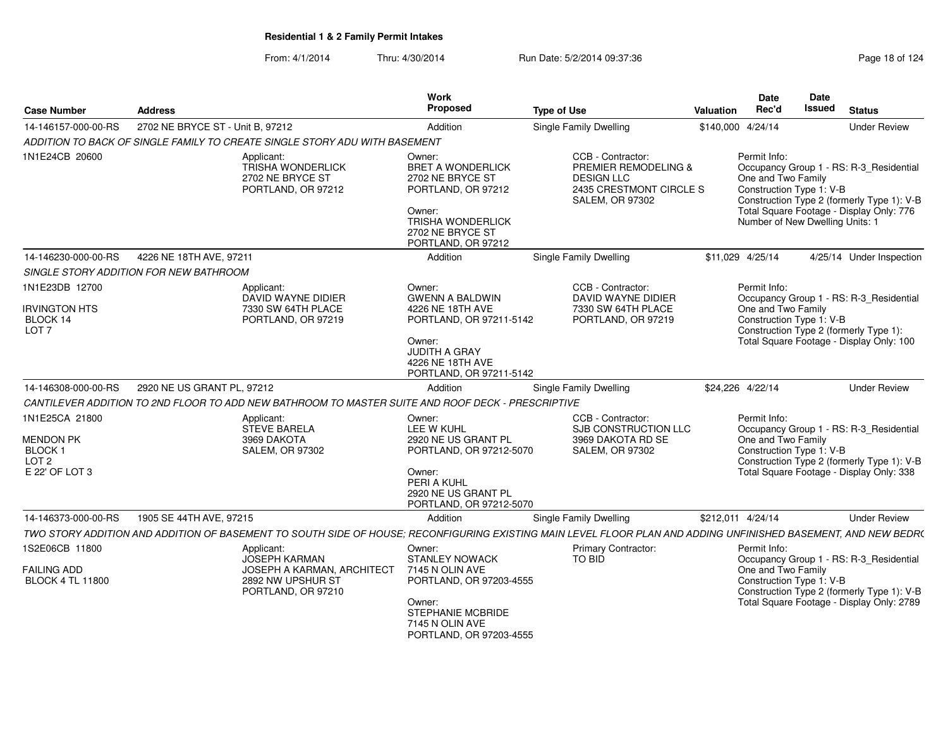| <b>Case Number</b>                                                           | <b>Address</b>                                                                                                                                                 | Work<br>Proposed                                                                                                                                                  | <b>Type of Use</b>                                                                                                  | <b>Valuation</b>  | Date<br>Rec'd                                                                                     | <b>Date</b><br><b>Issued</b> | <b>Status</b>                                                                                                                      |
|------------------------------------------------------------------------------|----------------------------------------------------------------------------------------------------------------------------------------------------------------|-------------------------------------------------------------------------------------------------------------------------------------------------------------------|---------------------------------------------------------------------------------------------------------------------|-------------------|---------------------------------------------------------------------------------------------------|------------------------------|------------------------------------------------------------------------------------------------------------------------------------|
| 14-146157-000-00-RS                                                          | 2702 NE BRYCE ST - Unit B, 97212                                                                                                                               | Addition                                                                                                                                                          | <b>Single Family Dwelling</b>                                                                                       |                   | \$140,000 4/24/14                                                                                 |                              | <b>Under Review</b>                                                                                                                |
|                                                                              | ADDITION TO BACK OF SINGLE FAMILY TO CREATE SINGLE STORY ADU WITH BASEMENT                                                                                     |                                                                                                                                                                   |                                                                                                                     |                   |                                                                                                   |                              |                                                                                                                                    |
| 1N1E24CB 20600                                                               | Applicant:<br><b>TRISHA WONDERLICK</b><br>2702 NE BRYCE ST<br>PORTLAND, OR 97212                                                                               | Owner:<br><b>BRET A WONDERLICK</b><br>2702 NE BRYCE ST<br>PORTLAND, OR 97212<br>Owner:<br><b>TRISHA WONDERLICK</b><br>2702 NE BRYCE ST<br>PORTLAND, OR 97212      | CCB - Contractor:<br>PREMIER REMODELING &<br><b>DESIGN LLC</b><br>2435 CRESTMONT CIRCLE S<br><b>SALEM, OR 97302</b> |                   | Permit Info:<br>One and Two Family<br>Construction Type 1: V-B<br>Number of New Dwelling Units: 1 |                              | Occupancy Group 1 - RS: R-3_Residential<br>Construction Type 2 (formerly Type 1): V-B<br>Total Square Footage - Display Only: 776  |
| 14-146230-000-00-RS                                                          | 4226 NE 18TH AVE, 97211                                                                                                                                        | Addition                                                                                                                                                          | Single Family Dwelling                                                                                              |                   | \$11,029 4/25/14                                                                                  |                              | 4/25/14 Under Inspection                                                                                                           |
|                                                                              | SINGLE STORY ADDITION FOR NEW BATHROOM                                                                                                                         |                                                                                                                                                                   |                                                                                                                     |                   |                                                                                                   |                              |                                                                                                                                    |
| 1N1E23DB 12700<br><b>IRVINGTON HTS</b><br>BLOCK 14<br>LOT <sub>7</sub>       | Applicant:<br>DAVID WAYNE DIDIER<br>7330 SW 64TH PLACE<br>PORTLAND, OR 97219                                                                                   | Owner:<br><b>GWENN A BALDWIN</b><br>4226 NE 18TH AVE<br>PORTLAND, OR 97211-5142<br>Owner:<br>JUDITH A GRAY<br>4226 NE 18TH AVE<br>PORTLAND, OR 97211-5142         | CCB - Contractor:<br><b>DAVID WAYNE DIDIER</b><br>7330 SW 64TH PLACE<br>PORTLAND, OR 97219                          |                   | Permit Info:<br>One and Two Family<br>Construction Type 1: V-B                                    |                              | Occupancy Group 1 - RS: R-3_Residential<br>Construction Type 2 (formerly Type 1):<br>Total Square Footage - Display Only: 100      |
| 14-146308-000-00-RS                                                          | 2920 NE US GRANT PL, 97212                                                                                                                                     | Addition                                                                                                                                                          | Single Family Dwelling                                                                                              |                   | \$24,226 4/22/14                                                                                  |                              | <b>Under Review</b>                                                                                                                |
|                                                                              | CANTILEVER ADDITION TO 2ND FLOOR TO ADD NEW BATHROOM TO MASTER SUITE AND ROOF DECK - PRESCRIPTIVE                                                              |                                                                                                                                                                   |                                                                                                                     |                   |                                                                                                   |                              |                                                                                                                                    |
| 1N1E25CA 21800<br>MENDON PK<br>BLOCK 1<br>LOT <sub>2</sub><br>E 22' OF LOT 3 | Applicant:<br><b>STEVE BARELA</b><br>3969 DAKOTA<br><b>SALEM, OR 97302</b>                                                                                     | Owner:<br>LEE W KUHL<br>2920 NE US GRANT PL<br>PORTLAND, OR 97212-5070<br>Owner:<br>PERI A KUHL<br>2920 NE US GRANT PL<br>PORTLAND, OR 97212-5070                 | CCB - Contractor:<br>SJB CONSTRUCTION LLC<br>3969 DAKOTA RD SE<br><b>SALEM, OR 97302</b>                            |                   | Permit Info:<br>One and Two Family<br>Construction Type 1: V-B                                    |                              | Occupancy Group 1 - RS: R-3_Residential<br>Construction Type 2 (formerly Type 1): V-B<br>Total Square Footage - Display Only: 338  |
| 14-146373-000-00-RS                                                          | 1905 SE 44TH AVE, 97215                                                                                                                                        | Addition                                                                                                                                                          | Single Family Dwelling                                                                                              | \$212,011 4/24/14 |                                                                                                   |                              | <b>Under Review</b>                                                                                                                |
|                                                                              | TWO STORY ADDITION AND ADDITION OF BASEMENT TO SOUTH SIDE OF HOUSE; RECONFIGURING EXISTING MAIN LEVEL FLOOR PLAN AND ADDING UNFINISHED BASEMENT, AND NEW BEDR( |                                                                                                                                                                   |                                                                                                                     |                   |                                                                                                   |                              |                                                                                                                                    |
| 1S2E06CB 11800<br>FAILING ADD<br><b>BLOCK 4 TL 11800</b>                     | Applicant:<br><b>JOSEPH KARMAN</b><br><b>JOSEPH A KARMAN, ARCHITECT</b><br>2892 NW UPSHUR ST<br>PORTLAND, OR 97210                                             | Owner:<br><b>STANLEY NOWACK</b><br>7145 N OLIN AVE<br>PORTLAND, OR 97203-4555<br>Owner:<br><b>STEPHANIE MCBRIDE</b><br>7145 N OLIN AVE<br>PORTLAND, OR 97203-4555 | <b>Primary Contractor:</b><br>TO BID                                                                                |                   | Permit Info:<br>One and Two Family<br>Construction Type 1: V-B                                    |                              | Occupancy Group 1 - RS: R-3_Residential<br>Construction Type 2 (formerly Type 1): V-B<br>Total Square Footage - Display Only: 2789 |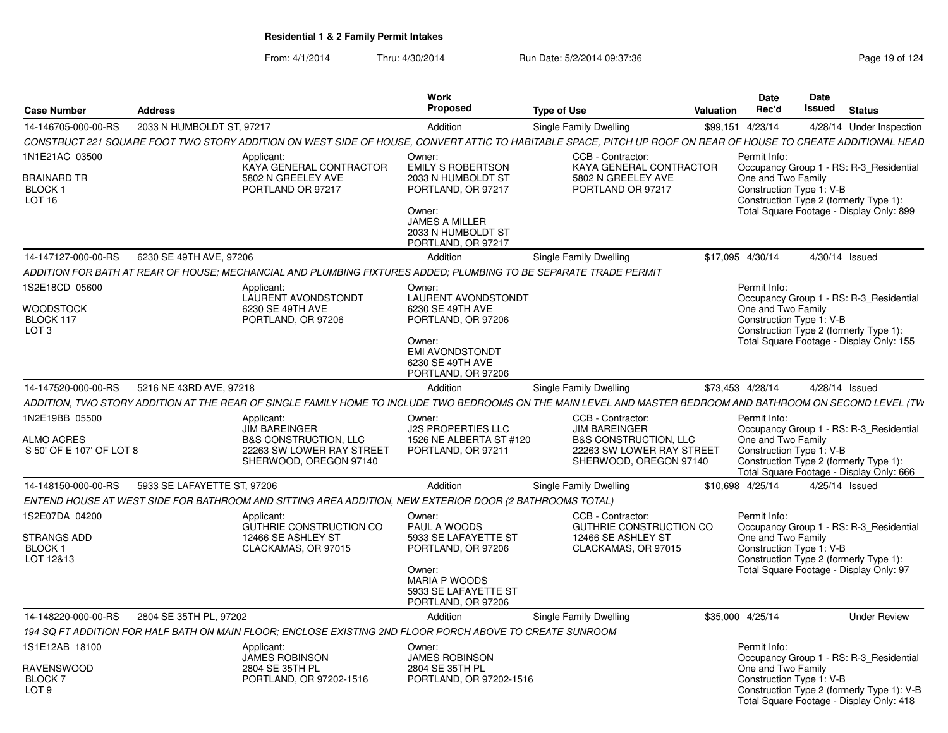| <b>Case Number</b>                                              | <b>Address</b>              |                                                                                                                                                                | Work<br>Proposed                                                                                                                                              | <b>Type of Use</b>                                                                                                                   | <b>Valuation</b> | Date<br>Rec'd                                                  | Date<br>Issued | <b>Status</b>                                                                                                                     |
|-----------------------------------------------------------------|-----------------------------|----------------------------------------------------------------------------------------------------------------------------------------------------------------|---------------------------------------------------------------------------------------------------------------------------------------------------------------|--------------------------------------------------------------------------------------------------------------------------------------|------------------|----------------------------------------------------------------|----------------|-----------------------------------------------------------------------------------------------------------------------------------|
| 14-146705-000-00-RS                                             | 2033 N HUMBOLDT ST, 97217   |                                                                                                                                                                | Addition                                                                                                                                                      | Single Family Dwelling                                                                                                               |                  | \$99,151 4/23/14                                               |                | 4/28/14 Under Inspection                                                                                                          |
|                                                                 |                             | CONSTRUCT 221 SQUARE FOOT TWO STORY ADDITION ON WEST SIDE OF HOUSE. CONVERT ATTIC TO HABITABLE SPACE. PITCH UP ROOF ON REAR OF HOUSE TO CREATE ADDITIONAL HEAD |                                                                                                                                                               |                                                                                                                                      |                  |                                                                |                |                                                                                                                                   |
| 1N1E21AC 03500<br>BRAINARD TR<br>BLOCK 1<br>LOT 16              |                             | Applicant:<br>KAYA GENERAL CONTRACTOR<br>5802 N GREELEY AVE<br>PORTLAND OR 97217                                                                               | Owner:<br><b>EMILY S ROBERTSON</b><br>2033 N HUMBOLDT ST<br>PORTLAND, OR 97217<br>Owner:<br><b>JAMES A MILLER</b><br>2033 N HUMBOLDT ST<br>PORTLAND, OR 97217 | CCB - Contractor:<br>KAYA GENERAL CONTRACTOR<br>5802 N GREELEY AVE<br>PORTLAND OR 97217                                              |                  | Permit Info:<br>One and Two Family<br>Construction Type 1: V-B |                | Occupancy Group 1 - RS: R-3 Residential<br>Construction Type 2 (formerly Type 1):<br>Total Square Footage - Display Only: 899     |
| 14-147127-000-00-RS                                             | 6230 SE 49TH AVE, 97206     |                                                                                                                                                                | Addition                                                                                                                                                      | Single Family Dwelling                                                                                                               |                  | \$17,095 4/30/14                                               |                | 4/30/14 Issued                                                                                                                    |
|                                                                 |                             | ADDITION FOR BATH AT REAR OF HOUSE: MECHANCIAL AND PLUMBING FIXTURES ADDED: PLUMBING TO BE SEPARATE TRADE PERMIT                                               |                                                                                                                                                               |                                                                                                                                      |                  |                                                                |                |                                                                                                                                   |
| 1S2E18CD 05600<br>WOODSTOCK<br>BLOCK 117<br>LOT <sub>3</sub>    |                             | Applicant:<br><b>LAURENT AVONDSTONDT</b><br>6230 SE 49TH AVE<br>PORTLAND, OR 97206                                                                             | Owner:<br><b>LAURENT AVONDSTONDT</b><br>6230 SE 49TH AVE<br>PORTLAND, OR 97206<br>Owner:<br><b>EMI AVONDSTONDT</b><br>6230 SE 49TH AVE<br>PORTLAND, OR 97206  |                                                                                                                                      |                  | Permit Info:<br>One and Two Family<br>Construction Type 1: V-B |                | Occupancy Group 1 - RS: R-3 Residential<br>Construction Type 2 (formerly Type 1):<br>Total Square Footage - Display Only: 155     |
| 14-147520-000-00-RS                                             | 5216 NE 43RD AVE, 97218     |                                                                                                                                                                | Addition                                                                                                                                                      | Single Family Dwelling                                                                                                               |                  | \$73,453 4/28/14                                               |                | 4/28/14 Issued                                                                                                                    |
|                                                                 |                             | ADDITION. TWO STORY ADDITION AT THE REAR OF SINGLE FAMILY HOME TO INCLUDE TWO BEDROOMS ON THE MAIN LEVEL AND MASTER BEDROOM AND BATHROOM ON SECOND LEVEL (TW   |                                                                                                                                                               |                                                                                                                                      |                  |                                                                |                |                                                                                                                                   |
| 1N2E19BB 05500<br><b>ALMO ACRES</b><br>S 50' OF E 107' OF LOT 8 |                             | Applicant:<br><b>JIM BAREINGER</b><br><b>B&amp;S CONSTRUCTION, LLC</b><br>22263 SW LOWER RAY STREET<br>SHERWOOD, OREGON 97140                                  | Owner:<br><b>J2S PROPERTIES LLC</b><br>1526 NE ALBERTA ST #120<br>PORTLAND, OR 97211                                                                          | CCB - Contractor:<br><b>JIM BAREINGER</b><br><b>B&amp;S CONSTRUCTION, LLC</b><br>22263 SW LOWER RAY STREET<br>SHERWOOD, OREGON 97140 |                  | Permit Info:<br>One and Two Family<br>Construction Type 1: V-B |                | Occupancy Group 1 - RS: R-3_Residential<br>Construction Type 2 (formerly Type 1):<br>Total Square Footage - Display Only: 666     |
| 14-148150-000-00-RS                                             | 5933 SE LAFAYETTE ST, 97206 |                                                                                                                                                                | Addition                                                                                                                                                      | Single Family Dwelling                                                                                                               |                  | \$10.698 4/25/14                                               |                | 4/25/14 Issued                                                                                                                    |
|                                                                 |                             | ENTEND HOUSE AT WEST SIDE FOR BATHROOM AND SITTING AREA ADDITION, NEW EXTERIOR DOOR (2 BATHROOMS TOTAL)                                                        |                                                                                                                                                               |                                                                                                                                      |                  |                                                                |                |                                                                                                                                   |
| 1S2E07DA 04200<br>STRANGS ADD<br>BLOCK 1<br>LOT 12&13           |                             | Applicant:<br><b>GUTHRIE CONSTRUCTION CO</b><br>12466 SE ASHLEY ST<br>CLACKAMAS, OR 97015                                                                      | Owner:<br>PAUL A WOODS<br>5933 SE LAFAYETTE ST<br>PORTLAND, OR 97206<br>Owner:<br><b>MARIA P WOODS</b><br>5933 SE LAFAYETTE ST<br>PORTLAND, OR 97206          | CCB - Contractor:<br>GUTHRIE CONSTRUCTION CO<br>12466 SE ASHLEY ST<br>CLACKAMAS, OR 97015                                            |                  | Permit Info:<br>One and Two Family<br>Construction Type 1: V-B |                | Occupancy Group 1 - RS: R-3 Residential<br>Construction Type 2 (formerly Type 1):<br>Total Square Footage - Display Only: 97      |
| 14-148220-000-00-RS                                             | 2804 SE 35TH PL, 97202      |                                                                                                                                                                | Addition                                                                                                                                                      | Single Family Dwelling                                                                                                               |                  | \$35,000 4/25/14                                               |                | <b>Under Review</b>                                                                                                               |
|                                                                 |                             | 194 SQ FT ADDITION FOR HALF BATH ON MAIN FLOOR: ENCLOSE EXISTING 2ND FLOOR PORCH ABOVE TO CREATE SUNROOM                                                       |                                                                                                                                                               |                                                                                                                                      |                  |                                                                |                |                                                                                                                                   |
| 1S1E12AB 18100<br>RAVENSWOOD<br><b>BLOCK7</b><br>LOT 9          |                             | Applicant:<br><b>JAMES ROBINSON</b><br>2804 SE 35TH PL<br>PORTLAND, OR 97202-1516                                                                              | Owner:<br><b>JAMES ROBINSON</b><br>2804 SE 35TH PL<br>PORTLAND, OR 97202-1516                                                                                 |                                                                                                                                      |                  | Permit Info:<br>One and Two Family<br>Construction Type 1: V-B |                | Occupancy Group 1 - RS: R-3 Residential<br>Construction Type 2 (formerly Type 1): V-B<br>Total Square Footage - Display Only: 418 |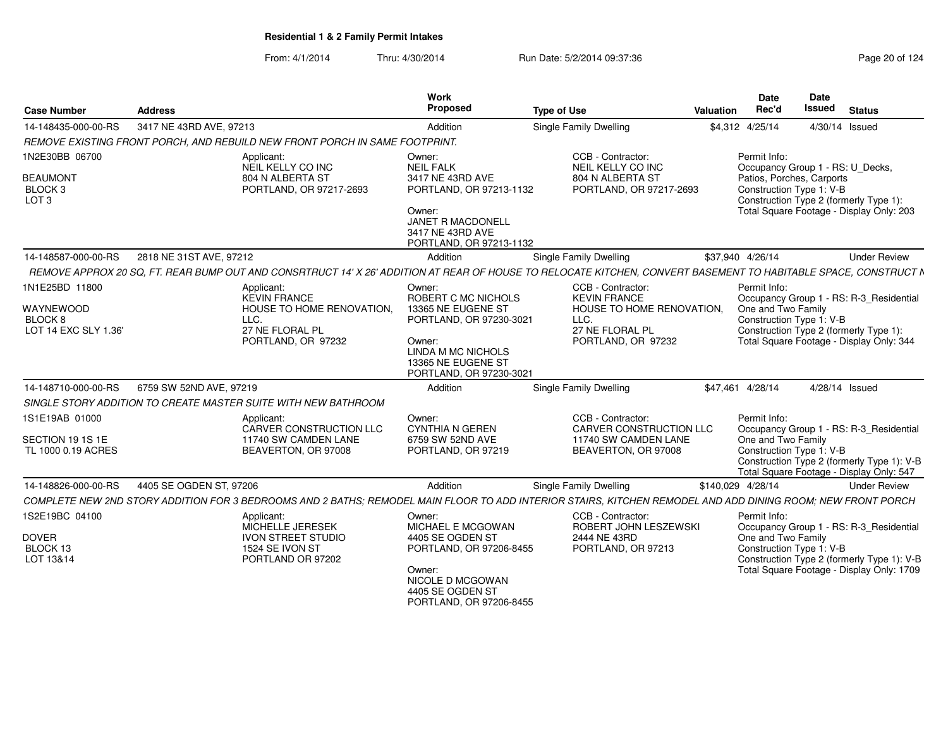| <b>Case Number</b>                     | <b>Address</b>                                                                                                                                                  | <b>Work</b><br>Proposed                                                       | <b>Type of Use</b>                                                            | <b>Valuation</b>                                                                                                                            | Date<br>Rec'd                                    | <b>Date</b><br><b>Issued</b> | <b>Status</b>                                                                          |  |  |  |
|----------------------------------------|-----------------------------------------------------------------------------------------------------------------------------------------------------------------|-------------------------------------------------------------------------------|-------------------------------------------------------------------------------|---------------------------------------------------------------------------------------------------------------------------------------------|--------------------------------------------------|------------------------------|----------------------------------------------------------------------------------------|--|--|--|
| 14-148435-000-00-RS                    | 3417 NE 43RD AVE, 97213                                                                                                                                         | Addition                                                                      | <b>Single Family Dwelling</b>                                                 |                                                                                                                                             | \$4,312 4/25/14                                  | 4/30/14 Issued               |                                                                                        |  |  |  |
|                                        | REMOVE EXISTING FRONT PORCH, AND REBUILD NEW FRONT PORCH IN SAME FOOTPRINT.                                                                                     |                                                                               |                                                                               |                                                                                                                                             |                                                  |                              |                                                                                        |  |  |  |
| 1N2E30BB 06700<br><b>BEAUMONT</b>      | Applicant:<br>NEIL KELLY CO INC<br>804 N ALBERTA ST                                                                                                             | Owner:<br><b>NEIL FALK</b><br>3417 NE 43RD AVE                                | CCB - Contractor:<br>NEIL KELLY CO INC<br>804 N ALBERTA ST                    |                                                                                                                                             | Permit Info:<br>Occupancy Group 1 - RS: U_Decks, |                              |                                                                                        |  |  |  |
| BLOCK <sub>3</sub><br>LOT <sub>3</sub> | PORTLAND, OR 97217-2693                                                                                                                                         |                                                                               | PORTLAND, OR 97213-1132<br>PORTLAND, OR 97217-2693<br>PORTLAND, OR 97213-1132 | Patios, Porches, Carports<br>Construction Type 1: V-B<br>Construction Type 2 (formerly Type 1):<br>Total Square Footage - Display Only: 203 |                                                  |                              |                                                                                        |  |  |  |
| 14-148587-000-00-RS                    | 2818 NE 31ST AVE, 97212                                                                                                                                         | Addition                                                                      | Single Family Dwelling                                                        |                                                                                                                                             | \$37,940 4/26/14                                 |                              | <b>Under Review</b>                                                                    |  |  |  |
|                                        | REMOVE APPROX 20 SQ, FT. REAR BUMP OUT AND CONSRTRUCT 14' X 26' ADDITION AT REAR OF HOUSE TO RELOCATE KITCHEN, CONVERT BASEMENT TO HABITABLE SPACE, CONSTRUCT N |                                                                               |                                                                               |                                                                                                                                             |                                                  |                              |                                                                                        |  |  |  |
| 1N1E25BD 11800                         | Applicant:<br><b>KEVIN FRANCE</b>                                                                                                                               | Owner:<br>ROBERT C MC NICHOLS                                                 | CCB - Contractor:<br><b>KEVIN FRANCE</b>                                      |                                                                                                                                             | Permit Info:                                     |                              | Occupancy Group 1 - RS: R-3_Residential                                                |  |  |  |
| WAYNEWOOD                              | HOUSE TO HOME RENOVATION.                                                                                                                                       | 13365 NE EUGENE ST                                                            | HOUSE TO HOME RENOVATION.<br>LLC.                                             |                                                                                                                                             | One and Two Family<br>Construction Type 1: V-B   |                              |                                                                                        |  |  |  |
| BLOCK 8<br>LOT 14 EXC SLY 1.36'        | LLC.<br>27 NE FLORAL PL                                                                                                                                         | PORTLAND, OR 97230-3021                                                       | 27 NE FLORAL PL                                                               |                                                                                                                                             |                                                  |                              | Construction Type 2 (formerly Type 1):                                                 |  |  |  |
|                                        | PORTLAND, OR 97232                                                                                                                                              | Owner:<br>LINDA M MC NICHOLS<br>13365 NE EUGENE ST<br>PORTLAND, OR 97230-3021 | PORTLAND, OR 97232                                                            |                                                                                                                                             | Total Square Footage - Display Only: 344         |                              |                                                                                        |  |  |  |
| 14-148710-000-00-RS                    | 6759 SW 52ND AVE, 97219                                                                                                                                         | Addition                                                                      | <b>Single Family Dwelling</b>                                                 |                                                                                                                                             | \$47,461 4/28/14                                 | 4/28/14 Issued               |                                                                                        |  |  |  |
|                                        | SINGLE STORY ADDITION TO CREATE MASTER SUITE WITH NEW BATHROOM                                                                                                  |                                                                               |                                                                               |                                                                                                                                             |                                                  |                              |                                                                                        |  |  |  |
| 1S1E19AB 01000                         | Applicant:<br>CARVER CONSTRUCTION LLC                                                                                                                           | Owner:<br><b>CYNTHIA N GEREN</b>                                              | CCB - Contractor:<br><b>CARVER CONSTRUCTION LLC</b>                           |                                                                                                                                             | Permit Info:                                     |                              | Occupancy Group 1 - RS: R-3_Residential                                                |  |  |  |
| SECTION 19 1S 1E<br>TL 1000 0.19 ACRES | 11740 SW CAMDEN LANE<br>BEAVERTON, OR 97008                                                                                                                     | 6759 SW 52ND AVE<br>PORTLAND, OR 97219                                        | 11740 SW CAMDEN LANE<br>BEAVERTON, OR 97008                                   |                                                                                                                                             | One and Two Family<br>Construction Type 1: V-B   |                              | Construction Type 2 (formerly Type 1): V-B<br>Total Square Footage - Display Only: 547 |  |  |  |
| 14-148826-000-00-RS                    | 4405 SE OGDEN ST, 97206                                                                                                                                         | Addition                                                                      | <b>Single Family Dwelling</b>                                                 | \$140,029 4/28/14                                                                                                                           |                                                  |                              | <b>Under Review</b>                                                                    |  |  |  |
|                                        | COMPLETE NEW 2ND STORY ADDITION FOR 3 BEDROOMS AND 2 BATHS; REMODEL MAIN FLOOR TO ADD INTERIOR STAIRS, KITCHEN REMODEL AND ADD DINING ROOM; NEW FRONT PORCH     |                                                                               |                                                                               |                                                                                                                                             |                                                  |                              |                                                                                        |  |  |  |
| 1S2E19BC 04100                         | Applicant:<br>MICHELLE JERESEK                                                                                                                                  | Owner:<br>MICHAEL E MCGOWAN                                                   | CCB - Contractor:<br>ROBERT JOHN LESZEWSKI                                    |                                                                                                                                             | Permit Info:                                     |                              | Occupancy Group 1 - RS: R-3_Residential                                                |  |  |  |
| <b>DOVER</b><br>BLOCK 13<br>LOT 13&14  | <b>IVON STREET STUDIO</b><br>1524 SE IVON ST<br>PORTLAND OR 97202                                                                                               | 4405 SE OGDEN ST<br>PORTLAND, OR 97206-8455                                   | 2444 NE 43RD<br>PORTLAND, OR 97213                                            |                                                                                                                                             | One and Two Family<br>Construction Type 1: V-B   |                              | Construction Type 2 (formerly Type 1): V-B                                             |  |  |  |
|                                        |                                                                                                                                                                 | Owner:<br>NICOLE D MCGOWAN<br>4405 SE OGDEN ST<br>PORTLAND, OR 97206-8455     |                                                                               |                                                                                                                                             |                                                  |                              | Total Square Footage - Display Only: 1709                                              |  |  |  |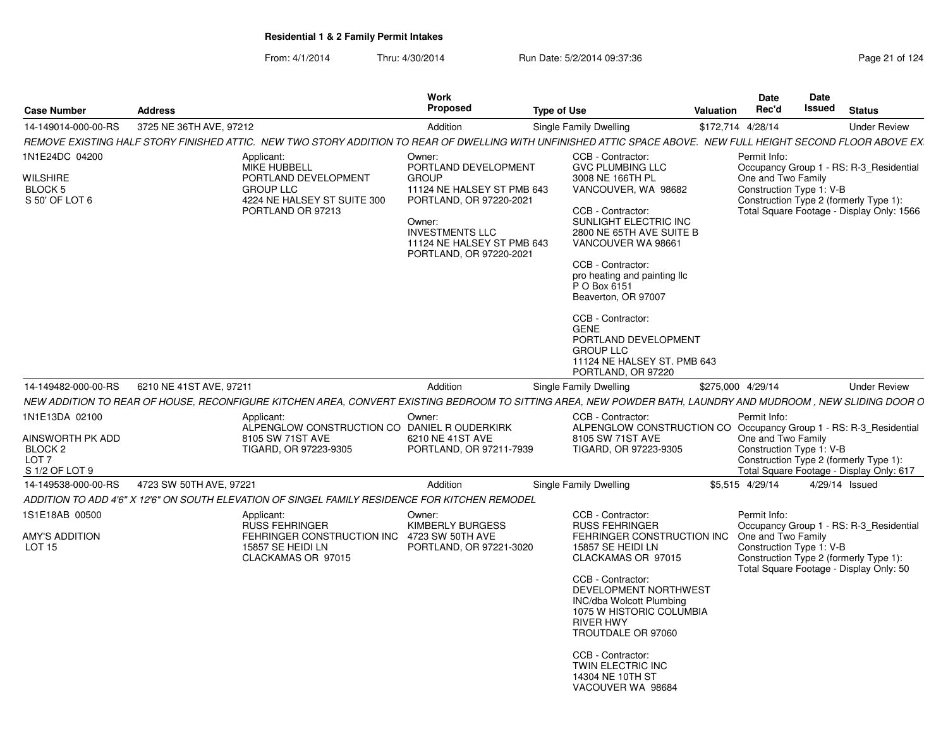|                                                                                     |                         |                                                                                                                                                                  | Work                                                                                                                                                                                                 |                                                                                                                                                                                                                                                                                                                                                                                             |                  | <b>Date</b>                                                                                                                                                                                      | Date   |                |                     |
|-------------------------------------------------------------------------------------|-------------------------|------------------------------------------------------------------------------------------------------------------------------------------------------------------|------------------------------------------------------------------------------------------------------------------------------------------------------------------------------------------------------|---------------------------------------------------------------------------------------------------------------------------------------------------------------------------------------------------------------------------------------------------------------------------------------------------------------------------------------------------------------------------------------------|------------------|--------------------------------------------------------------------------------------------------------------------------------------------------------------------------------------------------|--------|----------------|---------------------|
| <b>Case Number</b>                                                                  | <b>Address</b>          |                                                                                                                                                                  | Proposed                                                                                                                                                                                             | Type of Use                                                                                                                                                                                                                                                                                                                                                                                 | <b>Valuation</b> | Rec'd                                                                                                                                                                                            | Issued | <b>Status</b>  |                     |
| 14-149014-000-00-RS                                                                 | 3725 NE 36TH AVE, 97212 |                                                                                                                                                                  | Addition                                                                                                                                                                                             | Single Family Dwelling                                                                                                                                                                                                                                                                                                                                                                      |                  | \$172,714 4/28/14                                                                                                                                                                                |        |                | <b>Under Review</b> |
|                                                                                     |                         | REMOVE EXISTING HALF STORY FINISHED ATTIC.  NEW TWO STORY ADDITION TO REAR OF DWELLING WITH UNFINISHED ATTIC SPACE ABOVE.  NEW FULL HEIGHT SECOND FLOOR ABOVE EX |                                                                                                                                                                                                      |                                                                                                                                                                                                                                                                                                                                                                                             |                  |                                                                                                                                                                                                  |        |                |                     |
| 1N1E24DC 04200<br>WILSHIRE<br>BLOCK 5<br>S 50' OF LOT 6                             |                         | Applicant:<br><b>MIKE HUBBELL</b><br>PORTLAND DEVELOPMENT<br><b>GROUP LLC</b><br>4224 NE HALSEY ST SUITE 300<br>PORTLAND OR 97213                                | Owner:<br>PORTLAND DEVELOPMENT<br><b>GROUP</b><br>11124 NE HALSEY ST PMB 643<br>PORTLAND, OR 97220-2021<br>Owner:<br><b>INVESTMENTS LLC</b><br>11124 NE HALSEY ST PMB 643<br>PORTLAND, OR 97220-2021 | CCB - Contractor:<br><b>GVC PLUMBING LLC</b><br>3008 NE 166TH PL<br>VANCOUVER, WA 98682<br>CCB - Contractor:<br>SUNLIGHT ELECTRIC INC<br>2800 NE 65TH AVE SUITE B<br>VANCOUVER WA 98661<br>CCB - Contractor:<br>pro heating and painting IIc<br>P O Box 6151<br>Beaverton, OR 97007<br>CCB - Contractor:<br>GENE<br>PORTLAND DEVELOPMENT<br><b>GROUP LLC</b><br>11124 NE HALSEY ST. PMB 643 |                  | Permit Info:<br>Occupancy Group 1 - RS: R-3_Residential<br>One and Two Family<br>Construction Type 1: V-B<br>Construction Type 2 (formerly Type 1):<br>Total Square Footage - Display Only: 1566 |        |                |                     |
|                                                                                     |                         |                                                                                                                                                                  |                                                                                                                                                                                                      | PORTLAND, OR 97220                                                                                                                                                                                                                                                                                                                                                                          |                  |                                                                                                                                                                                                  |        |                |                     |
| 14-149482-000-00-RS                                                                 | 6210 NE 41ST AVE, 97211 |                                                                                                                                                                  | Addition                                                                                                                                                                                             | Single Family Dwelling                                                                                                                                                                                                                                                                                                                                                                      |                  | \$275,000 4/29/14                                                                                                                                                                                |        |                | <b>Under Review</b> |
|                                                                                     |                         | NEW ADDITION TO REAR OF HOUSE, RECONFIGURE KITCHEN AREA, CONVERT EXISTING BEDROOM TO SITTING AREA, NEW POWDER BATH, LAUNDRY AND MUDROOM, NEW SLIDING DOOR O      |                                                                                                                                                                                                      |                                                                                                                                                                                                                                                                                                                                                                                             |                  |                                                                                                                                                                                                  |        |                |                     |
| 1N1E13DA 02100<br>AINSWORTH PK ADD<br>BLOCK 2<br>LOT <sub>7</sub><br>S 1/2 OF LOT 9 |                         | Applicant:<br>ALPENGLOW CONSTRUCTION CO DANIEL R OUDERKIRK<br>8105 SW 71ST AVE<br>TIGARD, OR 97223-9305                                                          | Owner:<br>6210 NE 41ST AVE<br>PORTLAND, OR 97211-7939                                                                                                                                                | CCB - Contractor:<br>ALPENGLOW CONSTRUCTION CO Occupancy Group 1 - RS: R-3_Residential<br>8105 SW 71ST AVE<br>TIGARD, OR 97223-9305                                                                                                                                                                                                                                                         |                  | Permit Info:<br>One and Two Family<br>Construction Type 1: V-B<br>Construction Type 2 (formerly Type 1):<br>Total Square Footage - Display Only: 617                                             |        |                |                     |
| 14-149538-000-00-RS                                                                 | 4723 SW 50TH AVE, 97221 |                                                                                                                                                                  | Addition                                                                                                                                                                                             | Single Family Dwelling                                                                                                                                                                                                                                                                                                                                                                      |                  | \$5,515 4/29/14                                                                                                                                                                                  |        | 4/29/14 Issued |                     |
|                                                                                     |                         | ADDITION TO ADD 4'6" X 12'6" ON SOUTH ELEVATION OF SINGEL FAMILY RESIDENCE FOR KITCHEN REMODEL                                                                   |                                                                                                                                                                                                      |                                                                                                                                                                                                                                                                                                                                                                                             |                  |                                                                                                                                                                                                  |        |                |                     |
| 1S1E18AB 00500<br><b>AMY'S ADDITION</b><br>LOT <sub>15</sub>                        |                         | Applicant:<br><b>RUSS FEHRINGER</b><br>FEHRINGER CONSTRUCTION INC 4723 SW 50TH AVE<br>15857 SE HEIDI LN<br>CLACKAMAS OR 97015                                    | Owner:<br><b>KIMBERLY BURGESS</b><br>PORTLAND, OR 97221-3020                                                                                                                                         | CCB - Contractor:<br><b>RUSS FEHRINGER</b><br>FEHRINGER CONSTRUCTION INC One and Two Family<br>15857 SE HEIDI LN<br>CLACKAMAS OR 97015<br>CCB - Contractor:<br>DEVELOPMENT NORTHWEST<br><b>INC/dba Wolcott Plumbing</b><br>1075 W HISTORIC COLUMBIA<br><b>RIVER HWY</b><br>TROUTDALE OR 97060<br>CCB - Contractor:<br>TWIN ELECTRIC INC<br>14304 NE 10TH ST                                 |                  | Permit Info:<br>Occupancy Group 1 - RS: R-3_Residential<br>Construction Type 1: V-B<br>Construction Type 2 (formerly Type 1):<br>Total Square Footage - Display Only: 50                         |        |                |                     |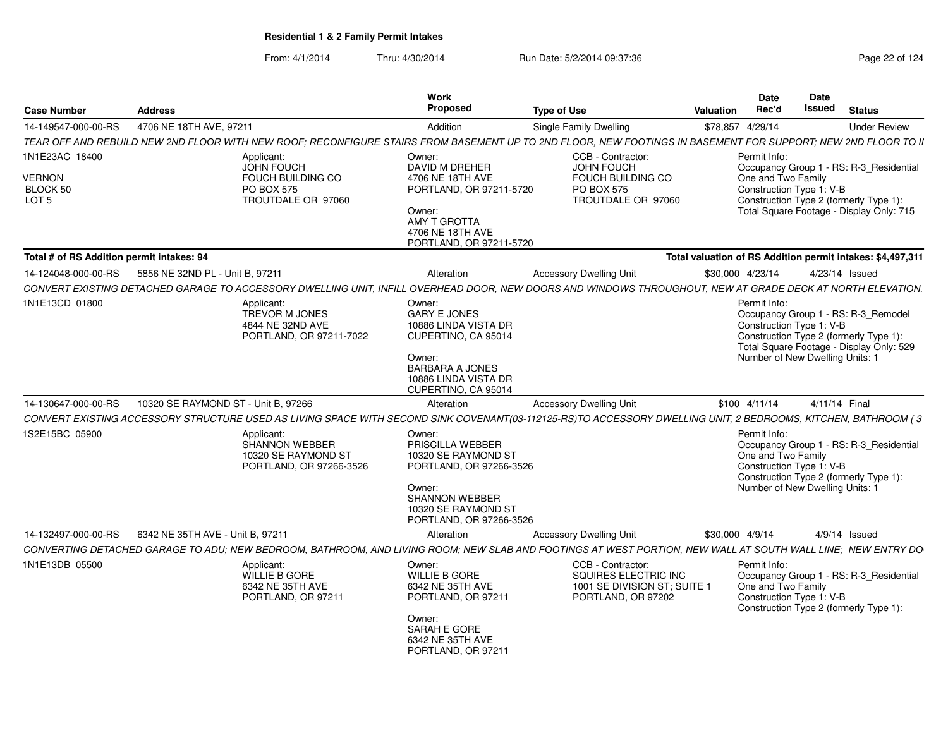| <b>Case Number</b>                                              | <b>Address</b>                                                                                                                                                | Work<br>Proposed                                                                                                                                           | <b>Type of Use</b>                                                                              | Valuation        | <b>Date</b><br>Rec'd                                                                              | Date<br><b>Issued</b> | <b>Status</b>                                                                                                                 |
|-----------------------------------------------------------------|---------------------------------------------------------------------------------------------------------------------------------------------------------------|------------------------------------------------------------------------------------------------------------------------------------------------------------|-------------------------------------------------------------------------------------------------|------------------|---------------------------------------------------------------------------------------------------|-----------------------|-------------------------------------------------------------------------------------------------------------------------------|
| 14-149547-000-00-RS                                             | 4706 NE 18TH AVE, 97211                                                                                                                                       | Addition                                                                                                                                                   | Single Family Dwelling                                                                          | \$78,857 4/29/14 |                                                                                                   |                       | <b>Under Review</b>                                                                                                           |
|                                                                 | TEAR OFF AND REBUILD NEW 2ND FLOOR WITH NEW ROOF: RECONFIGURE STAIRS FROM BASEMENT UP TO 2ND FLOOR. NEW FOOTINGS IN BASEMENT FOR SUPPORT: NEW 2ND FLOOR TO II |                                                                                                                                                            |                                                                                                 |                  |                                                                                                   |                       |                                                                                                                               |
| 1N1E23AC 18400<br><b>VERNON</b><br>BLOCK 50<br>LOT <sub>5</sub> | Applicant:<br>JOHN FOUCH<br>FOUCH BUILDING CO<br><b>PO BOX 575</b><br>TROUTDALE OR 97060                                                                      | Owner:<br>DAVID M DREHER<br>4706 NE 18TH AVE<br>PORTLAND, OR 97211-5720<br>Owner:<br>AMY T GROTTA<br>4706 NE 18TH AVE<br>PORTLAND, OR 97211-5720           | CCB - Contractor:<br>JOHN FOUCH<br>FOUCH BUILDING CO<br><b>PO BOX 575</b><br>TROUTDALE OR 97060 |                  | Permit Info:<br>One and Two Family<br>Construction Type 1: V-B                                    |                       | Occupancy Group 1 - RS: R-3_Residential<br>Construction Type 2 (formerly Type 1):<br>Total Square Footage - Display Only: 715 |
| Total # of RS Addition permit intakes: 94                       |                                                                                                                                                               |                                                                                                                                                            |                                                                                                 |                  |                                                                                                   |                       | Total valuation of RS Addition permit intakes: \$4,497,311                                                                    |
| 14-124048-000-00-RS                                             | 5856 NE 32ND PL - Unit B, 97211                                                                                                                               | Alteration                                                                                                                                                 | <b>Accessory Dwelling Unit</b>                                                                  | \$30,000 4/23/14 |                                                                                                   |                       | 4/23/14 Issued                                                                                                                |
|                                                                 | CONVERT EXISTING DETACHED GARAGE TO ACCESSORY DWELLING UNIT, INFILL OVERHEAD DOOR, NEW DOORS AND WINDOWS THROUGHOUT, NEW AT GRADE DECK AT NORTH ELEVATION.    |                                                                                                                                                            |                                                                                                 |                  |                                                                                                   |                       |                                                                                                                               |
| 1N1E13CD 01800                                                  | Applicant:<br>TREVOR M JONES<br>4844 NE 32ND AVE<br>PORTLAND, OR 97211-7022                                                                                   | Owner:<br><b>GARY E JONES</b><br>10886 LINDA VISTA DR<br>CUPERTINO, CA 95014<br>Owner:<br>BARBARA A JONES<br>10886 LINDA VISTA DR                          |                                                                                                 |                  | Permit Info:<br>Construction Type 1: V-B<br>Number of New Dwelling Units: 1                       |                       | Occupancy Group 1 - RS: R-3_Remodel<br>Construction Type 2 (formerly Type 1):<br>Total Square Footage - Display Only: 529     |
|                                                                 |                                                                                                                                                               | CUPERTINO, CA 95014                                                                                                                                        |                                                                                                 |                  |                                                                                                   |                       |                                                                                                                               |
| 14-130647-000-00-RS                                             | 10320 SE RAYMOND ST - Unit B, 97266                                                                                                                           | Alteration                                                                                                                                                 | <b>Accessory Dwelling Unit</b>                                                                  |                  | $$100$ 4/11/14                                                                                    | 4/11/14 Final         |                                                                                                                               |
|                                                                 | CONVERT EXISTING ACCESSORY STRUCTURE USED AS LIVING SPACE WITH SECOND SINK COVENANT(03-112125-RS)TO ACCESSORY DWELLING UNIT, 2 BEDROOMS, KITCHEN, BATHROOM (3 |                                                                                                                                                            |                                                                                                 |                  |                                                                                                   |                       |                                                                                                                               |
| 1S2E15BC 05900                                                  | Applicant:<br>SHANNON WEBBER<br>10320 SE RAYMOND ST<br>PORTLAND, OR 97266-3526                                                                                | Owner:<br>PRISCILLA WEBBER<br>10320 SE RAYMOND ST<br>PORTLAND, OR 97266-3526<br>Owner:<br>SHANNON WEBBER<br>10320 SE RAYMOND ST<br>PORTLAND, OR 97266-3526 |                                                                                                 |                  | Permit Info:<br>One and Two Family<br>Construction Type 1: V-B<br>Number of New Dwelling Units: 1 |                       | Occupancy Group 1 - RS: R-3 Residential<br>Construction Type 2 (formerly Type 1):                                             |
| 14-132497-000-00-RS                                             | 6342 NE 35TH AVE - Unit B. 97211                                                                                                                              | Alteration                                                                                                                                                 | <b>Accessory Dwelling Unit</b>                                                                  | \$30,000 4/9/14  |                                                                                                   |                       | $4/9/14$ Issued                                                                                                               |
|                                                                 | CONVERTING DETACHED GARAGE TO ADU; NEW BEDROOM, BATHROOM, AND LIVING ROOM; NEW SLAB AND FOOTINGS AT WEST PORTION, NEW WALL AT SOUTH WALL LINE; NEW ENTRY DO   |                                                                                                                                                            |                                                                                                 |                  |                                                                                                   |                       |                                                                                                                               |
| 1N1E13DB 05500                                                  | Applicant:<br>WILLIE B GORE<br>6342 NE 35TH AVE<br>PORTLAND, OR 97211                                                                                         | Owner:<br>WILLIE B GORE<br>6342 NE 35TH AVE<br>PORTLAND, OR 97211<br>Owner:<br>SARAH E GORE<br>6342 NE 35TH AVE<br>PORTLAND, OR 97211                      | CCB - Contractor:<br>SQUIRES ELECTRIC INC<br>1001 SE DIVISION ST; SUITE 1<br>PORTLAND, OR 97202 |                  | Permit Info:<br>One and Two Family<br>Construction Type 1: V-B                                    |                       | Occupancy Group 1 - RS: R-3_Residential<br>Construction Type 2 (formerly Type 1):                                             |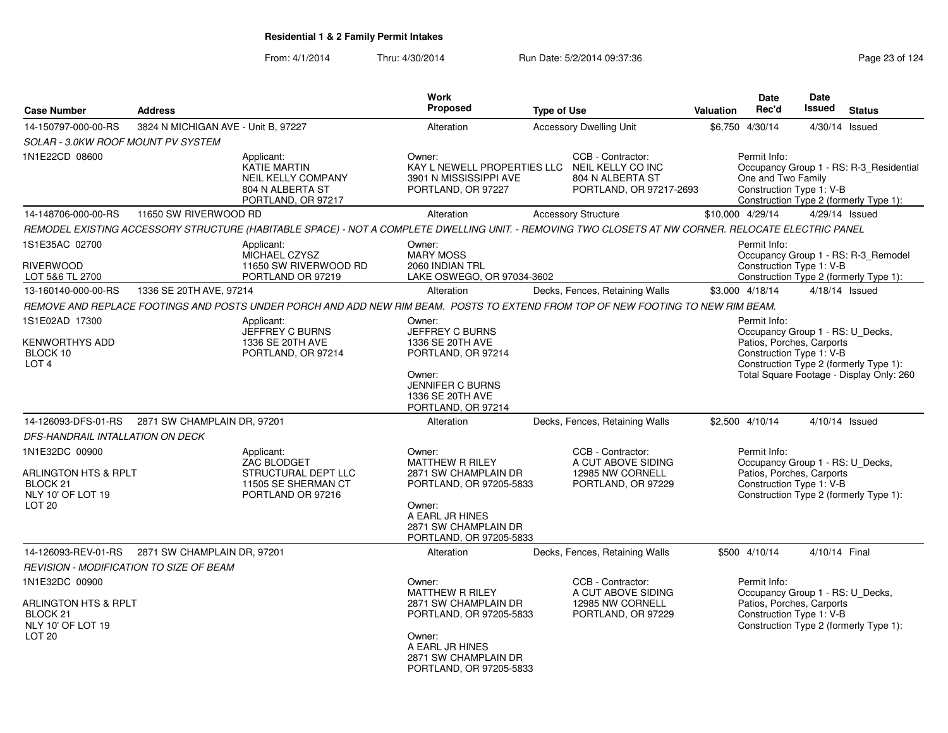|                                                                                                     |                                                                                                                                                     |                                 | <b>Work</b><br>Proposed                                                                                                                         |                                                                                       |                  | <b>Date</b><br>Rec'd                                                                                      | Date<br><b>Issued</b> |                                                                                    |
|-----------------------------------------------------------------------------------------------------|-----------------------------------------------------------------------------------------------------------------------------------------------------|---------------------------------|-------------------------------------------------------------------------------------------------------------------------------------------------|---------------------------------------------------------------------------------------|------------------|-----------------------------------------------------------------------------------------------------------|-----------------------|------------------------------------------------------------------------------------|
| <b>Case Number</b>                                                                                  | <b>Address</b>                                                                                                                                      |                                 |                                                                                                                                                 | <b>Type of Use</b>                                                                    | <b>Valuation</b> |                                                                                                           |                       | <b>Status</b>                                                                      |
| 14-150797-000-00-RS                                                                                 | 3824 N MICHIGAN AVE - Unit B, 97227                                                                                                                 |                                 | Alteration                                                                                                                                      | <b>Accessory Dwelling Unit</b>                                                        |                  | \$6,750 4/30/14                                                                                           |                       | $4/30/14$ Issued                                                                   |
| SOLAR - 3.0KW ROOF MOUNT PV SYSTEM                                                                  |                                                                                                                                                     |                                 |                                                                                                                                                 |                                                                                       |                  |                                                                                                           |                       |                                                                                    |
| 1N1E22CD 08600                                                                                      | Applicant:<br><b>KATIE MARTIN</b><br><b>NEIL KELLY COMPANY</b><br>804 N ALBERTA ST<br>PORTLAND, OR 97217                                            | Owner:                          | KAY L NEWELL PROPERTIES LLC<br>3901 N MISSISSIPPI AVE<br>PORTLAND, OR 97227                                                                     | CCB - Contractor:<br>NEIL KELLY CO INC<br>804 N ALBERTA ST<br>PORTLAND, OR 97217-2693 |                  | Permit Info:<br>One and Two Family<br>Construction Type 1: V-B                                            |                       | Occupancy Group 1 - RS: R-3_Residential<br>Construction Type 2 (formerly Type 1):  |
| 14-148706-000-00-RS                                                                                 | 11650 SW RIVERWOOD RD                                                                                                                               |                                 | Alteration                                                                                                                                      | <b>Accessory Structure</b>                                                            |                  | \$10,000 4/29/14                                                                                          |                       | 4/29/14 Issued                                                                     |
|                                                                                                     | REMODEL EXISTING ACCESSORY STRUCTURE (HABITABLE SPACE) - NOT A COMPLETE DWELLING UNIT. - REMOVING TWO CLOSETS AT NW CORNER. RELOCATE ELECTRIC PANEL |                                 |                                                                                                                                                 |                                                                                       |                  |                                                                                                           |                       |                                                                                    |
| 1S1E35AC 02700<br><b>RIVERWOOD</b><br>LOT 5&6 TL 2700                                               | Applicant:<br>MICHAEL CZYSZ<br>PORTLAND OR 97219                                                                                                    | Owner:<br>11650 SW RIVERWOOD RD | <b>MARY MOSS</b><br>2060 INDIAN TRL<br>LAKE OSWEGO, OR 97034-3602                                                                               |                                                                                       |                  | Permit Info:<br>Construction Type 1: V-B                                                                  |                       | Occupancy Group 1 - RS: R-3 Remodel<br>Construction Type 2 (formerly Type 1):      |
| 13-160140-000-00-RS                                                                                 | 1336 SE 20TH AVE, 97214                                                                                                                             |                                 | Alteration                                                                                                                                      | Decks, Fences, Retaining Walls                                                        |                  | \$3,000 4/18/14                                                                                           |                       | 4/18/14 Issued                                                                     |
|                                                                                                     | REMOVE AND REPLACE FOOTINGS AND POSTS UNDER PORCH AND ADD NEW RIM BEAM. POSTS TO EXTEND FROM TOP OF NEW FOOTING TO NEW RIM BEAM.                    |                                 |                                                                                                                                                 |                                                                                       |                  |                                                                                                           |                       |                                                                                    |
|                                                                                                     |                                                                                                                                                     |                                 |                                                                                                                                                 |                                                                                       |                  | Permit Info:                                                                                              |                       |                                                                                    |
| 1S1E02AD 17300<br><b>KENWORTHYS ADD</b><br>BLOCK 10<br>LOT <sub>4</sub>                             | Applicant:<br><b>JEFFREY C BURNS</b><br>1336 SE 20TH AVE<br>PORTLAND, OR 97214                                                                      | Owner:<br>Owner:                | JEFFREY C BURNS<br>1336 SE 20TH AVE<br>PORTLAND, OR 97214<br><b>JENNIFER C BURNS</b><br>1336 SE 20TH AVE<br>PORTLAND, OR 97214                  |                                                                                       |                  | Occupancy Group 1 - RS: U_Decks,<br>Patios, Porches, Carports<br>Construction Type 1: V-B                 |                       | Construction Type 2 (formerly Type 1):<br>Total Square Footage - Display Only: 260 |
| 14-126093-DFS-01-RS                                                                                 | 2871 SW CHAMPLAIN DR, 97201                                                                                                                         |                                 | Alteration                                                                                                                                      | Decks, Fences, Retaining Walls                                                        |                  | \$2,500 4/10/14                                                                                           |                       | 4/10/14 Issued                                                                     |
| DFS-HANDRAIL INTALLATION ON DECK                                                                    |                                                                                                                                                     |                                 |                                                                                                                                                 |                                                                                       |                  |                                                                                                           |                       |                                                                                    |
| 1N1E32DC 00900<br>ARLINGTON HTS & RPLT<br>BLOCK <sub>21</sub><br>NLY 10' OF LOT 19<br><b>LOT 20</b> | Applicant:<br>ZAC BLODGET<br>STRUCTURAL DEPT LLC<br>11505 SE SHERMAN CT<br>PORTLAND OR 97216                                                        | Owner:<br>Owner:                | <b>MATTHEW R RILEY</b><br>2871 SW CHAMPLAIN DR<br>PORTLAND, OR 97205-5833<br>A EARL JR HINES<br>2871 SW CHAMPLAIN DR<br>PORTLAND, OR 97205-5833 | CCB - Contractor:<br>A CUT ABOVE SIDING<br>12985 NW CORNELL<br>PORTLAND, OR 97229     |                  | Permit Info:<br>Occupancy Group 1 - RS: U_Decks,<br>Patios, Porches, Carports<br>Construction Type 1: V-B |                       | Construction Type 2 (formerly Type 1):                                             |
| 14-126093-REV-01-RS                                                                                 | 2871 SW CHAMPLAIN DR, 97201                                                                                                                         |                                 | Alteration                                                                                                                                      | Decks, Fences, Retaining Walls                                                        |                  | \$500 4/10/14                                                                                             | 4/10/14 Final         |                                                                                    |
|                                                                                                     | <b>REVISION - MODIFICATION TO SIZE OF BEAM</b>                                                                                                      |                                 |                                                                                                                                                 |                                                                                       |                  |                                                                                                           |                       |                                                                                    |
| 1N1E32DC 00900<br>ARLINGTON HTS & RPLT<br>BLOCK 21<br>NLY 10' OF LOT 19<br>LOT <sub>20</sub>        |                                                                                                                                                     | Owner:<br>Owner:                | <b>MATTHEW R RILEY</b><br>2871 SW CHAMPLAIN DR<br>PORTLAND, OR 97205-5833<br>A EARL JR HINES<br>2871 SW CHAMPLAIN DR<br>PORTLAND, OR 97205-5833 | CCB - Contractor:<br>A CUT ABOVE SIDING<br>12985 NW CORNELL<br>PORTLAND, OR 97229     |                  | Permit Info:<br>Occupancy Group 1 - RS: U_Decks,<br>Patios, Porches, Carports<br>Construction Type 1: V-B |                       | Construction Type 2 (formerly Type 1):                                             |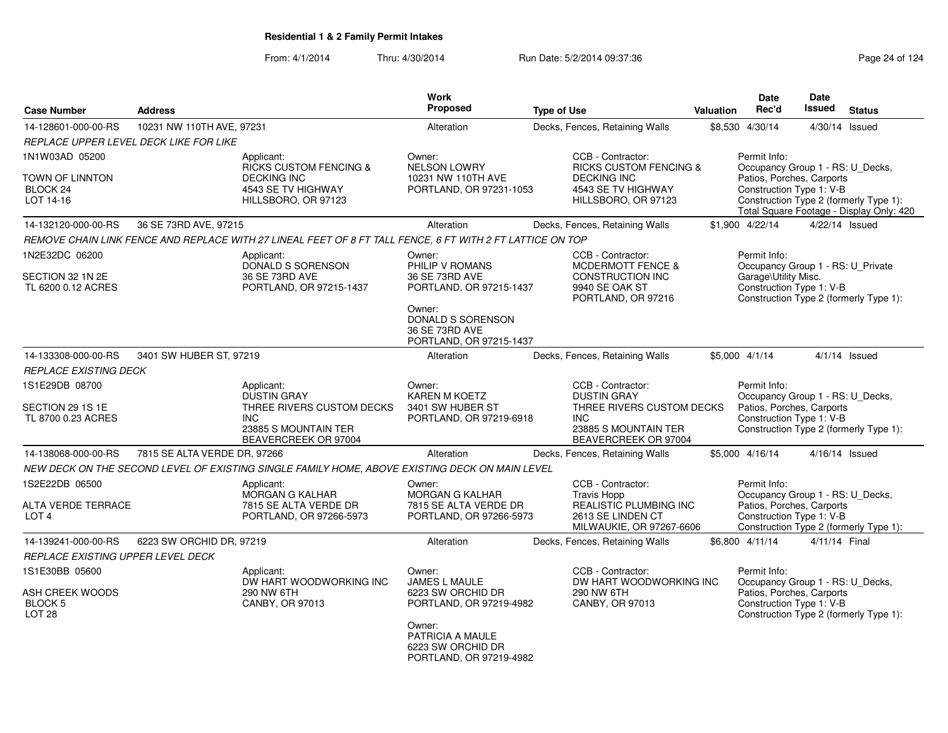| <b>Case Number</b>                                         | <b>Address</b>                         |                                                                                                           | Work<br><b>Proposed</b>                                                    | <b>Type of Use</b>                                                                                   | Valuation | <b>Date</b><br>Rec'd                                                                      | <b>Date</b><br>Issued | <b>Status</b>                                                                      |
|------------------------------------------------------------|----------------------------------------|-----------------------------------------------------------------------------------------------------------|----------------------------------------------------------------------------|------------------------------------------------------------------------------------------------------|-----------|-------------------------------------------------------------------------------------------|-----------------------|------------------------------------------------------------------------------------|
| 14-128601-000-00-RS                                        | 10231 NW 110TH AVE, 97231              |                                                                                                           | Alteration                                                                 | Decks, Fences, Retaining Walls                                                                       |           | \$8,530 4/30/14                                                                           |                       | 4/30/14 Issued                                                                     |
|                                                            | REPLACE UPPER LEVEL DECK LIKE FOR LIKE |                                                                                                           |                                                                            |                                                                                                      |           |                                                                                           |                       |                                                                                    |
| 1N1W03AD 05200                                             |                                        | Applicant:                                                                                                | Owner:                                                                     | CCB - Contractor:                                                                                    |           | Permit Info:                                                                              |                       |                                                                                    |
| TOWN OF LINNTON<br>BLOCK <sub>24</sub><br>LOT 14-16        |                                        | RICKS CUSTOM FENCING &<br><b>DECKING INC</b><br>4543 SE TV HIGHWAY<br>HILLSBORO, OR 97123                 | <b>NELSON LOWRY</b><br>10231 NW 110TH AVE<br>PORTLAND, OR 97231-1053       | <b>RICKS CUSTOM FENCING &amp;</b><br><b>DECKING INC</b><br>4543 SE TV HIGHWAY<br>HILLSBORO, OR 97123 |           | Occupancy Group 1 - RS: U_Decks,<br>Patios, Porches, Carports<br>Construction Type 1: V-B |                       | Construction Type 2 (formerly Type 1):<br>Total Square Footage - Display Only: 420 |
| 14-132120-000-00-RS                                        | 36 SE 73RD AVE, 97215                  |                                                                                                           | Alteration                                                                 | Decks, Fences, Retaining Walls                                                                       |           | \$1,900 4/22/14                                                                           |                       | 4/22/14 Issued                                                                     |
|                                                            |                                        | REMOVE CHAIN LINK FENCE AND REPLACE WITH 27 LINEAL FEET OF 8 FT TALL FENCE, 6 FT WITH 2 FT LATTICE ON TOP |                                                                            |                                                                                                      |           |                                                                                           |                       |                                                                                    |
| 1N2E32DC 06200                                             |                                        | Applicant:                                                                                                | Owner:                                                                     | CCB - Contractor:                                                                                    |           | Permit Info:                                                                              |                       |                                                                                    |
| SECTION 32 1N 2E<br>TL 6200 0.12 ACRES                     |                                        | DONALD S SORENSON<br>36 SE 73RD AVE<br>PORTLAND, OR 97215-1437                                            | PHILIP V ROMANS<br>36 SE 73RD AVE<br>PORTLAND, OR 97215-1437               | <b>MCDERMOTT FENCE &amp;</b><br><b>CONSTRUCTION INC</b><br>9940 SE OAK ST<br>PORTLAND, OR 97216      |           | Occupancy Group 1 - RS: U_Private<br>Garage\Utility Misc.<br>Construction Type 1: V-B     |                       | Construction Type 2 (formerly Type 1):                                             |
|                                                            |                                        |                                                                                                           | Owner:<br>DONALD S SORENSON<br>36 SE 73RD AVE<br>PORTLAND, OR 97215-1437   |                                                                                                      |           |                                                                                           |                       |                                                                                    |
| 14-133308-000-00-RS                                        | 3401 SW HUBER ST, 97219                |                                                                                                           | Alteration                                                                 | Decks, Fences, Retaining Walls                                                                       |           | \$5,000 4/1/14                                                                            |                       | $4/1/14$ Issued                                                                    |
| <b>REPLACE EXISTING DECK</b>                               |                                        |                                                                                                           |                                                                            |                                                                                                      |           |                                                                                           |                       |                                                                                    |
| 1S1E29DB 08700                                             |                                        | Applicant:<br><b>DUSTIN GRAY</b>                                                                          | Owner:<br><b>KAREN M KOETZ</b>                                             | CCB - Contractor:<br><b>DUSTIN GRAY</b>                                                              |           | Permit Info:<br>Occupancy Group 1 - RS: U_Decks,                                          |                       |                                                                                    |
| SECTION 29 1S 1E<br>TL 8700 0.23 ACRES                     |                                        | THREE RIVERS CUSTOM DECKS<br><b>INC</b><br>23885 S MOUNTAIN TER<br>BEAVERCREEK OR 97004                   | 3401 SW HUBER ST<br>PORTLAND, OR 97219-6918                                | THREE RIVERS CUSTOM DECKS<br>INC.<br>23885 S MOUNTAIN TER<br>BEAVERCREEK OR 97004                    |           | Patios, Porches, Carports<br>Construction Type 1: V-B                                     |                       | Construction Type 2 (formerly Type 1):                                             |
| 14-138068-000-00-RS                                        | 7815 SE ALTA VERDE DR, 97266           |                                                                                                           | Alteration                                                                 | Decks, Fences, Retaining Walls                                                                       |           | \$5,000 4/16/14                                                                           |                       | 4/16/14 Issued                                                                     |
|                                                            |                                        | NEW DECK ON THE SECOND LEVEL OF EXISTING SINGLE FAMILY HOME, ABOVE EXISTING DECK ON MAIN LEVEL            |                                                                            |                                                                                                      |           |                                                                                           |                       |                                                                                    |
| 1S2E22DB 06500                                             |                                        | Applicant:                                                                                                | Owner:                                                                     | CCB - Contractor:                                                                                    |           | Permit Info:                                                                              |                       |                                                                                    |
| ALTA VERDE TERRACE<br>LOT <sub>4</sub>                     |                                        | <b>MORGAN G KALHAR</b><br>7815 SE ALTA VERDE DR<br>PORTLAND, OR 97266-5973                                | <b>MORGAN G KALHAR</b><br>7815 SE ALTA VERDE DR<br>PORTLAND, OR 97266-5973 | <b>Travis Hopp</b><br>REALISTIC PLUMBING INC<br>2613 SE LINDEN CT<br>MILWAUKIE, OR 97267-6606        |           | Occupancy Group 1 - RS: U_Decks,<br>Patios, Porches, Carports<br>Construction Type 1: V-B |                       | Construction Type 2 (formerly Type 1):                                             |
| 14-139241-000-00-RS                                        | 6223 SW ORCHID DR, 97219               |                                                                                                           | Alteration                                                                 | Decks, Fences, Retaining Walls                                                                       |           | \$6,800 4/11/14                                                                           | 4/11/14 Final         |                                                                                    |
| REPLACE EXISTING UPPER LEVEL DECK                          |                                        |                                                                                                           |                                                                            |                                                                                                      |           |                                                                                           |                       |                                                                                    |
| 1S1E30BB 05600                                             |                                        | Applicant:                                                                                                | Owner:                                                                     | CCB - Contractor:                                                                                    |           | Permit Info:                                                                              |                       |                                                                                    |
| ASH CREEK WOODS<br>BLOCK <sub>5</sub><br>LOT <sub>28</sub> |                                        | DW HART WOODWORKING INC<br>290 NW 6TH<br>CANBY, OR 97013                                                  | JAMES L MAULE<br>6223 SW ORCHID DR<br>PORTLAND, OR 97219-4982              | DW HART WOODWORKING INC<br>290 NW 6TH<br>CANBY, OR 97013                                             |           | Occupancy Group 1 - RS: U_Decks,<br>Patios, Porches, Carports<br>Construction Type 1: V-B |                       | Construction Type 2 (formerly Type 1):                                             |
|                                                            |                                        |                                                                                                           | Owner:<br>PATRICIA A MAULE<br>6223 SW ORCHID DR<br>PORTLAND, OR 97219-4982 |                                                                                                      |           |                                                                                           |                       |                                                                                    |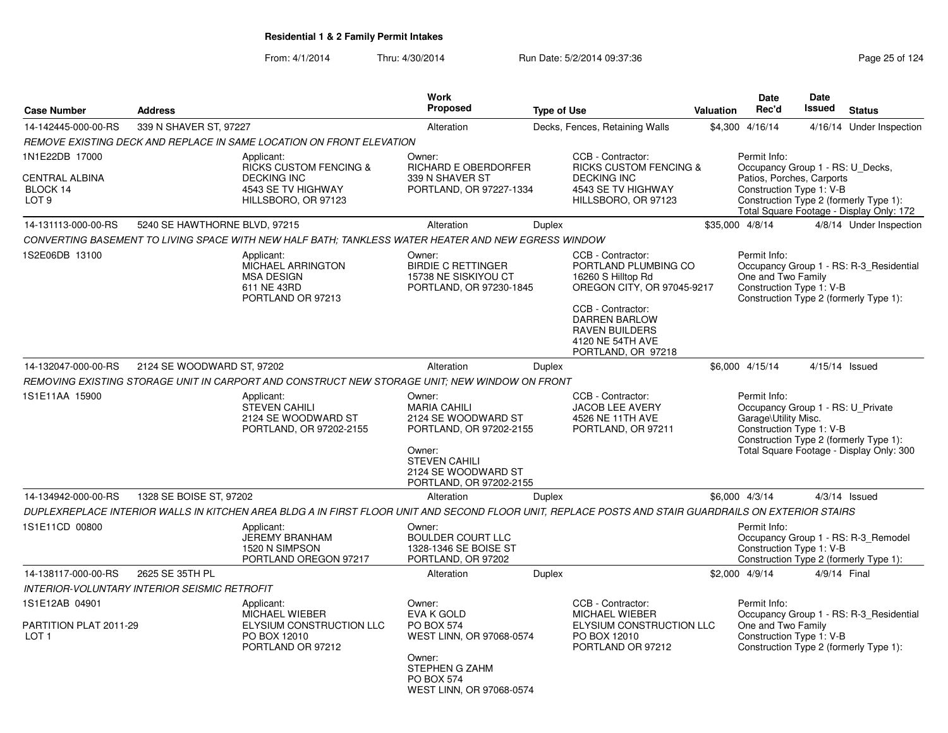| <b>Case Number</b>                                                      | <b>Address</b>                                      |                                                                                                                                                      | <b>Work</b><br>Proposed                                                                                                                                             | <b>Type of Use</b> |                                                                                                                                                                                                               | Valuation | <b>Date</b><br>Rec'd                                                                                      | <b>Date</b><br><b>Issued</b> | <b>Status</b>                                                                      |
|-------------------------------------------------------------------------|-----------------------------------------------------|------------------------------------------------------------------------------------------------------------------------------------------------------|---------------------------------------------------------------------------------------------------------------------------------------------------------------------|--------------------|---------------------------------------------------------------------------------------------------------------------------------------------------------------------------------------------------------------|-----------|-----------------------------------------------------------------------------------------------------------|------------------------------|------------------------------------------------------------------------------------|
| 14-142445-000-00-RS                                                     | 339 N SHAVER ST, 97227                              |                                                                                                                                                      | Alteration                                                                                                                                                          |                    | Decks, Fences, Retaining Walls                                                                                                                                                                                |           | \$4,300 4/16/14                                                                                           | 4/16/14                      | Under Inspection                                                                   |
|                                                                         |                                                     | REMOVE EXISTING DECK AND REPLACE IN SAME LOCATION ON FRONT ELEVATION                                                                                 |                                                                                                                                                                     |                    |                                                                                                                                                                                                               |           |                                                                                                           |                              |                                                                                    |
| 1N1E22DB 17000<br><b>CENTRAL ALBINA</b><br>BLOCK 14<br>LOT <sub>9</sub> |                                                     | Applicant:<br><b>RICKS CUSTOM FENCING &amp;</b><br><b>DECKING INC</b><br>4543 SE TV HIGHWAY<br>HILLSBORO, OR 97123                                   | Owner:<br><b>RICHARD E OBERDORFER</b><br>339 N SHAVER ST<br>PORTLAND, OR 97227-1334                                                                                 |                    | CCB - Contractor:<br><b>RICKS CUSTOM FENCING &amp;</b><br><b>DECKING INC</b><br>4543 SE TV HIGHWAY<br>HILLSBORO, OR 97123                                                                                     |           | Permit Info:<br>Occupancy Group 1 - RS: U_Decks,<br>Patios, Porches, Carports<br>Construction Type 1: V-B |                              | Construction Type 2 (formerly Type 1):<br>Total Square Footage - Display Only: 172 |
| 14-131113-000-00-RS                                                     | 5240 SE HAWTHORNE BLVD, 97215                       |                                                                                                                                                      | Alteration                                                                                                                                                          | Duplex             |                                                                                                                                                                                                               |           | \$35,000 4/8/14                                                                                           |                              | 4/8/14 Under Inspection                                                            |
|                                                                         |                                                     | CONVERTING BASEMENT TO LIVING SPACE WITH NEW HALF BATH; TANKLESS WATER HEATER AND NEW EGRESS WINDOW                                                  |                                                                                                                                                                     |                    |                                                                                                                                                                                                               |           |                                                                                                           |                              |                                                                                    |
| 1S2E06DB 13100                                                          |                                                     | Applicant:<br>MICHAEL ARRINGTON<br><b>MSA DESIGN</b><br>611 NE 43RD<br>PORTLAND OR 97213                                                             | Owner:<br><b>BIRDIE C RETTINGER</b><br>15738 NE SISKIYOU CT<br>PORTLAND, OR 97230-1845                                                                              |                    | CCB - Contractor:<br>PORTLAND PLUMBING CO<br>16260 S Hilltop Rd<br>OREGON CITY, OR 97045-9217<br>CCB - Contractor:<br><b>DARREN BARLOW</b><br><b>RAVEN BUILDERS</b><br>4120 NE 54TH AVE<br>PORTLAND, OR 97218 |           | Permit Info:<br>One and Two Family<br>Construction Type 1: V-B                                            |                              | Occupancy Group 1 - RS: R-3_Residential<br>Construction Type 2 (formerly Type 1):  |
| 14-132047-000-00-RS                                                     | 2124 SE WOODWARD ST, 97202                          |                                                                                                                                                      | Alteration                                                                                                                                                          | Duplex             |                                                                                                                                                                                                               |           | \$6,000 4/15/14                                                                                           |                              | 4/15/14 Issued                                                                     |
|                                                                         |                                                     | REMOVING EXISTING STORAGE UNIT IN CARPORT AND CONSTRUCT NEW STORAGE UNIT: NEW WINDOW ON FRONT                                                        |                                                                                                                                                                     |                    |                                                                                                                                                                                                               |           |                                                                                                           |                              |                                                                                    |
| 1S1E11AA 15900                                                          |                                                     | Applicant:<br><b>STEVEN CAHILI</b><br>2124 SE WOODWARD ST<br>PORTLAND, OR 97202-2155                                                                 | Owner:<br><b>MARIA CAHILI</b><br>2124 SE WOODWARD ST<br>PORTLAND, OR 97202-2155<br>Owner:<br><b>STEVEN CAHILI</b><br>2124 SE WOODWARD ST<br>PORTLAND, OR 97202-2155 |                    | CCB - Contractor:<br>JACOB LEE AVERY<br>4526 NE 11TH AVE<br>PORTLAND, OR 97211                                                                                                                                |           | Permit Info:<br>Occupancy Group 1 - RS: U_Private<br>Garage\Utility Misc.<br>Construction Type 1: V-B     |                              | Construction Type 2 (formerly Type 1):<br>Total Square Footage - Display Only: 300 |
| 14-134942-000-00-RS                                                     | 1328 SE BOISE ST, 97202                             |                                                                                                                                                      | Alteration                                                                                                                                                          | <b>Duplex</b>      |                                                                                                                                                                                                               |           | \$6,000 4/3/14                                                                                            |                              | $4/3/14$ Issued                                                                    |
|                                                                         |                                                     | DUPLEXREPLACE INTERIOR WALLS IN KITCHEN AREA BLDG A IN FIRST FLOOR UNIT AND SECOND FLOOR UNIT, REPLACE POSTS AND STAIR GUARDRAILS ON EXTERIOR STAIRS |                                                                                                                                                                     |                    |                                                                                                                                                                                                               |           |                                                                                                           |                              |                                                                                    |
| 1S1E11CD 00800                                                          |                                                     | Applicant:<br><b>JEREMY BRANHAM</b><br>1520 N SIMPSON<br>PORTLAND OREGON 97217                                                                       | Owner:<br><b>BOULDER COURT LLC</b><br>1328-1346 SE BOISE ST<br>PORTLAND, OR 97202                                                                                   |                    |                                                                                                                                                                                                               |           | Permit Info:<br>Construction Type 1: V-B                                                                  |                              | Occupancy Group 1 - RS: R-3_Remodel<br>Construction Type 2 (formerly Type 1):      |
| 14-138117-000-00-RS                                                     | 2625 SE 35TH PL                                     |                                                                                                                                                      | Alteration                                                                                                                                                          | <b>Duplex</b>      |                                                                                                                                                                                                               |           | \$2,000 4/9/14                                                                                            |                              | 4/9/14 Final                                                                       |
|                                                                         | <b>INTERIOR-VOLUNTARY INTERIOR SEISMIC RETROFIT</b> |                                                                                                                                                      |                                                                                                                                                                     |                    |                                                                                                                                                                                                               |           |                                                                                                           |                              |                                                                                    |
| 1S1E12AB 04901<br>PARTITION PLAT 2011-29<br>LOT <sub>1</sub>            |                                                     | Applicant:<br>MICHAEL WIEBER<br><b>ELYSIUM CONSTRUCTION LLC</b><br>PO BOX 12010<br>PORTLAND OR 97212                                                 | Owner:<br>EVA K GOLD<br><b>PO BOX 574</b><br>WEST LINN, OR 97068-0574<br>Owner:<br>STEPHEN G ZAHM<br><b>PO BOX 574</b><br>WEST LINN, OR 97068-0574                  |                    | CCB - Contractor:<br><b>MICHAEL WIEBER</b><br>ELYSIUM CONSTRUCTION LLC<br>PO BOX 12010<br>PORTLAND OR 97212                                                                                                   |           | Permit Info:<br>One and Two Family<br>Construction Type 1: V-B                                            |                              | Occupancy Group 1 - RS: R-3_Residential<br>Construction Type 2 (formerly Type 1):  |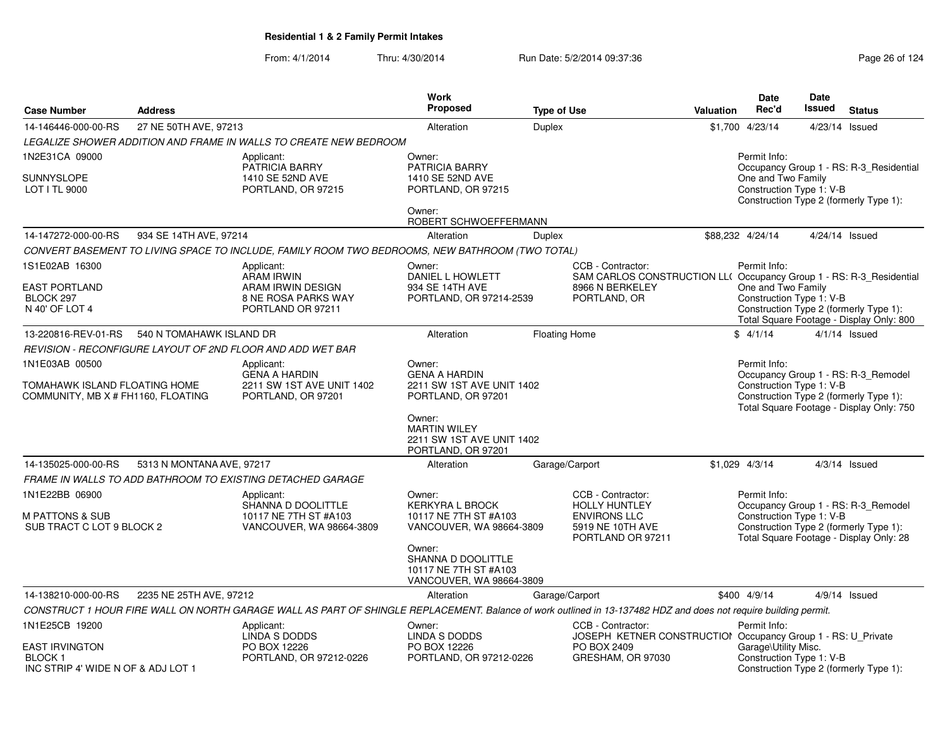| <b>Case Number</b>                                                        | <b>Address</b>            |                                                                                                                                                                 | Work<br>Proposed                                                                      | <b>Type of Use</b>   |                                                                                                           | <b>Valuation</b> | Date<br>Rec'd                                    | Date<br><b>Issued</b> | <b>Status</b>                                                                                                            |
|---------------------------------------------------------------------------|---------------------------|-----------------------------------------------------------------------------------------------------------------------------------------------------------------|---------------------------------------------------------------------------------------|----------------------|-----------------------------------------------------------------------------------------------------------|------------------|--------------------------------------------------|-----------------------|--------------------------------------------------------------------------------------------------------------------------|
| 14-146446-000-00-RS                                                       | 27 NE 50TH AVE, 97213     |                                                                                                                                                                 | Alteration                                                                            | <b>Duplex</b>        |                                                                                                           |                  | \$1,700 4/23/14                                  |                       | 4/23/14 Issued                                                                                                           |
|                                                                           |                           | LEGALIZE SHOWER ADDITION AND FRAME IN WALLS TO CREATE NEW BEDROOM                                                                                               |                                                                                       |                      |                                                                                                           |                  |                                                  |                       |                                                                                                                          |
| 1N2E31CA 09000                                                            |                           | Applicant:<br>PATRICIA BARRY                                                                                                                                    | Owner:<br>PATRICIA BARRY                                                              |                      |                                                                                                           |                  | Permit Info:<br>One and Two Family               |                       | Occupancy Group 1 - RS: R-3_Residential                                                                                  |
| <b>SUNNYSLOPE</b><br>LOT I TL 9000                                        |                           | 1410 SE 52ND AVE<br>PORTLAND, OR 97215                                                                                                                          | 1410 SE 52ND AVE<br>PORTLAND, OR 97215                                                |                      |                                                                                                           |                  | Construction Type 1: V-B                         |                       | Construction Type 2 (formerly Type 1):                                                                                   |
|                                                                           |                           |                                                                                                                                                                 | Owner:<br>ROBERT SCHWOEFFERMANN                                                       |                      |                                                                                                           |                  |                                                  |                       |                                                                                                                          |
| 14-147272-000-00-RS                                                       | 934 SE 14TH AVE, 97214    |                                                                                                                                                                 | Alteration                                                                            | Duplex               |                                                                                                           |                  | \$88,232 4/24/14                                 |                       | 4/24/14 Issued                                                                                                           |
|                                                                           |                           | CONVERT BASEMENT TO LIVING SPACE TO INCLUDE, FAMILY ROOM TWO BEDROOMS, NEW BATHROOM (TWO TOTAL)                                                                 |                                                                                       |                      |                                                                                                           |                  |                                                  |                       |                                                                                                                          |
| 1S1E02AB 16300                                                            |                           | Applicant:<br><b>ARAM IRWIN</b>                                                                                                                                 | Owner:<br>DANIEL L HOWLETT                                                            |                      | CCB - Contractor:<br>SAM CARLOS CONSTRUCTION LL( Occupancy Group 1 - RS: R-3_Residential                  |                  | Permit Info:                                     |                       |                                                                                                                          |
| <b>EAST PORTLAND</b><br>BLOCK 297<br>N 40' OF LOT 4                       |                           | ARAM IRWIN DESIGN<br>8 NE ROSA PARKS WAY<br>PORTLAND OR 97211                                                                                                   | 934 SE 14TH AVE<br>PORTLAND, OR 97214-2539                                            |                      | 8966 N BERKELEY<br>PORTLAND, OR                                                                           |                  | One and Two Family<br>Construction Type 1: V-B   |                       | Construction Type 2 (formerly Type 1):<br>Total Square Footage - Display Only: 800                                       |
| 13-220816-REV-01-RS                                                       | 540 N TOMAHAWK ISLAND DR  |                                                                                                                                                                 | Alteration                                                                            | <b>Floating Home</b> |                                                                                                           |                  | \$4/1/14                                         |                       | $4/1/14$ Issued                                                                                                          |
|                                                                           |                           | REVISION - RECONFIGURE LAYOUT OF 2ND FLOOR AND ADD WET BAR                                                                                                      |                                                                                       |                      |                                                                                                           |                  |                                                  |                       |                                                                                                                          |
| 1N1E03AB 00500                                                            |                           | Applicant:<br><b>GENA A HARDIN</b>                                                                                                                              | Owner:<br><b>GENA A HARDIN</b>                                                        |                      |                                                                                                           |                  | Permit Info:                                     |                       | Occupancy Group 1 - RS: R-3_Remodel                                                                                      |
| TOMAHAWK ISLAND FLOATING HOME<br>COMMUNITY, MB X # FH1160, FLOATING       |                           | 2211 SW 1ST AVE UNIT 1402<br>PORTLAND, OR 97201                                                                                                                 | 2211 SW 1ST AVE UNIT 1402<br>PORTLAND, OR 97201                                       |                      |                                                                                                           |                  | Construction Type 1: V-B                         |                       | Construction Type 2 (formerly Type 1):<br>Total Square Footage - Display Only: 750                                       |
|                                                                           |                           |                                                                                                                                                                 | Owner:<br><b>MARTIN WILEY</b><br>2211 SW 1ST AVE UNIT 1402<br>PORTLAND, OR 97201      |                      |                                                                                                           |                  |                                                  |                       |                                                                                                                          |
| 14-135025-000-00-RS                                                       | 5313 N MONTANA AVE, 97217 |                                                                                                                                                                 | Alteration                                                                            | Garage/Carport       |                                                                                                           |                  | \$1.029 4/3/14                                   |                       | $4/3/14$ Issued                                                                                                          |
|                                                                           |                           | FRAME IN WALLS TO ADD BATHROOM TO EXISTING DETACHED GARAGE                                                                                                      |                                                                                       |                      |                                                                                                           |                  |                                                  |                       |                                                                                                                          |
| 1N1E22BB 06900<br><b>M PATTONS &amp; SUB</b><br>SUB TRACT C LOT 9 BLOCK 2 |                           | Applicant:<br>SHANNA D DOOLITTLE<br>10117 NE 7TH ST #A103<br>VANCOUVER, WA 98664-3809                                                                           | Owner:<br><b>KERKYRA L BROCK</b><br>10117 NE 7TH ST #A103<br>VANCOUVER, WA 98664-3809 |                      | CCB - Contractor:<br><b>HOLLY HUNTLEY</b><br><b>ENVIRONS LLC</b><br>5919 NE 10TH AVE<br>PORTLAND OR 97211 |                  | Permit Info:<br>Construction Type 1: V-B         |                       | Occupancy Group 1 - RS: R-3_Remodel<br>Construction Type 2 (formerly Type 1):<br>Total Square Footage - Display Only: 28 |
|                                                                           |                           |                                                                                                                                                                 | Owner:<br>SHANNA D DOOLITTLE<br>10117 NE 7TH ST #A103<br>VANCOUVER, WA 98664-3809     |                      |                                                                                                           |                  |                                                  |                       |                                                                                                                          |
| 14-138210-000-00-RS                                                       | 2235 NE 25TH AVE, 97212   |                                                                                                                                                                 | Alteration                                                                            | Garage/Carport       |                                                                                                           |                  | \$400 4/9/14                                     |                       | $4/9/14$ Issued                                                                                                          |
|                                                                           |                           | CONSTRUCT 1 HOUR FIRE WALL ON NORTH GARAGE WALL AS PART OF SHINGLE REPLACEMENT. Balance of work outlined in 13-137482 HDZ and does not require building permit. |                                                                                       |                      |                                                                                                           |                  |                                                  |                       |                                                                                                                          |
| 1N1E25CB 19200                                                            |                           | Applicant:<br>LINDA S DODDS                                                                                                                                     | Owner:<br>LINDA S DODDS                                                               |                      | CCB - Contractor:<br>JOSEPH KETNER CONSTRUCTION Occupancy Group 1 - RS: U_Private                         |                  | Permit Info:                                     |                       |                                                                                                                          |
| <b>EAST IRVINGTON</b><br>BLOCK 1<br>INC STRIP 4' WIDE N OF & ADJ LOT 1    |                           | PO BOX 12226<br>PORTLAND, OR 97212-0226                                                                                                                         | PO BOX 12226<br>PORTLAND, OR 97212-0226                                               |                      | PO BOX 2409<br>GRESHAM, OR 97030                                                                          |                  | Garage\Utility Misc.<br>Construction Type 1: V-B |                       | Construction Type 2 (formerly Type 1):                                                                                   |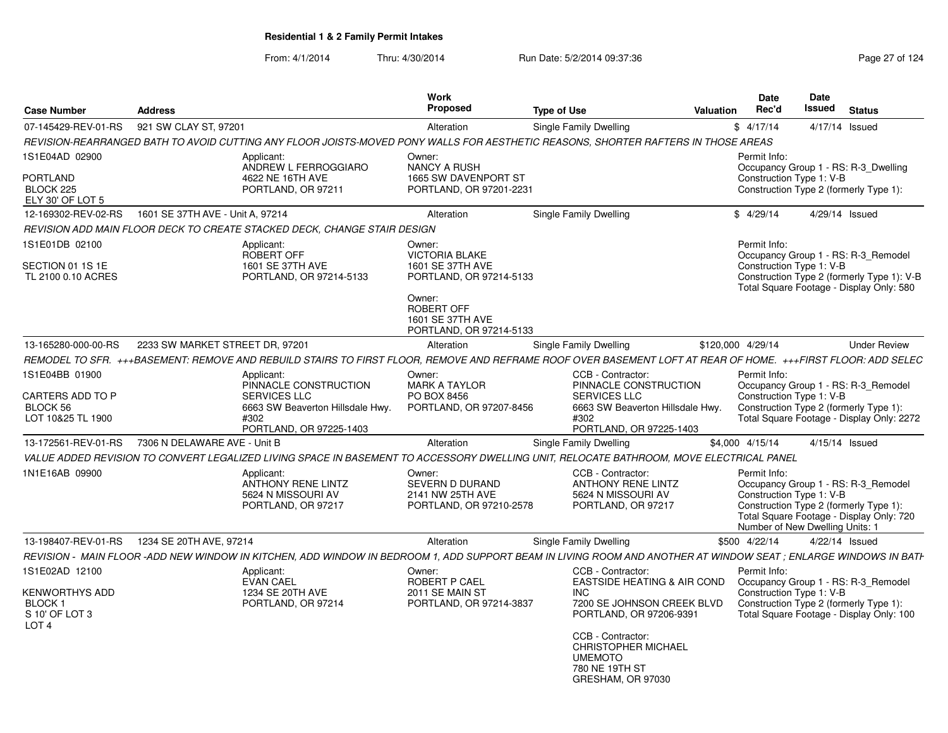| <b>Case Number</b>                                                                | <b>Address</b>                                                                                                                                                  |                                                                | Work<br>Proposed                                                                                                                                      | <b>Type of Use</b>                                                                                                                                                                                   | Valuation                   | Date<br>Rec'd | Date<br>Issued                                              | <b>Status</b>                                                                                                                 |
|-----------------------------------------------------------------------------------|-----------------------------------------------------------------------------------------------------------------------------------------------------------------|----------------------------------------------------------------|-------------------------------------------------------------------------------------------------------------------------------------------------------|------------------------------------------------------------------------------------------------------------------------------------------------------------------------------------------------------|-----------------------------|---------------|-------------------------------------------------------------|-------------------------------------------------------------------------------------------------------------------------------|
| 07-145429-REV-01-RS                                                               | 921 SW CLAY ST, 97201                                                                                                                                           |                                                                | Alteration                                                                                                                                            | Single Family Dwelling                                                                                                                                                                               |                             | \$4/17/14     | 4/17/14 Issued                                              |                                                                                                                               |
|                                                                                   | REVISION-REARRANGED BATH TO AVOID CUTTING ANY FLOOR JOISTS-MOVED PONY WALLS FOR AESTHETIC REASONS, SHORTER RAFTERS IN THOSE AREAS                               |                                                                |                                                                                                                                                       |                                                                                                                                                                                                      |                             |               |                                                             |                                                                                                                               |
| 1S1E04AD 02900<br><b>PORTLAND</b><br>BLOCK 225<br>ELY 30' OF LOT 5                | Applicant:                                                                                                                                                      | ANDREW L FERROGGIARO<br>4622 NE 16TH AVE<br>PORTLAND, OR 97211 | Owner:<br><b>NANCY A RUSH</b><br>1665 SW DAVENPORT ST<br>PORTLAND, OR 97201-2231                                                                      |                                                                                                                                                                                                      |                             | Permit Info:  | Construction Type 1: V-B                                    | Occupancy Group 1 - RS: R-3_Dwelling<br>Construction Type 2 (formerly Type 1):                                                |
| 12-169302-REV-02-RS                                                               | 1601 SE 37TH AVE - Unit A, 97214                                                                                                                                |                                                                | Alteration                                                                                                                                            | Single Family Dwelling                                                                                                                                                                               |                             | \$4/29/14     | 4/29/14 Issued                                              |                                                                                                                               |
|                                                                                   | REVISION ADD MAIN FLOOR DECK TO CREATE STACKED DECK, CHANGE STAIR DESIGN                                                                                        |                                                                |                                                                                                                                                       |                                                                                                                                                                                                      |                             |               |                                                             |                                                                                                                               |
| 1S1E01DB 02100<br>SECTION 01 1S 1E<br>TL 2100 0.10 ACRES                          | Applicant:<br>ROBERT OFF                                                                                                                                        | 1601 SE 37TH AVE<br>PORTLAND, OR 97214-5133                    | Owner:<br><b>VICTORIA BLAKE</b><br>1601 SE 37TH AVE<br>PORTLAND, OR 97214-5133<br>Owner:<br>ROBERT OFF<br>1601 SE 37TH AVE<br>PORTLAND, OR 97214-5133 |                                                                                                                                                                                                      |                             | Permit Info:  | Construction Type 1: V-B                                    | Occupancy Group 1 - RS: R-3 Remodel<br>Construction Type 2 (formerly Type 1): V-B<br>Total Square Footage - Display Only: 580 |
| 13-165280-000-00-RS                                                               | 2233 SW MARKET STREET DR, 97201                                                                                                                                 |                                                                | Alteration                                                                                                                                            | Single Family Dwelling                                                                                                                                                                               | \$120,000 4/29/14           |               |                                                             | <b>Under Review</b>                                                                                                           |
|                                                                                   | REMODEL TO SFR. +++BASEMENT: REMOVE AND REBUILD STAIRS TO FIRST FLOOR, REMOVE AND REFRAME ROOF OVER BASEMENT LOFT AT REAR OF HOME. +++FIRST FLOOR: ADD SELEC    |                                                                |                                                                                                                                                       |                                                                                                                                                                                                      |                             |               |                                                             |                                                                                                                               |
| 1S1E04BB 01900<br>CARTERS ADD TO P<br>BLOCK 56<br>LOT 10&25 TL 1900               | Applicant:<br><b>SERVICES LLC</b><br>#302                                                                                                                       | PINNACLE CONSTRUCTION<br>6663 SW Beaverton Hillsdale Hwy.      | Owner:<br><b>MARK A TAYLOR</b><br>PO BOX 8456<br>PORTLAND, OR 97207-8456                                                                              | CCB - Contractor:<br>PINNACLE CONSTRUCTION<br><b>SERVICES LLC</b><br>6663 SW Beaverton Hillsdale Hwy.<br>#302                                                                                        |                             | Permit Info:  | Construction Type 1: V-B                                    | Occupancy Group 1 - RS: R-3 Remodel<br>Construction Type 2 (formerly Type 1):<br>Total Square Footage - Display Only: 2272    |
|                                                                                   |                                                                                                                                                                 | PORTLAND, OR 97225-1403                                        |                                                                                                                                                       | PORTLAND, OR 97225-1403                                                                                                                                                                              |                             |               |                                                             |                                                                                                                               |
| 13-172561-REV-01-RS                                                               | 7306 N DELAWARE AVE - Unit B                                                                                                                                    |                                                                | Alteration                                                                                                                                            | Single Family Dwelling                                                                                                                                                                               | \$4,000 4/15/14             |               | 4/15/14 Issued                                              |                                                                                                                               |
| 1N1E16AB 09900                                                                    | VALUE ADDED REVISION TO CONVERT LEGALIZED LIVING SPACE IN BASEMENT TO ACCESSORY DWELLING UNIT, RELOCATE BATHROOM, MOVE ELECTRICAL PANEL<br>Applicant:           | ANTHONY RENE LINTZ<br>5624 N MISSOURI AV<br>PORTLAND, OR 97217 | Owner:<br>SEVERN D DURAND<br>2141 NW 25TH AVE<br>PORTLAND, OR 97210-2578                                                                              | CCB - Contractor:<br><b>ANTHONY RENE LINTZ</b><br>5624 N MISSOURI AV<br>PORTLAND, OR 97217                                                                                                           |                             | Permit Info:  | Construction Type 1: V-B<br>Number of New Dwelling Units: 1 | Occupancy Group 1 - RS: R-3 Remodel<br>Construction Type 2 (formerly Type 1):<br>Total Square Footage - Display Only: 720     |
| 13-198407-REV-01-RS                                                               | 1234 SE 20TH AVE, 97214                                                                                                                                         |                                                                | Alteration                                                                                                                                            | Single Family Dwelling                                                                                                                                                                               |                             | \$500 4/22/14 | 4/22/14 Issued                                              |                                                                                                                               |
|                                                                                   | REVISION - MAIN FLOOR -ADD NEW WINDOW IN KITCHEN. ADD WINDOW IN BEDROOM 1. ADD SUPPORT BEAM IN LIVING ROOM AND ANOTHER AT WINDOW SEAT : ENLARGE WINDOWS IN BATH |                                                                |                                                                                                                                                       |                                                                                                                                                                                                      |                             |               |                                                             |                                                                                                                               |
| 1S1E02AD 12100<br>KENWORTHYS ADD<br>BLOCK 1<br>S 10' OF LOT 3<br>LOT <sub>4</sub> | Applicant:<br>EVAN CAEL                                                                                                                                         | 1234 SE 20TH AVE<br>PORTLAND, OR 97214                         | Owner:<br><b>ROBERT P CAEL</b><br>2011 SE MAIN ST<br>PORTLAND, OR 97214-3837                                                                          | CCB - Contractor:<br><b>INC</b><br>7200 SE JOHNSON CREEK BLVD<br>PORTLAND, OR 97206-9391<br>CCB - Contractor:<br><b>CHRISTOPHER MICHAEL</b><br><b>UMEMOTO</b><br>780 NE 19TH ST<br>GRESHAM, OR 97030 | EASTSIDE HEATING & AIR COND | Permit Info:  | Construction Type 1: V-B                                    | Occupancy Group 1 - RS: R-3_Remodel<br>Construction Type 2 (formerly Type 1):<br>Total Square Footage - Display Only: 100     |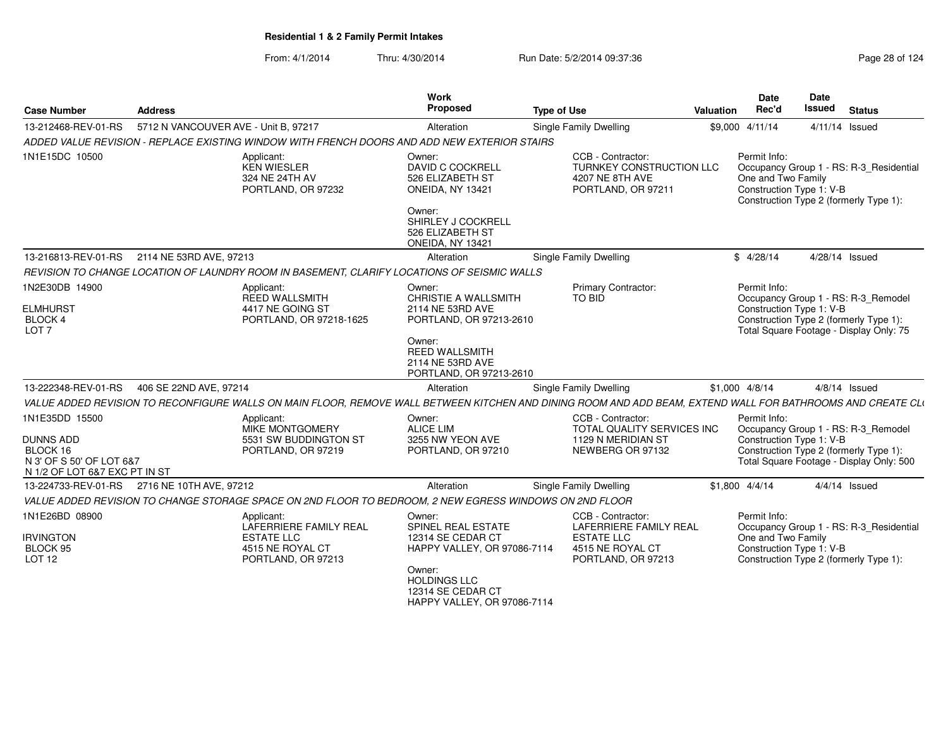| <b>Case Number</b>                                                           | <b>Address</b>                       |                                                                                                         | Work<br>Proposed                                                                  | <b>Type of Use</b>                                                                                                                                          | <b>Valuation</b> | <b>Date</b><br>Rec'd                                           | Date<br><b>Issued</b> | <b>Status</b>                                                                                                             |
|------------------------------------------------------------------------------|--------------------------------------|---------------------------------------------------------------------------------------------------------|-----------------------------------------------------------------------------------|-------------------------------------------------------------------------------------------------------------------------------------------------------------|------------------|----------------------------------------------------------------|-----------------------|---------------------------------------------------------------------------------------------------------------------------|
| 13-212468-REV-01-RS                                                          | 5712 N VANCOUVER AVE - Unit B, 97217 |                                                                                                         | Alteration                                                                        | <b>Single Family Dwelling</b>                                                                                                                               |                  | \$9,000 4/11/14                                                |                       | 4/11/14 Issued                                                                                                            |
|                                                                              |                                      | ADDED VALUE REVISION - REPLACE EXISTING WINDOW WITH FRENCH DOORS AND ADD NEW EXTERIOR STAIRS            |                                                                                   |                                                                                                                                                             |                  |                                                                |                       |                                                                                                                           |
| 1N1E15DC 10500                                                               |                                      | Applicant:<br><b>KEN WIESLER</b><br>324 NE 24TH AV<br>PORTLAND, OR 97232                                | Owner:<br><b>DAVID C COCKRELL</b><br>526 ELIZABETH ST<br>ONEIDA, NY 13421         | CCB - Contractor:<br><b>TURNKEY CONSTRUCTION LLC</b><br>4207 NE 8TH AVE<br>PORTLAND, OR 97211                                                               |                  | Permit Info:<br>One and Two Family<br>Construction Type 1: V-B |                       | Occupancy Group 1 - RS: R-3_Residential<br>Construction Type 2 (formerly Type 1):                                         |
|                                                                              |                                      |                                                                                                         | Owner:<br>SHIRLEY J COCKRELL<br>526 ELIZABETH ST<br>ONEIDA, NY 13421              |                                                                                                                                                             |                  |                                                                |                       |                                                                                                                           |
| 13-216813-REV-01-RS                                                          | 2114 NE 53RD AVE, 97213              |                                                                                                         | Alteration                                                                        | Single Family Dwelling                                                                                                                                      |                  | \$4/28/14                                                      | 4/28/14 Issued        |                                                                                                                           |
|                                                                              |                                      | REVISION TO CHANGE LOCATION OF LAUNDRY ROOM IN BASEMENT, CLARIFY LOCATIONS OF SEISMIC WALLS             |                                                                                   |                                                                                                                                                             |                  |                                                                |                       |                                                                                                                           |
| 1N2E30DB 14900                                                               |                                      | Applicant:<br>REED WALLSMITH                                                                            | Owner:<br>CHRISTIE A WALLSMITH                                                    | Primary Contractor:<br>TO BID                                                                                                                               |                  | Permit Info:                                                   |                       | Occupancy Group 1 - RS: R-3_Remodel                                                                                       |
| <b>ELMHURST</b><br>BLOCK 4<br>LOT <sub>7</sub>                               |                                      | 4417 NE GOING ST<br>PORTLAND, OR 97218-1625                                                             | 2114 NE 53RD AVE<br>PORTLAND, OR 97213-2610                                       |                                                                                                                                                             |                  | Construction Type 1: V-B                                       |                       | Construction Type 2 (formerly Type 1):<br>Total Square Footage - Display Only: 75                                         |
|                                                                              |                                      |                                                                                                         | Owner:<br><b>REED WALLSMITH</b><br>2114 NE 53RD AVE<br>PORTLAND, OR 97213-2610    |                                                                                                                                                             |                  |                                                                |                       |                                                                                                                           |
| 13-222348-REV-01-RS                                                          | 406 SE 22ND AVE, 97214               |                                                                                                         | Alteration                                                                        | Single Family Dwelling                                                                                                                                      |                  | \$1,000 4/8/14                                                 |                       | $4/8/14$ Issued                                                                                                           |
|                                                                              |                                      |                                                                                                         |                                                                                   | VALUE ADDED REVISION TO RECONFIGURE WALLS ON MAIN FLOOR, REMOVE WALL BETWEEN KITCHEN AND DINING ROOM AND ADD BEAM, EXTEND WALL FOR BATHROOMS AND CREATE CLI |                  |                                                                |                       |                                                                                                                           |
| 1N1E35DD 15500<br><b>DUNNS ADD</b><br>BLOCK 16<br>N 3' OF S 50' OF LOT 6&7   |                                      | Applicant:<br>MIKE MONTGOMERY<br>5531 SW BUDDINGTON ST<br>PORTLAND, OR 97219                            | Owner:<br><b>ALICE LIM</b><br>3255 NW YEON AVE<br>PORTLAND, OR 97210              | CCB - Contractor:<br>TOTAL QUALITY SERVICES INC<br>1129 N MERIDIAN ST<br>NEWBERG OR 97132                                                                   |                  | Permit Info:<br>Construction Type 1: V-B                       |                       | Occupancy Group 1 - RS: R-3_Remodel<br>Construction Type 2 (formerly Type 1):<br>Total Square Footage - Display Only: 500 |
| N 1/2 OF LOT 6&7 EXC PT IN ST<br>13-224733-REV-01-RS 2716 NE 10TH AVE, 97212 |                                      |                                                                                                         | Alteration                                                                        | Single Family Dwelling                                                                                                                                      |                  | $$1,800$ 4/4/14                                                |                       | $4/4/14$ Issued                                                                                                           |
|                                                                              |                                      | VALUE ADDED REVISION TO CHANGE STORAGE SPACE ON 2ND FLOOR TO BEDROOM, 2 NEW EGRESS WINDOWS ON 2ND FLOOR |                                                                                   |                                                                                                                                                             |                  |                                                                |                       |                                                                                                                           |
| 1N1E26BD 08900                                                               |                                      | Applicant:                                                                                              | Owner:                                                                            | CCB - Contractor:                                                                                                                                           |                  | Permit Info:                                                   |                       |                                                                                                                           |
| <b>IRVINGTON</b><br>BLOCK 95<br>LOT <sub>12</sub>                            |                                      | LAFERRIERE FAMILY REAL<br><b>ESTATE LLC</b><br>4515 NE ROYAL CT<br>PORTLAND, OR 97213                   | SPINEL REAL ESTATE<br>12314 SE CEDAR CT<br>HAPPY VALLEY, OR 97086-7114            | LAFERRIERE FAMILY REAL<br><b>ESTATE LLC</b><br>4515 NE ROYAL CT<br>PORTLAND, OR 97213                                                                       |                  | One and Two Family<br>Construction Type 1: V-B                 |                       | Occupancy Group 1 - RS: R-3_Residential<br>Construction Type 2 (formerly Type 1):                                         |
|                                                                              |                                      |                                                                                                         | Owner:<br><b>HOLDINGS LLC</b><br>12314 SE CEDAR CT<br>HAPPY VALLEY, OR 97086-7114 |                                                                                                                                                             |                  |                                                                |                       |                                                                                                                           |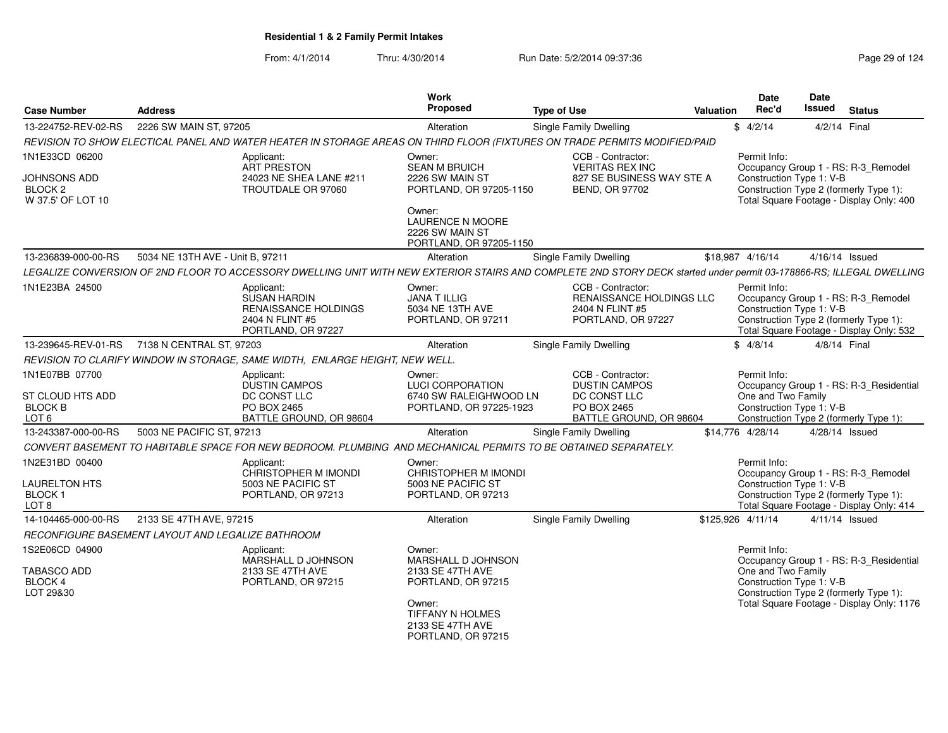| <b>Case Number</b>                                             | <b>Address</b>                                    |                                                                                                                                                                      | <b>Work</b><br>Proposed                                                         | <b>Type of Use</b>                                                                     | Valuation | <b>Date</b><br>Rec'd | <b>Date</b><br><b>Issued</b>                   | <b>Status</b>                                                                                                             |
|----------------------------------------------------------------|---------------------------------------------------|----------------------------------------------------------------------------------------------------------------------------------------------------------------------|---------------------------------------------------------------------------------|----------------------------------------------------------------------------------------|-----------|----------------------|------------------------------------------------|---------------------------------------------------------------------------------------------------------------------------|
| 13-224752-REV-02-RS                                            | 2226 SW MAIN ST, 97205                            |                                                                                                                                                                      | Alteration                                                                      | Single Family Dwelling                                                                 |           | \$4/2/14             |                                                | 4/2/14 Final                                                                                                              |
|                                                                |                                                   | REVISION TO SHOW ELECTICAL PANEL AND WATER HEATER IN STORAGE AREAS ON THIRD FLOOR (FIXTURES ON TRADE PERMITS MODIFIED/PAID                                           |                                                                                 |                                                                                        |           |                      |                                                |                                                                                                                           |
| 1N1E33CD 06200                                                 |                                                   | Applicant:<br>ART PRESTON                                                                                                                                            | Owner:<br><b>SEAN M BRUICH</b>                                                  | CCB - Contractor:<br><b>VERITAS REX INC</b>                                            |           | Permit Info:         |                                                | Occupancy Group 1 - RS: R-3_Remodel                                                                                       |
| JOHNSONS ADD<br>BLOCK <sub>2</sub><br>W 37.5' OF LOT 10        |                                                   | 24023 NE SHEA LANE #211<br>TROUTDALE OR 97060                                                                                                                        | 2226 SW MAIN ST<br>PORTLAND, OR 97205-1150                                      | 827 SE BUSINESS WAY STE A<br><b>BEND, OR 97702</b>                                     |           |                      | Construction Type 1: V-B                       | Construction Type 2 (formerly Type 1):<br>Total Square Footage - Display Only: 400                                        |
|                                                                |                                                   |                                                                                                                                                                      | Owner:<br><b>LAURENCE N MOORE</b><br>2226 SW MAIN ST<br>PORTLAND, OR 97205-1150 |                                                                                        |           |                      |                                                |                                                                                                                           |
| 13-236839-000-00-RS                                            | 5034 NE 13TH AVE - Unit B. 97211                  |                                                                                                                                                                      | Alteration                                                                      | <b>Single Family Dwelling</b>                                                          |           | \$18.987 4/16/14     |                                                | 4/16/14 Issued                                                                                                            |
|                                                                |                                                   | LEGALIZE CONVERSION OF 2ND FLOOR TO ACCESSORY DWELLING UNIT WITH NEW EXTERIOR STAIRS AND COMPLETE 2ND STORY DECK started under permit 03-178866-RS; ILLEGAL DWELLING |                                                                                 |                                                                                        |           |                      |                                                |                                                                                                                           |
| 1N1E23BA 24500                                                 |                                                   | Applicant:<br><b>SUSAN HARDIN</b><br><b>RENAISSANCE HOLDINGS</b><br>2404 N FLINT #5<br>PORTLAND, OR 97227                                                            | Owner:<br><b>JANA T ILLIG</b><br>5034 NE 13TH AVE<br>PORTLAND, OR 97211         | CCB - Contractor:<br>RENAISSANCE HOLDINGS LLC<br>2404 N FLINT #5<br>PORTLAND, OR 97227 |           | Permit Info:         | Construction Type 1: V-B                       | Occupancy Group 1 - RS: R-3_Remodel<br>Construction Type 2 (formerly Type 1):<br>Total Square Footage - Display Only: 532 |
| 13-239645-REV-01-RS                                            | 7138 N CENTRAL ST, 97203                          |                                                                                                                                                                      | Alteration                                                                      | <b>Single Family Dwelling</b>                                                          |           | \$4/8/14             |                                                | 4/8/14 Final                                                                                                              |
|                                                                |                                                   | REVISION TO CLARIFY WINDOW IN STORAGE. SAME WIDTH. ENLARGE HEIGHT. NEW WELL                                                                                          |                                                                                 |                                                                                        |           |                      |                                                |                                                                                                                           |
| 1N1E07BB 07700<br>ST CLOUD HTS ADD                             |                                                   | Applicant:<br><b>DUSTIN CAMPOS</b><br>DC CONST LLC                                                                                                                   | Owner:<br><b>LUCI CORPORATION</b><br>6740 SW RALEIGHWOOD LN                     | CCB - Contractor:<br><b>DUSTIN CAMPOS</b><br>DC CONST LLC                              |           | Permit Info:         | One and Two Family                             | Occupancy Group 1 - RS: R-3_Residential                                                                                   |
| <b>BLOCK B</b><br>LOT <sub>6</sub>                             |                                                   | PO BOX 2465<br>BATTLE GROUND, OR 98604                                                                                                                               | PORTLAND, OR 97225-1923                                                         | PO BOX 2465<br>BATTLE GROUND, OR 98604                                                 |           |                      | Construction Type 1: V-B                       | Construction Type 2 (formerly Type 1):                                                                                    |
| 13-243387-000-00-RS                                            | 5003 NE PACIFIC ST, 97213                         |                                                                                                                                                                      | Alteration                                                                      | Single Family Dwelling                                                                 |           | \$14,776 4/28/14     |                                                | 4/28/14 Issued                                                                                                            |
|                                                                |                                                   | CONVERT BASEMENT TO HABITABLE SPACE FOR NEW BEDROOM. PLUMBING AND MECHANICAL PERMITS TO BE OBTAINED SEPARATELY.                                                      |                                                                                 |                                                                                        |           |                      |                                                |                                                                                                                           |
| 1N2E31BD 00400                                                 |                                                   | Applicant:<br>CHRISTOPHER M IMONDI                                                                                                                                   | Owner:<br>CHRISTOPHER M IMONDI                                                  |                                                                                        |           | Permit Info:         |                                                | Occupancy Group 1 - RS: R-3 Remodel                                                                                       |
| <b>LAURELTON HTS</b><br>BLOCK <sub>1</sub><br>LOT <sub>8</sub> |                                                   | 5003 NE PACIFIC ST<br>PORTLAND, OR 97213                                                                                                                             | 5003 NE PACIFIC ST<br>PORTLAND, OR 97213                                        |                                                                                        |           |                      | Construction Type 1: V-B                       | Construction Type 2 (formerly Type 1):<br>Total Square Footage - Display Only: 414                                        |
| 14-104465-000-00-RS                                            | 2133 SE 47TH AVE, 97215                           |                                                                                                                                                                      | Alteration                                                                      | <b>Single Family Dwelling</b>                                                          |           | \$125,926 4/11/14    |                                                | 4/11/14 Issued                                                                                                            |
|                                                                | RECONFIGURE BASEMENT LAYOUT AND LEGALIZE BATHROOM |                                                                                                                                                                      |                                                                                 |                                                                                        |           |                      |                                                |                                                                                                                           |
| 1S2E06CD 04900                                                 |                                                   | Applicant:                                                                                                                                                           | Owner:                                                                          |                                                                                        |           | Permit Info:         |                                                |                                                                                                                           |
| <b>TABASCO ADD</b><br>BLOCK 4<br>LOT 29&30                     |                                                   | MARSHALL D JOHNSON<br>2133 SE 47TH AVE<br>PORTLAND, OR 97215                                                                                                         | MARSHALL D JOHNSON<br>2133 SE 47TH AVE<br>PORTLAND, OR 97215                    |                                                                                        |           |                      | One and Two Family<br>Construction Type 1: V-B | Occupancy Group 1 - RS: R-3 Residential<br>Construction Type 2 (formerly Type 1):                                         |
|                                                                |                                                   |                                                                                                                                                                      | Owner:<br>TIFFANY N HOLMES<br>2133 SE 47TH AVE<br>PORTLAND, OR 97215            |                                                                                        |           |                      |                                                | Total Square Footage - Display Only: 1176                                                                                 |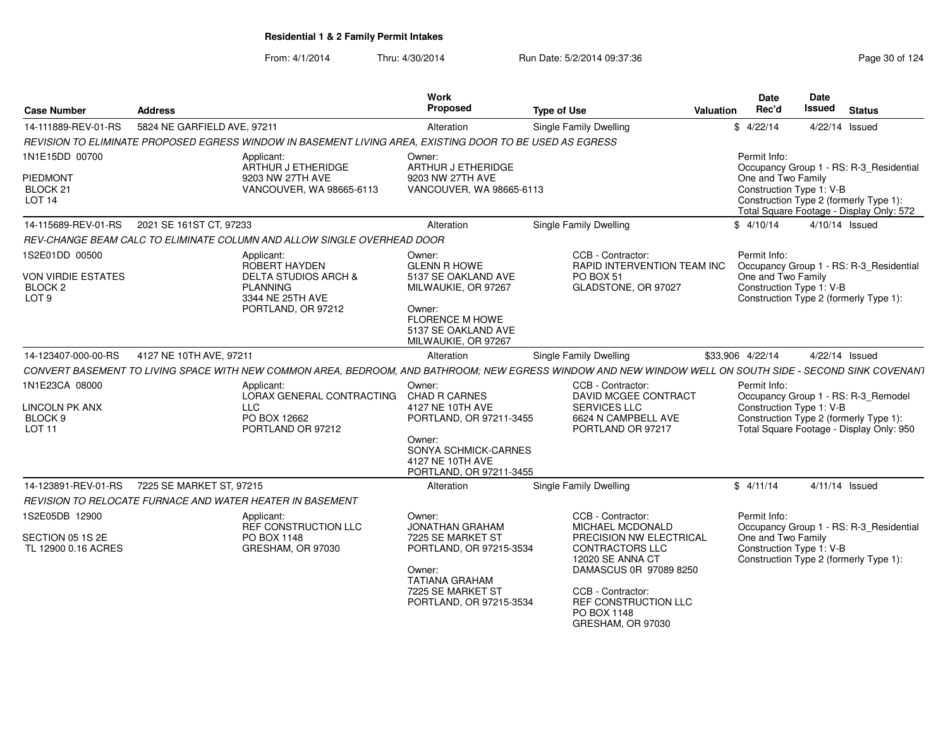| <b>Case Number</b>                                                             | <b>Address</b>              |                                                                                                                                                          | Work<br>Proposed                                                                                                                                              | <b>Type of Use</b> |                                                                                                                                                                                  | <b>Valuation</b> | Date<br>Rec'd                                                  | Date<br>Issued   | <b>Status</b>                                                                                                             |
|--------------------------------------------------------------------------------|-----------------------------|----------------------------------------------------------------------------------------------------------------------------------------------------------|---------------------------------------------------------------------------------------------------------------------------------------------------------------|--------------------|----------------------------------------------------------------------------------------------------------------------------------------------------------------------------------|------------------|----------------------------------------------------------------|------------------|---------------------------------------------------------------------------------------------------------------------------|
| 14-111889-REV-01-RS                                                            | 5824 NE GARFIELD AVE, 97211 |                                                                                                                                                          | Alteration                                                                                                                                                    |                    | Single Family Dwelling                                                                                                                                                           |                  | \$4/22/14                                                      | 4/22/14 Issued   |                                                                                                                           |
|                                                                                |                             | REVISION TO ELIMINATE PROPOSED EGRESS WINDOW IN BASEMENT LIVING AREA, EXISTING DOOR TO BE USED AS EGRESS                                                 |                                                                                                                                                               |                    |                                                                                                                                                                                  |                  |                                                                |                  |                                                                                                                           |
| 1N1E15DD 00700                                                                 |                             | Applicant:<br>ARTHUR J ETHERIDGE                                                                                                                         | Owner:<br>ARTHUR J ETHERIDGE                                                                                                                                  |                    |                                                                                                                                                                                  |                  | Permit Info:                                                   |                  | Occupancy Group 1 - RS: R-3_Residential                                                                                   |
| <b>PIEDMONT</b><br>BLOCK <sub>21</sub><br>LOT <sub>14</sub>                    |                             | 9203 NW 27TH AVE<br>VANCOUVER, WA 98665-6113                                                                                                             | 9203 NW 27TH AVE<br>VANCOUVER, WA 98665-6113                                                                                                                  |                    |                                                                                                                                                                                  |                  | One and Two Family<br>Construction Type 1: V-B                 |                  | Construction Type 2 (formerly Type 1):<br>Total Square Footage - Display Only: 572                                        |
| 14-115689-REV-01-RS                                                            | 2021 SE 161ST CT, 97233     |                                                                                                                                                          | Alteration                                                                                                                                                    |                    | Single Family Dwelling                                                                                                                                                           |                  | \$4/10/14                                                      | $4/10/14$ Issued |                                                                                                                           |
|                                                                                |                             | REV-CHANGE BEAM CALC TO ELIMINATE COLUMN AND ALLOW SINGLE OVERHEAD DOOR                                                                                  |                                                                                                                                                               |                    |                                                                                                                                                                                  |                  |                                                                |                  |                                                                                                                           |
| 1S2E01DD 00500<br>VON VIRDIE ESTATES<br>BLOCK <sub>2</sub><br>LOT <sub>9</sub> |                             | Applicant:<br>ROBERT HAYDEN<br><b>DELTA STUDIOS ARCH &amp;</b><br><b>PLANNING</b><br>3344 NE 25TH AVE<br>PORTLAND, OR 97212                              | Owner:<br><b>GLENN R HOWE</b><br>5137 SE OAKLAND AVE<br>MILWAUKIE, OR 97267<br>Owner:<br><b>FLORENCE M HOWE</b><br>5137 SE OAKLAND AVE<br>MILWAUKIE, OR 97267 |                    | CCB - Contractor:<br>RAPID INTERVENTION TEAM INC<br>PO BOX 51<br>GLADSTONE, OR 97027                                                                                             |                  | Permit Info:<br>One and Two Family<br>Construction Type 1: V-B |                  | Occupancy Group 1 - RS: R-3_Residential<br>Construction Type 2 (formerly Type 1):                                         |
| 14-123407-000-00-RS                                                            | 4127 NE 10TH AVE, 97211     |                                                                                                                                                          | Alteration                                                                                                                                                    |                    | Single Family Dwelling                                                                                                                                                           |                  | \$33,906 4/22/14                                               | 4/22/14 Issued   |                                                                                                                           |
|                                                                                |                             | CONVERT BASEMENT TO LIVING SPACE WITH NEW COMMON AREA, BEDROOM, AND BATHROOM; NEW EGRESS WINDOW AND NEW WINDOW WELL ON SOUTH SIDE - SECOND SINK COVENANT |                                                                                                                                                               |                    |                                                                                                                                                                                  |                  |                                                                |                  |                                                                                                                           |
| 1N1E23CA 08000<br><b>LINCOLN PK ANX</b><br>BLOCK 9<br>LOT <sub>11</sub>        |                             | Applicant:<br>LORAX GENERAL CONTRACTING<br><b>LLC</b><br>PO BOX 12662<br>PORTLAND OR 97212                                                               | Owner:<br><b>CHAD R CARNES</b><br>4127 NE 10TH AVE<br>PORTLAND, OR 97211-3455                                                                                 |                    | CCB - Contractor:<br>DAVID MCGEE CONTRACT<br><b>SERVICES LLC</b><br>6624 N CAMPBELL AVE<br>PORTLAND OR 97217                                                                     |                  | Permit Info:<br>Construction Type 1: V-B                       |                  | Occupancy Group 1 - RS: R-3_Remodel<br>Construction Type 2 (formerly Type 1):<br>Total Square Footage - Display Only: 950 |
|                                                                                |                             |                                                                                                                                                          | Owner:<br>SONYA SCHMICK-CARNES<br>4127 NE 10TH AVE<br>PORTLAND, OR 97211-3455                                                                                 |                    |                                                                                                                                                                                  |                  |                                                                |                  |                                                                                                                           |
| 14-123891-REV-01-RS                                                            | 7225 SE MARKET ST. 97215    |                                                                                                                                                          | Alteration                                                                                                                                                    |                    | Single Family Dwelling                                                                                                                                                           |                  | \$4/11/14                                                      |                  | 4/11/14 Issued                                                                                                            |
|                                                                                |                             | REVISION TO RELOCATE FURNACE AND WATER HEATER IN BASEMENT                                                                                                |                                                                                                                                                               |                    |                                                                                                                                                                                  |                  |                                                                |                  |                                                                                                                           |
| 1S2E05DB 12900                                                                 |                             | Applicant:<br>REF CONSTRUCTION LLC                                                                                                                       | Owner:<br>JONATHAN GRAHAM                                                                                                                                     |                    | CCB - Contractor:<br>MICHAEL MCDONALD                                                                                                                                            |                  | Permit Info:                                                   |                  | Occupancy Group 1 - RS: R-3_Residential                                                                                   |
| SECTION 05 1S 2E<br>TL 12900 0.16 ACRES                                        |                             | PO BOX 1148<br>GRESHAM, OR 97030                                                                                                                         | 7225 SE MARKET ST<br>PORTLAND, OR 97215-3534<br>Owner:<br><b>TATIANA GRAHAM</b><br>7225 SE MARKET ST<br>PORTLAND, OR 97215-3534                               |                    | PRECISION NW ELECTRICAL<br>CONTRACTORS LLC<br>12020 SE ANNA CT<br>DAMASCUS 0R 97089 8250<br>CCB - Contractor:<br><b>REF CONSTRUCTION LLC</b><br>PO BOX 1148<br>GRESHAM, OR 97030 |                  | One and Two Family<br>Construction Type 1: V-B                 |                  | Construction Type 2 (formerly Type 1):                                                                                    |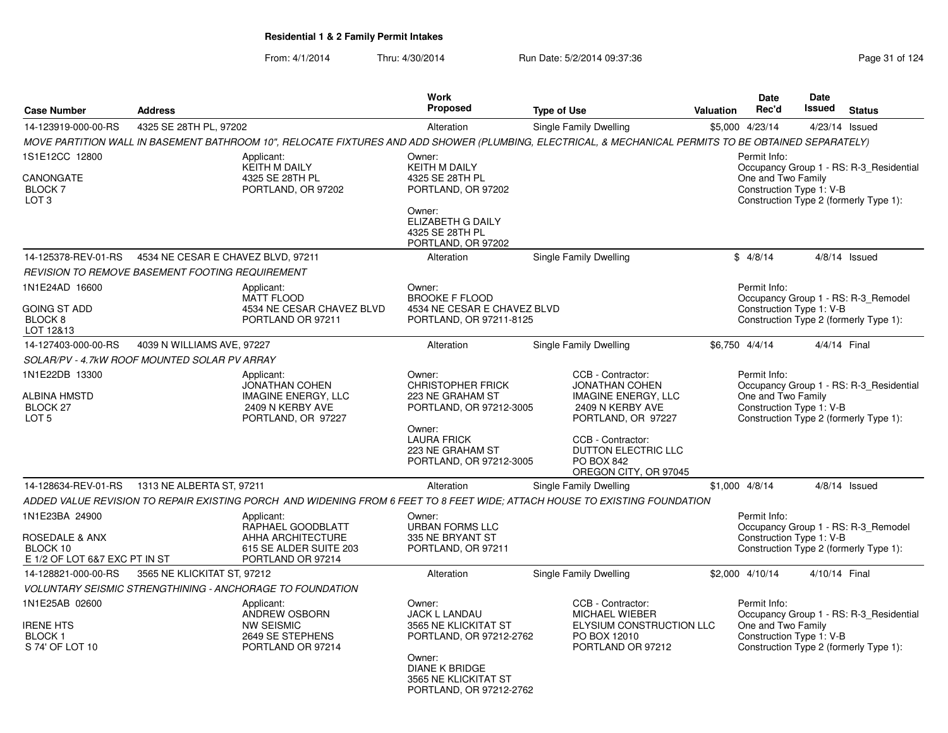|                                                                                          |                                    |                                                                                                                                                       | <b>Work</b>                                                                                                                                                             |                                                                                                                    |           | <b>Date</b>                                                    | Date          |                                                                                   |
|------------------------------------------------------------------------------------------|------------------------------------|-------------------------------------------------------------------------------------------------------------------------------------------------------|-------------------------------------------------------------------------------------------------------------------------------------------------------------------------|--------------------------------------------------------------------------------------------------------------------|-----------|----------------------------------------------------------------|---------------|-----------------------------------------------------------------------------------|
| <b>Case Number</b>                                                                       | <b>Address</b>                     |                                                                                                                                                       | <b>Proposed</b>                                                                                                                                                         | <b>Type of Use</b>                                                                                                 | Valuation | Rec'd                                                          | <b>Issued</b> | <b>Status</b>                                                                     |
| 14-123919-000-00-RS                                                                      | 4325 SE 28TH PL, 97202             |                                                                                                                                                       | Alteration                                                                                                                                                              | <b>Single Family Dwelling</b>                                                                                      |           | \$5,000 4/23/14                                                |               | 4/23/14 Issued                                                                    |
|                                                                                          |                                    | MOVE PARTITION WALL IN BASEMENT BATHROOM 10", RELOCATE FIXTURES AND ADD SHOWER (PLUMBING, ELECTRICAL, & MECHANICAL PERMITS TO BE OBTAINED SEPARATELY) |                                                                                                                                                                         |                                                                                                                    |           |                                                                |               |                                                                                   |
| 1S1E12CC 12800<br>CANONGATE<br><b>BLOCK 7</b><br>LOT <sub>3</sub>                        |                                    | Applicant:<br><b>KEITH M DAILY</b><br>4325 SE 28TH PL<br>PORTLAND, OR 97202                                                                           | Owner:<br>KEITH M DAILY<br>4325 SE 28TH PL<br>PORTLAND, OR 97202                                                                                                        |                                                                                                                    |           | Permit Info:<br>One and Two Family<br>Construction Type 1: V-B |               | Occupancy Group 1 - RS: R-3_Residential<br>Construction Type 2 (formerly Type 1): |
|                                                                                          |                                    |                                                                                                                                                       | Owner:<br>ELIZABETH G DAILY<br>4325 SE 28TH PL<br>PORTLAND, OR 97202                                                                                                    |                                                                                                                    |           |                                                                |               |                                                                                   |
| 14-125378-REV-01-RS                                                                      | 4534 NE CESAR E CHAVEZ BLVD, 97211 |                                                                                                                                                       | Alteration                                                                                                                                                              | Single Family Dwelling                                                                                             |           | \$4/8/14                                                       |               | $4/8/14$ Issued                                                                   |
| REVISION TO REMOVE BASEMENT FOOTING REQUIREMENT                                          |                                    |                                                                                                                                                       |                                                                                                                                                                         |                                                                                                                    |           |                                                                |               |                                                                                   |
| 1N1E24AD 16600<br><b>GOING ST ADD</b><br>BLOCK <sub>8</sub><br>LOT 12&13                 |                                    | Applicant:<br><b>MATT FLOOD</b><br>4534 NE CESAR CHAVEZ BLVD<br>PORTLAND OR 97211                                                                     | Owner:<br><b>BROOKE F FLOOD</b><br>4534 NE CESAR E CHAVEZ BLVD<br>PORTLAND, OR 97211-8125                                                                               |                                                                                                                    |           | Permit Info:<br>Construction Type 1: V-B                       |               | Occupancy Group 1 - RS: R-3_Remodel<br>Construction Type 2 (formerly Type 1):     |
| 14-127403-000-00-RS                                                                      | 4039 N WILLIAMS AVE, 97227         |                                                                                                                                                       | Alteration                                                                                                                                                              | Single Family Dwelling                                                                                             |           | \$6,750 4/4/14                                                 |               | 4/4/14 Final                                                                      |
| SOLAR/PV - 4.7kW ROOF MOUNTED SOLAR PV ARRAY                                             |                                    |                                                                                                                                                       |                                                                                                                                                                         |                                                                                                                    |           |                                                                |               |                                                                                   |
| 1N1E22DB 13300<br><b>ALBINA HMSTD</b><br>BLOCK 27<br>LOT <sub>5</sub>                    |                                    | Applicant:<br><b>JONATHAN COHEN</b><br><b>IMAGINE ENERGY, LLC</b><br>2409 N KERBY AVE<br>PORTLAND, OR 97227                                           | Owner:<br><b>CHRISTOPHER FRICK</b><br>223 NE GRAHAM ST<br>PORTLAND, OR 97212-3005                                                                                       | CCB - Contractor:<br><b>JONATHAN COHEN</b><br><b>IMAGINE ENERGY, LLC</b><br>2409 N KERBY AVE<br>PORTLAND, OR 97227 |           | Permit Info:<br>One and Two Family<br>Construction Type 1: V-B |               | Occupancy Group 1 - RS: R-3 Residential<br>Construction Type 2 (formerly Type 1): |
|                                                                                          |                                    |                                                                                                                                                       | Owner:<br><b>LAURA FRICK</b><br>223 NE GRAHAM ST<br>PORTLAND, OR 97212-3005                                                                                             | CCB - Contractor:<br>DUTTON ELECTRIC LLC<br>PO BOX 842<br>OREGON CITY, OR 97045                                    |           |                                                                |               |                                                                                   |
| 14-128634-REV-01-RS                                                                      | 1313 NE ALBERTA ST, 97211          |                                                                                                                                                       | Alteration                                                                                                                                                              | Single Family Dwelling                                                                                             |           | $$1,000$ 4/8/14                                                |               | $4/8/14$ Issued                                                                   |
|                                                                                          |                                    | ADDED VALUE REVISION TO REPAIR EXISTING PORCH  AND WIDENING FROM 6 FEET TO 8 FEET WIDE; ATTACH HOUSE TO EXISTING FOUNDATION                           |                                                                                                                                                                         |                                                                                                                    |           |                                                                |               |                                                                                   |
| 1N1E23BA 24900<br><b>ROSEDALE &amp; ANX</b><br>BLOCK 10<br>E 1/2 OF LOT 6&7 EXC PT IN ST |                                    | Applicant:<br>RAPHAEL GOODBLATT<br>AHHA ARCHITECTURE<br>615 SE ALDER SUITE 203<br>PORTLAND OR 97214                                                   | Owner:<br><b>URBAN FORMS LLC</b><br>335 NE BRYANT ST<br>PORTLAND, OR 97211                                                                                              |                                                                                                                    |           | Permit Info:<br>Construction Type 1: V-B                       |               | Occupancy Group 1 - RS: R-3 Remodel<br>Construction Type 2 (formerly Type 1):     |
| 14-128821-000-00-RS                                                                      | 3565 NE KLICKITAT ST, 97212        |                                                                                                                                                       | Alteration                                                                                                                                                              | Single Family Dwelling                                                                                             |           | \$2,000 4/10/14                                                | 4/10/14 Final |                                                                                   |
|                                                                                          |                                    | VOLUNTARY SEISMIC STRENGTHINING - ANCHORAGE TO FOUNDATION                                                                                             |                                                                                                                                                                         |                                                                                                                    |           |                                                                |               |                                                                                   |
| 1N1E25AB 02600<br><b>IRENE HTS</b><br><b>BLOCK1</b><br>S 74' OF LOT 10                   |                                    | Applicant:<br>ANDREW OSBORN<br><b>NW SEISMIC</b><br>2649 SE STEPHENS<br>PORTLAND OR 97214                                                             | Owner:<br><b>JACK L LANDAU</b><br>3565 NE KLICKITAT ST<br>PORTLAND, OR 97212-2762<br>Owner:<br><b>DIANE K BRIDGE</b><br>3565 NE KLICKITAT ST<br>PORTLAND, OR 97212-2762 | CCB - Contractor:<br><b>MICHAEL WIEBER</b><br>ELYSIUM CONSTRUCTION LLC<br>PO BOX 12010<br>PORTLAND OR 97212        |           | Permit Info:<br>One and Two Family<br>Construction Type 1: V-B |               | Occupancy Group 1 - RS: R-3_Residential<br>Construction Type 2 (formerly Type 1): |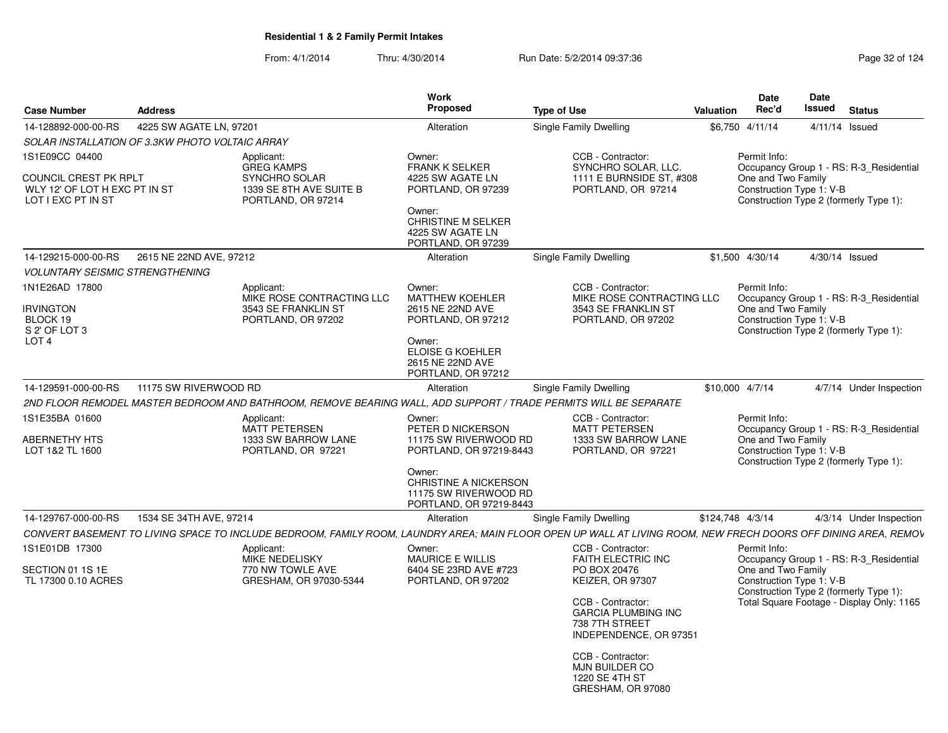| <b>Case Number</b>                                                                                    | <b>Address</b>          |                                                                                                                  | <b>Work</b><br>Proposed                                                                                                                                                | <b>Type of Use</b>                                                                                                                                                        | Valuation        | Date<br>Rec'd                      | Date<br>Issued           | <b>Status</b>                                                                       |
|-------------------------------------------------------------------------------------------------------|-------------------------|------------------------------------------------------------------------------------------------------------------|------------------------------------------------------------------------------------------------------------------------------------------------------------------------|---------------------------------------------------------------------------------------------------------------------------------------------------------------------------|------------------|------------------------------------|--------------------------|-------------------------------------------------------------------------------------|
| 14-128892-000-00-RS                                                                                   | 4225 SW AGATE LN. 97201 |                                                                                                                  | Alteration                                                                                                                                                             | <b>Single Family Dwelling</b>                                                                                                                                             |                  | \$6,750 4/11/14                    | 4/11/14 Issued           |                                                                                     |
| SOLAR INSTALLATION OF 3.3KW PHOTO VOLTAIC ARRAY                                                       |                         |                                                                                                                  |                                                                                                                                                                        |                                                                                                                                                                           |                  |                                    |                          |                                                                                     |
| 1S1E09CC 04400<br><b>COUNCIL CREST PK RPLT</b><br>WLY 12' OF LOT H EXC PT IN ST<br>LOT I EXC PT IN ST |                         | Applicant:<br><b>GREG KAMPS</b><br>SYNCHRO SOLAR<br>1339 SE 8TH AVE SUITE B<br>PORTLAND, OR 97214                | Owner:<br><b>FRANK K SELKER</b><br>4225 SW AGATE LN<br>PORTLAND, OR 97239<br>Owner:<br><b>CHRISTINE M SELKER</b><br>4225 SW AGATE LN<br>PORTLAND, OR 97239             | CCB - Contractor:<br>SYNCHRO SOLAR, LLC.<br>1111 E BURNSIDE ST. #308<br>PORTLAND, OR 97214                                                                                |                  | Permit Info:<br>One and Two Family | Construction Type 1: V-B | Occupancy Group 1 - RS: R-3 Residential<br>Construction Type 2 (formerly Type 1):   |
| 14-129215-000-00-RS                                                                                   | 2615 NE 22ND AVE, 97212 |                                                                                                                  | Alteration                                                                                                                                                             | Single Family Dwelling                                                                                                                                                    |                  | \$1,500 4/30/14                    | 4/30/14 Issued           |                                                                                     |
| <b>VOLUNTARY SEISMIC STRENGTHENING</b>                                                                |                         |                                                                                                                  |                                                                                                                                                                        |                                                                                                                                                                           |                  |                                    |                          |                                                                                     |
| 1N1E26AD 17800<br><b>IRVINGTON</b><br>BLOCK 19<br>S 2' OF LOT 3<br>LOT <sub>4</sub>                   |                         | Applicant:<br>MIKE ROSE CONTRACTING LLC<br>3543 SE FRANKLIN ST<br>PORTLAND, OR 97202                             | Owner:<br><b>MATTHEW KOEHLER</b><br>2615 NE 22ND AVE<br>PORTLAND, OR 97212<br>Owner:<br><b>ELOISE G KOEHLER</b><br>2615 NE 22ND AVE<br>PORTLAND, OR 97212              | CCB - Contractor:<br>MIKE ROSE CONTRACTING LLC<br>3543 SE FRANKLIN ST<br>PORTLAND, OR 97202                                                                               |                  | Permit Info:<br>One and Two Family | Construction Type 1: V-B | Occupancy Group 1 - RS: R-3 Residential<br>Construction Type 2 (formerly Type 1):   |
| 14-129591-000-00-RS                                                                                   | 11175 SW RIVERWOOD RD   |                                                                                                                  | Alteration                                                                                                                                                             | Single Family Dwelling                                                                                                                                                    |                  | \$10,000 4/7/14                    |                          | 4/7/14 Under Inspection                                                             |
|                                                                                                       |                         | 2ND FLOOR REMODEL MASTER BEDROOM AND BATHROOM, REMOVE BEARING WALL, ADD SUPPORT / TRADE PERMITS WILL BE SEPARATE |                                                                                                                                                                        |                                                                                                                                                                           |                  |                                    |                          |                                                                                     |
| 1S1E35BA 01600<br>ABERNETHY HTS<br>LOT 1&2 TL 1600                                                    |                         | Applicant:<br>MATT PETERSEN<br>1333 SW BARROW LANE<br>PORTLAND, OR 97221                                         | Owner:<br>PETER D NICKERSON<br>11175 SW RIVERWOOD RD<br>PORTLAND, OR 97219-8443<br>Owner:<br>CHRISTINE A NICKERSON<br>11175 SW RIVERWOOD RD<br>PORTLAND, OR 97219-8443 | CCB - Contractor:<br><b>MATT PETERSEN</b><br>1333 SW BARROW LANE<br>PORTLAND, OR 97221                                                                                    |                  | Permit Info:<br>One and Two Family | Construction Type 1: V-B | Occupancy Group 1 - RS: R-3 Residential<br>Construction Type 2 (formerly Type 1):   |
| 14-129767-000-00-RS                                                                                   | 1534 SE 34TH AVE, 97214 |                                                                                                                  | Alteration                                                                                                                                                             | Single Family Dwelling                                                                                                                                                    | \$124,748 4/3/14 |                                    |                          | 4/3/14 Under Inspection                                                             |
|                                                                                                       |                         |                                                                                                                  |                                                                                                                                                                        | CONVERT BASEMENT TO LIVING SPACE TO INCLUDE BEDROOM, FAMILY ROOM, LAUNDRY AREA; MAIN FLOOR OPEN UP WALL AT LIVING ROOM, NEW FRECH DOORS OFF DINING AREA, REMOV            |                  |                                    |                          |                                                                                     |
| 1S1E01DB 17300<br>SECTION 01 1S 1E<br>TL 17300 0.10 ACRES                                             |                         | Applicant:<br><b>MIKE NEDELISKY</b><br>770 NW TOWLE AVE<br>GRESHAM, OR 97030-5344                                | Owner:<br><b>MAURICE E WILLIS</b><br>6404 SE 23RD AVE #723<br>PORTLAND, OR 97202                                                                                       | CCB - Contractor:<br><b>FAITH ELECTRIC INC</b><br>PO BOX 20476<br>KEIZER, OR 97307                                                                                        |                  | Permit Info:<br>One and Two Family | Construction Type 1: V-B | Occupancy Group 1 - RS: R-3_Residential                                             |
|                                                                                                       |                         |                                                                                                                  |                                                                                                                                                                        | CCB - Contractor:<br><b>GARCIA PLUMBING INC</b><br>738 7TH STREET<br>INDEPENDENCE, OR 97351<br>CCB - Contractor:<br>MJN BUILDER CO<br>1220 SE 4TH ST<br>GRESHAM, OR 97080 |                  |                                    |                          | Construction Type 2 (formerly Type 1):<br>Total Square Footage - Display Only: 1165 |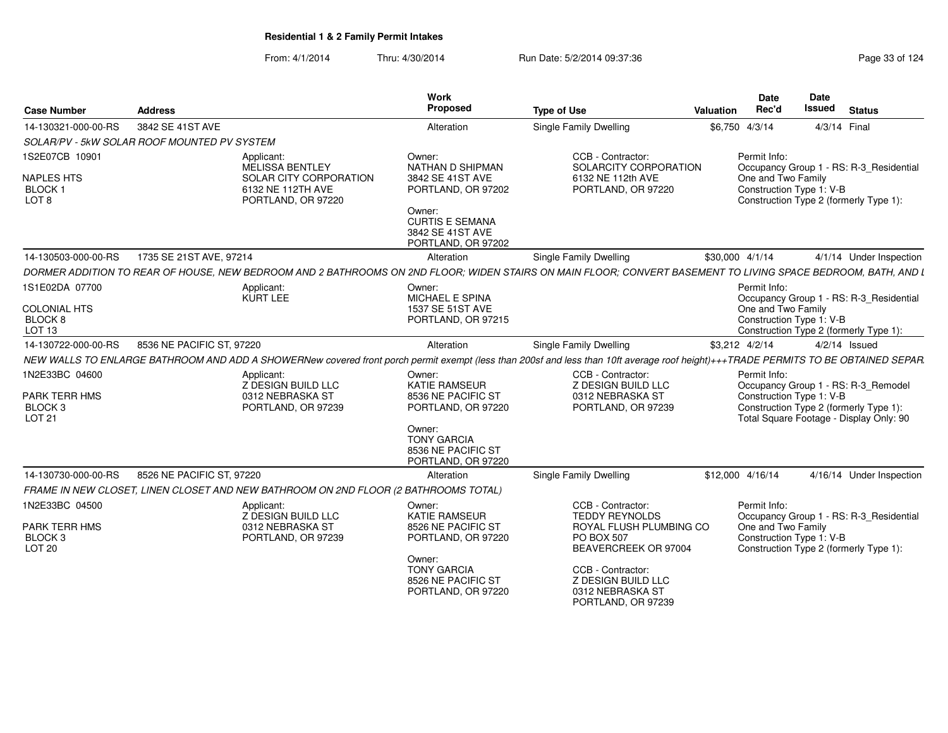| <b>Case Number</b>                                                       | <b>Address</b>                                                                      |                                                                                      | Work<br>Proposed                                                                                                                                          | <b>Type of Use</b>                                                                                                                                                                 | Valuation       | <b>Date</b><br>Rec'd                                           | Date<br><b>Issued</b><br><b>Status</b>                                                                                   |
|--------------------------------------------------------------------------|-------------------------------------------------------------------------------------|--------------------------------------------------------------------------------------|-----------------------------------------------------------------------------------------------------------------------------------------------------------|------------------------------------------------------------------------------------------------------------------------------------------------------------------------------------|-----------------|----------------------------------------------------------------|--------------------------------------------------------------------------------------------------------------------------|
| 14-130321-000-00-RS                                                      | 3842 SE 41ST AVE                                                                    |                                                                                      | Alteration                                                                                                                                                | Single Family Dwelling                                                                                                                                                             | \$6,750 4/3/14  |                                                                | 4/3/14 Final                                                                                                             |
|                                                                          | SOLAR/PV - 5kW SOLAR ROOF MOUNTED PV SYSTEM                                         |                                                                                      |                                                                                                                                                           |                                                                                                                                                                                    |                 |                                                                |                                                                                                                          |
| 1S2E07CB 10901<br><b>NAPLES HTS</b><br><b>BLOCK1</b><br>LOT <sub>8</sub> | Applicant:                                                                          | MELISSA BENTLEY<br>SOLAR CITY CORPORATION<br>6132 NE 112TH AVE<br>PORTLAND, OR 97220 | Owner:<br><b>NATHAN D SHIPMAN</b><br>3842 SE 41ST AVE<br>PORTLAND, OR 97202<br>Owner:<br><b>CURTIS E SEMANA</b><br>3842 SE 41ST AVE<br>PORTLAND, OR 97202 | CCB - Contractor:<br>SOLARCITY CORPORATION<br>6132 NE 112th AVE<br>PORTLAND, OR 97220                                                                                              |                 | Permit Info:<br>One and Two Family<br>Construction Type 1: V-B | Occupancy Group 1 - RS: R-3 Residential<br>Construction Type 2 (formerly Type 1):                                        |
| 14-130503-000-00-RS                                                      | 1735 SE 21ST AVE, 97214                                                             |                                                                                      | Alteration                                                                                                                                                | Single Family Dwelling                                                                                                                                                             | \$30,000 4/1/14 |                                                                | 4/1/14 Under Inspection                                                                                                  |
|                                                                          |                                                                                     |                                                                                      |                                                                                                                                                           | DORMER ADDITION TO REAR OF HOUSE, NEW BEDROOM AND 2 BATHROOMS ON 2ND FLOOR; WIDEN STAIRS ON MAIN FLOOR; CONVERT BASEMENT TO LIVING SPACE BEDROOM, BATH, AND L                      |                 |                                                                |                                                                                                                          |
| 1S1E02DA 07700                                                           | Applicant:                                                                          | <b>KURT LEE</b>                                                                      | Owner:<br>MICHAEL E SPINA                                                                                                                                 |                                                                                                                                                                                    |                 | Permit Info:                                                   | Occupancy Group 1 - RS: R-3 Residential                                                                                  |
| <b>COLONIAL HTS</b><br>BLOCK 8<br>LOT 13                                 |                                                                                     |                                                                                      | 1537 SE 51ST AVE<br>PORTLAND, OR 97215                                                                                                                    |                                                                                                                                                                                    |                 | One and Two Family<br>Construction Type 1: V-B                 | Construction Type 2 (formerly Type 1):                                                                                   |
| 14-130722-000-00-RS                                                      | 8536 NE PACIFIC ST, 97220                                                           |                                                                                      | Alteration                                                                                                                                                | Single Family Dwelling                                                                                                                                                             | \$3,212 4/2/14  |                                                                | $4/2/14$ Issued                                                                                                          |
|                                                                          |                                                                                     |                                                                                      |                                                                                                                                                           | NEW WALLS TO ENLARGE BATHROOM AND ADD A SHOWERNew covered front porch permit exempt (less than 200sf and less than 10ft average roof height)+++TRADE PERMITS TO BE OBTAINED SEPAR. |                 |                                                                |                                                                                                                          |
| 1N2E33BC 04600<br>PARK TERR HMS<br>BLOCK 3<br>LOT 21                     | Applicant:                                                                          | Z DESIGN BUILD LLC<br>0312 NEBRASKA ST<br>PORTLAND, OR 97239                         | Owner:<br><b>KATIE RAMSEUR</b><br>8536 NE PACIFIC ST<br>PORTLAND, OR 97220                                                                                | CCB - Contractor:<br>Z DESIGN BUILD LLC<br>0312 NEBRASKA ST<br>PORTLAND, OR 97239                                                                                                  |                 | Permit Info:<br>Construction Type 1: V-B                       | Occupancy Group 1 - RS: R-3_Remodel<br>Construction Type 2 (formerly Type 1):<br>Total Square Footage - Display Only: 90 |
|                                                                          |                                                                                     |                                                                                      | Owner:<br><b>TONY GARCIA</b><br>8536 NE PACIFIC ST<br>PORTLAND, OR 97220                                                                                  |                                                                                                                                                                                    |                 |                                                                |                                                                                                                          |
| 14-130730-000-00-RS                                                      | 8526 NE PACIFIC ST, 97220                                                           |                                                                                      | Alteration                                                                                                                                                | <b>Single Family Dwelling</b>                                                                                                                                                      |                 | \$12,000 4/16/14                                               | 4/16/14 Under Inspection                                                                                                 |
|                                                                          | FRAME IN NEW CLOSET, LINEN CLOSET AND NEW BATHROOM ON 2ND FLOOR (2 BATHROOMS TOTAL) |                                                                                      |                                                                                                                                                           |                                                                                                                                                                                    |                 |                                                                |                                                                                                                          |
| 1N2E33BC 04500                                                           | Applicant:                                                                          | Z DESIGN BUILD LLC                                                                   | Owner:<br><b>KATIE RAMSEUR</b>                                                                                                                            | CCB - Contractor:<br><b>TEDDY REYNOLDS</b>                                                                                                                                         |                 | Permit Info:                                                   | Occupancy Group 1 - RS: R-3 Residential                                                                                  |
| <b>PARK TERR HMS</b><br>BLOCK <sub>3</sub><br><b>LOT 20</b>              |                                                                                     | 0312 NEBRASKA ST<br>PORTLAND, OR 97239                                               | 8526 NE PACIFIC ST<br>PORTLAND, OR 97220                                                                                                                  | ROYAL FLUSH PLUMBING CO<br>PO BOX 507<br>BEAVERCREEK OR 97004                                                                                                                      |                 | One and Two Family<br>Construction Type 1: V-B                 | Construction Type 2 (formerly Type 1):                                                                                   |
|                                                                          |                                                                                     |                                                                                      | Owner:<br><b>TONY GARCIA</b><br>8526 NE PACIFIC ST<br>PORTLAND, OR 97220                                                                                  | CCB - Contractor:<br>Z DESIGN BUILD LLC<br>0312 NEBRASKA ST<br>PORTLAND, OR 97239                                                                                                  |                 |                                                                |                                                                                                                          |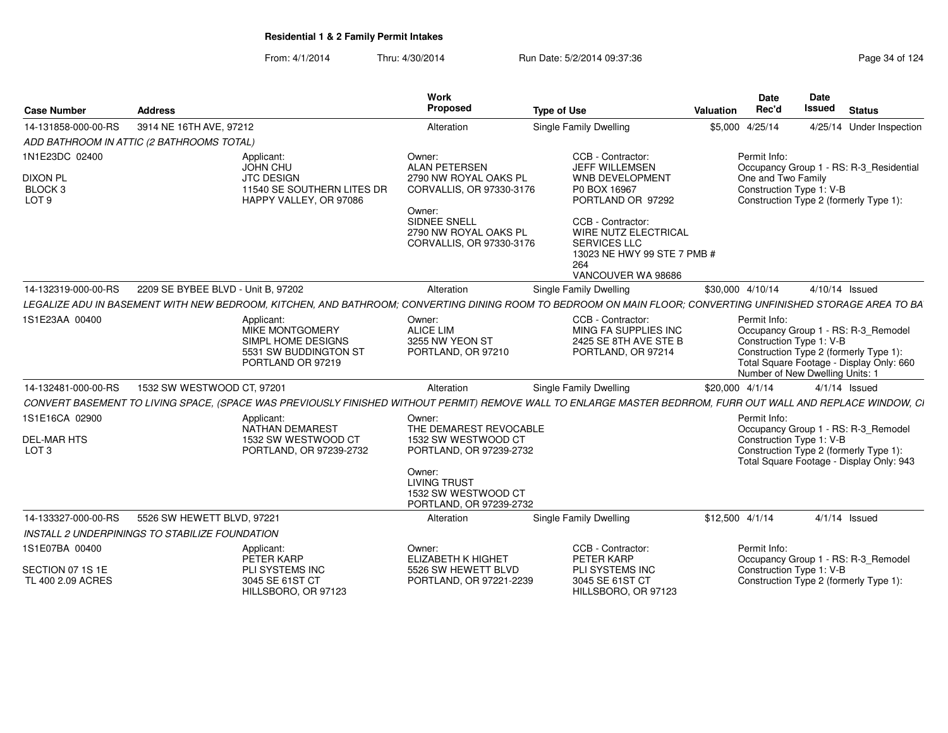|                                                          |                                                |                                                                                            | <b>Work</b>                                                                        |                                                                                                                                                              |                  | Date                                                                                                                                                                                                     | Date           |                 |                          |
|----------------------------------------------------------|------------------------------------------------|--------------------------------------------------------------------------------------------|------------------------------------------------------------------------------------|--------------------------------------------------------------------------------------------------------------------------------------------------------------|------------------|----------------------------------------------------------------------------------------------------------------------------------------------------------------------------------------------------------|----------------|-----------------|--------------------------|
| <b>Case Number</b>                                       | <b>Address</b>                                 |                                                                                            | Proposed                                                                           | <b>Type of Use</b>                                                                                                                                           | <b>Valuation</b> | Rec'd                                                                                                                                                                                                    | Issued         | <b>Status</b>   |                          |
| 14-131858-000-00-RS                                      | 3914 NE 16TH AVE, 97212                        |                                                                                            | Alteration                                                                         | <b>Single Family Dwelling</b>                                                                                                                                |                  | \$5,000 4/25/14                                                                                                                                                                                          |                |                 | 4/25/14 Under Inspection |
|                                                          | ADD BATHROOM IN ATTIC (2 BATHROOMS TOTAL)      |                                                                                            |                                                                                    |                                                                                                                                                              |                  |                                                                                                                                                                                                          |                |                 |                          |
| 1N1E23DC 02400                                           | Applicant:<br>JOHN CHU                         |                                                                                            | Owner:<br><b>ALAN PETERSEN</b>                                                     | CCB - Contractor:<br>JEFF WILLEMSEN                                                                                                                          |                  | Permit Info:<br>Occupancy Group 1 - RS: R-3_Residential                                                                                                                                                  |                |                 |                          |
| <b>DIXON PL</b><br>BLOCK 3<br>LOT <sub>9</sub>           | <b>JTC DESIGN</b>                              | 11540 SE SOUTHERN LITES DR<br>HAPPY VALLEY, OR 97086                                       | 2790 NW ROYAL OAKS PL<br>CORVALLIS, OR 97330-3176<br>Owner:                        | <b>WNB DEVELOPMENT</b><br>P0 BOX 16967<br>PORTLAND OR 97292                                                                                                  |                  | One and Two Family<br>Construction Type 1: V-B<br>Construction Type 2 (formerly Type 1):                                                                                                                 |                |                 |                          |
|                                                          |                                                |                                                                                            | SIDNEE SNELL<br>2790 NW ROYAL OAKS PL<br>CORVALLIS, OR 97330-3176                  | CCB - Contractor:<br>WIRE NUTZ ELECTRICAL<br><b>SERVICES LLC</b><br>13023 NE HWY 99 STE 7 PMB #<br>264<br>VANCOUVER WA 98686                                 |                  |                                                                                                                                                                                                          |                |                 |                          |
| 14-132319-000-00-RS                                      | 2209 SE BYBEE BLVD - Unit B, 97202             |                                                                                            | Alteration                                                                         | <b>Single Family Dwelling</b>                                                                                                                                |                  | \$30,000 4/10/14                                                                                                                                                                                         | 4/10/14 Issued |                 |                          |
|                                                          |                                                |                                                                                            |                                                                                    | LEGALIZE ADU IN BASEMENT WITH NEW BEDROOM, KITCHEN, AND BATHROOM; CONVERTING DINING ROOM TO BEDROOM ON MAIN FLOOR; CONVERTING UNFINISHED STORAGE AREA TO BA  |                  |                                                                                                                                                                                                          |                |                 |                          |
| 1S1E23AA 00400                                           | Applicant:                                     | <b>MIKE MONTGOMERY</b><br>SIMPL HOME DESIGNS<br>5531 SW BUDDINGTON ST<br>PORTLAND OR 97219 | Owner:<br><b>ALICE LIM</b><br>3255 NW YEON ST<br>PORTLAND, OR 97210                | CCB - Contractor:<br>MING FA SUPPLIES INC<br>2425 SE 8TH AVE STE B<br>PORTLAND, OR 97214                                                                     |                  | Permit Info:<br>Occupancy Group 1 - RS: R-3_Remodel<br>Construction Type 1: V-B<br>Construction Type 2 (formerly Type 1):<br>Total Square Footage - Display Only: 660<br>Number of New Dwelling Units: 1 |                |                 |                          |
| 14-132481-000-00-RS                                      | 1532 SW WESTWOOD CT, 97201                     |                                                                                            | Alteration                                                                         | <b>Single Family Dwelling</b>                                                                                                                                |                  | \$20,000 4/1/14                                                                                                                                                                                          |                | $4/1/14$ Issued |                          |
|                                                          |                                                |                                                                                            |                                                                                    | CONVERT BASEMENT TO LIVING SPACE, (SPACE WAS PREVIOUSLY FINISHED WITHOUT PERMIT) REMOVE WALL TO ENLARGE MASTER BEDRROM, FURR OUT WALL AND REPLACE WINDOW, CI |                  |                                                                                                                                                                                                          |                |                 |                          |
| 1S1E16CA 02900<br><b>DEL-MAR HTS</b><br>LOT <sub>3</sub> | Applicant:                                     | NATHAN DEMAREST<br>1532 SW WESTWOOD CT<br>PORTLAND, OR 97239-2732                          | Owner:<br>THE DEMAREST REVOCABLE<br>1532 SW WESTWOOD CT<br>PORTLAND, OR 97239-2732 |                                                                                                                                                              |                  | Permit Info:<br>Occupancy Group 1 - RS: R-3_Remodel<br>Construction Type 1: V-B<br>Construction Type 2 (formerly Type 1):<br>Total Square Footage - Display Only: 943                                    |                |                 |                          |
|                                                          |                                                |                                                                                            | Owner:<br><b>LIVING TRUST</b><br>1532 SW WESTWOOD CT<br>PORTLAND, OR 97239-2732    |                                                                                                                                                              |                  |                                                                                                                                                                                                          |                |                 |                          |
| 14-133327-000-00-RS                                      | 5526 SW HEWETT BLVD, 97221                     |                                                                                            | Alteration                                                                         | Single Family Dwelling                                                                                                                                       |                  | \$12,500 4/1/14                                                                                                                                                                                          |                | $4/1/14$ Issued |                          |
|                                                          | INSTALL 2 UNDERPININGS TO STABILIZE FOUNDATION |                                                                                            |                                                                                    |                                                                                                                                                              |                  |                                                                                                                                                                                                          |                |                 |                          |
| 1S1E07BA 00400                                           | Applicant:<br>PETER KARP                       |                                                                                            | Owner:<br><b>ELIZABETH K HIGHET</b>                                                | CCB - Contractor:<br>PETER KARP                                                                                                                              |                  | Permit Info:<br>Occupancy Group 1 - RS: R-3_Remodel                                                                                                                                                      |                |                 |                          |
| SECTION 07 1S 1E<br>TL 400 2.09 ACRES                    |                                                | <b>PLI SYSTEMS INC</b><br>3045 SE 61ST CT<br>HILLSBORO, OR 97123                           | 5526 SW HEWETT BLVD<br>PORTLAND, OR 97221-2239                                     | PLI SYSTEMS INC<br>3045 SE 61ST CT<br>HILLSBORO, OR 97123                                                                                                    |                  | Construction Type 1: V-B<br>Construction Type 2 (formerly Type 1):                                                                                                                                       |                |                 |                          |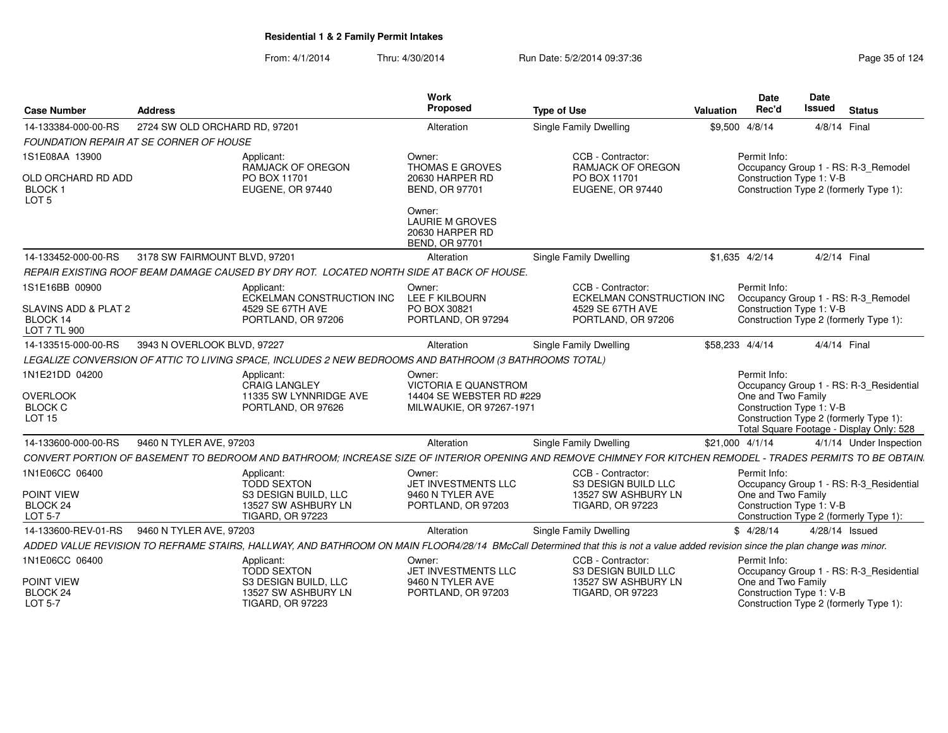| <b>Case Number</b>                                      | <b>Address</b>                          |                                                                                                        | <b>Work</b><br>Proposed                                                      | <b>Type of Use</b>                                                                                                                                                             | Valuation                                                                       | <b>Date</b><br>Rec'd | <b>Date</b><br>Issued    | <b>Status</b>                                                                      |
|---------------------------------------------------------|-----------------------------------------|--------------------------------------------------------------------------------------------------------|------------------------------------------------------------------------------|--------------------------------------------------------------------------------------------------------------------------------------------------------------------------------|---------------------------------------------------------------------------------|----------------------|--------------------------|------------------------------------------------------------------------------------|
| 14-133384-000-00-RS                                     | 2724 SW OLD ORCHARD RD, 97201           |                                                                                                        | Alteration                                                                   | <b>Single Family Dwelling</b>                                                                                                                                                  |                                                                                 | \$9,500 4/8/14       | 4/8/14 Final             |                                                                                    |
|                                                         | FOUNDATION REPAIR AT SE CORNER OF HOUSE |                                                                                                        |                                                                              |                                                                                                                                                                                |                                                                                 |                      |                          |                                                                                    |
| 1S1E08AA 13900                                          |                                         | Applicant:<br>RAMJACK OF OREGON                                                                        | Owner:<br>THOMAS E GROVES                                                    | CCB - Contractor:<br>RAMJACK OF OREGON<br>PO BOX 11701<br>EUGENE, OR 97440                                                                                                     | Permit Info:<br>Occupancy Group 1 - RS: R-3 Remodel<br>Construction Type 1: V-B |                      |                          |                                                                                    |
| OLD ORCHARD RD ADD<br><b>BLOCK1</b><br>LOT <sub>5</sub> |                                         | PO BOX 11701<br>EUGENE, OR 97440                                                                       | 20630 HARPER RD<br><b>BEND, OR 97701</b>                                     |                                                                                                                                                                                |                                                                                 |                      |                          | Construction Type 2 (formerly Type 1):                                             |
|                                                         |                                         |                                                                                                        | Owner:<br><b>LAURIE M GROVES</b><br>20630 HARPER RD<br><b>BEND, OR 97701</b> |                                                                                                                                                                                |                                                                                 |                      |                          |                                                                                    |
| 14-133452-000-00-RS                                     | 3178 SW FAIRMOUNT BLVD, 97201           |                                                                                                        | Alteration                                                                   | <b>Single Family Dwelling</b>                                                                                                                                                  |                                                                                 | $$1,635$ 4/2/14      | 4/2/14 Final             |                                                                                    |
|                                                         |                                         | REPAIR EXISTING ROOF BEAM DAMAGE CAUSED BY DRY ROT. LOCATED NORTH SIDE AT BACK OF HOUSE.               |                                                                              |                                                                                                                                                                                |                                                                                 |                      |                          |                                                                                    |
| 1S1E16BB 00900                                          |                                         | Applicant:<br>ECKELMAN CONSTRUCTION INC                                                                | Owner:<br>LEE F KILBOURN                                                     | CCB - Contractor:<br>ECKELMAN CONSTRUCTION INC                                                                                                                                 |                                                                                 | Permit Info:         |                          | Occupancy Group 1 - RS: R-3_Remodel                                                |
| SLAVINS ADD & PLAT 2<br>BLOCK 14<br>LOT 7 TL 900        |                                         | 4529 SE 67TH AVE<br>PORTLAND, OR 97206                                                                 | PO BOX 30821<br>PORTLAND, OR 97294                                           | 4529 SE 67TH AVE<br>PORTLAND, OR 97206                                                                                                                                         |                                                                                 |                      | Construction Type 1: V-B | Construction Type 2 (formerly Type 1):                                             |
| 14-133515-000-00-RS                                     | 3943 N OVERLOOK BLVD, 97227             |                                                                                                        | Alteration                                                                   | Single Family Dwelling                                                                                                                                                         | \$58,233 4/4/14                                                                 |                      | 4/4/14 Final             |                                                                                    |
|                                                         |                                         | LEGALIZE CONVERSION OF ATTIC TO LIVING SPACE, INCLUDES 2 NEW BEDROOMS AND BATHROOM (3 BATHROOMS TOTAL) |                                                                              |                                                                                                                                                                                |                                                                                 |                      |                          |                                                                                    |
| 1N1E21DD 04200                                          |                                         | Applicant:<br>CRAIG LANGLEY                                                                            | Owner:<br>VICTORIA E QUANSTROM                                               |                                                                                                                                                                                |                                                                                 | Permit Info:         |                          | Occupancy Group 1 - RS: R-3_Residential                                            |
| <b>OVERLOOK</b>                                         |                                         | 11335 SW LYNNRIDGE AVE                                                                                 | 14404 SE WEBSTER RD #229                                                     |                                                                                                                                                                                |                                                                                 | One and Two Family   |                          |                                                                                    |
| <b>BLOCK C</b><br><b>LOT 15</b>                         |                                         | PORTLAND, OR 97626                                                                                     | MILWAUKIE, OR 97267-1971                                                     |                                                                                                                                                                                |                                                                                 |                      | Construction Type 1: V-B | Construction Type 2 (formerly Type 1):<br>Total Square Footage - Display Only: 528 |
| 14-133600-000-00-RS                                     | 9460 N TYLER AVE, 97203                 |                                                                                                        | Alteration                                                                   | <b>Single Family Dwelling</b>                                                                                                                                                  | \$21,000 4/1/14                                                                 |                      |                          | 4/1/14 Under Inspection                                                            |
|                                                         |                                         |                                                                                                        |                                                                              | CONVERT PORTION OF BASEMENT TO BEDROOM AND BATHROOM; INCREASE SIZE OF INTERIOR OPENING AND REMOVE CHIMNEY FOR KITCHEN REMODEL - TRADES PERMITS TO BE OBTAIN.                   |                                                                                 |                      |                          |                                                                                    |
| 1N1E06CC 06400                                          |                                         | Applicant:<br><b>TODD SEXTON</b>                                                                       | Owner:<br>JET INVESTMENTS LLC                                                | CCB - Contractor:<br><b>S3 DESIGN BUILD LLC</b>                                                                                                                                |                                                                                 | Permit Info:         |                          | Occupancy Group 1 - RS: R-3_Residential                                            |
| POINT VIEW                                              |                                         | S3 DESIGN BUILD, LLC                                                                                   | 9460 N TYLER AVE                                                             | 13527 SW ASHBURY LN                                                                                                                                                            |                                                                                 | One and Two Family   |                          |                                                                                    |
| <b>BLOCK 24</b><br>LOT 5-7                              |                                         | 13527 SW ASHBURY LN<br><b>TIGARD, OR 97223</b>                                                         | PORTLAND, OR 97203                                                           | <b>TIGARD, OR 97223</b>                                                                                                                                                        |                                                                                 |                      | Construction Type 1: V-B | Construction Type 2 (formerly Type 1):                                             |
| 14-133600-REV-01-RS                                     | 9460 N TYLER AVE, 97203                 |                                                                                                        | Alteration                                                                   | Single Family Dwelling                                                                                                                                                         |                                                                                 | \$4/28/14            | 4/28/14 Issued           |                                                                                    |
|                                                         |                                         |                                                                                                        |                                                                              | ADDED VALUE REVISION TO REFRAME STAIRS, HALLWAY, AND BATHROOM ON MAIN FLOOR4/28/14 BMcCall Determined that this is not a value added revision since the plan change was minor. |                                                                                 |                      |                          |                                                                                    |
| 1N1E06CC 06400                                          |                                         | Applicant:                                                                                             | Owner:                                                                       | CCB - Contractor:                                                                                                                                                              |                                                                                 | Permit Info:         |                          |                                                                                    |
|                                                         |                                         | TODD SEXTON                                                                                            | JET INVESTMENTS LLC                                                          | <b>S3 DESIGN BUILD LLC</b>                                                                                                                                                     |                                                                                 |                      |                          | Occupancy Group 1 - RS: R-3_Residential                                            |
| POINT VIEW<br>BLOCK 24                                  |                                         | S3 DESIGN BUILD, LLC<br>13527 SW ASHBURY LN                                                            | 9460 N TYLER AVE<br>PORTLAND, OR 97203                                       | 13527 SW ASHBURY LN<br><b>TIGARD, OR 97223</b>                                                                                                                                 |                                                                                 | One and Two Family   | Construction Type 1: V-B |                                                                                    |
| LOT 5-7                                                 |                                         | <b>TIGARD, OR 97223</b>                                                                                |                                                                              |                                                                                                                                                                                |                                                                                 |                      |                          | Construction Type 2 (formerly Type 1):                                             |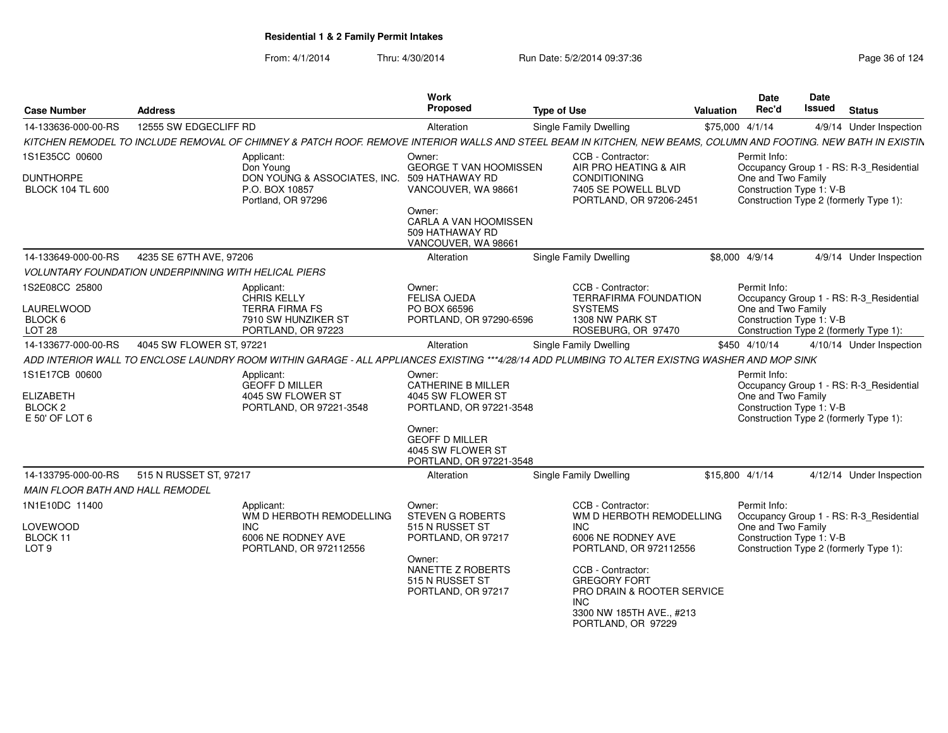| <b>Case Number</b>                                                         | <b>Address</b>                                              |                                                                                      | Work<br>Proposed                                                                              | <b>Type of Use</b>                                                                                                                                              | Valuation       | <b>Date</b><br>Rec'd               | Date<br><b>Issued</b>    | <b>Status</b>                                                                     |
|----------------------------------------------------------------------------|-------------------------------------------------------------|--------------------------------------------------------------------------------------|-----------------------------------------------------------------------------------------------|-----------------------------------------------------------------------------------------------------------------------------------------------------------------|-----------------|------------------------------------|--------------------------|-----------------------------------------------------------------------------------|
| 14-133636-000-00-RS                                                        | 12555 SW EDGECLIFF RD                                       |                                                                                      | Alteration                                                                                    | <b>Single Family Dwelling</b>                                                                                                                                   | \$75,000 4/1/14 |                                    |                          | 4/9/14 Under Inspection                                                           |
|                                                                            |                                                             |                                                                                      |                                                                                               | KITCHEN REMODEL TO INCLUDE REMOVAL OF CHIMNEY & PATCH ROOF. REMOVE INTERIOR WALLS AND STEEL BEAM IN KITCHEN, NEW BEAMS, COLUMN AND FOOTING. NEW BATH IN EXISTIN |                 |                                    |                          |                                                                                   |
| 1S1E35CC 00600                                                             |                                                             | Applicant:<br>Don Young                                                              | Owner:<br><b>GEORGE T VAN HOOMISSEN</b>                                                       | CCB - Contractor:<br>AIR PRO HEATING & AIR                                                                                                                      |                 | Permit Info:                       |                          | Occupancy Group 1 - RS: R-3_Residential                                           |
| <b>DUNTHORPE</b><br><b>BLOCK 104 TL 600</b>                                |                                                             | DON YOUNG & ASSOCIATES, INC. 509 HATHAWAY RD<br>P.O. BOX 10857<br>Portland, OR 97296 | VANCOUVER, WA 98661                                                                           | <b>CONDITIONING</b><br>7405 SE POWELL BLVD<br>PORTLAND, OR 97206-2451                                                                                           |                 | One and Two Family                 | Construction Type 1: V-B | Construction Type 2 (formerly Type 1):                                            |
|                                                                            |                                                             |                                                                                      | Owner:<br>CARLA A VAN HOOMISSEN<br>509 HATHAWAY RD<br>VANCOUVER, WA 98661                     |                                                                                                                                                                 |                 |                                    |                          |                                                                                   |
| 14-133649-000-00-RS                                                        | 4235 SE 67TH AVE, 97206                                     |                                                                                      | Alteration                                                                                    | <b>Single Family Dwelling</b>                                                                                                                                   |                 | \$8,000 4/9/14                     |                          | 4/9/14 Under Inspection                                                           |
|                                                                            | <b>VOLUNTARY FOUNDATION UNDERPINNING WITH HELICAL PIERS</b> |                                                                                      |                                                                                               |                                                                                                                                                                 |                 |                                    |                          |                                                                                   |
| 1S2E08CC 25800                                                             |                                                             | Applicant:<br><b>CHRIS KELLY</b>                                                     | Owner:<br><b>FELISA OJEDA</b>                                                                 | CCB - Contractor:<br><b>TERRAFIRMA FOUNDATION</b>                                                                                                               |                 | Permit Info:                       |                          | Occupancy Group 1 - RS: R-3_Residential                                           |
| <b>LAURELWOOD</b>                                                          |                                                             | <b>TERRA FIRMA FS</b>                                                                | PO BOX 66596                                                                                  | <b>SYSTEMS</b>                                                                                                                                                  |                 | One and Two Family                 |                          |                                                                                   |
| BLOCK 6<br><b>LOT 28</b>                                                   |                                                             | 7910 SW HUNZIKER ST<br>PORTLAND, OR 97223                                            | PORTLAND, OR 97290-6596                                                                       | 1308 NW PARK ST<br>ROSEBURG, OR 97470                                                                                                                           |                 |                                    | Construction Type 1: V-B | Construction Type 2 (formerly Type 1):                                            |
| 14-133677-000-00-RS                                                        | 4045 SW FLOWER ST, 97221                                    |                                                                                      | Alteration                                                                                    | <b>Single Family Dwelling</b>                                                                                                                                   |                 | \$450 4/10/14                      |                          | 4/10/14 Under Inspection                                                          |
|                                                                            |                                                             |                                                                                      |                                                                                               | ADD INTERIOR WALL TO ENCLOSE LAUNDRY ROOM WITHIN GARAGE - ALL APPLIANCES EXISTING ***4/28/14 ADD PLUMBING TO ALTER EXISTNG WASHER AND MOP SINK                  |                 |                                    |                          |                                                                                   |
| 1S1E17CB 00600<br><b>ELIZABETH</b><br>BLOCK <sub>2</sub><br>E 50' OF LOT 6 |                                                             | Applicant:<br><b>GEOFF D MILLER</b><br>4045 SW FLOWER ST<br>PORTLAND, OR 97221-3548  | Owner:<br><b>CATHERINE B MILLER</b><br>4045 SW FLOWER ST<br>PORTLAND, OR 97221-3548<br>Owner: |                                                                                                                                                                 |                 | Permit Info:<br>One and Two Family | Construction Type 1: V-B | Occupancy Group 1 - RS: R-3_Residential<br>Construction Type 2 (formerly Type 1): |
|                                                                            |                                                             |                                                                                      | <b>GEOFF D MILLER</b><br>4045 SW FLOWER ST<br>PORTLAND, OR 97221-3548                         |                                                                                                                                                                 |                 |                                    |                          |                                                                                   |
| 14-133795-000-00-RS                                                        | 515 N RUSSET ST, 97217                                      |                                                                                      | Alteration                                                                                    | <b>Single Family Dwelling</b>                                                                                                                                   | \$15,800 4/1/14 |                                    |                          | 4/12/14 Under Inspection                                                          |
| MAIN FLOOR BATH AND HALL REMODEL                                           |                                                             |                                                                                      |                                                                                               |                                                                                                                                                                 |                 |                                    |                          |                                                                                   |
| 1N1E10DC 11400                                                             |                                                             | Applicant:<br>WM D HERBOTH REMODELLING                                               | Owner:<br><b>STEVEN G ROBERTS</b>                                                             | CCB - Contractor:<br>WM D HERBOTH REMODELLING                                                                                                                   |                 | Permit Info:                       |                          | Occupancy Group 1 - RS: R-3_Residential                                           |
| LOVEWOOD<br>BLOCK 11<br>LOT <sub>9</sub>                                   |                                                             | <b>INC</b><br>6006 NE RODNEY AVE<br>PORTLAND, OR 972112556                           | 515 N RUSSET ST<br>PORTLAND, OR 97217                                                         | INC.<br>6006 NE RODNEY AVE<br>PORTLAND, OR 972112556                                                                                                            |                 | One and Two Family                 | Construction Type 1: V-B | Construction Type 2 (formerly Type 1):                                            |
|                                                                            |                                                             |                                                                                      | Owner:<br>NANETTE Z ROBERTS<br>515 N RUSSET ST<br>PORTLAND, OR 97217                          | CCB - Contractor:<br><b>GREGORY FORT</b><br>PRO DRAIN & ROOTER SERVICE<br>INC<br>3300 NW 185TH AVE., #213<br>PORTLAND, OR 97229                                 |                 |                                    |                          |                                                                                   |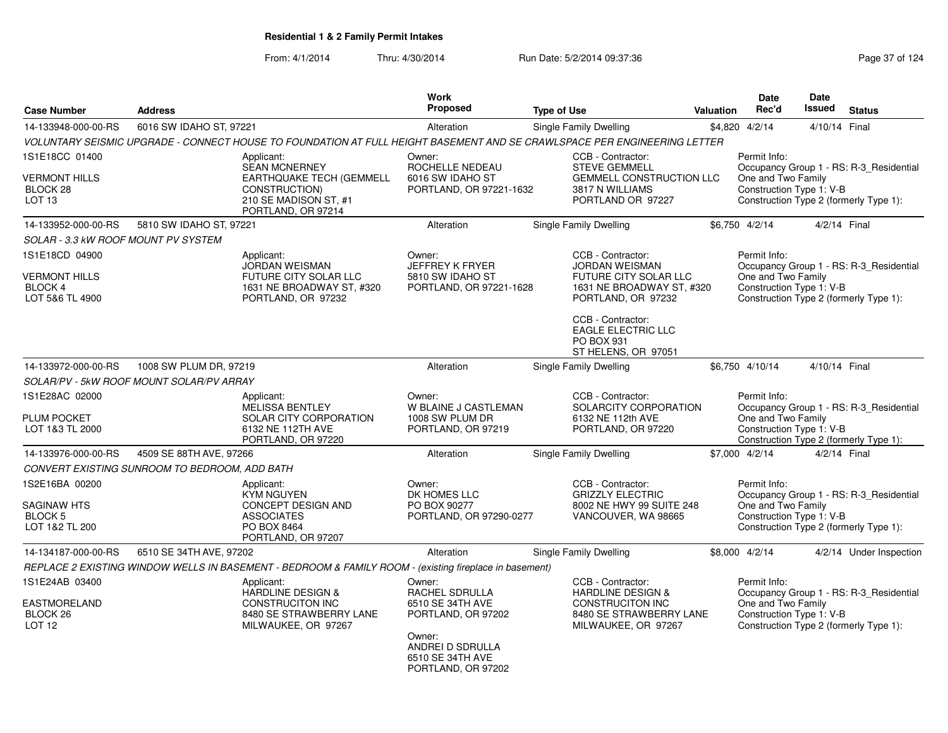From: 4/1/2014Thru: 4/30/2014 Run Date: 5/2/2014 09:37:36 Run Date: 5/2/2014 09:37:36

| <b>Case Number</b>                                                 | <b>Address</b>                                |                                                                                                                         | Work<br><b>Proposed</b>                                                      | <b>Type of Use</b>                                                                                                             | <b>Valuation</b> | <b>Date</b><br>Rec'd                                           | Date<br><b>Issued</b> | <b>Status</b>                                                                     |
|--------------------------------------------------------------------|-----------------------------------------------|-------------------------------------------------------------------------------------------------------------------------|------------------------------------------------------------------------------|--------------------------------------------------------------------------------------------------------------------------------|------------------|----------------------------------------------------------------|-----------------------|-----------------------------------------------------------------------------------|
| 14-133948-000-00-RS                                                | 6016 SW IDAHO ST, 97221                       |                                                                                                                         | Alteration                                                                   | <b>Single Family Dwelling</b>                                                                                                  |                  | \$4,820 4/2/14                                                 | 4/10/14 Final         |                                                                                   |
|                                                                    |                                               |                                                                                                                         |                                                                              | VOLUNTARY SEISMIC UPGRADE - CONNECT HOUSE TO FOUNDATION AT FULL HEIGHT BASEMENT AND SE CRAWLSPACE PER ENGINEERING LETTER       |                  |                                                                |                       |                                                                                   |
| 1S1E18CC 01400                                                     |                                               | Applicant:                                                                                                              | Owner:                                                                       | CCB - Contractor:                                                                                                              |                  | Permit Info:                                                   |                       |                                                                                   |
| <b>VERMONT HILLS</b><br>BLOCK 28<br>LOT <sub>13</sub>              |                                               | <b>SEAN MCNERNEY</b><br>EARTHQUAKE TECH (GEMMELL<br>CONSTRUCTION)<br>210 SE MADISON ST, #1                              | ROCHELLE NEDEAU<br>6016 SW IDAHO ST<br>PORTLAND, OR 97221-1632               | <b>STEVE GEMMELL</b><br><b>GEMMELL CONSTRUCTION LLC</b><br>3817 N WILLIAMS<br>PORTLAND OR 97227                                |                  | One and Two Family<br>Construction Type 1: V-B                 |                       | Occupancy Group 1 - RS: R-3_Residential<br>Construction Type 2 (formerly Type 1): |
|                                                                    |                                               | PORTLAND, OR 97214                                                                                                      |                                                                              |                                                                                                                                |                  |                                                                |                       |                                                                                   |
| 14-133952-000-00-RS                                                | 5810 SW IDAHO ST, 97221                       |                                                                                                                         | Alteration                                                                   | <b>Single Family Dwelling</b>                                                                                                  |                  | \$6,750 4/2/14                                                 | 4/2/14 Final          |                                                                                   |
| SOLAR - 3.3 kW ROOF MOUNT PV SYSTEM                                |                                               |                                                                                                                         |                                                                              |                                                                                                                                |                  |                                                                |                       |                                                                                   |
| 1S1E18CD 04900                                                     |                                               | Applicant:                                                                                                              | Owner:                                                                       | CCB - Contractor:                                                                                                              |                  | Permit Info:                                                   |                       |                                                                                   |
| <b>VERMONT HILLS</b>                                               |                                               | <b>JORDAN WEISMAN</b><br>FUTURE CITY SOLAR LLC                                                                          | <b>JEFFREY K FRYER</b><br>5810 SW IDAHO ST                                   | <b>JORDAN WEISMAN</b><br>FUTURE CITY SOLAR LLC                                                                                 |                  | One and Two Family                                             |                       | Occupancy Group 1 - RS: R-3_Residential                                           |
| BLOCK 4<br>LOT 5&6 TL 4900                                         |                                               | 1631 NE BROADWAY ST, #320<br>PORTLAND, OR 97232                                                                         | PORTLAND, OR 97221-1628                                                      | 1631 NE BROADWAY ST, #320<br>PORTLAND, OR 97232                                                                                |                  | Construction Type 1: V-B                                       |                       | Construction Type 2 (formerly Type 1):                                            |
|                                                                    |                                               |                                                                                                                         |                                                                              | CCB - Contractor:<br><b>EAGLE ELECTRIC LLC</b><br><b>PO BOX 931</b><br>ST HELENS, OR 97051                                     |                  |                                                                |                       |                                                                                   |
| 14-133972-000-00-RS                                                | 1008 SW PLUM DR, 97219                        |                                                                                                                         | Alteration                                                                   | Single Family Dwelling                                                                                                         |                  | \$6,750 4/10/14                                                | 4/10/14 Final         |                                                                                   |
|                                                                    | SOLAR/PV - 5kW ROOF MOUNT SOLAR/PV ARRAY      |                                                                                                                         |                                                                              |                                                                                                                                |                  |                                                                |                       |                                                                                   |
| 1S1E28AC 02000<br><b>PLUM POCKET</b>                               |                                               | Applicant:<br><b>MELISSA BENTLEY</b><br>SOLAR CITY CORPORATION                                                          | Owner:<br>W BLAINE J CASTLEMAN<br>1008 SW PLUM DR                            | CCB - Contractor:<br>SOLARCITY CORPORATION<br>6132 NE 112th AVE                                                                |                  | Permit Info:<br>One and Two Family                             |                       | Occupancy Group 1 - RS: R-3 Residential                                           |
| LOT 1&3 TL 2000                                                    |                                               | 6132 NE 112TH AVE<br>PORTLAND, OR 97220                                                                                 | PORTLAND, OR 97219                                                           | PORTLAND, OR 97220                                                                                                             |                  | Construction Type 1: V-B                                       |                       | Construction Type 2 (formerly Type 1):                                            |
| 14-133976-000-00-RS                                                | 4509 SE 88TH AVE, 97266                       |                                                                                                                         | Alteration                                                                   | <b>Single Family Dwelling</b>                                                                                                  |                  | \$7,000 4/2/14                                                 | 4/2/14 Final          |                                                                                   |
|                                                                    | CONVERT EXISTING SUNROOM TO BEDROOM, ADD BATH |                                                                                                                         |                                                                              |                                                                                                                                |                  |                                                                |                       |                                                                                   |
| 1S2E16BA 00200<br>SAGINAW HTS<br><b>BLOCK 5</b><br>LOT 1&2 TL 200  |                                               | Applicant:<br><b>KYM NGUYEN</b><br><b>CONCEPT DESIGN AND</b><br><b>ASSOCIATES</b><br>PO BOX 8464<br>PORTLAND, OR 97207  | Owner:<br>DK HOMES LLC<br>PO BOX 90277<br>PORTLAND, OR 97290-0277            | CCB - Contractor:<br><b>GRIZZLY ELECTRIC</b><br>8002 NE HWY 99 SUITE 248<br>VANCOUVER, WA 98665                                |                  | Permit Info:<br>One and Two Family<br>Construction Type 1: V-B |                       | Occupancy Group 1 - RS: R-3_Residential<br>Construction Type 2 (formerly Type 1): |
| 14-134187-000-00-RS                                                | 6510 SE 34TH AVE, 97202                       |                                                                                                                         | Alteration                                                                   | <b>Single Family Dwelling</b>                                                                                                  |                  | \$8,000 4/2/14                                                 |                       | 4/2/14 Under Inspection                                                           |
|                                                                    |                                               | REPLACE 2 EXISTING WINDOW WELLS IN BASEMENT - BEDROOM & FAMILY ROOM - (existing fireplace in basement)                  |                                                                              |                                                                                                                                |                  |                                                                |                       |                                                                                   |
| 1S1E24AB 03400<br><b>EASTMORELAND</b><br>BLOCK 26<br><b>LOT 12</b> |                                               | Applicant:<br><b>HARDLINE DESIGN &amp;</b><br><b>CONSTRUCITON INC</b><br>8480 SE STRAWBERRY LANE<br>MILWAUKEE, OR 97267 | Owner:<br>RACHEL SDRULLA<br>6510 SE 34TH AVE<br>PORTLAND, OR 97202<br>Owner: | CCB - Contractor:<br><b>HARDLINE DESIGN &amp;</b><br><b>CONSTRUCITON INC</b><br>8480 SE STRAWBERRY LANE<br>MILWAUKEE, OR 97267 |                  | Permit Info:<br>One and Two Family<br>Construction Type 1: V-B |                       | Occupancy Group 1 - RS: R-3_Residential<br>Construction Type 2 (formerly Type 1): |
|                                                                    |                                               |                                                                                                                         | ANDREI D SDRULLA<br>GE10 SE 34TH AVE                                         |                                                                                                                                |                  |                                                                |                       |                                                                                   |

6510 SE 34TH AVE PORTLAND, OR 97202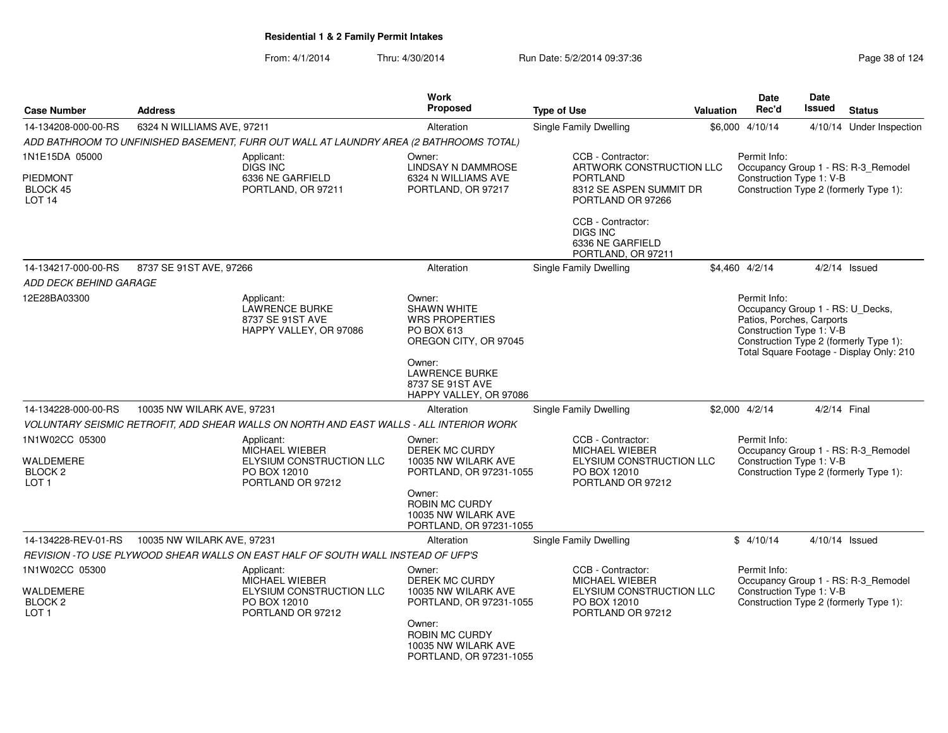| <b>Case Number</b>                                                    | <b>Address</b>             |                                                                                               | <b>Work</b><br><b>Proposed</b>                                                               | <b>Type of Use</b>                                                                                   | <b>Valuation</b> | <b>Date</b><br>Rec'd                                                                                      | <b>Date</b><br>Issued | <b>Status</b>                                                                      |
|-----------------------------------------------------------------------|----------------------------|-----------------------------------------------------------------------------------------------|----------------------------------------------------------------------------------------------|------------------------------------------------------------------------------------------------------|------------------|-----------------------------------------------------------------------------------------------------------|-----------------------|------------------------------------------------------------------------------------|
| 14-134208-000-00-RS                                                   | 6324 N WILLIAMS AVE, 97211 |                                                                                               | Alteration                                                                                   | Single Family Dwelling                                                                               |                  | \$6,000 4/10/14                                                                                           |                       | 4/10/14 Under Inspection                                                           |
|                                                                       |                            | ADD BATHROOM TO UNFINISHED BASEMENT, FURR OUT WALL AT LAUNDRY AREA (2 BATHROOMS TOTAL)        |                                                                                              |                                                                                                      |                  |                                                                                                           |                       |                                                                                    |
| 1N1E15DA 05000                                                        |                            | Applicant:<br>DIGS INC                                                                        | Owner:<br>LINDSAY N DAMMROSE                                                                 | CCB - Contractor:<br>ARTWORK CONSTRUCTION LLC                                                        |                  | Permit Info:                                                                                              |                       | Occupancy Group 1 - RS: R-3_Remodel                                                |
| <b>PIEDMONT</b><br>BLOCK 45<br>LOT <sub>14</sub>                      |                            | 6336 NE GARFIELD<br>PORTLAND, OR 97211                                                        | 6324 N WILLIAMS AVE<br>PORTLAND, OR 97217                                                    | <b>PORTLAND</b><br>8312 SE ASPEN SUMMIT DR<br>PORTLAND OR 97266                                      |                  | Construction Type 1: V-B                                                                                  |                       | Construction Type 2 (formerly Type 1):                                             |
|                                                                       |                            |                                                                                               |                                                                                              | CCB - Contractor:<br><b>DIGS INC</b><br>6336 NE GARFIELD<br>PORTLAND, OR 97211                       |                  |                                                                                                           |                       |                                                                                    |
| 14-134217-000-00-RS                                                   | 8737 SE 91ST AVE, 97266    |                                                                                               | Alteration                                                                                   | Single Family Dwelling                                                                               |                  | \$4,460 4/2/14                                                                                            |                       | $4/2/14$ Issued                                                                    |
| ADD DECK BEHIND GARAGE                                                |                            |                                                                                               |                                                                                              |                                                                                                      |                  |                                                                                                           |                       |                                                                                    |
| 12E28BA03300                                                          |                            | Applicant:<br><b>LAWRENCE BURKE</b><br>8737 SE 91ST AVE<br>HAPPY VALLEY, OR 97086             | Owner:<br><b>SHAWN WHITE</b><br><b>WRS PROPERTIES</b><br>PO BOX 613<br>OREGON CITY, OR 97045 |                                                                                                      |                  | Permit Info:<br>Occupancy Group 1 - RS: U_Decks,<br>Patios, Porches, Carports<br>Construction Type 1: V-B |                       | Construction Type 2 (formerly Type 1):<br>Total Square Footage - Display Only: 210 |
|                                                                       |                            |                                                                                               | Owner:<br><b>LAWRENCE BURKE</b><br>8737 SE 91ST AVE<br>HAPPY VALLEY, OR 97086                |                                                                                                      |                  |                                                                                                           |                       |                                                                                    |
| 14-134228-000-00-RS                                                   | 10035 NW WILARK AVE, 97231 |                                                                                               | Alteration                                                                                   | Single Family Dwelling                                                                               |                  | \$2,000 4/2/14                                                                                            | 4/2/14 Final          |                                                                                    |
|                                                                       |                            | VOLUNTARY SEISMIC RETROFIT, ADD SHEAR WALLS ON NORTH AND EAST WALLS - ALL INTERIOR WORK       |                                                                                              |                                                                                                      |                  |                                                                                                           |                       |                                                                                    |
| 1N1W02CC 05300<br>WALDEMERE<br>BLOCK <sub>2</sub><br>LOT <sub>1</sub> |                            | Applicant:<br>MICHAEL WIEBER<br>ELYSIUM CONSTRUCTION LLC<br>PO BOX 12010<br>PORTLAND OR 97212 | Owner:<br>DEREK MC CURDY<br>10035 NW WILARK AVE<br>PORTLAND, OR 97231-1055                   | CCB - Contractor:<br>MICHAEL WIEBER<br>ELYSIUM CONSTRUCTION LLC<br>PO BOX 12010<br>PORTLAND OR 97212 |                  | Permit Info:<br>Construction Type 1: V-B                                                                  |                       | Occupancy Group 1 - RS: R-3_Remodel<br>Construction Type 2 (formerly Type 1):      |
|                                                                       |                            |                                                                                               | Owner:<br>ROBIN MC CURDY<br>10035 NW WILARK AVE<br>PORTLAND, OR 97231-1055                   |                                                                                                      |                  |                                                                                                           |                       |                                                                                    |
| 14-134228-REV-01-RS                                                   | 10035 NW WILARK AVE, 97231 |                                                                                               | Alteration                                                                                   | Single Family Dwelling                                                                               |                  | \$4/10/14                                                                                                 |                       | 4/10/14 Issued                                                                     |
|                                                                       |                            | REVISION - TO USE PLYWOOD SHEAR WALLS ON EAST HALF OF SOUTH WALL INSTEAD OF UFP'S             |                                                                                              |                                                                                                      |                  |                                                                                                           |                       |                                                                                    |
| 1N1W02CC 05300                                                        |                            | Applicant:<br>MICHAEL WIEBER                                                                  | Owner:<br><b>DEREK MC CURDY</b>                                                              | CCB - Contractor:<br>MICHAEL WIEBER                                                                  |                  | Permit Info:                                                                                              |                       | Occupancy Group 1 - RS: R-3_Remodel                                                |
| WALDEMERE<br>BLOCK <sub>2</sub><br>LOT <sub>1</sub>                   |                            | ELYSIUM CONSTRUCTION LLC<br>PO BOX 12010<br>PORTLAND OR 97212                                 | 10035 NW WILARK AVE<br>PORTLAND, OR 97231-1055                                               | ELYSIUM CONSTRUCTION LLC<br>PO BOX 12010<br>PORTLAND OR 97212                                        |                  | Construction Type 1: V-B                                                                                  |                       | Construction Type 2 (formerly Type 1):                                             |
|                                                                       |                            |                                                                                               | Owner:<br>ROBIN MC CURDY<br>10035 NW WILARK AVE<br>PORTLAND, OR 97231-1055                   |                                                                                                      |                  |                                                                                                           |                       |                                                                                    |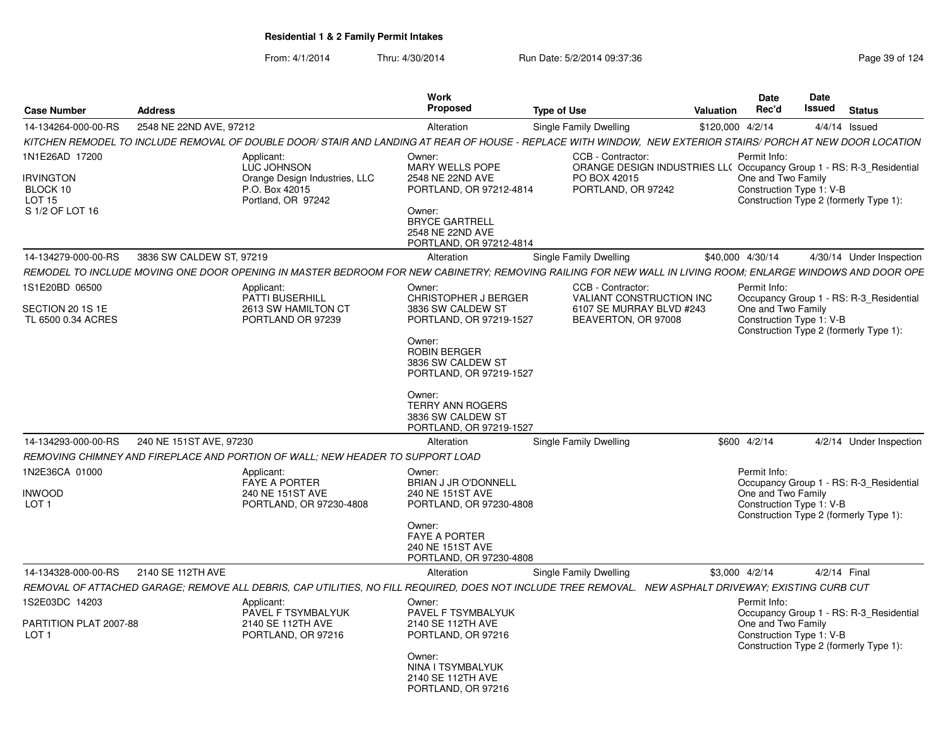| <b>Case Number</b>                             | <b>Address</b>                                                                                                                                               | Work<br>Proposed                                                                  | <b>Type of Use</b>                                                                                                              | Date<br>Rec'd<br>Valuation |                                                | Date<br><b>Issued</b> Status           |                                         |
|------------------------------------------------|--------------------------------------------------------------------------------------------------------------------------------------------------------------|-----------------------------------------------------------------------------------|---------------------------------------------------------------------------------------------------------------------------------|----------------------------|------------------------------------------------|----------------------------------------|-----------------------------------------|
| 14-134264-000-00-RS                            | 2548 NE 22ND AVE, 97212                                                                                                                                      | Alteration                                                                        | Single Family Dwelling                                                                                                          | \$120,000 4/2/14           |                                                | $4/4/14$ Issued                        |                                         |
|                                                | KITCHEN REMODEL TO INCLUDE REMOVAL OF DOUBLE DOOR/ STAIR AND LANDING AT REAR OF HOUSE - REPLACE WITH WINDOW. NEW EXTERIOR STAIRS/ PORCH AT NEW DOOR LOCATION |                                                                                   |                                                                                                                                 |                            |                                                |                                        |                                         |
| 1N1E26AD 17200<br><b>IRVINGTON</b><br>BLOCK 10 | Applicant:<br>LUC JOHNSON<br>Orange Design Industries, LLC<br>P.O. Box 42015                                                                                 | Owner:<br>MARY WELLS POPE<br>2548 NE 22ND AVE<br>PORTLAND, OR 97212-4814          | CCB - Contractor:<br>ORANGE DESIGN INDUSTRIES LL( Occupancy Group 1 - RS: R-3_Residential<br>PO BOX 42015<br>PORTLAND, OR 97242 | Permit Info:               | One and Two Family<br>Construction Type 1: V-B |                                        |                                         |
| <b>LOT 15</b><br>S 1/2 OF LOT 16               | Portland, OR 97242                                                                                                                                           | Owner:<br><b>BRYCE GARTRELL</b><br>2548 NE 22ND AVE<br>PORTLAND, OR 97212-4814    |                                                                                                                                 |                            |                                                | Construction Type 2 (formerly Type 1): |                                         |
| 14-134279-000-00-RS                            | 3836 SW CALDEW ST, 97219                                                                                                                                     | Alteration                                                                        | Single Family Dwelling                                                                                                          | \$40,000 4/30/14           |                                                |                                        | 4/30/14 Under Inspection                |
|                                                | REMODEL TO INCLUDE MOVING ONE DOOR OPENING IN MASTER BEDROOM FOR NEW CABINETRY; REMOVING RAILING FOR NEW WALL IN LIVING ROOM; ENLARGE WINDOWS AND DOOR OPE   |                                                                                   |                                                                                                                                 |                            |                                                |                                        |                                         |
| 1S1E20BD 06500                                 | Applicant:<br><b>PATTI BUSERHILL</b>                                                                                                                         | Owner:<br><b>CHRISTOPHER J BERGER</b>                                             | CCB - Contractor:<br><b>VALIANT CONSTRUCTION INC</b>                                                                            | Permit Info:               |                                                |                                        | Occupancy Group 1 - RS: R-3_Residential |
| SECTION 20 1S 1E<br>TL 6500 0.34 ACRES         | 2613 SW HAMILTON CT<br>PORTLAND OR 97239                                                                                                                     | 3836 SW CALDEW ST<br>PORTLAND, OR 97219-1527                                      | 6107 SE MURRAY BLVD #243<br>BEAVERTON, OR 97008                                                                                 |                            | One and Two Family<br>Construction Type 1: V-B | Construction Type 2 (formerly Type 1): |                                         |
|                                                |                                                                                                                                                              | Owner:<br><b>ROBIN BERGER</b><br>3836 SW CALDEW ST<br>PORTLAND, OR 97219-1527     |                                                                                                                                 |                            |                                                |                                        |                                         |
|                                                |                                                                                                                                                              | Owner:<br><b>TERRY ANN ROGERS</b><br>3836 SW CALDEW ST<br>PORTLAND, OR 97219-1527 |                                                                                                                                 |                            |                                                |                                        |                                         |
| 14-134293-000-00-RS                            | 240 NE 151ST AVE, 97230                                                                                                                                      | Alteration                                                                        | <b>Single Family Dwelling</b>                                                                                                   | \$600 4/2/14               |                                                |                                        | 4/2/14 Under Inspection                 |
|                                                | REMOVING CHIMNEY AND FIREPLACE AND PORTION OF WALL; NEW HEADER TO SUPPORT LOAD                                                                               |                                                                                   |                                                                                                                                 |                            |                                                |                                        |                                         |
| 1N2E36CA 01000                                 | Applicant:<br><b>FAYE A PORTER</b>                                                                                                                           | Owner:<br><b>BRIAN J JR O'DONNELL</b>                                             |                                                                                                                                 | Permit Info:               |                                                |                                        | Occupancy Group 1 - RS: R-3_Residential |
| <b>INWOOD</b><br>LOT <sub>1</sub>              | 240 NE 151ST AVE<br>PORTLAND, OR 97230-4808                                                                                                                  | 240 NE 151ST AVE<br>PORTLAND, OR 97230-4808                                       |                                                                                                                                 |                            | One and Two Family<br>Construction Type 1: V-B | Construction Type 2 (formerly Type 1): |                                         |
|                                                |                                                                                                                                                              | Owner:<br><b>FAYE A PORTER</b><br>240 NE 151ST AVE<br>PORTLAND, OR 97230-4808     |                                                                                                                                 |                            |                                                |                                        |                                         |
| 14-134328-000-00-RS                            | 2140 SE 112TH AVE                                                                                                                                            | Alteration                                                                        | Single Family Dwelling                                                                                                          | \$3,000 4/2/14             |                                                | 4/2/14 Final                           |                                         |
|                                                | REMOVAL OF ATTACHED GARAGE: REMOVE ALL DEBRIS, CAP UTILITIES, NO FILL REQUIRED, DOES NOT INCLUDE TREE REMOVAL. NEW ASPHALT DRIVEWAY: EXISTING CURB CUT       |                                                                                   |                                                                                                                                 |                            |                                                |                                        |                                         |
| 1S2E03DC 14203                                 | Applicant:<br>PAVEL F TSYMBALYUK                                                                                                                             | Owner:<br>PAVEL F TSYMBALYUK                                                      |                                                                                                                                 | Permit Info:               |                                                |                                        | Occupancy Group 1 - RS: R-3_Residential |
| PARTITION PLAT 2007-88<br>LOT <sub>1</sub>     | 2140 SE 112TH AVE<br>PORTLAND, OR 97216                                                                                                                      | 2140 SE 112TH AVE<br>PORTLAND, OR 97216                                           |                                                                                                                                 |                            | One and Two Family<br>Construction Type 1: V-B | Construction Type 2 (formerly Type 1): |                                         |
|                                                |                                                                                                                                                              | Owner:<br>NINA I TSYMBALYUK<br>2140 SE 112TH AVE<br>PORTLAND, OR 97216            |                                                                                                                                 |                            |                                                |                                        |                                         |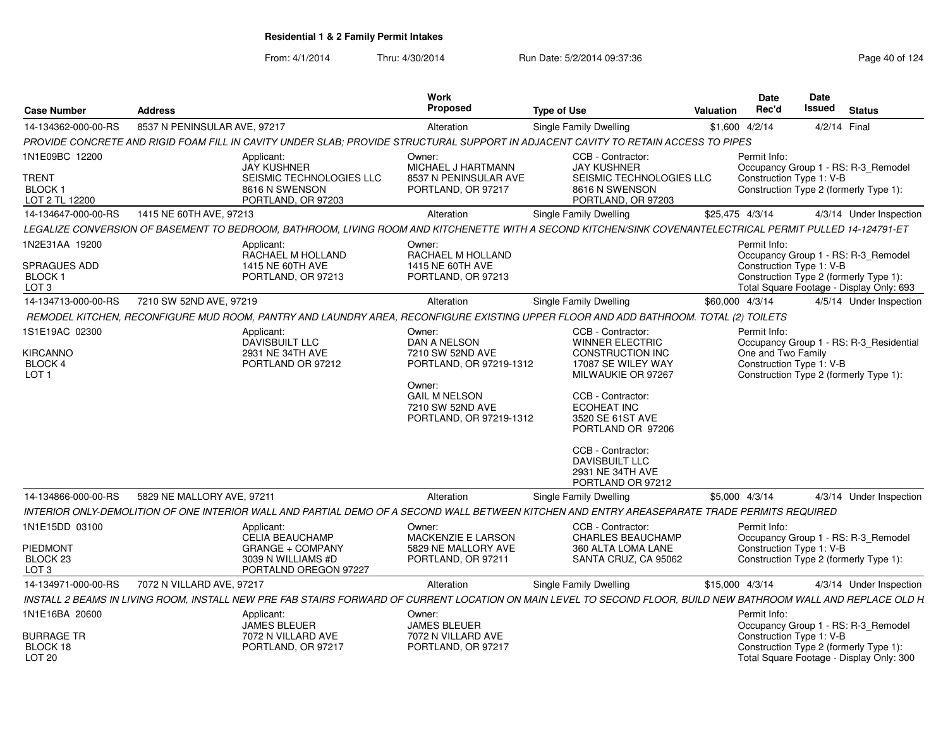| <b>Case Number</b>                                            | <b>Address</b>               |                                                                                                                                                                  | Work<br><b>Proposed</b>                                                                                                                                | <b>Type of Use</b>                                                                                                                                                                                                                                                                     | <b>Valuation</b> | <b>Date</b><br>Rec'd               | <b>Date</b><br><b>Issued</b><br><b>Status</b>                                                                                                         |
|---------------------------------------------------------------|------------------------------|------------------------------------------------------------------------------------------------------------------------------------------------------------------|--------------------------------------------------------------------------------------------------------------------------------------------------------|----------------------------------------------------------------------------------------------------------------------------------------------------------------------------------------------------------------------------------------------------------------------------------------|------------------|------------------------------------|-------------------------------------------------------------------------------------------------------------------------------------------------------|
| 14-134362-000-00-RS                                           | 8537 N PENINSULAR AVE, 97217 |                                                                                                                                                                  | Alteration                                                                                                                                             | Single Family Dwelling                                                                                                                                                                                                                                                                 |                  | \$1,600 4/2/14                     | 4/2/14 Final                                                                                                                                          |
|                                                               |                              | PROVIDE CONCRETE AND RIGID FOAM FILL IN CAVITY UNDER SLAB; PROVIDE STRUCTURAL SUPPORT IN ADJACENT CAVITY TO RETAIN ACCESS TO PIPES                               |                                                                                                                                                        |                                                                                                                                                                                                                                                                                        |                  |                                    |                                                                                                                                                       |
| 1N1E09BC 12200                                                |                              | Applicant:<br><b>JAY KUSHNER</b>                                                                                                                                 | Owner:<br>MICHAEL J HARTMANN                                                                                                                           | CCB - Contractor:<br><b>JAY KUSHNER</b>                                                                                                                                                                                                                                                |                  | Permit Info:                       | Occupancy Group 1 - RS: R-3_Remodel                                                                                                                   |
| <b>TRENT</b><br><b>BLOCK1</b><br>LOT 2 TL 12200               |                              | SEISMIC TECHNOLOGIES LLC<br>8616 N SWENSON<br>PORTLAND, OR 97203                                                                                                 | 8537 N PENINSULAR AVE<br>PORTLAND, OR 97217                                                                                                            | SEISMIC TECHNOLOGIES LLC<br>8616 N SWENSON<br>PORTLAND, OR 97203                                                                                                                                                                                                                       |                  |                                    | Construction Type 1: V-B<br>Construction Type 2 (formerly Type 1):                                                                                    |
| 14-134647-000-00-RS                                           | 1415 NE 60TH AVE, 97213      |                                                                                                                                                                  | Alteration                                                                                                                                             | Single Family Dwelling                                                                                                                                                                                                                                                                 |                  | \$25.475 4/3/14                    | 4/3/14 Under Inspection                                                                                                                               |
|                                                               |                              | LEGALIZE CONVERSION OF BASEMENT TO BEDROOM. BATHROOM. LIVING ROOM AND KITCHENETTE WITH A SECOND KITCHEN/SINK COVENANTELECTRICAL PERMIT PULLED 14-124791-ET       |                                                                                                                                                        |                                                                                                                                                                                                                                                                                        |                  |                                    |                                                                                                                                                       |
| 1N2E31AA 19200<br>SPRAGUES ADD<br>BLOCK 1<br>LOT <sub>3</sub> |                              | Applicant:<br>RACHAEL M HOLLAND<br>1415 NE 60TH AVE<br>PORTLAND, OR 97213                                                                                        | Owner:<br>RACHAEL M HOLLAND<br>1415 NE 60TH AVE<br>PORTLAND, OR 97213                                                                                  |                                                                                                                                                                                                                                                                                        |                  | Permit Info:                       | Occupancy Group 1 - RS: R-3 Remodel<br>Construction Type 1: V-B<br>Construction Type 2 (formerly Type 1):<br>Total Square Footage - Display Only: 693 |
| 14-134713-000-00-RS                                           | 7210 SW 52ND AVE, 97219      |                                                                                                                                                                  | Alteration                                                                                                                                             | Single Family Dwelling                                                                                                                                                                                                                                                                 |                  | \$60,000 4/3/14                    | 4/5/14 Under Inspection                                                                                                                               |
|                                                               |                              | REMODEL KITCHEN, RECONFIGURE MUD ROOM, PANTRY AND LAUNDRY AREA, RECONFIGURE EXISTING UPPER FLOOR AND ADD BATHROOM. TOTAL (2) TOILETS                             |                                                                                                                                                        |                                                                                                                                                                                                                                                                                        |                  |                                    |                                                                                                                                                       |
| 1S1E19AC 02300<br><b>KIRCANNO</b><br>BLOCK 4<br>LOT 1         |                              | Applicant:<br>DAVISBUILT LLC<br>2931 NE 34TH AVE<br>PORTLAND OR 97212                                                                                            | Owner:<br>DAN A NELSON<br>7210 SW 52ND AVE<br>PORTLAND, OR 97219-1312<br>Owner:<br><b>GAIL M NELSON</b><br>7210 SW 52ND AVE<br>PORTLAND, OR 97219-1312 | CCB - Contractor:<br><b>WINNER ELECTRIC</b><br><b>CONSTRUCTION INC</b><br>17087 SE WILEY WAY<br>MILWAUKIE OR 97267<br>CCB - Contractor:<br>ECOHEAT INC<br>3520 SE 61ST AVE<br>PORTLAND OR 97206<br>CCB - Contractor:<br><b>DAVISBUILT LLC</b><br>2931 NE 34TH AVE<br>PORTLAND OR 97212 |                  | Permit Info:<br>One and Two Family | Occupancy Group 1 - RS: R-3 Residential<br>Construction Type 1: V-B<br>Construction Type 2 (formerly Type 1):                                         |
| 14-134866-000-00-RS                                           | 5829 NE MALLORY AVE, 97211   |                                                                                                                                                                  | Alteration                                                                                                                                             | Single Family Dwelling                                                                                                                                                                                                                                                                 |                  | \$5,000 4/3/14                     | 4/3/14 Under Inspection                                                                                                                               |
|                                                               |                              | INTERIOR ONLY-DEMOLITION OF ONE INTERIOR WALL AND PARTIAL DEMO OF A SECOND WALL BETWEEN KITCHEN AND ENTRY AREASEPARATE TRADE PERMITS REQUIRED                    |                                                                                                                                                        |                                                                                                                                                                                                                                                                                        |                  |                                    |                                                                                                                                                       |
| 1N1E15DD 03100<br>PIEDMONT<br>BLOCK 23<br>LOT <sub>3</sub>    |                              | Applicant:<br>CELIA BEAUCHAMP<br><b>GRANGE + COMPANY</b><br>3039 N WILLIAMS #D<br>PORTALND OREGON 97227                                                          | Owner:<br><b>MACKENZIE E LARSON</b><br>5829 NE MALLORY AVE<br>PORTLAND, OR 97211                                                                       | CCB - Contractor:<br><b>CHARLES BEAUCHAMP</b><br>360 ALTA LOMA LANE<br>SANTA CRUZ, CA 95062                                                                                                                                                                                            |                  | Permit Info:                       | Occupancy Group 1 - RS: R-3_Remodel<br>Construction Type 1: V-B<br>Construction Type 2 (formerly Type 1):                                             |
| 14-134971-000-00-RS                                           | 7072 N VILLARD AVE, 97217    |                                                                                                                                                                  | Alteration                                                                                                                                             | Single Family Dwelling                                                                                                                                                                                                                                                                 |                  | \$15,000 4/3/14                    | 4/3/14 Under Inspection                                                                                                                               |
|                                                               |                              | INSTALL 2 BEAMS IN LIVING ROOM, INSTALL NEW PRE FAB STAIRS FORWARD OF CURRENT LOCATION ON MAIN LEVEL TO SECOND FLOOR, BUILD NEW BATHROOM WALL AND REPLACE OLD H. |                                                                                                                                                        |                                                                                                                                                                                                                                                                                        |                  |                                    |                                                                                                                                                       |
| 1N1E16BA 20600                                                |                              | Applicant:<br><b>JAMES BLEUER</b>                                                                                                                                | Owner:<br><b>JAMES BLEUER</b>                                                                                                                          |                                                                                                                                                                                                                                                                                        |                  | Permit Info:                       | Occupancy Group 1 - RS: R-3_Remodel                                                                                                                   |
| <b>BURRAGE TR</b><br>BLOCK 18<br>LOT <sub>20</sub>            |                              | 7072 N VILLARD AVE<br>PORTLAND, OR 97217                                                                                                                         | 7072 N VILLARD AVE<br>PORTLAND, OR 97217                                                                                                               |                                                                                                                                                                                                                                                                                        |                  |                                    | Construction Type 1: V-B<br>Construction Type 2 (formerly Type 1):<br>Total Square Footage - Display Only: 300                                        |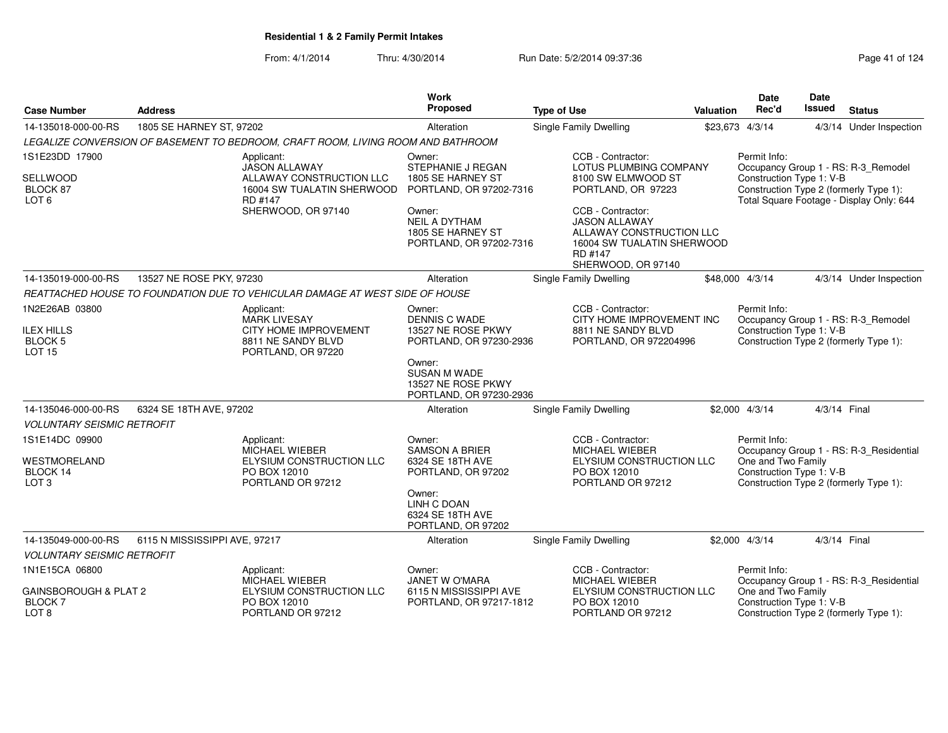| <b>Case Number</b>                                         | <b>Address</b>                |                                                                                  | Work<br>Proposed                                                               | <b>Type of Use</b>                                                                                                                   | Valuation | <b>Date</b><br>Rec'd                           | Date<br>Issued | <b>Status</b>                                                                      |
|------------------------------------------------------------|-------------------------------|----------------------------------------------------------------------------------|--------------------------------------------------------------------------------|--------------------------------------------------------------------------------------------------------------------------------------|-----------|------------------------------------------------|----------------|------------------------------------------------------------------------------------|
| 14-135018-000-00-RS                                        | 1805 SE HARNEY ST, 97202      |                                                                                  | Alteration                                                                     | Single Family Dwelling                                                                                                               |           | \$23,673 4/3/14                                |                | 4/3/14 Under Inspection                                                            |
|                                                            |                               | LEGALIZE CONVERSION OF BASEMENT TO BEDROOM, CRAFT ROOM, LIVING ROOM AND BATHROOM |                                                                                |                                                                                                                                      |           |                                                |                |                                                                                    |
| 1S1E23DD 17900                                             |                               | Applicant:<br><b>JASON ALLAWAY</b>                                               | Owner:<br><b>STEPHANIE J REGAN</b>                                             | CCB - Contractor:<br>LOTUS PLUMBING COMPANY                                                                                          |           | Permit Info:                                   |                | Occupancy Group 1 - RS: R-3_Remodel                                                |
| SELLWOOD<br>BLOCK 87<br>LOT <sub>6</sub>                   |                               | ALLAWAY CONSTRUCTION LLC<br>16004 SW TUALATIN SHERWOOD<br>RD #147                | 1805 SE HARNEY ST<br>PORTLAND, OR 97202-7316                                   | 8100 SW ELMWOOD ST<br>PORTLAND, OR 97223                                                                                             |           | Construction Type 1: V-B                       |                | Construction Type 2 (formerly Type 1):<br>Total Square Footage - Display Only: 644 |
|                                                            |                               | SHERWOOD, OR 97140                                                               | Owner:<br><b>NEIL A DYTHAM</b><br>1805 SE HARNEY ST<br>PORTLAND, OR 97202-7316 | CCB - Contractor:<br><b>JASON ALLAWAY</b><br>ALLAWAY CONSTRUCTION LLC<br>16004 SW TUALATIN SHERWOOD<br>RD #147<br>SHERWOOD, OR 97140 |           |                                                |                |                                                                                    |
| 14-135019-000-00-RS                                        | 13527 NE ROSE PKY, 97230      |                                                                                  | Alteration                                                                     | Single Family Dwelling                                                                                                               |           | \$48,000 4/3/14                                |                | 4/3/14 Under Inspection                                                            |
|                                                            |                               | REATTACHED HOUSE TO FOUNDATION DUE TO VEHICULAR DAMAGE AT WEST SIDE OF HOUSE     |                                                                                |                                                                                                                                      |           |                                                |                |                                                                                    |
| 1N2E26AB 03800                                             |                               | Applicant:                                                                       | Owner:                                                                         | CCB - Contractor:                                                                                                                    |           | Permit Info:                                   |                |                                                                                    |
| <b>ILEX HILLS</b>                                          |                               | <b>MARK LIVESAY</b><br>CITY HOME IMPROVEMENT                                     | <b>DENNIS C WADE</b><br>13527 NE ROSE PKWY                                     | CITY HOME IMPROVEMENT INC<br>8811 NE SANDY BLVD                                                                                      |           | Construction Type 1: V-B                       |                | Occupancy Group 1 - RS: R-3_Remodel                                                |
| <b>BLOCK 5</b>                                             |                               | 8811 NE SANDY BLVD                                                               | PORTLAND, OR 97230-2936                                                        | PORTLAND, OR 972204996                                                                                                               |           |                                                |                | Construction Type 2 (formerly Type 1):                                             |
| <b>LOT 15</b>                                              |                               | PORTLAND, OR 97220                                                               | Owner:<br><b>SUSAN M WADE</b><br>13527 NE ROSE PKWY<br>PORTLAND, OR 97230-2936 |                                                                                                                                      |           |                                                |                |                                                                                    |
| 14-135046-000-00-RS                                        | 6324 SE 18TH AVE, 97202       |                                                                                  | Alteration                                                                     | Single Family Dwelling                                                                                                               |           | $$2,000$ 4/3/14                                | 4/3/14 Final   |                                                                                    |
| <b>VOLUNTARY SEISMIC RETROFIT</b>                          |                               |                                                                                  |                                                                                |                                                                                                                                      |           |                                                |                |                                                                                    |
| 1S1E14DC 09900                                             |                               | Applicant:                                                                       | Owner:                                                                         | CCB - Contractor:                                                                                                                    |           | Permit Info:                                   |                |                                                                                    |
| WESTMORELAND                                               |                               | <b>MICHAEL WIEBER</b><br>ELYSIUM CONSTRUCTION LLC                                | <b>SAMSON A BRIER</b><br>6324 SE 18TH AVE                                      | MICHAEL WIEBER<br>ELYSIUM CONSTRUCTION LLC                                                                                           |           | One and Two Family                             |                | Occupancy Group 1 - RS: R-3 Residential                                            |
| BLOCK 14                                                   |                               | PO BOX 12010                                                                     | PORTLAND, OR 97202                                                             | PO BOX 12010                                                                                                                         |           | Construction Type 1: V-B                       |                |                                                                                    |
| LOT <sub>3</sub>                                           |                               | PORTLAND OR 97212                                                                | Owner:<br>LINH C DOAN<br>6324 SE 18TH AVE<br>PORTLAND, OR 97202                | PORTLAND OR 97212                                                                                                                    |           |                                                |                | Construction Type 2 (formerly Type 1):                                             |
| 14-135049-000-00-RS                                        | 6115 N MISSISSIPPI AVE, 97217 |                                                                                  | Alteration                                                                     | Single Family Dwelling                                                                                                               |           | $$2,000$ 4/3/14                                | 4/3/14 Final   |                                                                                    |
| <b>VOLUNTARY SEISMIC RETROFIT</b>                          |                               |                                                                                  |                                                                                |                                                                                                                                      |           |                                                |                |                                                                                    |
| 1N1E15CA 06800                                             |                               | Applicant:<br>MICHAEL WIEBER                                                     | Owner:<br><b>JANET W O'MARA</b>                                                | CCB - Contractor:<br><b>MICHAEL WIEBER</b>                                                                                           |           | Permit Info:                                   |                | Occupancy Group 1 - RS: R-3 Residential                                            |
| <b>GAINSBOROUGH &amp; PLAT 2</b><br><b>BLOCK7</b><br>LOT 8 |                               | ELYSIUM CONSTRUCTION LLC<br>PO BOX 12010<br>PORTLAND OR 97212                    | 6115 N MISSISSIPPI AVE<br>PORTLAND, OR 97217-1812                              | ELYSIUM CONSTRUCTION LLC<br>PO BOX 12010<br>PORTLAND OR 97212                                                                        |           | One and Two Family<br>Construction Type 1: V-B |                | Construction Type 2 (formerly Type 1):                                             |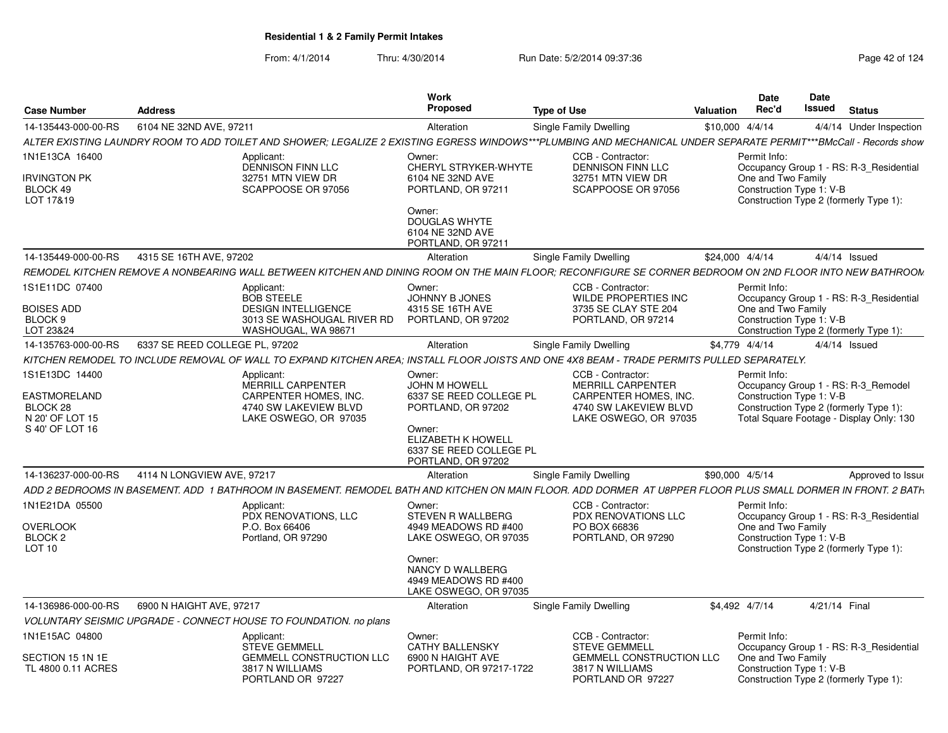| <b>Case Number</b>                                         | <b>Address</b>                                                                                                                                                    | <b>Work</b><br>Proposed                                                              | <b>Type of Use</b>                                                      | Valuation       | Date<br>Rec'd                                  | Date<br><b>Issued</b> | <b>Status</b>                                                                      |
|------------------------------------------------------------|-------------------------------------------------------------------------------------------------------------------------------------------------------------------|--------------------------------------------------------------------------------------|-------------------------------------------------------------------------|-----------------|------------------------------------------------|-----------------------|------------------------------------------------------------------------------------|
| 14-135443-000-00-RS                                        | 6104 NE 32ND AVE, 97211                                                                                                                                           | Alteration                                                                           | Single Family Dwelling                                                  | \$10,000 4/4/14 |                                                |                       | 4/4/14 Under Inspection                                                            |
|                                                            | ALTER EXISTING LAUNDRY ROOM TO ADD TOILET AND SHOWER: LEGALIZE 2 EXISTING EGRESS WINDOWS***PLUMBING AND MECHANICAL UNDER SEPARATE PERMIT***BMcCall - Records show |                                                                                      |                                                                         |                 |                                                |                       |                                                                                    |
| 1N1E13CA 16400                                             | Applicant:<br><b>DENNISON FINN LLC</b>                                                                                                                            | Owner:<br>CHERYL STRYKER-WHYTE                                                       | CCB - Contractor:<br><b>DENNISON FINN LLC</b>                           |                 | Permit Info:                                   |                       | Occupancy Group 1 - RS: R-3 Residential                                            |
| Irvington PK<br>BLOCK 49<br>LOT 17&19                      | 32751 MTN VIEW DR<br>SCAPPOOSE OR 97056                                                                                                                           | 6104 NE 32ND AVE<br>PORTLAND, OR 97211                                               | 32751 MTN VIEW DR<br>SCAPPOOSE OR 97056                                 |                 | One and Two Family<br>Construction Type 1: V-B |                       | Construction Type 2 (formerly Type 1):                                             |
|                                                            |                                                                                                                                                                   | Owner:<br><b>DOUGLAS WHYTE</b><br>6104 NE 32ND AVE<br>PORTLAND, OR 97211             |                                                                         |                 |                                                |                       |                                                                                    |
| 14-135449-000-00-RS                                        | 4315 SE 16TH AVE, 97202                                                                                                                                           | Alteration                                                                           | Single Family Dwelling                                                  |                 | \$24,000 4/4/14                                |                       | $4/4/14$ Issued                                                                    |
|                                                            | REMODEL KITCHEN REMOVE A NONBEARING WALL BETWEEN KITCHEN AND DINING ROOM ON THE MAIN FLOOR: RECONFIGURE SE CORNER BEDROOM ON 2ND FLOOR INTO NEW BATHROOM          |                                                                                      |                                                                         |                 |                                                |                       |                                                                                    |
| 1S1E11DC 07400                                             | Applicant:<br><b>BOB STEELE</b>                                                                                                                                   | Owner:<br><b>JOHNNY B JONES</b>                                                      | CCB - Contractor:<br><b>WILDE PROPERTIES INC</b>                        |                 | Permit Info:                                   |                       | Occupancy Group 1 - RS: R-3 Residential                                            |
| <b>BOISES ADD</b><br>BLOCK <sub>9</sub>                    | <b>DESIGN INTELLIGENCE</b><br>3013 SE WASHOUGAL RIVER RD<br>WASHOUGAL, WA 98671                                                                                   | 4315 SE 16TH AVE<br>PORTLAND, OR 97202                                               | 3735 SE CLAY STE 204<br>PORTLAND, OR 97214                              |                 | One and Two Family<br>Construction Type 1: V-B |                       | Construction Type 2 (formerly Type 1):                                             |
| LOT 23&24<br>14-135763-000-00-RS                           | 6337 SE REED COLLEGE PL, 97202                                                                                                                                    | Alteration                                                                           | Single Family Dwelling                                                  |                 | \$4,779 4/4/14                                 |                       | 4/4/14 Issued                                                                      |
|                                                            | KITCHEN REMODEL TO INCLUDE REMOVAL OF WALL TO EXPAND KITCHEN AREA: INSTALL FLOOR JOISTS AND ONE 4X8 BEAM - TRADE PERMITS PULLED SEPARATELY.                       |                                                                                      |                                                                         |                 |                                                |                       |                                                                                    |
| 1S1E13DC 14400                                             | Applicant:<br><b>MERRILL CARPENTER</b>                                                                                                                            | Owner:<br><b>JOHN M HOWELL</b>                                                       | CCB - Contractor:<br><b>MERRILL CARPENTER</b>                           |                 | Permit Info:                                   |                       | Occupancy Group 1 - RS: R-3 Remodel                                                |
| EASTMORELAND<br>BLOCK <sub>28</sub><br>N 20' OF LOT 15     | CARPENTER HOMES, INC.<br>4740 SW LAKEVIEW BLVD<br>LAKE OSWEGO, OR 97035                                                                                           | 6337 SE REED COLLEGE PL<br>PORTLAND, OR 97202                                        | CARPENTER HOMES, INC.<br>4740 SW LAKEVIEW BLVD<br>LAKE OSWEGO, OR 97035 |                 | Construction Type 1: V-B                       |                       | Construction Type 2 (formerly Type 1):<br>Total Square Footage - Display Only: 130 |
| S 40' OF LOT 16                                            |                                                                                                                                                                   | Owner:<br><b>ELIZABETH K HOWELL</b><br>6337 SE REED COLLEGE PL<br>PORTLAND, OR 97202 |                                                                         |                 |                                                |                       |                                                                                    |
| 14-136237-000-00-RS                                        | 4114 N LONGVIEW AVE, 97217                                                                                                                                        | Alteration                                                                           | Single Family Dwelling                                                  |                 | \$90,000 4/5/14                                |                       | Approved to Issue                                                                  |
|                                                            | ADD 2 BEDROOMS IN BASEMENT. ADD 1 BATHROOM IN BASEMENT. REMODEL BATH AND KITCHEN ON MAIN FLOOR. ADD DORMER AT U8PPER FLOOR PLUS SMALL DORMER IN FRONT. 2 BATH     |                                                                                      |                                                                         |                 |                                                |                       |                                                                                    |
| 1N1E21DA 05500                                             | Applicant:<br>PDX RENOVATIONS, LLC                                                                                                                                | Owner:<br>STEVEN R WALLBERG                                                          | CCB - Contractor:<br>PDX RENOVATIONS LLC                                |                 | Permit Info:                                   |                       | Occupancy Group 1 - RS: R-3 Residential                                            |
| <b>OVERLOOK</b><br>BLOCK <sub>2</sub><br>LOT <sub>10</sub> | P.O. Box 66406<br>Portland, OR 97290                                                                                                                              | 4949 MEADOWS RD #400<br>LAKE OSWEGO, OR 97035                                        | PO BOX 66836<br>PORTLAND, OR 97290                                      |                 | One and Two Family<br>Construction Type 1: V-B |                       | Construction Type 2 (formerly Type 1):                                             |
|                                                            |                                                                                                                                                                   | Owner:<br>NANCY D WALLBERG<br>4949 MEADOWS RD #400<br>LAKE OSWEGO, OR 97035          |                                                                         |                 |                                                |                       |                                                                                    |
| 14-136986-000-00-RS                                        | 6900 N HAIGHT AVE, 97217                                                                                                                                          | Alteration                                                                           | Single Family Dwelling                                                  |                 | \$4.492 4/7/14                                 | 4/21/14 Final         |                                                                                    |
|                                                            | VOLUNTARY SEISMIC UPGRADE - CONNECT HOUSE TO FOUNDATION, no plans                                                                                                 |                                                                                      |                                                                         |                 |                                                |                       |                                                                                    |
| 1N1E15AC 04800                                             | Applicant:<br><b>STEVE GEMMELL</b>                                                                                                                                | Owner:<br><b>CATHY BALLENSKY</b>                                                     | CCB - Contractor:<br><b>STEVE GEMMELL</b>                               |                 | Permit Info:                                   |                       | Occupancy Group 1 - RS: R-3 Residential                                            |
| SECTION 15 1N 1E<br>TL 4800 0.11 ACRES                     | GEMMELL CONSTRUCTION LLC<br>3817 N WILLIAMS<br>PORTLAND OR 97227                                                                                                  | 6900 N HAIGHT AVE<br>PORTLAND, OR 97217-1722                                         | GEMMELL CONSTRUCTION LLC<br>3817 N WILLIAMS<br>PORTLAND OR 97227        |                 | One and Two Family<br>Construction Type 1: V-B |                       | Construction Type 2 (formerly Type 1):                                             |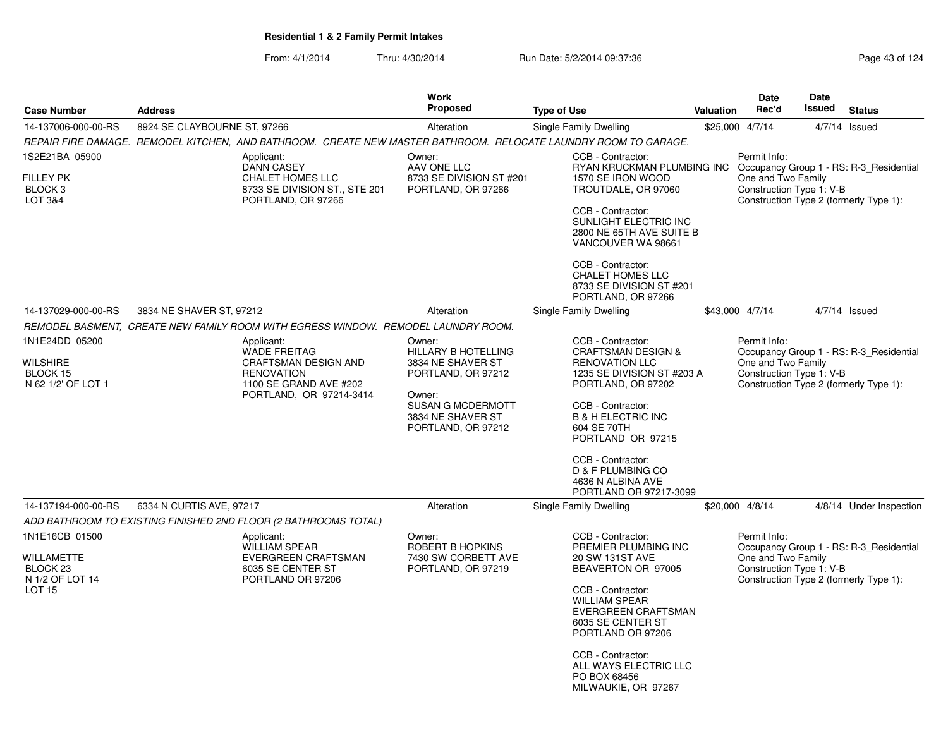| <b>Case Number</b>                                                                      | <b>Address</b>                                                                                                                                                         | <b>Work</b><br><b>Proposed</b>                                                                                                                                   | <b>Type of Use</b>                                                                                                                                                                                                                                                                                                 | <b>Valuation</b> | Date<br>Rec'd                                                  | <b>Date</b><br>Issued | <b>Status</b>                                                                     |
|-----------------------------------------------------------------------------------------|------------------------------------------------------------------------------------------------------------------------------------------------------------------------|------------------------------------------------------------------------------------------------------------------------------------------------------------------|--------------------------------------------------------------------------------------------------------------------------------------------------------------------------------------------------------------------------------------------------------------------------------------------------------------------|------------------|----------------------------------------------------------------|-----------------------|-----------------------------------------------------------------------------------|
|                                                                                         |                                                                                                                                                                        |                                                                                                                                                                  |                                                                                                                                                                                                                                                                                                                    |                  |                                                                |                       |                                                                                   |
| 14-137006-000-00-RS                                                                     | 8924 SE CLAYBOURNE ST, 97266                                                                                                                                           | Alteration                                                                                                                                                       | Single Family Dwelling                                                                                                                                                                                                                                                                                             |                  | \$25,000 4/7/14                                                |                       | $4/7/14$ Issued                                                                   |
|                                                                                         | REPAIR FIRE DAMAGE. REMODEL KITCHEN, AND BATHROOM. CREATE NEW MASTER BATHROOM. RELOCATE LAUNDRY ROOM TO GARAGE.                                                        |                                                                                                                                                                  |                                                                                                                                                                                                                                                                                                                    |                  |                                                                |                       |                                                                                   |
| 1S2E21BA 05900<br><b>FILLEY PK</b><br>BLOCK <sub>3</sub><br><b>LOT 3&amp;4</b>          | Applicant:<br><b>DANN CASEY</b><br>CHALET HOMES LLC<br>8733 SE DIVISION ST., STE 201<br>PORTLAND, OR 97266                                                             | Owner:<br>AAV ONE LLC<br>8733 SE DIVISION ST #201<br>PORTLAND, OR 97266                                                                                          | CCB - Contractor:<br>RYAN KRUCKMAN PLUMBING INC Occupancy Group 1 - RS: R-3 Residential<br>1570 SE IRON WOOD<br>TROUTDALE, OR 97060<br>CCB - Contractor:<br>SUNLIGHT ELECTRIC INC<br>2800 NE 65TH AVE SUITE B<br>VANCOUVER WA 98661<br>CCB - Contractor:<br><b>CHALET HOMES LLC</b>                                |                  | Permit Info:<br>One and Two Family<br>Construction Type 1: V-B |                       | Construction Type 2 (formerly Type 1):                                            |
|                                                                                         |                                                                                                                                                                        |                                                                                                                                                                  | 8733 SE DIVISION ST #201<br>PORTLAND, OR 97266                                                                                                                                                                                                                                                                     |                  |                                                                |                       |                                                                                   |
| 14-137029-000-00-RS                                                                     | 3834 NE SHAVER ST, 97212                                                                                                                                               | Alteration                                                                                                                                                       | Single Family Dwelling                                                                                                                                                                                                                                                                                             |                  | \$43,000 4/7/14                                                |                       | $4/7/14$ Issued                                                                   |
|                                                                                         | REMODEL BASMENT, CREATE NEW FAMILY ROOM WITH EGRESS WINDOW. REMODEL LAUNDRY ROOM.                                                                                      |                                                                                                                                                                  |                                                                                                                                                                                                                                                                                                                    |                  |                                                                |                       |                                                                                   |
| 1N1E24DD 05200<br><b>WILSHIRE</b><br>BLOCK 15<br>N 62 1/2' OF LOT 1                     | Applicant:<br><b>WADE FREITAG</b><br>CRAFTSMAN DESIGN AND<br><b>RENOVATION</b><br>1100 SE GRAND AVE #202<br>PORTLAND, OR 97214-3414                                    | Owner:<br><b>HILLARY B HOTELLING</b><br>3834 NE SHAVER ST<br>PORTLAND, OR 97212<br>Owner:<br><b>SUSAN G MCDERMOTT</b><br>3834 NE SHAVER ST<br>PORTLAND, OR 97212 | CCB - Contractor:<br><b>CRAFTSMAN DESIGN &amp;</b><br><b>RENOVATION LLC</b><br>1235 SE DIVISION ST #203 A<br>PORTLAND, OR 97202<br>CCB - Contractor:<br><b>B &amp; H ELECTRIC INC</b><br>604 SE 70TH<br>PORTLAND OR 97215<br>CCB - Contractor:<br>D & F PLUMBING CO<br>4636 N ALBINA AVE<br>PORTLAND OR 97217-3099 |                  | Permit Info:<br>One and Two Family<br>Construction Type 1: V-B |                       | Occupancy Group 1 - RS: R-3_Residential<br>Construction Type 2 (formerly Type 1): |
| 14-137194-000-00-RS                                                                     | 6334 N CURTIS AVE, 97217                                                                                                                                               | Alteration                                                                                                                                                       | Single Family Dwelling                                                                                                                                                                                                                                                                                             |                  | \$20,000 4/8/14                                                |                       | 4/8/14 Under Inspection                                                           |
| 1N1E16CB 01500<br>WILLAMETTE<br>BLOCK <sub>23</sub><br>N 1/2 OF LOT 14<br><b>LOT 15</b> | ADD BATHROOM TO EXISTING FINISHED 2ND FLOOR (2 BATHROOMS TOTAL)<br>Applicant:<br>WILLIAM SPEAR<br><b>EVERGREEN CRAFTSMAN</b><br>6035 SE CENTER ST<br>PORTLAND OR 97206 | Owner:<br>ROBERT B HOPKINS<br>7430 SW CORBETT AVE<br>PORTLAND, OR 97219                                                                                          | CCB - Contractor:<br>PREMIER PLUMBING INC<br>20 SW 131ST AVE<br>BEAVERTON OR 97005<br>CCB - Contractor:<br><b>WILLIAM SPEAR</b><br><b>EVERGREEN CRAFTSMAN</b><br>6035 SE CENTER ST<br>PORTLAND OR 97206<br>CCB - Contractor:<br>ALL WAYS ELECTRIC LLC<br>PO BOX 68456<br>MILWAUKIE, OR 97267                       |                  | Permit Info:<br>One and Two Family<br>Construction Type 1: V-B |                       | Occupancy Group 1 - RS: R-3_Residential<br>Construction Type 2 (formerly Type 1): |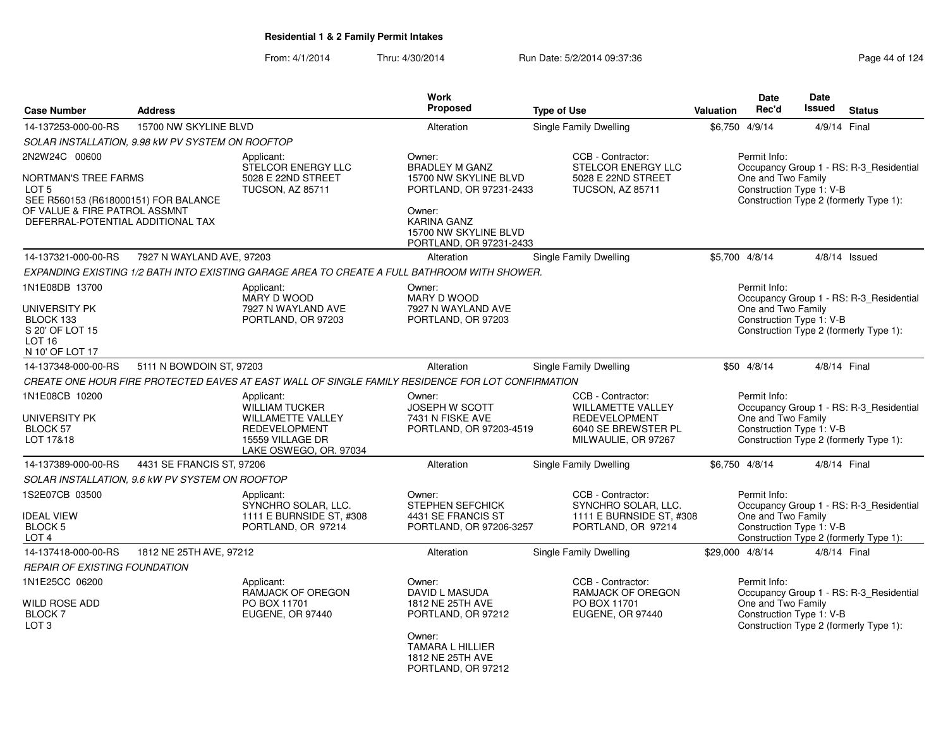From: 4/1/2014Thru: 4/30/2014 Run Date: 5/2/2014 09:37:36 Run Date: 5/2/2014 09:37:36

|                                                                                                                                                                     |                                                  |                                                                                                                                       | <b>Work</b>                                                                                                                                                             |                                                                                                                     | <b>Date</b>                                                    | Date                                                                                                          |
|---------------------------------------------------------------------------------------------------------------------------------------------------------------------|--------------------------------------------------|---------------------------------------------------------------------------------------------------------------------------------------|-------------------------------------------------------------------------------------------------------------------------------------------------------------------------|---------------------------------------------------------------------------------------------------------------------|----------------------------------------------------------------|---------------------------------------------------------------------------------------------------------------|
| <b>Case Number</b>                                                                                                                                                  | <b>Address</b>                                   |                                                                                                                                       | Proposed                                                                                                                                                                | <b>Type of Use</b>                                                                                                  | Rec'd<br>Valuation                                             | <b>Issued</b><br><b>Status</b>                                                                                |
| 14-137253-000-00-RS                                                                                                                                                 | 15700 NW SKYLINE BLVD                            |                                                                                                                                       | Alteration                                                                                                                                                              | Single Family Dwelling                                                                                              | \$6,750 4/9/14                                                 | 4/9/14 Final                                                                                                  |
|                                                                                                                                                                     | SOLAR INSTALLATION, 9.98 kW PV SYSTEM ON ROOFTOP |                                                                                                                                       |                                                                                                                                                                         |                                                                                                                     |                                                                |                                                                                                               |
| 2N2W24C 00600<br><b>NORTMAN'S TREE FARMS</b><br>LOT 5<br>SEE R560153 (R618000151) FOR BALANCE<br>OF VALUE & FIRE PATROL ASSMNT<br>DEFERRAL-POTENTIAL ADDITIONAL TAX |                                                  | Applicant:<br>STELCOR ENERGY LLC<br>5028 E 22ND STREET<br><b>TUCSON, AZ 85711</b>                                                     | Owner:<br><b>BRADLEY M GANZ</b><br>15700 NW SKYLINE BLVD<br>PORTLAND, OR 97231-2433<br>Owner:<br><b>KARINA GANZ</b><br>15700 NW SKYLINE BLVD<br>PORTLAND, OR 97231-2433 | CCB - Contractor:<br>STELCOR ENERGY LLC<br>5028 E 22ND STREET<br>TUCSON, AZ 85711                                   | Permit Info:<br>One and Two Family                             | Occupancy Group 1 - RS: R-3_Residential<br>Construction Type 1: V-B<br>Construction Type 2 (formerly Type 1): |
| 14-137321-000-00-RS                                                                                                                                                 | 7927 N WAYLAND AVE, 97203                        |                                                                                                                                       | Alteration                                                                                                                                                              | Single Family Dwelling                                                                                              | \$5,700 4/8/14                                                 | $4/8/14$ Issued                                                                                               |
|                                                                                                                                                                     |                                                  | EXPANDING EXISTING 1/2 BATH INTO EXISTING GARAGE AREA TO CREATE A FULL BATHROOM WITH SHOWER.                                          |                                                                                                                                                                         |                                                                                                                     |                                                                |                                                                                                               |
| 1N1E08DB 13700<br>UNIVERSITY PK<br>BLOCK 133<br>S 20' OF LOT 15<br>LOT <sub>16</sub><br>N 10' OF LOT 17                                                             |                                                  | Applicant:<br>MARY D WOOD<br>7927 N WAYLAND AVE<br>PORTLAND, OR 97203                                                                 | Owner:<br>MARY D WOOD<br>7927 N WAYLAND AVE<br>PORTLAND, OR 97203                                                                                                       |                                                                                                                     | Permit Info:<br>One and Two Family<br>Construction Type 1: V-B | Occupancy Group 1 - RS: R-3_Residential<br>Construction Type 2 (formerly Type 1):                             |
| 14-137348-000-00-RS                                                                                                                                                 | 5111 N BOWDOIN ST, 97203                         |                                                                                                                                       | Alteration                                                                                                                                                              | <b>Single Family Dwelling</b>                                                                                       | \$50 4/8/14                                                    | 4/8/14 Final                                                                                                  |
|                                                                                                                                                                     |                                                  | CREATE ONE HOUR FIRE PROTECTED EAVES AT EAST WALL OF SINGLE FAMILY RESIDENCE FOR LOT CONFIRMATION                                     |                                                                                                                                                                         |                                                                                                                     |                                                                |                                                                                                               |
| 1N1E08CB 10200<br><b>UNIVERSITY PK</b><br><b>BLOCK 57</b><br>LOT 17&18                                                                                              |                                                  | Applicant:<br><b>WILLIAM TUCKER</b><br><b>WILLAMETTE VALLEY</b><br><b>REDEVELOPMENT</b><br>15559 VILLAGE DR<br>LAKE OSWEGO, OR. 97034 | Owner:<br>JOSEPH W SCOTT<br>7431 N FISKE AVE<br>PORTLAND, OR 97203-4519                                                                                                 | CCB - Contractor:<br><b>WILLAMETTE VALLEY</b><br><b>REDEVELOPMENT</b><br>6040 SE BREWSTER PL<br>MILWAULIE, OR 97267 | Permit Info:<br>One and Two Family<br>Construction Type 1: V-B | Occupancy Group 1 - RS: R-3_Residential<br>Construction Type 2 (formerly Type 1):                             |
| 14-137389-000-00-RS                                                                                                                                                 | 4431 SE FRANCIS ST, 97206                        |                                                                                                                                       | Alteration                                                                                                                                                              | <b>Single Family Dwelling</b>                                                                                       | \$6,750 4/8/14                                                 | 4/8/14 Final                                                                                                  |
|                                                                                                                                                                     | SOLAR INSTALLATION, 9.6 kW PV SYSTEM ON ROOFTOP  |                                                                                                                                       |                                                                                                                                                                         |                                                                                                                     |                                                                |                                                                                                               |
| 1S2E07CB 03500<br><b>IDEAL VIEW</b><br><b>BLOCK 5</b><br>LOT <sub>4</sub>                                                                                           |                                                  | Applicant:<br>SYNCHRO SOLAR, LLC.<br>1111 E BURNSIDE ST, #308<br>PORTLAND, OR 97214                                                   | Owner:<br><b>STEPHEN SEFCHICK</b><br>4431 SE FRANCIS ST<br>PORTLAND, OR 97206-3257                                                                                      | CCB - Contractor:<br>SYNCHRO SOLAR, LLC.<br>1111 E BURNSIDE ST, #308<br>PORTLAND, OR 97214                          | Permit Info:<br>One and Two Family<br>Construction Type 1: V-B | Occupancy Group 1 - RS: R-3_Residential<br>Construction Type 2 (formerly Type 1):                             |
| 14-137418-000-00-RS                                                                                                                                                 | 1812 NE 25TH AVE, 97212                          |                                                                                                                                       | Alteration                                                                                                                                                              | Single Family Dwelling                                                                                              | \$29,000 4/8/14                                                | 4/8/14 Final                                                                                                  |
| <b>REPAIR OF EXISTING FOUNDATION</b>                                                                                                                                |                                                  |                                                                                                                                       |                                                                                                                                                                         |                                                                                                                     |                                                                |                                                                                                               |
| 1N1E25CC 06200<br><b>WILD ROSE ADD</b><br><b>BLOCK 7</b><br>LOT <sub>3</sub>                                                                                        |                                                  | Applicant:<br>RAMJACK OF OREGON<br>PO BOX 11701<br>EUGENE, OR 97440                                                                   | Owner:<br>DAVID L MASUDA<br>1812 NE 25TH AVE<br>PORTLAND, OR 97212<br>Owner:<br><b>TAMARA L HILLIER</b><br>1812 NE 25TH AVE                                             | CCB - Contractor:<br>RAMJACK OF OREGON<br>PO BOX 11701<br>EUGENE, OR 97440                                          | Permit Info:<br>One and Two Family<br>Construction Type 1: V-B | Occupancy Group 1 - RS: R-3 Residential<br>Construction Type 2 (formerly Type 1):                             |

PORTLAND, OR 97212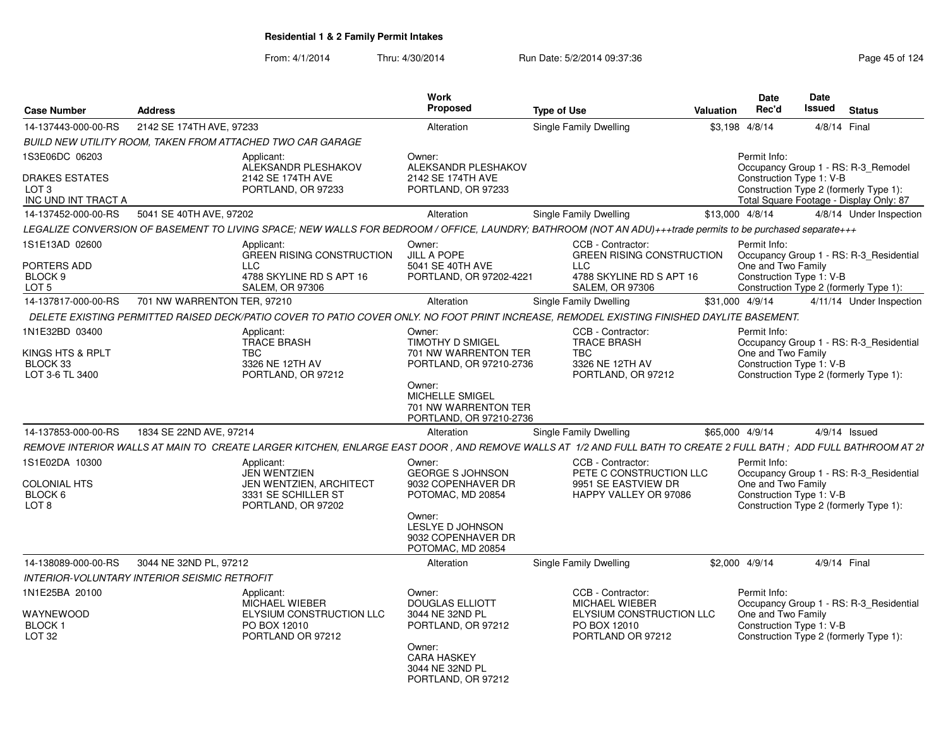| <b>Case Number</b>                                                                                                                             | <b>Address</b>                                      |                                                                                                                                                                                                                                                                                                                                                                    | Work<br>Proposed                                                                                                                                                                                                                                                                                                                                   | <b>Type of Use</b>                                                                                                                                                                                  | Valuation | <b>Date</b><br>Rec'd                                                                                                                | Date<br>Issued | <b>Status</b>                                                                                                                                                                           |  |
|------------------------------------------------------------------------------------------------------------------------------------------------|-----------------------------------------------------|--------------------------------------------------------------------------------------------------------------------------------------------------------------------------------------------------------------------------------------------------------------------------------------------------------------------------------------------------------------------|----------------------------------------------------------------------------------------------------------------------------------------------------------------------------------------------------------------------------------------------------------------------------------------------------------------------------------------------------|-----------------------------------------------------------------------------------------------------------------------------------------------------------------------------------------------------|-----------|-------------------------------------------------------------------------------------------------------------------------------------|----------------|-----------------------------------------------------------------------------------------------------------------------------------------------------------------------------------------|--|
| 14-137443-000-00-RS                                                                                                                            | 2142 SE 174TH AVE, 97233                            |                                                                                                                                                                                                                                                                                                                                                                    | Alteration                                                                                                                                                                                                                                                                                                                                         | Single Family Dwelling                                                                                                                                                                              |           | \$3,198 4/8/14                                                                                                                      |                | 4/8/14 Final                                                                                                                                                                            |  |
|                                                                                                                                                |                                                     | BUILD NEW UTILITY ROOM. TAKEN FROM ATTACHED TWO CAR GARAGE                                                                                                                                                                                                                                                                                                         |                                                                                                                                                                                                                                                                                                                                                    |                                                                                                                                                                                                     |           |                                                                                                                                     |                |                                                                                                                                                                                         |  |
| 1S3E06DC 06203                                                                                                                                 |                                                     | Applicant:<br>ALEKSANDR PLESHAKOV                                                                                                                                                                                                                                                                                                                                  | Owner:<br>ALEKSANDR PLESHAKOV                                                                                                                                                                                                                                                                                                                      |                                                                                                                                                                                                     |           | Permit Info:                                                                                                                        |                | Occupancy Group 1 - RS: R-3 Remodel                                                                                                                                                     |  |
| <b>DRAKES ESTATES</b><br>LOT <sub>3</sub><br>INC UND INT TRACT A                                                                               |                                                     | 2142 SE 174TH AVE<br>PORTLAND, OR 97233                                                                                                                                                                                                                                                                                                                            | 2142 SE 174TH AVE<br>PORTLAND, OR 97233                                                                                                                                                                                                                                                                                                            |                                                                                                                                                                                                     |           | Construction Type 1: V-B                                                                                                            |                | Construction Type 2 (formerly Type 1):<br>Total Square Footage - Display Only: 87                                                                                                       |  |
| 14-137452-000-00-RS                                                                                                                            | 5041 SE 40TH AVE, 97202                             |                                                                                                                                                                                                                                                                                                                                                                    | Alteration                                                                                                                                                                                                                                                                                                                                         | Single Family Dwelling                                                                                                                                                                              |           | \$13,000 4/8/14                                                                                                                     |                | 4/8/14 Under Inspection                                                                                                                                                                 |  |
|                                                                                                                                                |                                                     | LEGALIZE CONVERSION OF BASEMENT TO LIVING SPACE; NEW WALLS FOR BEDROOM / OFFICE, LAUNDRY; BATHROOM (NOT AN ADU)+++trade permits to be purchased separate+++                                                                                                                                                                                                        |                                                                                                                                                                                                                                                                                                                                                    |                                                                                                                                                                                                     |           |                                                                                                                                     |                |                                                                                                                                                                                         |  |
| 1S1E13AD 02600                                                                                                                                 |                                                     | Applicant:                                                                                                                                                                                                                                                                                                                                                         | Owner:                                                                                                                                                                                                                                                                                                                                             | CCB - Contractor:                                                                                                                                                                                   |           | Permit Info:                                                                                                                        |                |                                                                                                                                                                                         |  |
| PORTERS ADD<br>BLOCK <sub>9</sub><br>LOT <sub>5</sub>                                                                                          |                                                     | <b>GREEN RISING CONSTRUCTION</b><br><b>LLC</b><br>4788 SKYLINE RD S APT 16<br><b>SALEM, OR 97306</b>                                                                                                                                                                                                                                                               | <b>JILL A POPE</b><br>5041 SE 40TH AVE<br>PORTLAND, OR 97202-4221                                                                                                                                                                                                                                                                                  | <b>GREEN RISING CONSTRUCTION</b><br><b>LLC</b><br>4788 SKYLINE RD S APT 16<br><b>SALEM, OR 97306</b>                                                                                                |           | One and Two Family<br>Construction Type 1: V-B                                                                                      |                | Occupancy Group 1 - RS: R-3_Residential                                                                                                                                                 |  |
| 14-137817-000-00-RS                                                                                                                            | 701 NW WARRENTON TER, 97210                         |                                                                                                                                                                                                                                                                                                                                                                    |                                                                                                                                                                                                                                                                                                                                                    |                                                                                                                                                                                                     |           |                                                                                                                                     |                | Construction Type 2 (formerly Type 1):                                                                                                                                                  |  |
|                                                                                                                                                |                                                     |                                                                                                                                                                                                                                                                                                                                                                    | Alteration                                                                                                                                                                                                                                                                                                                                         | <b>Single Family Dwelling</b>                                                                                                                                                                       |           | \$31,000 4/9/14                                                                                                                     |                | 4/11/14 Under Inspection                                                                                                                                                                |  |
| 1N1E32BD 03400                                                                                                                                 |                                                     | DELETE EXISTING PERMITTED RAISED DECK/PATIO COVER TO PATIO COVER ONLY. NO FOOT PRINT INCREASE, REMODEL EXISTING FINISHED DAYLITE BASEMENT.                                                                                                                                                                                                                         |                                                                                                                                                                                                                                                                                                                                                    | CCB - Contractor:                                                                                                                                                                                   |           | Permit Info:                                                                                                                        |                |                                                                                                                                                                                         |  |
| KINGS HTS & RPLT<br>BLOCK 33<br>LOT 3-6 TL 3400<br>14-137853-000-00-RS<br>1S1E02DA 10300<br><b>COLONIAL HTS</b><br>BLOCK 6<br>LOT <sub>8</sub> | 1834 SE 22ND AVE, 97214                             | Applicant:<br><b>TRACE BRASH</b><br>TBC<br>3326 NE 12TH AV<br>PORTLAND, OR 97212<br>REMOVE INTERIOR WALLS AT MAIN TO CREATE LARGER KITCHEN, ENLARGE EAST DOOR , AND REMOVE WALLS AT 1/2 AND FULL BATH TO CREATE 2 FULL BATH ; ADD FULL BATHROOM AT 21<br>Applicant:<br><b>JEN WENTZIEN</b><br>JEN WENTZIEN, ARCHITECT<br>3331 SE SCHILLER ST<br>PORTLAND, OR 97202 | Owner:<br><b>TIMOTHY D SMIGEL</b><br>701 NW WARRENTON TER<br>PORTLAND, OR 97210-2736<br>Owner:<br>MICHELLE SMIGEL<br>701 NW WARRENTON TER<br>PORTLAND, OR 97210-2736<br>Alteration<br>Owner:<br><b>GEORGE S JOHNSON</b><br>9032 COPENHAVER DR<br>POTOMAC, MD 20854<br>Owner:<br><b>LESLYE D JOHNSON</b><br>9032 COPENHAVER DR<br>POTOMAC, MD 20854 | <b>TRACE BRASH</b><br><b>TBC</b><br>3326 NE 12TH AV<br>PORTLAND, OR 97212<br>Single Family Dwelling<br>CCB - Contractor:<br>PETE C CONSTRUCTION LLC<br>9951 SE EASTVIEW DR<br>HAPPY VALLEY OR 97086 |           | One and Two Family<br>Construction Type 1: V-B<br>\$65,000 4/9/14<br>Permit Info:<br>One and Two Family<br>Construction Type 1: V-B |                | Occupancy Group 1 - RS: R-3_Residential<br>Construction Type 2 (formerly Type 1):<br>4/9/14 Issued<br>Occupancy Group 1 - RS: R-3 Residential<br>Construction Type 2 (formerly Type 1): |  |
| 14-138089-000-00-RS                                                                                                                            | 3044 NE 32ND PL, 97212                              |                                                                                                                                                                                                                                                                                                                                                                    | Alteration                                                                                                                                                                                                                                                                                                                                         | <b>Single Family Dwelling</b>                                                                                                                                                                       |           | \$2,000 4/9/14                                                                                                                      |                | 4/9/14 Final                                                                                                                                                                            |  |
|                                                                                                                                                | <b>INTERIOR-VOLUNTARY INTERIOR SEISMIC RETROFIT</b> |                                                                                                                                                                                                                                                                                                                                                                    |                                                                                                                                                                                                                                                                                                                                                    |                                                                                                                                                                                                     |           |                                                                                                                                     |                |                                                                                                                                                                                         |  |
| 1N1E25BA 20100<br>WAYNEWOOD<br><b>BLOCK1</b><br>LOT <sub>32</sub>                                                                              |                                                     | Applicant:<br>MICHAEL WIEBER<br>ELYSIUM CONSTRUCTION LLC<br>PO BOX 12010<br>PORTLAND OR 97212                                                                                                                                                                                                                                                                      | Owner:<br><b>DOUGLAS ELLIOTT</b><br>3044 NE 32ND PL<br>PORTLAND, OR 97212                                                                                                                                                                                                                                                                          | CCB - Contractor:<br>MICHAEL WIEBER<br>ELYSIUM CONSTRUCTION LLC<br>PO BOX 12010<br>PORTLAND OR 97212                                                                                                |           | Permit Info:<br>One and Two Family<br>Construction Type 1: V-B                                                                      |                | Occupancy Group 1 - RS: R-3 Residential<br>Construction Type 2 (formerly Type 1):                                                                                                       |  |
|                                                                                                                                                |                                                     |                                                                                                                                                                                                                                                                                                                                                                    | Owner:<br><b>CARA HASKEY</b><br>3044 NE 32ND PL<br>PORTLAND, OR 97212                                                                                                                                                                                                                                                                              |                                                                                                                                                                                                     |           |                                                                                                                                     |                |                                                                                                                                                                                         |  |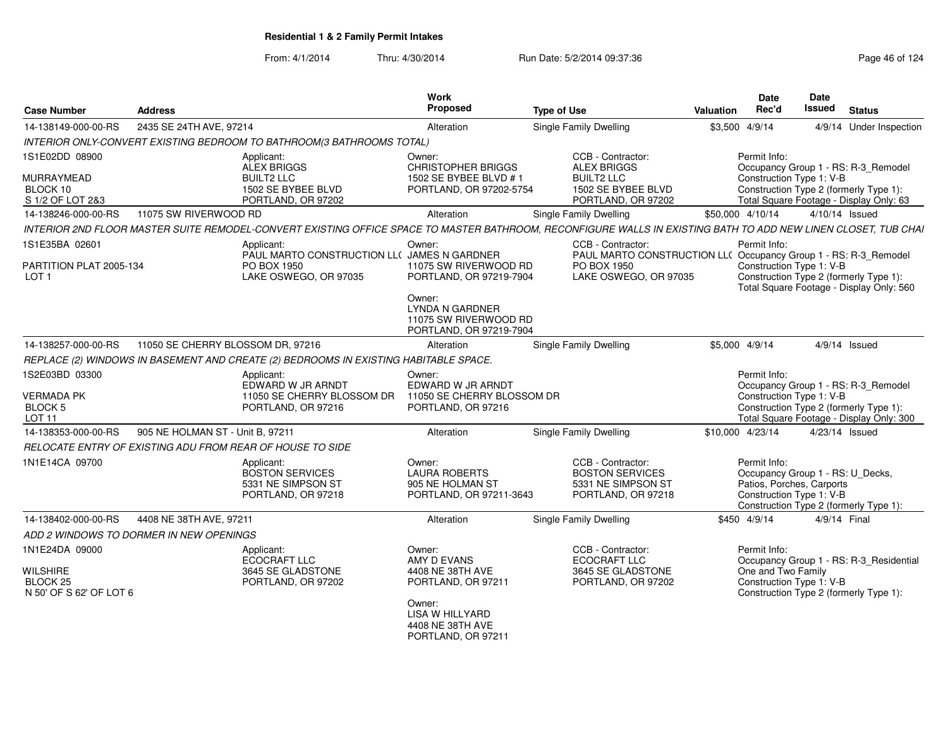From: 4/1/2014Thru: 4/30/2014 Run Date: 5/2/2014 09:37:36 Run Date: 5/2/2014 09:37:36

| <b>Case Number</b>                                                              | <b>Address</b>                    |                                                                                                                                                                | Work<br>Proposed                                                                                                        | <b>Type of Use</b>                                                                                                           | Valuation | <b>Date</b><br>Rec'd               | <b>Date</b><br><b>Issued</b><br><b>Status</b>                                                                                                         |
|---------------------------------------------------------------------------------|-----------------------------------|----------------------------------------------------------------------------------------------------------------------------------------------------------------|-------------------------------------------------------------------------------------------------------------------------|------------------------------------------------------------------------------------------------------------------------------|-----------|------------------------------------|-------------------------------------------------------------------------------------------------------------------------------------------------------|
| 14-138149-000-00-RS                                                             | 2435 SE 24TH AVE, 97214           |                                                                                                                                                                | Alteration                                                                                                              | Single Family Dwelling                                                                                                       |           | \$3,500 4/9/14                     | 4/9/14 Under Inspection                                                                                                                               |
|                                                                                 |                                   | INTERIOR ONLY-CONVERT EXISTING BEDROOM TO BATHROOM(3 BATHROOMS TOTAL)                                                                                          |                                                                                                                         |                                                                                                                              |           |                                    |                                                                                                                                                       |
| 1S1E02DD 08900<br>MURRAYMEAD<br>BLOCK 10<br>S 1/2 OF LOT 2&3                    |                                   | Applicant:<br>ALEX BRIGGS<br><b>BUILT2 LLC</b><br>1502 SE BYBEE BLVD<br>PORTLAND, OR 97202                                                                     | Owner:<br><b>CHRISTOPHER BRIGGS</b><br>1502 SE BYBEE BLVD # 1<br>PORTLAND, OR 97202-5754                                | CCB - Contractor:<br><b>ALEX BRIGGS</b><br><b>BUILT2 LLC</b><br>1502 SE BYBEE BLVD<br>PORTLAND, OR 97202                     |           | Permit Info:                       | Occupancy Group 1 - RS: R-3_Remodel<br>Construction Type 1: V-B<br>Construction Type 2 (formerly Type 1):<br>Total Square Footage - Display Only: 63  |
| 14-138246-000-00-RS                                                             | 11075 SW RIVERWOOD RD             |                                                                                                                                                                | Alteration                                                                                                              | <b>Single Family Dwelling</b>                                                                                                |           | \$50,000 4/10/14                   | 4/10/14 Issued                                                                                                                                        |
|                                                                                 |                                   | INTERIOR 2ND FLOOR MASTER SUITE REMODEL-CONVERT EXISTING OFFICE SPACE TO MASTER BATHROOM. RECONFIGURE WALLS IN EXISTING BATH TO ADD NEW LINEN CLOSET. TUB CHAI |                                                                                                                         |                                                                                                                              |           |                                    |                                                                                                                                                       |
| 1S1E35BA 02601<br>PARTITION PLAT 2005-134<br>LOT <sub>1</sub>                   |                                   | Applicant:<br>PAUL MARTO CONSTRUCTION LL( JAMES N GARDNER<br>PO BOX 1950<br>LAKE OSWEGO, OR 97035                                                              | Owner:<br>11075 SW RIVERWOOD RD<br>PORTLAND, OR 97219-7904<br>Owner:                                                    | CCB - Contractor:<br>PAUL MARTO CONSTRUCTION LL( Occupancy Group 1 - RS: R-3_Remodel<br>PO BOX 1950<br>LAKE OSWEGO, OR 97035 |           | Permit Info:                       | Construction Type 1: V-B<br>Construction Type 2 (formerly Type 1):<br>Total Square Footage - Display Only: 560                                        |
|                                                                                 |                                   |                                                                                                                                                                | <b>LYNDA N GARDNER</b><br>11075 SW RIVERWOOD RD<br>PORTLAND, OR 97219-7904                                              |                                                                                                                              |           |                                    |                                                                                                                                                       |
| 14-138257-000-00-RS                                                             | 11050 SE CHERRY BLOSSOM DR, 97216 |                                                                                                                                                                | Alteration                                                                                                              | Single Family Dwelling                                                                                                       |           | \$5,000 4/9/14                     | $4/9/14$ Issued                                                                                                                                       |
|                                                                                 |                                   | REPLACE (2) WINDOWS IN BASEMENT AND CREATE (2) BEDROOMS IN EXISTING HABITABLE SPACE.                                                                           |                                                                                                                         |                                                                                                                              |           |                                    |                                                                                                                                                       |
| 1S2E03BD 03300<br><b>VERMADA PK</b><br><b>BLOCK 5</b><br><b>LOT 11</b>          |                                   | Applicant:<br>EDWARD W JR ARNDT<br>11050 SE CHERRY BLOSSOM DR<br>PORTLAND, OR 97216                                                                            | Owner:<br>EDWARD W JR ARNDT<br>11050 SE CHERRY BLOSSOM DR<br>PORTLAND, OR 97216                                         |                                                                                                                              |           | Permit Info:                       | Occupancy Group 1 - RS: R-3_Remodel<br>Construction Type 1: V-B<br>Construction Type 2 (formerly Type 1):<br>Total Square Footage - Display Only: 300 |
| 14-138353-000-00-RS                                                             | 905 NE HOLMAN ST - Unit B. 97211  |                                                                                                                                                                | Alteration                                                                                                              | <b>Single Family Dwelling</b>                                                                                                |           | \$10,000 4/23/14                   | 4/23/14 Issued                                                                                                                                        |
|                                                                                 |                                   | RELOCATE ENTRY OF EXISTING ADU FROM REAR OF HOUSE TO SIDE                                                                                                      |                                                                                                                         |                                                                                                                              |           |                                    |                                                                                                                                                       |
| 1N1E14CA 09700                                                                  |                                   | Applicant:<br><b>BOSTON SERVICES</b><br>5331 NE SIMPSON ST<br>PORTLAND, OR 97218                                                                               | Owner:<br><b>LAURA ROBERTS</b><br>905 NE HOLMAN ST<br>PORTLAND, OR 97211-3643                                           | CCB - Contractor:<br><b>BOSTON SERVICES</b><br>5331 NE SIMPSON ST<br>PORTLAND, OR 97218                                      |           | Permit Info:                       | Occupancy Group 1 - RS: U Decks.<br>Patios, Porches, Carports<br>Construction Type 1: V-B<br>Construction Type 2 (formerly Type 1):                   |
| 14-138402-000-00-RS                                                             | 4408 NE 38TH AVE, 97211           |                                                                                                                                                                | Alteration                                                                                                              | Single Family Dwelling                                                                                                       |           | \$450 4/9/14                       | 4/9/14 Final                                                                                                                                          |
| ADD 2 WINDOWS TO DORMER IN NEW OPENINGS                                         |                                   |                                                                                                                                                                |                                                                                                                         |                                                                                                                              |           |                                    |                                                                                                                                                       |
| 1N1E24DA 09000<br><b>WILSHIRE</b><br><b>BLOCK 25</b><br>N 50' OF S 62' OF LOT 6 |                                   | Applicant:<br>ECOCRAFT LLC<br>3645 SE GLADSTONE<br>PORTLAND, OR 97202                                                                                          | Owner:<br>AMY D EVANS<br>4408 NE 38TH AVE<br>PORTLAND, OR 97211<br>Owner:<br><b>LISA W HILLYARD</b><br>4408 NE 38TH AVE | CCB - Contractor:<br><b>ECOCRAFT LLC</b><br>3645 SE GLADSTONE<br>PORTLAND, OR 97202                                          |           | Permit Info:<br>One and Two Family | Occupancy Group 1 - RS: R-3_Residential<br>Construction Type 1: V-B<br>Construction Type 2 (formerly Type 1):                                         |

PORTLAND, OR 97211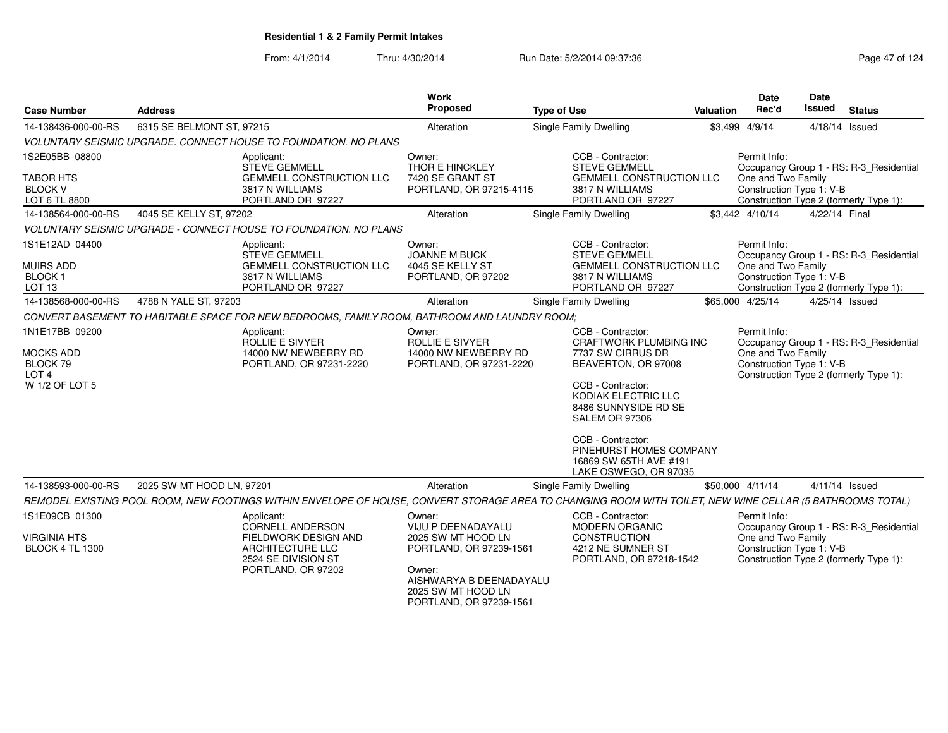|                                                                                      |                                                                                                                                                           | <b>Work</b>                                                                                                                                                                |                                                                                                                                                                                                                                                                                                |           | <b>Date</b>                                                    | <b>Date</b>   |                                                                                   |
|--------------------------------------------------------------------------------------|-----------------------------------------------------------------------------------------------------------------------------------------------------------|----------------------------------------------------------------------------------------------------------------------------------------------------------------------------|------------------------------------------------------------------------------------------------------------------------------------------------------------------------------------------------------------------------------------------------------------------------------------------------|-----------|----------------------------------------------------------------|---------------|-----------------------------------------------------------------------------------|
| <b>Case Number</b>                                                                   | <b>Address</b>                                                                                                                                            | Proposed                                                                                                                                                                   | <b>Type of Use</b>                                                                                                                                                                                                                                                                             | Valuation | Rec'd                                                          | Issued        | <b>Status</b>                                                                     |
| 14-138436-000-00-RS                                                                  | 6315 SE BELMONT ST, 97215                                                                                                                                 | Alteration                                                                                                                                                                 | Single Family Dwelling                                                                                                                                                                                                                                                                         |           | \$3,499 4/9/14                                                 |               | 4/18/14 Issued                                                                    |
|                                                                                      | VOLUNTARY SEISMIC UPGRADE. CONNECT HOUSE TO FOUNDATION. NO PLANS                                                                                          |                                                                                                                                                                            |                                                                                                                                                                                                                                                                                                |           |                                                                |               |                                                                                   |
| 1S2E05BB 08800<br><b>TABOR HTS</b><br><b>BLOCK V</b><br>LOT 6 TL 8800                | Applicant:<br><b>STEVE GEMMELL</b><br><b>GEMMELL CONSTRUCTION LLC</b><br>3817 N WILLIAMS<br>PORTLAND OR 97227                                             | Owner:<br>THOR E HINCKLEY<br>7420 SE GRANT ST<br>PORTLAND, OR 97215-4115                                                                                                   | CCB - Contractor:<br><b>STEVE GEMMELL</b><br><b>GEMMELL CONSTRUCTION LLC</b><br>3817 N WILLIAMS<br>PORTLAND OR 97227                                                                                                                                                                           |           | Permit Info:<br>One and Two Family<br>Construction Type 1: V-B |               | Occupancy Group 1 - RS: R-3_Residential<br>Construction Type 2 (formerly Type 1): |
| 14-138564-000-00-RS                                                                  | 4045 SE KELLY ST, 97202                                                                                                                                   | Alteration                                                                                                                                                                 | Single Family Dwelling                                                                                                                                                                                                                                                                         |           | \$3.442 4/10/14                                                | 4/22/14 Final |                                                                                   |
|                                                                                      | <b>VOLUNTARY SEISMIC UPGRADE - CONNECT HOUSE TO FOUNDATION. NO PLANS</b>                                                                                  |                                                                                                                                                                            |                                                                                                                                                                                                                                                                                                |           |                                                                |               |                                                                                   |
| 1S1E12AD 04400<br><b>MUIRS ADD</b><br><b>BLOCK1</b><br>LOT <sub>13</sub>             | Applicant:<br><b>STEVE GEMMELL</b><br><b>GEMMELL CONSTRUCTION LLC</b><br>3817 N WILLIAMS<br>PORTLAND OR 97227                                             | Owner:<br>JOANNE M BUCK<br>4045 SE KELLY ST<br>PORTLAND, OR 97202                                                                                                          | CCB - Contractor:<br><b>STEVE GEMMELL</b><br><b>GEMMELL CONSTRUCTION LLC</b><br>3817 N WILLIAMS<br>PORTLAND OR 97227                                                                                                                                                                           |           | Permit Info:<br>One and Two Family<br>Construction Type 1: V-B |               | Occupancy Group 1 - RS: R-3_Residential<br>Construction Type 2 (formerly Type 1): |
| 14-138568-000-00-RS                                                                  | 4788 N YALE ST, 97203                                                                                                                                     | Alteration                                                                                                                                                                 | Single Family Dwelling                                                                                                                                                                                                                                                                         |           | \$65,000 4/25/14                                               |               | 4/25/14 Issued                                                                    |
|                                                                                      | CONVERT BASEMENT TO HABITABLE SPACE FOR NEW BEDROOMS, FAMILY ROOM, BATHROOM AND LAUNDRY ROOM:                                                             |                                                                                                                                                                            |                                                                                                                                                                                                                                                                                                |           |                                                                |               |                                                                                   |
| 1N1E17BB 09200<br><b>MOCKS ADD</b><br>BLOCK 79<br>LOT <sub>4</sub><br>W 1/2 OF LOT 5 | Applicant:<br>ROLLIE E SIVYER<br>14000 NW NEWBERRY RD<br>PORTLAND, OR 97231-2220                                                                          | Owner:<br><b>ROLLIE E SIVYER</b><br>14000 NW NEWBERRY RD<br>PORTLAND, OR 97231-2220                                                                                        | CCB - Contractor:<br><b>CRAFTWORK PLUMBING INC</b><br>7737 SW CIRRUS DR<br>BEAVERTON, OR 97008<br>CCB - Contractor:<br>KODIAK ELECTRIC LLC<br>8486 SUNNYSIDE RD SE<br><b>SALEM OR 97306</b><br>CCB - Contractor:<br>PINEHURST HOMES COMPANY<br>16869 SW 65TH AVE #191<br>LAKE OSWEGO, OR 97035 |           | Permit Info:<br>One and Two Family<br>Construction Type 1: V-B |               | Occupancy Group 1 - RS: R-3_Residential<br>Construction Type 2 (formerly Type 1): |
| 14-138593-000-00-RS                                                                  | 2025 SW MT HOOD LN, 97201                                                                                                                                 | Alteration                                                                                                                                                                 | Single Family Dwelling                                                                                                                                                                                                                                                                         |           | \$50,000 4/11/14                                               |               | $4/11/14$ Issued                                                                  |
|                                                                                      | REMODEL EXISTING POOL ROOM, NEW FOOTINGS WITHIN ENVELOPE OF HOUSE, CONVERT STORAGE AREA TO CHANGING ROOM WITH TOILET, NEW WINE CELLAR (5 BATHROOMS TOTAL) |                                                                                                                                                                            |                                                                                                                                                                                                                                                                                                |           |                                                                |               |                                                                                   |
| 1S1E09CB 01300<br><b>VIRGINIA HTS</b><br><b>BLOCK 4 TL 1300</b>                      | Applicant:<br><b>CORNELL ANDERSON</b><br>FIELDWORK DESIGN AND<br>ARCHITECTURE LLC<br>2524 SE DIVISION ST<br>PORTLAND, OR 97202                            | Owner:<br><b>VIJU P DEENADAYALU</b><br>2025 SW MT HOOD LN<br>PORTLAND, OR 97239-1561<br>Owner:<br>AISHWARYA B DEENADAYALU<br>2025 SW MT HOOD LN<br>PORTLAND, OR 97239-1561 | CCB - Contractor:<br><b>MODERN ORGANIC</b><br><b>CONSTRUCTION</b><br>4212 NE SUMNER ST<br>PORTLAND, OR 97218-1542                                                                                                                                                                              |           | Permit Info:<br>One and Two Family<br>Construction Type 1: V-B |               | Occupancy Group 1 - RS: R-3_Residential<br>Construction Type 2 (formerly Type 1): |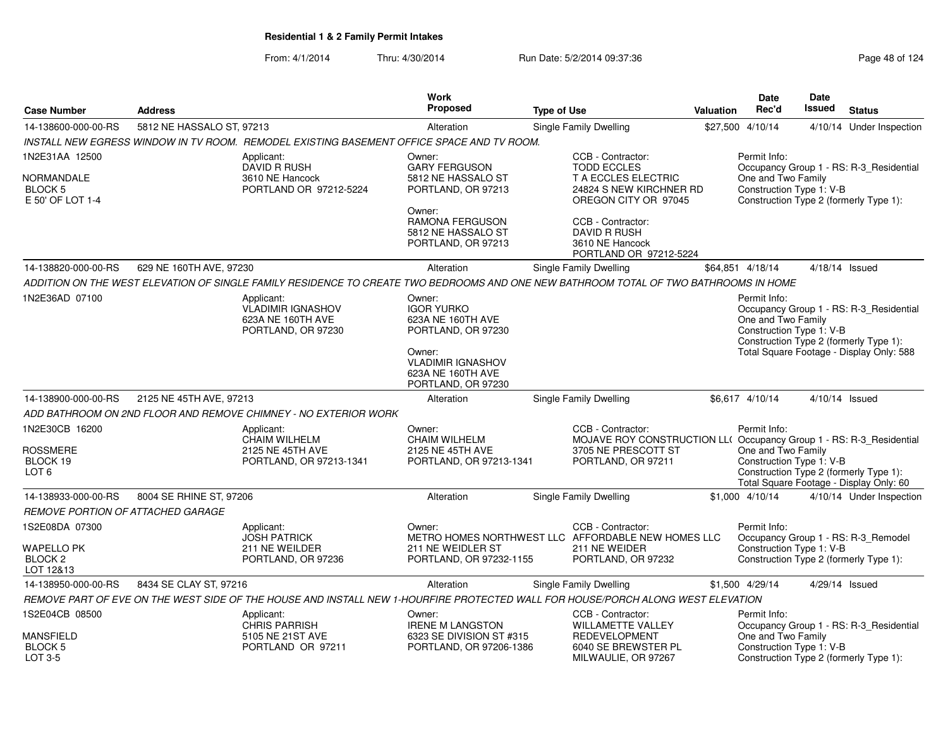| <b>Case Number</b>                                         | <b>Address</b>            |                                                                                                                                      | <b>Work</b><br><b>Proposed</b>                                                | <b>Type of Use</b>                                                                                                                    | Valuation | Date<br>Rec'd                                                  | Date<br>Issued | <b>Status</b>                                                                     |
|------------------------------------------------------------|---------------------------|--------------------------------------------------------------------------------------------------------------------------------------|-------------------------------------------------------------------------------|---------------------------------------------------------------------------------------------------------------------------------------|-----------|----------------------------------------------------------------|----------------|-----------------------------------------------------------------------------------|
| 14-138600-000-00-RS                                        | 5812 NE HASSALO ST, 97213 |                                                                                                                                      | Alteration                                                                    | <b>Single Family Dwelling</b>                                                                                                         |           | \$27,500 4/10/14                                               |                | 4/10/14 Under Inspection                                                          |
|                                                            |                           | INSTALL NEW EGRESS WINDOW IN TV ROOM.  REMODEL EXISTING BASEMENT OFFICE SPACE AND TV ROOM.                                           |                                                                               |                                                                                                                                       |           |                                                                |                |                                                                                   |
| 1N2E31AA 12500                                             |                           | Applicant:                                                                                                                           | Owner:                                                                        | CCB - Contractor:                                                                                                                     |           | Permit Info:                                                   |                |                                                                                   |
| NORMANDALE<br><b>BLOCK 5</b><br>E 50' OF LOT 1-4           |                           | <b>DAVID R RUSH</b><br>3610 NE Hancock<br>PORTLAND OR 97212-5224                                                                     | <b>GARY FERGUSON</b><br>5812 NE HASSALO ST<br>PORTLAND, OR 97213              | <b>TODD ECCLES</b><br>T A ECCLES ELECTRIC<br>24824 S NEW KIRCHNER RD<br>OREGON CITY OR 97045                                          |           | One and Two Family<br>Construction Type 1: V-B                 |                | Occupancy Group 1 - RS: R-3_Residential<br>Construction Type 2 (formerly Type 1): |
|                                                            |                           |                                                                                                                                      | Owner:<br>RAMONA FERGUSON<br>5812 NE HASSALO ST<br>PORTLAND, OR 97213         | CCB - Contractor:<br><b>DAVID R RUSH</b><br>3610 NE Hancock<br>PORTLAND OR 97212-5224                                                 |           |                                                                |                |                                                                                   |
| 14-138820-000-00-RS                                        | 629 NE 160TH AVE, 97230   |                                                                                                                                      | Alteration                                                                    | Single Family Dwelling                                                                                                                |           | \$64,851 4/18/14                                               |                | 4/18/14 Issued                                                                    |
|                                                            |                           | ADDITION ON THE WEST ELEVATION OF SINGLE FAMILY RESIDENCE TO CREATE TWO BEDROOMS AND ONE NEW BATHROOM TOTAL OF TWO BATHROOMS IN HOME |                                                                               |                                                                                                                                       |           |                                                                |                |                                                                                   |
| 1N2E36AD 07100                                             |                           | Applicant:<br><b>VLADIMIR IGNASHOV</b><br>623A NE 160TH AVE<br>PORTLAND, OR 97230                                                    | Owner:<br><b>IGOR YURKO</b><br>623A NE 160TH AVE<br>PORTLAND, OR 97230        |                                                                                                                                       |           | Permit Info:<br>One and Two Family<br>Construction Type 1: V-B |                | Occupancy Group 1 - RS: R-3_Residential<br>Construction Type 2 (formerly Type 1): |
|                                                            |                           |                                                                                                                                      | Owner:<br><b>VLADIMIR IGNASHOV</b><br>623A NE 160TH AVE<br>PORTLAND, OR 97230 |                                                                                                                                       |           |                                                                |                | Total Square Footage - Display Only: 588                                          |
| 14-138900-000-00-RS                                        | 2125 NE 45TH AVE, 97213   |                                                                                                                                      | Alteration                                                                    | Single Family Dwelling                                                                                                                |           | \$6,617 4/10/14                                                |                | $4/10/14$ Issued                                                                  |
|                                                            |                           | ADD BATHROOM ON 2ND FLOOR AND REMOVE CHIMNEY - NO EXTERIOR WORK                                                                      |                                                                               |                                                                                                                                       |           |                                                                |                |                                                                                   |
| 1N2E30CB 16200<br>ROSSMERE<br>BLOCK 19<br>LOT <sub>6</sub> |                           | Applicant:<br><b>CHAIM WILHELM</b><br>2125 NE 45TH AVE<br>PORTLAND, OR 97213-1341                                                    | Owner:<br><b>CHAIM WILHELM</b><br>2125 NE 45TH AVE<br>PORTLAND, OR 97213-1341 | CCB - Contractor:<br>MOJAVE ROY CONSTRUCTION LL( Occupancy Group 1 - RS: R-3_Residential<br>3705 NE PRESCOTT ST<br>PORTLAND, OR 97211 |           | Permit Info:<br>One and Two Family<br>Construction Type 1: V-B |                | Construction Type 2 (formerly Type 1):<br>Total Square Footage - Display Only: 60 |
| 14-138933-000-00-RS                                        | 8004 SE RHINE ST, 97206   |                                                                                                                                      | Alteration                                                                    | Single Family Dwelling                                                                                                                |           | \$1,000 4/10/14                                                |                | 4/10/14 Under Inspection                                                          |
| REMOVE PORTION OF ATTACHED GARAGE                          |                           |                                                                                                                                      |                                                                               |                                                                                                                                       |           |                                                                |                |                                                                                   |
| 1S2E08DA 07300                                             |                           | Applicant:<br><b>JOSH PATRICK</b>                                                                                                    | Owner:                                                                        | CCB - Contractor:<br>METRO HOMES NORTHWEST LLC AFFORDABLE NEW HOMES LLC                                                               |           | Permit Info:                                                   |                | Occupancy Group 1 - RS: R-3_Remodel                                               |
| <b>WAPELLO PK</b><br>BLOCK <sub>2</sub><br>LOT 12&13       |                           | 211 NE WEILDER<br>PORTLAND, OR 97236                                                                                                 | 211 NE WEIDLER ST<br>PORTLAND, OR 97232-1155                                  | 211 NE WEIDER<br>PORTLAND, OR 97232                                                                                                   |           | Construction Type 1: V-B                                       |                | Construction Type 2 (formerly Type 1):                                            |
| 14-138950-000-00-RS                                        | 8434 SE CLAY ST, 97216    |                                                                                                                                      | Alteration                                                                    | Single Family Dwelling                                                                                                                |           | \$1,500 4/29/14                                                |                | 4/29/14 Issued                                                                    |
|                                                            |                           | REMOVE PART OF EVE ON THE WEST SIDE OF THE HOUSE AND INSTALL NEW 1-HOURFIRE PROTECTED WALL FOR HOUSE/PORCH ALONG WEST ELEVATION      |                                                                               |                                                                                                                                       |           |                                                                |                |                                                                                   |
| 1S2E04CB 08500                                             |                           | Applicant:<br><b>CHRIS PARRISH</b>                                                                                                   | Owner:<br><b>IRENE M LANGSTON</b>                                             | CCB - Contractor:<br><b>WILLAMETTE VALLEY</b>                                                                                         |           | Permit Info:                                                   |                | Occupancy Group 1 - RS: R-3_Residential                                           |
| <b>MANSFIELD</b><br>BLOCK 5<br>LOT 3-5                     |                           | 5105 NE 21ST AVE<br>PORTLAND OR 97211                                                                                                | 6323 SE DIVISION ST #315<br>PORTLAND, OR 97206-1386                           | <b>REDEVELOPMENT</b><br>6040 SE BREWSTER PL<br>MILWAULIE, OR 97267                                                                    |           | One and Two Family<br>Construction Type 1: V-B                 |                | Construction Type 2 (formerly Type 1):                                            |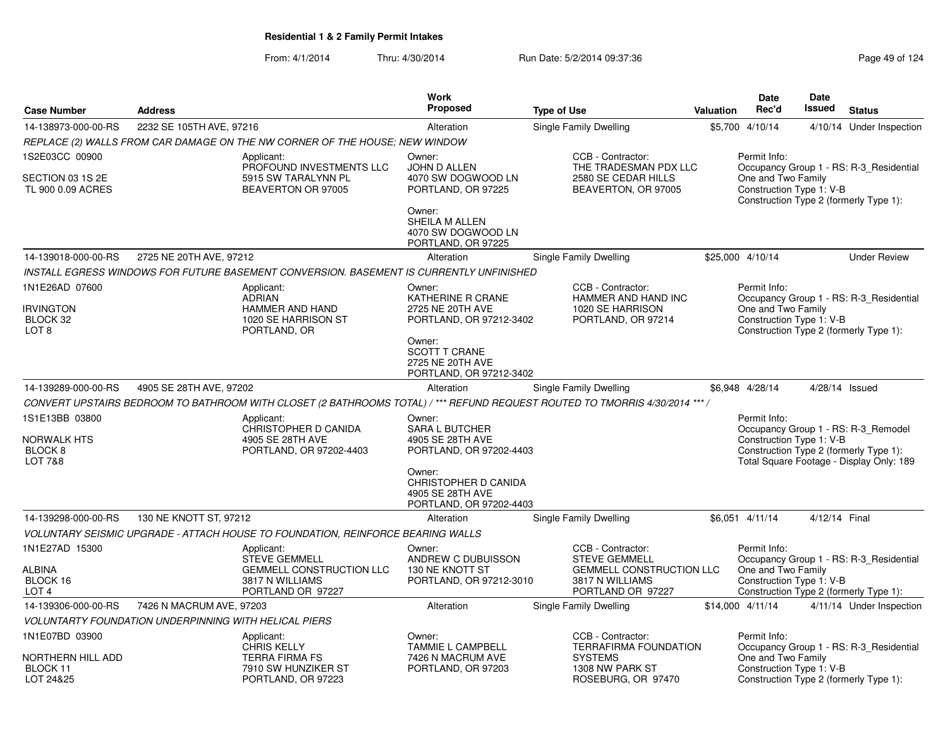|                                                                                  |                          |                                                                                                                             | <b>Work</b>                                                                    |                                                                                                              |                  | Date                                                           | <b>Date</b>    |                                                                                                                           |
|----------------------------------------------------------------------------------|--------------------------|-----------------------------------------------------------------------------------------------------------------------------|--------------------------------------------------------------------------------|--------------------------------------------------------------------------------------------------------------|------------------|----------------------------------------------------------------|----------------|---------------------------------------------------------------------------------------------------------------------------|
| <b>Case Number</b>                                                               | <b>Address</b>           |                                                                                                                             | Proposed                                                                       | <b>Type of Use</b>                                                                                           | <b>Valuation</b> | Rec'd                                                          | Issued         | <b>Status</b>                                                                                                             |
| 14-138973-000-00-RS                                                              | 2232 SE 105TH AVE, 97216 |                                                                                                                             | Alteration                                                                     | Single Family Dwelling                                                                                       |                  | \$5,700 4/10/14                                                |                | 4/10/14 Under Inspection                                                                                                  |
|                                                                                  |                          | REPLACE (2) WALLS FROM CAR DAMAGE ON THE NW CORNER OF THE HOUSE; NEW WINDOW                                                 |                                                                                |                                                                                                              |                  |                                                                |                |                                                                                                                           |
| 1S2E03CC 00900<br>SECTION 03 1S 2E<br>TL 900 0.09 ACRES                          |                          | Applicant:<br>PROFOUND INVESTMENTS LLC<br>5915 SW TARALYNN PL<br>BEAVERTON OR 97005                                         | Owner:<br>JOHN D ALLEN<br>4070 SW DOGWOOD LN<br>PORTLAND, OR 97225             | CCB - Contractor:<br>THE TRADESMAN PDX LLC<br>2580 SE CEDAR HILLS<br>BEAVERTON, OR 97005                     |                  | Permit Info:<br>One and Two Family<br>Construction Type 1: V-B |                | Occupancy Group 1 - RS: R-3 Residential<br>Construction Type 2 (formerly Type 1):                                         |
|                                                                                  |                          |                                                                                                                             | Owner:<br>SHEILA M ALLEN<br>4070 SW DOGWOOD LN<br>PORTLAND, OR 97225           |                                                                                                              |                  |                                                                |                |                                                                                                                           |
| 14-139018-000-00-RS                                                              | 2725 NE 20TH AVE, 97212  |                                                                                                                             | Alteration                                                                     | Single Family Dwelling                                                                                       |                  | \$25,000 4/10/14                                               |                | <b>Under Review</b>                                                                                                       |
|                                                                                  |                          | INSTALL EGRESS WINDOWS FOR FUTURE BASEMENT CONVERSION. BASEMENT IS CURRENTLY UNFINISHED                                     |                                                                                |                                                                                                              |                  |                                                                |                |                                                                                                                           |
| 1N1E26AD 07600<br><b>IRVINGTON</b><br>BLOCK 32<br>LOT <sub>8</sub>               |                          | Applicant:<br><b>ADRIAN</b><br>HAMMER AND HAND<br>1020 SE HARRISON ST<br>PORTLAND, OR                                       | Owner:<br>KATHERINE R CRANE<br>2725 NE 20TH AVE<br>PORTLAND, OR 97212-3402     | CCB - Contractor:<br>HAMMER AND HAND INC<br>1020 SE HARRISON<br>PORTLAND, OR 97214                           |                  | Permit Info:<br>One and Two Family<br>Construction Type 1: V-B |                | Occupancy Group 1 - RS: R-3_Residential<br>Construction Type 2 (formerly Type 1):                                         |
|                                                                                  |                          |                                                                                                                             | Owner:<br><b>SCOTT T CRANE</b><br>2725 NE 20TH AVE<br>PORTLAND, OR 97212-3402  |                                                                                                              |                  |                                                                |                |                                                                                                                           |
| 14-139289-000-00-RS                                                              | 4905 SE 28TH AVE, 97202  |                                                                                                                             | Alteration                                                                     | <b>Single Family Dwelling</b>                                                                                |                  | \$6,948 4/28/14                                                | 4/28/14 Issued |                                                                                                                           |
|                                                                                  |                          | CONVERT UPSTAIRS BEDROOM TO BATHROOM WITH CLOSET (2 BATHROOMS TOTAL) / *** REFUND REQUEST ROUTED TO TMORRIS 4/30/2014 *** / |                                                                                |                                                                                                              |                  |                                                                |                |                                                                                                                           |
| 1S1E13BB 03800<br><b>NORWALK HTS</b><br>BLOCK <sub>8</sub><br><b>LOT 7&amp;8</b> |                          | Applicant:<br>CHRISTOPHER D CANIDA<br>4905 SE 28TH AVE<br>PORTLAND, OR 97202-4403                                           | Owner:<br><b>SARA L BUTCHER</b><br>4905 SE 28TH AVE<br>PORTLAND, OR 97202-4403 |                                                                                                              |                  | Permit Info:<br>Construction Type 1: V-B                       |                | Occupancy Group 1 - RS: R-3 Remodel<br>Construction Type 2 (formerly Type 1):<br>Total Square Footage - Display Only: 189 |
|                                                                                  |                          |                                                                                                                             | Owner:<br>CHRISTOPHER D CANIDA<br>4905 SE 28TH AVE<br>PORTLAND, OR 97202-4403  |                                                                                                              |                  |                                                                |                |                                                                                                                           |
| 14-139298-000-00-RS                                                              | 130 NE KNOTT ST, 97212   |                                                                                                                             | Alteration                                                                     | <b>Single Family Dwelling</b>                                                                                |                  | \$6,051 4/11/14                                                | 4/12/14 Final  |                                                                                                                           |
|                                                                                  |                          | VOLUNTARY SEISMIC UPGRADE - ATTACH HOUSE TO FOUNDATION, REINFORCE BEARING WALLS                                             |                                                                                |                                                                                                              |                  |                                                                |                |                                                                                                                           |
| 1N1E27AD 15300<br>ALBINA<br>BLOCK 16                                             |                          | Applicant:<br><b>STEVE GEMMELL</b><br><b>GEMMELL CONSTRUCTION LLC</b><br>3817 N WILLIAMS                                    | Owner:<br>ANDREW C DUBUISSON<br>130 NE KNOTT ST<br>PORTLAND, OR 97212-3010     | CCB - Contractor:<br><b>STEVE GEMMELL</b><br><b>GEMMELL CONSTRUCTION LLC</b><br>3817 N WILLIAMS              |                  | Permit Info:<br>One and Two Family<br>Construction Type 1: V-B |                | Occupancy Group 1 - RS: R-3 Residential                                                                                   |
| LOT <sub>4</sub>                                                                 |                          | PORTLAND OR 97227                                                                                                           |                                                                                | PORTLAND OR 97227                                                                                            |                  |                                                                |                | Construction Type 2 (formerly Type 1):                                                                                    |
| 14-139306-000-00-RS                                                              | 7426 N MACRUM AVE, 97203 |                                                                                                                             | Alteration                                                                     | Single Family Dwelling                                                                                       |                  | \$14,000 4/11/14                                               |                | 4/11/14 Under Inspection                                                                                                  |
| <b>VOLUNTARTY FOUNDATION UNDERPINNING WITH HELICAL PIERS</b>                     |                          |                                                                                                                             |                                                                                |                                                                                                              |                  |                                                                |                |                                                                                                                           |
| 1N1E07BD 03900<br>NORTHERN HILL ADD<br>BLOCK 11<br>LOT 24&25                     |                          | Applicant:<br><b>CHRIS KELLY</b><br><b>TERRA FIRMA FS</b><br>7910 SW HUNZIKER ST<br>PORTLAND, OR 97223                      | Owner:<br><b>TAMMIE L CAMPBELL</b><br>7426 N MACRUM AVE<br>PORTLAND, OR 97203  | CCB - Contractor:<br><b>TERRAFIRMA FOUNDATION</b><br><b>SYSTEMS</b><br>1308 NW PARK ST<br>ROSEBURG, OR 97470 |                  | Permit Info:<br>One and Two Family<br>Construction Type 1: V-B |                | Occupancy Group 1 - RS: R-3 Residential<br>Construction Type 2 (formerly Type 1):                                         |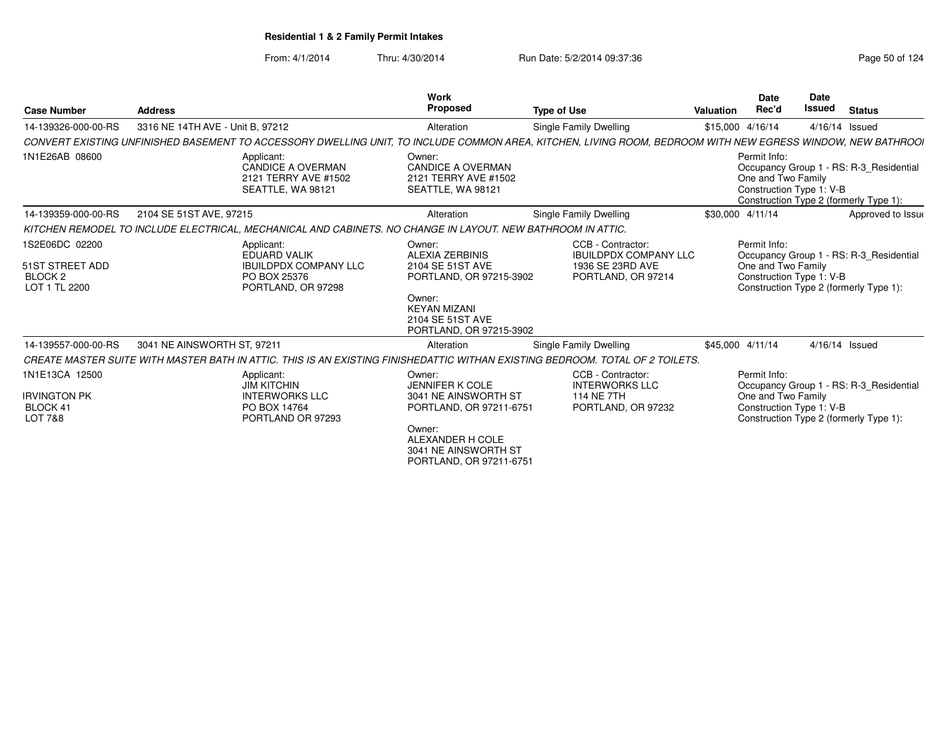| <b>Case Number</b>                                                             | <b>Address</b>                   |                                                                                                             | <b>Work</b><br><b>Proposed</b>                                                                                                                                       | <b>Type of Use</b>                                                                                                                                          | <b>Valuation</b> | <b>Date</b><br>Rec'd                                           | <b>Date</b><br>Issued | <b>Status</b>                                                                     |
|--------------------------------------------------------------------------------|----------------------------------|-------------------------------------------------------------------------------------------------------------|----------------------------------------------------------------------------------------------------------------------------------------------------------------------|-------------------------------------------------------------------------------------------------------------------------------------------------------------|------------------|----------------------------------------------------------------|-----------------------|-----------------------------------------------------------------------------------|
| 14-139326-000-00-RS                                                            | 3316 NE 14TH AVE - Unit B, 97212 |                                                                                                             | Alteration                                                                                                                                                           | Single Family Dwelling                                                                                                                                      |                  | \$15,000 4/16/14                                               | 4/16/14 Issued        |                                                                                   |
|                                                                                |                                  |                                                                                                             |                                                                                                                                                                      | CONVERT EXISTING UNFINISHED BASEMENT TO ACCESSORY DWELLING UNIT, TO INCLUDE COMMON AREA, KITCHEN, LIVING ROOM, BEDROOM WITH NEW EGRESS WINDOW, NEW BATHROOI |                  |                                                                |                       |                                                                                   |
| 1N1E26AB 08600                                                                 |                                  | Applicant:<br><b>CANDICE A OVERMAN</b><br>2121 TERRY AVE #1502<br>SEATTLE, WA 98121                         | Owner:<br><b>CANDICE A OVERMAN</b><br>2121 TERRY AVE #1502<br>SEATTLE, WA 98121                                                                                      |                                                                                                                                                             |                  | Permit Info:<br>One and Two Family<br>Construction Type 1: V-B |                       | Occupancy Group 1 - RS: R-3 Residential<br>Construction Type 2 (formerly Type 1): |
| 14-139359-000-00-RS                                                            | 2104 SE 51ST AVE, 97215          |                                                                                                             | Alteration                                                                                                                                                           | Single Family Dwelling                                                                                                                                      |                  | \$30,000 4/11/14                                               |                       | Approved to Issue                                                                 |
|                                                                                |                                  | KITCHEN REMODEL TO INCLUDE ELECTRICAL, MECHANICAL AND CABINETS. NO CHANGE IN LAYOUT. NEW BATHROOM IN ATTIC. |                                                                                                                                                                      |                                                                                                                                                             |                  |                                                                |                       |                                                                                   |
| 1S2E06DC 02200<br>51ST STREET ADD<br>BLOCK <sub>2</sub><br>LOT 1 TL 2200       |                                  | Applicant:<br><b>EDUARD VALIK</b><br><b>IBUILDPDX COMPANY LLC</b><br>PO BOX 25376<br>PORTLAND, OR 97298     | Owner:<br><b>ALEXIA ZERBINIS</b><br>2104 SE 51ST AVE<br>PORTLAND, OR 97215-3902<br>Owner:<br><b>KEYAN MIZANI</b><br>2104 SE 51ST AVE<br>PORTLAND, OR 97215-3902      | CCB - Contractor:<br><b>IBUILDPDX COMPANY LLC</b><br>1936 SE 23RD AVE<br>PORTLAND, OR 97214                                                                 |                  | Permit Info:<br>One and Two Family<br>Construction Type 1: V-B |                       | Occupancy Group 1 - RS: R-3 Residential<br>Construction Type 2 (formerly Type 1): |
| 14-139557-000-00-RS                                                            | 3041 NE AINSWORTH ST, 97211      |                                                                                                             | Alteration                                                                                                                                                           | Single Family Dwelling                                                                                                                                      |                  | \$45,000 4/11/14                                               | 4/16/14 Issued        |                                                                                   |
|                                                                                |                                  |                                                                                                             |                                                                                                                                                                      | CREATE MASTER SUITE WITH MASTER BATH IN ATTIC. THIS IS AN EXISTING FINISHEDATTIC WITHAN EXISTING BEDROOM. TOTAL OF 2 TOILETS.                               |                  |                                                                |                       |                                                                                   |
| 1N1E13CA 12500<br><b>IRVINGTON PK</b><br><b>BLOCK 41</b><br><b>LOT 7&amp;8</b> |                                  | Applicant:<br><b>JIM KITCHIN</b><br><b>INTERWORKS LLC</b><br>PO BOX 14764<br>PORTLAND OR 97293              | Owner:<br><b>JENNIFER K COLE</b><br>3041 NE AINSWORTH ST<br>PORTLAND, OR 97211-6751<br>Owner:<br>ALEXANDER H COLE<br>3041 NE AINSWORTH ST<br>PORTLAND, OR 97211-6751 | CCB - Contractor:<br><b>INTERWORKS LLC</b><br><b>114 NE 7TH</b><br>PORTLAND, OR 97232                                                                       |                  | Permit Info:<br>One and Two Family<br>Construction Type 1: V-B |                       | Occupancy Group 1 - RS: R-3 Residential<br>Construction Type 2 (formerly Type 1): |
|                                                                                |                                  |                                                                                                             |                                                                                                                                                                      |                                                                                                                                                             |                  |                                                                |                       |                                                                                   |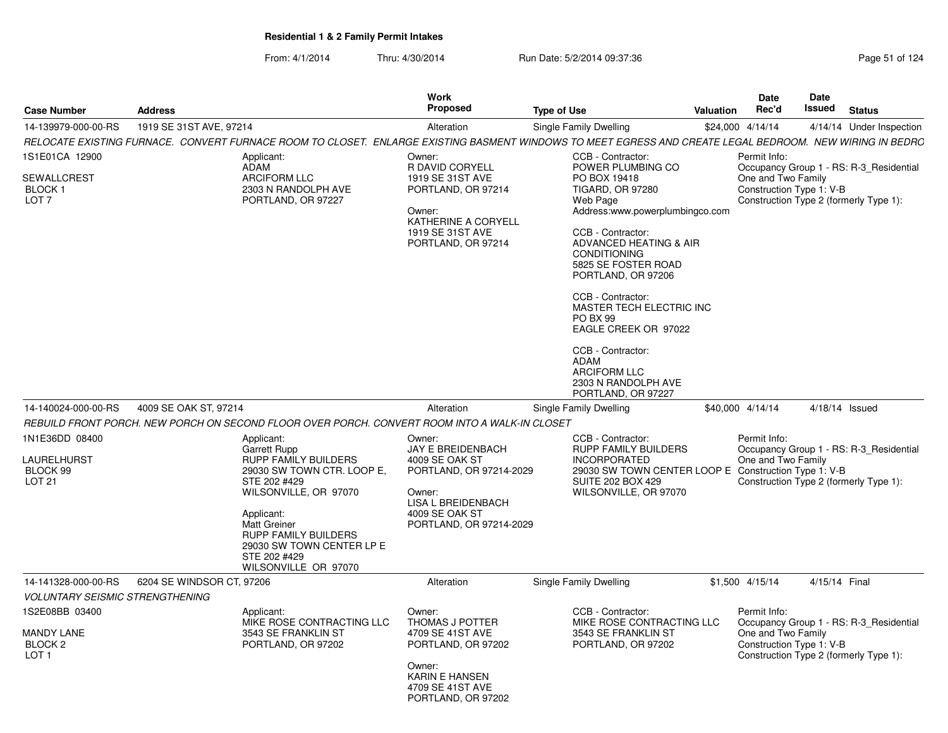| <b>Case Number</b>                                                            | <b>Address</b>            |                                                                                                                                                                                                                                                                    | <b>Work</b><br><b>Proposed</b>                                                                                                                               | <b>Type of Use</b>                                                                                                                                                                                                                                                                                                                                                                                                         | <b>Valuation</b> | <b>Date</b><br>Rec'd                                           | <b>Date</b><br><b>Issued</b> | <b>Status</b>                                                                     |
|-------------------------------------------------------------------------------|---------------------------|--------------------------------------------------------------------------------------------------------------------------------------------------------------------------------------------------------------------------------------------------------------------|--------------------------------------------------------------------------------------------------------------------------------------------------------------|----------------------------------------------------------------------------------------------------------------------------------------------------------------------------------------------------------------------------------------------------------------------------------------------------------------------------------------------------------------------------------------------------------------------------|------------------|----------------------------------------------------------------|------------------------------|-----------------------------------------------------------------------------------|
| 14-139979-000-00-RS                                                           | 1919 SE 31ST AVE, 97214   |                                                                                                                                                                                                                                                                    | Alteration                                                                                                                                                   | Single Family Dwelling                                                                                                                                                                                                                                                                                                                                                                                                     |                  | \$24,000 4/14/14                                               |                              | 4/14/14 Under Inspection                                                          |
|                                                                               |                           | RELOCATE EXISTING FURNACE. CONVERT FURNACE ROOM TO CLOSET. ENLARGE EXISTING BASMENT WINDOWS TO MEET EGRESS AND CREATE LEGAL BEDROOM. NEW WIRING IN BEDRC                                                                                                           |                                                                                                                                                              |                                                                                                                                                                                                                                                                                                                                                                                                                            |                  |                                                                |                              |                                                                                   |
| 1S1E01CA 12900<br>SEWALLCREST<br>BLOCK 1<br>LOT <sub>7</sub>                  |                           | Applicant:<br>ADAM<br><b>ARCIFORM LLC</b><br>2303 N RANDOLPH AVE<br>PORTLAND, OR 97227                                                                                                                                                                             | Owner:<br>R DAVID CORYELL<br>1919 SE 31ST AVE<br>PORTLAND, OR 97214<br>Owner:<br>KATHERINE A CORYELL<br>1919 SE 31ST AVE<br>PORTLAND, OR 97214               | CCB - Contractor:<br>POWER PLUMBING CO<br>PO BOX 19418<br>TIGARD, OR 97280<br>Web Page<br>Address:www.powerplumbingco.com<br>CCB - Contractor:<br>ADVANCED HEATING & AIR<br><b>CONDITIONING</b><br>5825 SE FOSTER ROAD<br>PORTLAND, OR 97206<br>CCB - Contractor:<br>MASTER TECH ELECTRIC INC<br><b>PO BX 99</b><br>EAGLE CREEK OR 97022<br>CCB - Contractor:<br><b>ADAM</b><br><b>ARCIFORM LLC</b><br>2303 N RANDOLPH AVE |                  | Permit Info:<br>One and Two Family<br>Construction Type 1: V-B |                              | Occupancy Group 1 - RS: R-3_Residential<br>Construction Type 2 (formerly Type 1): |
| 14-140024-000-00-RS                                                           | 4009 SE OAK ST, 97214     |                                                                                                                                                                                                                                                                    | Alteration                                                                                                                                                   | PORTLAND, OR 97227<br><b>Single Family Dwelling</b>                                                                                                                                                                                                                                                                                                                                                                        |                  | \$40,000 4/14/14                                               |                              | 4/18/14 Issued                                                                    |
|                                                                               |                           | REBUILD FRONT PORCH. NEW PORCH ON SECOND FLOOR OVER PORCH. CONVERT ROOM INTO A WALK-IN CLOSET                                                                                                                                                                      |                                                                                                                                                              |                                                                                                                                                                                                                                                                                                                                                                                                                            |                  |                                                                |                              |                                                                                   |
| 1N1E36DD 08400<br>LAURELHURST<br>BLOCK 99<br>LOT <sub>21</sub>                |                           | Applicant:<br>Garrett Rupp<br>RUPP FAMILY BUILDERS<br>29030 SW TOWN CTR. LOOP E,<br>STE 202 #429<br>WILSONVILLE, OR 97070<br>Applicant:<br><b>Matt Greiner</b><br><b>RUPP FAMILY BUILDERS</b><br>29030 SW TOWN CENTER LP E<br>STE 202 #429<br>WILSONVILLE OR 97070 | Owner:<br><b>JAY E BREIDENBACH</b><br>4009 SE OAK ST<br>PORTLAND, OR 97214-2029<br>Owner:<br>LISA L BREIDENBACH<br>4009 SE OAK ST<br>PORTLAND, OR 97214-2029 | CCB - Contractor:<br><b>RUPP FAMILY BUILDERS</b><br><b>INCORPORATED</b><br>29030 SW TOWN CENTER LOOP E Construction Type 1: V-B<br><b>SUITE 202 BOX 429</b><br>WILSONVILLE, OR 97070                                                                                                                                                                                                                                       |                  | Permit Info:<br>One and Two Family                             |                              | Occupancy Group 1 - RS: R-3 Residential<br>Construction Type 2 (formerly Type 1): |
| 14-141328-000-00-RS                                                           | 6204 SE WINDSOR CT, 97206 |                                                                                                                                                                                                                                                                    | Alteration                                                                                                                                                   | Single Family Dwelling                                                                                                                                                                                                                                                                                                                                                                                                     |                  | \$1,500 4/15/14                                                | 4/15/14 Final                |                                                                                   |
| <b>VOLUNTARY SEISMIC STRENGTHENING</b>                                        |                           |                                                                                                                                                                                                                                                                    |                                                                                                                                                              |                                                                                                                                                                                                                                                                                                                                                                                                                            |                  |                                                                |                              |                                                                                   |
| 1S2E08BB 03400<br><b>MANDY LANE</b><br>BLOCK <sub>2</sub><br>LOT <sub>1</sub> |                           | Applicant:<br>MIKE ROSE CONTRACTING LLC<br>3543 SE FRANKLIN ST<br>PORTLAND, OR 97202                                                                                                                                                                               | Owner:<br>THOMAS J POTTER<br>4709 SE 41ST AVE<br>PORTLAND, OR 97202<br>Owner:<br><b>KARIN E HANSEN</b><br>4709 SE 41ST AVE<br>PORTLAND, OR 97202             | CCB - Contractor:<br>MIKE ROSE CONTRACTING LLC<br>3543 SE FRANKLIN ST<br>PORTLAND, OR 97202                                                                                                                                                                                                                                                                                                                                |                  | Permit Info:<br>One and Two Family<br>Construction Type 1: V-B |                              | Occupancy Group 1 - RS: R-3_Residential<br>Construction Type 2 (formerly Type 1): |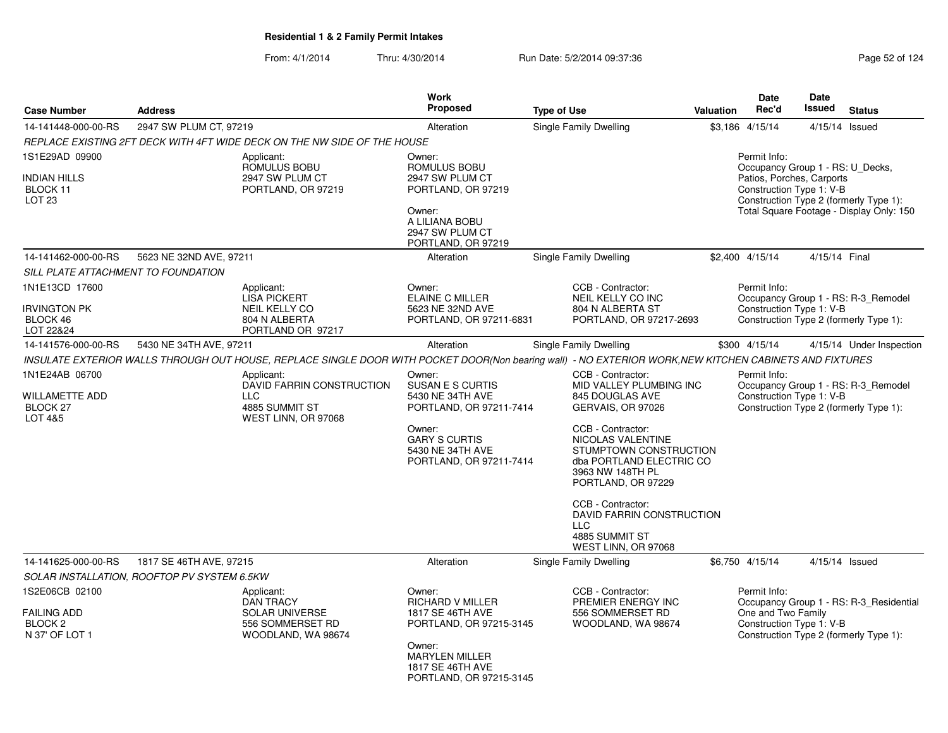|                                                                          |                                             |                                                                                                                                                         | <b>Work</b>                                                                                                                                                        |                                                                                                                                                                                                                                                                                                                                         |           | <b>Date</b>                                                                                               | Date          |                                                                                    |
|--------------------------------------------------------------------------|---------------------------------------------|---------------------------------------------------------------------------------------------------------------------------------------------------------|--------------------------------------------------------------------------------------------------------------------------------------------------------------------|-----------------------------------------------------------------------------------------------------------------------------------------------------------------------------------------------------------------------------------------------------------------------------------------------------------------------------------------|-----------|-----------------------------------------------------------------------------------------------------------|---------------|------------------------------------------------------------------------------------|
| <b>Case Number</b>                                                       | <b>Address</b>                              |                                                                                                                                                         | Proposed                                                                                                                                                           | <b>Type of Use</b>                                                                                                                                                                                                                                                                                                                      | Valuation | Rec'd                                                                                                     | <b>Issued</b> | <b>Status</b>                                                                      |
| 14-141448-000-00-RS                                                      | 2947 SW PLUM CT, 97219                      |                                                                                                                                                         | Alteration                                                                                                                                                         | Single Family Dwelling                                                                                                                                                                                                                                                                                                                  |           | \$3,186 4/15/14                                                                                           |               | 4/15/14 Issued                                                                     |
|                                                                          |                                             | REPLACE EXISTING 2FT DECK WITH 4FT WIDE DECK ON THE NW SIDE OF THE HOUSE                                                                                |                                                                                                                                                                    |                                                                                                                                                                                                                                                                                                                                         |           |                                                                                                           |               |                                                                                    |
| 1S1E29AD 09900<br><b>INDIAN HILLS</b><br>BLOCK 11<br>LOT <sub>23</sub>   |                                             | Applicant:<br>ROMULUS BOBU<br>2947 SW PLUM CT<br>PORTLAND, OR 97219                                                                                     | Owner:<br>ROMULUS BOBU<br>2947 SW PLUM CT<br>PORTLAND, OR 97219<br>Owner:<br>A LILIANA BOBU<br>2947 SW PLUM CT<br>PORTLAND, OR 97219                               |                                                                                                                                                                                                                                                                                                                                         |           | Permit Info:<br>Occupancy Group 1 - RS: U Decks,<br>Patios, Porches, Carports<br>Construction Type 1: V-B |               | Construction Type 2 (formerly Type 1):<br>Total Square Footage - Display Only: 150 |
| 14-141462-000-00-RS                                                      | 5623 NE 32ND AVE, 97211                     |                                                                                                                                                         | Alteration                                                                                                                                                         | Single Family Dwelling                                                                                                                                                                                                                                                                                                                  |           | \$2,400 4/15/14                                                                                           | 4/15/14 Final |                                                                                    |
| SILL PLATE ATTACHMENT TO FOUNDATION                                      |                                             |                                                                                                                                                         |                                                                                                                                                                    |                                                                                                                                                                                                                                                                                                                                         |           |                                                                                                           |               |                                                                                    |
| 1N1E13CD 17600<br>Irvington PK<br>BLOCK 46<br>LOT 22&24                  |                                             | Applicant:<br><b>LISA PICKERT</b><br>NEIL KELLY CO<br>804 N ALBERTA<br>PORTLAND OR 97217                                                                | Owner:<br><b>ELAINE C MILLER</b><br>5623 NE 32ND AVE<br>PORTLAND, OR 97211-6831                                                                                    | CCB - Contractor:<br>NEIL KELLY CO INC<br>804 N ALBERTA ST<br>PORTLAND, OR 97217-2693                                                                                                                                                                                                                                                   |           | Permit Info:<br>Construction Type 1: V-B                                                                  |               | Occupancy Group 1 - RS: R-3_Remodel<br>Construction Type 2 (formerly Type 1):      |
| 14-141576-000-00-RS                                                      | 5430 NE 34TH AVE, 97211                     |                                                                                                                                                         | Alteration                                                                                                                                                         | Single Family Dwelling                                                                                                                                                                                                                                                                                                                  |           | \$300 4/15/14                                                                                             |               | 4/15/14 Under Inspection                                                           |
|                                                                          |                                             | INSULATE EXTERIOR WALLS THROUGH OUT HOUSE, REPLACE SINGLE DOOR WITH POCKET DOOR(Non bearing wall) - NO EXTERIOR WORK, NEW KITCHEN CABINETS AND FIXTURES |                                                                                                                                                                    |                                                                                                                                                                                                                                                                                                                                         |           |                                                                                                           |               |                                                                                    |
| 1N1E24AB 06700<br>WILLAMETTE ADD<br>BLOCK 27<br>LOT 4&5                  |                                             | Applicant:<br>DAVID FARRIN CONSTRUCTION<br><b>LLC</b><br>4885 SUMMIT ST<br>WEST LINN, OR 97068                                                          | Owner:<br>SUSAN E S CURTIS<br>5430 NE 34TH AVE<br>PORTLAND, OR 97211-7414<br>Owner:<br><b>GARY S CURTIS</b><br>5430 NE 34TH AVE<br>PORTLAND, OR 97211-7414         | CCB - Contractor:<br>MID VALLEY PLUMBING INC<br>845 DOUGLAS AVE<br>GERVAIS, OR 97026<br>CCB - Contractor:<br>NICOLAS VALENTINE<br>STUMPTOWN CONSTRUCTION<br>dba PORTLAND ELECTRIC CO<br>3963 NW 148TH PL<br>PORTLAND, OR 97229<br>CCB - Contractor:<br>DAVID FARRIN CONSTRUCTION<br><b>LLC</b><br>4885 SUMMIT ST<br>WEST LINN, OR 97068 |           | Permit Info:<br>Construction Type 1: V-B                                                                  |               | Occupancy Group 1 - RS: R-3_Remodel<br>Construction Type 2 (formerly Type 1):      |
| 14-141625-000-00-RS                                                      | 1817 SE 46TH AVE, 97215                     |                                                                                                                                                         | Alteration                                                                                                                                                         | <b>Single Family Dwelling</b>                                                                                                                                                                                                                                                                                                           |           | \$6,750 4/15/14                                                                                           |               | 4/15/14 Issued                                                                     |
|                                                                          | SOLAR INSTALLATION, ROOFTOP PV SYSTEM 6.5KW |                                                                                                                                                         |                                                                                                                                                                    |                                                                                                                                                                                                                                                                                                                                         |           |                                                                                                           |               |                                                                                    |
| 1S2E06CB 02100<br><b>FAILING ADD</b><br><b>BLOCK 2</b><br>N 37' OF LOT 1 |                                             | Applicant:<br><b>DAN TRACY</b><br><b>SOLAR UNIVERSE</b><br>556 SOMMERSET RD<br>WOODLAND, WA 98674                                                       | Owner:<br><b>RICHARD V MILLER</b><br>1817 SE 46TH AVE<br>PORTLAND, OR 97215-3145<br>Owner:<br><b>MARYLEN MILLER</b><br>1817 SE 46TH AVE<br>PORTLAND, OR 97215-3145 | CCB - Contractor:<br>PREMIER ENERGY INC<br>556 SOMMERSET RD<br>WOODLAND, WA 98674                                                                                                                                                                                                                                                       |           | Permit Info:<br>One and Two Family<br>Construction Type 1: V-B                                            |               | Occupancy Group 1 - RS: R-3 Residential<br>Construction Type 2 (formerly Type 1):  |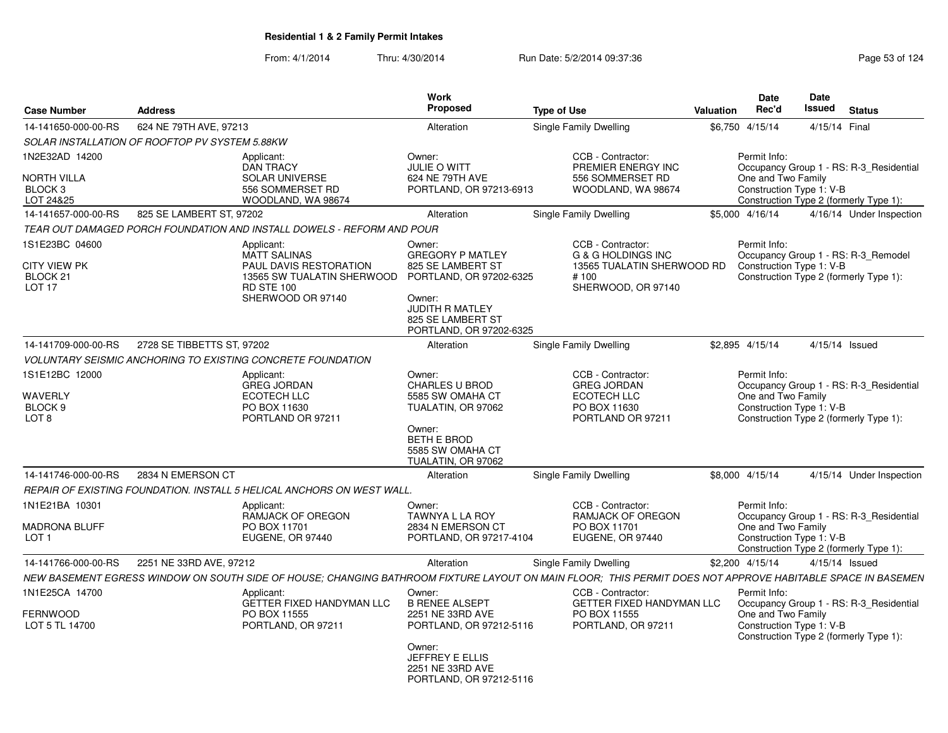| <b>Case Number</b>                                                                | <b>Address</b>             |                                                                                                                                                            | <b>Work</b><br><b>Proposed</b>                                                                                                                                        | <b>Type of Use</b> |                                                                                                                | <b>Valuation</b> | <b>Date</b><br>Rec'd               | Date<br>Issued           | <b>Status</b>                                                                     |
|-----------------------------------------------------------------------------------|----------------------------|------------------------------------------------------------------------------------------------------------------------------------------------------------|-----------------------------------------------------------------------------------------------------------------------------------------------------------------------|--------------------|----------------------------------------------------------------------------------------------------------------|------------------|------------------------------------|--------------------------|-----------------------------------------------------------------------------------|
| 14-141650-000-00-RS                                                               | 624 NE 79TH AVE, 97213     |                                                                                                                                                            | Alteration                                                                                                                                                            |                    | Single Family Dwelling                                                                                         |                  | \$6,750 4/15/14                    | 4/15/14 Final            |                                                                                   |
| SOLAR INSTALLATION OF ROOFTOP PV SYSTEM 5.88KW                                    |                            |                                                                                                                                                            |                                                                                                                                                                       |                    |                                                                                                                |                  |                                    |                          |                                                                                   |
| 1N2E32AD 14200<br><b>NORTH VILLA</b><br>BLOCK <sub>3</sub><br>LOT 24&25           |                            | Applicant:<br><b>DAN TRACY</b><br><b>SOLAR UNIVERSE</b><br>556 SOMMERSET RD<br>WOODLAND, WA 98674                                                          | Owner:<br>JULIE O WITT<br>624 NE 79TH AVE<br>PORTLAND, OR 97213-6913                                                                                                  |                    | CCB - Contractor:<br>PREMIER ENERGY INC<br>556 SOMMERSET RD<br>WOODLAND, WA 98674                              |                  | Permit Info:<br>One and Two Family | Construction Type 1: V-B | Occupancy Group 1 - RS: R-3 Residential<br>Construction Type 2 (formerly Type 1): |
| 14-141657-000-00-RS                                                               | 825 SE LAMBERT ST, 97202   |                                                                                                                                                            | Alteration                                                                                                                                                            |                    | Single Family Dwelling                                                                                         |                  | \$5,000 4/16/14                    |                          | 4/16/14 Under Inspection                                                          |
|                                                                                   |                            | TEAR OUT DAMAGED PORCH FOUNDATION AND INSTALL DOWELS - REFORM AND POUR                                                                                     |                                                                                                                                                                       |                    |                                                                                                                |                  |                                    |                          |                                                                                   |
| 1S1E23BC 04600<br><b>CITY VIEW PK</b><br>BLOCK <sub>21</sub><br>LOT <sub>17</sub> |                            | Applicant:<br><b>MATT SALINAS</b><br><b>PAUL DAVIS RESTORATION</b><br>13565 SW TUALATIN SHERWOOD<br><b>RD STE 100</b><br>SHERWOOD OR 97140                 | Owner:<br><b>GREGORY P MATLEY</b><br>825 SE LAMBERT ST<br>PORTLAND, OR 97202-6325<br>Owner:<br><b>JUDITH R MATLEY</b><br>825 SE LAMBERT ST<br>PORTLAND, OR 97202-6325 |                    | CCB - Contractor:<br><b>G &amp; G HOLDINGS INC</b><br>13565 TUALATIN SHERWOOD RD<br>#100<br>SHERWOOD, OR 97140 |                  | Permit Info:                       | Construction Type 1: V-B | Occupancy Group 1 - RS: R-3 Remodel<br>Construction Type 2 (formerly Type 1):     |
| 14-141709-000-00-RS                                                               | 2728 SE TIBBETTS ST, 97202 |                                                                                                                                                            | Alteration                                                                                                                                                            |                    | <b>Single Family Dwelling</b>                                                                                  |                  | \$2,895 4/15/14                    |                          | $4/15/14$ Issued                                                                  |
|                                                                                   |                            | <b>VOLUNTARY SEISMIC ANCHORING TO EXISTING CONCRETE FOUNDATION</b>                                                                                         |                                                                                                                                                                       |                    |                                                                                                                |                  |                                    |                          |                                                                                   |
| 1S1E12BC 12000<br>WAVERLY<br>BLOCK <sub>9</sub><br>LOT 8                          |                            | Applicant:<br><b>GREG JORDAN</b><br><b>ECOTECH LLC</b><br>PO BOX 11630<br>PORTLAND OR 97211                                                                | Owner:<br><b>CHARLES U BROD</b><br>5585 SW OMAHA CT<br>TUALATIN, OR 97062<br>Owner:<br><b>BETH E BROD</b><br>5585 SW OMAHA CT<br>TUALATIN, OR 97062                   |                    | CCB - Contractor:<br><b>GREG JORDAN</b><br>ECOTECH LLC<br>PO BOX 11630<br>PORTLAND OR 97211                    |                  | Permit Info:<br>One and Two Family | Construction Type 1: V-B | Occupancy Group 1 - RS: R-3_Residential<br>Construction Type 2 (formerly Type 1): |
| 14-141746-000-00-RS                                                               | 2834 N EMERSON CT          |                                                                                                                                                            | Alteration                                                                                                                                                            |                    | Single Family Dwelling                                                                                         |                  | \$8,000 4/15/14                    |                          | 4/15/14 Under Inspection                                                          |
|                                                                                   |                            | REPAIR OF EXISTING FOUNDATION. INSTALL 5 HELICAL ANCHORS ON WEST WALL.                                                                                     |                                                                                                                                                                       |                    |                                                                                                                |                  |                                    |                          |                                                                                   |
| 1N1E21BA 10301<br>MADRONA BLUFF<br>LOT <sub>1</sub>                               |                            | Applicant:<br>RAMJACK OF OREGON<br>PO BOX 11701<br>EUGENE, OR 97440                                                                                        | Owner:<br>TAWNYA L LA ROY<br>2834 N EMERSON CT<br>PORTLAND, OR 97217-4104                                                                                             |                    | CCB - Contractor:<br>RAMJACK OF OREGON<br>PO BOX 11701<br>EUGENE, OR 97440                                     |                  | Permit Info:<br>One and Two Family | Construction Type 1: V-B | Occupancy Group 1 - RS: R-3_Residential<br>Construction Type 2 (formerly Type 1): |
| 14-141766-000-00-RS                                                               | 2251 NE 33RD AVE, 97212    |                                                                                                                                                            | Alteration                                                                                                                                                            |                    | <b>Single Family Dwelling</b>                                                                                  |                  | \$2,200 4/15/14                    |                          | 4/15/14 Issued                                                                    |
|                                                                                   |                            | NEW BASEMENT EGRESS WINDOW ON SOUTH SIDE OF HOUSE; CHANGING BATHROOM FIXTURE LAYOUT ON MAIN FLOOR; THIS PERMIT DOES NOT APPROVE HABITABLE SPACE IN BASEMEN |                                                                                                                                                                       |                    |                                                                                                                |                  |                                    |                          |                                                                                   |
| 1N1E25CA 14700<br>FERNWOOD<br>LOT 5 TL 14700                                      |                            | Applicant:<br><b>GETTER FIXED HANDYMAN LLC</b><br>PO BOX 11555<br>PORTLAND, OR 97211                                                                       | Owner:<br><b>B RENEE ALSEPT</b><br>2251 NE 33RD AVE<br>PORTLAND, OR 97212-5116<br>Owner:<br><b>JEFFREY E ELLIS</b><br>2251 NE 33RD AVE<br>PORTLAND, OR 97212-5116     |                    | CCB - Contractor:<br>GETTER FIXED HANDYMAN LLC<br>PO BOX 11555<br>PORTLAND, OR 97211                           |                  | Permit Info:<br>One and Two Family | Construction Type 1: V-B | Occupancy Group 1 - RS: R-3_Residential<br>Construction Type 2 (formerly Type 1): |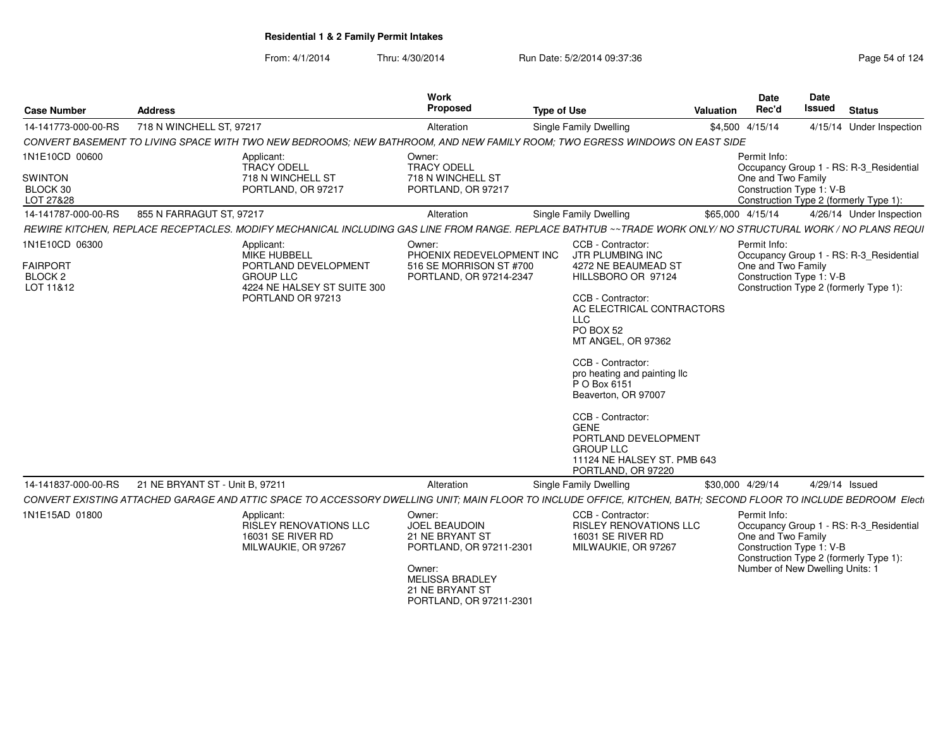From: 4/1/2014

| <b>Case Number</b>                      | <b>Address</b>                                                                                                                                                   | Work<br><b>Proposed</b>                                                                                                                                 | <b>Type of Use</b>                                                                                                                                                                                                                                                                                                                                      | <b>Valuation</b> | Date<br>Date<br><b>Issued</b><br>Rec'd                                                                                                                                 | <b>Status</b>            |
|-----------------------------------------|------------------------------------------------------------------------------------------------------------------------------------------------------------------|---------------------------------------------------------------------------------------------------------------------------------------------------------|---------------------------------------------------------------------------------------------------------------------------------------------------------------------------------------------------------------------------------------------------------------------------------------------------------------------------------------------------------|------------------|------------------------------------------------------------------------------------------------------------------------------------------------------------------------|--------------------------|
| 14-141773-000-00-RS                     | 718 N WINCHELL ST, 97217                                                                                                                                         | Alteration                                                                                                                                              | Single Family Dwelling                                                                                                                                                                                                                                                                                                                                  | \$4,500 4/15/14  |                                                                                                                                                                        | 4/15/14 Under Inspection |
|                                         | CONVERT BASEMENT TO LIVING SPACE WITH TWO NEW BEDROOMS; NEW BATHROOM, AND NEW FAMILY ROOM; TWO EGRESS WINDOWS ON EAST SIDE                                       |                                                                                                                                                         |                                                                                                                                                                                                                                                                                                                                                         |                  |                                                                                                                                                                        |                          |
| 1N1E10CD 00600                          | Applicant:<br><b>TRACY ODELL</b>                                                                                                                                 | Owner:<br><b>TRACY ODELL</b>                                                                                                                            |                                                                                                                                                                                                                                                                                                                                                         | Permit Info:     | Occupancy Group 1 - RS: R-3 Residential                                                                                                                                |                          |
| <b>SWINTON</b><br>BLOCK 30<br>LOT 27&28 | 718 N WINCHELL ST<br>PORTLAND, OR 97217                                                                                                                          | 718 N WINCHELL ST<br>PORTLAND, OR 97217                                                                                                                 |                                                                                                                                                                                                                                                                                                                                                         |                  | One and Two Family<br>Construction Type 1: V-B<br>Construction Type 2 (formerly Type 1):                                                                               |                          |
| 14-141787-000-00-RS                     | 855 N FARRAGUT ST, 97217                                                                                                                                         | Alteration                                                                                                                                              | Single Family Dwelling                                                                                                                                                                                                                                                                                                                                  | \$65,000 4/15/14 |                                                                                                                                                                        | 4/26/14 Under Inspection |
|                                         | REWIRE KITCHEN, REPLACE RECEPTACLES. MODIFY MECHANICAL INCLUDING GAS LINE FROM RANGE. REPLACE BATHTUB ~~ TRADE WORK ONLY/ NO STRUCTURAL WORK / NO PLANS REQUI    |                                                                                                                                                         |                                                                                                                                                                                                                                                                                                                                                         |                  |                                                                                                                                                                        |                          |
| 1N1E10CD 06300                          | Applicant:<br>MIKE HUBBELL                                                                                                                                       | Owner:<br>PHOENIX REDEVELOPMENT INC                                                                                                                     | CCB - Contractor:<br>JTR PLUMBING INC                                                                                                                                                                                                                                                                                                                   | Permit Info:     | Occupancy Group 1 - RS: R-3_Residential                                                                                                                                |                          |
| <b>FAIRPORT</b><br>BLOCK 2<br>LOT 11&12 | PORTLAND DEVELOPMENT<br><b>GROUP LLC</b><br>4224 NE HALSEY ST SUITE 300<br>PORTLAND OR 97213                                                                     | 516 SE MORRISON ST #700<br>PORTLAND, OR 97214-2347                                                                                                      | 4272 NE BEAUMEAD ST<br>HILLSBORO OR 97124<br>CCB - Contractor:<br>AC ELECTRICAL CONTRACTORS<br><b>LLC</b><br>PO BOX 52<br>MT ANGEL, OR 97362<br>CCB - Contractor:<br>pro heating and painting Ilc<br>P O Box 6151<br>Beaverton, OR 97007<br>CCB - Contractor:<br><b>GENE</b><br>PORTLAND DEVELOPMENT<br><b>GROUP LLC</b><br>11124 NE HALSEY ST. PMB 643 |                  | One and Two Family<br>Construction Type 1: V-B<br>Construction Type 2 (formerly Type 1):                                                                               |                          |
| 14-141837-000-00-RS                     | 21 NE BRYANT ST - Unit B, 97211                                                                                                                                  | Alteration                                                                                                                                              | PORTLAND, OR 97220<br>Single Family Dwelling                                                                                                                                                                                                                                                                                                            | \$30,000 4/29/14 | 4/29/14 Issued                                                                                                                                                         |                          |
|                                         | CONVERT EXISTING ATTACHED GARAGE AND ATTIC SPACE TO ACCESSORY DWELLING UNIT; MAIN FLOOR TO INCLUDE OFFICE, KITCHEN, BATH; SECOND FLOOR TO INCLUDE BEDROOM Electi |                                                                                                                                                         |                                                                                                                                                                                                                                                                                                                                                         |                  |                                                                                                                                                                        |                          |
| 1N1E15AD 01800                          | Applicant:<br>RISLEY RENOVATIONS LLC<br>16031 SE RIVER RD<br>MILWAUKIE, OR 97267                                                                                 | Owner:<br>JOEL BEAUDOIN<br>21 NE BRYANT ST<br>PORTLAND, OR 97211-2301<br>Owner:<br><b>MELISSA BRADLEY</b><br>21 NE BRYANT ST<br>PORTLAND, OR 97211-2301 | CCB - Contractor:<br><b>RISLEY RENOVATIONS LLC</b><br>16031 SE RIVER RD<br>MILWAUKIE, OR 97267                                                                                                                                                                                                                                                          | Permit Info:     | Occupancy Group 1 - RS: R-3_Residential<br>One and Two Family<br>Construction Type 1: V-B<br>Construction Type 2 (formerly Type 1):<br>Number of New Dwelling Units: 1 |                          |
|                                         |                                                                                                                                                                  |                                                                                                                                                         |                                                                                                                                                                                                                                                                                                                                                         |                  |                                                                                                                                                                        |                          |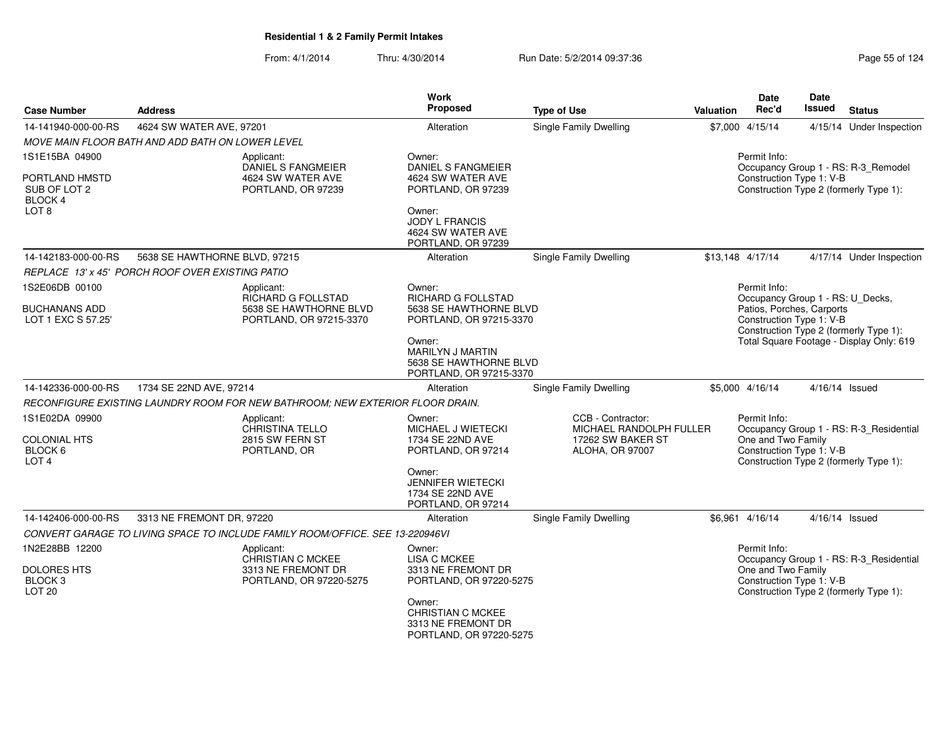| <b>Case Number</b>                                           | <b>Address</b>                                   |                                                                                       | <b>Work</b><br>Proposed                                                                | <b>Type of Use</b>                           | <b>Valuation</b> | <b>Date</b><br>Rec'd                                                                                      | <b>Date</b><br><b>Issued</b> | <b>Status</b>                                                                      |
|--------------------------------------------------------------|--------------------------------------------------|---------------------------------------------------------------------------------------|----------------------------------------------------------------------------------------|----------------------------------------------|------------------|-----------------------------------------------------------------------------------------------------------|------------------------------|------------------------------------------------------------------------------------|
| 14-141940-000-00-RS                                          | 4624 SW WATER AVE, 97201                         |                                                                                       | Alteration                                                                             | Single Family Dwelling                       |                  | \$7,000 4/15/14                                                                                           |                              | 4/15/14 Under Inspection                                                           |
|                                                              | MOVE MAIN FLOOR BATH AND ADD BATH ON LOWER LEVEL |                                                                                       |                                                                                        |                                              |                  |                                                                                                           |                              |                                                                                    |
| 1S1E15BA 04900                                               |                                                  | Applicant:                                                                            | Owner:                                                                                 |                                              |                  | Permit Info:                                                                                              |                              |                                                                                    |
| PORTLAND HMSTD<br>SUB OF LOT 2<br>BLOCK 4                    |                                                  | <b>DANIEL S FANGMEIER</b><br>4624 SW WATER AVE<br>PORTLAND, OR 97239                  | DANIEL S FANGMEIER<br>4624 SW WATER AVE<br>PORTLAND, OR 97239                          |                                              |                  | Construction Type 1: V-B                                                                                  |                              | Occupancy Group 1 - RS: R-3_Remodel<br>Construction Type 2 (formerly Type 1):      |
| LOT <sub>8</sub>                                             |                                                  |                                                                                       | Owner:<br><b>JODY L FRANCIS</b><br>4624 SW WATER AVE<br>PORTLAND, OR 97239             |                                              |                  |                                                                                                           |                              |                                                                                    |
| 14-142183-000-00-RS                                          | 5638 SE HAWTHORNE BLVD, 97215                    |                                                                                       | Alteration                                                                             | Single Family Dwelling                       |                  | \$13,148 4/17/14                                                                                          |                              | 4/17/14 Under Inspection                                                           |
|                                                              | REPLACE 13' x 45' PORCH ROOF OVER EXISTING PATIO |                                                                                       |                                                                                        |                                              |                  |                                                                                                           |                              |                                                                                    |
| 1S2E06DB 00100<br><b>BUCHANANS ADD</b><br>LOT 1 EXC S 57.25' |                                                  | Applicant:<br>RICHARD G FOLLSTAD<br>5638 SE HAWTHORNE BLVD<br>PORTLAND, OR 97215-3370 | Owner:<br>RICHARD G FOLLSTAD<br>5638 SE HAWTHORNE BLVD<br>PORTLAND, OR 97215-3370      |                                              |                  | Permit Info:<br>Occupancy Group 1 - RS: U_Decks,<br>Patios, Porches, Carports<br>Construction Type 1: V-B |                              |                                                                                    |
|                                                              |                                                  |                                                                                       | Owner:<br><b>MARILYN J MARTIN</b><br>5638 SE HAWTHORNE BLVD<br>PORTLAND, OR 97215-3370 |                                              |                  |                                                                                                           |                              | Construction Type 2 (formerly Type 1):<br>Total Square Footage - Display Only: 619 |
| 14-142336-000-00-RS                                          | 1734 SE 22ND AVE, 97214                          |                                                                                       | Alteration                                                                             | Single Family Dwelling                       |                  | \$5,000 4/16/14                                                                                           |                              | 4/16/14 Issued                                                                     |
|                                                              |                                                  | RECONFIGURE EXISTING LAUNDRY ROOM FOR NEW BATHROOM: NEW EXTERIOR FLOOR DRAIN.         |                                                                                        |                                              |                  |                                                                                                           |                              |                                                                                    |
| 1S1E02DA 09900                                               |                                                  | Applicant:<br><b>CHRISTINA TELLO</b>                                                  | Owner:<br><b>MICHAEL J WIETECKI</b>                                                    | CCB - Contractor:<br>MICHAEL RANDOLPH FULLER |                  | Permit Info:                                                                                              |                              | Occupancy Group 1 - RS: R-3_Residential                                            |
| <b>COLONIAL HTS</b><br>BLOCK 6<br>LOT <sub>4</sub>           |                                                  | 2815 SW FERN ST<br>PORTLAND, OR                                                       | 1734 SE 22ND AVE<br>PORTLAND, OR 97214                                                 | 17262 SW BAKER ST<br><b>ALOHA, OR 97007</b>  |                  | One and Two Family<br>Construction Type 1: V-B                                                            |                              | Construction Type 2 (formerly Type 1):                                             |
|                                                              |                                                  |                                                                                       | Owner:<br><b>JENNIFER WIETECKI</b><br>1734 SE 22ND AVE<br>PORTLAND, OR 97214           |                                              |                  |                                                                                                           |                              |                                                                                    |
| 14-142406-000-00-RS                                          | 3313 NE FREMONT DR. 97220                        |                                                                                       | Alteration                                                                             | Single Family Dwelling                       |                  | \$6.961 4/16/14                                                                                           |                              | 4/16/14 Issued                                                                     |
|                                                              |                                                  | CONVERT GARAGE TO LIVING SPACE TO INCLUDE FAMILY ROOM/OFFICE. SEE 13-220946VI         |                                                                                        |                                              |                  |                                                                                                           |                              |                                                                                    |
| 1N2E28BB 12200<br><b>DOLORES HTS</b>                         |                                                  | Applicant:<br>CHRISTIAN C MCKEE<br>3313 NE FREMONT DR                                 | Owner:<br><b>LISA C MCKEE</b><br>3313 NE FREMONT DR                                    |                                              |                  | Permit Info:<br>One and Two Family                                                                        |                              | Occupancy Group 1 - RS: R-3_Residential                                            |
| BLOCK 3<br>LOT <sub>20</sub>                                 |                                                  | PORTLAND, OR 97220-5275                                                               | PORTLAND, OR 97220-5275                                                                |                                              |                  | Construction Type 1: V-B                                                                                  |                              | Construction Type 2 (formerly Type 1):                                             |
|                                                              |                                                  |                                                                                       | Owner:<br><b>CHRISTIAN C MCKEE</b><br>3313 NE FREMONT DR<br>PORTLAND, OR 97220-5275    |                                              |                  |                                                                                                           |                              |                                                                                    |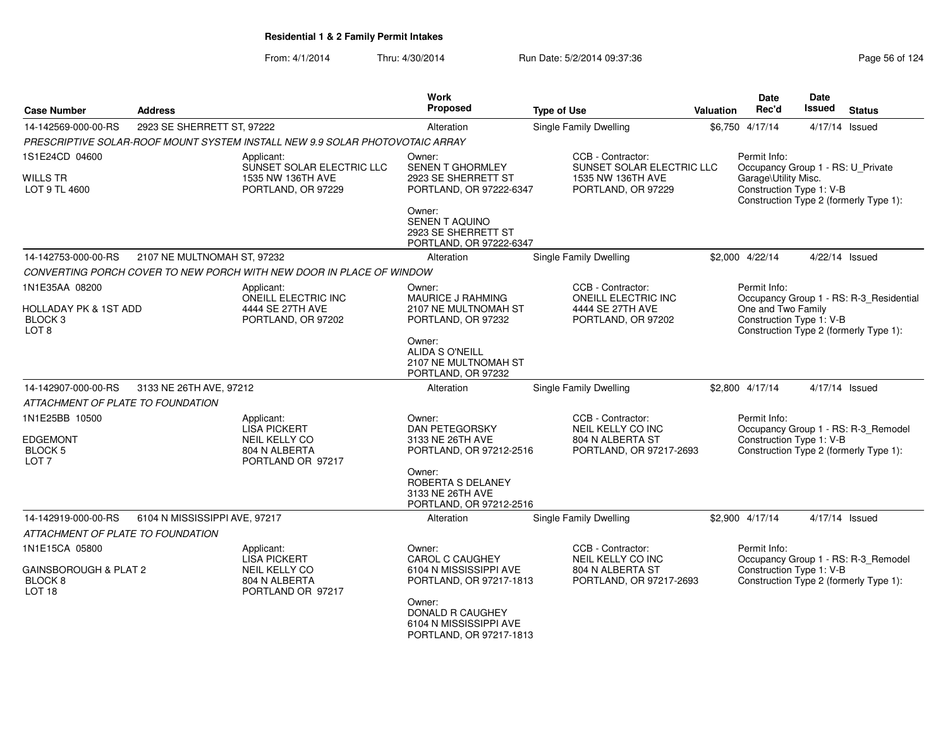| <b>Case Number</b>                                               | <b>Address</b>                |                                                                              | Work<br><b>Proposed</b>                                                           | <b>Type of Use</b>                                           | Valuation | <b>Date</b><br>Rec'd                                           | Date<br><b>Issued</b> | <b>Status</b>                           |
|------------------------------------------------------------------|-------------------------------|------------------------------------------------------------------------------|-----------------------------------------------------------------------------------|--------------------------------------------------------------|-----------|----------------------------------------------------------------|-----------------------|-----------------------------------------|
| 14-142569-000-00-RS                                              | 2923 SE SHERRETT ST, 97222    |                                                                              | Alteration                                                                        | Single Family Dwelling                                       |           | \$6,750 4/17/14                                                |                       | 4/17/14 Issued                          |
|                                                                  |                               | PRESCRIPTIVE SOLAR-ROOF MOUNT SYSTEM INSTALL NEW 9.9 SOLAR PHOTOVOTAIC ARRAY |                                                                                   |                                                              |           |                                                                |                       |                                         |
| 1S1E24CD 04600                                                   |                               | Applicant:<br>SUNSET SOLAR ELECTRIC LLC                                      | Owner:<br>SENEN T GHORMLEY                                                        | CCB - Contractor:<br>SUNSET SOLAR ELECTRIC LLC               |           | Permit Info:<br>Occupancy Group 1 - RS: U_Private              |                       |                                         |
| WILLS TR<br>LOT 9 TL 4600                                        |                               | 1535 NW 136TH AVE<br>PORTLAND, OR 97229                                      | 2923 SE SHERRETT ST<br>PORTLAND, OR 97222-6347                                    | 1535 NW 136TH AVE<br>PORTLAND, OR 97229                      |           | Garage\Utility Misc.<br>Construction Type 1: V-B               |                       | Construction Type 2 (formerly Type 1):  |
|                                                                  |                               |                                                                              | Owner:<br><b>SENEN T AQUINO</b><br>2923 SE SHERRETT ST<br>PORTLAND, OR 97222-6347 |                                                              |           |                                                                |                       |                                         |
| 14-142753-000-00-RS                                              | 2107 NE MULTNOMAH ST, 97232   |                                                                              | Alteration                                                                        | Single Family Dwelling                                       |           | \$2,000 4/22/14                                                |                       | 4/22/14 Issued                          |
|                                                                  |                               | CONVERTING PORCH COVER TO NEW PORCH WITH NEW DOOR IN PLACE OF WINDOW         |                                                                                   |                                                              |           |                                                                |                       |                                         |
| 1N1E35AA 08200<br><b>HOLLADAY PK &amp; 1ST ADD</b>               |                               | Applicant:<br>ONEILL ELECTRIC INC<br>4444 SE 27TH AVE                        | Owner:<br>MAURICE J RAHMING<br>2107 NE MULTNOMAH ST                               | CCB - Contractor:<br>ONEILL ELECTRIC INC<br>4444 SE 27TH AVE |           | Permit Info:<br>One and Two Family<br>Construction Type 1: V-B |                       | Occupancy Group 1 - RS: R-3_Residential |
| BLOCK <sub>3</sub><br>LOT <sub>8</sub>                           |                               | PORTLAND, OR 97202                                                           | PORTLAND, OR 97232                                                                | PORTLAND, OR 97202                                           |           |                                                                |                       | Construction Type 2 (formerly Type 1):  |
|                                                                  |                               |                                                                              | Owner:<br><b>ALIDA S O'NEILL</b><br>2107 NE MULTNOMAH ST<br>PORTLAND, OR 97232    |                                                              |           |                                                                |                       |                                         |
| 14-142907-000-00-RS                                              | 3133 NE 26TH AVE, 97212       |                                                                              | Alteration                                                                        | Single Family Dwelling                                       |           | \$2,800 4/17/14                                                |                       | 4/17/14 Issued                          |
| ATTACHMENT OF PLATE TO FOUNDATION                                |                               |                                                                              |                                                                                   |                                                              |           |                                                                |                       |                                         |
| 1N1E25BB 10500                                                   |                               | Applicant:<br><b>LISA PICKERT</b>                                            | Owner:<br><b>DAN PETEGORSKY</b>                                                   | CCB - Contractor:<br>NEIL KELLY CO INC                       |           | Permit Info:                                                   |                       | Occupancy Group 1 - RS: R-3_Remodel     |
| <b>EDGEMONT</b>                                                  |                               | NEIL KELLY CO                                                                | 3133 NE 26TH AVE                                                                  | 804 N ALBERTA ST                                             |           | Construction Type 1: V-B                                       |                       |                                         |
| BLOCK <sub>5</sub><br>LOT <sub>7</sub>                           |                               | 804 N ALBERTA<br>PORTLAND OR 97217                                           | PORTLAND, OR 97212-2516                                                           | PORTLAND, OR 97217-2693                                      |           |                                                                |                       | Construction Type 2 (formerly Type 1):  |
|                                                                  |                               |                                                                              | Owner:<br>ROBERTA S DELANEY<br>3133 NE 26TH AVE<br>PORTLAND, OR 97212-2516        |                                                              |           |                                                                |                       |                                         |
| 14-142919-000-00-RS                                              | 6104 N MISSISSIPPI AVE, 97217 |                                                                              | Alteration                                                                        | Single Family Dwelling                                       |           | \$2,900 4/17/14                                                |                       | 4/17/14 Issued                          |
| ATTACHMENT OF PLATE TO FOUNDATION                                |                               |                                                                              |                                                                                   |                                                              |           |                                                                |                       |                                         |
| 1N1E15CA 05800                                                   |                               | Applicant:<br><b>LISA PICKERT</b>                                            | Owner:<br><b>CAROL C CAUGHEY</b>                                                  | CCB - Contractor:<br>NEIL KELLY CO INC                       |           | Permit Info:                                                   |                       | Occupancy Group 1 - RS: R-3_Remodel     |
| GAINSBOROUGH & PLAT 2<br>BLOCK <sub>8</sub><br>LOT <sub>18</sub> |                               | NEIL KELLY CO<br>804 N ALBERTA<br>PORTLAND OR 97217                          | 6104 N MISSISSIPPI AVE<br>PORTLAND, OR 97217-1813                                 | 804 N ALBERTA ST<br>PORTLAND, OR 97217-2693                  |           | Construction Type 1: V-B                                       |                       | Construction Type 2 (formerly Type 1):  |
|                                                                  |                               |                                                                              | Owner:<br>DONALD R CAUGHEY<br>6104 N MISSISSIPPI AVE<br>PORTLAND, OR 97217-1813   |                                                              |           |                                                                |                       |                                         |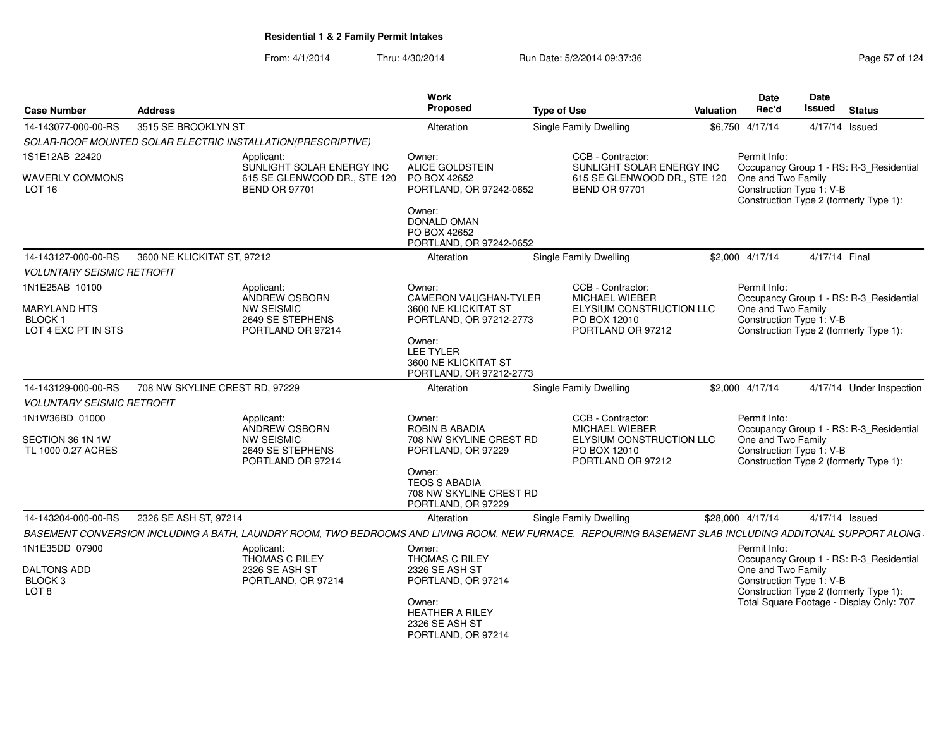| <b>Case Number</b>                                       | <b>Address</b>                 |                                                                                                                                                          | Work<br>Proposed                                                                                                   | <b>Type of Use</b>                                                                                   | <b>Valuation</b> | <b>Date</b><br>Rec'd                                           | Date<br><b>Issued</b> | <b>Status</b>                                                                      |
|----------------------------------------------------------|--------------------------------|----------------------------------------------------------------------------------------------------------------------------------------------------------|--------------------------------------------------------------------------------------------------------------------|------------------------------------------------------------------------------------------------------|------------------|----------------------------------------------------------------|-----------------------|------------------------------------------------------------------------------------|
| 14-143077-000-00-RS                                      | 3515 SE BROOKLYN ST            |                                                                                                                                                          | Alteration                                                                                                         | Single Family Dwelling                                                                               | \$6,750 4/17/14  |                                                                | 4/17/14 Issued        |                                                                                    |
|                                                          |                                | SOLAR-ROOF MOUNTED SOLAR ELECTRIC INSTALLATION(PRESCRIPTIVE)                                                                                             |                                                                                                                    |                                                                                                      |                  |                                                                |                       |                                                                                    |
| 1S1E12AB 22420                                           |                                | Applicant:<br>SUNLIGHT SOLAR ENERGY INC                                                                                                                  | Owner:<br>ALICE GOLDSTEIN                                                                                          | CCB - Contractor:<br>SUNLIGHT SOLAR ENERGY INC                                                       |                  | Permit Info:                                                   |                       | Occupancy Group 1 - RS: R-3_Residential                                            |
| <b>WAVERLY COMMONS</b><br>LOT <sub>16</sub>              |                                | 615 SE GLENWOOD DR., STE 120<br><b>BEND OR 97701</b>                                                                                                     | PO BOX 42652<br>PORTLAND, OR 97242-0652<br>Owner:<br><b>DONALD OMAN</b><br>PO BOX 42652<br>PORTLAND, OR 97242-0652 | 615 SE GLENWOOD DR., STE 120<br><b>BEND OR 97701</b>                                                 |                  | One and Two Family<br>Construction Type 1: V-B                 |                       | Construction Type 2 (formerly Type 1):                                             |
| 14-143127-000-00-RS                                      | 3600 NE KLICKITAT ST, 97212    |                                                                                                                                                          | Alteration                                                                                                         | Single Family Dwelling                                                                               |                  | \$2,000 4/17/14                                                | 4/17/14 Final         |                                                                                    |
| <b>VOLUNTARY SEISMIC RETROFIT</b>                        |                                |                                                                                                                                                          |                                                                                                                    |                                                                                                      |                  |                                                                |                       |                                                                                    |
| 1N1E25AB 10100                                           |                                | Applicant:<br>ANDREW OSBORN                                                                                                                              | Owner:<br><b>CAMERON VAUGHAN-TYLER</b>                                                                             | CCB - Contractor:<br>MICHAEL WIEBER                                                                  |                  | Permit Info:                                                   |                       | Occupancy Group 1 - RS: R-3_Residential                                            |
| <b>MARYLAND HTS</b><br>BLOCK 1<br>LOT 4 EXC PT IN STS    |                                | <b>NW SEISMIC</b><br>2649 SE STEPHENS<br>PORTLAND OR 97214                                                                                               | 3600 NE KLICKITAT ST<br>PORTLAND, OR 97212-2773                                                                    | ELYSIUM CONSTRUCTION LLC<br>PO BOX 12010<br>PORTLAND OR 97212                                        |                  | One and Two Family<br>Construction Type 1: V-B                 |                       | Construction Type 2 (formerly Type 1):                                             |
|                                                          |                                |                                                                                                                                                          | Owner:<br><b>LEE TYLER</b><br>3600 NE KLICKITAT ST<br>PORTLAND, OR 97212-2773                                      |                                                                                                      |                  |                                                                |                       |                                                                                    |
| 14-143129-000-00-RS                                      | 708 NW SKYLINE CREST RD, 97229 |                                                                                                                                                          | Alteration                                                                                                         | Single Family Dwelling                                                                               |                  | \$2,000 4/17/14                                                |                       | 4/17/14 Under Inspection                                                           |
| <b>VOLUNTARY SEISMIC RETROFIT</b>                        |                                |                                                                                                                                                          |                                                                                                                    |                                                                                                      |                  |                                                                |                       |                                                                                    |
| 1N1W36BD 01000<br>SECTION 36 1N 1W<br>TL 1000 0.27 ACRES |                                | Applicant:<br>ANDREW OSBORN<br><b>NW SEISMIC</b><br>2649 SE STEPHENS<br>PORTLAND OR 97214                                                                | Owner:<br>ROBIN B ABADIA<br>708 NW SKYLINE CREST RD<br>PORTLAND, OR 97229<br>Owner:                                | CCB - Contractor:<br>MICHAEL WIEBER<br>ELYSIUM CONSTRUCTION LLC<br>PO BOX 12010<br>PORTLAND OR 97212 |                  | Permit Info:<br>One and Two Family<br>Construction Type 1: V-B |                       | Occupancy Group 1 - RS: R-3 Residential<br>Construction Type 2 (formerly Type 1):  |
|                                                          |                                |                                                                                                                                                          | <b>TEOS S ABADIA</b><br>708 NW SKYLINE CREST RD<br>PORTLAND, OR 97229                                              |                                                                                                      |                  |                                                                |                       |                                                                                    |
| 14-143204-000-00-RS                                      | 2326 SE ASH ST, 97214          |                                                                                                                                                          | Alteration                                                                                                         | <b>Single Family Dwelling</b>                                                                        | \$28,000 4/17/14 |                                                                | 4/17/14 Issued        |                                                                                    |
|                                                          |                                | BASEMENT CONVERSION INCLUDING A BATH, LAUNDRY ROOM, TWO BEDROOMS AND LIVING ROOM. NEW FURNACE. REPOURING BASEMENT SLAB INCLUDING ADDITONAL SUPPORT ALONG |                                                                                                                    |                                                                                                      |                  |                                                                |                       |                                                                                    |
| 1N1E35DD 07900                                           |                                | Applicant:<br><b>THOMAS C RILEY</b>                                                                                                                      | Owner:<br>THOMAS C RILEY                                                                                           |                                                                                                      |                  | Permit Info:                                                   |                       | Occupancy Group 1 - RS: R-3_Residential                                            |
| <b>DALTONS ADD</b><br>BLOCK <sub>3</sub><br>LOT 8        |                                | 2326 SE ASH ST<br>PORTLAND, OR 97214                                                                                                                     | 2326 SE ASH ST<br>PORTLAND, OR 97214<br>Owner:                                                                     |                                                                                                      |                  | One and Two Family<br>Construction Type 1: V-B                 |                       | Construction Type 2 (formerly Type 1):<br>Total Square Footage - Display Only: 707 |
|                                                          |                                |                                                                                                                                                          | <b>HEATHER A RILEY</b><br>2326 SE ASH ST<br>PORTLAND, OR 97214                                                     |                                                                                                      |                  |                                                                |                       |                                                                                    |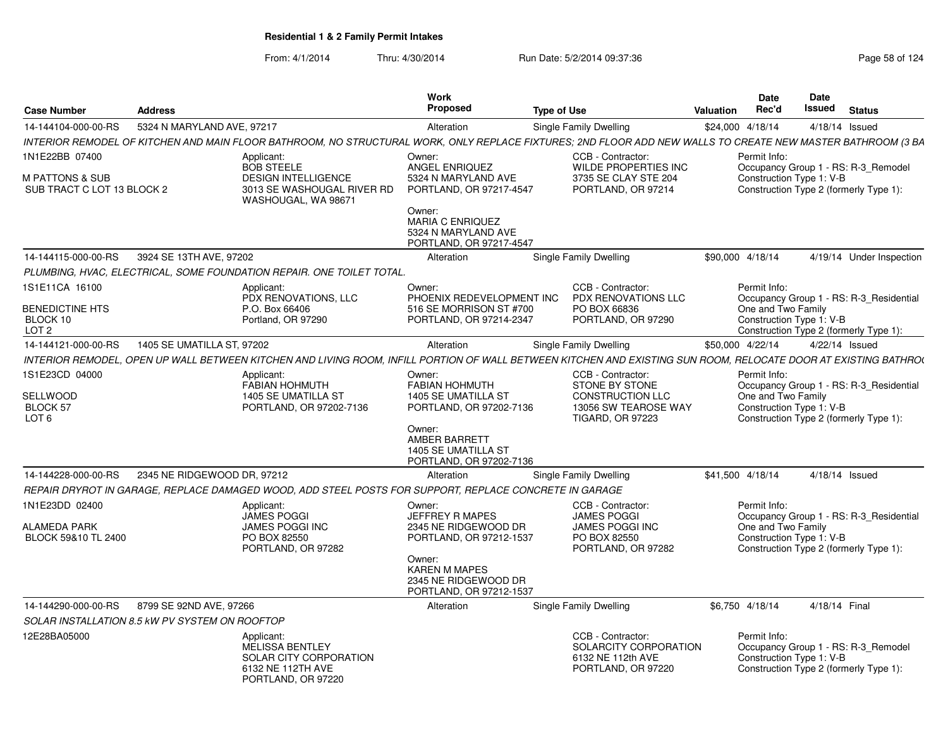| <b>Case Number</b>                                                | <b>Address</b>                                 |                                                                                                                                                                 | <b>Work</b><br>Proposed                                                                                                                                           | <b>Type of Use</b>                                                                                                | Valuation        | Date<br>Rec'd                      | Date<br>Issued                                                     | <b>Status</b>                                                                     |
|-------------------------------------------------------------------|------------------------------------------------|-----------------------------------------------------------------------------------------------------------------------------------------------------------------|-------------------------------------------------------------------------------------------------------------------------------------------------------------------|-------------------------------------------------------------------------------------------------------------------|------------------|------------------------------------|--------------------------------------------------------------------|-----------------------------------------------------------------------------------|
| 14-144104-000-00-RS                                               | 5324 N MARYLAND AVE, 97217                     |                                                                                                                                                                 | Alteration                                                                                                                                                        | Single Family Dwelling                                                                                            | \$24,000 4/18/14 |                                    | 4/18/14 Issued                                                     |                                                                                   |
|                                                                   |                                                | INTERIOR REMODEL OF KITCHEN AND MAIN FLOOR BATHROOM, NO STRUCTURAL WORK, ONLY REPLACE FIXTURES: 2ND FLOOR ADD NEW WALLS TO CREATE NEW MASTER BATHROOM (3 BA     |                                                                                                                                                                   |                                                                                                                   |                  |                                    |                                                                    |                                                                                   |
| 1N1E22BB 07400<br>M PATTONS & SUB<br>SUB TRACT C LOT 13 BLOCK 2   |                                                | Applicant:<br><b>BOB STEELE</b><br><b>DESIGN INTELLIGENCE</b><br>3013 SE WASHOUGAL RIVER RD<br>WASHOUGAL, WA 98671                                              | Owner:<br><b>ANGEL ENRIQUEZ</b><br>5324 N MARYLAND AVE<br>PORTLAND, OR 97217-4547                                                                                 | CCB - Contractor:<br>WILDE PROPERTIES INC<br>3735 SE CLAY STE 204<br>PORTLAND, OR 97214                           |                  | Permit Info:                       | Construction Type 1: V-B<br>Construction Type 2 (formerly Type 1): | Occupancy Group 1 - RS: R-3_Remodel                                               |
|                                                                   |                                                |                                                                                                                                                                 | Owner:<br><b>MARIA C ENRIQUEZ</b><br>5324 N MARYLAND AVE<br>PORTLAND, OR 97217-4547                                                                               |                                                                                                                   |                  |                                    |                                                                    |                                                                                   |
| 14-144115-000-00-RS                                               | 3924 SE 13TH AVE, 97202                        |                                                                                                                                                                 | Alteration                                                                                                                                                        | Single Family Dwelling                                                                                            |                  | \$90,000 4/18/14                   |                                                                    | 4/19/14 Under Inspection                                                          |
|                                                                   |                                                | PLUMBING. HVAC. ELECTRICAL. SOME FOUNDATION REPAIR. ONE TOILET TOTAL.                                                                                           |                                                                                                                                                                   |                                                                                                                   |                  |                                    |                                                                    |                                                                                   |
| 1S1E11CA 16100<br>BENEDICTINE HTS<br>BLOCK 10<br>LOT <sub>2</sub> |                                                | Applicant:<br>PDX RENOVATIONS, LLC<br>P.O. Box 66406<br>Portland, OR 97290                                                                                      | Owner:<br>PHOENIX REDEVELOPMENT INC<br>516 SE MORRISON ST #700<br>PORTLAND, OR 97214-2347                                                                         | CCB - Contractor:<br>PDX RENOVATIONS LLC<br>PO BOX 66836<br>PORTLAND, OR 97290                                    |                  | Permit Info:<br>One and Two Family | Construction Type 1: V-B                                           | Occupancy Group 1 - RS: R-3 Residential<br>Construction Type 2 (formerly Type 1): |
| 14-144121-000-00-RS                                               | 1405 SE UMATILLA ST, 97202                     |                                                                                                                                                                 | Alteration                                                                                                                                                        | Single Family Dwelling                                                                                            | \$50,000 4/22/14 |                                    | 4/22/14 Issued                                                     |                                                                                   |
|                                                                   |                                                | INTERIOR REMODEL. OPEN UP WALL BETWEEN KITCHEN AND LIVING ROOM. INFILL PORTION OF WALL BETWEEN KITCHEN AND EXISTING SUN ROOM. RELOCATE DOOR AT EXISTING BATHROO |                                                                                                                                                                   |                                                                                                                   |                  |                                    |                                                                    |                                                                                   |
| 1S1E23CD 04000<br>SELLWOOD<br>BLOCK 57<br>LOT <sub>6</sub>        |                                                | Applicant:<br>FABIAN HOHMUTH<br>1405 SE UMATILLA ST<br>PORTLAND, OR 97202-7136                                                                                  | Owner:<br><b>FABIAN HOHMUTH</b><br>1405 SE UMATILLA ST<br>PORTLAND, OR 97202-7136<br>Owner:<br>AMBER BARRETT<br>1405 SE UMATILLA ST<br>PORTLAND, OR 97202-7136    | CCB - Contractor:<br>STONE BY STONE<br><b>CONSTRUCTION LLC</b><br>13056 SW TEAROSE WAY<br><b>TIGARD, OR 97223</b> |                  | Permit Info:<br>One and Two Family | Construction Type 1: V-B<br>Construction Type 2 (formerly Type 1): | Occupancy Group 1 - RS: R-3 Residential                                           |
| 14-144228-000-00-RS                                               | 2345 NE RIDGEWOOD DR, 97212                    |                                                                                                                                                                 | Alteration                                                                                                                                                        | Single Family Dwelling                                                                                            |                  | \$41,500 4/18/14                   | 4/18/14 Issued                                                     |                                                                                   |
|                                                                   |                                                | REPAIR DRYROT IN GARAGE, REPLACE DAMAGED WOOD, ADD STEEL POSTS FOR SUPPORT, REPLACE CONCRETE IN GARAGE                                                          |                                                                                                                                                                   |                                                                                                                   |                  |                                    |                                                                    |                                                                                   |
| 1N1E23DD 02400<br><b>ALAMEDA PARK</b><br>BLOCK 59&10 TL 2400      |                                                | Applicant:<br><b>JAMES POGGI</b><br>JAMES POGGI INC<br>PO BOX 82550<br>PORTLAND, OR 97282                                                                       | Owner:<br>JEFFREY R MAPES<br>2345 NE RIDGEWOOD DR<br>PORTLAND, OR 97212-1537<br>Owner:<br><b>KAREN M MAPES</b><br>2345 NE RIDGEWOOD DR<br>PORTLAND, OR 97212-1537 | CCB - Contractor:<br><b>JAMES POGGI</b><br><b>JAMES POGGI INC</b><br>PO BOX 82550<br>PORTLAND, OR 97282           |                  | Permit Info:<br>One and Two Family | Construction Type 1: V-B<br>Construction Type 2 (formerly Type 1): | Occupancy Group 1 - RS: R-3_Residential                                           |
| 14-144290-000-00-RS                                               | 8799 SE 92ND AVE, 97266                        |                                                                                                                                                                 | Alteration                                                                                                                                                        | Single Family Dwelling                                                                                            |                  | \$6.750 4/18/14                    | 4/18/14 Final                                                      |                                                                                   |
|                                                                   | SOLAR INSTALLATION 8.5 KW PV SYSTEM ON ROOFTOP |                                                                                                                                                                 |                                                                                                                                                                   |                                                                                                                   |                  |                                    |                                                                    |                                                                                   |
| 12E28BA05000                                                      |                                                | Applicant:<br><b>MELISSA BENTLEY</b><br>SOLAR CITY CORPORATION<br>6132 NE 112TH AVE<br>PORTLAND, OR 97220                                                       |                                                                                                                                                                   | CCB - Contractor:<br>SOLARCITY CORPORATION<br>6132 NE 112th AVE<br>PORTLAND, OR 97220                             |                  | Permit Info:                       | Construction Type 1: V-B<br>Construction Type 2 (formerly Type 1): | Occupancy Group 1 - RS: R-3_Remodel                                               |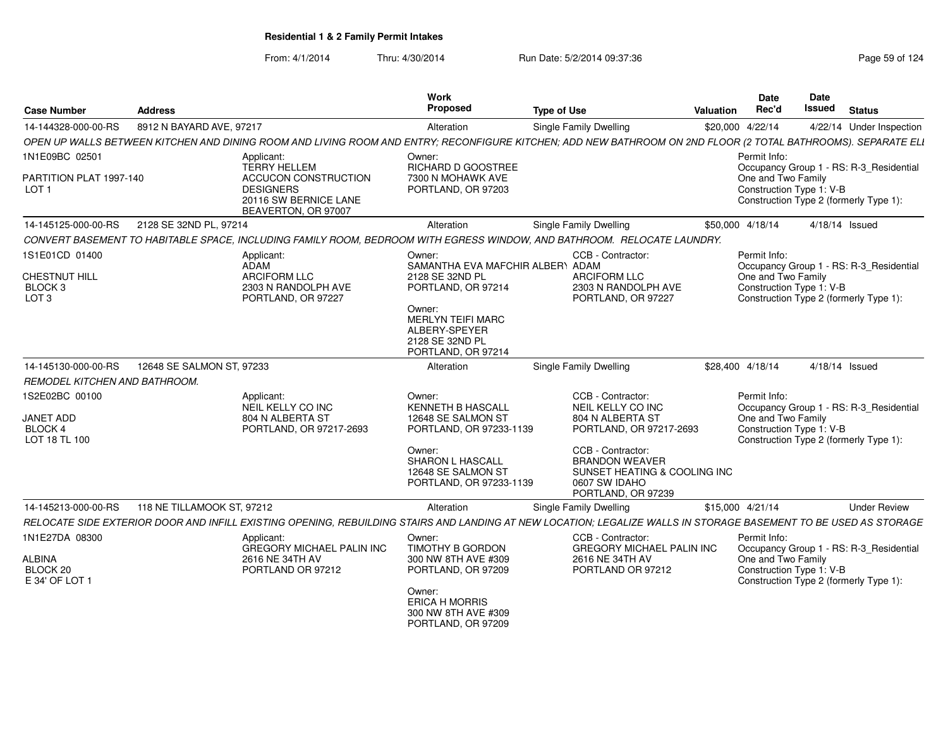| <b>Case Number</b>                                                        | <b>Address</b>             |                                                                                                                        | <b>Work</b><br>Proposed                                                                                                                                                             | <b>Type of Use</b>                                                                                                                                                                                         | <b>Valuation</b> | <b>Date</b><br>Rec'd                                           | Date<br><b>Issued</b> | <b>Status</b>                                                                     |
|---------------------------------------------------------------------------|----------------------------|------------------------------------------------------------------------------------------------------------------------|-------------------------------------------------------------------------------------------------------------------------------------------------------------------------------------|------------------------------------------------------------------------------------------------------------------------------------------------------------------------------------------------------------|------------------|----------------------------------------------------------------|-----------------------|-----------------------------------------------------------------------------------|
| 14-144328-000-00-RS                                                       | 8912 N BAYARD AVE, 97217   |                                                                                                                        | Alteration                                                                                                                                                                          | Single Family Dwelling                                                                                                                                                                                     |                  | \$20,000 4/22/14                                               |                       | 4/22/14 Under Inspection                                                          |
|                                                                           |                            |                                                                                                                        |                                                                                                                                                                                     | OPEN UP WALLS BETWEEN KITCHEN AND DINING ROOM AND LIVING ROOM AND ENTRY; RECONFIGURE KITCHEN; ADD NEW BATHROOM ON 2ND FLOOR (2 TOTAL BATHROOMS). SEPARATE ELI                                              |                  |                                                                |                       |                                                                                   |
| 1N1E09BC 02501                                                            |                            | Applicant:                                                                                                             | Owner:                                                                                                                                                                              |                                                                                                                                                                                                            |                  | Permit Info:                                                   |                       |                                                                                   |
| PARTITION PLAT 1997-140<br>LOT <sub>1</sub>                               |                            | <b>TERRY HELLEM</b><br><b>ACCUCON CONSTRUCTION</b><br><b>DESIGNERS</b><br>20116 SW BERNICE LANE<br>BEAVERTON, OR 97007 | RICHARD D GOOSTREE<br>7300 N MOHAWK AVE<br>PORTLAND, OR 97203                                                                                                                       |                                                                                                                                                                                                            |                  | One and Two Family<br>Construction Type 1: V-B                 |                       | Occupancy Group 1 - RS: R-3 Residential<br>Construction Type 2 (formerly Type 1): |
| 14-145125-000-00-RS                                                       | 2128 SE 32ND PL, 97214     |                                                                                                                        | Alteration                                                                                                                                                                          | Single Family Dwelling                                                                                                                                                                                     |                  | \$50,000 4/18/14                                               |                       | 4/18/14 Issued                                                                    |
|                                                                           |                            |                                                                                                                        |                                                                                                                                                                                     | CONVERT BASEMENT TO HABITABLE SPACE, INCLUDING FAMILY ROOM, BEDROOM WITH EGRESS WINDOW, AND BATHROOM. RELOCATE LAUNDRY.                                                                                    |                  |                                                                |                       |                                                                                   |
| 1S1E01CD 01400<br>CHESTNUT HILL<br>BLOCK <sub>3</sub><br>LOT <sub>3</sub> |                            | Applicant:<br>ADAM<br><b>ARCIFORM LLC</b><br>2303 N RANDOLPH AVE<br>PORTLAND, OR 97227                                 | Owner:<br>SAMANTHA EVA MAFCHIR ALBERY ADAM<br>2128 SE 32ND PL<br>PORTLAND, OR 97214<br>Owner:<br><b>MERLYN TEIFI MARC</b><br>ALBERY-SPEYER<br>2128 SE 32ND PL<br>PORTLAND, OR 97214 | CCB - Contractor:<br><b>ARCIFORM LLC</b><br>2303 N RANDOLPH AVE<br>PORTLAND, OR 97227                                                                                                                      |                  | Permit Info:<br>One and Two Family<br>Construction Type 1: V-B |                       | Occupancy Group 1 - RS: R-3 Residential<br>Construction Type 2 (formerly Type 1): |
| 14-145130-000-00-RS                                                       | 12648 SE SALMON ST, 97233  |                                                                                                                        | Alteration                                                                                                                                                                          | Single Family Dwelling                                                                                                                                                                                     |                  | \$28,400 4/18/14                                               |                       | 4/18/14 Issued                                                                    |
| REMODEL KITCHEN AND BATHROOM.                                             |                            |                                                                                                                        |                                                                                                                                                                                     |                                                                                                                                                                                                            |                  |                                                                |                       |                                                                                   |
| 1S2E02BC 00100<br>JANET ADD<br>BLOCK 4<br>LOT 18 TL 100                   |                            | Applicant:<br>NEIL KELLY CO INC<br>804 N ALBERTA ST<br>PORTLAND, OR 97217-2693                                         | Owner:<br><b>KENNETH B HASCALL</b><br>12648 SE SALMON ST<br>PORTLAND, OR 97233-1139<br>Owner:<br><b>SHARON L HASCALL</b><br>12648 SE SALMON ST<br>PORTLAND, OR 97233-1139           | CCB - Contractor:<br>NEIL KELLY CO INC<br>804 N ALBERTA ST<br>PORTLAND, OR 97217-2693<br>CCB - Contractor:<br><b>BRANDON WEAVER</b><br>SUNSET HEATING & COOLING INC<br>0607 SW IDAHO<br>PORTLAND, OR 97239 |                  | Permit Info:<br>One and Two Family<br>Construction Type 1: V-B |                       | Occupancy Group 1 - RS: R-3_Residential<br>Construction Type 2 (formerly Type 1): |
| 14-145213-000-00-RS                                                       | 118 NE TILLAMOOK ST, 97212 |                                                                                                                        | Alteration                                                                                                                                                                          | Single Family Dwelling                                                                                                                                                                                     |                  | \$15,000 4/21/14                                               |                       | <b>Under Review</b>                                                               |
|                                                                           |                            |                                                                                                                        |                                                                                                                                                                                     | RELOCATE SIDE EXTERIOR DOOR AND INFILL EXISTING OPENING. REBUILDING STAIRS AND LANDING AT NEW LOCATION: LEGALIZE WALLS IN STORAGE BASEMENT TO BE USED AS STORAGE                                           |                  |                                                                |                       |                                                                                   |
| 1N1E27DA 08300<br>ALBINA<br>BLOCK 20<br>E 34' OF LOT 1                    |                            | Applicant:<br><b>GREGORY MICHAEL PALIN INC</b><br>2616 NE 34TH AV<br>PORTLAND OR 97212                                 | Owner:<br>TIMOTHY B GORDON<br>300 NW 8TH AVE #309<br>PORTLAND, OR 97209<br>Owner:<br><b>ERICA H MORRIS</b><br>300 NW 8TH AVE #309<br>PORTLAND, OR 97209                             | CCB - Contractor:<br><b>GREGORY MICHAEL PALIN INC</b><br>2616 NE 34TH AV<br>PORTLAND OR 97212                                                                                                              |                  | Permit Info:<br>One and Two Family<br>Construction Type 1: V-B |                       | Occupancy Group 1 - RS: R-3 Residential<br>Construction Type 2 (formerly Type 1): |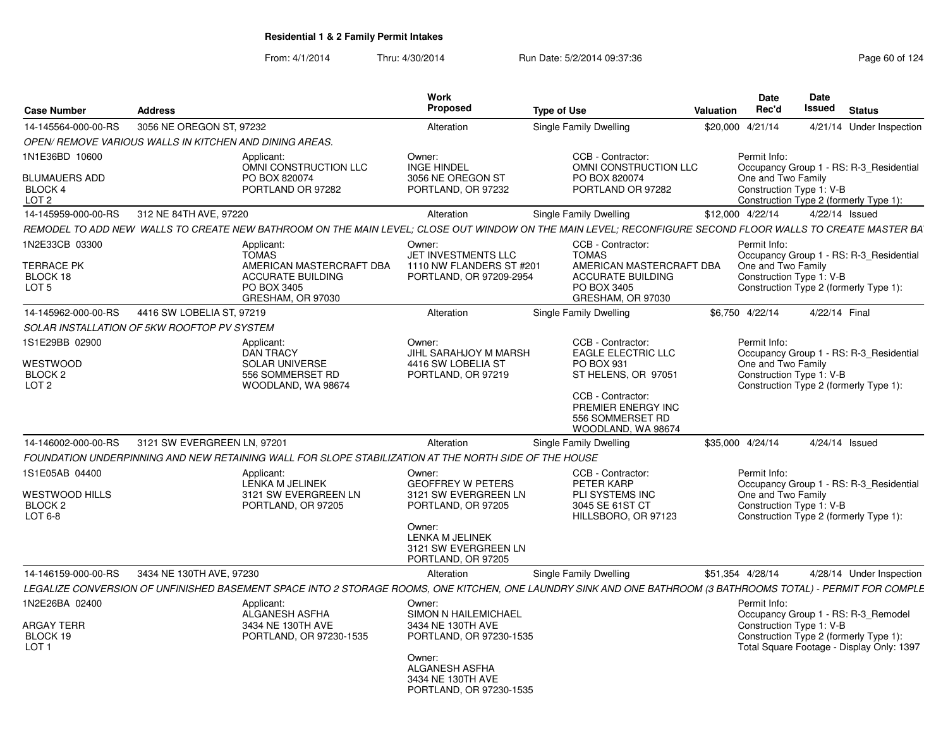| <b>Case Number</b>                                                                          | <b>Address</b>                                          |                                                                                                                                                                                             | Work<br>Proposed                                                                                                                                                   | <b>Type of Use</b>                                                                                                                                                                                 | Valuation        | <b>Date</b><br>Rec'd                                           | Date<br>Issued | <b>Status</b>                                                                                                              |
|---------------------------------------------------------------------------------------------|---------------------------------------------------------|---------------------------------------------------------------------------------------------------------------------------------------------------------------------------------------------|--------------------------------------------------------------------------------------------------------------------------------------------------------------------|----------------------------------------------------------------------------------------------------------------------------------------------------------------------------------------------------|------------------|----------------------------------------------------------------|----------------|----------------------------------------------------------------------------------------------------------------------------|
| 14-145564-000-00-RS                                                                         | 3056 NE OREGON ST, 97232                                |                                                                                                                                                                                             | Alteration                                                                                                                                                         | Single Family Dwelling                                                                                                                                                                             | \$20,000 4/21/14 |                                                                |                | 4/21/14 Under Inspection                                                                                                   |
|                                                                                             | OPEN/ REMOVE VARIOUS WALLS IN KITCHEN AND DINING AREAS. |                                                                                                                                                                                             |                                                                                                                                                                    |                                                                                                                                                                                                    |                  |                                                                |                |                                                                                                                            |
| 1N1E36BD 10600<br><b>BLUMAUERS ADD</b><br>BLOCK 4<br>LOT <sub>2</sub>                       |                                                         | Applicant:<br>OMNI CONSTRUCTION LLC<br>PO BOX 820074<br>PORTLAND OR 97282                                                                                                                   | Owner:<br><b>INGE HINDEL</b><br>3056 NE OREGON ST<br>PORTLAND, OR 97232                                                                                            | CCB - Contractor:<br>OMNI CONSTRUCTION LLC<br>PO BOX 820074<br>PORTLAND OR 97282                                                                                                                   |                  | Permit Info:<br>One and Two Family<br>Construction Type 1: V-B |                | Occupancy Group 1 - RS: R-3 Residential<br>Construction Type 2 (formerly Type 1):                                          |
| 14-145959-000-00-RS                                                                         | 312 NE 84TH AVE, 97220                                  |                                                                                                                                                                                             | Alteration                                                                                                                                                         | Single Family Dwelling                                                                                                                                                                             | \$12.000 4/22/14 |                                                                | 4/22/14 Issued |                                                                                                                            |
|                                                                                             |                                                         |                                                                                                                                                                                             |                                                                                                                                                                    | REMODEL TO ADD NEW  WALLS TO CREATE NEW BATHROOM ON THE MAIN LEVEL; CLOSE OUT WINDOW ON THE MAIN LEVEL; RECONFIGURE SECOND FLOOR WALLS TO CREATE MASTER BA                                         |                  |                                                                |                |                                                                                                                            |
| 1N2E33CB 03300<br><b>TERRACE PK</b><br>BLOCK 18<br>LOT <sub>5</sub>                         |                                                         | Applicant:<br><b>TOMAS</b><br>AMERICAN MASTERCRAFT DBA<br><b>ACCURATE BUILDING</b><br>PO BOX 3405<br>GRESHAM, OR 97030                                                                      | Owner:<br>JET INVESTMENTS LLC<br>1110 NW FLANDERS ST #201<br>PORTLAND, OR 97209-2954                                                                               | CCB - Contractor:<br><b>TOMAS</b><br>AMERICAN MASTERCRAFT DBA<br><b>ACCURATE BUILDING</b><br>PO BOX 3405<br>GRESHAM, OR 97030                                                                      |                  | Permit Info:<br>One and Two Family<br>Construction Type 1: V-B |                | Occupancy Group 1 - RS: R-3 Residential<br>Construction Type 2 (formerly Type 1):                                          |
| 14-145962-000-00-RS                                                                         | 4416 SW LOBELIA ST, 97219                               |                                                                                                                                                                                             | Alteration                                                                                                                                                         | Single Family Dwelling                                                                                                                                                                             |                  | \$6,750 4/22/14                                                | 4/22/14 Final  |                                                                                                                            |
|                                                                                             | SOLAR INSTALLATION OF 5KW ROOFTOP PV SYSTEM             |                                                                                                                                                                                             |                                                                                                                                                                    |                                                                                                                                                                                                    |                  |                                                                |                |                                                                                                                            |
| 1S1E29BB 02900<br>WESTWOOD<br>BLOCK <sub>2</sub><br>LOT <sub>2</sub><br>14-146002-000-00-RS | 3121 SW EVERGREEN LN, 97201                             | Applicant:<br><b>DAN TRACY</b><br><b>SOLAR UNIVERSE</b><br>556 SOMMERSET RD<br>WOODLAND, WA 98674                                                                                           | Owner:<br>JIHL SARAHJOY M MARSH<br>4416 SW LOBELIA ST<br>PORTLAND, OR 97219<br>Alteration                                                                          | CCB - Contractor:<br><b>EAGLE ELECTRIC LLC</b><br>PO BOX 931<br>ST HELENS, OR 97051<br>CCB - Contractor:<br>PREMIER ENERGY INC<br>556 SOMMERSET RD<br>WOODLAND, WA 98674<br>Single Family Dwelling | \$35,000 4/24/14 | Permit Info:<br>One and Two Family<br>Construction Type 1: V-B | 4/24/14 Issued | Occupancy Group 1 - RS: R-3 Residential<br>Construction Type 2 (formerly Type 1):                                          |
|                                                                                             |                                                         |                                                                                                                                                                                             |                                                                                                                                                                    |                                                                                                                                                                                                    |                  |                                                                |                |                                                                                                                            |
| 1S1E05AB 04400<br><b>WESTWOOD HILLS</b><br>BLOCK <sub>2</sub><br>LOT 6-8                    |                                                         | FOUNDATION UNDERPINNING AND NEW RETAINING WALL FOR SLOPE STABILIZATION AT THE NORTH SIDE OF THE HOUSE<br>Applicant:<br><b>LENKA M JELINEK</b><br>3121 SW EVERGREEN LN<br>PORTLAND, OR 97205 | Owner:<br><b>GEOFFREY W PETERS</b><br>3121 SW EVERGREEN LN<br>PORTLAND, OR 97205<br>Owner:<br><b>LENKA M JELINEK</b><br>3121 SW EVERGREEN LN<br>PORTLAND, OR 97205 | CCB - Contractor:<br>PETER KARP<br>PLI SYSTEMS INC<br>3045 SE 61ST CT<br>HILLSBORO, OR 97123                                                                                                       |                  | Permit Info:<br>One and Two Family<br>Construction Type 1: V-B |                | Occupancy Group 1 - RS: R-3 Residential<br>Construction Type 2 (formerly Type 1):                                          |
| 14-146159-000-00-RS                                                                         | 3434 NE 130TH AVE, 97230                                |                                                                                                                                                                                             | Alteration                                                                                                                                                         | Single Family Dwelling                                                                                                                                                                             | \$51,354 4/28/14 |                                                                |                | 4/28/14 Under Inspection                                                                                                   |
|                                                                                             |                                                         |                                                                                                                                                                                             |                                                                                                                                                                    | LEGALIZE CONVERSION OF UNFINISHED BASEMENT SPACE INTO 2 STORAGE ROOMS, ONE KITCHEN, ONE LAUNDRY SINK AND ONE BATHROOM (3 BATHROOMS TOTAL) - PERMIT FOR COMPLE                                      |                  |                                                                |                |                                                                                                                            |
| 1N2E26BA 02400<br><b>ARGAY TERR</b><br>BLOCK 19<br>LOT <sub>1</sub>                         |                                                         | Applicant:<br>ALGANESH ASFHA<br>3434 NE 130TH AVE<br>PORTLAND, OR 97230-1535                                                                                                                | Owner:<br>SIMON N HAILEMICHAEL<br>3434 NE 130TH AVE<br>PORTLAND, OR 97230-1535<br>Owner:<br>ALGANESH ASFHA<br>3434 NE 130TH AVE<br>PORTLAND, OR 97230-1535         |                                                                                                                                                                                                    |                  | Permit Info:<br>Construction Type 1: V-B                       |                | Occupancy Group 1 - RS: R-3 Remodel<br>Construction Type 2 (formerly Type 1):<br>Total Square Footage - Display Only: 1397 |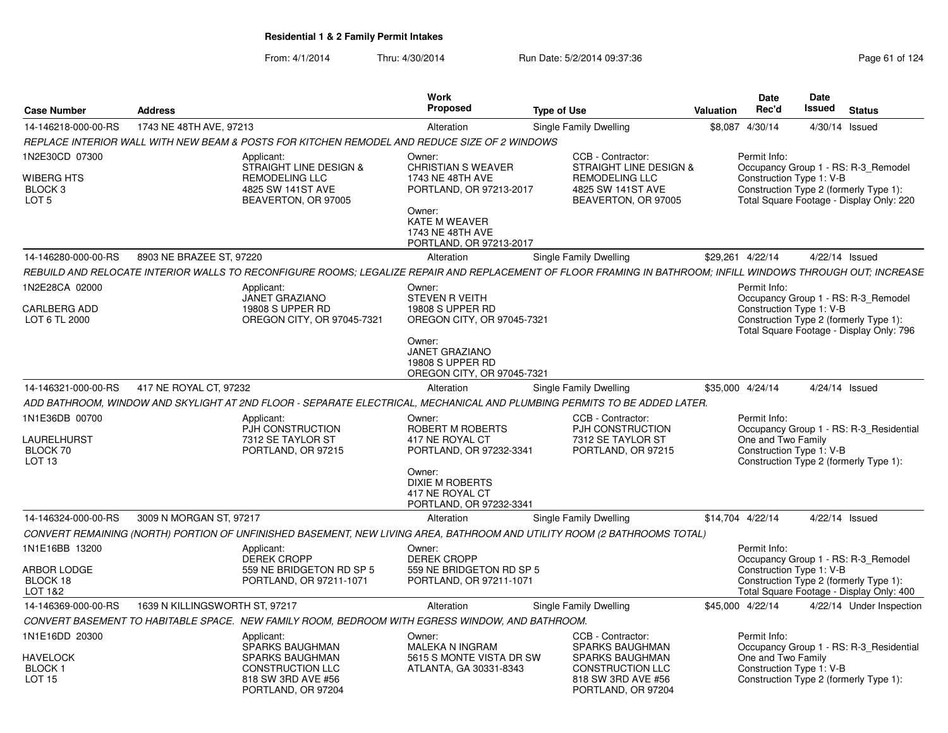|                                                             |                                |                                                                                                                                                              | <b>Work</b>                                                                                                                                                     |                                                                                                                                              |                  | <b>Date</b>                                                    | Date   |                                                                                                                           |
|-------------------------------------------------------------|--------------------------------|--------------------------------------------------------------------------------------------------------------------------------------------------------------|-----------------------------------------------------------------------------------------------------------------------------------------------------------------|----------------------------------------------------------------------------------------------------------------------------------------------|------------------|----------------------------------------------------------------|--------|---------------------------------------------------------------------------------------------------------------------------|
| <b>Case Number</b>                                          | <b>Address</b>                 |                                                                                                                                                              | <b>Proposed</b>                                                                                                                                                 | <b>Type of Use</b>                                                                                                                           | <b>Valuation</b> | Rec'd                                                          | Issued | <b>Status</b>                                                                                                             |
| 14-146218-000-00-RS                                         | 1743 NE 48TH AVE, 97213        |                                                                                                                                                              | Alteration                                                                                                                                                      | Single Family Dwelling                                                                                                                       |                  | \$8,087 4/30/14                                                |        | 4/30/14 Issued                                                                                                            |
|                                                             |                                | REPLACE INTERIOR WALL WITH NEW BEAM & POSTS FOR KITCHEN REMODEL AND REDUCE SIZE OF 2 WINDOWS                                                                 |                                                                                                                                                                 |                                                                                                                                              |                  |                                                                |        |                                                                                                                           |
| 1N2E30CD 07300<br>WIBERG HTS<br>BLOCK 3<br>LOT <sub>5</sub> |                                | Applicant:<br>STRAIGHT LINE DESIGN &<br>REMODELING LLC<br>4825 SW 141ST AVE<br>BEAVERTON, OR 97005                                                           | Owner:<br><b>CHRISTIAN S WEAVER</b><br>1743 NE 48TH AVE<br>PORTLAND, OR 97213-2017<br>Owner:<br>KATE M WEAVER<br>1743 NE 48TH AVE<br>PORTLAND, OR 97213-2017    | CCB - Contractor:<br><b>STRAIGHT LINE DESIGN &amp;</b><br><b>REMODELING LLC</b><br>4825 SW 141ST AVE<br>BEAVERTON, OR 97005                  |                  | Permit Info:<br>Construction Type 1: V-B                       |        | Occupancy Group 1 - RS: R-3 Remodel<br>Construction Type 2 (formerly Type 1):<br>Total Square Footage - Display Only: 220 |
| 14-146280-000-00-RS                                         | 8903 NE BRAZEE ST, 97220       |                                                                                                                                                              | Alteration                                                                                                                                                      | Single Family Dwelling                                                                                                                       |                  | \$29,261 4/22/14                                               |        | 4/22/14 Issued                                                                                                            |
|                                                             |                                | REBUILD AND RELOCATE INTERIOR WALLS TO RECONFIGURE ROOMS: LEGALIZE REPAIR AND REPLACEMENT OF FLOOR FRAMING IN BATHROOM: INFILL WINDOWS THROUGH OUT: INCREASE |                                                                                                                                                                 |                                                                                                                                              |                  |                                                                |        |                                                                                                                           |
| 1N2E28CA 02000<br>CARLBERG ADD<br>LOT 6 TL 2000             |                                | Applicant:<br><b>JANET GRAZIANO</b><br>19808 S UPPER RD<br>OREGON CITY, OR 97045-7321                                                                        | Owner:<br><b>STEVEN R VEITH</b><br>19808 S UPPER RD<br>OREGON CITY, OR 97045-7321<br>Owner:<br>JANET GRAZIANO<br>19808 S UPPER RD<br>OREGON CITY, OR 97045-7321 |                                                                                                                                              |                  | Permit Info:<br>Construction Type 1: V-B                       |        | Occupancy Group 1 - RS: R-3 Remodel<br>Construction Type 2 (formerly Type 1):<br>Total Square Footage - Display Only: 796 |
| 14-146321-000-00-RS                                         | 417 NE ROYAL CT, 97232         |                                                                                                                                                              | Alteration                                                                                                                                                      | Single Family Dwelling                                                                                                                       |                  | \$35,000 4/24/14                                               |        | 4/24/14 Issued                                                                                                            |
|                                                             |                                | ADD BATHROOM, WINDOW AND SKYLIGHT AT 2ND FLOOR - SEPARATE ELECTRICAL, MECHANICAL AND PLUMBING PERMITS TO BE ADDED LATER.                                     |                                                                                                                                                                 |                                                                                                                                              |                  |                                                                |        |                                                                                                                           |
| 1N1E36DB 00700<br>LAURELHURST<br>BLOCK 70<br>LOT 13         |                                | Applicant:<br>PJH CONSTRUCTION<br>7312 SE TAYLOR ST<br>PORTLAND, OR 97215                                                                                    | Owner:<br>ROBERT M ROBERTS<br>417 NE ROYAL CT<br>PORTLAND, OR 97232-3341<br>Owner:<br><b>DIXIE M ROBERTS</b><br>417 NE ROYAL CT<br>PORTLAND, OR 97232-3341      | CCB - Contractor:<br>PJH CONSTRUCTION<br>7312 SE TAYLOR ST<br>PORTLAND, OR 97215                                                             |                  | Permit Info:<br>One and Two Family<br>Construction Type 1: V-B |        | Occupancy Group 1 - RS: R-3 Residential<br>Construction Type 2 (formerly Type 1):                                         |
| 14-146324-000-00-RS                                         | 3009 N MORGAN ST, 97217        |                                                                                                                                                              | Alteration                                                                                                                                                      | Single Family Dwelling                                                                                                                       |                  | \$14,704 4/22/14                                               |        | 4/22/14 Issued                                                                                                            |
|                                                             |                                | CONVERT REMAINING (NORTH) PORTION OF UNFINISHED BASEMENT, NEW LIVING AREA, BATHROOM AND UTILITY ROOM (2 BATHROOMS TOTAL)                                     |                                                                                                                                                                 |                                                                                                                                              |                  |                                                                |        |                                                                                                                           |
| 1N1E16BB 13200<br>ARBOR LODGE<br>BLOCK 18<br>LOT 1&2        |                                | Applicant:<br><b>DEREK CROPP</b><br>559 NE BRIDGETON RD SP 5<br>PORTLAND, OR 97211-1071                                                                      | Owner:<br><b>DEREK CROPP</b><br>559 NE BRIDGETON RD SP 5<br>PORTLAND, OR 97211-1071                                                                             |                                                                                                                                              |                  | Permit Info:<br>Construction Type 1: V-B                       |        | Occupancy Group 1 - RS: R-3 Remodel<br>Construction Type 2 (formerly Type 1):<br>Total Square Footage - Display Only: 400 |
| 14-146369-000-00-RS                                         | 1639 N KILLINGSWORTH ST, 97217 |                                                                                                                                                              | Alteration                                                                                                                                                      | Single Family Dwelling                                                                                                                       |                  | \$45,000 4/22/14                                               |        | 4/22/14 Under Inspection                                                                                                  |
|                                                             |                                | CONVERT BASEMENT TO HABITABLE SPACE. NEW FAMILY ROOM, BEDROOM WITH EGRESS WINDOW, AND BATHROOM.                                                              |                                                                                                                                                                 |                                                                                                                                              |                  |                                                                |        |                                                                                                                           |
| 1N1E16DD 20300<br>HAVELOCK<br>BLOCK 1<br><b>LOT 15</b>      |                                | Applicant:<br><b>SPARKS BAUGHMAN</b><br><b>SPARKS BAUGHMAN</b><br><b>CONSTRUCTION LLC</b><br>818 SW 3RD AVE #56<br>PORTLAND, OR 97204                        | Owner:<br><b>MALEKA N INGRAM</b><br>5615 S MONTE VISTA DR SW<br>ATLANTA, GA 30331-8343                                                                          | CCB - Contractor:<br><b>SPARKS BAUGHMAN</b><br><b>SPARKS BAUGHMAN</b><br><b>CONSTRUCTION LLC</b><br>818 SW 3RD AVE #56<br>PORTLAND, OR 97204 |                  | Permit Info:<br>One and Two Family<br>Construction Type 1: V-B |        | Occupancy Group 1 - RS: R-3 Residential<br>Construction Type 2 (formerly Type 1):                                         |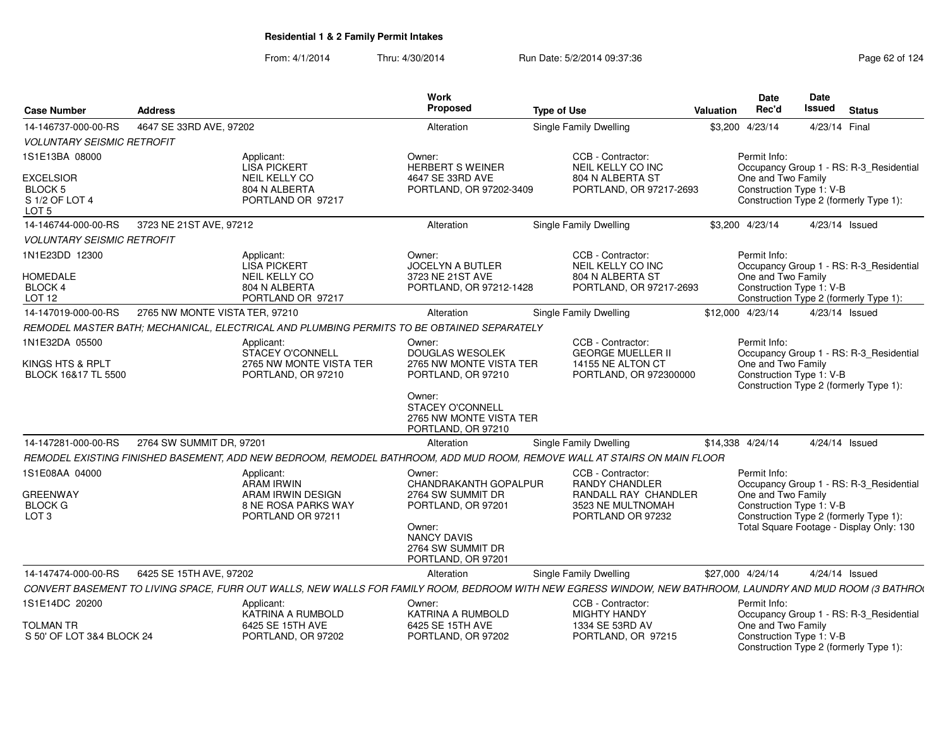| <b>Case Number</b>                                                           | <b>Address</b>                 |                                                                                            | Work<br>Proposed                                                            | <b>Type of Use</b>                                                                                                                                         | Valuation | Date<br>Rec'd                                  | Date<br>Issued | <b>Status</b>                            |
|------------------------------------------------------------------------------|--------------------------------|--------------------------------------------------------------------------------------------|-----------------------------------------------------------------------------|------------------------------------------------------------------------------------------------------------------------------------------------------------|-----------|------------------------------------------------|----------------|------------------------------------------|
| 14-146737-000-00-RS                                                          | 4647 SE 33RD AVE, 97202        |                                                                                            | Alteration                                                                  | Single Family Dwelling                                                                                                                                     |           | \$3,200 4/23/14                                | 4/23/14 Final  |                                          |
| <b>VOLUNTARY SEISMIC RETROFIT</b>                                            |                                |                                                                                            |                                                                             |                                                                                                                                                            |           |                                                |                |                                          |
| 1S1E13BA 08000                                                               |                                | Applicant:<br><b>LISA PICKERT</b>                                                          | Owner:<br><b>HERBERT S WEINER</b>                                           | CCB - Contractor:<br>NEIL KELLY CO INC                                                                                                                     |           | Permit Info:                                   |                | Occupancy Group 1 - RS: R-3_Residential  |
| <b>EXCELSIOR</b><br>BLOCK <sub>5</sub><br>S 1/2 OF LOT 4<br>LOT <sub>5</sub> |                                | <b>NEIL KELLY CO</b><br>804 N ALBERTA<br>PORTLAND OR 97217                                 | 4647 SE 33RD AVE<br>PORTLAND, OR 97202-3409                                 | 804 N ALBERTA ST<br>PORTLAND, OR 97217-2693                                                                                                                |           | One and Two Family<br>Construction Type 1: V-B |                | Construction Type 2 (formerly Type 1):   |
| 14-146744-000-00-RS                                                          | 3723 NE 21ST AVE, 97212        |                                                                                            | Alteration                                                                  | Single Family Dwelling                                                                                                                                     |           | \$3,200 4/23/14                                | 4/23/14 Issued |                                          |
| <b>VOLUNTARY SEISMIC RETROFIT</b>                                            |                                |                                                                                            |                                                                             |                                                                                                                                                            |           |                                                |                |                                          |
| 1N1E23DD 12300                                                               |                                | Applicant:<br><b>LISA PICKERT</b>                                                          | Owner:<br><b>JOCELYN A BUTLER</b>                                           | CCB - Contractor:<br>NEIL KELLY CO INC                                                                                                                     |           | Permit Info:                                   |                | Occupancy Group 1 - RS: R-3_Residential  |
| <b>HOMEDALE</b><br><b>BLOCK 4</b><br><b>LOT 12</b>                           |                                | NEIL KELLY CO<br>804 N ALBERTA<br>PORTLAND OR 97217                                        | 3723 NE 21ST AVE<br>PORTLAND, OR 97212-1428                                 | 804 N ALBERTA ST<br>PORTLAND, OR 97217-2693                                                                                                                |           | One and Two Family<br>Construction Type 1: V-B |                | Construction Type 2 (formerly Type 1):   |
| 14-147019-000-00-RS                                                          | 2765 NW MONTE VISTA TER, 97210 |                                                                                            | Alteration                                                                  | Single Family Dwelling                                                                                                                                     |           | \$12,000 4/23/14                               | 4/23/14 Issued |                                          |
|                                                                              |                                | REMODEL MASTER BATH; MECHANICAL, ELECTRICAL AND PLUMBING PERMITS TO BE OBTAINED SEPARATELY |                                                                             |                                                                                                                                                            |           |                                                |                |                                          |
| 1N1E32DA 05500                                                               |                                | Applicant:<br>STACEY O'CONNELL                                                             | Owner:<br>DOUGLAS WESOLEK                                                   | CCB - Contractor:<br><b>GEORGE MUELLER II</b>                                                                                                              |           | Permit Info:                                   |                | Occupancy Group 1 - RS: R-3_Residential  |
| KINGS HTS & RPLT<br>BLOCK 16&17 TL 5500                                      |                                | 2765 NW MONTE VISTA TER<br>PORTLAND, OR 97210                                              | 2765 NW MONTE VISTA TER<br>PORTLAND, OR 97210                               | 14155 NE ALTON CT<br>PORTLAND, OR 972300000                                                                                                                |           | One and Two Family<br>Construction Type 1: V-B |                | Construction Type 2 (formerly Type 1):   |
|                                                                              |                                |                                                                                            | Owner:<br>STACEY O'CONNELL<br>2765 NW MONTE VISTA TER<br>PORTLAND, OR 97210 |                                                                                                                                                            |           |                                                |                |                                          |
| 14-147281-000-00-RS                                                          | 2764 SW SUMMIT DR, 97201       |                                                                                            | Alteration                                                                  | <b>Single Family Dwelling</b>                                                                                                                              |           | \$14,338 4/24/14                               | 4/24/14 Issued |                                          |
|                                                                              |                                |                                                                                            |                                                                             | REMODEL EXISTING FINISHED BASEMENT, ADD NEW BEDROOM, REMODEL BATHROOM, ADD MUD ROOM, REMOVE WALL AT STAIRS ON MAIN FLOOR                                   |           |                                                |                |                                          |
| 1S1E08AA 04000                                                               |                                | Applicant:<br><b>ARAM IRWIN</b>                                                            | Owner:<br>CHANDRAKANTH GOPALPUR                                             | CCB - Contractor:<br><b>RANDY CHANDLER</b>                                                                                                                 |           | Permit Info:                                   |                | Occupancy Group 1 - RS: R-3 Residential  |
| <b>GREENWAY</b><br><b>BLOCK G</b><br>LOT <sub>3</sub>                        |                                | ARAM IRWIN DESIGN<br>8 NE ROSA PARKS WAY<br>PORTLAND OR 97211                              | 2764 SW SUMMIT DR<br>PORTLAND, OR 97201                                     | RANDALL RAY CHANDLER<br>3523 NE MULTNOMAH<br>PORTLAND OR 97232                                                                                             |           | One and Two Family<br>Construction Type 1: V-B |                | Construction Type 2 (formerly Type 1):   |
|                                                                              |                                |                                                                                            | Owner:<br><b>NANCY DAVIS</b><br>2764 SW SUMMIT DR<br>PORTLAND, OR 97201     |                                                                                                                                                            |           |                                                |                | Total Square Footage - Display Only: 130 |
| 14-147474-000-00-RS                                                          | 6425 SE 15TH AVE, 97202        |                                                                                            | Alteration                                                                  | Single Family Dwelling                                                                                                                                     |           | \$27,000 4/24/14                               | 4/24/14 Issued |                                          |
|                                                                              |                                |                                                                                            |                                                                             | CONVERT BASEMENT TO LIVING SPACE, FURR OUT WALLS, NEW WALLS FOR FAMILY ROOM, BEDROOM WITH NEW EGRESS WINDOW, NEW BATHROOM, LAUNDRY AND MUD ROOM (3 BATHROO |           |                                                |                |                                          |
| 1S1E14DC 20200                                                               |                                | Applicant:<br>KATRINA A RUMBOLD                                                            | Owner:<br>KATRINA A RUMBOLD                                                 | CCB - Contractor:<br><b>MIGHTY HANDY</b>                                                                                                                   |           | Permit Info:                                   |                | Occupancy Group 1 - RS: R-3_Residential  |
| <b>TOLMAN TR</b><br>S 50' OF LOT 3&4 BLOCK 24                                |                                | 6425 SE 15TH AVE<br>PORTLAND, OR 97202                                                     | 6425 SE 15TH AVE<br>PORTLAND, OR 97202                                      | 1334 SE 53RD AV<br>PORTLAND, OR 97215                                                                                                                      |           | One and Two Family<br>Construction Type 1: V-B |                | Construction Type 2 (formerly Type 1):   |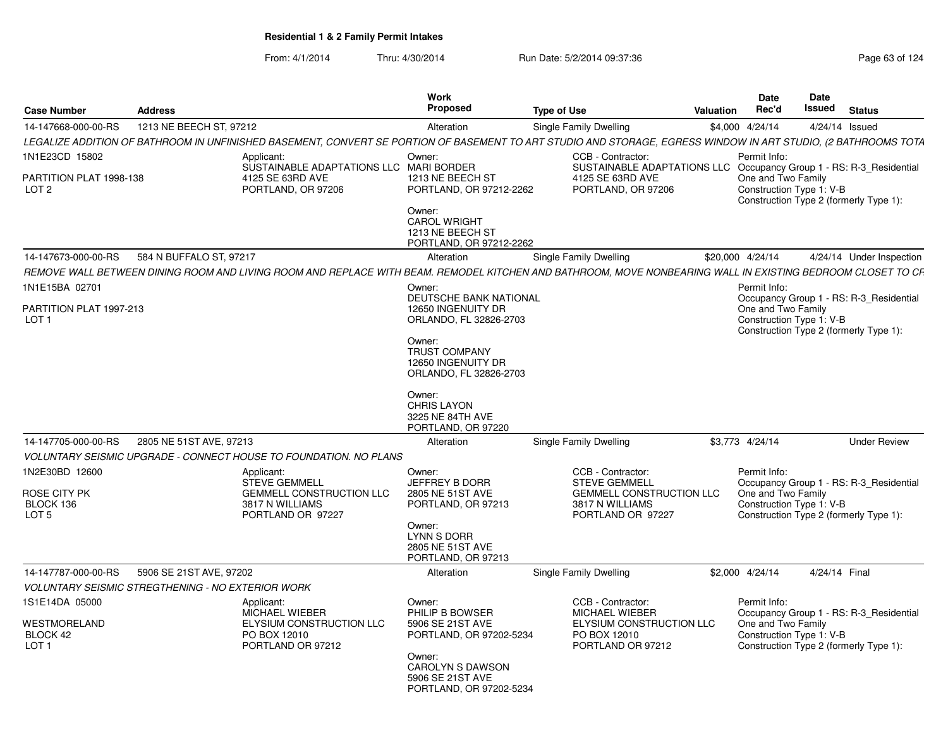| <b>Case Number</b>                                             | <b>Address</b>                                    |                                                                                                                                                                | Work<br><b>Proposed</b>                                                                                    | <b>Type of Use</b>                                                                                                                 | Valuation | <b>Date</b><br>Rec'd                                                                                     | Date<br>Issued | <b>Status</b>                           |
|----------------------------------------------------------------|---------------------------------------------------|----------------------------------------------------------------------------------------------------------------------------------------------------------------|------------------------------------------------------------------------------------------------------------|------------------------------------------------------------------------------------------------------------------------------------|-----------|----------------------------------------------------------------------------------------------------------|----------------|-----------------------------------------|
| 14-147668-000-00-RS                                            | 1213 NE BEECH ST, 97212                           |                                                                                                                                                                | Alteration                                                                                                 | Single Family Dwelling                                                                                                             |           | \$4,000 4/24/14                                                                                          | 4/24/14 Issued |                                         |
|                                                                |                                                   | LEGALIZE ADDITION OF BATHROOM IN UNFINISHED BASEMENT, CONVERT SE PORTION OF BASEMENT TO ART STUDIO AND STORAGE, EGRESS WINDOW IN ART STUDIO, (2 BATHROOMS TOTA |                                                                                                            |                                                                                                                                    |           |                                                                                                          |                |                                         |
| 1N1E23CD 15802<br>PARTITION PLAT 1998-138<br>LOT <sub>2</sub>  |                                                   | Applicant:<br>SUSTAINABLE ADAPTATIONS LLC MARI BORDER<br>4125 SE 63RD AVE<br>PORTLAND, OR 97206                                                                | Owner:<br>1213 NE BEECH ST<br>PORTLAND, OR 97212-2262<br>Owner:<br><b>CAROL WRIGHT</b><br>1213 NE BEECH ST | CCB - Contractor:<br>SUSTAINABLE ADAPTATIONS LLC Occupancy Group 1 - RS: R-3_Residential<br>4125 SE 63RD AVE<br>PORTLAND, OR 97206 |           | Permit Info:<br>One and Two Family<br>Construction Type 1: V-B<br>Construction Type 2 (formerly Type 1): |                |                                         |
|                                                                |                                                   |                                                                                                                                                                | PORTLAND, OR 97212-2262                                                                                    |                                                                                                                                    |           |                                                                                                          |                |                                         |
| 14-147673-000-00-RS                                            | 584 N BUFFALO ST, 97217                           |                                                                                                                                                                | Alteration                                                                                                 | Single Family Dwelling                                                                                                             |           | \$20,000 4/24/14                                                                                         |                | 4/24/14 Under Inspection                |
|                                                                |                                                   | REMOVE WALL BETWEEN DINING ROOM AND LIVING ROOM AND REPLACE WITH BEAM. REMODEL KITCHEN AND BATHROOM, MOVE NONBEARING WALL IN EXISTING BEDROOM CLOSET TO CF     |                                                                                                            |                                                                                                                                    |           |                                                                                                          |                |                                         |
| 1N1E15BA 02701                                                 |                                                   |                                                                                                                                                                | Owner:<br>DEUTSCHE BANK NATIONAL                                                                           |                                                                                                                                    |           | Permit Info:                                                                                             |                | Occupancy Group 1 - RS: R-3_Residential |
| PARTITION PLAT 1997-213<br>LOT <sub>1</sub>                    |                                                   |                                                                                                                                                                | 12650 INGENUITY DR<br>ORLANDO, FL 32826-2703                                                               |                                                                                                                                    |           | One and Two Family<br>Construction Type 1: V-B<br>Construction Type 2 (formerly Type 1):                 |                |                                         |
|                                                                |                                                   |                                                                                                                                                                | Owner:<br><b>TRUST COMPANY</b><br>12650 INGENUITY DR<br>ORLANDO, FL 32826-2703                             |                                                                                                                                    |           |                                                                                                          |                |                                         |
|                                                                |                                                   |                                                                                                                                                                | Owner:<br><b>CHRIS LAYON</b><br>3225 NE 84TH AVE<br>PORTLAND, OR 97220                                     |                                                                                                                                    |           |                                                                                                          |                |                                         |
| 14-147705-000-00-RS                                            | 2805 NE 51ST AVE, 97213                           |                                                                                                                                                                | Alteration                                                                                                 | Single Family Dwelling                                                                                                             |           | \$3.773 4/24/14                                                                                          |                | <b>Under Review</b>                     |
|                                                                |                                                   | VOLUNTARY SEISMIC UPGRADE - CONNECT HOUSE TO FOUNDATION. NO PLANS                                                                                              |                                                                                                            |                                                                                                                                    |           |                                                                                                          |                |                                         |
| 1N2E30BD 12600                                                 |                                                   | Applicant:<br>STEVE GEMMELL                                                                                                                                    | Owner:<br><b>JEFFREY B DORR</b>                                                                            | CCB - Contractor:<br><b>STEVE GEMMELL</b>                                                                                          |           | Permit Info:                                                                                             |                | Occupancy Group 1 - RS: R-3_Residential |
| <b>ROSE CITY PK</b><br>BLOCK 136<br>LOT <sub>5</sub>           |                                                   | <b>GEMMELL CONSTRUCTION LLC</b><br>3817 N WILLIAMS<br>PORTLAND OR 97227                                                                                        | 2805 NE 51ST AVE<br>PORTLAND, OR 97213                                                                     | <b>GEMMELL CONSTRUCTION LLC</b><br>3817 N WILLIAMS<br>PORTLAND OR 97227                                                            |           | One and Two Family<br>Construction Type 1: V-B<br>Construction Type 2 (formerly Type 1):                 |                |                                         |
|                                                                |                                                   |                                                                                                                                                                | Owner:<br><b>LYNN S DORR</b><br>2805 NE 51ST AVE<br>PORTLAND, OR 97213                                     |                                                                                                                                    |           |                                                                                                          |                |                                         |
| 14-147787-000-00-RS                                            | 5906 SE 21ST AVE, 97202                           |                                                                                                                                                                | Alteration                                                                                                 | Single Family Dwelling                                                                                                             |           | \$2,000 4/24/14                                                                                          | 4/24/14 Final  |                                         |
|                                                                | VOLUNTARY SEISMIC STREGTHENING - NO EXTERIOR WORK |                                                                                                                                                                |                                                                                                            |                                                                                                                                    |           |                                                                                                          |                |                                         |
| 1S1E14DA 05000<br>WESTMORELAND<br>BLOCK 42<br>LOT <sub>1</sub> |                                                   | Applicant:<br>MICHAEL WIEBER<br>ELYSIUM CONSTRUCTION LLC<br>PO BOX 12010<br>PORTLAND OR 97212                                                                  | Owner:<br>PHILIP B BOWSER<br>5906 SE 21ST AVE<br>PORTLAND, OR 97202-5234<br>Owner:                         | CCB - Contractor:<br><b>MICHAEL WIEBER</b><br>ELYSIUM CONSTRUCTION LLC<br>PO BOX 12010<br>PORTLAND OR 97212                        |           | Permit Info:<br>One and Two Family<br>Construction Type 1: V-B<br>Construction Type 2 (formerly Type 1): |                | Occupancy Group 1 - RS: R-3 Residential |
|                                                                |                                                   |                                                                                                                                                                | <b>CAROLYN S DAWSON</b><br>5906 SE 21ST AVE<br>PORTLAND, OR 97202-5234                                     |                                                                                                                                    |           |                                                                                                          |                |                                         |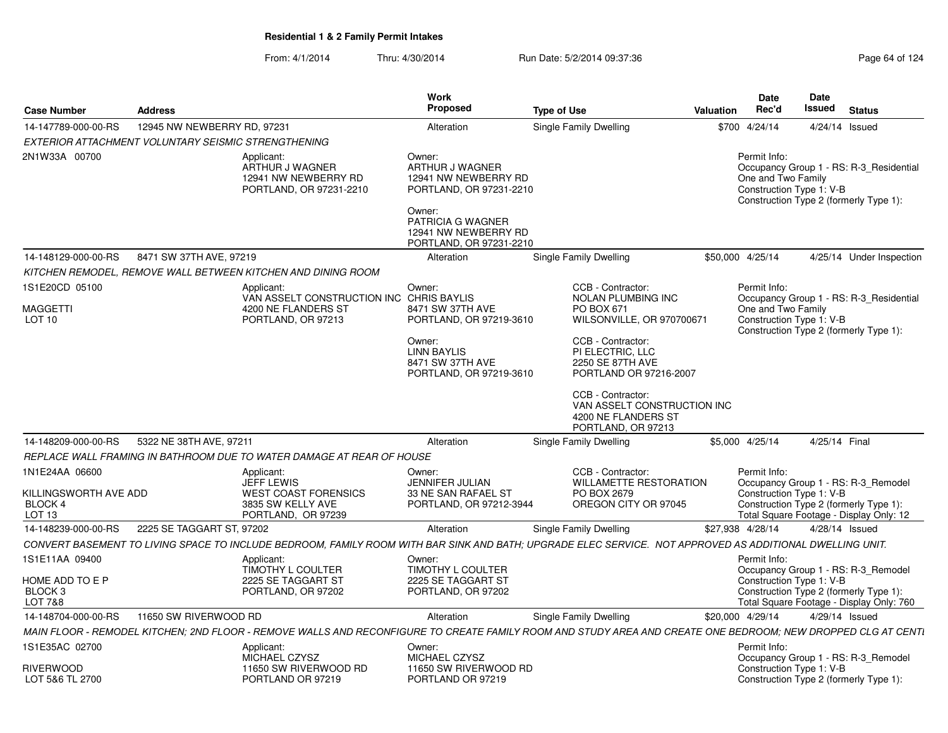| <b>Case Number</b>                                                      | <b>Address</b>              |                                                                                                                                                              | Work<br><b>Proposed</b>                                                                | <b>Type of Use</b>                                        |                                                                          | Valuation | <b>Date</b><br>Rec'd               | Date<br>Issued           | <b>Status</b>                                                                                                            |
|-------------------------------------------------------------------------|-----------------------------|--------------------------------------------------------------------------------------------------------------------------------------------------------------|----------------------------------------------------------------------------------------|-----------------------------------------------------------|--------------------------------------------------------------------------|-----------|------------------------------------|--------------------------|--------------------------------------------------------------------------------------------------------------------------|
| 14-147789-000-00-RS                                                     | 12945 NW NEWBERRY RD, 97231 |                                                                                                                                                              | Alteration                                                                             | Single Family Dwelling                                    |                                                                          |           | \$700 4/24/14                      | 4/24/14                  | Issued                                                                                                                   |
| EXTERIOR ATTACHMENT VOLUNTARY SEISMIC STRENGTHENING                     |                             |                                                                                                                                                              |                                                                                        |                                                           |                                                                          |           |                                    |                          |                                                                                                                          |
| 2N1W33A 00700                                                           |                             | Applicant:<br>ARTHUR J WAGNER<br>12941 NW NEWBERRY RD<br>PORTLAND, OR 97231-2210                                                                             | Owner:<br>ARTHUR J WAGNER<br>12941 NW NEWBERRY RD<br>PORTLAND, OR 97231-2210<br>Owner: |                                                           |                                                                          |           | Permit Info:<br>One and Two Family | Construction Type 1: V-B | Occupancy Group 1 - RS: R-3_Residential<br>Construction Type 2 (formerly Type 1):                                        |
|                                                                         |                             |                                                                                                                                                              | <b>PATRICIA G WAGNER</b><br>12941 NW NEWBERRY RD<br>PORTLAND, OR 97231-2210            |                                                           |                                                                          |           |                                    |                          |                                                                                                                          |
| 14-148129-000-00-RS                                                     | 8471 SW 37TH AVE, 97219     |                                                                                                                                                              | Alteration                                                                             | Single Family Dwelling                                    |                                                                          |           | \$50,000 4/25/14                   |                          | 4/25/14 Under Inspection                                                                                                 |
|                                                                         |                             | KITCHEN REMODEL, REMOVE WALL BETWEEN KITCHEN AND DINING ROOM                                                                                                 |                                                                                        |                                                           |                                                                          |           |                                    |                          |                                                                                                                          |
| 1S1E20CD 05100                                                          |                             | Applicant:<br>VAN ASSELT CONSTRUCTION INC CHRIS BAYLIS                                                                                                       | Owner:                                                                                 | CCB - Contractor:                                         | NOLAN PLUMBING INC                                                       |           | Permit Info:                       |                          | Occupancy Group 1 - RS: R-3 Residential                                                                                  |
| <b>MAGGETTI</b><br>LOT 10                                               |                             | 4200 NE FLANDERS ST<br>PORTLAND, OR 97213                                                                                                                    | 8471 SW 37TH AVE<br>PORTLAND, OR 97219-3610                                            | PO BOX 671                                                | WILSONVILLE, OR 970700671                                                |           | One and Two Family                 | Construction Type 1: V-B | Construction Type 2 (formerly Type 1):                                                                                   |
|                                                                         |                             |                                                                                                                                                              | Owner:<br><b>LINN BAYLIS</b><br>8471 SW 37TH AVE<br>PORTLAND, OR 97219-3610            | CCB - Contractor:<br>PI ELECTRIC, LLC<br>2250 SE 87TH AVE | PORTLAND OR 97216-2007                                                   |           |                                    |                          |                                                                                                                          |
|                                                                         |                             |                                                                                                                                                              |                                                                                        | CCB - Contractor:                                         | VAN ASSELT CONSTRUCTION INC<br>4200 NE FLANDERS ST<br>PORTLAND, OR 97213 |           |                                    |                          |                                                                                                                          |
| 14-148209-000-00-RS                                                     | 5322 NE 38TH AVE, 97211     |                                                                                                                                                              | Alteration                                                                             | Single Family Dwelling                                    |                                                                          |           | \$5.000 4/25/14                    | 4/25/14 Final            |                                                                                                                          |
|                                                                         |                             | REPLACE WALL FRAMING IN BATHROOM DUE TO WATER DAMAGE AT REAR OF HOUSE                                                                                        |                                                                                        |                                                           |                                                                          |           |                                    |                          |                                                                                                                          |
| 1N1E24AA 06600<br>KILLINGSWORTH AVE ADD<br>BLOCK 4<br>LOT <sub>13</sub> |                             | Applicant:<br>JEFF LEWIS<br><b>WEST COAST FORENSICS</b><br>3835 SW KELLY AVE<br>PORTLAND, OR 97239                                                           | Owner:<br><b>JENNIFER JULIAN</b><br>33 NE SAN RAFAEL ST<br>PORTLAND, OR 97212-3944     | CCB - Contractor:<br>PO BOX 2679                          | <b>WILLAMETTE RESTORATION</b><br>OREGON CITY OR 97045                    |           | Permit Info:                       | Construction Type 1: V-B | Occupancy Group 1 - RS: R-3_Remodel<br>Construction Type 2 (formerly Type 1):<br>Total Square Footage - Display Only: 12 |
| 14-148239-000-00-RS                                                     | 2225 SE TAGGART ST, 97202   |                                                                                                                                                              | Alteration                                                                             | Single Family Dwelling                                    |                                                                          |           | \$27,938 4/28/14                   | 4/28/14 Issued           |                                                                                                                          |
|                                                                         |                             | CONVERT BASEMENT TO LIVING SPACE TO INCLUDE BEDROOM, FAMILY ROOM WITH BAR SINK AND BATH; UPGRADE ELEC SERVICE. NOT APPROVED AS ADDITIONAL DWELLING UNIT.     |                                                                                        |                                                           |                                                                          |           |                                    |                          |                                                                                                                          |
| 1S1E11AA 09400<br>HOME ADD TO E P<br>BLOCK <sub>3</sub>                 |                             | Applicant:<br>TIMOTHY L COULTER<br>2225 SE TAGGART ST<br>PORTLAND, OR 97202                                                                                  | Owner:<br>TIMOTHY L COULTER<br>2225 SE TAGGART ST<br>PORTLAND, OR 97202                |                                                           |                                                                          |           | Permit Info:                       | Construction Type 1: V-B | Occupancy Group 1 - RS: R-3_Remodel<br>Construction Type 2 (formerly Type 1):                                            |
| LOT 7&8                                                                 |                             |                                                                                                                                                              |                                                                                        |                                                           |                                                                          |           |                                    |                          | Total Square Footage - Display Only: 760                                                                                 |
| 14-148704-000-00-RS                                                     | 11650 SW RIVERWOOD RD       |                                                                                                                                                              | Alteration                                                                             | <b>Single Family Dwelling</b>                             |                                                                          |           | \$20,000 4/29/14                   | 4/29/14 Issued           |                                                                                                                          |
|                                                                         |                             | MAIN FLOOR - REMODEL KITCHEN; 2ND FLOOR - REMOVE WALLS AND RECONFIGURE TO CREATE FAMILY ROOM AND STUDY AREA AND CREATE ONE BEDROOM; NEW DROPPED CLG AT CENTI |                                                                                        |                                                           |                                                                          |           |                                    |                          |                                                                                                                          |
| 1S1E35AC 02700<br><b>RIVERWOOD</b><br>LOT 5&6 TL 2700                   |                             | Applicant:<br>MICHAEL CZYSZ<br>11650 SW RIVERWOOD RD<br>PORTLAND OR 97219                                                                                    | Owner:<br>MICHAEL CZYSZ<br>11650 SW RIVERWOOD RD<br>PORTLAND OR 97219                  |                                                           |                                                                          |           | Permit Info:                       | Construction Type 1: V-B | Occupancy Group 1 - RS: R-3_Remodel<br>Construction Type 2 (formerly Type 1):                                            |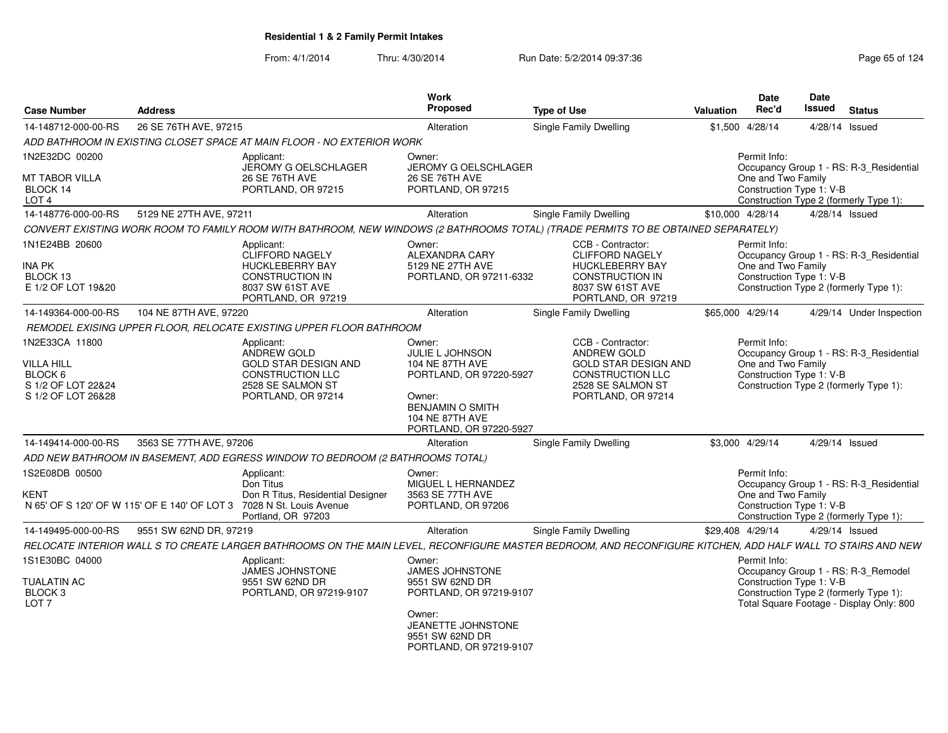| <b>Case Number</b>                                                                         | <b>Address</b>                               |                                                                                                                                | <b>Work</b><br>Proposed                                                                                                                                                  | <b>Type of Use</b>                                                                                                                                          | Valuation        | <b>Date</b><br>Rec'd                                           | <b>Date</b><br><b>Issued</b> | <b>Status</b>                                                                      |
|--------------------------------------------------------------------------------------------|----------------------------------------------|--------------------------------------------------------------------------------------------------------------------------------|--------------------------------------------------------------------------------------------------------------------------------------------------------------------------|-------------------------------------------------------------------------------------------------------------------------------------------------------------|------------------|----------------------------------------------------------------|------------------------------|------------------------------------------------------------------------------------|
| 14-148712-000-00-RS                                                                        | 26 SE 76TH AVE, 97215                        |                                                                                                                                | Alteration                                                                                                                                                               | Single Family Dwelling                                                                                                                                      |                  | \$1,500 4/28/14                                                | 4/28/14 Issued               |                                                                                    |
|                                                                                            |                                              | ADD BATHROOM IN EXISTING CLOSET SPACE AT MAIN FLOOR - NO EXTERIOR WORK                                                         |                                                                                                                                                                          |                                                                                                                                                             |                  |                                                                |                              |                                                                                    |
| 1N2E32DC 00200                                                                             |                                              | Applicant:<br>JEROMY G OELSCHLAGER                                                                                             | Owner:<br><b>JEROMY G OELSCHLAGER</b>                                                                                                                                    |                                                                                                                                                             |                  | Permit Info:                                                   |                              | Occupancy Group 1 - RS: R-3_Residential                                            |
| <b>MT TABOR VILLA</b><br>BLOCK 14<br>LOT <sub>4</sub>                                      |                                              | 26 SE 76TH AVE<br>PORTLAND, OR 97215                                                                                           | 26 SE 76TH AVE<br>PORTLAND, OR 97215                                                                                                                                     |                                                                                                                                                             |                  | One and Two Family<br>Construction Type 1: V-B                 |                              | Construction Type 2 (formerly Type 1):                                             |
| 14-148776-000-00-RS                                                                        | 5129 NE 27TH AVE, 97211                      |                                                                                                                                | Alteration                                                                                                                                                               | <b>Single Family Dwelling</b>                                                                                                                               | \$10,000 4/28/14 |                                                                | 4/28/14 Issued               |                                                                                    |
|                                                                                            |                                              |                                                                                                                                |                                                                                                                                                                          | CONVERT EXISTING WORK ROOM TO FAMILY ROOM WITH BATHROOM, NEW WINDOWS (2 BATHROOMS TOTAL) (TRADE PERMITS TO BE OBTAINED SEPARATELY)                          |                  |                                                                |                              |                                                                                    |
| 1N1E24BB 20600<br>INA PK<br>BLOCK 13<br>E 1/2 OF LOT 19&20                                 |                                              | Applicant:<br>CLIFFORD NAGELY<br><b>HUCKLEBERRY BAY</b><br><b>CONSTRUCTION IN</b><br>8037 SW 61ST AVE<br>PORTLAND, OR 97219    | Owner:<br>ALEXANDRA CARY<br>5129 NE 27TH AVE<br>PORTLAND, OR 97211-6332                                                                                                  | CCB - Contractor:<br><b>CLIFFORD NAGELY</b><br><b>HUCKLEBERRY BAY</b><br><b>CONSTRUCTION IN</b><br>8037 SW 61ST AVE<br>PORTLAND, OR 97219                   |                  | Permit Info:<br>One and Two Family<br>Construction Type 1: V-B |                              | Occupancy Group 1 - RS: R-3_Residential<br>Construction Type 2 (formerly Type 1):  |
| 14-149364-000-00-RS                                                                        | 104 NE 87TH AVE, 97220                       |                                                                                                                                | Alteration                                                                                                                                                               | Single Family Dwelling                                                                                                                                      | \$65,000 4/29/14 |                                                                |                              | 4/29/14 Under Inspection                                                           |
|                                                                                            |                                              | REMODEL EXISING UPPER FLOOR. RELOCATE EXISTING UPPER FLOOR BATHROOM                                                            |                                                                                                                                                                          |                                                                                                                                                             |                  |                                                                |                              |                                                                                    |
| 1N2E33CA 11800<br><b>VILLA HILL</b><br>BLOCK 6<br>S 1/2 OF LOT 22&24<br>S 1/2 OF LOT 26&28 |                                              | Applicant:<br>ANDREW GOLD<br><b>GOLD STAR DESIGN AND</b><br><b>CONSTRUCTION LLC</b><br>2528 SE SALMON ST<br>PORTLAND, OR 97214 | Owner:<br><b>JULIE L JOHNSON</b><br>104 NE 87TH AVE<br>PORTLAND, OR 97220-5927<br>Owner:<br><b>BENJAMIN O SMITH</b><br><b>104 NE 87TH AVE</b><br>PORTLAND, OR 97220-5927 | CCB - Contractor:<br>ANDREW GOLD<br><b>GOLD STAR DESIGN AND</b><br>CONSTRUCTION LLC<br>2528 SE SALMON ST<br>PORTLAND, OR 97214                              |                  | Permit Info:<br>One and Two Family<br>Construction Type 1: V-B |                              | Occupancy Group 1 - RS: R-3_Residential<br>Construction Type 2 (formerly Type 1):  |
| 14-149414-000-00-RS                                                                        | 3563 SE 77TH AVE, 97206                      |                                                                                                                                | Alteration                                                                                                                                                               | <b>Single Family Dwelling</b>                                                                                                                               |                  | \$3,000 4/29/14                                                | 4/29/14 Issued               |                                                                                    |
|                                                                                            |                                              | ADD NEW BATHROOM IN BASEMENT, ADD EGRESS WINDOW TO BEDROOM (2 BATHROOMS TOTAL)                                                 |                                                                                                                                                                          |                                                                                                                                                             |                  |                                                                |                              |                                                                                    |
| 1S2E08DB 00500<br>KENT                                                                     | N 65' OF S 120' OF W 115' OF E 140' OF LOT 3 | Applicant:<br>Don Titus<br>Don R Titus, Residential Designer<br>7028 N St. Louis Avenue<br>Portland, OR 97203                  | Owner:<br>MIGUEL L HERNANDEZ<br>3563 SE 77TH AVE<br>PORTLAND, OR 97206                                                                                                   |                                                                                                                                                             |                  | Permit Info:<br>One and Two Family<br>Construction Type 1: V-B |                              | Occupancy Group 1 - RS: R-3_Residential<br>Construction Type 2 (formerly Type 1):  |
| 14-149495-000-00-RS                                                                        | 9551 SW 62ND DR, 97219                       |                                                                                                                                | Alteration                                                                                                                                                               | Single Family Dwelling                                                                                                                                      | \$29,408 4/29/14 |                                                                | 4/29/14 Issued               |                                                                                    |
|                                                                                            |                                              |                                                                                                                                |                                                                                                                                                                          | RELOCATE INTERIOR WALL S TO CREATE LARGER BATHROOMS ON THE MAIN LEVEL. RECONFIGURE MASTER BEDROOM. AND RECONFIGURE KITCHEN. ADD HALF WALL TO STAIRS AND NEW |                  |                                                                |                              |                                                                                    |
| 1S1E30BC 04000                                                                             |                                              | Applicant:<br><b>JAMES JOHNSTONE</b>                                                                                           | Owner:<br><b>JAMES JOHNSTONE</b>                                                                                                                                         |                                                                                                                                                             |                  | Permit Info:                                                   |                              | Occupancy Group 1 - RS: R-3_Remodel                                                |
| <b>TUALATIN AC</b><br>BLOCK <sub>3</sub><br>LOT <sub>7</sub>                               |                                              | 9551 SW 62ND DR<br>PORTLAND, OR 97219-9107                                                                                     | 9551 SW 62ND DR<br>PORTLAND, OR 97219-9107                                                                                                                               |                                                                                                                                                             |                  | Construction Type 1: V-B                                       |                              | Construction Type 2 (formerly Type 1):<br>Total Square Footage - Display Only: 800 |
|                                                                                            |                                              |                                                                                                                                | Owner:<br>JEANETTE JOHNSTONE<br>9551 SW 62ND DR<br>PORTLAND, OR 97219-9107                                                                                               |                                                                                                                                                             |                  |                                                                |                              |                                                                                    |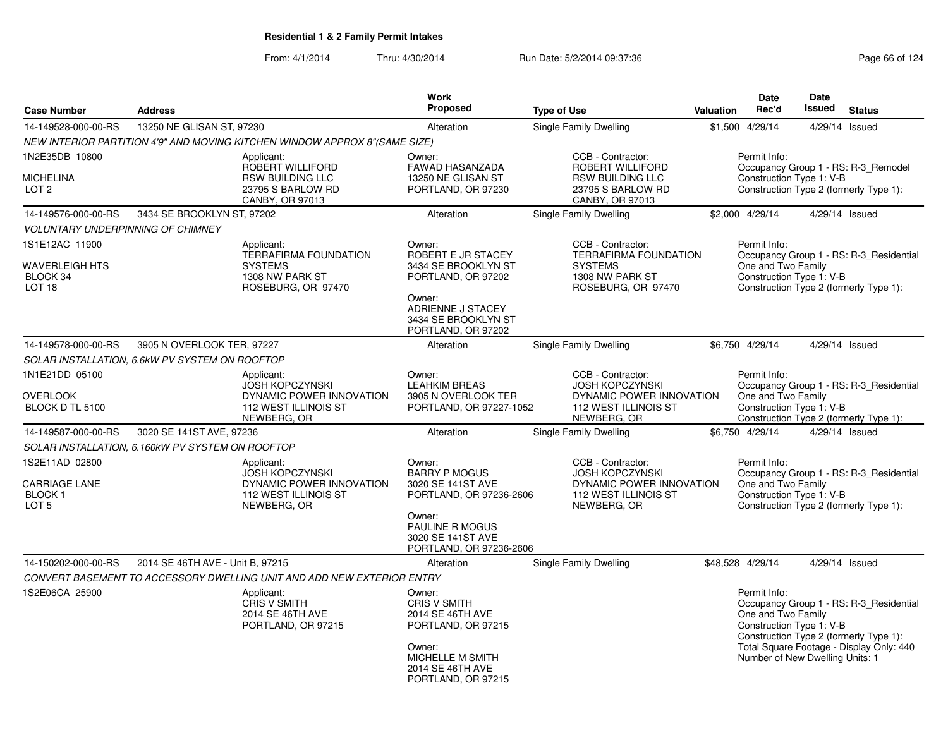| <b>Case Number</b>                                                | <b>Address</b>                   |                                                                                                         | <b>Work</b><br><b>Proposed</b>                                                                                                                        | <b>Type of Use</b>     |                                                                                                                | <b>Valuation</b> | Date<br>Rec'd                                                  | <b>Date</b><br><b>Issued</b> | <b>Status</b>                                                                     |
|-------------------------------------------------------------------|----------------------------------|---------------------------------------------------------------------------------------------------------|-------------------------------------------------------------------------------------------------------------------------------------------------------|------------------------|----------------------------------------------------------------------------------------------------------------|------------------|----------------------------------------------------------------|------------------------------|-----------------------------------------------------------------------------------|
| 14-149528-000-00-RS                                               | 13250 NE GLISAN ST. 97230        |                                                                                                         | Alteration                                                                                                                                            | Single Family Dwelling |                                                                                                                |                  | \$1,500 4/29/14                                                | 4/29/14 Issued               |                                                                                   |
|                                                                   |                                  | NEW INTERIOR PARTITION 4'9" AND MOVING KITCHEN WINDOW APPROX 8"(SAME SIZE)                              |                                                                                                                                                       |                        |                                                                                                                |                  |                                                                |                              |                                                                                   |
| 1N2E35DB 10800<br>MICHELINA<br>LOT <sub>2</sub>                   |                                  | Applicant:<br>ROBERT WILLIFORD<br><b>RSW BUILDING LLC</b><br>23795 S BARLOW RD<br>CANBY, OR 97013       | Owner:<br><b>FAWAD HASANZADA</b><br>13250 NE GLISAN ST<br>PORTLAND, OR 97230                                                                          |                        | CCB - Contractor:<br>ROBERT WILLIFORD<br><b>RSW BUILDING LLC</b><br>23795 S BARLOW RD<br>CANBY, OR 97013       |                  | Permit Info:<br>Construction Type 1: V-B                       |                              | Occupancy Group 1 - RS: R-3 Remodel<br>Construction Type 2 (formerly Type 1):     |
| 14-149576-000-00-RS                                               | 3434 SE BROOKLYN ST, 97202       |                                                                                                         | Alteration                                                                                                                                            | Single Family Dwelling |                                                                                                                |                  | \$2,000 4/29/14                                                | 4/29/14 Issued               |                                                                                   |
| <b>VOLUNTARY UNDERPINNING OF CHIMNEY</b>                          |                                  |                                                                                                         |                                                                                                                                                       |                        |                                                                                                                |                  |                                                                |                              |                                                                                   |
| 1S1E12AC 11900<br>WAVERLEIGH HTS<br>BLOCK 34<br>LOT <sub>18</sub> |                                  | Applicant:<br><b>TERRAFIRMA FOUNDATION</b><br><b>SYSTEMS</b><br>1308 NW PARK ST<br>ROSEBURG, OR 97470   | Owner:<br>ROBERT E JR STACEY<br>3434 SE BROOKLYN ST<br>PORTLAND, OR 97202<br>Owner:<br>ADRIENNE J STACEY<br>3434 SE BROOKLYN ST<br>PORTLAND, OR 97202 |                        | CCB - Contractor:<br>TERRAFIRMA FOUNDATION<br><b>SYSTEMS</b><br>1308 NW PARK ST<br>ROSEBURG, OR 97470          |                  | Permit Info:<br>One and Two Family<br>Construction Type 1: V-B |                              | Occupancy Group 1 - RS: R-3 Residential<br>Construction Type 2 (formerly Type 1): |
| 14-149578-000-00-RS                                               | 3905 N OVERLOOK TER, 97227       |                                                                                                         | Alteration                                                                                                                                            | Single Family Dwelling |                                                                                                                |                  | \$6,750 4/29/14                                                | 4/29/14 Issued               |                                                                                   |
| SOLAR INSTALLATION, 6.6kW PV SYSTEM ON ROOFTOP                    |                                  |                                                                                                         |                                                                                                                                                       |                        |                                                                                                                |                  |                                                                |                              |                                                                                   |
| 1N1E21DD 05100                                                    |                                  | Applicant:<br><b>JOSH KOPCZYNSKI</b>                                                                    | Owner:<br><b>LEAHKIM BREAS</b>                                                                                                                        |                        | CCB - Contractor:<br><b>JOSH KOPCZYNSKI</b>                                                                    |                  | Permit Info:                                                   |                              | Occupancy Group 1 - RS: R-3 Residential                                           |
| OVERLOOK<br>BLOCK D TL 5100                                       |                                  | DYNAMIC POWER INNOVATION<br>112 WEST ILLINOIS ST<br>NEWBERG, OR                                         | 3905 N OVERLOOK TER<br>PORTLAND, OR 97227-1052                                                                                                        |                        | DYNAMIC POWER INNOVATION<br>112 WEST ILLINOIS ST<br>NEWBERG, OR                                                |                  | One and Two Family<br>Construction Type 1: V-B                 |                              | Construction Type 2 (formerly Type 1):                                            |
| 14-149587-000-00-RS                                               | 3020 SE 141ST AVE, 97236         |                                                                                                         | Alteration                                                                                                                                            | Single Family Dwelling |                                                                                                                |                  | \$6.750 4/29/14                                                | 4/29/14 Issued               |                                                                                   |
| SOLAR INSTALLATION, 6.160kW PV SYSTEM ON ROOFTOP                  |                                  |                                                                                                         |                                                                                                                                                       |                        |                                                                                                                |                  |                                                                |                              |                                                                                   |
| 1S2E11AD 02800<br>CARRIAGE LANE<br>BLOCK <sub>1</sub><br>LOT 5    |                                  | Applicant:<br><b>JOSH KOPCZYNSKI</b><br>DYNAMIC POWER INNOVATION<br>112 WEST ILLINOIS ST<br>NEWBERG, OR | Owner:<br><b>BARRY P MOGUS</b><br>3020 SE 141ST AVE<br>PORTLAND, OR 97236-2606                                                                        |                        | CCB - Contractor:<br><b>JOSH KOPCZYNSKI</b><br>DYNAMIC POWER INNOVATION<br>112 WEST ILLINOIS ST<br>NEWBERG, OR |                  | Permit Info:<br>One and Two Family<br>Construction Type 1: V-B |                              | Occupancy Group 1 - RS: R-3_Residential<br>Construction Type 2 (formerly Type 1): |
|                                                                   |                                  |                                                                                                         | Owner:<br><b>PAULINE R MOGUS</b><br>3020 SE 141ST AVE<br>PORTLAND, OR 97236-2606                                                                      |                        |                                                                                                                |                  |                                                                |                              |                                                                                   |
| 14-150202-000-00-RS                                               | 2014 SE 46TH AVE - Unit B, 97215 |                                                                                                         | Alteration                                                                                                                                            | Single Family Dwelling |                                                                                                                |                  | \$48,528 4/29/14                                               | 4/29/14 Issued               |                                                                                   |
|                                                                   |                                  | CONVERT BASEMENT TO ACCESSORY DWELLING UNIT AND ADD NEW EXTERIOR ENTRY                                  |                                                                                                                                                       |                        |                                                                                                                |                  |                                                                |                              |                                                                                   |
| 1S2E06CA 25900                                                    |                                  | Applicant:<br><b>CRIS V SMITH</b><br>2014 SE 46TH AVE<br>PORTLAND, OR 97215                             | Owner:<br><b>CRIS V SMITH</b><br>2014 SE 46TH AVE<br>PORTLAND, OR 97215                                                                               |                        |                                                                                                                |                  | Permit Info:<br>One and Two Family<br>Construction Type 1: V-B |                              | Occupancy Group 1 - RS: R-3_Residential<br>Construction Type 2 (formerly Type 1): |
|                                                                   |                                  |                                                                                                         | Owner:<br><b>MICHELLE M SMITH</b><br>2014 SE 46TH AVE<br>PORTLAND, OR 97215                                                                           |                        |                                                                                                                |                  | Number of New Dwelling Units: 1                                |                              | Total Square Footage - Display Only: 440                                          |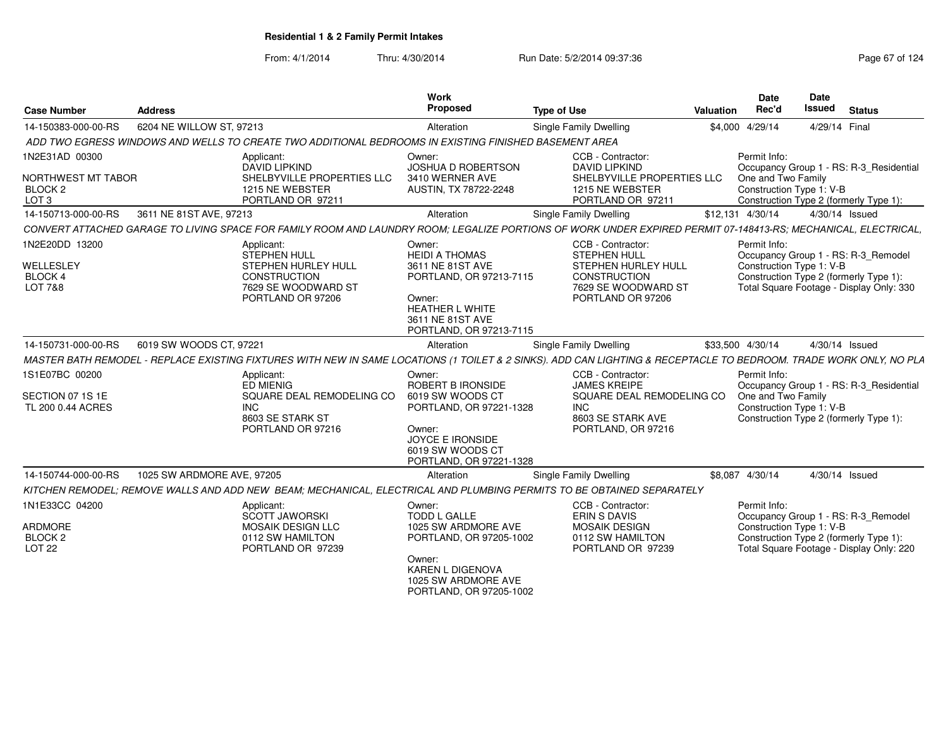| <b>Case Number</b>                                                             | <b>Address</b>             |                                                                                                                                                                    | Work<br>Proposed                                                                                                                                                  | <b>Type of Use</b>                                                                                                                 | Valuation | Date<br>Rec'd                                                  | Date<br><b>Issued</b> | <b>Status</b>                                                                                                             |  |
|--------------------------------------------------------------------------------|----------------------------|--------------------------------------------------------------------------------------------------------------------------------------------------------------------|-------------------------------------------------------------------------------------------------------------------------------------------------------------------|------------------------------------------------------------------------------------------------------------------------------------|-----------|----------------------------------------------------------------|-----------------------|---------------------------------------------------------------------------------------------------------------------------|--|
| 14-150383-000-00-RS                                                            | 6204 NE WILLOW ST, 97213   |                                                                                                                                                                    | Alteration                                                                                                                                                        | <b>Single Family Dwelling</b>                                                                                                      |           | \$4,000 4/29/14                                                |                       | 4/29/14 Final                                                                                                             |  |
|                                                                                |                            | ADD TWO EGRESS WINDOWS AND WELLS TO CREATE TWO ADDITIONAL BEDROOMS IN EXISTING FINISHED BASEMENT AREA                                                              |                                                                                                                                                                   |                                                                                                                                    |           |                                                                |                       |                                                                                                                           |  |
| 1N2E31AD 00300<br>NORTHWEST MT TABOR<br>BLOCK <sub>2</sub><br>LOT <sub>3</sub> |                            | Applicant:<br>DAVID LIPKIND<br>SHELBYVILLE PROPERTIES LLC<br>1215 NE WEBSTER<br>PORTLAND OR 97211                                                                  | Owner:<br><b>JOSHUA D ROBERTSON</b><br>3410 WERNER AVE<br>AUSTIN, TX 78722-2248                                                                                   | CCB - Contractor:<br><b>DAVID LIPKIND</b><br>SHELBYVILLE PROPERTIES LLC<br>1215 NE WEBSTER<br>PORTLAND OR 97211                    |           | Permit Info:<br>One and Two Family<br>Construction Type 1: V-B |                       | Occupancy Group 1 - RS: R-3 Residential<br>Construction Type 2 (formerly Type 1):                                         |  |
| 14-150713-000-00-RS                                                            | 3611 NE 81ST AVE, 97213    |                                                                                                                                                                    | Alteration                                                                                                                                                        | Single Family Dwelling                                                                                                             |           | \$12,131 4/30/14                                               |                       | 4/30/14 Issued                                                                                                            |  |
|                                                                                |                            | CONVERT ATTACHED GARAGE TO LIVING SPACE FOR FAMILY ROOM AND LAUNDRY ROOM; LEGALIZE PORTIONS OF WORK UNDER EXPIRED PERMIT 07-148413-RS; MECHANICAL, ELECTRICAL,     |                                                                                                                                                                   |                                                                                                                                    |           |                                                                |                       |                                                                                                                           |  |
| 1N2E20DD 13200<br>WELLESLEY<br><b>BLOCK 4</b><br><b>LOT 7&amp;8</b>            |                            | Applicant:<br><b>STEPHEN HULL</b><br>STEPHEN HURLEY HULL<br><b>CONSTRUCTION</b><br>7629 SE WOODWARD ST<br>PORTLAND OR 97206                                        | Owner:<br><b>HEIDI A THOMAS</b><br>3611 NE 81ST AVE<br>PORTLAND, OR 97213-7115<br>Owner:<br><b>HEATHER L WHITE</b><br>3611 NE 81ST AVE<br>PORTLAND, OR 97213-7115 | CCB - Contractor:<br><b>STEPHEN HULL</b><br>STEPHEN HURLEY HULL<br><b>CONSTRUCTION</b><br>7629 SE WOODWARD ST<br>PORTLAND OR 97206 |           | Permit Info:<br>Construction Type 1: V-B                       |                       | Occupancy Group 1 - RS: R-3 Remodel<br>Construction Type 2 (formerly Type 1):<br>Total Square Footage - Display Only: 330 |  |
| 14-150731-000-00-RS                                                            | 6019 SW WOODS CT, 97221    |                                                                                                                                                                    | Alteration                                                                                                                                                        | <b>Single Family Dwelling</b>                                                                                                      |           | \$33,500 4/30/14                                               |                       | 4/30/14 Issued                                                                                                            |  |
|                                                                                |                            | MASTER BATH REMODEL - REPLACE EXISTING FIXTURES WITH NEW IN SAME LOCATIONS (1 TOILET & 2 SINKS). ADD CAN LIGHTING & RECEPTACLE TO BEDROOM. TRADE WORK ONLY, NO PLA |                                                                                                                                                                   |                                                                                                                                    |           |                                                                |                       |                                                                                                                           |  |
| 1S1E07BC 00200<br>SECTION 07 1S 1E<br>TL 200 0.44 ACRES                        |                            | Applicant:<br><b>ED MIENIG</b><br>SQUARE DEAL REMODELING CO<br>INC.<br>8603 SE STARK ST<br>PORTLAND OR 97216                                                       | Owner:<br>ROBERT B IRONSIDE<br>6019 SW WOODS CT<br>PORTLAND, OR 97221-1328<br>Owner:<br><b>JOYCE E IRONSIDE</b><br>6019 SW WOODS CT<br>PORTLAND, OR 97221-1328    | CCB - Contractor:<br><b>JAMES KREIPE</b><br>SQUARE DEAL REMODELING CO<br><b>INC</b><br>8603 SE STARK AVE<br>PORTLAND, OR 97216     |           | Permit Info:<br>One and Two Family<br>Construction Type 1: V-B |                       | Occupancy Group 1 - RS: R-3_Residential<br>Construction Type 2 (formerly Type 1):                                         |  |
| 14-150744-000-00-RS                                                            | 1025 SW ARDMORE AVE, 97205 |                                                                                                                                                                    | Alteration                                                                                                                                                        | Single Family Dwelling                                                                                                             |           | \$8,087 4/30/14                                                |                       | 4/30/14 Issued                                                                                                            |  |
|                                                                                |                            | KITCHEN REMODEL; REMOVE WALLS AND ADD NEW BEAM; MECHANICAL, ELECTRICAL AND PLUMBING PERMITS TO BE OBTAINED SEPARATELY                                              |                                                                                                                                                                   |                                                                                                                                    |           |                                                                |                       |                                                                                                                           |  |
| 1N1E33CC 04200<br>ARDMORE<br>BLOCK <sub>2</sub><br>LOT <sub>22</sub>           |                            | Applicant:<br>SCOTT JAWORSKI<br><b>MOSAIK DESIGN LLC</b><br>0112 SW HAMILTON<br>PORTLAND OR 97239                                                                  | Owner:<br><b>TODD L GALLE</b><br>1025 SW ARDMORE AVE<br>PORTLAND, OR 97205-1002<br>Owner:<br>KAREN L DIGENOVA<br>1025 SW ARDMORE AVE<br>PORTLAND, OR 97205-1002   | CCB - Contractor:<br><b>ERIN S DAVIS</b><br><b>MOSAIK DESIGN</b><br>0112 SW HAMILTON<br>PORTLAND OR 97239                          |           | Permit Info:<br>Construction Type 1: V-B                       |                       | Occupancy Group 1 - RS: R-3_Remodel<br>Construction Type 2 (formerly Type 1):<br>Total Square Footage - Display Only: 220 |  |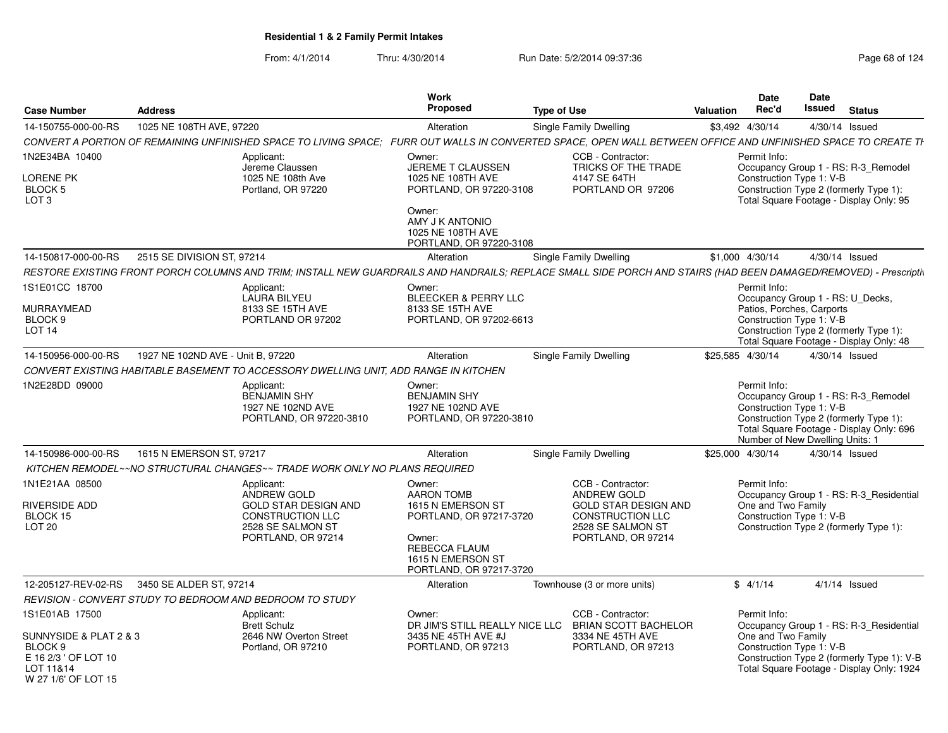|                                                                                                                 |                                   |                                                                                                                         | Work                                                                                                                                                   |                                                                                                                                                                   |                  | Date                                                                        | Date   |                                                                                                                                    |
|-----------------------------------------------------------------------------------------------------------------|-----------------------------------|-------------------------------------------------------------------------------------------------------------------------|--------------------------------------------------------------------------------------------------------------------------------------------------------|-------------------------------------------------------------------------------------------------------------------------------------------------------------------|------------------|-----------------------------------------------------------------------------|--------|------------------------------------------------------------------------------------------------------------------------------------|
| <b>Case Number</b>                                                                                              | <b>Address</b>                    |                                                                                                                         | Proposed                                                                                                                                               | <b>Type of Use</b>                                                                                                                                                | <b>Valuation</b> | Rec'd                                                                       | Issued | <b>Status</b>                                                                                                                      |
| 14-150755-000-00-RS                                                                                             | 1025 NE 108TH AVE, 97220          |                                                                                                                         | Alteration                                                                                                                                             | Single Family Dwelling                                                                                                                                            |                  | \$3,492 4/30/14                                                             |        | 4/30/14 Issued                                                                                                                     |
|                                                                                                                 |                                   |                                                                                                                         |                                                                                                                                                        | CONVERT A PORTION OF REMAINING UNFINISHED SPACE TO LIVING SPACE: FURR OUT WALLS IN CONVERTED SPACE. OPEN WALL BETWEEN OFFICE AND UNFINISHED SPACE TO CREATE TI    |                  |                                                                             |        |                                                                                                                                    |
| 1N2E34BA 10400<br>LORENE PK<br>BLOCK 5<br>LOT <sub>3</sub>                                                      |                                   | Applicant:<br>Jereme Claussen<br>1025 NE 108th Ave<br>Portland, OR 97220                                                | Owner:<br>JEREME T CLAUSSEN<br>1025 NE 108TH AVE<br>PORTLAND, OR 97220-3108<br>Owner:                                                                  | CCB - Contractor:<br>TRICKS OF THE TRADE<br>4147 SE 64TH<br>PORTLAND OR 97206                                                                                     |                  | Permit Info:<br>Construction Type 1: V-B                                    |        | Occupancy Group 1 - RS: R-3_Remodel<br>Construction Type 2 (formerly Type 1):<br>Total Square Footage - Display Only: 95           |
|                                                                                                                 |                                   |                                                                                                                         | AMY J K ANTONIO<br>1025 NE 108TH AVE<br>PORTLAND, OR 97220-3108                                                                                        |                                                                                                                                                                   |                  |                                                                             |        |                                                                                                                                    |
| 14-150817-000-00-RS                                                                                             | 2515 SE DIVISION ST, 97214        |                                                                                                                         | Alteration                                                                                                                                             | <b>Single Family Dwelling</b>                                                                                                                                     |                  | \$1,000 4/30/14                                                             |        | 4/30/14 Issued                                                                                                                     |
|                                                                                                                 |                                   |                                                                                                                         |                                                                                                                                                        | RESTORE EXISTING FRONT PORCH COLUMNS AND TRIM; INSTALL NEW GUARDRAILS AND HANDRAILS; REPLACE SMALL SIDE PORCH AND STAIRS (HAD BEEN DAMAGED/REMOVED) - Prescriptiv |                  |                                                                             |        |                                                                                                                                    |
| IS1E01CC 18700<br>MURRAYMEAD<br>BLOCK 9<br>LOT <sub>14</sub>                                                    |                                   | Applicant:<br><b>LAURA BILYEU</b><br>8133 SE 15TH AVE<br>PORTLAND OR 97202                                              | Owner:<br>BLEECKER & PERRY LLC<br>8133 SE 15TH AVE<br>PORTLAND, OR 97202-6613                                                                          |                                                                                                                                                                   |                  | Permit Info:<br>Patios, Porches, Carports<br>Construction Type 1: V-B       |        | Occupancy Group 1 - RS: U Decks,<br>Construction Type 2 (formerly Type 1):<br>Total Square Footage - Display Only: 48              |
| 14-150956-000-00-RS                                                                                             | 1927 NE 102ND AVE - Unit B, 97220 |                                                                                                                         | Alteration                                                                                                                                             | Single Family Dwelling                                                                                                                                            |                  | \$25,585 4/30/14                                                            |        | 4/30/14 Issued                                                                                                                     |
|                                                                                                                 |                                   | CONVERT EXISTING HABITABLE BASEMENT TO ACCESSORY DWELLING UNIT, ADD RANGE IN KITCHEN                                    |                                                                                                                                                        |                                                                                                                                                                   |                  |                                                                             |        |                                                                                                                                    |
| 1N2E28DD 09000                                                                                                  |                                   | Applicant:<br>BENJAMIN SHY<br>1927 NE 102ND AVE<br>PORTLAND, OR 97220-3810                                              | Owner:<br><b>BENJAMIN SHY</b><br>1927 NE 102ND AVE<br>PORTLAND, OR 97220-3810                                                                          |                                                                                                                                                                   |                  | Permit Info:<br>Construction Type 1: V-B<br>Number of New Dwelling Units: 1 |        | Occupancy Group 1 - RS: R-3_Remodel<br>Construction Type 2 (formerly Type 1):<br>Total Square Footage - Display Only: 696          |
| 14-150986-000-00-RS                                                                                             | 1615 N EMERSON ST, 97217          |                                                                                                                         | Alteration                                                                                                                                             | Single Family Dwelling                                                                                                                                            |                  | \$25,000 4/30/14                                                            |        | 4/30/14 Issued                                                                                                                     |
|                                                                                                                 |                                   | KITCHEN REMODEL~~NO STRUCTURAL CHANGES~~ TRADE WORK ONLY NO PLANS REQUIRED                                              |                                                                                                                                                        |                                                                                                                                                                   |                  |                                                                             |        |                                                                                                                                    |
| 1N1E21AA 08500<br>RIVERSIDE ADD<br>BLOCK 15<br><b>LOT 20</b>                                                    |                                   | Applicant:<br>ANDREW GOLD<br>GOLD STAR DESIGN AND<br><b>CONSTRUCTION LLC</b><br>2528 SE SALMON ST<br>PORTLAND, OR 97214 | Owner:<br><b>AARON TOMB</b><br>1615 N EMERSON ST<br>PORTLAND, OR 97217-3720<br>Owner:<br>REBECCA FLAUM<br>1615 N EMERSON ST<br>PORTLAND, OR 97217-3720 | CCB - Contractor:<br>ANDREW GOLD<br><b>GOLD STAR DESIGN AND</b><br><b>CONSTRUCTION LLC</b><br>2528 SE SALMON ST<br>PORTLAND, OR 97214                             |                  | Permit Info:<br>One and Two Family<br>Construction Type 1: V-B              |        | Occupancy Group 1 - RS: R-3 Residential<br>Construction Type 2 (formerly Type 1):                                                  |
| 12-205127-REV-02-RS                                                                                             | 3450 SE ALDER ST, 97214           |                                                                                                                         | Alteration                                                                                                                                             | Townhouse (3 or more units)                                                                                                                                       |                  | \$4/1/14                                                                    |        | $4/1/14$ Issued                                                                                                                    |
|                                                                                                                 |                                   | REVISION - CONVERT STUDY TO BEDROOM AND BEDROOM TO STUDY                                                                |                                                                                                                                                        |                                                                                                                                                                   |                  |                                                                             |        |                                                                                                                                    |
| IS1E01AB 17500<br>SUNNYSIDE & PLAT 2 & 3<br>BLOCK 9<br>E 16 2/3 ' OF LOT 10<br>LOT 11&14<br>W 27 1/6' OF LOT 15 |                                   | Applicant:<br><b>Brett Schulz</b><br>2646 NW Overton Street<br>Portland, OR 97210                                       | Owner:<br>DR JIM'S STILL REALLY NICE LLC<br>3435 NE 45TH AVE #J<br>PORTLAND, OR 97213                                                                  | CCB - Contractor:<br><b>BRIAN SCOTT BACHELOR</b><br>3334 NE 45TH AVE<br>PORTLAND, OR 97213                                                                        |                  | Permit Info:<br>One and Two Family<br>Construction Type 1: V-B              |        | Occupancy Group 1 - RS: R-3_Residential<br>Construction Type 2 (formerly Type 1): V-B<br>Total Square Footage - Display Only: 1924 |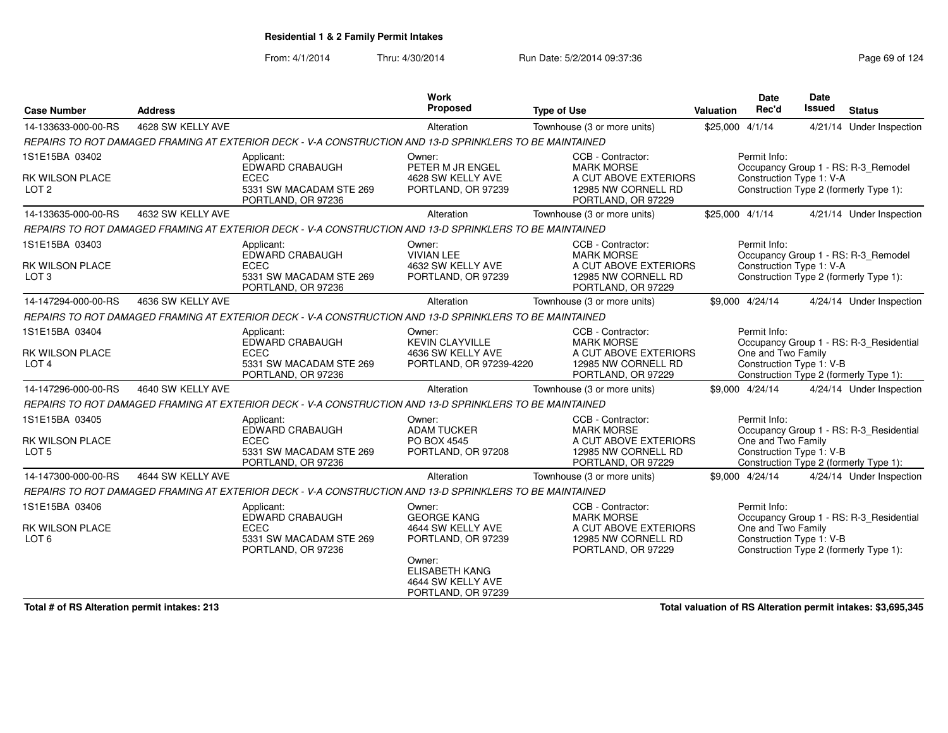From: 4/1/2014Thru: 4/30/2014 Run Date: 5/2/2014 09:37:36 Run Date: 5/2/2014 09:37:36

| <b>Case Number</b>                       | <b>Address</b>    |                                                                                                         | Work<br>Proposed                                                           | <b>Type of Use</b>                                                 | <b>Valuation</b> | <b>Date</b><br>Rec'd                           | <b>Date</b><br><b>Issued</b> | <b>Status</b>                           |
|------------------------------------------|-------------------|---------------------------------------------------------------------------------------------------------|----------------------------------------------------------------------------|--------------------------------------------------------------------|------------------|------------------------------------------------|------------------------------|-----------------------------------------|
| 14-133633-000-00-RS                      | 4628 SW KELLY AVE |                                                                                                         | Alteration                                                                 | Townhouse (3 or more units)                                        | \$25,000 4/1/14  |                                                |                              | 4/21/14 Under Inspection                |
|                                          |                   | REPAIRS TO ROT DAMAGED FRAMING AT EXTERIOR DECK - V-A CONSTRUCTION AND 13-D SPRINKLERS TO BE MAINTAINED |                                                                            |                                                                    |                  |                                                |                              |                                         |
| 1S1E15BA 03402                           |                   | Applicant:<br>EDWARD CRABAUGH                                                                           | Owner:<br>PETER M JR ENGEL                                                 | CCB - Contractor:<br><b>MARK MORSE</b>                             |                  | Permit Info:                                   |                              | Occupancy Group 1 - RS: R-3_Remodel     |
| RK WILSON PLACE<br>LOT <sub>2</sub>      |                   | <b>ECEC</b><br>5331 SW MACADAM STE 269<br>PORTLAND, OR 97236                                            | 4628 SW KELLY AVE<br>PORTLAND, OR 97239                                    | A CUT ABOVE EXTERIORS<br>12985 NW CORNELL RD<br>PORTLAND, OR 97229 |                  | Construction Type 1: V-A                       |                              | Construction Type 2 (formerly Type 1):  |
| 14-133635-000-00-RS                      | 4632 SW KELLY AVE |                                                                                                         | Alteration                                                                 | Townhouse (3 or more units)                                        | \$25,000 4/1/14  |                                                |                              | 4/21/14 Under Inspection                |
|                                          |                   | REPAIRS TO ROT DAMAGED FRAMING AT EXTERIOR DECK - V-A CONSTRUCTION AND 13-D SPRINKLERS TO BE MAINTAINED |                                                                            |                                                                    |                  |                                                |                              |                                         |
| 1S1E15BA 03403<br><b>RK WILSON PLACE</b> |                   | Applicant:<br>EDWARD CRABAUGH<br><b>ECEC</b>                                                            | Owner:<br><b>VIVIAN LEE</b><br>4632 SW KELLY AVE                           | CCB - Contractor:<br><b>MARK MORSE</b><br>A CUT ABOVE EXTERIORS    |                  | Permit Info:<br>Construction Type 1: V-A       |                              | Occupancy Group 1 - RS: R-3_Remodel     |
| LOT <sub>3</sub>                         |                   | 5331 SW MACADAM STE 269<br>PORTLAND, OR 97236                                                           | PORTLAND, OR 97239                                                         | 12985 NW CORNELL RD<br>PORTLAND, OR 97229                          |                  |                                                |                              | Construction Type 2 (formerly Type 1):  |
| 14-147294-000-00-RS                      | 4636 SW KELLY AVE |                                                                                                         | Alteration                                                                 | Townhouse (3 or more units)                                        |                  | \$9,000 4/24/14                                |                              | 4/24/14 Under Inspection                |
|                                          |                   | REPAIRS TO ROT DAMAGED FRAMING AT EXTERIOR DECK - V-A CONSTRUCTION AND 13-D SPRINKLERS TO BE MAINTAINED |                                                                            |                                                                    |                  |                                                |                              |                                         |
| 1S1E15BA 03404                           |                   | Applicant:<br>EDWARD CRABAUGH                                                                           | Owner:<br><b>KEVIN CLAYVILLE</b>                                           | CCB - Contractor:<br><b>MARK MORSE</b>                             |                  | Permit Info:                                   |                              | Occupancy Group 1 - RS: R-3 Residential |
| RK WILSON PLACE<br>LOT <sub>4</sub>      |                   | <b>ECEC</b><br>5331 SW MACADAM STE 269<br>PORTLAND, OR 97236                                            | 4636 SW KELLY AVE<br>PORTLAND, OR 97239-4220                               | A CUT ABOVE EXTERIORS<br>12985 NW CORNELL RD<br>PORTLAND, OR 97229 |                  | One and Two Family<br>Construction Type 1: V-B |                              | Construction Type 2 (formerly Type 1):  |
| 14-147296-000-00-RS                      | 4640 SW KELLY AVE |                                                                                                         | Alteration                                                                 | Townhouse (3 or more units)                                        |                  | \$9,000 4/24/14                                |                              | 4/24/14 Under Inspection                |
|                                          |                   | REPAIRS TO ROT DAMAGED FRAMING AT EXTERIOR DECK - V-A CONSTRUCTION AND 13-D SPRINKLERS TO BE MAINTAINED |                                                                            |                                                                    |                  |                                                |                              |                                         |
| 1S1E15BA 03405<br>RK WILSON PLACE        |                   | Applicant:<br><b>EDWARD CRABAUGH</b><br><b>ECEC</b>                                                     | Owner:<br><b>ADAM TUCKER</b><br>PO BOX 4545                                | CCB - Contractor:<br><b>MARK MORSE</b><br>A CUT ABOVE EXTERIORS    |                  | Permit Info:<br>One and Two Family             |                              | Occupancy Group 1 - RS: R-3_Residential |
| LOT <sub>5</sub>                         |                   | 5331 SW MACADAM STE 269<br>PORTLAND, OR 97236                                                           | PORTLAND, OR 97208                                                         | 12985 NW CORNELL RD<br>PORTLAND, OR 97229                          |                  | Construction Type 1: V-B                       |                              | Construction Type 2 (formerly Type 1):  |
| 14-147300-000-00-RS                      | 4644 SW KELLY AVE |                                                                                                         | Alteration                                                                 | Townhouse (3 or more units)                                        |                  | \$9,000 4/24/14                                |                              | 4/24/14 Under Inspection                |
|                                          |                   | REPAIRS TO ROT DAMAGED FRAMING AT EXTERIOR DECK - V-A CONSTRUCTION AND 13-D SPRINKLERS TO BE MAINTAINED |                                                                            |                                                                    |                  |                                                |                              |                                         |
| 1S1E15BA 03406                           |                   | Applicant:<br>EDWARD CRABAUGH                                                                           | Owner:<br><b>GEORGE KANG</b>                                               | CCB - Contractor:<br><b>MARK MORSE</b>                             |                  | Permit Info:                                   |                              | Occupancy Group 1 - RS: R-3 Residential |
| RK WILSON PLACE<br>LOT <sub>6</sub>      |                   | <b>ECEC</b><br>5331 SW MACADAM STE 269<br>PORTLAND, OR 97236                                            | 4644 SW KELLY AVE<br>PORTLAND, OR 97239                                    | A CUT ABOVE EXTERIORS<br>12985 NW CORNELL RD<br>PORTLAND, OR 97229 |                  | One and Two Family<br>Construction Type 1: V-B |                              | Construction Type 2 (formerly Type 1):  |
|                                          |                   |                                                                                                         | Owner:<br><b>ELISABETH KANG</b><br>4644 SW KELLY AVE<br>PORTLAND, OR 97239 |                                                                    |                  |                                                |                              |                                         |

**Total # of RS Alteration permit intakes: 213**

**Total valuation of RS Alteration permit intakes: \$3,695,345**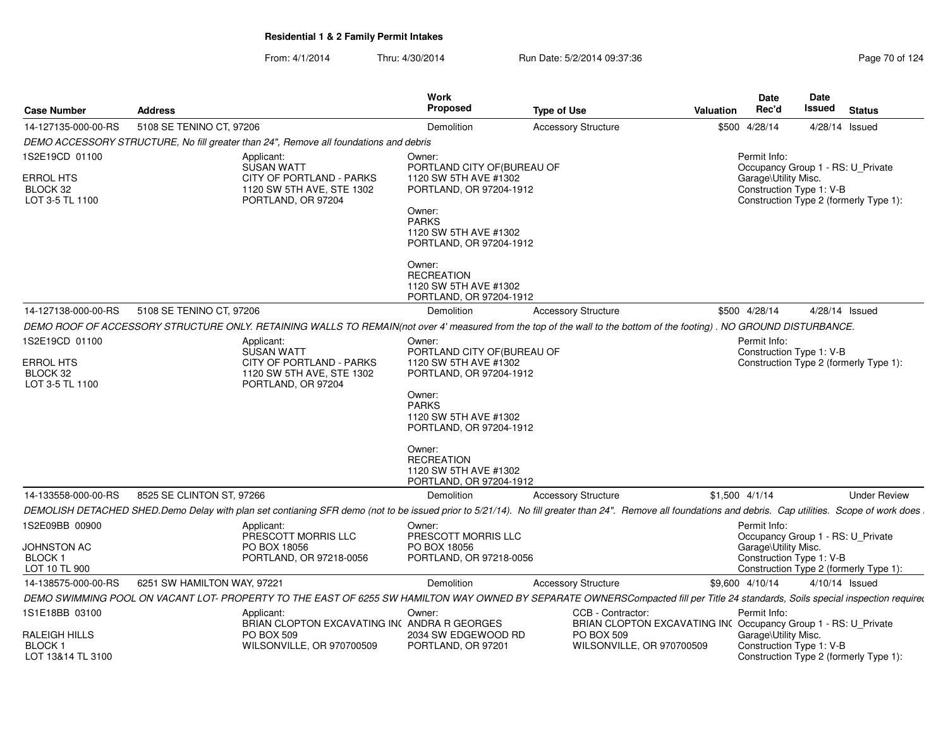| <b>Case Number</b>                                                | <b>Address</b>                                                                                                                                                                                          | Work<br><b>Proposed</b>                                                                                                                                                          | <b>Type of Use</b>                                                                  | Valuation | <b>Date</b><br>Rec'd                                                                                  | Date<br>Issued | <b>Status</b>                          |  |
|-------------------------------------------------------------------|---------------------------------------------------------------------------------------------------------------------------------------------------------------------------------------------------------|----------------------------------------------------------------------------------------------------------------------------------------------------------------------------------|-------------------------------------------------------------------------------------|-----------|-------------------------------------------------------------------------------------------------------|----------------|----------------------------------------|--|
| 14-127135-000-00-RS                                               | 5108 SE TENINO CT, 97206                                                                                                                                                                                | Demolition                                                                                                                                                                       | <b>Accessory Structure</b>                                                          |           | \$500 4/28/14                                                                                         |                | 4/28/14 Issued                         |  |
|                                                                   | DEMO ACCESSORY STRUCTURE, No fill greater than 24", Remove all foundations and debris                                                                                                                   |                                                                                                                                                                                  |                                                                                     |           |                                                                                                       |                |                                        |  |
| 1S2E19CD 01100                                                    | Applicant:<br><b>SUSAN WATT</b>                                                                                                                                                                         | Owner:<br>PORTLAND CITY OF (BUREAU OF                                                                                                                                            |                                                                                     |           | Permit Info:<br>Occupancy Group 1 - RS: U Private                                                     |                |                                        |  |
| <b>ERROL HTS</b><br>BLOCK 32<br>LOT 3-5 TL 1100                   | CITY OF PORTLAND - PARKS<br>1120 SW 5TH AVE, STE 1302<br>PORTLAND, OR 97204                                                                                                                             | 1120 SW 5TH AVE #1302<br>PORTLAND, OR 97204-1912<br>Owner:<br><b>PARKS</b><br>1120 SW 5TH AVE #1302<br>PORTLAND, OR 97204-1912                                                   |                                                                                     |           | Garage\Utility Misc.<br>Construction Type 1: V-B                                                      |                | Construction Type 2 (formerly Type 1): |  |
|                                                                   |                                                                                                                                                                                                         | Owner:<br><b>RECREATION</b><br>1120 SW 5TH AVE #1302<br>PORTLAND, OR 97204-1912                                                                                                  |                                                                                     |           |                                                                                                       |                |                                        |  |
| 14-127138-000-00-RS                                               | 5108 SE TENINO CT, 97206                                                                                                                                                                                | Demolition                                                                                                                                                                       | <b>Accessory Structure</b>                                                          |           | \$500 4/28/14                                                                                         |                | 4/28/14 Issued                         |  |
|                                                                   | DEMO ROOF OF ACCESSORY STRUCTURE ONLY. RETAINING WALLS TO REMAIN(not over 4' measured from the top of the wall to the bottom of the footing). NO GROUND DISTURBANCE.                                    |                                                                                                                                                                                  |                                                                                     |           |                                                                                                       |                |                                        |  |
| 1S2E19CD 01100<br><b>ERROL HTS</b><br>BLOCK 32<br>LOT 3-5 TL 1100 | Applicant:<br><b>SUSAN WATT</b><br>CITY OF PORTLAND - PARKS<br>1120 SW 5TH AVE, STE 1302<br>PORTLAND, OR 97204                                                                                          | Owner:<br>PORTLAND CITY OF BUREAU OF<br>1120 SW 5TH AVE #1302<br>PORTLAND, OR 97204-1912<br>Owner:<br><b>PARKS</b><br>1120 SW 5TH AVE #1302<br>PORTLAND, OR 97204-1912<br>Owner: |                                                                                     |           | Permit Info:<br>Construction Type 1: V-B                                                              |                | Construction Type 2 (formerly Type 1): |  |
|                                                                   |                                                                                                                                                                                                         | <b>RECREATION</b><br>1120 SW 5TH AVE #1302<br>PORTLAND, OR 97204-1912                                                                                                            |                                                                                     |           |                                                                                                       |                |                                        |  |
| 14-133558-000-00-RS                                               | 8525 SE CLINTON ST, 97266                                                                                                                                                                               | Demolition                                                                                                                                                                       | <b>Accessory Structure</b>                                                          |           | $$1,500$ 4/1/14                                                                                       |                | <b>Under Review</b>                    |  |
|                                                                   | DEMOLISH DETACHED SHED.Demo Delay with plan set contianing SFR demo (not to be issued prior to 5/21/14). No fill greater than 24". Remove all foundations and debris. Cap utilities. Scope of work does |                                                                                                                                                                                  |                                                                                     |           |                                                                                                       |                |                                        |  |
| 1S2E09BB 00900<br>JOHNSTON AC<br><b>BLOCK1</b><br>LOT 10 TL 900   | Applicant:<br>PRESCOTT MORRIS LLC<br>PO BOX 18056<br>PORTLAND, OR 97218-0056                                                                                                                            | Owner:<br>PRESCOTT MORRIS LLC<br>PO BOX 18056<br>PORTLAND, OR 97218-0056                                                                                                         |                                                                                     |           | Permit Info:<br>Occupancy Group 1 - RS: U_Private<br>Garage\Utility Misc.<br>Construction Type 1: V-B |                | Construction Type 2 (formerly Type 1): |  |
| 14-138575-000-00-RS                                               | 6251 SW HAMILTON WAY, 97221                                                                                                                                                                             | Demolition                                                                                                                                                                       | <b>Accessory Structure</b>                                                          |           | \$9,600 4/10/14                                                                                       |                | $4/10/14$ Issued                       |  |
|                                                                   | DEMO SWIMMING POOL ON VACANT LOT- PROPERTY TO THE EAST OF 6255 SW HAMILTON WAY OWNED BY SEPARATE OWNERSCompacted fill per Title 24 standards, Soils special inspection required                         |                                                                                                                                                                                  |                                                                                     |           |                                                                                                       |                |                                        |  |
| 1S1E18BB 03100                                                    | Applicant:<br>BRIAN CLOPTON EXCAVATING INC ANDRA R GEORGES                                                                                                                                              | Owner:                                                                                                                                                                           | CCB - Contractor:<br>BRIAN CLOPTON EXCAVATING IN( Occupancy Group 1 - RS: U_Private |           | Permit Info:                                                                                          |                |                                        |  |
| RALEIGH HILLS<br><b>BLOCK1</b><br>LOT 13&14 TL 3100               | <b>PO BOX 509</b><br>WILSONVILLE, OR 970700509                                                                                                                                                          | 2034 SW EDGEWOOD RD<br>PORTLAND, OR 97201                                                                                                                                        | <b>PO BOX 509</b><br>WILSONVILLE, OR 970700509                                      |           | Garage\Utility Misc.<br>Construction Type 1: V-B                                                      |                | Construction Type 2 (formerly Type 1): |  |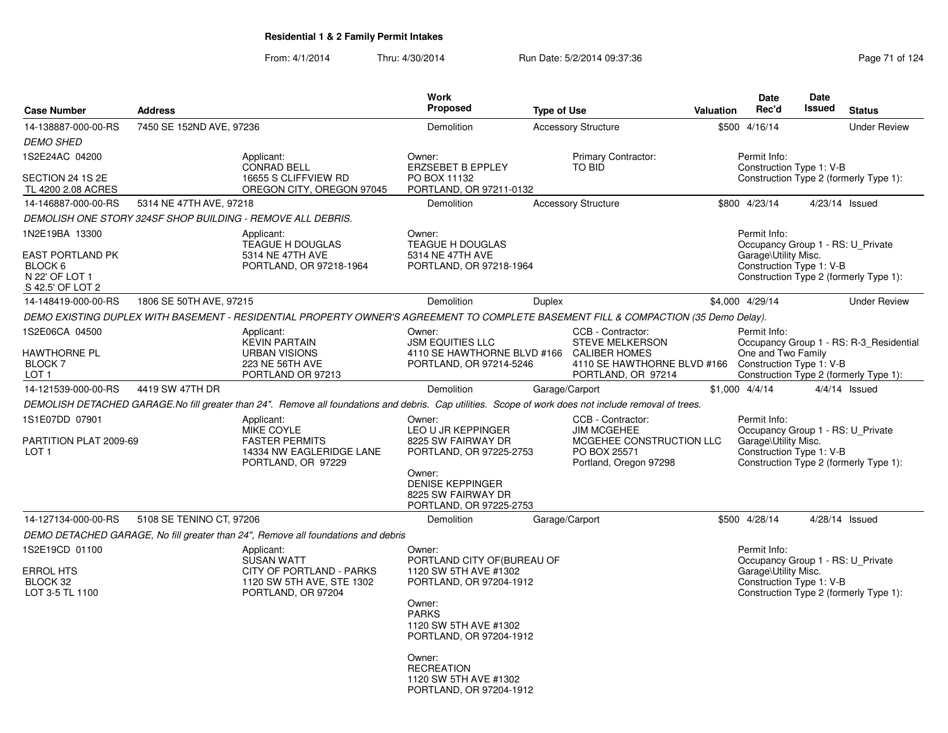| <b>Case Number</b>                                                | <b>Address</b>           |                                                                                                                                                       | <b>Work</b><br><b>Proposed</b>                                                                                                 | <b>Type of Use</b> |                                                                                                                          | <b>Valuation</b> | Date<br>Rec'd                                                                                         | Date<br><b>Issued</b> | <b>Status</b>                                                                     |
|-------------------------------------------------------------------|--------------------------|-------------------------------------------------------------------------------------------------------------------------------------------------------|--------------------------------------------------------------------------------------------------------------------------------|--------------------|--------------------------------------------------------------------------------------------------------------------------|------------------|-------------------------------------------------------------------------------------------------------|-----------------------|-----------------------------------------------------------------------------------|
| 14-138887-000-00-RS                                               | 7450 SE 152ND AVE, 97236 |                                                                                                                                                       | Demolition                                                                                                                     |                    | <b>Accessory Structure</b>                                                                                               |                  | \$500 4/16/14                                                                                         |                       | <b>Under Review</b>                                                               |
| <b>DEMO SHED</b>                                                  |                          |                                                                                                                                                       |                                                                                                                                |                    |                                                                                                                          |                  |                                                                                                       |                       |                                                                                   |
| 1S2E24AC 04200                                                    |                          | Applicant:<br><b>CONRAD BELL</b>                                                                                                                      | Owner:<br><b>ERZSEBET B EPPLEY</b>                                                                                             |                    | Primary Contractor:<br>TO BID                                                                                            |                  | Permit Info:<br>Construction Type 1: V-B                                                              |                       |                                                                                   |
| SECTION 24 1S 2E<br>TL 4200 2.08 ACRES                            |                          | 16655 S CLIFFVIEW RD<br>OREGON CITY, OREGON 97045                                                                                                     | PO BOX 11132<br>PORTLAND, OR 97211-0132                                                                                        |                    |                                                                                                                          |                  |                                                                                                       |                       | Construction Type 2 (formerly Type 1):                                            |
| 14-146887-000-00-RS                                               | 5314 NE 47TH AVE, 97218  |                                                                                                                                                       | Demolition                                                                                                                     |                    | <b>Accessory Structure</b>                                                                                               |                  | \$800 4/23/14                                                                                         |                       | 4/23/14 Issued                                                                    |
|                                                                   |                          | DEMOLISH ONE STORY 324SF SHOP BUILDING - REMOVE ALL DEBRIS.                                                                                           |                                                                                                                                |                    |                                                                                                                          |                  |                                                                                                       |                       |                                                                                   |
| 1N2E19BA 13300                                                    |                          | Applicant:                                                                                                                                            | Owner:                                                                                                                         |                    |                                                                                                                          |                  | Permit Info:                                                                                          |                       |                                                                                   |
| EAST PORTLAND PK<br>BLOCK 6<br>N 22' OF LOT 1<br>S 42.5' OF LOT 2 |                          | TEAGUE H DOUGLAS<br>5314 NE 47TH AVE<br>PORTLAND, OR 97218-1964                                                                                       | <b>TEAGUE H DOUGLAS</b><br>5314 NE 47TH AVE<br>PORTLAND, OR 97218-1964                                                         |                    |                                                                                                                          |                  | Occupancy Group 1 - RS: U Private<br>Garage\Utility Misc.<br>Construction Type 1: V-B                 |                       | Construction Type 2 (formerly Type 1):                                            |
| 14-148419-000-00-RS                                               | 1806 SE 50TH AVE, 97215  |                                                                                                                                                       | <b>Demolition</b>                                                                                                              | Duplex             |                                                                                                                          |                  | \$4,000 4/29/14                                                                                       |                       | <b>Under Review</b>                                                               |
|                                                                   |                          | DEMO EXISTING DUPLEX WITH BASEMENT - RESIDENTIAL PROPERTY OWNER'S AGREEMENT TO COMPLETE BASEMENT FILL & COMPACTION (35 Demo Delay).                   |                                                                                                                                |                    |                                                                                                                          |                  |                                                                                                       |                       |                                                                                   |
| 1S2E06CA 04500<br>HAWTHORNE PL<br><b>BLOCK 7</b><br>LOT 1         |                          | Applicant:<br><b>KEVIN PARTAIN</b><br><b>URBAN VISIONS</b><br>223 NE 56TH AVE<br>PORTLAND OR 97213                                                    | Owner:<br><b>JSM EQUITIES LLC</b><br>4110 SE HAWTHORNE BLVD #166<br>PORTLAND, OR 97214-5246                                    |                    | CCB - Contractor:<br><b>STEVE MELKERSON</b><br><b>CALIBER HOMES</b><br>4110 SE HAWTHORNE BLVD #166<br>PORTLAND, OR 97214 |                  | Permit Info:<br>One and Two Family<br>Construction Type 1: V-B                                        |                       | Occupancy Group 1 - RS: R-3 Residential<br>Construction Type 2 (formerly Type 1): |
| 14-121539-000-00-RS                                               | 4419 SW 47TH DR          |                                                                                                                                                       | Demolition                                                                                                                     |                    | Garage/Carport                                                                                                           |                  | \$1,000 4/4/14                                                                                        |                       | 4/4/14 Issued                                                                     |
|                                                                   |                          | DEMOLISH DETACHED GARAGE.No fill greater than 24". Remove all foundations and debris. Cap utilities. Scope of work does not include removal of trees. |                                                                                                                                |                    |                                                                                                                          |                  |                                                                                                       |                       |                                                                                   |
| 1S1E07DD 07901<br>PARTITION PLAT 2009-69<br>LOT <sub>1</sub>      |                          | Applicant:<br>MIKE COYLE<br><b>FASTER PERMITS</b><br>14334 NW EAGLERIDGE LANE<br>PORTLAND, OR 97229                                                   | Owner:<br>LEO U JR KEPPINGER<br>8225 SW FAIRWAY DR<br>PORTLAND, OR 97225-2753                                                  |                    | CCB - Contractor:<br><b>JIM MCGEHEE</b><br>MCGEHEE CONSTRUCTION LLC<br>PO BOX 25571<br>Portland, Oregon 97298            |                  | Permit Info:<br>Occupancy Group 1 - RS: U_Private<br>Garage\Utility Misc.<br>Construction Type 1: V-B |                       | Construction Type 2 (formerly Type 1):                                            |
|                                                                   |                          |                                                                                                                                                       | Owner:<br><b>DENISE KEPPINGER</b><br>8225 SW FAIRWAY DR<br>PORTLAND, OR 97225-2753                                             |                    |                                                                                                                          |                  |                                                                                                       |                       |                                                                                   |
| 14-127134-000-00-RS                                               | 5108 SE TENINO CT, 97206 |                                                                                                                                                       | Demolition                                                                                                                     |                    | Garage/Carport                                                                                                           |                  | \$500 4/28/14                                                                                         |                       | 4/28/14 Issued                                                                    |
|                                                                   |                          | DEMO DETACHED GARAGE, No fill greater than 24", Remove all foundations and debris                                                                     |                                                                                                                                |                    |                                                                                                                          |                  |                                                                                                       |                       |                                                                                   |
| 1S2E19CD 01100                                                    |                          | Applicant:<br><b>SUSAN WATT</b>                                                                                                                       | Owner:<br>PORTLAND CITY OF (BUREAU OF                                                                                          |                    |                                                                                                                          |                  | Permit Info:<br>Occupancy Group 1 - RS: U_Private                                                     |                       |                                                                                   |
| ERROL HTS<br>BLOCK 32<br>LOT 3-5 TL 1100                          |                          | CITY OF PORTLAND - PARKS<br>1120 SW 5TH AVE, STE 1302<br>PORTLAND, OR 97204                                                                           | 1120 SW 5TH AVE #1302<br>PORTLAND, OR 97204-1912<br>Owner:<br><b>PARKS</b><br>1120 SW 5TH AVE #1302<br>PORTLAND, OR 97204-1912 |                    |                                                                                                                          |                  | Garage\Utility Misc.<br>Construction Type 1: V-B                                                      |                       | Construction Type 2 (formerly Type 1):                                            |
|                                                                   |                          |                                                                                                                                                       | Owner:<br><b>RECREATION</b><br>1120 SW 5TH AVE #1302<br>PORTLAND, OR 97204-1912                                                |                    |                                                                                                                          |                  |                                                                                                       |                       |                                                                                   |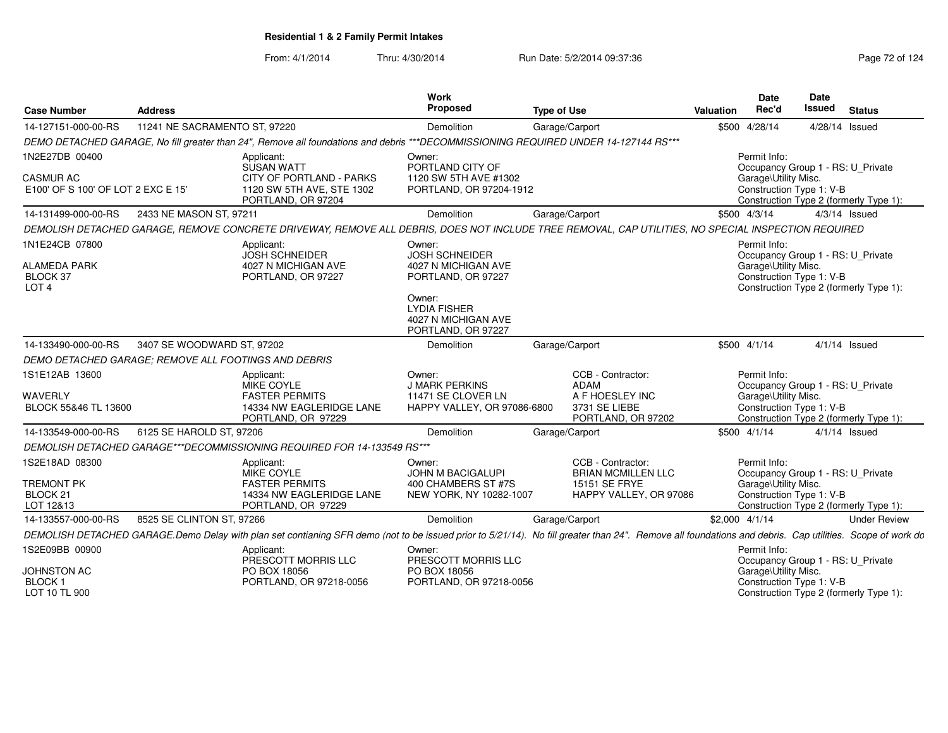From: 4/1/2014

| <b>Case Number</b>                                                       | <b>Address</b>                |                                                                                                                                                                                                         | <b>Work</b><br><b>Proposed</b>                                                                                                                             | <b>Type of Use</b> |                                                                                            | Valuation      | <b>Date</b><br>Rec'd                 | Date<br><b>Issued</b>                                         | <b>Status</b>                          |
|--------------------------------------------------------------------------|-------------------------------|---------------------------------------------------------------------------------------------------------------------------------------------------------------------------------------------------------|------------------------------------------------------------------------------------------------------------------------------------------------------------|--------------------|--------------------------------------------------------------------------------------------|----------------|--------------------------------------|---------------------------------------------------------------|----------------------------------------|
| 14-127151-000-00-RS                                                      | 11241 NE SACRAMENTO ST, 97220 |                                                                                                                                                                                                         | Demolition                                                                                                                                                 |                    | Garage/Carport                                                                             |                | \$500 4/28/14                        | 4/28/14 Issued                                                |                                        |
|                                                                          |                               | DEMO DETACHED GARAGE, No fill greater than 24", Remove all foundations and debris ***DECOMMISSIONING REQUIRED UNDER 14-127144 RS***                                                                     |                                                                                                                                                            |                    |                                                                                            |                |                                      |                                                               |                                        |
| 1N2E27DB 00400<br><b>CASMUR AC</b><br>E100' OF S 100' OF LOT 2 EXC E 15' |                               | Applicant:<br>SUSAN WATT<br>CITY OF PORTLAND - PARKS<br>1120 SW 5TH AVE, STE 1302<br>PORTLAND, OR 97204                                                                                                 | Owner:<br>PORTLAND CITY OF<br>1120 SW 5TH AVE #1302<br>PORTLAND, OR 97204-1912                                                                             |                    |                                                                                            |                | Permit Info:<br>Garage\Utility Misc. | Occupancy Group 1 - RS: U_Private<br>Construction Type 1: V-B | Construction Type 2 (formerly Type 1): |
| 14-131499-000-00-RS                                                      | 2433 NE MASON ST, 97211       |                                                                                                                                                                                                         | Demolition                                                                                                                                                 |                    | Garage/Carport                                                                             |                | \$500 4/3/14                         |                                                               | $4/3/14$ Issued                        |
|                                                                          |                               | DEMOLISH DETACHED GARAGE, REMOVE CONCRETE DRIVEWAY, REMOVE ALL DEBRIS, DOES NOT INCLUDE TREE REMOVAL, CAP UTILITIES, NO SPECIAL INSPECTION REQUIRED                                                     |                                                                                                                                                            |                    |                                                                                            |                |                                      |                                                               |                                        |
| 1N1E24CB 07800<br><b>ALAMEDA PARK</b><br>BLOCK 37<br>LOT <sub>4</sub>    |                               | Applicant:<br><b>JOSH SCHNEIDER</b><br>4027 N MICHIGAN AVE<br>PORTLAND, OR 97227                                                                                                                        | Owner:<br><b>JOSH SCHNEIDER</b><br>4027 N MICHIGAN AVE<br>PORTLAND, OR 97227<br>Owner:<br><b>LYDIA FISHER</b><br>4027 N MICHIGAN AVE<br>PORTLAND, OR 97227 |                    |                                                                                            |                | Permit Info:<br>Garage\Utility Misc. | Occupancy Group 1 - RS: U_Private<br>Construction Type 1: V-B | Construction Type 2 (formerly Type 1): |
| 14-133490-000-00-RS                                                      | 3407 SE WOODWARD ST, 97202    |                                                                                                                                                                                                         | Demolition                                                                                                                                                 |                    | Garage/Carport                                                                             |                | $$500$ 4/1/14                        |                                                               | $4/1/14$ Issued                        |
| DEMO DETACHED GARAGE: REMOVE ALL FOOTINGS AND DEBRIS                     |                               |                                                                                                                                                                                                         |                                                                                                                                                            |                    |                                                                                            |                |                                      |                                                               |                                        |
| 1S1E12AB 13600<br><b>WAVERLY</b><br>BLOCK 55&46 TL 13600                 |                               | Applicant:<br>MIKE COYLE<br><b>FASTER PERMITS</b><br>14334 NW EAGLERIDGE LANE<br>PORTLAND, OR 97229                                                                                                     | Owner:<br><b>J MARK PERKINS</b><br>11471 SE CLOVER LN<br>HAPPY VALLEY, OR 97086-6800                                                                       |                    | CCB - Contractor:<br><b>ADAM</b><br>A F HOESLEY INC<br>3731 SE LIEBE<br>PORTLAND, OR 97202 |                | Permit Info:<br>Garage\Utility Misc. | Occupancy Group 1 - RS: U_Private<br>Construction Type 1: V-B | Construction Type 2 (formerly Type 1): |
| 14-133549-000-00-RS                                                      | 6125 SE HAROLD ST, 97206      |                                                                                                                                                                                                         | Demolition                                                                                                                                                 |                    | Garage/Carport                                                                             |                | \$500 4/1/14                         |                                                               | $4/1/14$ Issued                        |
|                                                                          |                               | DEMOLISH DETACHED GARAGE***DECOMMISSIONING REQUIRED FOR 14-133549 RS***                                                                                                                                 |                                                                                                                                                            |                    |                                                                                            |                |                                      |                                                               |                                        |
| 1S2E18AD 08300<br><b>TREMONT PK</b><br>BLOCK <sub>21</sub><br>LOT 12&13  |                               | Applicant:<br>MIKE COYLE<br><b>FASTER PERMITS</b><br>14334 NW EAGLERIDGE LANE<br>PORTLAND, OR 97229                                                                                                     | Owner:<br><b>JOHN M BACIGALUPI</b><br>400 CHAMBERS ST #7S<br>NEW YORK, NY 10282-1007                                                                       |                    | CCB - Contractor:<br><b>BRIAN MCMILLEN LLC</b><br>15151 SE FRYE<br>HAPPY VALLEY, OR 97086  |                | Permit Info:<br>Garage\Utility Misc. | Occupancy Group 1 - RS: U Private<br>Construction Type 1: V-B | Construction Type 2 (formerly Type 1): |
| 14-133557-000-00-RS                                                      | 8525 SE CLINTON ST, 97266     |                                                                                                                                                                                                         | Demolition                                                                                                                                                 |                    | Garage/Carport                                                                             | \$2,000 4/1/14 |                                      |                                                               | <b>Under Review</b>                    |
|                                                                          |                               | DEMOLISH DETACHED GARAGE.Demo Delay with plan set contianing SFR demo (not to be issued prior to 5/21/14). No fill greater than 24". Remove all foundations and debris. Cap utilities. Scope of work do |                                                                                                                                                            |                    |                                                                                            |                |                                      |                                                               |                                        |
| 1S2E09BB 00900<br><b>JOHNSTON AC</b><br><b>BLOCK1</b><br>LOT 10 TL 900   |                               | Applicant:<br>PRESCOTT MORRIS LLC<br>PO BOX 18056<br>PORTLAND, OR 97218-0056                                                                                                                            | Owner:<br>PRESCOTT MORRIS LLC<br>PO BOX 18056<br>PORTLAND, OR 97218-0056                                                                                   |                    |                                                                                            |                | Permit Info:<br>Garage\Utility Misc. | Occupancy Group 1 - RS: U_Private<br>Construction Type 1: V-B | Construction Type 2 (formerly Type 1): |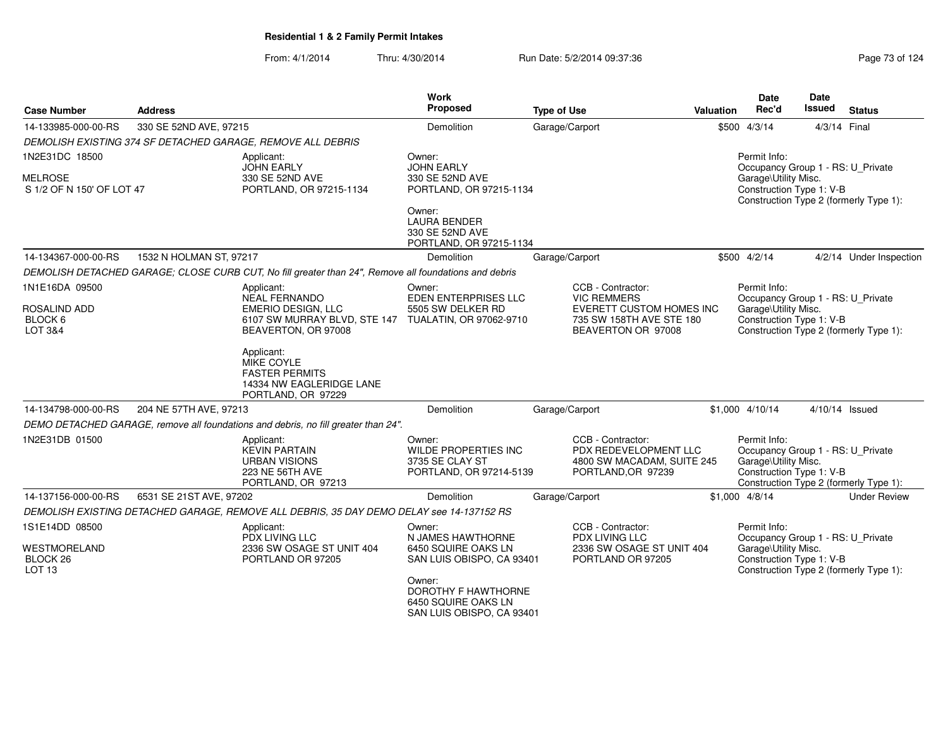| <b>Case Number</b>                                       | <b>Address</b>          |                                                                                                       | <b>Work</b><br><b>Proposed</b>                                                    | <b>Type of Use</b>                                                                             | Valuation                                                                                  | <b>Date</b><br>Rec'd                                                                                  | Date<br>Issued | <b>Status</b>                          |
|----------------------------------------------------------|-------------------------|-------------------------------------------------------------------------------------------------------|-----------------------------------------------------------------------------------|------------------------------------------------------------------------------------------------|--------------------------------------------------------------------------------------------|-------------------------------------------------------------------------------------------------------|----------------|----------------------------------------|
| 14-133985-000-00-RS                                      | 330 SE 52ND AVE, 97215  |                                                                                                       | Demolition                                                                        | Garage/Carport                                                                                 |                                                                                            | \$500 4/3/14                                                                                          | 4/3/14 Final   |                                        |
|                                                          |                         | DEMOLISH EXISTING 374 SF DETACHED GARAGE, REMOVE ALL DEBRIS                                           |                                                                                   |                                                                                                |                                                                                            |                                                                                                       |                |                                        |
| 1N2E31DC 18500                                           |                         | Applicant:<br><b>JOHN EARLY</b>                                                                       | Owner:<br><b>JOHN EARLY</b>                                                       |                                                                                                |                                                                                            | Permit Info:<br>Occupancy Group 1 - RS: U_Private                                                     |                |                                        |
| <b>MELROSE</b><br>S 1/2 OF N 150' OF LOT 47              |                         | 330 SE 52ND AVE<br>PORTLAND, OR 97215-1134                                                            | 330 SE 52ND AVE<br>PORTLAND, OR 97215-1134                                        |                                                                                                | Garage\Utility Misc.<br>Construction Type 1: V-B<br>Construction Type 2 (formerly Type 1): |                                                                                                       |                |                                        |
|                                                          |                         |                                                                                                       | Owner:<br><b>LAURA BENDER</b><br>330 SE 52ND AVE<br>PORTLAND, OR 97215-1134       |                                                                                                |                                                                                            |                                                                                                       |                |                                        |
| 14-134367-000-00-RS                                      | 1532 N HOLMAN ST, 97217 |                                                                                                       | Demolition                                                                        | Garage/Carport                                                                                 |                                                                                            | \$500 4/2/14                                                                                          |                | 4/2/14 Under Inspection                |
|                                                          |                         | DEMOLISH DETACHED GARAGE: CLOSE CURB CUT, No fill greater than 24", Remove all foundations and debris |                                                                                   |                                                                                                |                                                                                            |                                                                                                       |                |                                        |
| 1N1E16DA 09500                                           |                         | Applicant:<br><b>NEAL FERNANDO</b>                                                                    | Owner:<br><b>EDEN ENTERPRISES LLC</b>                                             | CCB - Contractor:<br><b>VIC REMMERS</b>                                                        |                                                                                            | Permit Info:<br>Occupancy Group 1 - RS: U_Private                                                     |                |                                        |
| ROSALIND ADD<br>BLOCK 6<br>LOT 3&4                       |                         | EMERIO DESIGN, LLC<br>6107 SW MURRAY BLVD, STE 147 TUALATIN, OR 97062-9710<br>BEAVERTON, OR 97008     | 5505 SW DELKER RD                                                                 | EVERETT CUSTOM HOMES INC<br>735 SW 158TH AVE STE 180<br>BEAVERTON OR 97008                     |                                                                                            | Garage\Utility Misc.<br>Construction Type 1: V-B                                                      |                | Construction Type 2 (formerly Type 1): |
|                                                          |                         | Applicant:<br>MIKE COYLE<br><b>FASTER PERMITS</b><br>14334 NW EAGLERIDGE LANE<br>PORTLAND, OR 97229   |                                                                                   |                                                                                                |                                                                                            |                                                                                                       |                |                                        |
| 14-134798-000-00-RS                                      | 204 NE 57TH AVE, 97213  |                                                                                                       | Demolition                                                                        | Garage/Carport                                                                                 |                                                                                            | \$1,000 4/10/14                                                                                       |                | 4/10/14 Issued                         |
|                                                          |                         | DEMO DETACHED GARAGE, remove all foundations and debris, no fill greater than 24".                    |                                                                                   |                                                                                                |                                                                                            |                                                                                                       |                |                                        |
| 1N2E31DB 01500                                           |                         | Applicant:<br><b>KEVIN PARTAIN</b><br><b>URBAN VISIONS</b><br>223 NE 56TH AVE<br>PORTLAND, OR 97213   | Owner:<br>WILDE PROPERTIES INC<br>3735 SE CLAY ST<br>PORTLAND, OR 97214-5139      | CCB - Contractor:<br>PDX REDEVELOPMENT LLC<br>4800 SW MACADAM, SUITE 245<br>PORTLAND, OR 97239 |                                                                                            | Permit Info:<br>Occupancy Group 1 - RS: U_Private<br>Garage\Utility Misc.<br>Construction Type 1: V-B |                | Construction Type 2 (formerly Type 1): |
| 14-137156-000-00-RS                                      | 6531 SE 21ST AVE, 97202 |                                                                                                       | Demolition                                                                        | Garage/Carport                                                                                 |                                                                                            | $$1,000$ 4/8/14                                                                                       |                | <b>Under Review</b>                    |
|                                                          |                         | DEMOLISH EXISTING DETACHED GARAGE, REMOVE ALL DEBRIS, 35 DAY DEMO DELAY see 14-137152 RS              |                                                                                   |                                                                                                |                                                                                            |                                                                                                       |                |                                        |
| 1S1E14DD 08500                                           |                         | Applicant:<br><b>PDX LIVING LLC</b>                                                                   | Owner:<br>N JAMES HAWTHORNE                                                       | CCB - Contractor:<br><b>PDX LIVING LLC</b>                                                     |                                                                                            | Permit Info:<br>Occupancy Group 1 - RS: U Private                                                     |                |                                        |
| WESTMORELAND<br>BLOCK <sub>26</sub><br>LOT <sub>13</sub> |                         | 2336 SW OSAGE ST UNIT 404<br>PORTLAND OR 97205                                                        | 6450 SQUIRE OAKS LN<br>SAN LUIS OBISPO, CA 93401                                  | 2336 SW OSAGE ST UNIT 404<br>PORTLAND OR 97205                                                 |                                                                                            | Garage\Utility Misc.<br>Construction Type 1: V-B                                                      |                | Construction Type 2 (formerly Type 1): |
|                                                          |                         |                                                                                                       | Owner:<br>DOROTHY F HAWTHORNE<br>6450 SQUIRE OAKS LN<br>SAN LUIS OBISPO, CA 93401 |                                                                                                |                                                                                            |                                                                                                       |                |                                        |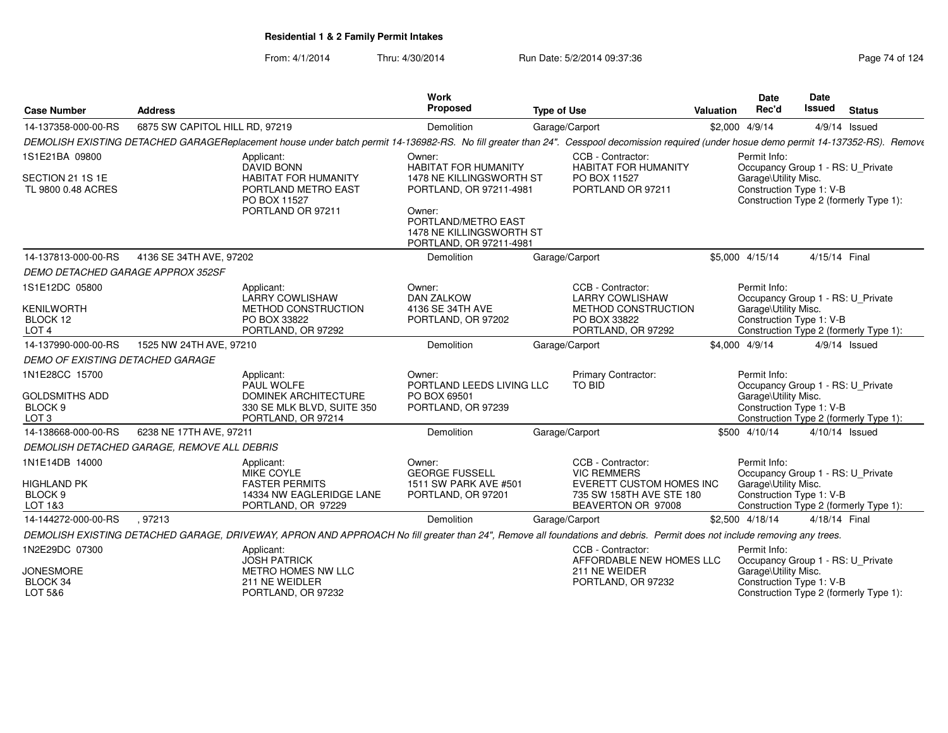| <b>Case Number</b>                                              | <b>Address</b>                                                                                                                                                                             | <b>Work</b><br>Proposed                                                              | <b>Type of Use</b>                                               | Date<br>Rec'd<br><b>Valuation</b> | <b>Date</b><br>Issued                            | <b>Status</b>                                                               |
|-----------------------------------------------------------------|--------------------------------------------------------------------------------------------------------------------------------------------------------------------------------------------|--------------------------------------------------------------------------------------|------------------------------------------------------------------|-----------------------------------|--------------------------------------------------|-----------------------------------------------------------------------------|
| 14-137358-000-00-RS                                             | 6875 SW CAPITOL HILL RD, 97219                                                                                                                                                             | Demolition                                                                           | Garage/Carport                                                   | \$2,000 4/9/14                    |                                                  | $4/9/14$ Issued                                                             |
|                                                                 | DEMOLISH EXISTING DETACHED GARAGEReplacement house under batch permit 14-136982-RS. No fill greater than 24". Cesspool decomission required (under hosue demo permit 14-137352-RS). Remove |                                                                                      |                                                                  |                                   |                                                  |                                                                             |
| 1S1E21BA 09800                                                  | Applicant:                                                                                                                                                                                 | Owner:                                                                               | CCB - Contractor:                                                | Permit Info:                      |                                                  |                                                                             |
| SECTION 21 1S 1E<br>TL 9800 0.48 ACRES                          | DAVID BONN<br><b>HABITAT FOR HUMANITY</b><br>PORTLAND METRO EAST<br>PO BOX 11527                                                                                                           | <b>HABITAT FOR HUMANITY</b><br>1478 NE KILLINGSWORTH ST<br>PORTLAND, OR 97211-4981   | <b>HABITAT FOR HUMANITY</b><br>PO BOX 11527<br>PORTLAND OR 97211 |                                   | Garage\Utility Misc.<br>Construction Type 1: V-B | Occupancy Group 1 - RS: U_Private<br>Construction Type 2 (formerly Type 1): |
|                                                                 | PORTLAND OR 97211                                                                                                                                                                          | Owner:<br>PORTLAND/METRO EAST<br>1478 NE KILLINGSWORTH ST<br>PORTLAND, OR 97211-4981 |                                                                  |                                   |                                                  |                                                                             |
| 14-137813-000-00-RS                                             | 4136 SE 34TH AVE, 97202                                                                                                                                                                    | Demolition                                                                           | Garage/Carport                                                   | \$5,000 4/15/14                   |                                                  | 4/15/14 Final                                                               |
| <b>DEMO DETACHED GARAGE APPROX 352SF</b>                        |                                                                                                                                                                                            |                                                                                      |                                                                  |                                   |                                                  |                                                                             |
| 1S1E12DC 05800                                                  | Applicant:<br><b>LARRY COWLISHAW</b>                                                                                                                                                       | Owner:<br><b>DAN ZALKOW</b>                                                          | CCB - Contractor:<br><b>LARRY COWLISHAW</b>                      | Permit Info:                      |                                                  | Occupancy Group 1 - RS: U Private                                           |
| <b>KENILWORTH</b><br>BLOCK 12                                   | METHOD CONSTRUCTION<br>PO BOX 33822                                                                                                                                                        | 4136 SE 34TH AVE<br>PORTLAND, OR 97202                                               | METHOD CONSTRUCTION<br>PO BOX 33822                              |                                   | Garage\Utility Misc.<br>Construction Type 1: V-B |                                                                             |
| LOT <sub>4</sub>                                                | PORTLAND, OR 97292                                                                                                                                                                         |                                                                                      | PORTLAND, OR 97292                                               |                                   |                                                  | Construction Type 2 (formerly Type 1):                                      |
| 14-137990-000-00-RS                                             | 1525 NW 24TH AVE, 97210                                                                                                                                                                    | Demolition                                                                           | Garage/Carport                                                   | \$4,000 4/9/14                    |                                                  | $4/9/14$ Issued                                                             |
| DEMO OF EXISTING DETACHED GARAGE                                |                                                                                                                                                                                            |                                                                                      |                                                                  |                                   |                                                  |                                                                             |
| 1N1E28CC 15700                                                  | Applicant:<br>PAUL WOLFE                                                                                                                                                                   | Owner:<br>PORTLAND LEEDS LIVING LLC                                                  | <b>Primary Contractor:</b><br>TO BID                             | Permit Info:                      |                                                  | Occupancy Group 1 - RS: U Private                                           |
| <b>GOLDSMITHS ADD</b><br>BLOCK <sub>9</sub><br>LOT <sub>3</sub> | <b>DOMINEK ARCHITECTURE</b><br>330 SE MLK BLVD, SUITE 350<br>PORTLAND, OR 97214                                                                                                            | PO BOX 69501<br>PORTLAND, OR 97239                                                   |                                                                  |                                   | Garage\Utility Misc.<br>Construction Type 1: V-B | Construction Type 2 (formerly Type 1):                                      |
| 14-138668-000-00-RS                                             | 6238 NE 17TH AVE, 97211                                                                                                                                                                    | Demolition                                                                           | Garage/Carport                                                   | \$500 4/10/14                     |                                                  | 4/10/14 Issued                                                              |
|                                                                 | DEMOLISH DETACHED GARAGE. REMOVE ALL DEBRIS                                                                                                                                                |                                                                                      |                                                                  |                                   |                                                  |                                                                             |
| 1N1E14DB 14000                                                  | Applicant:<br><b>MIKE COYLE</b>                                                                                                                                                            | Owner:<br><b>GEORGE FUSSELL</b>                                                      | CCB - Contractor:<br><b>VIC REMMERS</b>                          | Permit Info:                      |                                                  | Occupancy Group 1 - RS: U_Private                                           |
| <b>HIGHLAND PK</b>                                              | <b>FASTER PERMITS</b>                                                                                                                                                                      | 1511 SW PARK AVE #501                                                                | <b>EVERETT CUSTOM HOMES INC</b>                                  |                                   | Garage\Utility Misc.                             |                                                                             |
| BLOCK <sub>9</sub>                                              | 14334 NW EAGLERIDGE LANE                                                                                                                                                                   | PORTLAND, OR 97201                                                                   | 735 SW 158TH AVE STE 180                                         |                                   | Construction Type 1: V-B                         |                                                                             |
| LOT 1&3                                                         | PORTLAND, OR 97229                                                                                                                                                                         |                                                                                      | BEAVERTON OR 97008                                               |                                   |                                                  | Construction Type 2 (formerly Type 1):<br>4/18/14 Final                     |
| 14-144272-000-00-RS                                             | .97213                                                                                                                                                                                     | Demolition                                                                           | Garage/Carport                                                   | \$2,500 4/18/14                   |                                                  |                                                                             |
|                                                                 | DEMOLISH EXISTING DETACHED GARAGE, DRIVEWAY, APRON AND APPROACH No fill greater than 24", Remove all foundations and debris. Permit does not include removing any trees.                   |                                                                                      |                                                                  |                                   |                                                  |                                                                             |
| 1N2E29DC 07300                                                  | Applicant:<br><b>JOSH PATRICK</b>                                                                                                                                                          |                                                                                      | CCB - Contractor:<br>AFFORDABLE NEW HOMES LLC                    | Permit Info:                      |                                                  | Occupancy Group 1 - RS: U Private                                           |
| <b>JONESMORE</b>                                                | METRO HOMES NW LLC                                                                                                                                                                         |                                                                                      | 211 NE WEIDER                                                    |                                   | Garage\Utility Misc.                             |                                                                             |
| BLOCK 34<br>LOT 5&6                                             | 211 NE WEIDLER<br>PORTLAND, OR 97232                                                                                                                                                       |                                                                                      | PORTLAND, OR 97232                                               |                                   | Construction Type 1: V-B                         | Construction Type 2 (formerly Type 1):                                      |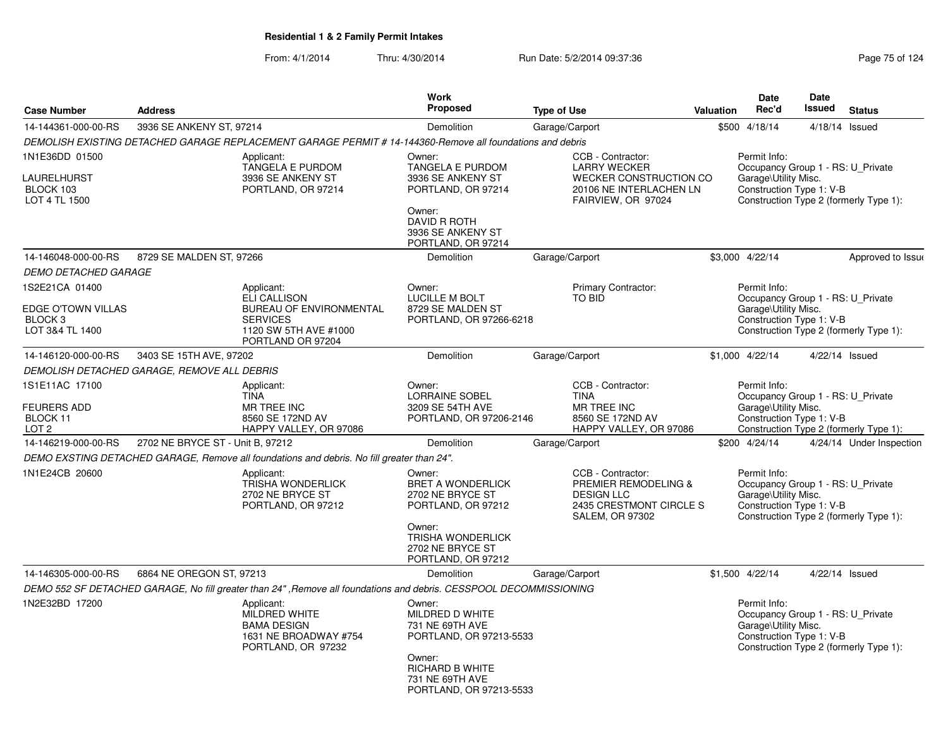|                                                                      |                                             |                                                                                                                               | <b>Work</b>                                                                                                                                               |                                                                                                                            |           | Date                                                                                                  | <b>Date</b>   |                                        |
|----------------------------------------------------------------------|---------------------------------------------|-------------------------------------------------------------------------------------------------------------------------------|-----------------------------------------------------------------------------------------------------------------------------------------------------------|----------------------------------------------------------------------------------------------------------------------------|-----------|-------------------------------------------------------------------------------------------------------|---------------|----------------------------------------|
| <b>Case Number</b>                                                   | <b>Address</b>                              |                                                                                                                               | <b>Proposed</b>                                                                                                                                           | <b>Type of Use</b>                                                                                                         | Valuation | Rec'd                                                                                                 | <b>Issued</b> | <b>Status</b>                          |
| 14-144361-000-00-RS                                                  | 3936 SE ANKENY ST, 97214                    |                                                                                                                               | Demolition                                                                                                                                                | Garage/Carport                                                                                                             |           | \$500 4/18/14                                                                                         |               | 4/18/14 Issued                         |
|                                                                      |                                             | DEMOLISH EXISTING DETACHED GARAGE REPLACEMENT GARAGE PERMIT # 14-144360-Remove all foundations and debris                     |                                                                                                                                                           |                                                                                                                            |           |                                                                                                       |               |                                        |
| 1N1E36DD 01500<br><b>LAURELHURST</b><br>BLOCK 103<br>LOT 4 TL 1500   |                                             | Applicant:<br>TANGELA E PURDOM<br>3936 SE ANKENY ST<br>PORTLAND, OR 97214                                                     | Owner:<br><b>TANGELA E PURDOM</b><br>3936 SE ANKENY ST<br>PORTLAND, OR 97214<br>Owner:<br><b>DAVID R ROTH</b><br>3936 SE ANKENY ST<br>PORTLAND, OR 97214  | CCB - Contractor:<br><b>LARRY WECKER</b><br><b>WECKER CONSTRUCTION CO</b><br>20106 NE INTERLACHEN LN<br>FAIRVIEW, OR 97024 |           | Permit Info:<br>Occupancy Group 1 - RS: U Private<br>Garage\Utility Misc.<br>Construction Type 1: V-B |               | Construction Type 2 (formerly Type 1): |
| 14-146048-000-00-RS                                                  | 8729 SE MALDEN ST, 97266                    |                                                                                                                               | Demolition                                                                                                                                                | Garage/Carport                                                                                                             |           | \$3,000 4/22/14                                                                                       |               | Approved to Issue                      |
| <b>DEMO DETACHED GARAGE</b>                                          |                                             |                                                                                                                               |                                                                                                                                                           |                                                                                                                            |           |                                                                                                       |               |                                        |
| 1S2E21CA 01400<br>EDGE O'TOWN VILLAS<br>BLOCK 3<br>LOT 3&4 TL 1400   |                                             | Applicant:<br><b>ELI CALLISON</b><br>BUREAU OF ENVIRONMENTAL<br><b>SERVICES</b><br>1120 SW 5TH AVE #1000<br>PORTLAND OR 97204 | Owner:<br>LUCILLE M BOLT<br>8729 SE MALDEN ST<br>PORTLAND, OR 97266-6218                                                                                  | Primary Contractor:<br><b>TO BID</b>                                                                                       |           | Permit Info:<br>Occupancy Group 1 - RS: U Private<br>Garage\Utility Misc.<br>Construction Type 1: V-B |               | Construction Type 2 (formerly Type 1): |
| 14-146120-000-00-RS                                                  | 3403 SE 15TH AVE, 97202                     |                                                                                                                               | Demolition                                                                                                                                                | Garage/Carport                                                                                                             |           | \$1,000 4/22/14                                                                                       |               | 4/22/14 Issued                         |
|                                                                      | DEMOLISH DETACHED GARAGE, REMOVE ALL DEBRIS |                                                                                                                               |                                                                                                                                                           |                                                                                                                            |           |                                                                                                       |               |                                        |
| 1S1E11AC 17100<br><b>FEURERS ADD</b><br>BLOCK 11<br>LOT <sub>2</sub> |                                             | Applicant:<br><b>TINA</b><br><b>MR TREE INC</b><br>8560 SE 172ND AV<br>HAPPY VALLEY, OR 97086                                 | Owner:<br><b>LORRAINE SOBEL</b><br>3209 SE 54TH AVE<br>PORTLAND, OR 97206-2146                                                                            | CCB - Contractor:<br><b>TINA</b><br><b>MR TREE INC</b><br>8560 SE 172ND AV<br>HAPPY VALLEY, OR 97086                       |           | Permit Info:<br>Occupancy Group 1 - RS: U Private<br>Garage\Utility Misc.<br>Construction Type 1: V-B |               | Construction Type 2 (formerly Type 1): |
| 14-146219-000-00-RS                                                  | 2702 NE BRYCE ST - Unit B, 97212            |                                                                                                                               | <b>Demolition</b>                                                                                                                                         | Garage/Carport                                                                                                             |           | \$200 4/24/14                                                                                         |               | 4/24/14 Under Inspection               |
|                                                                      |                                             | DEMO EXSTING DETACHED GARAGE, Remove all foundations and debris. No fill greater than 24".                                    |                                                                                                                                                           |                                                                                                                            |           |                                                                                                       |               |                                        |
| 1N1E24CB 20600                                                       |                                             | Applicant:<br>TRISHA WONDERLICK<br>2702 NE BRYCE ST<br>PORTLAND, OR 97212                                                     | Owner:<br>BRET A WONDERLICK<br>2702 NE BRYCE ST<br>PORTLAND, OR 97212<br>Owner:<br><b>TRISHA WONDERLICK</b><br>2702 NE BRYCE ST<br>PORTLAND, OR 97212     | CCB - Contractor:<br>PREMIER REMODELING &<br><b>DESIGN LLC</b><br>2435 CRESTMONT CIRCLE S<br><b>SALEM, OR 97302</b>        |           | Permit Info:<br>Occupancy Group 1 - RS: U Private<br>Garage\Utility Misc.<br>Construction Type 1: V-B |               | Construction Type 2 (formerly Type 1): |
| 14-146305-000-00-RS                                                  | 6864 NE OREGON ST, 97213                    |                                                                                                                               | <b>Demolition</b>                                                                                                                                         | Garage/Carport                                                                                                             |           | \$1,500 4/22/14                                                                                       |               | $4/22/14$ Issued                       |
|                                                                      |                                             | DEMO 552 SF DETACHED GARAGE, No fill greater than 24", Remove all foundations and debris. CESSPOOL DECOMMISSIONING            |                                                                                                                                                           |                                                                                                                            |           |                                                                                                       |               |                                        |
| 1N2E32BD 17200                                                       |                                             | Applicant:<br>MILDRED WHITE<br><b>BAMA DESIGN</b><br>1631 NE BROADWAY #754<br>PORTLAND, OR 97232                              | Owner:<br>MILDRED D WHITE<br>731 NE 69TH AVE<br>PORTLAND, OR 97213-5533<br>Owner:<br><b>RICHARD B WHITE</b><br>731 NE 69TH AVE<br>PORTLAND, OR 97213-5533 |                                                                                                                            |           | Permit Info:<br>Occupancy Group 1 - RS: U_Private<br>Garage\Utility Misc.<br>Construction Type 1: V-B |               | Construction Type 2 (formerly Type 1): |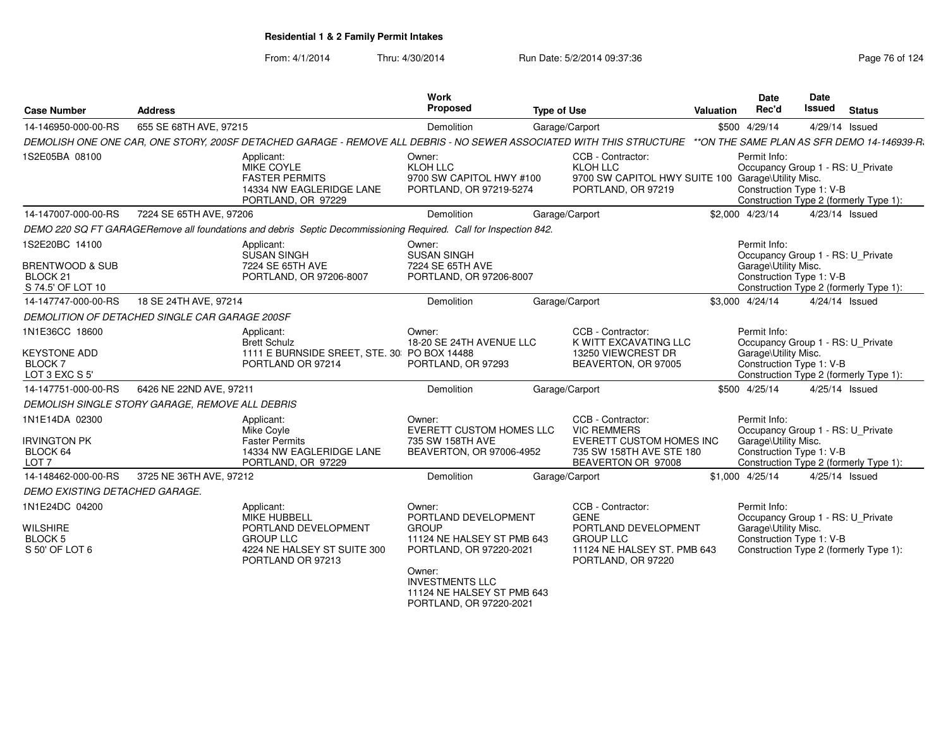| <b>Case Number</b>                                                                       | <b>Address</b>          |                                                                                                                                   | Work<br>Proposed                                                                                                                            | <b>Type of Use</b> |                                                                                                                                   | <b>Valuation</b> | Date<br>Rec'd                                                                                         | <b>Date</b><br><b>Issued</b> | <b>Status</b>                               |
|------------------------------------------------------------------------------------------|-------------------------|-----------------------------------------------------------------------------------------------------------------------------------|---------------------------------------------------------------------------------------------------------------------------------------------|--------------------|-----------------------------------------------------------------------------------------------------------------------------------|------------------|-------------------------------------------------------------------------------------------------------|------------------------------|---------------------------------------------|
| 14-146950-000-00-RS                                                                      | 655 SE 68TH AVE, 97215  |                                                                                                                                   | Demolition                                                                                                                                  |                    | Garage/Carport                                                                                                                    |                  | \$500 4/29/14                                                                                         | 4/29/14 Issued               |                                             |
|                                                                                          |                         | DEMOLISH ONE ONE CAR, ONE STORY, 200SF DETACHED GARAGE - REMOVE ALL DEBRIS - NO SEWER ASSOCIATED WITH THIS STRUCTURE              |                                                                                                                                             |                    |                                                                                                                                   |                  |                                                                                                       |                              | **ON THE SAME PLAN AS SFR DEMO 14-146939-R. |
| 1S2E05BA 08100                                                                           |                         | Applicant:<br><b>MIKE COYLE</b><br><b>FASTER PERMITS</b><br>14334 NW EAGLERIDGE LANE<br>PORTLAND, OR 97229                        | Owner:<br>KLOH LLC<br>9700 SW CAPITOL HWY #100<br>PORTLAND, OR 97219-5274                                                                   |                    | CCB - Contractor:<br>KLOH LLC<br>9700 SW CAPITOL HWY SUITE 100 Garage\Utility Misc.<br>PORTLAND, OR 97219                         |                  | Permit Info:<br>Occupancy Group 1 - RS: U_Private<br>Construction Type 1: V-B                         |                              | Construction Type 2 (formerly Type 1):      |
| 14-147007-000-00-RS                                                                      | 7224 SE 65TH AVE, 97206 |                                                                                                                                   | Demolition                                                                                                                                  |                    | Garage/Carport                                                                                                                    |                  | \$2,000 4/23/14                                                                                       | 4/23/14 Issued               |                                             |
|                                                                                          |                         | DEMO 220 SQ FT GARAGERemove all foundations and debris Septic Decommissioning Required. Call for Inspection 842.                  |                                                                                                                                             |                    |                                                                                                                                   |                  |                                                                                                       |                              |                                             |
| 1S2E20BC 14100<br><b>BRENTWOOD &amp; SUB</b><br>BLOCK <sub>21</sub><br>S 74.5' OF LOT 10 |                         | Applicant:<br><b>SUSAN SINGH</b><br>7224 SE 65TH AVE<br>PORTLAND, OR 97206-8007                                                   | Owner:<br><b>SUSAN SINGH</b><br>7224 SE 65TH AVE<br>PORTLAND, OR 97206-8007                                                                 |                    |                                                                                                                                   |                  | Permit Info:<br>Occupancy Group 1 - RS: U Private<br>Garage\Utility Misc.<br>Construction Type 1: V-B |                              | Construction Type 2 (formerly Type 1):      |
| 14-147747-000-00-RS                                                                      | 18 SE 24TH AVE, 97214   |                                                                                                                                   | Demolition                                                                                                                                  |                    | Garage/Carport                                                                                                                    |                  | \$3,000 4/24/14                                                                                       | 4/24/14 Issued               |                                             |
| DEMOLITION OF DETACHED SINGLE CAR GARAGE 200SF                                           |                         |                                                                                                                                   |                                                                                                                                             |                    |                                                                                                                                   |                  |                                                                                                       |                              |                                             |
| 1N1E36CC 18600<br><b>KEYSTONE ADD</b><br><b>BLOCK7</b><br>LOT 3 EXC S 5'                 |                         | Applicant:<br><b>Brett Schulz</b><br>1111 E BURNSIDE SREET, STE. 30: PO BOX 14488<br>PORTLAND OR 97214                            | Owner:<br>18-20 SE 24TH AVENUE LLC<br>PORTLAND, OR 97293                                                                                    |                    | CCB - Contractor:<br>K WITT EXCAVATING LLC<br>13250 VIEWCREST DR<br>BEAVERTON, OR 97005                                           |                  | Permit Info:<br>Occupancy Group 1 - RS: U_Private<br>Garage\Utility Misc.<br>Construction Type 1: V-B |                              | Construction Type 2 (formerly Type 1):      |
| 14-147751-000-00-RS                                                                      | 6426 NE 22ND AVE, 97211 |                                                                                                                                   | Demolition                                                                                                                                  | Garage/Carport     |                                                                                                                                   |                  | \$500 4/25/14                                                                                         | 4/25/14 Issued               |                                             |
| DEMOLISH SINGLE STORY GARAGE, REMOVE ALL DEBRIS                                          |                         |                                                                                                                                   |                                                                                                                                             |                    |                                                                                                                                   |                  |                                                                                                       |                              |                                             |
| 1N1E14DA 02300<br><b>IRVINGTON PK</b><br>BLOCK 64<br>LOT <sub>7</sub>                    |                         | Applicant:<br>Mike Covle<br><b>Faster Permits</b><br>14334 NW EAGLERIDGE LANE<br>PORTLAND, OR 97229                               | Owner:<br><b>EVERETT CUSTOM HOMES LLC</b><br>735 SW 158TH AVE<br>BEAVERTON, OR 97006-4952                                                   |                    | CCB - Contractor:<br><b>VIC REMMERS</b><br>EVERETT CUSTOM HOMES INC<br>735 SW 158TH AVE STE 180<br>BEAVERTON OR 97008             |                  | Permit Info:<br>Occupancy Group 1 - RS: U_Private<br>Garage\Utility Misc.<br>Construction Type 1: V-B |                              | Construction Type 2 (formerly Type 1):      |
| 14-148462-000-00-RS                                                                      | 3725 NE 36TH AVE, 97212 |                                                                                                                                   | Demolition                                                                                                                                  |                    | Garage/Carport                                                                                                                    |                  | \$1,000 4/25/14                                                                                       | 4/25/14 Issued               |                                             |
| DEMO EXISTING DETACHED GARAGE.                                                           |                         |                                                                                                                                   |                                                                                                                                             |                    |                                                                                                                                   |                  |                                                                                                       |                              |                                             |
| 1N1E24DC 04200<br><b>WILSHIRE</b><br><b>BLOCK 5</b><br>S 50' OF LOT 6                    |                         | Applicant:<br><b>MIKE HUBBELL</b><br>PORTLAND DEVELOPMENT<br><b>GROUP LLC</b><br>4224 NE HALSEY ST SUITE 300<br>PORTLAND OR 97213 | Owner:<br>PORTLAND DEVELOPMENT<br><b>GROUP</b><br>11124 NE HALSEY ST PMB 643<br>PORTLAND, OR 97220-2021<br>Owner:<br><b>INVESTMENTS LLC</b> |                    | CCB - Contractor:<br><b>GENE</b><br>PORTLAND DEVELOPMENT<br><b>GROUP LLC</b><br>11124 NE HALSEY ST. PMB 643<br>PORTLAND, OR 97220 |                  | Permit Info:<br>Occupancy Group 1 - RS: U Private<br>Garage\Utility Misc.<br>Construction Type 1: V-B |                              | Construction Type 2 (formerly Type 1):      |
|                                                                                          |                         |                                                                                                                                   | 11124 NE HALSEY ST PMB 643<br>PORTLAND, OR 97220-2021                                                                                       |                    |                                                                                                                                   |                  |                                                                                                       |                              |                                             |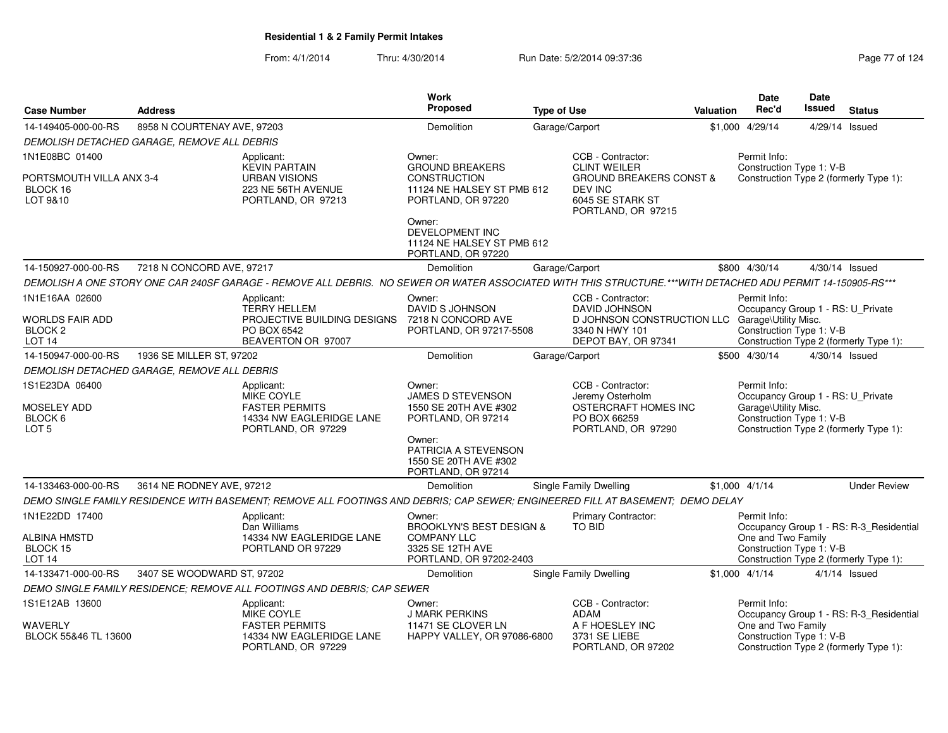|                                                                     |                                             |                                                                                                                                                             | <b>Work</b>                                                                                                  |                                                                             |                                                 | <b>Date</b>                                                                                             | Date           |                                         |
|---------------------------------------------------------------------|---------------------------------------------|-------------------------------------------------------------------------------------------------------------------------------------------------------------|--------------------------------------------------------------------------------------------------------------|-----------------------------------------------------------------------------|-------------------------------------------------|---------------------------------------------------------------------------------------------------------|----------------|-----------------------------------------|
| <b>Case Number</b>                                                  | <b>Address</b>                              |                                                                                                                                                             | Proposed                                                                                                     | <b>Type of Use</b>                                                          |                                                 | <b>Issued</b><br>Rec'd<br><b>Status</b><br><b>Valuation</b>                                             |                |                                         |
| 14-149405-000-00-RS                                                 | 8958 N COURTENAY AVE, 97203                 |                                                                                                                                                             | Demolition                                                                                                   | Garage/Carport                                                              |                                                 | \$1,000 4/29/14                                                                                         | 4/29/14 Issued |                                         |
|                                                                     | DEMOLISH DETACHED GARAGE, REMOVE ALL DEBRIS |                                                                                                                                                             |                                                                                                              |                                                                             |                                                 |                                                                                                         |                |                                         |
| 1N1E08BC 01400                                                      |                                             | Applicant:<br><b>KEVIN PARTAIN</b>                                                                                                                          | Owner:<br><b>GROUND BREAKERS</b>                                                                             | CCB - Contractor:<br><b>CLINT WEILER</b>                                    |                                                 | Permit Info:<br>Construction Type 1: V-B                                                                |                |                                         |
| PORTSMOUTH VILLA ANX 3-4<br>BLOCK 16<br>LOT 9&10                    |                                             | <b>URBAN VISIONS</b><br>223 NE 56TH AVENUE<br>PORTLAND, OR 97213                                                                                            | <b>CONSTRUCTION</b><br>11124 NE HALSEY ST PMB 612<br>PORTLAND, OR 97220                                      | <b>DEV INC</b><br>6045 SE STARK ST<br>PORTLAND, OR 97215                    | <b>GROUND BREAKERS CONST &amp;</b>              | Construction Type 2 (formerly Type 1):                                                                  |                |                                         |
|                                                                     |                                             |                                                                                                                                                             | Owner:<br>DEVELOPMENT INC<br>11124 NE HALSEY ST PMB 612<br>PORTLAND, OR 97220                                |                                                                             |                                                 |                                                                                                         |                |                                         |
| 14-150927-000-00-RS                                                 | 7218 N CONCORD AVE, 97217                   |                                                                                                                                                             | Demolition                                                                                                   | Garage/Carport                                                              |                                                 | \$800 4/30/14                                                                                           | 4/30/14 Issued |                                         |
|                                                                     |                                             | DEMOLISH A ONE STORY ONE CAR 240SF GARAGE - REMOVE ALL DEBRIS. NO SEWER OR WATER ASSOCIATED WITH THIS STRUCTURE.***WITH DETACHED ADU PERMIT 14-150905-RS*** |                                                                                                              |                                                                             |                                                 |                                                                                                         |                |                                         |
| 1N1E16AA 02600                                                      |                                             | Applicant:                                                                                                                                                  | Owner:                                                                                                       | CCB - Contractor:                                                           |                                                 | Permit Info:                                                                                            |                |                                         |
| WORLDS FAIR ADD<br>BLOCK <sub>2</sub><br><b>LOT 14</b>              |                                             | <b>TERRY HELLEM</b><br>PROJECTIVE BUILDING DESIGNS<br>PO BOX 6542<br>BEAVERTON OR 97007                                                                     | DAVID S JOHNSON<br>7218 N CONCORD AVE<br>PORTLAND, OR 97217-5508                                             | DAVID JOHNSON<br>3340 N HWY 101<br>DEPOT BAY, OR 97341                      | D JOHNSON CONSTRUCTION LLC Garage\Utility Misc. | Occupancy Group 1 - RS: U_Private<br>Construction Type 1: V-B<br>Construction Type 2 (formerly Type 1): |                |                                         |
| 14-150947-000-00-RS                                                 | 1936 SE MILLER ST, 97202                    |                                                                                                                                                             | Demolition                                                                                                   | Garage/Carport                                                              |                                                 | \$500 4/30/14                                                                                           | 4/30/14 Issued |                                         |
|                                                                     | DEMOLISH DETACHED GARAGE, REMOVE ALL DEBRIS |                                                                                                                                                             |                                                                                                              |                                                                             |                                                 |                                                                                                         |                |                                         |
| 1S1E23DA 06400<br><b>MOSELEY ADD</b><br>BLOCK 6<br>LOT <sub>5</sub> |                                             | Applicant:<br>MIKE COYLE<br><b>FASTER PERMITS</b><br>14334 NW EAGLERIDGE LANE<br>PORTLAND, OR 97229                                                         | Owner:<br>JAMES D STEVENSON<br>1550 SE 20TH AVE #302<br>PORTLAND, OR 97214<br>Owner:<br>PATRICIA A STEVENSON | CCB - Contractor:<br>Jeremy Osterholm<br>PO BOX 66259<br>PORTLAND, OR 97290 | OSTERCRAFT HOMES INC                            | Permit Info:<br>Occupancy Group 1 - RS: U_Private<br>Garage\Utility Misc.<br>Construction Type 1: V-B   |                | Construction Type 2 (formerly Type 1):  |
|                                                                     |                                             |                                                                                                                                                             | 1550 SE 20TH AVE #302<br>PORTLAND, OR 97214                                                                  |                                                                             |                                                 |                                                                                                         |                |                                         |
| 14-133463-000-00-RS                                                 | 3614 NE RODNEY AVE, 97212                   |                                                                                                                                                             | Demolition                                                                                                   | Single Family Dwelling                                                      |                                                 | $$1.000$ 4/1/14                                                                                         |                | <b>Under Review</b>                     |
|                                                                     |                                             | DEMO SINGLE FAMILY RESIDENCE WITH BASEMENT; REMOVE ALL FOOTINGS AND DEBRIS; CAP SEWER; ENGINEERED FILL AT BASEMENT; DEMO DELAY                              |                                                                                                              |                                                                             |                                                 |                                                                                                         |                |                                         |
| 1N1E22DD 17400                                                      |                                             | Applicant:<br>Dan Williams                                                                                                                                  | Owner:<br>BROOKLYN'S BEST DESIGN &                                                                           | Primary Contractor:<br>TO BID                                               |                                                 | Permit Info:                                                                                            |                | Occupancy Group 1 - RS: R-3_Residential |
| ALBINA HMSTD<br>BLOCK 15<br>LOT <sub>14</sub>                       |                                             | 14334 NW EAGLERIDGE LANE<br>PORTLAND OR 97229                                                                                                               | <b>COMPANY LLC</b><br>3325 SE 12TH AVE<br>PORTLAND, OR 97202-2403                                            |                                                                             |                                                 | One and Two Family<br>Construction Type 1: V-B                                                          |                | Construction Type 2 (formerly Type 1):  |
| 14-133471-000-00-RS                                                 | 3407 SE WOODWARD ST, 97202                  |                                                                                                                                                             | Demolition                                                                                                   | <b>Single Family Dwelling</b>                                               |                                                 | $$1.000$ 4/1/14                                                                                         |                | $4/1/14$ Issued                         |
|                                                                     |                                             | DEMO SINGLE FAMILY RESIDENCE; REMOVE ALL FOOTINGS AND DEBRIS; CAP SEWER                                                                                     |                                                                                                              |                                                                             |                                                 |                                                                                                         |                |                                         |
| 1S1E12AB 13600                                                      |                                             | Applicant:<br>MIKE COYLE                                                                                                                                    | Owner:<br><b>J MARK PERKINS</b>                                                                              | CCB - Contractor:<br>ADAM                                                   |                                                 | Permit Info:                                                                                            |                | Occupancy Group 1 - RS: R-3_Residential |
| WAVERLY<br>BLOCK 55&46 TL 13600                                     |                                             | <b>FASTER PERMITS</b><br>14334 NW EAGLERIDGE LANE<br>PORTLAND, OR 97229                                                                                     | 11471 SE CLOVER LN<br>HAPPY VALLEY, OR 97086-6800                                                            | A F HOESLEY INC<br>3731 SE LIEBE<br>PORTLAND, OR 97202                      |                                                 | One and Two Family<br>Construction Type 1: V-B                                                          |                | Construction Type 2 (formerly Type 1):  |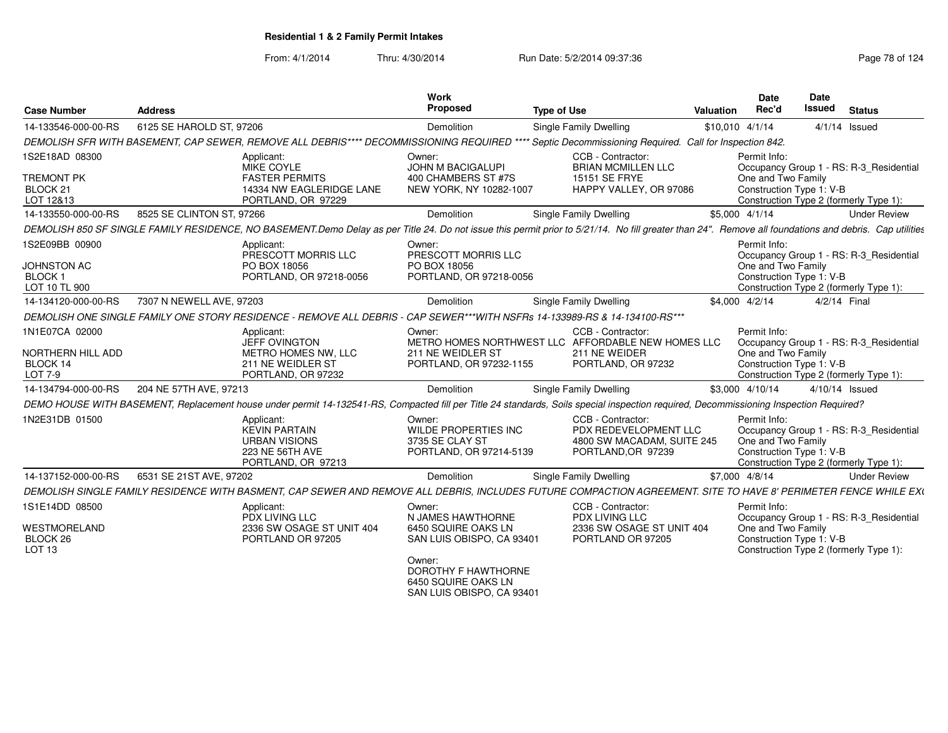From: 4/1/2014

| <b>Case Number</b>                                                      | <b>Address</b>                                                                                                                                                                                         | <b>Work</b><br>Proposed                                                                  | <b>Type of Use</b>                                                                                             | Valuation       | <b>Date</b><br>Rec'd                                                                                     | <b>Date</b><br><b>Issued</b> | <b>Status</b>                                                                     |
|-------------------------------------------------------------------------|--------------------------------------------------------------------------------------------------------------------------------------------------------------------------------------------------------|------------------------------------------------------------------------------------------|----------------------------------------------------------------------------------------------------------------|-----------------|----------------------------------------------------------------------------------------------------------|------------------------------|-----------------------------------------------------------------------------------|
| 14-133546-000-00-RS                                                     | 6125 SE HAROLD ST, 97206                                                                                                                                                                               | Demolition                                                                               | Single Family Dwelling                                                                                         | \$10,010 4/1/14 |                                                                                                          | $4/1/14$ Issued              |                                                                                   |
|                                                                         | DEMOLISH SFR WITH BASEMENT, CAP SEWER, REMOVE ALL DEBRIS**** DECOMMISSIONING REQUIRED **** Septic Decommissioning Required. Call for Inspection 842.                                                   |                                                                                          |                                                                                                                |                 |                                                                                                          |                              |                                                                                   |
| 1S2E18AD 08300<br><b>TREMONT PK</b><br>BLOCK <sub>21</sub><br>LOT 12&13 | Applicant:<br><b>MIKE COYLE</b><br><b>FASTER PERMITS</b><br>14334 NW EAGLERIDGE LANE<br>PORTLAND, OR 97229                                                                                             | Owner:<br><b>JOHN M BACIGALUPI</b><br>400 CHAMBERS ST #7S<br>NEW YORK, NY 10282-1007     | CCB - Contractor:<br><b>BRIAN MCMILLEN LLC</b><br>15151 SE FRYE<br>HAPPY VALLEY, OR 97086                      |                 | Permit Info:<br>One and Two Family<br>Construction Type 1: V-B                                           |                              | Occupancy Group 1 - RS: R-3_Residential<br>Construction Type 2 (formerly Type 1): |
| 14-133550-000-00-RS                                                     | 8525 SE CLINTON ST, 97266                                                                                                                                                                              | Demolition                                                                               | Single Family Dwelling                                                                                         | \$5,000 4/1/14  |                                                                                                          |                              | <b>Under Review</b>                                                               |
|                                                                         | DEMOLISH 850 SF SINGLE FAMILY RESIDENCE, NO BASEMENT.Demo Delay as per Title 24. Do not issue this permit prior to 5/21/14. No fill greater than 24". Remove all foundations and debris. Cap utilities |                                                                                          |                                                                                                                |                 |                                                                                                          |                              |                                                                                   |
| 1S2E09BB 00900<br><b>JOHNSTON AC</b><br><b>BLOCK1</b><br>LOT 10 TL 900  | Applicant:<br>PRESCOTT MORRIS LLC<br>PO BOX 18056<br>PORTLAND, OR 97218-0056                                                                                                                           | Owner:<br>PRESCOTT MORRIS LLC<br>PO BOX 18056<br>PORTLAND, OR 97218-0056                 |                                                                                                                |                 | Permit Info:<br>One and Two Family<br>Construction Type 1: V-B                                           |                              | Occupancy Group 1 - RS: R-3 Residential<br>Construction Type 2 (formerly Type 1): |
| 14-134120-000-00-RS                                                     | 7307 N NEWELL AVE, 97203                                                                                                                                                                               | Demolition                                                                               | <b>Single Family Dwelling</b>                                                                                  | \$4,000 4/2/14  |                                                                                                          | 4/2/14 Final                 |                                                                                   |
|                                                                         | DEMOLISH ONE SINGLE FAMILY ONE STORY RESIDENCE - REMOVE ALL DEBRIS - CAP SEWER***WITH NSFRs 14-133989-RS & 14-134100-RS***                                                                             |                                                                                          |                                                                                                                |                 |                                                                                                          |                              |                                                                                   |
| 1N1E07CA 02000<br><b>NORTHERN HILL ADD</b><br>BLOCK 14<br>LOT 7-9       | Applicant:<br><b>JEFF OVINGTON</b><br>METRO HOMES NW, LLC<br>211 NE WEIDLER ST<br>PORTLAND, OR 97232                                                                                                   | Owner:<br>211 NE WEIDLER ST<br>PORTLAND, OR 97232-1155                                   | CCB - Contractor:<br>METRO HOMES NORTHWEST LLC AFFORDABLE NEW HOMES LLC<br>211 NE WEIDER<br>PORTLAND, OR 97232 |                 | Permit Info:<br>One and Two Family<br>Construction Type 1: V-B                                           |                              | Occupancy Group 1 - RS: R-3 Residential<br>Construction Type 2 (formerly Type 1): |
| 14-134794-000-00-RS                                                     | 204 NE 57TH AVE, 97213                                                                                                                                                                                 | Demolition                                                                               | Single Family Dwelling                                                                                         | \$3,000 4/10/14 |                                                                                                          | 4/10/14 Issued               |                                                                                   |
|                                                                         | DEMO HOUSE WITH BASEMENT, Replacement house under permit 14-132541-RS, Compacted fill per Title 24 standards, Soils special inspection required, Decommissioning Inspection Required?                  |                                                                                          |                                                                                                                |                 |                                                                                                          |                              |                                                                                   |
| 1N2E31DB 01500                                                          | Applicant:<br><b>KEVIN PARTAIN</b><br><b>URBAN VISIONS</b><br>223 NE 56TH AVE<br>PORTLAND, OR 97213                                                                                                    | Owner:<br>WILDE PROPERTIES INC<br>3735 SE CLAY ST<br>PORTLAND, OR 97214-5139             | CCB - Contractor:<br>PDX REDEVELOPMENT LLC<br>4800 SW MACADAM, SUITE 245<br>PORTLAND, OR 97239                 |                 | Permit Info:<br>One and Two Family<br>Construction Type 1: V-B                                           |                              | Occupancy Group 1 - RS: R-3_Residential<br>Construction Type 2 (formerly Type 1): |
| 14-137152-000-00-RS                                                     | 6531 SE 21ST AVE, 97202                                                                                                                                                                                | Demolition                                                                               | Single Family Dwelling                                                                                         | \$7,000 4/8/14  |                                                                                                          |                              | <b>Under Review</b>                                                               |
|                                                                         | DEMOLISH SINGLE FAMILY RESIDENCE WITH BASMENT, CAP SEWER AND REMOVE ALL DEBRIS, INCLUDES FUTURE COMPACTION AGREEMENT. SITE TO HAVE 8' PERIMETER FENCE WHILE EX(                                        |                                                                                          |                                                                                                                |                 |                                                                                                          |                              |                                                                                   |
| 1S1E14DD 08500<br><b>WESTMORELAND</b><br>BLOCK 26<br>LOT <sub>13</sub>  | Applicant:<br>PDX LIVING LLC<br>2336 SW OSAGE ST UNIT 404<br>PORTLAND OR 97205                                                                                                                         | Owner:<br>N JAMES HAWTHORNE<br>6450 SQUIRE OAKS LN<br>SAN LUIS OBISPO, CA 93401          | CCB - Contractor:<br>PDX LIVING LLC<br>2336 SW OSAGE ST UNIT 404<br>PORTLAND OR 97205                          |                 | Permit Info:<br>One and Two Family<br>Construction Type 1: V-B<br>Construction Type 2 (formerly Type 1): |                              | Occupancy Group 1 - RS: R-3_Residential                                           |
|                                                                         |                                                                                                                                                                                                        | Owner:<br><b>DOROTHY F HAWTHORNE</b><br>6450 SQUIRE OAKS LN<br>SAN LUIS OBISPO, CA 93401 |                                                                                                                |                 |                                                                                                          |                              |                                                                                   |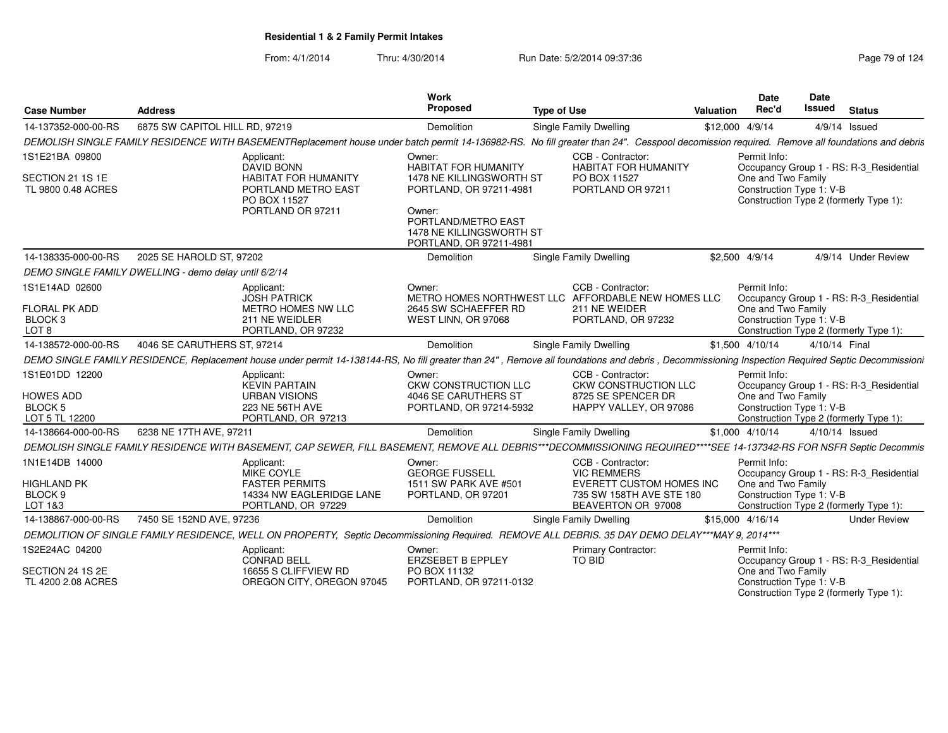From: 4/1/2014Thru: 4/30/2014 Run Date: 5/2/2014 09:37:36 Run Date: 5/2/2014 09:37:36

| <b>Case Number</b>                                  | <b>Address</b>                                                                                                                                                                                     | Work<br>Proposed                                                                     | <b>Type of Use</b>                                                      | Valuation | <b>Date</b><br>Rec'd                           | Date<br><b>Issued</b> | <b>Status</b>                           |
|-----------------------------------------------------|----------------------------------------------------------------------------------------------------------------------------------------------------------------------------------------------------|--------------------------------------------------------------------------------------|-------------------------------------------------------------------------|-----------|------------------------------------------------|-----------------------|-----------------------------------------|
| 14-137352-000-00-RS                                 | 6875 SW CAPITOL HILL RD, 97219                                                                                                                                                                     | Demolition                                                                           | Single Family Dwelling                                                  |           | \$12,000 4/9/14                                |                       | 4/9/14 Issued                           |
|                                                     | DEMOLISH SINGLE FAMILY RESIDENCE WITH BASEMENTReplacement house under batch permit 14-136982-RS. No fill greater than 24". Cesspool decomission required. Remove all foundations and debris        |                                                                                      |                                                                         |           |                                                |                       |                                         |
| 1S1E21BA 09800                                      | Applicant:<br>DAVID BONN                                                                                                                                                                           | Owner:<br><b>HABITAT FOR HUMANITY</b>                                                | CCB - Contractor:<br><b>HABITAT FOR HUMANITY</b>                        |           | Permit Info:                                   |                       | Occupancy Group 1 - RS: R-3_Residential |
| SECTION 21 1S 1E<br>TL 9800 0.48 ACRES              | <b>HABITAT FOR HUMANITY</b><br>PORTLAND METRO EAST<br>PO BOX 11527                                                                                                                                 | 1478 NE KILLINGSWORTH ST<br>PORTLAND, OR 97211-4981                                  | PO BOX 11527<br>PORTLAND OR 97211                                       |           | One and Two Family<br>Construction Type 1: V-B |                       | Construction Type 2 (formerly Type 1):  |
|                                                     | PORTLAND OR 97211                                                                                                                                                                                  | Owner:<br>PORTLAND/METRO EAST<br>1478 NE KILLINGSWORTH ST<br>PORTLAND, OR 97211-4981 |                                                                         |           |                                                |                       |                                         |
| 14-138335-000-00-RS                                 | 2025 SE HAROLD ST, 97202                                                                                                                                                                           | Demolition                                                                           | Single Family Dwelling                                                  |           | \$2,500 4/9/14                                 |                       | 4/9/14 Under Review                     |
|                                                     | DEMO SINGLE FAMILY DWELLING - demo delay until 6/2/14                                                                                                                                              |                                                                                      |                                                                         |           |                                                |                       |                                         |
| 1S1E14AD 02600                                      | Applicant:<br><b>JOSH PATRICK</b>                                                                                                                                                                  | Owner:                                                                               | CCB - Contractor:<br>METRO HOMES NORTHWEST LLC AFFORDABLE NEW HOMES LLC |           | Permit Info:                                   |                       | Occupancy Group 1 - RS: R-3 Residential |
| <b>FLORAL PK ADD</b><br>BLOCK <sub>3</sub><br>LOT 8 | METRO HOMES NW LLC<br>211 NE WEIDLER<br>PORTLAND, OR 97232                                                                                                                                         | 2645 SW SCHAEFFER RD<br>WEST LINN, OR 97068                                          | 211 NE WEIDER<br>PORTLAND, OR 97232                                     |           | One and Two Family<br>Construction Type 1: V-B |                       | Construction Type 2 (formerly Type 1):  |
| 14-138572-000-00-RS                                 | 4046 SE CARUTHERS ST, 97214                                                                                                                                                                        | Demolition                                                                           | <b>Single Family Dwelling</b>                                           |           | \$1,500 4/10/14                                | 4/10/14 Final         |                                         |
|                                                     | DEMO SINGLE FAMILY RESIDENCE, Replacement house under permit 14-138144-RS, No fill greater than 24", Remove all foundations and debris, Decommissioning Inspection Required Septic Decommissioning |                                                                                      |                                                                         |           |                                                |                       |                                         |
| 1S1E01DD 12200                                      | Applicant:<br><b>KEVIN PARTAIN</b>                                                                                                                                                                 | Owner:<br>CKW CONSTRUCTION LLC                                                       | CCB - Contractor:<br>CKW CONSTRUCTION LLC                               |           | Permit Info:                                   |                       | Occupancy Group 1 - RS: R-3 Residential |
| <b>HOWES ADD</b><br><b>BLOCK 5</b>                  | <b>URBAN VISIONS</b><br>223 NE 56TH AVE                                                                                                                                                            | 4046 SE CARUTHERS ST<br>PORTLAND, OR 97214-5932                                      | 8725 SE SPENCER DR<br>HAPPY VALLEY, OR 97086                            |           | One and Two Family<br>Construction Type 1: V-B |                       |                                         |
| LOT 5 TL 12200                                      | PORTLAND, OR 97213                                                                                                                                                                                 |                                                                                      |                                                                         |           |                                                |                       | Construction Type 2 (formerly Type 1):  |
| 14-138664-000-00-RS                                 | 6238 NE 17TH AVE, 97211                                                                                                                                                                            | Demolition                                                                           | Single Family Dwelling                                                  |           | \$1,000 4/10/14                                | 4/10/14 Issued        |                                         |
|                                                     | DEMOLISH SINGLE FAMILY RESIDENCE WITH BASEMENT, CAP SEWER, FILL BASEMENT, REMOVE ALL DEBRIS***DECOMMISSIONING REQUIRED****SEE 14-137342-RS FOR NSFR Septic Decommis                                |                                                                                      |                                                                         |           |                                                |                       |                                         |
| 1N1E14DB 14000                                      | Applicant:<br>MIKE COYLE                                                                                                                                                                           | Owner:<br><b>GEORGE FUSSELL</b>                                                      | CCB - Contractor:<br><b>VIC REMMERS</b>                                 |           | Permit Info:                                   |                       | Occupancy Group 1 - RS: R-3_Residential |
| <b>HIGHLAND PK</b><br>BLOCK <sub>9</sub>            | <b>FASTER PERMITS</b><br>14334 NW EAGLERIDGE LANE                                                                                                                                                  | 1511 SW PARK AVE #501<br>PORTLAND, OR 97201                                          | EVERETT CUSTOM HOMES INC<br>735 SW 158TH AVE STE 180                    |           | One and Two Family<br>Construction Type 1: V-B |                       |                                         |
| LOT 1&3                                             | PORTLAND, OR 97229                                                                                                                                                                                 |                                                                                      | BEAVERTON OR 97008                                                      |           |                                                |                       | Construction Type 2 (formerly Type 1):  |
| 14-138867-000-00-RS                                 | 7450 SE 152ND AVE, 97236                                                                                                                                                                           | Demolition                                                                           | Single Family Dwelling                                                  |           | \$15,000 4/16/14                               |                       | <b>Under Review</b>                     |
|                                                     | DEMOLITION OF SINGLE FAMILY RESIDENCE, WELL ON PROPERTY, Septic Decommissioning Required. REMOVE ALL DEBRIS. 35 DAY DEMO DELAY***MAY 9, 2014***                                                    |                                                                                      |                                                                         |           |                                                |                       |                                         |
| 1S2E24AC 04200                                      | Applicant:<br><b>CONRAD BELL</b>                                                                                                                                                                   | Owner:<br><b>ERZSEBET B EPPLEY</b>                                                   | <b>Primary Contractor:</b><br><b>TO BID</b>                             |           | Permit Info:                                   |                       | Occupancy Group 1 - RS: R-3 Residential |
| SECTION 24 1S 2E<br>TL 4200 2.08 ACRES              | 16655 S CLIFFVIEW RD<br>OREGON CITY, OREGON 97045                                                                                                                                                  | PO BOX 11132<br>PORTLAND, OR 97211-0132                                              |                                                                         |           | One and Two Family<br>Construction Type 1: V-B |                       |                                         |

Construction Type 1: V-B Construction Type 2 (formerly Type 1):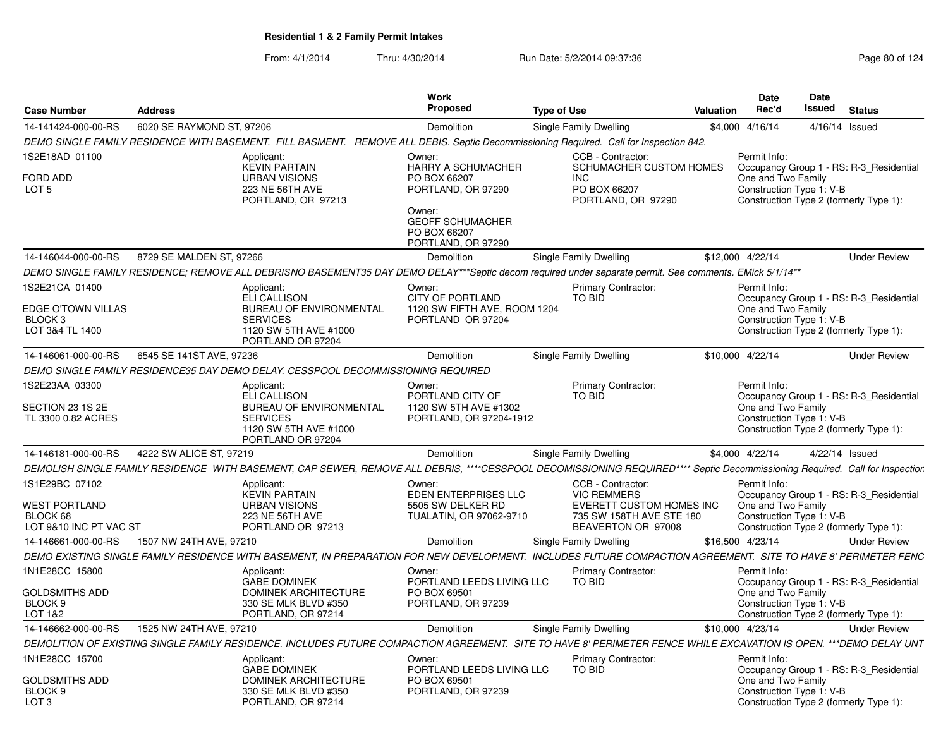| <b>Case Number</b>                                                            | <b>Address</b>            |                                                                                                                                                                              | Work<br>Proposed                                                                                                                    | <b>Type of Use</b> |                                                                                                                       | Valuation | <b>Date</b><br>Rec'd                                           | Date<br>Issued | <b>Status</b>                                                                     |
|-------------------------------------------------------------------------------|---------------------------|------------------------------------------------------------------------------------------------------------------------------------------------------------------------------|-------------------------------------------------------------------------------------------------------------------------------------|--------------------|-----------------------------------------------------------------------------------------------------------------------|-----------|----------------------------------------------------------------|----------------|-----------------------------------------------------------------------------------|
| 14-141424-000-00-RS                                                           | 6020 SE RAYMOND ST, 97206 |                                                                                                                                                                              | Demolition                                                                                                                          |                    | Single Family Dwelling                                                                                                |           | \$4,000 4/16/14                                                |                | 4/16/14 Issued                                                                    |
|                                                                               |                           | DEMO SINGLE FAMILY RESIDENCE WITH BASEMENT. FILL BASMENT. REMOVE ALL DEBIS. Septic Decommissioning Required. Call for Inspection 842.                                        |                                                                                                                                     |                    |                                                                                                                       |           |                                                                |                |                                                                                   |
| 1S2E18AD 01100                                                                |                           | Applicant:                                                                                                                                                                   | Owner:                                                                                                                              |                    | CCB - Contractor:                                                                                                     |           | Permit Info:                                                   |                |                                                                                   |
| FORD ADD<br>LOT <sub>5</sub>                                                  |                           | <b>KEVIN PARTAIN</b><br><b>URBAN VISIONS</b><br>223 NE 56TH AVE<br>PORTLAND, OR 97213                                                                                        | HARRY A SCHUMACHER<br>PO BOX 66207<br>PORTLAND, OR 97290<br>Owner:<br><b>GEOFF SCHUMACHER</b><br>PO BOX 66207<br>PORTLAND, OR 97290 |                    | SCHUMACHER CUSTOM HOMES<br>INC<br>PO BOX 66207<br>PORTLAND, OR 97290                                                  |           | One and Two Family<br>Construction Type 1: V-B                 |                | Occupancy Group 1 - RS: R-3 Residential<br>Construction Type 2 (formerly Type 1): |
| 14-146044-000-00-RS                                                           | 8729 SE MALDEN ST, 97266  |                                                                                                                                                                              | Demolition                                                                                                                          |                    | Single Family Dwelling                                                                                                |           | \$12,000 4/22/14                                               |                | <b>Under Review</b>                                                               |
|                                                                               |                           | DEMO SINGLE FAMILY RESIDENCE; REMOVE ALL DEBRISNO BASEMENT35 DAY DEMO DELAY***Septic decom required under separate permit. See comments. EMick 5/1/14**                      |                                                                                                                                     |                    |                                                                                                                       |           |                                                                |                |                                                                                   |
| 1S2E21CA 01400<br>EDGE O'TOWN VILLAS<br>BLOCK <sub>3</sub><br>LOT 3&4 TL 1400 |                           | Applicant:<br><b>ELI CALLISON</b><br>BUREAU OF ENVIRONMENTAL<br><b>SERVICES</b><br>1120 SW 5TH AVE #1000<br>PORTLAND OR 97204                                                | Owner:<br><b>CITY OF PORTLAND</b><br>1120 SW FIFTH AVE, ROOM 1204<br>PORTLAND OR 97204                                              |                    | Primary Contractor:<br>TO BID                                                                                         |           | Permit Info:<br>One and Two Family<br>Construction Type 1: V-B |                | Occupancy Group 1 - RS: R-3_Residential<br>Construction Type 2 (formerly Type 1): |
| 14-146061-000-00-RS                                                           | 6545 SE 141ST AVE, 97236  |                                                                                                                                                                              | Demolition                                                                                                                          |                    | Single Family Dwelling                                                                                                |           | \$10,000 4/22/14                                               |                | <b>Under Review</b>                                                               |
|                                                                               |                           | DEMO SINGLE FAMILY RESIDENCE35 DAY DEMO DELAY. CESSPOOL DECOMMISSIONING REQUIRED                                                                                             |                                                                                                                                     |                    |                                                                                                                       |           |                                                                |                |                                                                                   |
| 1S2E23AA 03300<br>SECTION 23 1S 2E<br>TL 3300 0.82 ACRES                      |                           | Applicant:<br>ELI CALLISON<br>BUREAU OF ENVIRONMENTAL<br><b>SERVICES</b><br>1120 SW 5TH AVE #1000<br>PORTLAND OR 97204                                                       | Owner:<br>PORTLAND CITY OF<br>1120 SW 5TH AVE #1302<br>PORTLAND, OR 97204-1912                                                      |                    | Primary Contractor:<br>TO BID                                                                                         |           | Permit Info:<br>One and Two Family<br>Construction Type 1: V-B |                | Occupancy Group 1 - RS: R-3 Residential<br>Construction Type 2 (formerly Type 1): |
| 14-146181-000-00-RS                                                           | 4222 SW ALICE ST, 97219   |                                                                                                                                                                              | Demolition                                                                                                                          |                    | <b>Single Family Dwelling</b>                                                                                         |           | \$4,000 4/22/14                                                |                | 4/22/14 Issued                                                                    |
|                                                                               |                           | DEMOLISH SINGLE FAMILY RESIDENCE WITH BASEMENT, CAP SEWER, REMOVE ALL DEBRIS, ****CESSPOOL DECOMISSIONING REQUIRED**** Septic Decommissioning Required. Call for Inspectior. |                                                                                                                                     |                    |                                                                                                                       |           |                                                                |                |                                                                                   |
| 1S1E29BC 07102<br>WEST PORTLAND<br>BLOCK 68<br>LOT 9&10 INC PT VAC ST         |                           | Applicant:<br><b>KEVIN PARTAIN</b><br><b>URBAN VISIONS</b><br>223 NE 56TH AVE<br>PORTLAND OR 97213                                                                           | Owner:<br><b>EDEN ENTERPRISES LLC</b><br>5505 SW DELKER RD<br>TUALATIN, OR 97062-9710                                               |                    | CCB - Contractor:<br><b>VIC REMMERS</b><br>EVERETT CUSTOM HOMES INC<br>735 SW 158TH AVE STE 180<br>BEAVERTON OR 97008 |           | Permit Info:<br>One and Two Family<br>Construction Type 1: V-B |                | Occupancy Group 1 - RS: R-3_Residential<br>Construction Type 2 (formerly Type 1): |
| 14-146661-000-00-RS                                                           | 1507 NW 24TH AVE, 97210   |                                                                                                                                                                              | Demolition                                                                                                                          |                    | <b>Single Family Dwelling</b>                                                                                         |           | \$16,500 4/23/14                                               |                | <b>Under Review</b>                                                               |
|                                                                               |                           | DEMO EXISTING SINGLE FAMILY RESIDENCE WITH BASEMENT, IN PREPARATION FOR NEW DEVELOPMENT. INCLUDES FUTURE COMPACTION AGREEMENT. SITE TO HAVE 8' PERIMETER FENC                |                                                                                                                                     |                    |                                                                                                                       |           |                                                                |                |                                                                                   |
| 1N1E28CC 15800<br>GOLDSMITHS ADD<br>BLOCK <sub>9</sub><br>LOT 1&2             |                           | Applicant:<br><b>GABE DOMINEK</b><br><b>DOMINEK ARCHITECTURE</b><br>330 SE MLK BLVD #350<br>PORTLAND, OR 97214                                                               | Owner:<br>PORTLAND LEEDS LIVING LLC<br>PO BOX 69501<br>PORTLAND, OR 97239                                                           |                    | Primary Contractor:<br>TO BID                                                                                         |           | Permit Info:<br>One and Two Family<br>Construction Type 1: V-B |                | Occupancy Group 1 - RS: R-3 Residential<br>Construction Type 2 (formerly Type 1): |
| 14-146662-000-00-RS                                                           | 1525 NW 24TH AVE, 97210   |                                                                                                                                                                              | Demolition                                                                                                                          |                    | Single Family Dwelling                                                                                                |           | \$10,000 4/23/14                                               |                | <b>Under Review</b>                                                               |
|                                                                               |                           | DEMOLITION OF EXISTING SINGLE FAMILY RESIDENCE. INCLUDES FUTURE COMPACTION AGREEMENT. SITE TO HAVE 8' PERIMETER FENCE WHILE EXCAVATION IS OPEN. ***DEMO DELAY UNT            |                                                                                                                                     |                    |                                                                                                                       |           |                                                                |                |                                                                                   |
| 1N1E28CC 15700<br><b>GOLDSMITHS ADD</b><br>BLOCK 9<br>LOT <sub>3</sub>        |                           | Applicant:<br><b>GABE DOMINEK</b><br>DOMINEK ARCHITECTURE<br>330 SE MLK BLVD #350<br>PORTLAND, OR 97214                                                                      | Owner:<br>PORTLAND LEEDS LIVING LLC<br>PO BOX 69501<br>PORTLAND, OR 97239                                                           |                    | <b>Primary Contractor:</b><br>TO BID                                                                                  |           | Permit Info:<br>One and Two Family<br>Construction Type 1: V-B |                | Occupancy Group 1 - RS: R-3 Residential<br>Construction Type 2 (formerly Type 1): |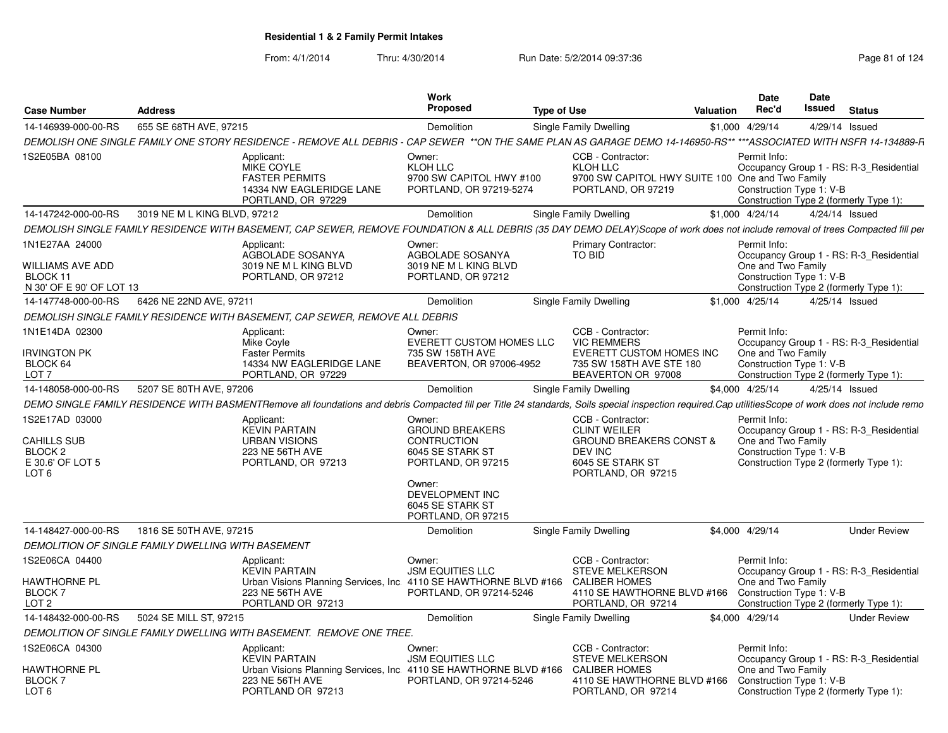|                                                                                                    |                                                    |                                                                                                                                                                                                       | <b>Work</b>                                                                                      |                    |                                                                                                                                     |                  | <b>Date</b>                                                    | Date   |                                                                                   |
|----------------------------------------------------------------------------------------------------|----------------------------------------------------|-------------------------------------------------------------------------------------------------------------------------------------------------------------------------------------------------------|--------------------------------------------------------------------------------------------------|--------------------|-------------------------------------------------------------------------------------------------------------------------------------|------------------|----------------------------------------------------------------|--------|-----------------------------------------------------------------------------------|
| <b>Case Number</b>                                                                                 | <b>Address</b>                                     |                                                                                                                                                                                                       | Proposed                                                                                         | <b>Type of Use</b> |                                                                                                                                     | <b>Valuation</b> | Rec'd                                                          | Issued | <b>Status</b>                                                                     |
| 14-146939-000-00-RS                                                                                | 655 SE 68TH AVE, 97215                             |                                                                                                                                                                                                       | Demolition                                                                                       |                    | Single Family Dwelling                                                                                                              |                  | \$1,000 4/29/14                                                |        | 4/29/14 Issued                                                                    |
|                                                                                                    |                                                    | DEMOLISH ONE SINGLE FAMILY ONE STORY RESIDENCE - REMOVE ALL DEBRIS - CAP SEWER **ON THE SAME PLAN AS GARAGE DEMO 14-146950-RS** ***ASSOCIATED WITH NSFR 14-134889-R                                   |                                                                                                  |                    |                                                                                                                                     |                  |                                                                |        |                                                                                   |
| 1S2E05BA 08100                                                                                     |                                                    | Applicant:<br>MIKE COYLE<br><b>FASTER PERMITS</b><br>14334 NW EAGLERIDGE LANE<br>PORTLAND, OR 97229                                                                                                   | Owner:<br>KLOH LLC<br>9700 SW CAPITOL HWY #100<br>PORTLAND, OR 97219-5274                        |                    | CCB - Contractor:<br>KLOH LLC<br>9700 SW CAPITOL HWY SUITE 100 One and Two Family<br>PORTLAND, OR 97219                             |                  | Permit Info:<br>Construction Type 1: V-B                       |        | Occupancy Group 1 - RS: R-3_Residential<br>Construction Type 2 (formerly Type 1): |
| 14-147242-000-00-RS                                                                                | 3019 NE M L KING BLVD, 97212                       |                                                                                                                                                                                                       | Demolition                                                                                       |                    | Single Family Dwelling                                                                                                              |                  | \$1,000 4/24/14                                                |        | 4/24/14 Issued                                                                    |
|                                                                                                    |                                                    | DEMOLISH SINGLE FAMILY RESIDENCE WITH BASEMENT, CAP SEWER, REMOVE FOUNDATION & ALL DEBRIS (35 DAY DEMO DELAY)Scope of work does not include removal of trees Compacted fill per                       |                                                                                                  |                    |                                                                                                                                     |                  |                                                                |        |                                                                                   |
| 1N1E27AA 24000<br>WILLIAMS AVE ADD<br>BLOCK 11                                                     |                                                    | Applicant:<br>AGBOLADE SOSANYA<br>3019 NE M L KING BLVD<br>PORTLAND, OR 97212                                                                                                                         | Owner:<br>AGBOLADE SOSANYA<br>3019 NE M L KING BLVD<br>PORTLAND, OR 97212                        |                    | <b>Primary Contractor:</b><br>TO BID                                                                                                |                  | Permit Info:<br>One and Two Family<br>Construction Type 1: V-B |        | Occupancy Group 1 - RS: R-3_Residential                                           |
| N 30' OF E 90' OF LOT 13                                                                           |                                                    |                                                                                                                                                                                                       |                                                                                                  |                    |                                                                                                                                     |                  |                                                                |        | Construction Type 2 (formerly Type 1):                                            |
| 14-147748-000-00-RS                                                                                | 6426 NE 22ND AVE, 97211                            |                                                                                                                                                                                                       | Demolition                                                                                       |                    | Single Family Dwelling                                                                                                              |                  | \$1,000 4/25/14                                                |        | 4/25/14 Issued                                                                    |
|                                                                                                    |                                                    | DEMOLISH SINGLE FAMILY RESIDENCE WITH BASEMENT, CAP SEWER, REMOVE ALL DEBRIS                                                                                                                          |                                                                                                  |                    |                                                                                                                                     |                  |                                                                |        |                                                                                   |
| 1N1E14DA 02300<br><b>IRVINGTON PK</b><br>BLOCK 64<br>LOT <sub>7</sub>                              |                                                    | Applicant:<br>Mike Coyle<br><b>Faster Permits</b><br>14334 NW EAGLERIDGE LANE<br>PORTLAND, OR 97229                                                                                                   | Owner:<br><b>EVERETT CUSTOM HOMES LLC</b><br>735 SW 158TH AVE<br>BEAVERTON, OR 97006-4952        |                    | CCB - Contractor:<br><b>VIC REMMERS</b><br><b>EVERETT CUSTOM HOMES INC</b><br>735 SW 158TH AVE STE 180<br>BEAVERTON OR 97008        |                  | Permit Info:<br>One and Two Family<br>Construction Type 1: V-B |        | Occupancy Group 1 - RS: R-3_Residential<br>Construction Type 2 (formerly Type 1): |
| 14-148058-000-00-RS                                                                                | 5207 SE 80TH AVE, 97206                            |                                                                                                                                                                                                       | Demolition                                                                                       |                    | Single Family Dwelling                                                                                                              |                  | \$4,000 4/25/14                                                |        | 4/25/14 Issued                                                                    |
|                                                                                                    |                                                    | DEMO SINGLE FAMILY RESIDENCE WITH BASMENTRemove all foundations and debris Compacted fill per Title 24 standards, Soils special inspection required.Cap utilities Scope of work does not include remo |                                                                                                  |                    |                                                                                                                                     |                  |                                                                |        |                                                                                   |
| 1S2E17AD 03000<br><b>CAHILLS SUB</b><br>BLOCK <sub>2</sub><br>E 30.6' OF LOT 5<br>LOT <sub>6</sub> |                                                    | Applicant:<br><b>KEVIN PARTAIN</b><br><b>URBAN VISIONS</b><br>223 NE 56TH AVE<br>PORTLAND, OR 97213                                                                                                   | Owner:<br><b>GROUND BREAKERS</b><br><b>CONTRUCTION</b><br>6045 SE STARK ST<br>PORTLAND, OR 97215 |                    | CCB - Contractor:<br><b>CLINT WEILER</b><br><b>GROUND BREAKERS CONST &amp;</b><br>DEV INC<br>6045 SE STARK ST<br>PORTLAND, OR 97215 |                  | Permit Info:<br>One and Two Family<br>Construction Type 1: V-B |        | Occupancy Group 1 - RS: R-3 Residential<br>Construction Type 2 (formerly Type 1): |
|                                                                                                    |                                                    |                                                                                                                                                                                                       | Owner:<br>DEVELOPMENT INC<br>6045 SE STARK ST<br>PORTLAND, OR 97215                              |                    |                                                                                                                                     |                  |                                                                |        |                                                                                   |
| 14-148427-000-00-RS                                                                                | 1816 SE 50TH AVE, 97215                            |                                                                                                                                                                                                       | <b>Demolition</b>                                                                                |                    | Single Family Dwelling                                                                                                              |                  | \$4,000 4/29/14                                                |        | <b>Under Review</b>                                                               |
|                                                                                                    | DEMOLITION OF SINGLE FAMILY DWELLING WITH BASEMENT |                                                                                                                                                                                                       |                                                                                                  |                    |                                                                                                                                     |                  |                                                                |        |                                                                                   |
| 1S2E06CA 04400<br>HAWTHORNE PL<br><b>BLOCK7</b><br>LOT <sub>2</sub>                                |                                                    | Applicant:<br><b>KEVIN PARTAIN</b><br>Urban Visions Planning Services, Inc. 4110 SE HAWTHORNE BLVD #166<br>223 NE 56TH AVE<br>PORTLAND OR 97213                                                       | Owner:<br><b>JSM EQUITIES LLC</b><br>PORTLAND, OR 97214-5246                                     |                    | CCB - Contractor:<br><b>STEVE MELKERSON</b><br><b>CALIBER HOMES</b><br>4110 SE HAWTHORNE BLVD #166<br>PORTLAND, OR 97214            |                  | Permit Info:<br>One and Two Family<br>Construction Type 1: V-B |        | Occupancy Group 1 - RS: R-3 Residential<br>Construction Type 2 (formerly Type 1): |
| 14-148432-000-00-RS                                                                                | 5024 SE MILL ST, 97215                             |                                                                                                                                                                                                       | Demolition                                                                                       |                    | Single Family Dwelling                                                                                                              |                  | \$4,000 4/29/14                                                |        | <b>Under Review</b>                                                               |
|                                                                                                    |                                                    | DEMOLITION OF SINGLE FAMILY DWELLING WITH BASEMENT. REMOVE ONE TREE.                                                                                                                                  |                                                                                                  |                    |                                                                                                                                     |                  |                                                                |        |                                                                                   |
| 1S2E06CA 04300                                                                                     |                                                    | Applicant:                                                                                                                                                                                            | Owner:                                                                                           |                    | CCB - Contractor:                                                                                                                   |                  | Permit Info:                                                   |        |                                                                                   |
| HAWTHORNE PL<br><b>BLOCK7</b><br>LOT <sub>6</sub>                                                  |                                                    | <b>KEVIN PARTAIN</b><br>Urban Visions Planning Services, Inc. 4110 SE HAWTHORNE BLVD #166<br>223 NE 56TH AVE<br>PORTLAND OR 97213                                                                     | <b>JSM EQUITIES LLC</b><br>PORTLAND, OR 97214-5246                                               |                    | <b>STEVE MELKERSON</b><br><b>CALIBER HOMES</b><br>4110 SE HAWTHORNE BLVD #166<br>PORTLAND, OR 97214                                 |                  | One and Two Family<br>Construction Type 1: V-B                 |        | Occupancy Group 1 - RS: R-3_Residential<br>Construction Type 2 (formerly Type 1): |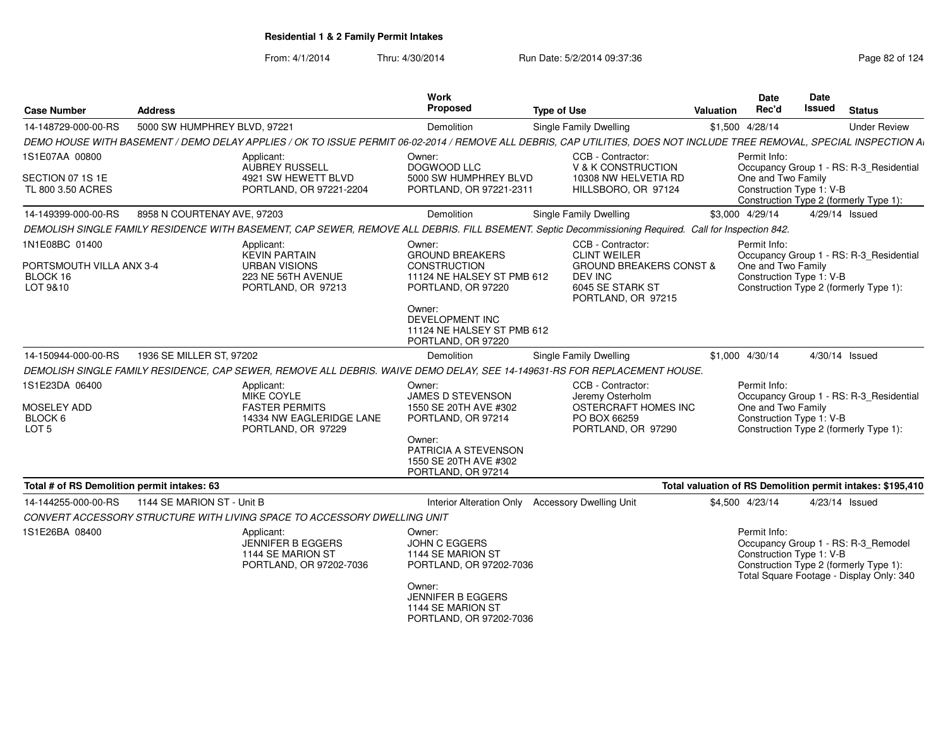| 5000 SW HUMPHREY BLVD, 97221<br>14-148729-000-00-RS<br>Demolition<br>Single Family Dwelling<br>\$1,500 4/28/14<br>DEMO HOUSE WITH BASEMENT / DEMO DELAY APPLIES / OK TO ISSUE PERMIT 06-02-2014 / REMOVE ALL DEBRIS, CAP UTILITIES, DOES NOT INCLUDE TREE REMOVAL, SPECIAL INSPECTION AI<br>1S1E07AA 00800<br>CCB - Contractor:<br>Permit Info:<br>Applicant:<br>Owner:<br>AUBREY RUSSELL<br>DOGWOOD LLC<br>V & K CONSTRUCTION<br>Occupancy Group 1 - RS: R-3_Residential<br>5000 SW HUMPHREY BLVD<br>One and Two Family<br>4921 SW HEWETT BLVD<br>10308 NW HELVETIA RD<br>TL 800 3.50 ACRES<br>HILLSBORO, OR 97124<br>Construction Type 1: V-B<br>PORTLAND, OR 97221-2204<br>PORTLAND, OR 97221-2311<br>Construction Type 2 (formerly Type 1):<br>8958 N COURTENAY AVE, 97203<br>Demolition<br><b>Single Family Dwelling</b><br>\$3,000 4/29/14<br>14-149399-000-00-RS<br>4/29/14 Issued<br>DEMOLISH SINGLE FAMILY RESIDENCE WITH BASEMENT, CAP SEWER, REMOVE ALL DEBRIS. FILL BSEMENT. Septic Decommissioning Required. Call for Inspection 842.<br>CCB - Contractor:<br>Permit Info:<br>Applicant:<br>Owner:<br><b>KEVIN PARTAIN</b><br><b>GROUND BREAKERS</b><br><b>CLINT WEILER</b><br>Occupancy Group 1 - RS: R-3_Residential<br><b>GROUND BREAKERS CONST &amp;</b><br>One and Two Family<br><b>URBAN VISIONS</b><br><b>CONSTRUCTION</b><br>223 NE 56TH AVENUE<br>11124 NE HALSEY ST PMB 612<br>Construction Type 1: V-B<br>BLOCK 16<br>DEV INC<br>6045 SE STARK ST<br>Construction Type 2 (formerly Type 1):<br>LOT 9&10<br>PORTLAND, OR 97213<br>PORTLAND, OR 97220<br>PORTLAND, OR 97215<br>Owner:<br>DEVELOPMENT INC<br>11124 NE HALSEY ST PMB 612<br>PORTLAND, OR 97220<br>14-150944-000-00-RS<br>1936 SE MILLER ST, 97202<br>Single Family Dwelling<br>\$1,000 4/30/14<br>4/30/14 Issued<br>Demolition<br>DEMOLISH SINGLE FAMILY RESIDENCE, CAP SEWER, REMOVE ALL DEBRIS. WAIVE DEMO DELAY, SEE 14-149631-RS FOR REPLACEMENT HOUSE.<br>CCB - Contractor:<br>Permit Info:<br>Applicant:<br>Owner:<br>MIKE COYLE<br><b>JAMES D STEVENSON</b><br>Occupancy Group 1 - RS: R-3_Residential<br>Jeremy Osterholm<br>One and Two Family<br><b>MOSELEY ADD</b><br><b>FASTER PERMITS</b><br>1550 SE 20TH AVE #302<br>OSTERCRAFT HOMES INC<br>Construction Type 1: V-B<br>14334 NW EAGLERIDGE LANE<br>PO BOX 66259<br>BLOCK 6<br>PORTLAND, OR 97214<br>LOT <sub>5</sub><br>PORTLAND, OR 97290<br>Construction Type 2 (formerly Type 1):<br>PORTLAND, OR 97229<br>Owner:<br>PATRICIA A STEVENSON<br>1550 SE 20TH AVE #302<br>PORTLAND, OR 97214<br>Total # of RS Demolition permit intakes: 63<br>Total valuation of RS Demolition permit intakes: \$195,410<br>Interior Alteration Only Accessory Dwelling Unit<br>14-144255-000-00-RS<br>1144 SE MARION ST - Unit B<br>\$4,500 4/23/14<br>4/23/14 Issued | <b>Case Number</b> | <b>Address</b> | Work<br><b>Proposed</b> | <b>Type of Use</b> | <b>Valuation</b> | <b>Date</b><br>Rec'd | <b>Date</b><br><b>Issued</b> | <b>Status</b>       |
|------------------------------------------------------------------------------------------------------------------------------------------------------------------------------------------------------------------------------------------------------------------------------------------------------------------------------------------------------------------------------------------------------------------------------------------------------------------------------------------------------------------------------------------------------------------------------------------------------------------------------------------------------------------------------------------------------------------------------------------------------------------------------------------------------------------------------------------------------------------------------------------------------------------------------------------------------------------------------------------------------------------------------------------------------------------------------------------------------------------------------------------------------------------------------------------------------------------------------------------------------------------------------------------------------------------------------------------------------------------------------------------------------------------------------------------------------------------------------------------------------------------------------------------------------------------------------------------------------------------------------------------------------------------------------------------------------------------------------------------------------------------------------------------------------------------------------------------------------------------------------------------------------------------------------------------------------------------------------------------------------------------------------------------------------------------------------------------------------------------------------------------------------------------------------------------------------------------------------------------------------------------------------------------------------------------------------------------------------------------------------------------------------------------------------------------------------------------------------------------------------------------------------------------------------------------------------------------------------------------------------------------------------------------------------------------------------------------------------------------------------------------------------------------------------------|--------------------|----------------|-------------------------|--------------------|------------------|----------------------|------------------------------|---------------------|
|                                                                                                                                                                                                                                                                                                                                                                                                                                                                                                                                                                                                                                                                                                                                                                                                                                                                                                                                                                                                                                                                                                                                                                                                                                                                                                                                                                                                                                                                                                                                                                                                                                                                                                                                                                                                                                                                                                                                                                                                                                                                                                                                                                                                                                                                                                                                                                                                                                                                                                                                                                                                                                                                                                                                                                                                            |                    |                |                         |                    |                  |                      |                              | <b>Under Review</b> |
| SECTION 07 1S 1E<br>1N1E08BC 01400<br>PORTSMOUTH VILLA ANX 3-4<br>1S1E23DA 06400                                                                                                                                                                                                                                                                                                                                                                                                                                                                                                                                                                                                                                                                                                                                                                                                                                                                                                                                                                                                                                                                                                                                                                                                                                                                                                                                                                                                                                                                                                                                                                                                                                                                                                                                                                                                                                                                                                                                                                                                                                                                                                                                                                                                                                                                                                                                                                                                                                                                                                                                                                                                                                                                                                                           |                    |                |                         |                    |                  |                      |                              |                     |
|                                                                                                                                                                                                                                                                                                                                                                                                                                                                                                                                                                                                                                                                                                                                                                                                                                                                                                                                                                                                                                                                                                                                                                                                                                                                                                                                                                                                                                                                                                                                                                                                                                                                                                                                                                                                                                                                                                                                                                                                                                                                                                                                                                                                                                                                                                                                                                                                                                                                                                                                                                                                                                                                                                                                                                                                            |                    |                |                         |                    |                  |                      |                              |                     |
|                                                                                                                                                                                                                                                                                                                                                                                                                                                                                                                                                                                                                                                                                                                                                                                                                                                                                                                                                                                                                                                                                                                                                                                                                                                                                                                                                                                                                                                                                                                                                                                                                                                                                                                                                                                                                                                                                                                                                                                                                                                                                                                                                                                                                                                                                                                                                                                                                                                                                                                                                                                                                                                                                                                                                                                                            |                    |                |                         |                    |                  |                      |                              |                     |
|                                                                                                                                                                                                                                                                                                                                                                                                                                                                                                                                                                                                                                                                                                                                                                                                                                                                                                                                                                                                                                                                                                                                                                                                                                                                                                                                                                                                                                                                                                                                                                                                                                                                                                                                                                                                                                                                                                                                                                                                                                                                                                                                                                                                                                                                                                                                                                                                                                                                                                                                                                                                                                                                                                                                                                                                            |                    |                |                         |                    |                  |                      |                              |                     |
|                                                                                                                                                                                                                                                                                                                                                                                                                                                                                                                                                                                                                                                                                                                                                                                                                                                                                                                                                                                                                                                                                                                                                                                                                                                                                                                                                                                                                                                                                                                                                                                                                                                                                                                                                                                                                                                                                                                                                                                                                                                                                                                                                                                                                                                                                                                                                                                                                                                                                                                                                                                                                                                                                                                                                                                                            |                    |                |                         |                    |                  |                      |                              |                     |
|                                                                                                                                                                                                                                                                                                                                                                                                                                                                                                                                                                                                                                                                                                                                                                                                                                                                                                                                                                                                                                                                                                                                                                                                                                                                                                                                                                                                                                                                                                                                                                                                                                                                                                                                                                                                                                                                                                                                                                                                                                                                                                                                                                                                                                                                                                                                                                                                                                                                                                                                                                                                                                                                                                                                                                                                            |                    |                |                         |                    |                  |                      |                              |                     |
|                                                                                                                                                                                                                                                                                                                                                                                                                                                                                                                                                                                                                                                                                                                                                                                                                                                                                                                                                                                                                                                                                                                                                                                                                                                                                                                                                                                                                                                                                                                                                                                                                                                                                                                                                                                                                                                                                                                                                                                                                                                                                                                                                                                                                                                                                                                                                                                                                                                                                                                                                                                                                                                                                                                                                                                                            |                    |                |                         |                    |                  |                      |                              |                     |
|                                                                                                                                                                                                                                                                                                                                                                                                                                                                                                                                                                                                                                                                                                                                                                                                                                                                                                                                                                                                                                                                                                                                                                                                                                                                                                                                                                                                                                                                                                                                                                                                                                                                                                                                                                                                                                                                                                                                                                                                                                                                                                                                                                                                                                                                                                                                                                                                                                                                                                                                                                                                                                                                                                                                                                                                            |                    |                |                         |                    |                  |                      |                              |                     |
|                                                                                                                                                                                                                                                                                                                                                                                                                                                                                                                                                                                                                                                                                                                                                                                                                                                                                                                                                                                                                                                                                                                                                                                                                                                                                                                                                                                                                                                                                                                                                                                                                                                                                                                                                                                                                                                                                                                                                                                                                                                                                                                                                                                                                                                                                                                                                                                                                                                                                                                                                                                                                                                                                                                                                                                                            |                    |                |                         |                    |                  |                      |                              |                     |
|                                                                                                                                                                                                                                                                                                                                                                                                                                                                                                                                                                                                                                                                                                                                                                                                                                                                                                                                                                                                                                                                                                                                                                                                                                                                                                                                                                                                                                                                                                                                                                                                                                                                                                                                                                                                                                                                                                                                                                                                                                                                                                                                                                                                                                                                                                                                                                                                                                                                                                                                                                                                                                                                                                                                                                                                            |                    |                |                         |                    |                  |                      |                              |                     |
|                                                                                                                                                                                                                                                                                                                                                                                                                                                                                                                                                                                                                                                                                                                                                                                                                                                                                                                                                                                                                                                                                                                                                                                                                                                                                                                                                                                                                                                                                                                                                                                                                                                                                                                                                                                                                                                                                                                                                                                                                                                                                                                                                                                                                                                                                                                                                                                                                                                                                                                                                                                                                                                                                                                                                                                                            |                    |                |                         |                    |                  |                      |                              |                     |
|                                                                                                                                                                                                                                                                                                                                                                                                                                                                                                                                                                                                                                                                                                                                                                                                                                                                                                                                                                                                                                                                                                                                                                                                                                                                                                                                                                                                                                                                                                                                                                                                                                                                                                                                                                                                                                                                                                                                                                                                                                                                                                                                                                                                                                                                                                                                                                                                                                                                                                                                                                                                                                                                                                                                                                                                            |                    |                |                         |                    |                  |                      |                              |                     |
|                                                                                                                                                                                                                                                                                                                                                                                                                                                                                                                                                                                                                                                                                                                                                                                                                                                                                                                                                                                                                                                                                                                                                                                                                                                                                                                                                                                                                                                                                                                                                                                                                                                                                                                                                                                                                                                                                                                                                                                                                                                                                                                                                                                                                                                                                                                                                                                                                                                                                                                                                                                                                                                                                                                                                                                                            |                    |                |                         |                    |                  |                      |                              |                     |
|                                                                                                                                                                                                                                                                                                                                                                                                                                                                                                                                                                                                                                                                                                                                                                                                                                                                                                                                                                                                                                                                                                                                                                                                                                                                                                                                                                                                                                                                                                                                                                                                                                                                                                                                                                                                                                                                                                                                                                                                                                                                                                                                                                                                                                                                                                                                                                                                                                                                                                                                                                                                                                                                                                                                                                                                            |                    |                |                         |                    |                  |                      |                              |                     |
|                                                                                                                                                                                                                                                                                                                                                                                                                                                                                                                                                                                                                                                                                                                                                                                                                                                                                                                                                                                                                                                                                                                                                                                                                                                                                                                                                                                                                                                                                                                                                                                                                                                                                                                                                                                                                                                                                                                                                                                                                                                                                                                                                                                                                                                                                                                                                                                                                                                                                                                                                                                                                                                                                                                                                                                                            |                    |                |                         |                    |                  |                      |                              |                     |
| CONVERT ACCESSORY STRUCTURE WITH LIVING SPACE TO ACCESSORY DWELLING UNIT                                                                                                                                                                                                                                                                                                                                                                                                                                                                                                                                                                                                                                                                                                                                                                                                                                                                                                                                                                                                                                                                                                                                                                                                                                                                                                                                                                                                                                                                                                                                                                                                                                                                                                                                                                                                                                                                                                                                                                                                                                                                                                                                                                                                                                                                                                                                                                                                                                                                                                                                                                                                                                                                                                                                   |                    |                |                         |                    |                  |                      |                              |                     |
| 1S1E26BA 08400<br>Permit Info:<br>Applicant:<br>Owner:<br>Occupancy Group 1 - RS: R-3_Remodel<br><b>JENNIFER B EGGERS</b><br><b>JOHN C EGGERS</b><br>1144 SE MARION ST<br>Construction Type 1: V-B<br>1144 SE MARION ST<br>Construction Type 2 (formerly Type 1):<br>PORTLAND, OR 97202-7036<br>PORTLAND, OR 97202-7036<br>Total Square Footage - Display Only: 340<br>Owner:<br><b>JENNIFER B EGGERS</b><br>1144 SE MARION ST<br>PORTLAND, OR 97202-7036                                                                                                                                                                                                                                                                                                                                                                                                                                                                                                                                                                                                                                                                                                                                                                                                                                                                                                                                                                                                                                                                                                                                                                                                                                                                                                                                                                                                                                                                                                                                                                                                                                                                                                                                                                                                                                                                                                                                                                                                                                                                                                                                                                                                                                                                                                                                                  |                    |                |                         |                    |                  |                      |                              |                     |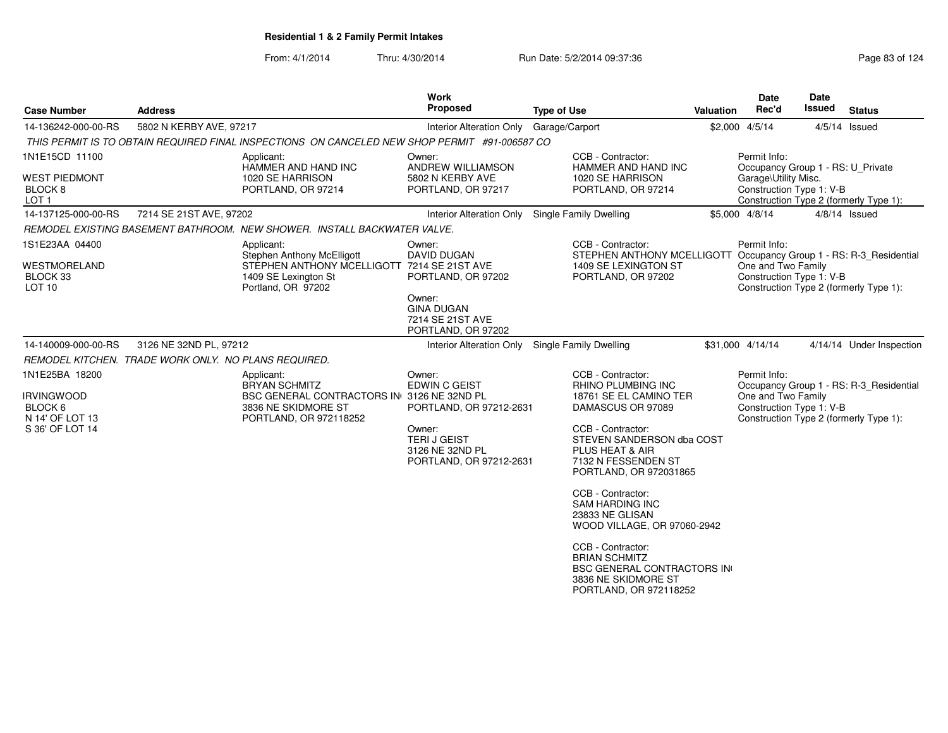From: 4/1/2014

| <b>Case Number</b>                                          | <b>Address</b>                                       |                                                                                                                                              | <b>Work</b><br>Proposed                                                    | <b>Type of Use</b>            |                                                                                                                                       | <b>Valuation</b> | <b>Date</b><br>Rec'd                                                                     | <b>Date</b><br>Issued                  | <b>Status</b>                           |
|-------------------------------------------------------------|------------------------------------------------------|----------------------------------------------------------------------------------------------------------------------------------------------|----------------------------------------------------------------------------|-------------------------------|---------------------------------------------------------------------------------------------------------------------------------------|------------------|------------------------------------------------------------------------------------------|----------------------------------------|-----------------------------------------|
| 14-136242-000-00-RS                                         | 5802 N KERBY AVE, 97217                              |                                                                                                                                              | <b>Interior Alteration Only</b>                                            | Garage/Carport                |                                                                                                                                       |                  | \$2,000 4/5/14                                                                           |                                        | $4/5/14$ Issued                         |
|                                                             |                                                      | THIS PERMIT IS TO OBTAIN REQUIRED FINAL INSPECTIONS ON CANCELED NEW SHOP PERMIT #91-006587 CO                                                |                                                                            |                               |                                                                                                                                       |                  |                                                                                          |                                        |                                         |
| 1N1E15CD 11100<br><b>WEST PIEDMONT</b>                      |                                                      | Applicant:<br>HAMMER AND HAND INC<br>1020 SE HARRISON                                                                                        | Owner:<br>ANDREW WILLIAMSON<br>5802 N KERBY AVE                            |                               | CCB - Contractor:<br>HAMMER AND HAND INC<br>1020 SE HARRISON                                                                          |                  | Permit Info:<br>Occupancy Group 1 - RS: U_Private<br>Garage\Utility Misc.                |                                        |                                         |
| BLOCK <sub>8</sub><br>LOT <sub>1</sub>                      |                                                      | PORTLAND, OR 97214                                                                                                                           | PORTLAND, OR 97217                                                         |                               | PORTLAND, OR 97214                                                                                                                    |                  | Construction Type 1: V-B                                                                 | Construction Type 2 (formerly Type 1): |                                         |
| 14-137125-000-00-RS                                         | 7214 SE 21ST AVE, 97202                              |                                                                                                                                              | Interior Alteration Only Single Family Dwelling                            |                               |                                                                                                                                       |                  | \$5,000 4/8/14                                                                           |                                        | $4/8/14$ Issued                         |
|                                                             |                                                      | REMODEL EXISTING BASEMENT BATHROOM. NEW SHOWER. INSTALL BACKWATER VALVE.                                                                     |                                                                            |                               |                                                                                                                                       |                  |                                                                                          |                                        |                                         |
| 1S1E23AA 04400<br><b>WESTMORELAND</b><br>BLOCK 33<br>LOT 10 |                                                      | Applicant:<br><b>Stephen Anthony McElligott</b><br>STEPHEN ANTHONY MCELLIGOTT 7214 SE 21ST AVE<br>1409 SE Lexington St<br>Portland, OR 97202 | Owner:<br><b>DAVID DUGAN</b><br>PORTLAND, OR 97202                         |                               | CCB - Contractor:<br>STEPHEN ANTHONY MCELLIGOTT Occupancy Group 1 - RS: R-3_Residential<br>1409 SE LEXINGTON ST<br>PORTLAND, OR 97202 |                  | Permit Info:<br>One and Two Family<br>Construction Type 1: V-B                           |                                        | Construction Type 2 (formerly Type 1):  |
|                                                             |                                                      |                                                                                                                                              | Owner:<br><b>GINA DUGAN</b><br>7214 SE 21ST AVE<br>PORTLAND, OR 97202      |                               |                                                                                                                                       |                  |                                                                                          |                                        |                                         |
| 14-140009-000-00-RS                                         | 3126 NE 32ND PL, 97212                               |                                                                                                                                              | Interior Alteration Only                                                   | <b>Single Family Dwelling</b> |                                                                                                                                       |                  | \$31,000 4/14/14                                                                         |                                        | 4/14/14 Under Inspection                |
|                                                             | REMODEL KITCHEN. TRADE WORK ONLY. NO PLANS REQUIRED. |                                                                                                                                              |                                                                            |                               |                                                                                                                                       |                  |                                                                                          |                                        |                                         |
| 1N1E25BA 18200                                              |                                                      | Applicant:<br><b>BRYAN SCHMITZ</b>                                                                                                           | Owner:<br>EDWIN C GEIST                                                    |                               | CCB - Contractor:<br><b>RHINO PLUMBING INC</b>                                                                                        |                  | Permit Info:                                                                             |                                        | Occupancy Group 1 - RS: R-3 Residential |
| <b>IRVINGWOOD</b><br>BLOCK 6<br>N 14' OF LOT 13             |                                                      | BSC GENERAL CONTRACTORS IN 3126 NE 32ND PL<br>3836 NE SKIDMORE ST<br>PORTLAND, OR 972118252                                                  | PORTLAND, OR 97212-2631                                                    |                               | 18761 SE EL CAMINO TER<br>DAMASCUS OR 97089                                                                                           |                  | One and Two Family<br>Construction Type 1: V-B<br>Construction Type 2 (formerly Type 1): |                                        |                                         |
| S 36' OF LOT 14                                             |                                                      |                                                                                                                                              | Owner:<br><b>TERIJ GEIST</b><br>3126 NE 32ND PL<br>PORTLAND, OR 97212-2631 |                               | CCB - Contractor:<br>STEVEN SANDERSON dba COST<br>PLUS HEAT & AIR<br>7132 N FESSENDEN ST<br>PORTLAND, OR 972031865                    |                  |                                                                                          |                                        |                                         |
|                                                             |                                                      |                                                                                                                                              |                                                                            |                               | CCB - Contractor:<br><b>SAM HARDING INC</b><br>23833 NE GLISAN<br>WOOD VILLAGE, OR 97060-2942                                         |                  |                                                                                          |                                        |                                         |
|                                                             |                                                      |                                                                                                                                              |                                                                            |                               | CCB - Contractor:<br><b>BRIAN SCHMITZ</b><br><b>BSC GENERAL CONTRACTORS IN</b><br>3836 NE SKIDMORE ST<br>PORTLAND, OR 972118252       |                  |                                                                                          |                                        |                                         |
|                                                             |                                                      |                                                                                                                                              |                                                                            |                               |                                                                                                                                       |                  |                                                                                          |                                        |                                         |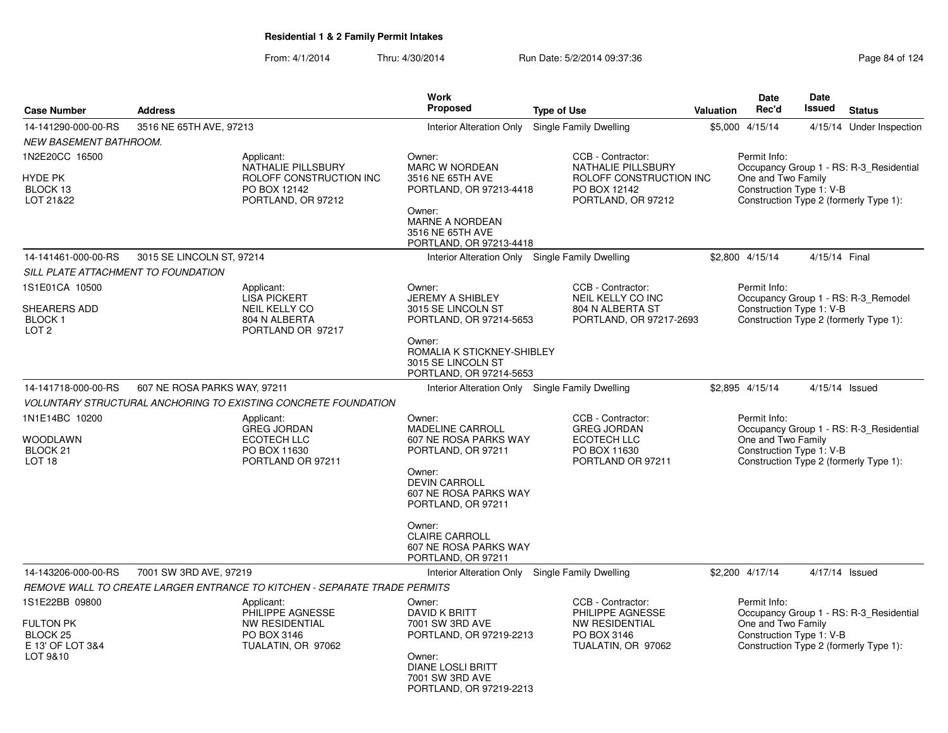|                                                                                |                              |                                                                                                   | <b>Work</b>                                                                                                                                                       |                                                                                                          |                  | <b>Date</b>                                                    | <b>Date</b>   |                                                                                   |
|--------------------------------------------------------------------------------|------------------------------|---------------------------------------------------------------------------------------------------|-------------------------------------------------------------------------------------------------------------------------------------------------------------------|----------------------------------------------------------------------------------------------------------|------------------|----------------------------------------------------------------|---------------|-----------------------------------------------------------------------------------|
| <b>Case Number</b>                                                             | <b>Address</b>               |                                                                                                   | <b>Proposed</b>                                                                                                                                                   | <b>Type of Use</b>                                                                                       | <b>Valuation</b> | Rec'd                                                          | <b>Issued</b> | <b>Status</b>                                                                     |
| 14-141290-000-00-RS                                                            | 3516 NE 65TH AVE, 97213      |                                                                                                   | Interior Alteration Only                                                                                                                                          | Single Family Dwelling                                                                                   |                  | \$5,000 4/15/14                                                |               | 4/15/14 Under Inspection                                                          |
| <b>NEW BASEMENT BATHROOM.</b>                                                  |                              |                                                                                                   |                                                                                                                                                                   |                                                                                                          |                  |                                                                |               |                                                                                   |
| 1N2E20CC 16500<br><b>HYDE PK</b><br>BLOCK 13<br>LOT 21&22                      |                              | Applicant:<br>NATHALIE PILLSBURY<br>ROLOFF CONSTRUCTION INC<br>PO BOX 12142<br>PORTLAND, OR 97212 | Owner:<br><b>MARC W NORDEAN</b><br>3516 NE 65TH AVE<br>PORTLAND, OR 97213-4418<br>Owner:<br><b>MARNE A NORDEAN</b><br>3516 NE 65TH AVE<br>PORTLAND, OR 97213-4418 | CCB - Contractor:<br>NATHALIE PILLSBURY<br>ROLOFF CONSTRUCTION INC<br>PO BOX 12142<br>PORTLAND, OR 97212 |                  | Permit Info:<br>One and Two Family<br>Construction Type 1: V-B |               | Occupancy Group 1 - RS: R-3_Residential<br>Construction Type 2 (formerly Type 1): |
| 14-141461-000-00-RS                                                            | 3015 SE LINCOLN ST, 97214    |                                                                                                   | Interior Alteration Only Single Family Dwelling                                                                                                                   |                                                                                                          |                  | \$2,800 4/15/14                                                | 4/15/14 Final |                                                                                   |
| SILL PLATE ATTACHMENT TO FOUNDATION                                            |                              |                                                                                                   |                                                                                                                                                                   |                                                                                                          |                  |                                                                |               |                                                                                   |
| 1S1E01CA 10500<br>SHEARERS ADD<br><b>BLOCK1</b><br>LOT <sub>2</sub>            |                              | Applicant:<br><b>LISA PICKERT</b><br>NEIL KELLY CO<br>804 N ALBERTA<br>PORTLAND OR 97217          | Owner:<br><b>JEREMY A SHIBLEY</b><br>3015 SE LINCOLN ST<br>PORTLAND, OR 97214-5653                                                                                | CCB - Contractor:<br>NEIL KELLY CO INC<br>804 N ALBERTA ST<br>PORTLAND, OR 97217-2693                    |                  | Permit Info:<br>Construction Type 1: V-B                       |               | Occupancy Group 1 - RS: R-3_Remodel<br>Construction Type 2 (formerly Type 1):     |
|                                                                                |                              |                                                                                                   | Owner:<br>ROMALIA K STICKNEY-SHIBLEY<br>3015 SE LINCOLN ST<br>PORTLAND, OR 97214-5653                                                                             |                                                                                                          |                  |                                                                |               |                                                                                   |
| 14-141718-000-00-RS                                                            | 607 NE ROSA PARKS WAY, 97211 |                                                                                                   | Interior Alteration Only Single Family Dwelling                                                                                                                   |                                                                                                          |                  | \$2,895 4/15/14                                                |               | 4/15/14 Issued                                                                    |
|                                                                                |                              | <b>VOLUNTARY STRUCTURAL ANCHORING TO EXISTING CONCRETE FOUNDATION</b>                             |                                                                                                                                                                   |                                                                                                          |                  |                                                                |               |                                                                                   |
| 1N1E14BC 10200<br><b>WOODLAWN</b><br>BLOCK <sub>21</sub><br>LOT <sub>18</sub>  |                              | Applicant:<br><b>GREG JORDAN</b><br>ECOTECH LLC<br>PO BOX 11630<br>PORTLAND OR 97211              | Owner:<br><b>MADELINE CARROLL</b><br>607 NE ROSA PARKS WAY<br>PORTLAND, OR 97211<br>Owner:<br><b>DEVIN CARROLL</b><br>607 NE ROSA PARKS WAY<br>PORTLAND, OR 97211 | CCB - Contractor:<br><b>GREG JORDAN</b><br><b>ECOTECH LLC</b><br>PO BOX 11630<br>PORTLAND OR 97211       |                  | Permit Info:<br>One and Two Family<br>Construction Type 1: V-B |               | Occupancy Group 1 - RS: R-3_Residential<br>Construction Type 2 (formerly Type 1): |
|                                                                                |                              |                                                                                                   | Owner:<br><b>CLAIRE CARROLL</b><br>607 NE ROSA PARKS WAY<br>PORTLAND, OR 97211                                                                                    |                                                                                                          |                  |                                                                |               |                                                                                   |
| 14-143206-000-00-RS                                                            | 7001 SW 3RD AVE, 97219       |                                                                                                   | Interior Alteration Only Single Family Dwelling                                                                                                                   |                                                                                                          |                  | \$2,200 4/17/14                                                |               | 4/17/14 Issued                                                                    |
|                                                                                |                              | REMOVE WALL TO CREATE LARGER ENTRANCE TO KITCHEN - SEPARATE TRADE PERMITS                         |                                                                                                                                                                   |                                                                                                          |                  |                                                                |               |                                                                                   |
| 1S1E22BB 09800<br><b>FULTON PK</b><br>BLOCK 25<br>E 13' OF LOT 3&4<br>LOT 9&10 |                              | Applicant:<br>PHILIPPE AGNESSE<br>NW RESIDENTIAL<br>PO BOX 3146<br>TUALATIN, OR 97062             | Owner:<br>DAVID K BRITT<br>7001 SW 3RD AVE<br>PORTLAND, OR 97219-2213<br>Owner:<br><b>DIANE LOSLI BRITT</b><br>7001 SW 3RD AVE<br>PORTLAND, OR 97219-2213         | CCB - Contractor:<br>PHILIPPE AGNESSE<br><b>NW RESIDENTIAL</b><br>PO BOX 3146<br>TUALATIN, OR 97062      |                  | Permit Info:<br>One and Two Family<br>Construction Type 1: V-B |               | Occupancy Group 1 - RS: R-3 Residential<br>Construction Type 2 (formerly Type 1): |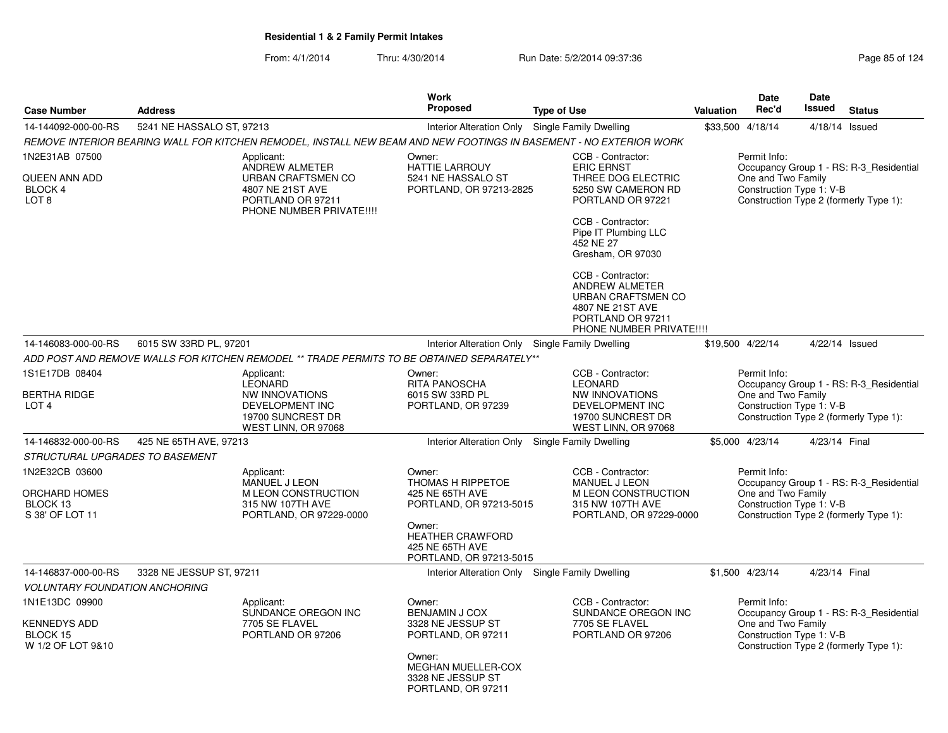|                                                                 |                                                                                                                         | Work                                                                                                                                                         |                                                                                                                                                                                                                                                                                                                                  |                  | <b>Date</b>                        | <b>Date</b>              |                                                                                   |
|-----------------------------------------------------------------|-------------------------------------------------------------------------------------------------------------------------|--------------------------------------------------------------------------------------------------------------------------------------------------------------|----------------------------------------------------------------------------------------------------------------------------------------------------------------------------------------------------------------------------------------------------------------------------------------------------------------------------------|------------------|------------------------------------|--------------------------|-----------------------------------------------------------------------------------|
| <b>Case Number</b>                                              | <b>Address</b>                                                                                                          | <b>Proposed</b>                                                                                                                                              | <b>Type of Use</b>                                                                                                                                                                                                                                                                                                               | <b>Valuation</b> | Rec'd                              | Issued                   | <b>Status</b>                                                                     |
| 14-144092-000-00-RS                                             | 5241 NE HASSALO ST, 97213                                                                                               | Interior Alteration Only                                                                                                                                     | Single Family Dwelling                                                                                                                                                                                                                                                                                                           | \$33,500 4/18/14 |                                    |                          | 4/18/14 Issued                                                                    |
|                                                                 | REMOVE INTERIOR BEARING WALL FOR KITCHEN REMODEL, INSTALL NEW BEAM AND NEW FOOTINGS IN BASEMENT - NO EXTERIOR WORK      |                                                                                                                                                              |                                                                                                                                                                                                                                                                                                                                  |                  |                                    |                          |                                                                                   |
| 1N2E31AB 07500<br>QUEEN ANN ADD<br>BLOCK 4<br>LOT <sub>8</sub>  | Applicant:<br>ANDREW ALMETER<br>URBAN CRAFTSMEN CO<br>4807 NE 21ST AVE<br>PORTLAND OR 97211<br>PHONE NUMBER PRIVATE!!!! | Owner:<br>HATTIE LARROUY<br>5241 NE HASSALO ST<br>PORTLAND, OR 97213-2825                                                                                    | CCB - Contractor:<br><b>ERIC ERNST</b><br>THREE DOG ELECTRIC<br>5250 SW CAMERON RD<br>PORTLAND OR 97221<br>CCB - Contractor:<br>Pipe IT Plumbing LLC<br>452 NE 27<br>Gresham, OR 97030<br>CCB - Contractor:<br>ANDREW ALMETER<br><b>URBAN CRAFTSMEN CO</b><br>4807 NE 21ST AVE<br>PORTLAND OR 97211<br>PHONE NUMBER PRIVATE !!!! |                  | Permit Info:<br>One and Two Family | Construction Type 1: V-B | Occupancy Group 1 - RS: R-3_Residential<br>Construction Type 2 (formerly Type 1): |
| 14-146083-000-00-RS                                             | 6015 SW 33RD PL, 97201                                                                                                  | Interior Alteration Only                                                                                                                                     | Single Family Dwelling                                                                                                                                                                                                                                                                                                           | \$19,500 4/22/14 |                                    |                          | 4/22/14 Issued                                                                    |
|                                                                 | ADD POST AND REMOVE WALLS FOR KITCHEN REMODEL ** TRADE PERMITS TO BE OBTAINED SEPARATELY**                              |                                                                                                                                                              |                                                                                                                                                                                                                                                                                                                                  |                  |                                    |                          |                                                                                   |
| 1S1E17DB 08404<br><b>BERTHA RIDGE</b><br>LOT <sub>4</sub>       | Applicant:<br><b>LEONARD</b><br>NW INNOVATIONS<br>DEVELOPMENT INC<br>19700 SUNCREST DR                                  | Owner:<br><b>RITA PANOSCHA</b><br>6015 SW 33RD PL<br>PORTLAND, OR 97239                                                                                      | CCB - Contractor:<br><b>LEONARD</b><br>NW INNOVATIONS<br>DEVELOPMENT INC<br>19700 SUNCREST DR                                                                                                                                                                                                                                    |                  | Permit Info:<br>One and Two Family | Construction Type 1: V-B | Occupancy Group 1 - RS: R-3 Residential<br>Construction Type 2 (formerly Type 1): |
|                                                                 | WEST LINN, OR 97068                                                                                                     |                                                                                                                                                              | WEST LINN, OR 97068                                                                                                                                                                                                                                                                                                              |                  |                                    |                          |                                                                                   |
| 14-146832-000-00-RS                                             | 425 NE 65TH AVE, 97213                                                                                                  | <b>Interior Alteration Only</b>                                                                                                                              | Single Family Dwelling                                                                                                                                                                                                                                                                                                           | \$5,000 4/23/14  |                                    | 4/23/14 Final            |                                                                                   |
| STRUCTURAL UPGRADES TO BASEMENT                                 |                                                                                                                         |                                                                                                                                                              |                                                                                                                                                                                                                                                                                                                                  |                  |                                    |                          |                                                                                   |
| 1N2E32CB 03600<br>ORCHARD HOMES<br>BLOCK 13<br>S 38' OF LOT 11  | Applicant:<br>MANUEL J LEON<br>M LEON CONSTRUCTION<br>315 NW 107TH AVE<br>PORTLAND, OR 97229-0000                       | Owner:<br>THOMAS H RIPPETOE<br>425 NE 65TH AVE<br>PORTLAND, OR 97213-5015<br>Owner:<br><b>HEATHER CRAWFORD</b><br>425 NE 65TH AVE<br>PORTLAND, OR 97213-5015 | CCB - Contractor:<br>MANUEL J LEON<br>M LEON CONSTRUCTION<br>315 NW 107TH AVE<br>PORTLAND, OR 97229-0000                                                                                                                                                                                                                         |                  | Permit Info:<br>One and Two Family | Construction Type 1: V-B | Occupancy Group 1 - RS: R-3 Residential<br>Construction Type 2 (formerly Type 1): |
| 14-146837-000-00-RS                                             | 3328 NE JESSUP ST, 97211                                                                                                | Interior Alteration Only Single Family Dwelling                                                                                                              |                                                                                                                                                                                                                                                                                                                                  | \$1.500 4/23/14  |                                    | 4/23/14 Final            |                                                                                   |
| <b>VOLUNTARY FOUNDATION ANCHORING</b>                           |                                                                                                                         |                                                                                                                                                              |                                                                                                                                                                                                                                                                                                                                  |                  |                                    |                          |                                                                                   |
| 1N1E13DC 09900<br>KENNEDYS ADD<br>BLOCK 15<br>W 1/2 OF LOT 9&10 | Applicant:<br>SUNDANCE OREGON INC<br>7705 SE FLAVEL<br>PORTLAND OR 97206                                                | Owner:<br><b>BENJAMIN J COX</b><br>3328 NE JESSUP ST<br>PORTLAND, OR 97211<br>Owner:<br>MEGHAN MUELLER-COX<br>3328 NE JESSUP ST<br>PORTLAND, OR 97211        | CCB - Contractor:<br>SUNDANCE OREGON INC<br>7705 SE FLAVEL<br>PORTLAND OR 97206                                                                                                                                                                                                                                                  |                  | Permit Info:<br>One and Two Family | Construction Type 1: V-B | Occupancy Group 1 - RS: R-3 Residential<br>Construction Type 2 (formerly Type 1): |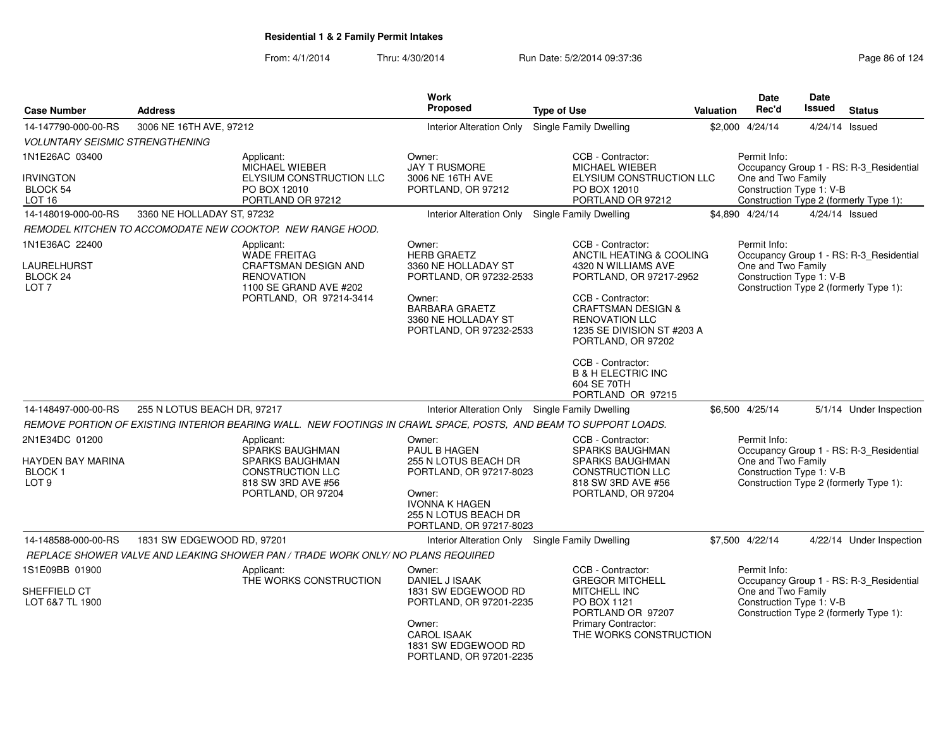| <b>Case Number</b>                                                            | <b>Address</b>                                                                                                   |                                                                           | Work<br>Proposed                                                                                                                                                    | <b>Type of Use</b>                                                                                                                                                                                                                                                                       | Valuation | Date<br>Rec'd                                                  | <b>Date</b><br>Issued | <b>Status</b>                                                                     |
|-------------------------------------------------------------------------------|------------------------------------------------------------------------------------------------------------------|---------------------------------------------------------------------------|---------------------------------------------------------------------------------------------------------------------------------------------------------------------|------------------------------------------------------------------------------------------------------------------------------------------------------------------------------------------------------------------------------------------------------------------------------------------|-----------|----------------------------------------------------------------|-----------------------|-----------------------------------------------------------------------------------|
| 14-147790-000-00-RS                                                           | 3006 NE 16TH AVE, 97212                                                                                          |                                                                           | <b>Interior Alteration Only</b>                                                                                                                                     | Single Family Dwelling                                                                                                                                                                                                                                                                   |           | \$2,000 4/24/14                                                |                       | 4/24/14 Issued                                                                    |
| <b>VOLUNTARY SEISMIC STRENGTHENING</b>                                        |                                                                                                                  |                                                                           |                                                                                                                                                                     |                                                                                                                                                                                                                                                                                          |           |                                                                |                       |                                                                                   |
| 1N1E26AC 03400                                                                | Applicant:                                                                                                       |                                                                           | Owner:                                                                                                                                                              | CCB - Contractor:                                                                                                                                                                                                                                                                        |           | Permit Info:                                                   |                       |                                                                                   |
| <b>IRVINGTON</b><br>BLOCK 54<br>LOT <sub>16</sub>                             | <b>MICHAEL WIEBER</b><br>PO BOX 12010                                                                            | ELYSIUM CONSTRUCTION LLC<br>PORTLAND OR 97212                             | <b>JAY T RUSMORE</b><br>3006 NE 16TH AVE<br>PORTLAND, OR 97212                                                                                                      | <b>MICHAEL WIEBER</b><br>ELYSIUM CONSTRUCTION LLC<br>PO BOX 12010<br>PORTLAND OR 97212                                                                                                                                                                                                   |           | One and Two Family<br>Construction Type 1: V-B                 |                       | Occupancy Group 1 - RS: R-3_Residential<br>Construction Type 2 (formerly Type 1): |
| 14-148019-000-00-RS                                                           | 3360 NE HOLLADAY ST, 97232                                                                                       |                                                                           | Interior Alteration Only                                                                                                                                            | Single Family Dwelling                                                                                                                                                                                                                                                                   |           | \$4,890 4/24/14                                                |                       | 4/24/14 Issued                                                                    |
|                                                                               | REMODEL KITCHEN TO ACCOMODATE NEW COOKTOP. NEW RANGE HOOD.                                                       |                                                                           |                                                                                                                                                                     |                                                                                                                                                                                                                                                                                          |           |                                                                |                       |                                                                                   |
| 1N1E36AC 22400<br>LAURELHURST<br>BLOCK 24<br>LOT <sub>7</sub>                 | Applicant:<br><b>WADE FREITAG</b><br><b>RENOVATION</b>                                                           | CRAFTSMAN DESIGN AND<br>1100 SE GRAND AVE #202<br>PORTLAND, OR 97214-3414 | Owner:<br><b>HERB GRAETZ</b><br>3360 NE HOLLADAY ST<br>PORTLAND, OR 97232-2533<br>Owner:<br><b>BARBARA GRAETZ</b><br>3360 NE HOLLADAY ST<br>PORTLAND, OR 97232-2533 | CCB - Contractor:<br>ANCTIL HEATING & COOLING<br>4320 N WILLIAMS AVE<br>PORTLAND, OR 97217-2952<br>CCB - Contractor:<br><b>CRAFTSMAN DESIGN &amp;</b><br><b>RENOVATION LLC</b><br>1235 SE DIVISION ST #203 A<br>PORTLAND, OR 97202<br>CCB - Contractor:<br><b>B &amp; H ELECTRIC INC</b> |           | Permit Info:<br>One and Two Family<br>Construction Type 1: V-B |                       | Occupancy Group 1 - RS: R-3_Residential<br>Construction Type 2 (formerly Type 1): |
|                                                                               |                                                                                                                  |                                                                           |                                                                                                                                                                     | 604 SE 70TH<br>PORTLAND OR 97215                                                                                                                                                                                                                                                         |           |                                                                |                       |                                                                                   |
| 14-148497-000-00-RS                                                           | 255 N LOTUS BEACH DR, 97217                                                                                      |                                                                           | Interior Alteration Only Single Family Dwelling                                                                                                                     |                                                                                                                                                                                                                                                                                          |           | \$6.500 4/25/14                                                |                       | 5/1/14 Under Inspection                                                           |
|                                                                               | REMOVE PORTION OF EXISTING INTERIOR BEARING WALL. NEW FOOTINGS IN CRAWL SPACE, POSTS, AND BEAM TO SUPPORT LOADS. |                                                                           |                                                                                                                                                                     |                                                                                                                                                                                                                                                                                          |           |                                                                |                       |                                                                                   |
| 2N1E34DC 01200<br>HAYDEN BAY MARINA<br>BLOCK <sub>1</sub><br>LOT <sub>9</sub> | Applicant:<br>SPARKS BAUGHMAN<br>818 SW 3RD AVE #56                                                              | SPARKS BAUGHMAN<br>CONSTRUCTION LLC<br>PORTLAND, OR 97204                 | Owner:<br>PAUL B HAGEN<br>255 N LOTUS BEACH DR<br>PORTLAND, OR 97217-8023<br>Owner:<br><b>IVONNA K HAGEN</b><br>255 N LOTUS BEACH DR<br>PORTLAND, OR 97217-8023     | CCB - Contractor:<br>SPARKS BAUGHMAN<br><b>SPARKS BAUGHMAN</b><br><b>CONSTRUCTION LLC</b><br>818 SW 3RD AVE #56<br>PORTLAND, OR 97204                                                                                                                                                    |           | Permit Info:<br>One and Two Family<br>Construction Type 1: V-B |                       | Occupancy Group 1 - RS: R-3_Residential<br>Construction Type 2 (formerly Type 1): |
| 14-148588-000-00-RS                                                           | 1831 SW EDGEWOOD RD, 97201                                                                                       |                                                                           | Interior Alteration Only Single Family Dwelling                                                                                                                     |                                                                                                                                                                                                                                                                                          |           | \$7,500 4/22/14                                                |                       | 4/22/14 Under Inspection                                                          |
|                                                                               | REPLACE SHOWER VALVE AND LEAKING SHOWER PAN / TRADE WORK ONLY/ NO PLANS REQUIRED                                 |                                                                           |                                                                                                                                                                     |                                                                                                                                                                                                                                                                                          |           |                                                                |                       |                                                                                   |
| 1S1E09BB 01900<br>SHEFFIELD CT<br>LOT 6&7 TL 1900                             | Applicant:                                                                                                       | THE WORKS CONSTRUCTION                                                    | Owner:<br>DANIEL J ISAAK<br>1831 SW EDGEWOOD RD<br>PORTLAND, OR 97201-2235<br>Owner:<br><b>CAROL ISAAK</b><br>1831 SW EDGEWOOD RD<br>PORTLAND, OR 97201-2235        | CCB - Contractor:<br><b>GREGOR MITCHELL</b><br><b>MITCHELL INC</b><br>PO BOX 1121<br>PORTLAND OR 97207<br>Primary Contractor:<br>THE WORKS CONSTRUCTION                                                                                                                                  |           | Permit Info:<br>One and Two Family<br>Construction Type 1: V-B |                       | Occupancy Group 1 - RS: R-3_Residential<br>Construction Type 2 (formerly Type 1): |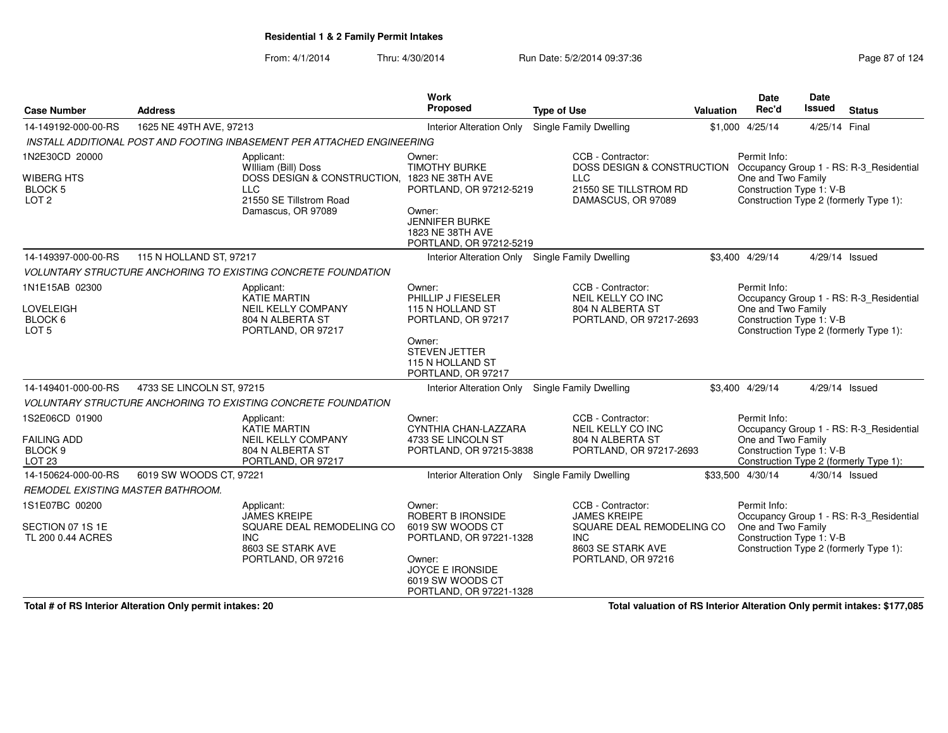From: 4/1/2014Thru: 4/30/2014 **Run Date: 5/2/2014 09:37:36** Rage 87 of 27 of 284 and 27 of 27 of 284 and 27 of 284 and 27 of 2

| Page 87 of 124 |  |  |  |
|----------------|--|--|--|
|----------------|--|--|--|

| <b>Case Number</b>                                      | <b>Address</b>                          |                                                                                | Work<br>Proposed                                                                 | <b>Type of Use</b>                                             | <b>Valuation</b>                                                                                                                                               | <b>Date</b><br>Rec'd                                                                                                                | Date<br>Issued | <b>Status</b>                           |  |  |
|---------------------------------------------------------|-----------------------------------------|--------------------------------------------------------------------------------|----------------------------------------------------------------------------------|----------------------------------------------------------------|----------------------------------------------------------------------------------------------------------------------------------------------------------------|-------------------------------------------------------------------------------------------------------------------------------------|----------------|-----------------------------------------|--|--|
| 14-149192-000-00-RS                                     | 1625 NE 49TH AVE, 97213                 |                                                                                | <b>Interior Alteration Only</b>                                                  | Single Family Dwelling                                         |                                                                                                                                                                | \$1,000 4/25/14                                                                                                                     | 4/25/14 Final  |                                         |  |  |
|                                                         |                                         | INSTALL ADDITIONAL POST AND FOOTING INBASEMENT PER ATTACHED ENGINEERING        |                                                                                  |                                                                |                                                                                                                                                                |                                                                                                                                     |                |                                         |  |  |
| 1N2E30CD 20000                                          |                                         | Applicant:<br>William (Bill) Doss                                              | Owner:<br><b>TIMOTHY BURKE</b>                                                   | CCB - Contractor:                                              |                                                                                                                                                                | Permit Info:                                                                                                                        |                |                                         |  |  |
| <b>WIBERG HTS</b><br><b>BLOCK 5</b><br>LOT <sub>2</sub> |                                         | DOSS DESIGN & CONSTRUCTION, 1823 NE 38TH AVE<br>LLC<br>21550 SE Tillstrom Road | PORTLAND, OR 97212-5219                                                          | <b>LLC</b><br>21550 SE TILLSTROM RD<br>DAMASCUS, OR 97089      | DOSS DESIGN & CONSTRUCTION Occupancy Group 1 - RS: R-3_Residential<br>One and Two Family<br>Construction Type 1: V-B<br>Construction Type 2 (formerly Type 1): |                                                                                                                                     |                |                                         |  |  |
|                                                         |                                         | Damascus, OR 97089                                                             | Owner:<br><b>JENNIFER BURKE</b><br>1823 NE 38TH AVE<br>PORTLAND, OR 97212-5219   |                                                                |                                                                                                                                                                |                                                                                                                                     |                |                                         |  |  |
| 14-149397-000-00-RS                                     | 115 N HOLLAND ST, 97217                 |                                                                                | Interior Alteration Only Single Family Dwelling                                  |                                                                |                                                                                                                                                                | \$3,400 4/29/14                                                                                                                     |                | 4/29/14 Issued                          |  |  |
|                                                         |                                         | VOLUNTARY STRUCTURE ANCHORING TO EXISTING CONCRETE FOUNDATION                  |                                                                                  |                                                                |                                                                                                                                                                |                                                                                                                                     |                |                                         |  |  |
| 1N1E15AB 02300                                          |                                         | Applicant:<br><b>KATIE MARTIN</b>                                              | Owner:<br>PHILLIP J FIESELER                                                     | CCB - Contractor:<br>NEIL KELLY CO INC                         |                                                                                                                                                                | Permit Info:                                                                                                                        |                |                                         |  |  |
| <b>LOVELEIGH</b>                                        |                                         | <b>NEIL KELLY COMPANY</b>                                                      | 115 N HOLLAND ST                                                                 | 804 N ALBERTA ST                                               |                                                                                                                                                                | Occupancy Group 1 - RS: R-3_Residential<br>One and Two Family<br>Construction Type 1: V-B<br>Construction Type 2 (formerly Type 1): |                |                                         |  |  |
| BLOCK 6<br>LOT <sub>5</sub>                             |                                         | 804 N ALBERTA ST<br>PORTLAND, OR 97217                                         | PORTLAND, OR 97217                                                               | PORTLAND, OR 97217-2693                                        |                                                                                                                                                                |                                                                                                                                     |                |                                         |  |  |
|                                                         |                                         |                                                                                | Owner:<br><b>STEVEN JETTER</b><br>115 N HOLLAND ST<br>PORTLAND, OR 97217         |                                                                |                                                                                                                                                                |                                                                                                                                     |                |                                         |  |  |
| 14-149401-000-00-RS                                     | 4733 SE LINCOLN ST, 97215               |                                                                                | <b>Interior Alteration Only</b>                                                  | Single Family Dwelling                                         |                                                                                                                                                                | \$3,400 4/29/14                                                                                                                     |                | 4/29/14 Issued                          |  |  |
|                                                         |                                         | <b>VOLUNTARY STRUCTURE ANCHORING TO EXISTING CONCRETE FOUNDATION</b>           |                                                                                  |                                                                |                                                                                                                                                                |                                                                                                                                     |                |                                         |  |  |
| 1S2E06CD 01900                                          |                                         | Applicant:<br><b>KATIE MARTIN</b>                                              | Owner:<br>CYNTHIA CHAN-LAZZARA                                                   | CCB - Contractor:<br>NEIL KELLY CO INC                         |                                                                                                                                                                | Permit Info:                                                                                                                        |                | Occupancy Group 1 - RS: R-3_Residential |  |  |
| <b>FAILING ADD</b>                                      |                                         | <b>NEIL KELLY COMPANY</b>                                                      | 4733 SE LINCOLN ST                                                               | 804 N ALBERTA ST                                               |                                                                                                                                                                | One and Two Family                                                                                                                  |                |                                         |  |  |
| BLOCK <sub>9</sub><br>LOT <sub>23</sub>                 |                                         | 804 N ALBERTA ST<br>PORTLAND, OR 97217                                         | PORTLAND, OR 97215-3838                                                          | PORTLAND, OR 97217-2693                                        |                                                                                                                                                                | Construction Type 1: V-B                                                                                                            |                | Construction Type 2 (formerly Type 1):  |  |  |
| 14-150624-000-00-RS                                     | 6019 SW WOODS CT, 97221                 |                                                                                | <b>Interior Alteration Only</b>                                                  | Single Family Dwelling                                         |                                                                                                                                                                | \$33,500 4/30/14                                                                                                                    |                | 4/30/14 Issued                          |  |  |
| REMODEL EXISTING MASTER BATHROOM.                       |                                         |                                                                                |                                                                                  |                                                                |                                                                                                                                                                |                                                                                                                                     |                |                                         |  |  |
| 1S1E07BC 00200                                          |                                         | Applicant:                                                                     | Owner:                                                                           | CCB - Contractor:                                              |                                                                                                                                                                | Permit Info:                                                                                                                        |                |                                         |  |  |
| SECTION 07 1S 1E<br>TL 200 0.44 ACRES                   |                                         | <b>JAMES KREIPE</b><br>SQUARE DEAL REMODELING CO<br><b>INC</b>                 | ROBERT B IRONSIDE<br>6019 SW WOODS CT<br>PORTLAND, OR 97221-1328                 | <b>JAMES KREIPE</b><br>SQUARE DEAL REMODELING CO<br><b>INC</b> |                                                                                                                                                                | One and Two Family<br>Construction Type 1: V-B                                                                                      |                | Occupancy Group 1 - RS: R-3_Residential |  |  |
|                                                         | 8603 SE STARK AVE<br>PORTLAND, OR 97216 |                                                                                | Owner:<br><b>JOYCE E IRONSIDE</b><br>6019 SW WOODS CT<br>PORTLAND, OR 97221-1328 | PORTLAND, OR 97216                                             | Construction Type 2 (formerly Type 1):<br>8603 SE STARK AVE                                                                                                    |                                                                                                                                     |                |                                         |  |  |

**Total # of RS Interior Alteration Only permit intakes: 20**

**Total valuation of RS Interior Alteration Only permit intakes: \$177,085**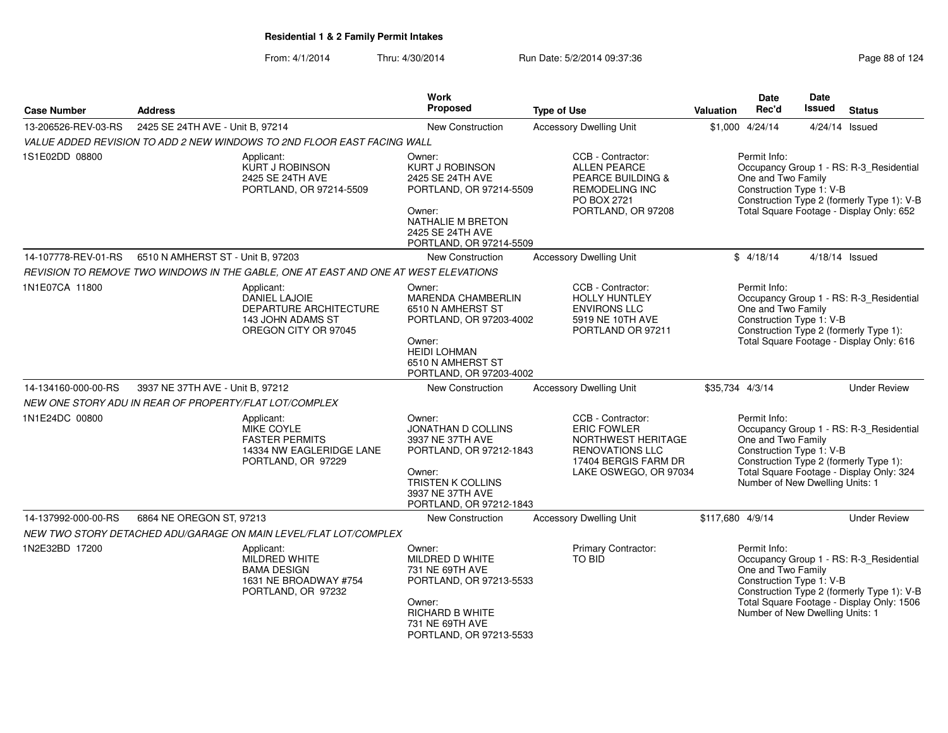| <b>Case Number</b>  | <b>Address</b>                                         |                                                                                                           | Work<br>Proposed                                                                                                                                                 | <b>Type of Use</b>                                                                                                                       | <b>Valuation</b> | Date<br>Rec'd                                                                                     | Date<br><b>Issued</b> | <b>Status</b>                                                                                                                      |
|---------------------|--------------------------------------------------------|-----------------------------------------------------------------------------------------------------------|------------------------------------------------------------------------------------------------------------------------------------------------------------------|------------------------------------------------------------------------------------------------------------------------------------------|------------------|---------------------------------------------------------------------------------------------------|-----------------------|------------------------------------------------------------------------------------------------------------------------------------|
| 13-206526-REV-03-RS | 2425 SE 24TH AVE - Unit B, 97214                       |                                                                                                           | <b>New Construction</b>                                                                                                                                          | <b>Accessory Dwelling Unit</b>                                                                                                           |                  | \$1,000 4/24/14                                                                                   |                       | 4/24/14 Issued                                                                                                                     |
|                     |                                                        | VALUE ADDED REVISION TO ADD 2 NEW WINDOWS TO 2ND FLOOR EAST FACING WALL                                   |                                                                                                                                                                  |                                                                                                                                          |                  |                                                                                                   |                       |                                                                                                                                    |
| 1S1E02DD 08800      |                                                        | Applicant:<br>KURT J ROBINSON<br>2425 SE 24TH AVE<br>PORTLAND, OR 97214-5509                              | Owner:<br><b>KURT J ROBINSON</b><br>2425 SE 24TH AVE<br>PORTLAND, OR 97214-5509<br>Owner:<br>NATHALIE M BRETON<br>2425 SE 24TH AVE<br>PORTLAND, OR 97214-5509    | CCB - Contractor:<br><b>ALLEN PEARCE</b><br>PEARCE BUILDING &<br><b>REMODELING INC</b><br>PO BOX 2721<br>PORTLAND, OR 97208              |                  | Permit Info:<br>One and Two Family<br>Construction Type 1: V-B                                    |                       | Occupancy Group 1 - RS: R-3_Residential<br>Construction Type 2 (formerly Type 1): V-B<br>Total Square Footage - Display Only: 652  |
| 14-107778-REV-01-RS | 6510 N AMHERST ST - Unit B. 97203                      |                                                                                                           | New Construction                                                                                                                                                 | <b>Accessory Dwelling Unit</b>                                                                                                           |                  | \$4/18/14                                                                                         |                       | 4/18/14 Issued                                                                                                                     |
|                     |                                                        | REVISION TO REMOVE TWO WINDOWS IN THE GABLE, ONE AT EAST AND ONE AT WEST ELEVATIONS                       |                                                                                                                                                                  |                                                                                                                                          |                  |                                                                                                   |                       |                                                                                                                                    |
| 1N1E07CA 11800      |                                                        | Applicant:<br><b>DANIEL LAJOIE</b><br>DEPARTURE ARCHITECTURE<br>143 JOHN ADAMS ST<br>OREGON CITY OR 97045 | Owner:<br>MARENDA CHAMBERLIN<br>6510 N AMHERST ST<br>PORTLAND, OR 97203-4002<br>Owner:<br><b>HEIDI LOHMAN</b><br>6510 N AMHERST ST<br>PORTLAND, OR 97203-4002    | CCB - Contractor:<br><b>HOLLY HUNTLEY</b><br><b>ENVIRONS LLC</b><br>5919 NE 10TH AVE<br>PORTLAND OR 97211                                |                  | Permit Info:<br>One and Two Family<br>Construction Type 1: V-B                                    |                       | Occupancy Group 1 - RS: R-3_Residential<br>Construction Type 2 (formerly Type 1):<br>Total Square Footage - Display Only: 616      |
| 14-134160-000-00-RS | 3937 NE 37TH AVE - Unit B, 97212                       |                                                                                                           | New Construction                                                                                                                                                 | <b>Accessory Dwelling Unit</b>                                                                                                           |                  | \$35,734 4/3/14                                                                                   |                       | <b>Under Review</b>                                                                                                                |
|                     | NEW ONE STORY ADU IN REAR OF PROPERTY/FLAT LOT/COMPLEX |                                                                                                           |                                                                                                                                                                  |                                                                                                                                          |                  |                                                                                                   |                       |                                                                                                                                    |
| 1N1E24DC 00800      |                                                        | Applicant:<br>MIKE COYLE<br><b>FASTER PERMITS</b><br>14334 NW EAGLERIDGE LANE<br>PORTLAND, OR 97229       | Owner:<br><b>JONATHAN D COLLINS</b><br>3937 NE 37TH AVE<br>PORTLAND, OR 97212-1843<br>Owner:<br>TRISTEN K COLLINS<br>3937 NE 37TH AVE<br>PORTLAND, OR 97212-1843 | CCB - Contractor:<br><b>ERIC FOWLER</b><br>NORTHWEST HERITAGE<br><b>RENOVATIONS LLC</b><br>17404 BERGIS FARM DR<br>LAKE OSWEGO, OR 97034 |                  | Permit Info:<br>One and Two Family<br>Construction Type 1: V-B<br>Number of New Dwelling Units: 1 |                       | Occupancy Group 1 - RS: R-3_Residential<br>Construction Type 2 (formerly Type 1):<br>Total Square Footage - Display Only: 324      |
| 14-137992-000-00-RS | 6864 NE OREGON ST, 97213                               |                                                                                                           | <b>New Construction</b>                                                                                                                                          | <b>Accessory Dwelling Unit</b>                                                                                                           | \$117,680 4/9/14 |                                                                                                   |                       | <b>Under Review</b>                                                                                                                |
|                     |                                                        | NEW TWO STORY DETACHED ADU/GARAGE ON MAIN LEVEL/FLAT LOT/COMPLEX                                          |                                                                                                                                                                  |                                                                                                                                          |                  |                                                                                                   |                       |                                                                                                                                    |
| 1N2E32BD 17200      |                                                        | Applicant:<br>MILDRED WHITE<br><b>BAMA DESIGN</b><br>1631 NE BROADWAY #754<br>PORTLAND, OR 97232          | Owner:<br>MILDRED D WHITE<br>731 NE 69TH AVE<br>PORTLAND, OR 97213-5533<br>Owner:<br><b>RICHARD B WHITE</b><br>731 NE 69TH AVE<br>PORTLAND, OR 97213-5533        | Primary Contractor:<br>TO BID                                                                                                            |                  | Permit Info:<br>One and Two Family<br>Construction Type 1: V-B<br>Number of New Dwelling Units: 1 |                       | Occupancy Group 1 - RS: R-3_Residential<br>Construction Type 2 (formerly Type 1): V-B<br>Total Square Footage - Display Only: 1506 |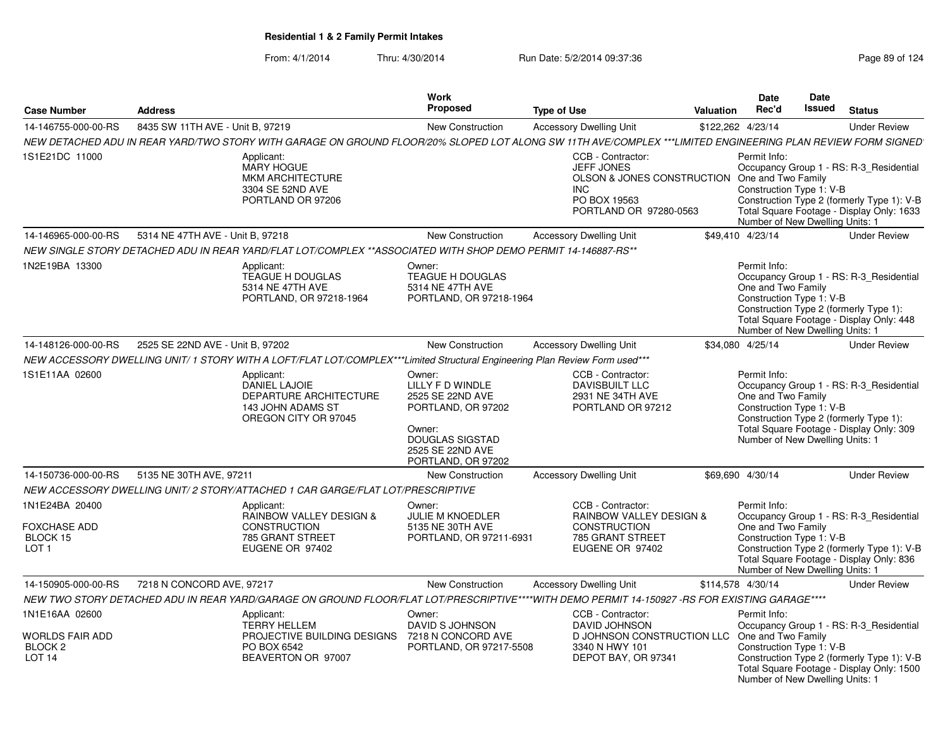| <b>Case Number</b>                                                    | <b>Address</b>                   |                                                                                                                                                             | <b>Work</b><br>Proposed                                                                                                                            | <b>Type of Use</b>                                                                                                           | <b>Valuation</b> | <b>Date</b><br>Rec'd                                                                              | Date<br><b>Issued</b> | <b>Status</b>                                                                                                                      |
|-----------------------------------------------------------------------|----------------------------------|-------------------------------------------------------------------------------------------------------------------------------------------------------------|----------------------------------------------------------------------------------------------------------------------------------------------------|------------------------------------------------------------------------------------------------------------------------------|------------------|---------------------------------------------------------------------------------------------------|-----------------------|------------------------------------------------------------------------------------------------------------------------------------|
| 14-146755-000-00-RS                                                   | 8435 SW 11TH AVE - Unit B, 97219 |                                                                                                                                                             | <b>New Construction</b>                                                                                                                            | <b>Accessory Dwelling Unit</b>                                                                                               |                  | \$122,262 4/23/14                                                                                 |                       | <b>Under Review</b>                                                                                                                |
|                                                                       |                                  | NEW DETACHED ADU IN REAR YARD/TWO STORY WITH GARAGE ON GROUND FLOOR/20% SLOPED LOT ALONG SW 11TH AVE/COMPLEX ***LIMITED ENGINEERING PLAN REVIEW FORM SIGNED |                                                                                                                                                    |                                                                                                                              |                  |                                                                                                   |                       |                                                                                                                                    |
| 1S1E21DC 11000                                                        |                                  | Applicant:<br><b>MARY HOGUE</b><br><b>MKM ARCHITECTURE</b><br>3304 SE 52ND AVE<br>PORTLAND OR 97206                                                         |                                                                                                                                                    | CCB - Contractor:<br><b>JEFF JONES</b><br>OLSON & JONES CONSTRUCTION<br><b>INC</b><br>PO BOX 19563<br>PORTLAND OR 97280-0563 |                  | Permit Info:<br>One and Two Family<br>Construction Type 1: V-B<br>Number of New Dwelling Units: 1 |                       | Occupancy Group 1 - RS: R-3_Residential<br>Construction Type 2 (formerly Type 1): V-B<br>Total Square Footage - Display Only: 1633 |
| 14-146965-000-00-RS                                                   | 5314 NE 47TH AVE - Unit B, 97218 |                                                                                                                                                             | New Construction                                                                                                                                   | <b>Accessory Dwelling Unit</b>                                                                                               |                  | \$49,410 4/23/14                                                                                  |                       | <b>Under Review</b>                                                                                                                |
|                                                                       |                                  | NEW SINGLE STORY DETACHED ADU IN REAR YARD/FLAT LOT/COMPLEX **ASSOCIATED WITH SHOP DEMO PERMIT 14-146887-RS**                                               |                                                                                                                                                    |                                                                                                                              |                  |                                                                                                   |                       |                                                                                                                                    |
| 1N2E19BA 13300                                                        |                                  | Applicant:<br>TEAGUE H DOUGLAS<br>5314 NE 47TH AVE<br>PORTLAND, OR 97218-1964                                                                               | Owner:<br>TEAGUE H DOUGLAS<br>5314 NE 47TH AVE<br>PORTLAND, OR 97218-1964                                                                          |                                                                                                                              |                  | Permit Info:<br>One and Two Family<br>Construction Type 1: V-B<br>Number of New Dwelling Units: 1 |                       | Occupancy Group 1 - RS: R-3 Residential<br>Construction Type 2 (formerly Type 1):<br>Total Square Footage - Display Only: 448      |
| 14-148126-000-00-RS                                                   | 2525 SE 22ND AVE - Unit B, 97202 |                                                                                                                                                             | New Construction                                                                                                                                   | <b>Accessory Dwelling Unit</b>                                                                                               |                  | \$34,080 4/25/14                                                                                  |                       | <b>Under Review</b>                                                                                                                |
|                                                                       |                                  | NEW ACCESSORY DWELLING UNIT/1 STORY WITH A LOFT/FLAT LOT/COMPLEX***Limited Structural Engineering Plan Review Form used***                                  |                                                                                                                                                    |                                                                                                                              |                  |                                                                                                   |                       |                                                                                                                                    |
| 1S1E11AA 02600                                                        |                                  | Applicant:<br>DANIEL LAJOIE<br>DEPARTURE ARCHITECTURE<br>143 JOHN ADAMS ST<br>OREGON CITY OR 97045                                                          | Owner:<br>LILLY F D WINDLE<br>2525 SE 22ND AVE<br>PORTLAND, OR 97202<br>Owner:<br><b>DOUGLAS SIGSTAD</b><br>2525 SE 22ND AVE<br>PORTLAND, OR 97202 | CCB - Contractor:<br><b>DAVISBUILT LLC</b><br>2931 NE 34TH AVE<br>PORTLAND OR 97212                                          |                  | Permit Info:<br>One and Two Family<br>Construction Type 1: V-B<br>Number of New Dwelling Units: 1 |                       | Occupancy Group 1 - RS: R-3_Residential<br>Construction Type 2 (formerly Type 1):<br>Total Square Footage - Display Only: 309      |
| 14-150736-000-00-RS                                                   | 5135 NE 30TH AVE, 97211          |                                                                                                                                                             | <b>New Construction</b>                                                                                                                            | <b>Accessory Dwelling Unit</b>                                                                                               |                  | \$69.690 4/30/14                                                                                  |                       | <b>Under Review</b>                                                                                                                |
|                                                                       |                                  | NEW ACCESSORY DWELLING UNIT/ 2 STORY/ATTACHED 1 CAR GARGE/FLAT LOT/PRESCRIPTIVE                                                                             |                                                                                                                                                    |                                                                                                                              |                  |                                                                                                   |                       |                                                                                                                                    |
| 1N1E24BA 20400<br><b>FOXCHASE ADD</b><br>BLOCK 15<br>LOT <sub>1</sub> |                                  | Applicant:<br>RAINBOW VALLEY DESIGN &<br><b>CONSTRUCTION</b><br>785 GRANT STREET<br>EUGENE OR 97402                                                         | Owner:<br><b>JULIE M KNOEDLER</b><br>5135 NE 30TH AVE<br>PORTLAND, OR 97211-6931                                                                   | CCB - Contractor:<br><b>RAINBOW VALLEY DESIGN &amp;</b><br><b>CONSTRUCTION</b><br>785 GRANT STREET<br>EUGENE OR 97402        |                  | Permit Info:<br>One and Two Family<br>Construction Type 1: V-B<br>Number of New Dwelling Units: 1 |                       | Occupancy Group 1 - RS: R-3_Residential<br>Construction Type 2 (formerly Type 1): V-B<br>Total Square Footage - Display Only: 836  |
| 14-150905-000-00-RS                                                   | 7218 N CONCORD AVE, 97217        |                                                                                                                                                             | <b>New Construction</b>                                                                                                                            | <b>Accessory Dwelling Unit</b>                                                                                               |                  | \$114,578 4/30/14                                                                                 |                       | <b>Under Review</b>                                                                                                                |
|                                                                       |                                  | NEW TWO STORY DETACHED ADU IN REAR YARD/GARAGE ON GROUND FLOOR/FLAT LOT/PRESCRIPTIVE****WITH DEMO PERMIT 14-150927 -RS FOR EXISTING GARAGE****              |                                                                                                                                                    |                                                                                                                              |                  |                                                                                                   |                       |                                                                                                                                    |
| 1N1E16AA 02600                                                        |                                  | Applicant:                                                                                                                                                  | Owner:                                                                                                                                             | CCB - Contractor:                                                                                                            |                  | Permit Info:                                                                                      |                       |                                                                                                                                    |
| WORLDS FAIR ADD<br>BLOCK <sub>2</sub><br>LOT <sub>14</sub>            |                                  | <b>TERRY HELLEM</b><br>PROJECTIVE BUILDING DESIGNS<br>PO BOX 6542<br>BEAVERTON OR 97007                                                                     | DAVID S JOHNSON<br>7218 N CONCORD AVE<br>PORTLAND, OR 97217-5508                                                                                   | DAVID JOHNSON<br>D JOHNSON CONSTRUCTION LLC<br>3340 N HWY 101<br>DEPOT BAY, OR 97341                                         |                  | One and Two Family<br>Construction Type 1: V-B<br>Number of New Dwelling Units: 1                 |                       | Occupancy Group 1 - RS: R-3 Residential<br>Construction Type 2 (formerly Type 1): V-B<br>Total Square Footage - Display Only: 1500 |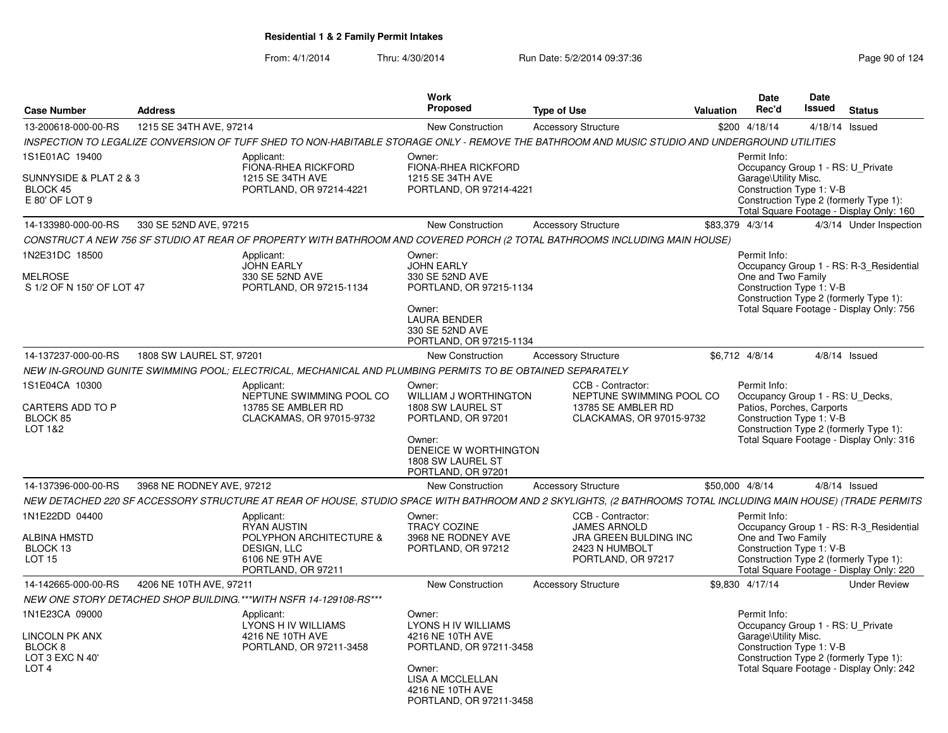| <b>Case Number</b>                                                                                   | <b>Address</b>            |                                                                                                                                                               | <b>Work</b><br>Proposed                                                                                                                                          | <b>Type of Use</b> |                                                                                                                  | Valuation | Date<br>Rec'd                                                         | Date<br><b>Issued</b> | <b>Status</b>                                                                                                                 |
|------------------------------------------------------------------------------------------------------|---------------------------|---------------------------------------------------------------------------------------------------------------------------------------------------------------|------------------------------------------------------------------------------------------------------------------------------------------------------------------|--------------------|------------------------------------------------------------------------------------------------------------------|-----------|-----------------------------------------------------------------------|-----------------------|-------------------------------------------------------------------------------------------------------------------------------|
| 13-200618-000-00-RS                                                                                  | 1215 SE 34TH AVE, 97214   |                                                                                                                                                               | New Construction                                                                                                                                                 |                    | <b>Accessory Structure</b>                                                                                       |           | \$200 4/18/14                                                         |                       | 4/18/14 Issued                                                                                                                |
|                                                                                                      |                           | INSPECTION TO LEGALIZE CONVERSION OF TUFF SHED TO NON-HABITABLE STORAGE ONLY - REMOVE THE BATHROOM AND MUSIC STUDIO AND UNDERGROUND UTILITIES                 |                                                                                                                                                                  |                    |                                                                                                                  |           |                                                                       |                       |                                                                                                                               |
| 1S1E01AC 19400                                                                                       |                           | Applicant:<br>FIONA-RHEA RICKFORD                                                                                                                             | Owner:<br>FIONA-RHEA RICKFORD                                                                                                                                    |                    |                                                                                                                  |           | Permit Info:                                                          |                       | Occupancy Group 1 - RS: U_Private                                                                                             |
| SUNNYSIDE & PLAT 2 & 3<br>BLOCK 45<br>E 80' OF LOT 9                                                 |                           | 1215 SE 34TH AVE<br>PORTLAND, OR 97214-4221                                                                                                                   | 1215 SE 34TH AVE<br>PORTLAND, OR 97214-4221                                                                                                                      |                    |                                                                                                                  |           | Garage\Utility Misc.<br>Construction Type 1: V-B                      |                       | Construction Type 2 (formerly Type 1):<br>Total Square Footage - Display Only: 160                                            |
| 14-133980-000-00-RS                                                                                  | 330 SE 52ND AVE, 97215    |                                                                                                                                                               | New Construction                                                                                                                                                 |                    | <b>Accessory Structure</b>                                                                                       |           | \$83.379 4/3/14                                                       |                       | 4/3/14 Under Inspection                                                                                                       |
|                                                                                                      |                           | CONSTRUCT A NEW 756 SF STUDIO AT REAR OF PROPERTY WITH BATHROOM AND COVERED PORCH (2 TOTAL BATHROOMS INCLUDING MAIN HOUSE)                                    |                                                                                                                                                                  |                    |                                                                                                                  |           |                                                                       |                       |                                                                                                                               |
| 1N2E31DC 18500                                                                                       |                           | Applicant:<br><b>JOHN EARLY</b>                                                                                                                               | Owner:<br><b>JOHN EARLY</b>                                                                                                                                      |                    |                                                                                                                  |           | Permit Info:                                                          |                       | Occupancy Group 1 - RS: R-3_Residential                                                                                       |
| <b>MELROSE</b><br>S 1/2 OF N 150' OF LOT 47                                                          |                           | 330 SE 52ND AVE<br>PORTLAND, OR 97215-1134                                                                                                                    | 330 SE 52ND AVE<br>PORTLAND, OR 97215-1134<br>Owner:<br><b>LAURA BENDER</b><br>330 SE 52ND AVE<br>PORTLAND, OR 97215-1134                                        |                    |                                                                                                                  |           | One and Two Family<br>Construction Type 1: V-B                        |                       | Construction Type 2 (formerly Type 1):<br>Total Square Footage - Display Only: 756                                            |
| 14-137237-000-00-RS                                                                                  | 1808 SW LAUREL ST, 97201  |                                                                                                                                                               | New Construction                                                                                                                                                 |                    | <b>Accessory Structure</b>                                                                                       |           | \$6,712 4/8/14                                                        |                       | $4/8/14$ Issued                                                                                                               |
|                                                                                                      |                           | NEW IN-GROUND GUNITE SWIMMING POOL; ELECTRICAL, MECHANICAL AND PLUMBING PERMITS TO BE OBTAINED SEPARATELY                                                     |                                                                                                                                                                  |                    |                                                                                                                  |           |                                                                       |                       |                                                                                                                               |
| 1S1E04CA 10300<br>CARTERS ADD TO P<br>BLOCK 85<br>LOT 1&2                                            |                           | Applicant:<br>NEPTUNE SWIMMING POOL CO<br>13785 SE AMBLER RD<br>CLACKAMAS, OR 97015-9732                                                                      | Owner:<br>WILLIAM J WORTHINGTON<br>1808 SW LAUREL ST<br>PORTLAND, OR 97201<br>Owner:<br>DENEICE W WORTHINGTON<br>1808 SW LAUREL ST<br>PORTLAND, OR 97201         |                    | CCB - Contractor:<br>NEPTUNE SWIMMING POOL CO<br>13785 SE AMBLER RD<br>CLACKAMAS, OR 97015-9732                  |           | Permit Info:<br>Patios, Porches, Carports<br>Construction Type 1: V-B |                       | Occupancy Group 1 - RS: U_Decks,<br>Construction Type 2 (formerly Type 1):<br>Total Square Footage - Display Only: 316        |
| 14-137396-000-00-RS                                                                                  | 3968 NE RODNEY AVE, 97212 |                                                                                                                                                               | New Construction                                                                                                                                                 |                    | <b>Accessory Structure</b>                                                                                       |           | \$50,000 4/8/14                                                       |                       | $4/8/14$ Issued                                                                                                               |
|                                                                                                      |                           | NEW DETACHED 220 SF ACCESSORY STRUCTURE AT REAR OF HOUSE, STUDIO SPACE WITH BATHROOM AND 2 SKYLIGHTS, (2 BATHROOMS TOTAL INCLUDING MAIN HOUSE) (TRADE PERMITS |                                                                                                                                                                  |                    |                                                                                                                  |           |                                                                       |                       |                                                                                                                               |
| 1N1E22DD 04400<br>ALBINA HMSTD<br>BLOCK 13<br>LOT <sub>15</sub>                                      |                           | Applicant:<br><b>RYAN AUSTIN</b><br>POLYPHON ARCHITECTURE &<br>DESIGN, LLC<br>6106 NE 9TH AVE<br>PORTLAND, OR 97211                                           | Owner:<br>TRACY COZINE<br>3968 NE RODNEY AVE<br>PORTLAND, OR 97212                                                                                               |                    | CCB - Contractor:<br><b>JAMES ARNOLD</b><br><b>JRA GREEN BULDING INC</b><br>2423 N HUMBOLT<br>PORTLAND, OR 97217 |           | Permit Info:<br>One and Two Family<br>Construction Type 1: V-B        |                       | Occupancy Group 1 - RS: R-3_Residential<br>Construction Type 2 (formerly Type 1):<br>Total Square Footage - Display Only: 220 |
| 14-142665-000-00-RS                                                                                  | 4206 NE 10TH AVE, 97211   |                                                                                                                                                               | New Construction                                                                                                                                                 |                    | <b>Accessory Structure</b>                                                                                       |           | \$9,830 4/17/14                                                       |                       | <b>Under Review</b>                                                                                                           |
|                                                                                                      |                           | NEW ONE STORY DETACHED SHOP BUILDING. *** WITH NSFR 14-129108-RS ***                                                                                          |                                                                                                                                                                  |                    |                                                                                                                  |           |                                                                       |                       |                                                                                                                               |
| 1N1E23CA 09000<br><b>LINCOLN PK ANX</b><br>BLOCK <sub>8</sub><br>LOT 3 EXC N 40'<br>LOT <sub>4</sub> |                           | Applicant:<br><b>LYONS H IV WILLIAMS</b><br>4216 NE 10TH AVE<br>PORTLAND, OR 97211-3458                                                                       | Owner:<br><b>LYONS H IV WILLIAMS</b><br>4216 NE 10TH AVE<br>PORTLAND, OR 97211-3458<br>Owner:<br>LISA A MCCLELLAN<br>4216 NE 10TH AVE<br>PORTLAND, OR 97211-3458 |                    |                                                                                                                  |           | Permit Info:<br>Garage\Utility Misc.<br>Construction Type 1: V-B      |                       | Occupancy Group 1 - RS: U_Private<br>Construction Type 2 (formerly Type 1):<br>Total Square Footage - Display Only: 242       |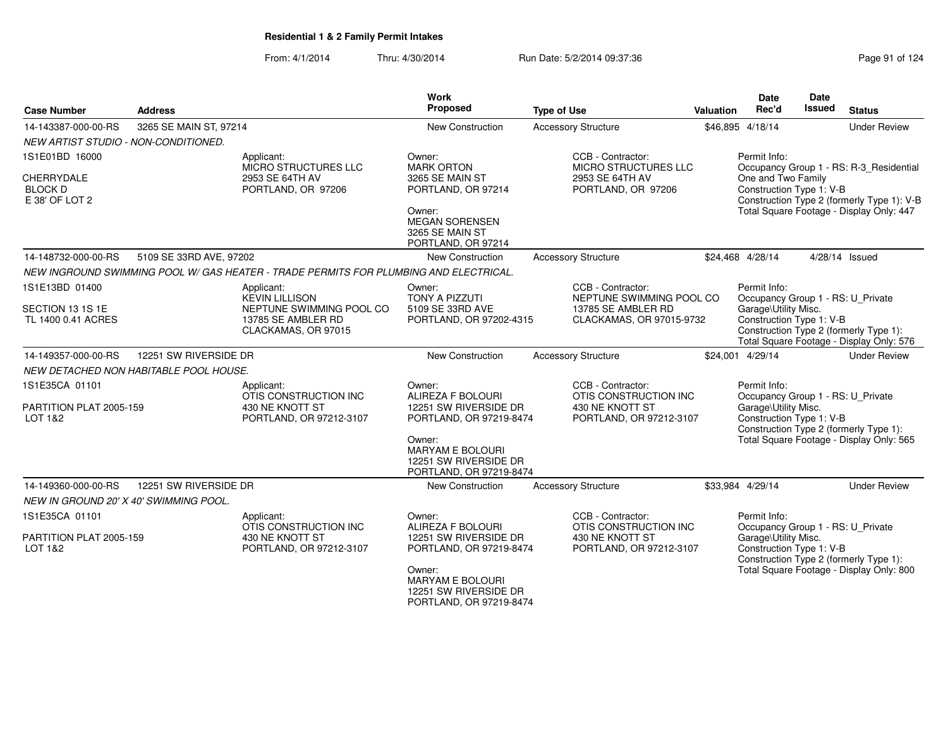| <b>Case Number</b>                                                      | <b>Address</b>                                                                                                                                                                                                                                     |                                                                                       | <b>Work</b><br>Proposed                                                               | <b>Type of Use</b>                                                                 | Valuation                                                                                                                                                                   | <b>Date</b><br>Rec'd                                           | <b>Date</b><br><b>Issued</b> | <b>Status</b>                                                                                                                     |
|-------------------------------------------------------------------------|----------------------------------------------------------------------------------------------------------------------------------------------------------------------------------------------------------------------------------------------------|---------------------------------------------------------------------------------------|---------------------------------------------------------------------------------------|------------------------------------------------------------------------------------|-----------------------------------------------------------------------------------------------------------------------------------------------------------------------------|----------------------------------------------------------------|------------------------------|-----------------------------------------------------------------------------------------------------------------------------------|
| 14-143387-000-00-RS                                                     | 3265 SE MAIN ST, 97214                                                                                                                                                                                                                             |                                                                                       | New Construction                                                                      | <b>Accessory Structure</b>                                                         |                                                                                                                                                                             | \$46,895 4/18/14                                               |                              | <b>Under Review</b>                                                                                                               |
| NEW ARTIST STUDIO - NON-CONDITIONED.                                    |                                                                                                                                                                                                                                                    |                                                                                       |                                                                                       |                                                                                    |                                                                                                                                                                             |                                                                |                              |                                                                                                                                   |
| 1S1E01BD 16000<br><b>CHERRYDALE</b><br><b>BLOCK D</b><br>E 38' OF LOT 2 |                                                                                                                                                                                                                                                    | Applicant:<br>MICRO STRUCTURES LLC<br>2953 SE 64TH AV<br>PORTLAND, OR 97206           | Owner:<br><b>MARK ORTON</b><br>3265 SE MAIN ST<br>PORTLAND, OR 97214<br>Owner:        | CCB - Contractor:<br>MICRO STRUCTURES LLC<br>2953 SE 64TH AV<br>PORTLAND, OR 97206 |                                                                                                                                                                             | Permit Info:<br>One and Two Family<br>Construction Type 1: V-B |                              | Occupancy Group 1 - RS: R-3_Residential<br>Construction Type 2 (formerly Type 1): V-B<br>Total Square Footage - Display Only: 447 |
|                                                                         |                                                                                                                                                                                                                                                    |                                                                                       | <b>MEGAN SORENSEN</b><br>3265 SE MAIN ST<br>PORTLAND, OR 97214                        |                                                                                    |                                                                                                                                                                             |                                                                |                              |                                                                                                                                   |
| 14-148732-000-00-RS                                                     | 5109 SE 33RD AVE, 97202                                                                                                                                                                                                                            |                                                                                       | <b>New Construction</b>                                                               | <b>Accessory Structure</b>                                                         |                                                                                                                                                                             | \$24,468 4/28/14                                               |                              | 4/28/14 Issued                                                                                                                    |
|                                                                         |                                                                                                                                                                                                                                                    | NEW INGROUND SWIMMING POOL W/ GAS HEATER - TRADE PERMITS FOR PLUMBING AND ELECTRICAL. |                                                                                       |                                                                                    |                                                                                                                                                                             |                                                                |                              |                                                                                                                                   |
| 1S1E13BD 01400                                                          | CCB - Contractor:<br>Permit Info:<br>Applicant:<br>Owner:<br><b>KEVIN LILLISON</b><br><b>TONY A PIZZUTI</b><br>NEPTUNE SWIMMING POOL CO<br>Occupancy Group 1 - RS: U_Private<br>NEPTUNE SWIMMING POOL CO<br>5109 SE 33RD AVE<br>13785 SE AMBLER RD |                                                                                       |                                                                                       |                                                                                    |                                                                                                                                                                             |                                                                |                              |                                                                                                                                   |
| SECTION 13 1S 1E<br>TL 1400 0.41 ACRES                                  |                                                                                                                                                                                                                                                    | 13785 SE AMBLER RD<br>CLACKAMAS, OR 97015                                             | PORTLAND, OR 97202-4315                                                               | CLACKAMAS, OR 97015-9732                                                           | Garage\Utility Misc.<br>Construction Type 1: V-B<br>Construction Type 2 (formerly Type 1):<br>Total Square Footage - Display Only: 576                                      |                                                                |                              |                                                                                                                                   |
| 14-149357-000-00-RS                                                     | 12251 SW RIVERSIDE DR                                                                                                                                                                                                                              |                                                                                       | <b>New Construction</b>                                                               | <b>Accessory Structure</b>                                                         |                                                                                                                                                                             | \$24,001 4/29/14                                               |                              | <b>Under Review</b>                                                                                                               |
|                                                                         | NEW DETACHED NON HABITABLE POOL HOUSE.                                                                                                                                                                                                             |                                                                                       |                                                                                       |                                                                                    |                                                                                                                                                                             |                                                                |                              |                                                                                                                                   |
| 1S1E35CA 01101                                                          |                                                                                                                                                                                                                                                    | Applicant:<br>OTIS CONSTRUCTION INC                                                   | Owner:<br>ALIREZA F BOLOURI                                                           | CCB - Contractor:<br>OTIS CONSTRUCTION INC                                         |                                                                                                                                                                             | Permit Info:                                                   |                              |                                                                                                                                   |
| PARTITION PLAT 2005-159<br>LOT 1&2                                      |                                                                                                                                                                                                                                                    | 430 NE KNOTT ST<br>PORTLAND, OR 97212-3107                                            | 12251 SW RIVERSIDE DR<br>PORTLAND, OR 97219-8474<br>Owner:<br><b>MARYAM E BOLOURI</b> | 430 NE KNOTT ST<br>PORTLAND, OR 97212-3107                                         | Occupancy Group 1 - RS: U_Private<br>Garage\Utility Misc.<br>Construction Type 1: V-B<br>Construction Type 2 (formerly Type 1):<br>Total Square Footage - Display Only: 565 |                                                                |                              |                                                                                                                                   |
|                                                                         |                                                                                                                                                                                                                                                    |                                                                                       | 12251 SW RIVERSIDE DR<br>PORTLAND, OR 97219-8474                                      |                                                                                    |                                                                                                                                                                             |                                                                |                              |                                                                                                                                   |
| 14-149360-000-00-RS<br>NEW IN GROUND 20' X 40' SWIMMING POOL.           | 12251 SW RIVERSIDE DR                                                                                                                                                                                                                              |                                                                                       | New Construction                                                                      | <b>Accessory Structure</b>                                                         |                                                                                                                                                                             | \$33,984 4/29/14                                               |                              | <b>Under Review</b>                                                                                                               |
| 1S1E35CA 01101                                                          |                                                                                                                                                                                                                                                    | Applicant:<br>OTIS CONSTRUCTION INC                                                   | Owner:<br>ALIREZA F BOLOURI                                                           | CCB - Contractor:<br>OTIS CONSTRUCTION INC                                         |                                                                                                                                                                             | Permit Info:<br>Occupancy Group 1 - RS: U_Private              |                              |                                                                                                                                   |
| PARTITION PLAT 2005-159<br>LOT 1&2                                      |                                                                                                                                                                                                                                                    | 430 NE KNOTT ST<br>PORTLAND, OR 97212-3107                                            | 12251 SW RIVERSIDE DR<br>PORTLAND, OR 97219-8474                                      | 430 NE KNOTT ST<br>PORTLAND, OR 97212-3107                                         |                                                                                                                                                                             | Garage\Utility Misc.<br>Construction Type 1: V-B               |                              | Construction Type 2 (formerly Type 1):                                                                                            |
|                                                                         |                                                                                                                                                                                                                                                    |                                                                                       | Owner:<br><b>MARYAM E BOLOURI</b><br>12251 SW RIVERSIDE DR<br>PORTLAND, OR 97219-8474 |                                                                                    | Total Square Footage - Display Only: 800                                                                                                                                    |                                                                |                              |                                                                                                                                   |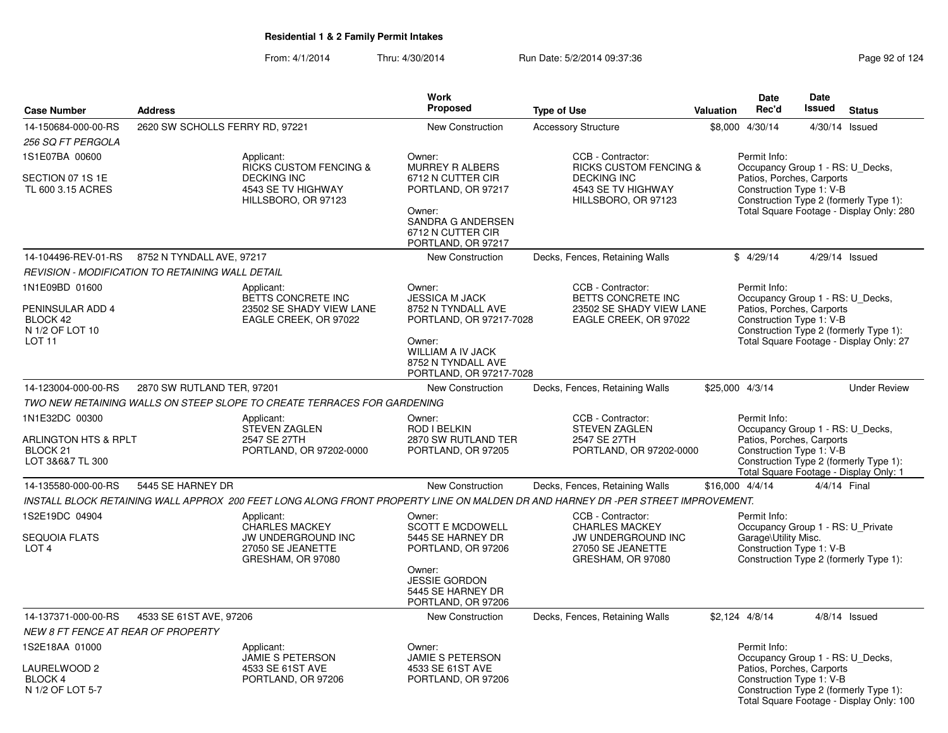| <b>Case Number</b>                                              | <b>Address</b>                                   |                                                                                                                    | Work<br><b>Proposed</b>                                                                                                                                                      | <b>Type of Use</b>                                                                                                              | Valuation                                                                                             | <b>Date</b><br>Rec'd                                                                      | Date<br><b>Issued</b>                                                                                                                     | <b>Status</b>                                                                      |  |  |  |
|-----------------------------------------------------------------|--------------------------------------------------|--------------------------------------------------------------------------------------------------------------------|------------------------------------------------------------------------------------------------------------------------------------------------------------------------------|---------------------------------------------------------------------------------------------------------------------------------|-------------------------------------------------------------------------------------------------------|-------------------------------------------------------------------------------------------|-------------------------------------------------------------------------------------------------------------------------------------------|------------------------------------------------------------------------------------|--|--|--|
|                                                                 |                                                  |                                                                                                                    |                                                                                                                                                                              |                                                                                                                                 |                                                                                                       |                                                                                           |                                                                                                                                           |                                                                                    |  |  |  |
| 14-150684-000-00-RS                                             | 2620 SW SCHOLLS FERRY RD, 97221                  |                                                                                                                    | New Construction                                                                                                                                                             | <b>Accessory Structure</b>                                                                                                      |                                                                                                       | \$8,000 4/30/14                                                                           |                                                                                                                                           | 4/30/14 Issued                                                                     |  |  |  |
| 256 SQ FT PERGOLA                                               |                                                  |                                                                                                                    |                                                                                                                                                                              | CCB - Contractor:                                                                                                               |                                                                                                       | Permit Info:                                                                              |                                                                                                                                           |                                                                                    |  |  |  |
| 1S1E07BA 00600<br>SECTION 07 1S 1E<br>TL 600 3.15 ACRES         |                                                  | Applicant:<br><b>RICKS CUSTOM FENCING &amp;</b><br><b>DECKING INC</b><br>4543 SE TV HIGHWAY<br>HILLSBORO, OR 97123 | Owner:<br>MURREY R ALBERS<br><b>RICKS CUSTOM FENCING &amp;</b><br>6712 N CUTTER CIR<br><b>DECKING INC</b><br>PORTLAND, OR 97217<br>4543 SE TV HIGHWAY<br>HILLSBORO, OR 97123 |                                                                                                                                 |                                                                                                       |                                                                                           | Patios, Porches, Carports<br>Construction Type 1: V-B                                                                                     | Occupancy Group 1 - RS: U_Decks,<br>Construction Type 2 (formerly Type 1):         |  |  |  |
|                                                                 |                                                  |                                                                                                                    | Owner:<br>SANDRA G ANDERSEN<br>6712 N CUTTER CIR<br>PORTLAND, OR 97217                                                                                                       |                                                                                                                                 |                                                                                                       |                                                                                           | Total Square Footage - Display Only: 280                                                                                                  |                                                                                    |  |  |  |
| 14-104496-REV-01-RS                                             | 8752 N TYNDALL AVE, 97217                        |                                                                                                                    | New Construction                                                                                                                                                             | Decks, Fences, Retaining Walls                                                                                                  |                                                                                                       | \$4/29/14                                                                                 |                                                                                                                                           | 4/29/14 Issued                                                                     |  |  |  |
|                                                                 | REVISION - MODIFICATION TO RETAINING WALL DETAIL |                                                                                                                    |                                                                                                                                                                              |                                                                                                                                 |                                                                                                       |                                                                                           |                                                                                                                                           |                                                                                    |  |  |  |
| 1N1E09BD 01600                                                  |                                                  | Applicant:                                                                                                         | Owner:                                                                                                                                                                       | CCB - Contractor:                                                                                                               |                                                                                                       | Permit Info:                                                                              |                                                                                                                                           |                                                                                    |  |  |  |
| PENINSULAR ADD 4<br>BLOCK 42<br>N 1/2 OF LOT 10                 |                                                  | BETTS CONCRETE INC<br>23502 SE SHADY VIEW LANE<br>EAGLE CREEK, OR 97022                                            | <b>JESSICA M JACK</b><br>8752 N TYNDALL AVE<br>PORTLAND, OR 97217-7028                                                                                                       | BETTS CONCRETE INC<br>23502 SE SHADY VIEW LANE<br>EAGLE CREEK, OR 97022                                                         |                                                                                                       | Occupancy Group 1 - RS: U Decks,<br>Patios, Porches, Carports<br>Construction Type 1: V-B |                                                                                                                                           | Construction Type 2 (formerly Type 1):                                             |  |  |  |
| <b>LOT 11</b>                                                   |                                                  |                                                                                                                    | Owner:<br><b>WILLIAM A IV JACK</b><br>8752 N TYNDALL AVE<br>PORTLAND, OR 97217-7028                                                                                          |                                                                                                                                 |                                                                                                       | Total Square Footage - Display Only: 27<br>\$25,000 4/3/14                                |                                                                                                                                           |                                                                                    |  |  |  |
| 14-123004-000-00-RS                                             | 2870 SW RUTLAND TER, 97201                       |                                                                                                                    | New Construction                                                                                                                                                             | Decks, Fences, Retaining Walls                                                                                                  |                                                                                                       |                                                                                           |                                                                                                                                           | <b>Under Review</b>                                                                |  |  |  |
|                                                                 |                                                  | TWO NEW RETAINING WALLS ON STEEP SLOPE TO CREATE TERRACES FOR GARDENING                                            |                                                                                                                                                                              |                                                                                                                                 |                                                                                                       |                                                                                           |                                                                                                                                           |                                                                                    |  |  |  |
| 1N1E32DC 00300                                                  |                                                  | Applicant:<br><b>STEVEN ZAGLEN</b>                                                                                 | Owner:<br><b>ROD I BELKIN</b>                                                                                                                                                | CCB - Contractor:<br>STEVEN ZAGLEN                                                                                              |                                                                                                       | Permit Info:<br>Occupancy Group 1 - RS: U_Decks,                                          |                                                                                                                                           |                                                                                    |  |  |  |
| ARLINGTON HTS & RPLT<br>BLOCK <sub>21</sub><br>LOT 3&6&7 TL 300 |                                                  | 2547 SE 27TH<br>PORTLAND, OR 97202-0000                                                                            | 2870 SW RUTLAND TER<br>PORTLAND, OR 97205                                                                                                                                    | 2547 SE 27TH<br>PORTLAND, OR 97202-0000                                                                                         |                                                                                                       |                                                                                           | Patios, Porches, Carports<br>Construction Type 1: V-B<br>Construction Type 2 (formerly Type 1):<br>Total Square Footage - Display Only: 1 |                                                                                    |  |  |  |
| 14-135580-000-00-RS                                             | 5445 SE HARNEY DR                                |                                                                                                                    | New Construction                                                                                                                                                             | Decks, Fences, Retaining Walls                                                                                                  |                                                                                                       | \$16,000 4/4/14                                                                           | 4/4/14 Final                                                                                                                              |                                                                                    |  |  |  |
|                                                                 |                                                  |                                                                                                                    |                                                                                                                                                                              | INSTALL BLOCK RETAINING WALL APPROX 200 FEET LONG ALONG FRONT PROPERTY LINE ON MALDEN DR AND HARNEY DR -PER STREET IMPROVEMENT. |                                                                                                       |                                                                                           |                                                                                                                                           |                                                                                    |  |  |  |
| 1S2E19DC 04904<br><b>SEQUOIA FLATS</b><br>LOT <sub>4</sub>      |                                                  | Applicant:<br><b>CHARLES MACKEY</b><br>JW UNDERGROUND INC<br>27050 SE JEANETTE                                     | Owner:<br><b>SCOTT E MCDOWELL</b><br>5445 SE HARNEY DR<br>PORTLAND, OR 97206                                                                                                 | CCB - Contractor:<br><b>CHARLES MACKEY</b><br>JW UNDERGROUND INC<br>27050 SE JEANETTE                                           | Permit Info:<br>Occupancy Group 1 - RS: U_Private<br>Garage\Utility Misc.<br>Construction Type 1: V-B |                                                                                           |                                                                                                                                           |                                                                                    |  |  |  |
|                                                                 |                                                  | GRESHAM, OR 97080                                                                                                  | Owner:<br><b>JESSIE GORDON</b><br>5445 SE HARNEY DR<br>PORTLAND, OR 97206                                                                                                    | GRESHAM, OR 97080                                                                                                               |                                                                                                       |                                                                                           |                                                                                                                                           | Construction Type 2 (formerly Type 1):                                             |  |  |  |
| 14-137371-000-00-RS                                             | 4533 SE 61ST AVE, 97206                          |                                                                                                                    | New Construction                                                                                                                                                             | Decks, Fences, Retaining Walls                                                                                                  |                                                                                                       | \$2,124 4/8/14                                                                            |                                                                                                                                           | $4/8/14$ Issued                                                                    |  |  |  |
| NEW 8 FT FENCE AT REAR OF PROPERTY                              |                                                  |                                                                                                                    |                                                                                                                                                                              |                                                                                                                                 |                                                                                                       |                                                                                           |                                                                                                                                           |                                                                                    |  |  |  |
| 1S2E18AA 01000                                                  |                                                  | Applicant:<br>JAMIE S PETERSON                                                                                     | Owner:<br>JAMIE S PETERSON                                                                                                                                                   |                                                                                                                                 |                                                                                                       | Permit Info:<br>Occupancy Group 1 - RS: U_Decks,                                          |                                                                                                                                           |                                                                                    |  |  |  |
| LAURELWOOD 2<br><b>BLOCK 4</b><br>N 1/2 OF LOT 5-7              |                                                  | 4533 SE 61ST AVE<br>PORTLAND, OR 97206                                                                             | 4533 SE 61ST AVE<br>PORTLAND, OR 97206                                                                                                                                       |                                                                                                                                 |                                                                                                       | Patios, Porches, Carports<br>Construction Type 1: V-B                                     |                                                                                                                                           | Construction Type 2 (formerly Type 1):<br>Total Square Footage - Display Only: 100 |  |  |  |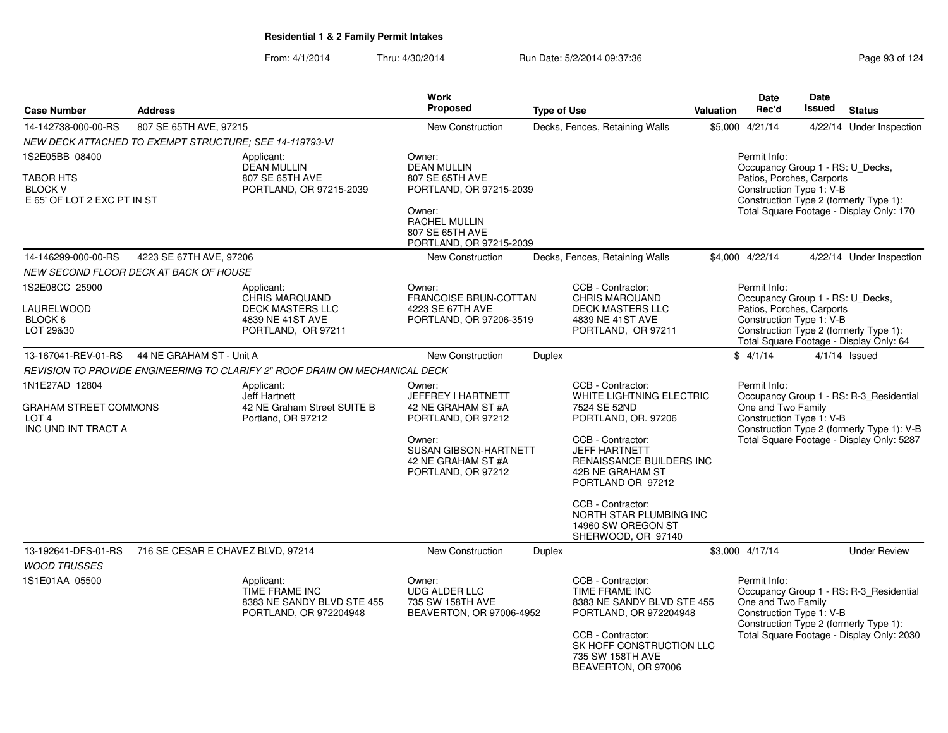| <b>Case Number</b>                                                                 | <b>Address</b>                                          |                                                                                                          | <b>Work</b><br>Proposed                                                               | <b>Type of Use</b> |                                                                                                                                              | <b>Valuation</b>                                                                                      | <b>Date</b><br>Rec'd                                                                                      | <b>Date</b><br><b>Issued</b> | <b>Status</b>                                                                                                                  |
|------------------------------------------------------------------------------------|---------------------------------------------------------|----------------------------------------------------------------------------------------------------------|---------------------------------------------------------------------------------------|--------------------|----------------------------------------------------------------------------------------------------------------------------------------------|-------------------------------------------------------------------------------------------------------|-----------------------------------------------------------------------------------------------------------|------------------------------|--------------------------------------------------------------------------------------------------------------------------------|
| 14-142738-000-00-RS                                                                | 807 SE 65TH AVE, 97215                                  |                                                                                                          | New Construction                                                                      |                    | Decks, Fences, Retaining Walls                                                                                                               |                                                                                                       | \$5,000 4/21/14                                                                                           |                              | 4/22/14 Under Inspection                                                                                                       |
|                                                                                    | NEW DECK ATTACHED TO EXEMPT STRUCTURE: SEE 14-119793-VI |                                                                                                          |                                                                                       |                    |                                                                                                                                              |                                                                                                       |                                                                                                           |                              |                                                                                                                                |
| 1S2E05BB 08400<br><b>TABOR HTS</b><br><b>BLOCK V</b>                               |                                                         | Applicant:<br><b>DEAN MULLIN</b><br>807 SE 65TH AVE<br>PORTLAND, OR 97215-2039                           | Owner:<br><b>DEAN MULLIN</b><br>807 SE 65TH AVE<br>PORTLAND, OR 97215-2039            |                    |                                                                                                                                              |                                                                                                       | Permit Info:<br>Occupancy Group 1 - RS: U_Decks,<br>Patios, Porches, Carports<br>Construction Type 1: V-B |                              |                                                                                                                                |
| E 65' OF LOT 2 EXC PT IN ST                                                        |                                                         |                                                                                                          | Owner:<br><b>RACHEL MULLIN</b><br>807 SE 65TH AVE<br>PORTLAND, OR 97215-2039          |                    |                                                                                                                                              | Construction Type 2 (formerly Type 1):<br>Total Square Footage - Display Only: 170<br>\$4.000 4/22/14 |                                                                                                           |                              |                                                                                                                                |
| 14-146299-000-00-RS                                                                | 4223 SE 67TH AVE, 97206                                 |                                                                                                          | <b>New Construction</b>                                                               |                    | Decks, Fences, Retaining Walls                                                                                                               |                                                                                                       |                                                                                                           |                              | 4/22/14 Under Inspection                                                                                                       |
|                                                                                    | NEW SECOND FLOOR DECK AT BACK OF HOUSE                  |                                                                                                          |                                                                                       |                    |                                                                                                                                              |                                                                                                       |                                                                                                           |                              |                                                                                                                                |
| 1S2E08CC 25900<br>LAURELWOOD<br>BLOCK 6<br>LOT 29&30                               |                                                         | Applicant:<br><b>CHRIS MARQUAND</b><br><b>DECK MASTERS LLC</b><br>4839 NE 41ST AVE<br>PORTLAND, OR 97211 | Owner:<br><b>FRANCOISE BRUN-COTTAN</b><br>4223 SE 67TH AVE<br>PORTLAND, OR 97206-3519 |                    | CCB - Contractor:<br>CHRIS MAROUAND<br><b>DECK MASTERS LLC</b><br>4839 NE 41ST AVE<br>PORTLAND, OR 97211                                     |                                                                                                       | Permit Info:<br>Occupancy Group 1 - RS: U_Decks,<br>Patios, Porches, Carports<br>Construction Type 1: V-B |                              | Construction Type 2 (formerly Type 1):                                                                                         |
| 13-167041-REV-01-RS                                                                | 44 NE GRAHAM ST - Unit A                                |                                                                                                          | New Construction                                                                      |                    |                                                                                                                                              |                                                                                                       | \$4/1/14                                                                                                  |                              | Total Square Footage - Display Only: 64<br>$4/1/14$ Issued                                                                     |
|                                                                                    |                                                         |                                                                                                          |                                                                                       | Duplex             |                                                                                                                                              |                                                                                                       |                                                                                                           |                              |                                                                                                                                |
|                                                                                    |                                                         | REVISION TO PROVIDE ENGINEERING TO CLARIFY 2" ROOF DRAIN ON MECHANICAL DECK                              |                                                                                       |                    |                                                                                                                                              |                                                                                                       |                                                                                                           |                              |                                                                                                                                |
| 1N1E27AD 12804<br>GRAHAM STREET COMMONS<br>LOT <sub>4</sub><br>INC UND INT TRACT A |                                                         | Applicant:<br>Jeff Hartnett<br>42 NE Graham Street SUITE B<br>Portland, OR 97212                         | Owner:<br>JEFFREY I HARTNETT<br>42 NE GRAHAM ST #A<br>PORTLAND, OR 97212              |                    | CCB - Contractor:<br>WHITE LIGHTNING ELECTRIC<br>7524 SE 52ND<br>PORTLAND, OR. 97206                                                         |                                                                                                       | Permit Info:<br>One and Two Family<br>Construction Type 1: V-B                                            |                              | Occupancy Group 1 - RS: R-3_Residential                                                                                        |
|                                                                                    |                                                         |                                                                                                          | Owner:<br><b>SUSAN GIBSON-HARTNETT</b><br>42 NE GRAHAM ST #A<br>PORTLAND, OR 97212    |                    | CCB - Contractor:<br><b>JEFF HARTNETT</b><br><b>RENAISSANCE BUILDERS INC</b><br>42B NE GRAHAM ST<br>PORTLAND OR 97212                        |                                                                                                       | Construction Type 2 (formerly Type 1): V-B<br>Total Square Footage - Display Only: 5287                   |                              |                                                                                                                                |
|                                                                                    |                                                         |                                                                                                          |                                                                                       |                    | CCB - Contractor:<br>NORTH STAR PLUMBING INC<br>14960 SW OREGON ST<br>SHERWOOD, OR 97140                                                     |                                                                                                       |                                                                                                           |                              |                                                                                                                                |
| 13-192641-DFS-01-RS                                                                | 716 SE CESAR E CHAVEZ BLVD, 97214                       |                                                                                                          | <b>New Construction</b>                                                               | Duplex             |                                                                                                                                              |                                                                                                       | \$3,000 4/17/14                                                                                           |                              | <b>Under Review</b>                                                                                                            |
| <b>WOOD TRUSSES</b>                                                                |                                                         |                                                                                                          |                                                                                       |                    |                                                                                                                                              |                                                                                                       |                                                                                                           |                              |                                                                                                                                |
| 1S1E01AA 05500                                                                     |                                                         | Applicant:<br>TIME FRAME INC<br>8383 NE SANDY BLVD STE 455<br>PORTLAND, OR 972204948                     | Owner:<br><b>UDG ALDER LLC</b><br>735 SW 158TH AVE<br>BEAVERTON, OR 97006-4952        |                    | CCB - Contractor:<br>TIME FRAME INC<br>8383 NE SANDY BLVD STE 455<br>PORTLAND, OR 972204948<br>CCB - Contractor:<br>SK HOFF CONSTRUCTION LLC |                                                                                                       | Permit Info:<br>One and Two Family<br>Construction Type 1: V-B                                            |                              | Occupancy Group 1 - RS: R-3_Residential<br>Construction Type 2 (formerly Type 1):<br>Total Square Footage - Display Only: 2030 |
|                                                                                    |                                                         |                                                                                                          |                                                                                       |                    | 735 SW 158TH AVE<br>BEAVERTON, OR 97006                                                                                                      |                                                                                                       |                                                                                                           |                              |                                                                                                                                |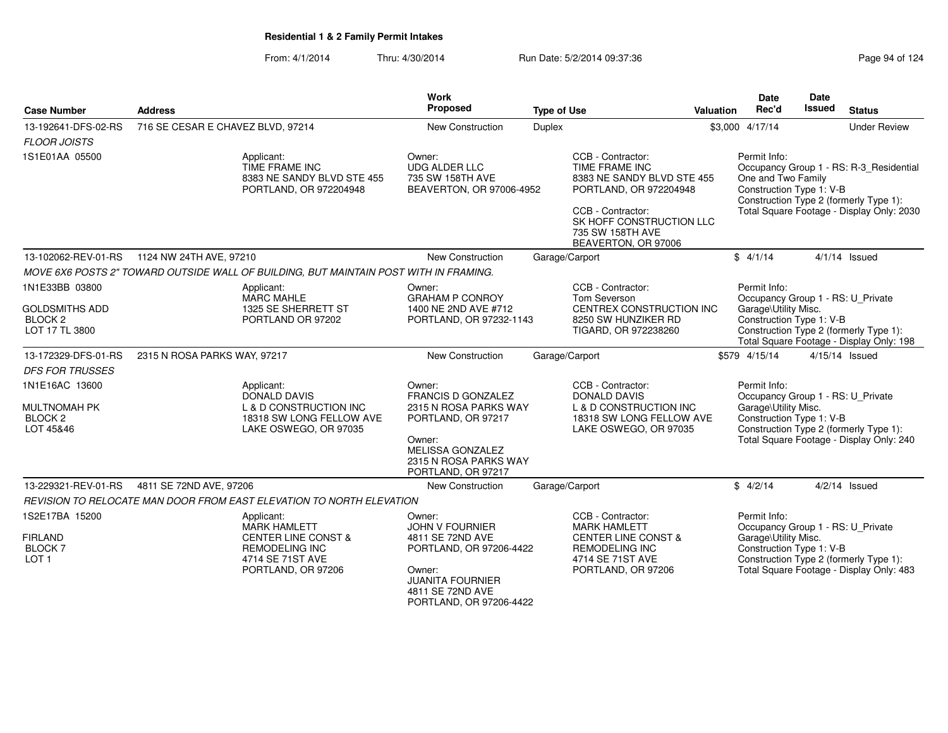From: 4/1/2014Thru: 4/30/2014 Run Date: 5/2/2014 09:37:36 Run Date: 5/2/2014 09:37:36

| <b>Case Number</b>                                            | <b>Address</b>                                                                        |                                                                             | Work<br>Proposed                                                                 | <b>Type of Use</b> |                                                                                                                                                                                         | Valuation                                                                                                                              | Date<br>Rec'd                                                  | Date<br><b>Issued</b> | <b>Status</b>                                                                                                                  |
|---------------------------------------------------------------|---------------------------------------------------------------------------------------|-----------------------------------------------------------------------------|----------------------------------------------------------------------------------|--------------------|-----------------------------------------------------------------------------------------------------------------------------------------------------------------------------------------|----------------------------------------------------------------------------------------------------------------------------------------|----------------------------------------------------------------|-----------------------|--------------------------------------------------------------------------------------------------------------------------------|
| 13-192641-DFS-02-RS                                           | 716 SE CESAR E CHAVEZ BLVD, 97214                                                     |                                                                             | New Construction                                                                 | Duplex             |                                                                                                                                                                                         |                                                                                                                                        | \$3,000 4/17/14                                                |                       | <b>Under Review</b>                                                                                                            |
| <b>FLOOR JOISTS</b>                                           |                                                                                       |                                                                             |                                                                                  |                    |                                                                                                                                                                                         |                                                                                                                                        |                                                                |                       |                                                                                                                                |
| 1S1E01AA 05500                                                | Applicant:<br>TIME FRAME INC                                                          | 8383 NE SANDY BLVD STE 455<br>PORTLAND, OR 972204948                        | Owner:<br><b>UDG ALDER LLC</b><br>735 SW 158TH AVE<br>BEAVERTON, OR 97006-4952   |                    | CCB - Contractor:<br>TIME FRAME INC<br>8383 NE SANDY BLVD STE 455<br>PORTLAND, OR 972204948<br>CCB - Contractor:<br>SK HOFF CONSTRUCTION LLC<br>735 SW 158TH AVE<br>BEAVERTON, OR 97006 |                                                                                                                                        | Permit Info:<br>One and Two Family<br>Construction Type 1: V-B |                       | Occupancy Group 1 - RS: R-3_Residential<br>Construction Type 2 (formerly Type 1):<br>Total Square Footage - Display Only: 2030 |
| 13-102062-REV-01-RS                                           | 1124 NW 24TH AVE, 97210                                                               |                                                                             | New Construction                                                                 |                    | Garage/Carport                                                                                                                                                                          |                                                                                                                                        | \$4/1/14                                                       |                       | $4/1/14$ Issued                                                                                                                |
|                                                               | MOVE 6X6 POSTS 2" TOWARD OUTSIDE WALL OF BUILDING, BUT MAINTAIN POST WITH IN FRAMING. |                                                                             |                                                                                  |                    |                                                                                                                                                                                         |                                                                                                                                        |                                                                |                       |                                                                                                                                |
| 1N1E33BB 03800                                                | Applicant:<br><b>MARC MAHLE</b>                                                       |                                                                             | Owner:<br><b>GRAHAM P CONROY</b>                                                 |                    | CCB - Contractor:<br>Tom Severson                                                                                                                                                       |                                                                                                                                        | Permit Info:<br>Occupancy Group 1 - RS: U Private              |                       |                                                                                                                                |
| <b>GOLDSMITHS ADD</b><br>BLOCK <sub>2</sub><br>LOT 17 TL 3800 |                                                                                       | 1325 SE SHERRETT ST<br>PORTLAND OR 97202                                    | 1400 NE 2ND AVE #712<br>PORTLAND, OR 97232-1143                                  |                    | CENTREX CONSTRUCTION INC<br>8250 SW HUNZIKER RD<br>TIGARD, OR 972238260                                                                                                                 | Garage\Utility Misc.<br>Construction Type 1: V-B<br>Construction Type 2 (formerly Type 1):<br>Total Square Footage - Display Only: 198 |                                                                |                       |                                                                                                                                |
| 13-172329-DFS-01-RS                                           | 2315 N ROSA PARKS WAY, 97217                                                          |                                                                             | New Construction                                                                 |                    | Garage/Carport                                                                                                                                                                          |                                                                                                                                        | \$579 4/15/14                                                  |                       | 4/15/14 Issued                                                                                                                 |
| <b>DFS FOR TRUSSES</b>                                        |                                                                                       |                                                                             |                                                                                  |                    |                                                                                                                                                                                         |                                                                                                                                        |                                                                |                       |                                                                                                                                |
| 1N1E16AC 13600                                                | Applicant:<br><b>DONALD DAVIS</b>                                                     |                                                                             | Owner:<br><b>FRANCIS D GONZALEZ</b>                                              |                    | CCB - Contractor:<br><b>DONALD DAVIS</b>                                                                                                                                                |                                                                                                                                        | Permit Info:<br>Occupancy Group 1 - RS: U_Private              |                       |                                                                                                                                |
| <b>MULTNOMAH PK</b><br>BLOCK <sub>2</sub><br>LOT 45&46        |                                                                                       | L & D CONSTRUCTION INC<br>18318 SW LONG FELLOW AVE<br>LAKE OSWEGO, OR 97035 | 2315 N ROSA PARKS WAY<br>PORTLAND, OR 97217                                      |                    | L & D CONSTRUCTION INC<br>18318 SW LONG FELLOW AVE<br>LAKE OSWEGO, OR 97035                                                                                                             |                                                                                                                                        | Garage\Utility Misc.<br>Construction Type 1: V-B               |                       | Construction Type 2 (formerly Type 1):                                                                                         |
|                                                               |                                                                                       |                                                                             | Owner:<br><b>MELISSA GONZALEZ</b><br>2315 N ROSA PARKS WAY<br>PORTLAND, OR 97217 |                    |                                                                                                                                                                                         | Total Square Footage - Display Only: 240                                                                                               |                                                                |                       |                                                                                                                                |
| 13-229321-REV-01-RS                                           | 4811 SE 72ND AVE, 97206                                                               |                                                                             | <b>New Construction</b>                                                          |                    | Garage/Carport                                                                                                                                                                          |                                                                                                                                        | \$4/2/14                                                       |                       | $4/2/14$ Issued                                                                                                                |
|                                                               | REVISION TO RELOCATE MAN DOOR FROM EAST ELEVATION TO NORTH ELEVATION                  |                                                                             |                                                                                  |                    |                                                                                                                                                                                         |                                                                                                                                        |                                                                |                       |                                                                                                                                |
| 1S2E17BA 15200                                                | Applicant:<br><b>MARK HAMLETT</b>                                                     |                                                                             | Owner:<br>JOHN V FOURNIER                                                        |                    | CCB - Contractor:<br><b>MARK HAMLETT</b>                                                                                                                                                |                                                                                                                                        | Permit Info:<br>Occupancy Group 1 - RS: U_Private              |                       |                                                                                                                                |
| <b>FIRLAND</b><br><b>BLOCK7</b><br>LOT <sub>1</sub>           |                                                                                       | <b>CENTER LINE CONST &amp;</b><br><b>REMODELING INC</b><br>4714 SE 71ST AVE | 4811 SE 72ND AVE<br>PORTLAND, OR 97206-4422                                      |                    | <b>CENTER LINE CONST &amp;</b><br><b>REMODELING INC</b><br>4714 SE 71ST AVE                                                                                                             |                                                                                                                                        | Garage\Utility Misc.<br>Construction Type 1: V-B               |                       | Construction Type 2 (formerly Type 1):                                                                                         |
|                                                               |                                                                                       | PORTLAND, OR 97206                                                          | Owner:<br><b>JUANITA FOURNIER</b><br>4811 SE 72ND AVE                            |                    | PORTLAND, OR 97206                                                                                                                                                                      |                                                                                                                                        |                                                                |                       | Total Square Footage - Display Only: 483                                                                                       |

PORTLAND, OR 97206-4422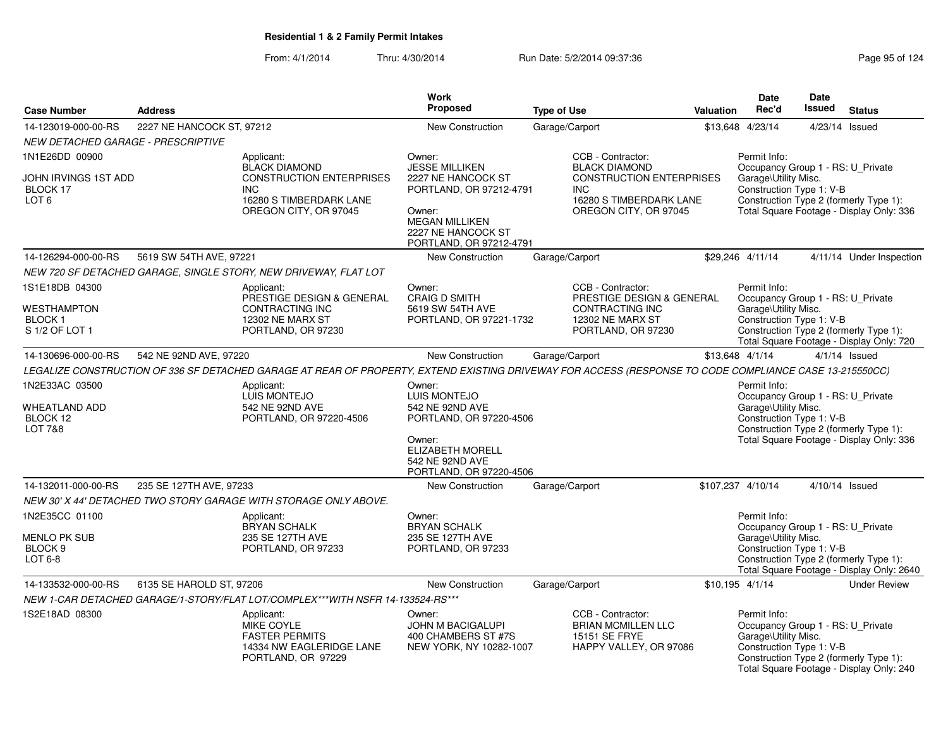| <b>Case Number</b>                                                       | <b>Address</b>            |                                                                                                                                                         | <b>Work</b><br><b>Proposed</b>                                                                                                                                       | <b>Type of Use</b>                                                                                                                             | Valuation | Date<br>Rec'd                                                                                         | <b>Date</b><br><b>Issued</b> | <b>Status</b>                                                                       |
|--------------------------------------------------------------------------|---------------------------|---------------------------------------------------------------------------------------------------------------------------------------------------------|----------------------------------------------------------------------------------------------------------------------------------------------------------------------|------------------------------------------------------------------------------------------------------------------------------------------------|-----------|-------------------------------------------------------------------------------------------------------|------------------------------|-------------------------------------------------------------------------------------|
| 14-123019-000-00-RS                                                      | 2227 NE HANCOCK ST, 97212 |                                                                                                                                                         | <b>New Construction</b>                                                                                                                                              | Garage/Carport                                                                                                                                 |           | \$13.648 4/23/14                                                                                      |                              | 4/23/14 Issued                                                                      |
| <i>NEW DETACHED GARAGE - PRESCRIPTIVE</i>                                |                           |                                                                                                                                                         |                                                                                                                                                                      |                                                                                                                                                |           |                                                                                                       |                              |                                                                                     |
| 1N1E26DD 00900<br>JOHN IRVINGS 1ST ADD<br>BLOCK 17<br>LOT <sub>6</sub>   |                           | Applicant:<br><b>BLACK DIAMOND</b><br><b>CONSTRUCTION ENTERPRISES</b><br><b>INC</b><br>16280 S TIMBERDARK LANE<br>OREGON CITY, OR 97045                 | Owner:<br><b>JESSE MILLIKEN</b><br>2227 NE HANCOCK ST<br>PORTLAND, OR 97212-4791<br>Owner:<br><b>MEGAN MILLIKEN</b><br>2227 NE HANCOCK ST<br>PORTLAND, OR 97212-4791 | CCB - Contractor:<br><b>BLACK DIAMOND</b><br><b>CONSTRUCTION ENTERPRISES</b><br><b>INC</b><br>16280 S TIMBERDARK LANE<br>OREGON CITY, OR 97045 |           | Permit Info:<br>Occupancy Group 1 - RS: U Private<br>Garage\Utility Misc.<br>Construction Type 1: V-B |                              | Construction Type 2 (formerly Type 1):<br>Total Square Footage - Display Only: 336  |
| 14-126294-000-00-RS                                                      | 5619 SW 54TH AVE, 97221   |                                                                                                                                                         | <b>New Construction</b>                                                                                                                                              | Garage/Carport                                                                                                                                 |           | \$29,246 4/11/14                                                                                      |                              | 4/11/14 Under Inspection                                                            |
|                                                                          |                           | NEW 720 SF DETACHED GARAGE, SINGLE STORY, NEW DRIVEWAY, FLAT LOT                                                                                        |                                                                                                                                                                      |                                                                                                                                                |           |                                                                                                       |                              |                                                                                     |
| 1S1E18DB 04300<br>WESTHAMPTON<br><b>BLOCK1</b><br>S 1/2 OF LOT 1         |                           | Applicant:<br>PRESTIGE DESIGN & GENERAL<br>CONTRACTING INC<br>12302 NE MARX ST<br>PORTLAND, OR 97230                                                    | Owner:<br><b>CRAIG D SMITH</b><br>5619 SW 54TH AVE<br>PORTLAND, OR 97221-1732                                                                                        | CCB - Contractor:<br>PRESTIGE DESIGN & GENERAL<br>CONTRACTING INC<br>12302 NE MARX ST<br>PORTLAND, OR 97230                                    |           | Permit Info:<br>Occupancy Group 1 - RS: U_Private<br>Garage\Utility Misc.<br>Construction Type 1: V-B |                              | Construction Type 2 (formerly Type 1):<br>Total Square Footage - Display Only: 720  |
| 14-130696-000-00-RS                                                      | 542 NE 92ND AVE, 97220    |                                                                                                                                                         | New Construction                                                                                                                                                     | Garage/Carport                                                                                                                                 |           | \$13,648 4/1/14                                                                                       |                              | $4/1/14$ Issued                                                                     |
|                                                                          |                           | LEGALIZE CONSTRUCTION OF 336 SF DETACHED GARAGE AT REAR OF PROPERTY, EXTEND EXISTING DRIVEWAY FOR ACCESS (RESPONSE TO CODE COMPLIANCE CASE 13-215550CC) |                                                                                                                                                                      |                                                                                                                                                |           |                                                                                                       |                              |                                                                                     |
| 1N2E33AC 03500<br><b>WHEATLAND ADD</b><br>BLOCK 12<br><b>LOT 7&amp;8</b> |                           | Applicant:<br><b>LUIS MONTEJO</b><br>542 NE 92ND AVE<br>PORTLAND, OR 97220-4506                                                                         | Owner:<br>LUIS MONTEJO<br>542 NE 92ND AVE<br>PORTLAND, OR 97220-4506<br>Owner:<br><b>ELIZABETH MORELL</b><br>542 NE 92ND AVE<br>PORTLAND, OR 97220-4506              |                                                                                                                                                |           | Permit Info:<br>Occupancy Group 1 - RS: U_Private<br>Garage\Utility Misc.<br>Construction Type 1: V-B |                              | Construction Type 2 (formerly Type 1):<br>Total Square Footage - Display Only: 336  |
| 14-132011-000-00-RS                                                      | 235 SE 127TH AVE, 97233   |                                                                                                                                                         | New Construction                                                                                                                                                     | Garage/Carport                                                                                                                                 |           | \$107,237 4/10/14                                                                                     |                              | 4/10/14 Issued                                                                      |
|                                                                          |                           | NEW 30' X 44' DETACHED TWO STORY GARAGE WITH STORAGE ONLY ABOVE.                                                                                        |                                                                                                                                                                      |                                                                                                                                                |           |                                                                                                       |                              |                                                                                     |
| 1N2E35CC 01100<br><b>MENLO PK SUB</b><br>BLOCK <sub>9</sub><br>LOT 6-8   |                           | Applicant:<br>BRYAN SCHALK<br>235 SE 127TH AVE<br>PORTLAND, OR 97233                                                                                    | Owner:<br><b>BRYAN SCHALK</b><br>235 SE 127TH AVE<br>PORTLAND, OR 97233                                                                                              |                                                                                                                                                |           | Permit Info:<br>Occupancy Group 1 - RS: U_Private<br>Garage\Utility Misc.<br>Construction Type 1: V-B |                              | Construction Type 2 (formerly Type 1):<br>Total Square Footage - Display Only: 2640 |
| 14-133532-000-00-RS                                                      | 6135 SE HAROLD ST, 97206  |                                                                                                                                                         | New Construction                                                                                                                                                     | Garage/Carport                                                                                                                                 |           | $$10,195$ 4/1/14                                                                                      |                              | <b>Under Review</b>                                                                 |
|                                                                          |                           | NEW 1-CAR DETACHED GARAGE/1-STORY/FLAT LOT/COMPLEX***WITH NSFR 14-133524-RS***                                                                          |                                                                                                                                                                      |                                                                                                                                                |           |                                                                                                       |                              |                                                                                     |
| 1S2E18AD 08300                                                           |                           | Applicant:<br>MIKE COYLE<br><b>FASTER PERMITS</b><br>14334 NW EAGLERIDGE LANE<br>PORTLAND, OR 97229                                                     | Owner:<br>JOHN M BACIGALUPI<br>400 CHAMBERS ST #7S<br>NEW YORK, NY 10282-1007                                                                                        | CCB - Contractor:<br><b>BRIAN MCMILLEN LLC</b><br>15151 SE FRYE<br>HAPPY VALLEY, OR 97086                                                      |           | Permit Info:<br>Occupancy Group 1 - RS: U_Private<br>Garage\Utility Misc.<br>Construction Type 1: V-B |                              | Construction Type 2 (formerly Type 1):<br>Total Square Footage - Display Only: 240  |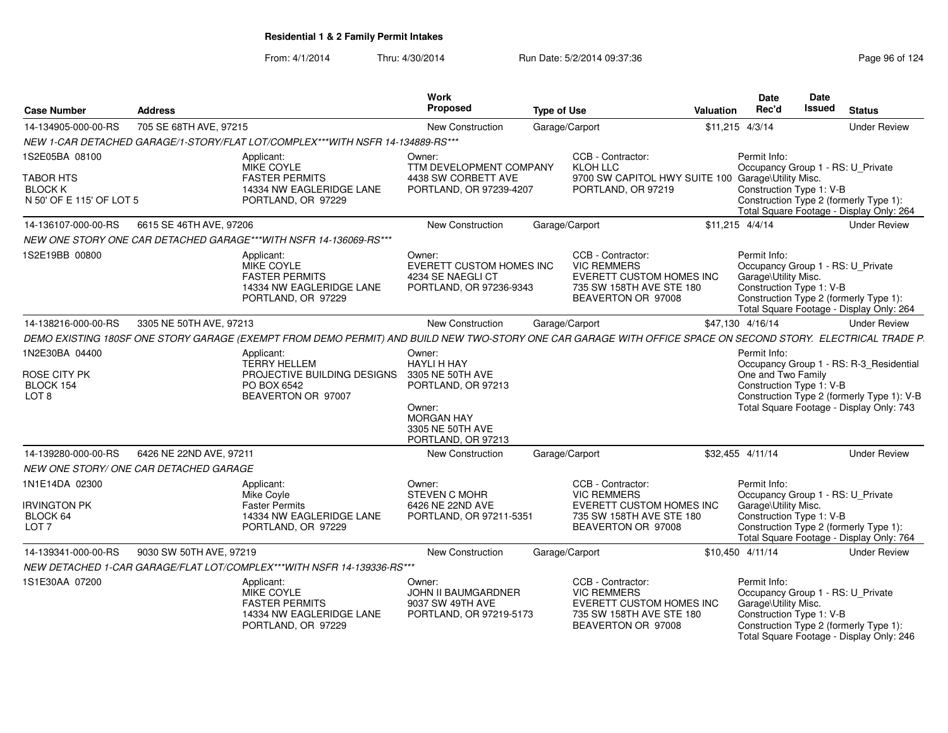| <b>Case Number</b>                                              | <b>Address</b>                                                                                                                                              |                                                                          | Work<br><b>Proposed</b>                                                                                                                         | <b>Type of Use</b> |                                                                                                                              | Valuation | Date<br>Rec'd                                                                                         | <b>Date</b><br>Issued | <b>Status</b>                                                                                                                     |
|-----------------------------------------------------------------|-------------------------------------------------------------------------------------------------------------------------------------------------------------|--------------------------------------------------------------------------|-------------------------------------------------------------------------------------------------------------------------------------------------|--------------------|------------------------------------------------------------------------------------------------------------------------------|-----------|-------------------------------------------------------------------------------------------------------|-----------------------|-----------------------------------------------------------------------------------------------------------------------------------|
| 14-134905-000-00-RS                                             | 705 SE 68TH AVE, 97215                                                                                                                                      |                                                                          | <b>New Construction</b>                                                                                                                         | Garage/Carport     |                                                                                                                              |           | \$11,215 4/3/14                                                                                       |                       | <b>Under Review</b>                                                                                                               |
|                                                                 | NEW 1-CAR DETACHED GARAGE/1-STORY/FLAT LOT/COMPLEX***WITH NSFR 14-134889-RS***                                                                              |                                                                          |                                                                                                                                                 |                    |                                                                                                                              |           |                                                                                                       |                       |                                                                                                                                   |
| 1S2E05BA 08100                                                  | Applicant:<br><b>MIKE COYLE</b>                                                                                                                             |                                                                          | Owner:<br>TTM DEVELOPMENT COMPANY                                                                                                               |                    | CCB - Contractor:<br>KLOH LLC                                                                                                |           | Permit Info:<br>Occupancy Group 1 - RS: U_Private                                                     |                       |                                                                                                                                   |
| <b>TABOR HTS</b><br><b>BLOCK K</b><br>N 50' OF E 115' OF LOT 5  |                                                                                                                                                             | <b>FASTER PERMITS</b><br>14334 NW EAGLERIDGE LANE<br>PORTLAND, OR 97229  | 4438 SW CORBETT AVE<br>PORTLAND, OR 97239-4207                                                                                                  |                    | 9700 SW CAPITOL HWY SUITE 100 Garage\Utility Misc.<br>PORTLAND, OR 97219                                                     |           | Construction Type 1: V-B                                                                              |                       | Construction Type 2 (formerly Type 1):<br>Total Square Footage - Display Only: 264                                                |
| 14-136107-000-00-RS                                             | 6615 SE 46TH AVE, 97206                                                                                                                                     |                                                                          | New Construction                                                                                                                                | Garage/Carport     |                                                                                                                              |           | $$11,215$ 4/4/14                                                                                      |                       | <b>Under Review</b>                                                                                                               |
|                                                                 | NEW ONE STORY ONE CAR DETACHED GARAGE***WITH NSFR 14-136069-RS***                                                                                           |                                                                          |                                                                                                                                                 |                    |                                                                                                                              |           |                                                                                                       |                       |                                                                                                                                   |
| 1S2E19BB 00800                                                  | Applicant:<br><b>MIKE COYLE</b>                                                                                                                             | <b>FASTER PERMITS</b><br>14334 NW EAGLERIDGE LANE<br>PORTLAND, OR 97229  | Owner:<br>EVERETT CUSTOM HOMES INC<br>4234 SE NAEGLI CT<br>PORTLAND, OR 97236-9343                                                              |                    | CCB - Contractor:<br><b>VIC REMMERS</b><br><b>EVERETT CUSTOM HOMES INC</b><br>735 SW 158TH AVE STE 180<br>BEAVERTON OR 97008 |           | Permit Info:<br>Occupancy Group 1 - RS: U_Private<br>Garage\Utility Misc.<br>Construction Type 1: V-B |                       | Construction Type 2 (formerly Type 1):<br>Total Square Footage - Display Only: 264                                                |
| 14-138216-000-00-RS                                             | 3305 NE 50TH AVE, 97213                                                                                                                                     |                                                                          | New Construction                                                                                                                                | Garage/Carport     |                                                                                                                              |           | \$47,130 4/16/14                                                                                      |                       | <b>Under Review</b>                                                                                                               |
|                                                                 | DEMO EXISTING 180SF ONE STORY GARAGE (EXEMPT FROM DEMO PERMIT) AND BUILD NEW TWO-STORY ONE CAR GARAGE WITH OFFICE SPACE ON SECOND STORY. ELECTRICAL TRADE P |                                                                          |                                                                                                                                                 |                    |                                                                                                                              |           |                                                                                                       |                       |                                                                                                                                   |
| 1N2E30BA 04400<br>ROSE CITY PK<br>BLOCK 154<br>LOT <sub>8</sub> | Applicant:<br>PO BOX 6542                                                                                                                                   | <b>TERRY HELLEM</b><br>PROJECTIVE BUILDING DESIGNS<br>BEAVERTON OR 97007 | Owner:<br><b>HAYLI H HAY</b><br>3305 NE 50TH AVE<br>PORTLAND, OR 97213<br>Owner:<br><b>MORGAN HAY</b><br>3305 NE 50TH AVE<br>PORTLAND, OR 97213 |                    |                                                                                                                              |           | Permit Info:<br>One and Two Family<br>Construction Type 1: V-B                                        |                       | Occupancy Group 1 - RS: R-3_Residential<br>Construction Type 2 (formerly Type 1): V-B<br>Total Square Footage - Display Only: 743 |
| 14-139280-000-00-RS                                             | 6426 NE 22ND AVE, 97211                                                                                                                                     |                                                                          | New Construction                                                                                                                                | Garage/Carport     |                                                                                                                              |           | \$32,455 4/11/14                                                                                      |                       | <b>Under Review</b>                                                                                                               |
|                                                                 | NEW ONE STORY/ ONE CAR DETACHED GARAGE                                                                                                                      |                                                                          |                                                                                                                                                 |                    |                                                                                                                              |           |                                                                                                       |                       |                                                                                                                                   |
| 1N1E14DA 02300                                                  | Applicant:<br>Mike Covle                                                                                                                                    |                                                                          | Owner:<br><b>STEVEN C MOHR</b>                                                                                                                  |                    | CCB - Contractor:<br><b>VIC REMMERS</b>                                                                                      |           | Permit Info:<br>Occupancy Group 1 - RS: U Private                                                     |                       |                                                                                                                                   |
| <b>IRVINGTON PK</b><br>BLOCK 64<br>LOT <sub>7</sub>             |                                                                                                                                                             | <b>Faster Permits</b><br>14334 NW EAGLERIDGE LANE<br>PORTLAND, OR 97229  | 6426 NE 22ND AVE<br>PORTLAND, OR 97211-5351                                                                                                     |                    | <b>EVERETT CUSTOM HOMES INC</b><br>735 SW 158TH AVE STE 180<br>BEAVERTON OR 97008                                            |           | Garage\Utility Misc.<br>Construction Type 1: V-B                                                      |                       | Construction Type 2 (formerly Type 1):<br>Total Square Footage - Display Only: 764                                                |
| 14-139341-000-00-RS                                             | 9030 SW 50TH AVE, 97219                                                                                                                                     |                                                                          | <b>New Construction</b>                                                                                                                         | Garage/Carport     |                                                                                                                              |           | \$10.450 4/11/14                                                                                      |                       | <b>Under Review</b>                                                                                                               |
|                                                                 | NEW DETACHED 1-CAR GARAGE/FLAT LOT/COMPLEX***WITH NSFR 14-139336-RS***                                                                                      |                                                                          |                                                                                                                                                 |                    |                                                                                                                              |           |                                                                                                       |                       |                                                                                                                                   |
| 1S1E30AA 07200                                                  | Applicant:<br><b>MIKE COYLE</b>                                                                                                                             | <b>FASTER PERMITS</b><br>14334 NW EAGLERIDGE LANE<br>PORTLAND, OR 97229  | Owner:<br><b>JOHN II BAUMGARDNER</b><br>9037 SW 49TH AVE<br>PORTLAND, OR 97219-5173                                                             |                    | CCB - Contractor:<br><b>VIC REMMERS</b><br>EVERETT CUSTOM HOMES INC<br>735 SW 158TH AVE STE 180<br>BEAVERTON OR 97008        |           | Permit Info:<br>Occupancy Group 1 - RS: U_Private<br>Garage\Utility Misc.<br>Construction Type 1: V-B |                       | Construction Type 2 (formerly Type 1):<br>Total Square Footage - Display Only: 246                                                |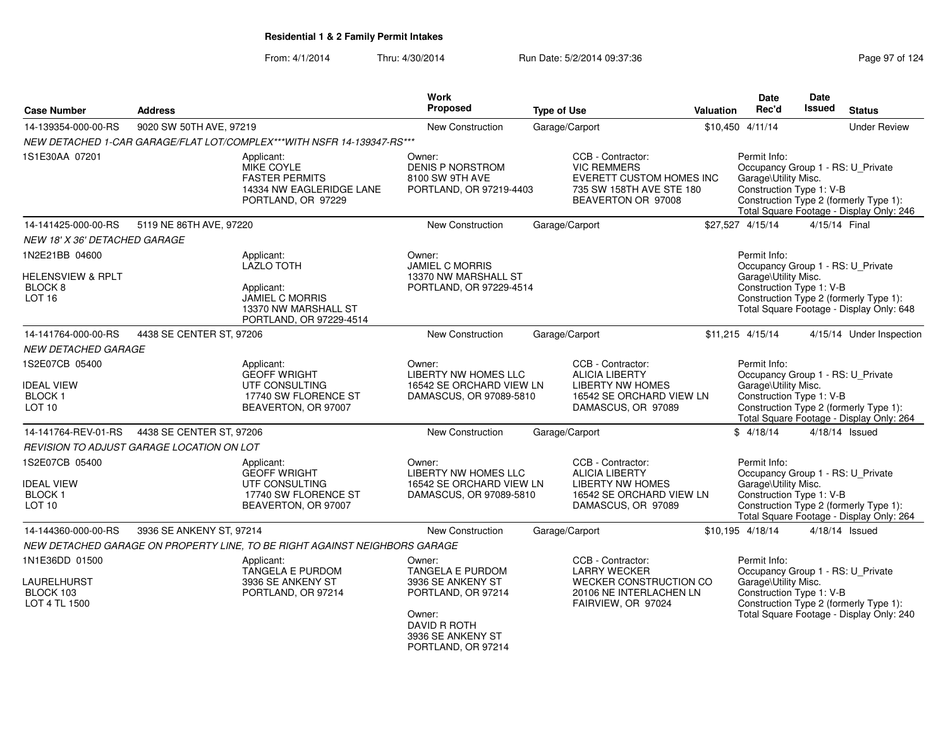| <b>Case Number</b>                                                        | <b>Address</b>                            |                                                                                                     | Work<br><b>Proposed</b>                                                                                                                    | <b>Type of Use</b> |                                                                                                                         | Valuation | <b>Date</b><br>Rec'd                                                                                  | Date<br>Issued | <b>Status</b>                                                                      |
|---------------------------------------------------------------------------|-------------------------------------------|-----------------------------------------------------------------------------------------------------|--------------------------------------------------------------------------------------------------------------------------------------------|--------------------|-------------------------------------------------------------------------------------------------------------------------|-----------|-------------------------------------------------------------------------------------------------------|----------------|------------------------------------------------------------------------------------|
| 14-139354-000-00-RS                                                       | 9020 SW 50TH AVE, 97219                   |                                                                                                     | New Construction                                                                                                                           |                    | Garage/Carport                                                                                                          |           | \$10,450 4/11/14                                                                                      |                | <b>Under Review</b>                                                                |
|                                                                           |                                           | NEW DETACHED 1-CAR GARAGE/FLAT LOT/COMPLEX***WITH NSFR 14-139347-RS***                              |                                                                                                                                            |                    |                                                                                                                         |           |                                                                                                       |                |                                                                                    |
| 1S1E30AA 07201                                                            |                                           | Applicant:<br>MIKE COYLE<br><b>FASTER PERMITS</b><br>14334 NW EAGLERIDGE LANE<br>PORTLAND, OR 97229 | Owner:<br>DENIS P NORSTROM<br>8100 SW 9TH AVE<br>PORTLAND, OR 97219-4403                                                                   |                    | CCB - Contractor:<br><b>VIC REMMERS</b><br>EVERETT CUSTOM HOMES INC<br>735 SW 158TH AVE STE 180<br>BEAVERTON OR 97008   |           | Permit Info:<br>Occupancy Group 1 - RS: U_Private<br>Garage\Utility Misc.<br>Construction Type 1: V-B |                | Construction Type 2 (formerly Type 1):<br>Total Square Footage - Display Only: 246 |
| 14-141425-000-00-RS                                                       | 5119 NE 86TH AVE, 97220                   |                                                                                                     | <b>New Construction</b>                                                                                                                    |                    | Garage/Carport                                                                                                          |           | \$27,527 4/15/14                                                                                      |                | 4/15/14 Final                                                                      |
| <b>NEW 18' X 36' DETACHED GARAGE</b>                                      |                                           |                                                                                                     |                                                                                                                                            |                    |                                                                                                                         |           |                                                                                                       |                |                                                                                    |
| 1N2E21BB 04600                                                            |                                           | Applicant:<br><b>LAZLO TOTH</b>                                                                     | Owner:<br><b>JAMIEL C MORRIS</b>                                                                                                           |                    |                                                                                                                         |           | Permit Info:<br>Occupancy Group 1 - RS: U_Private                                                     |                |                                                                                    |
| HELENSVIEW & RPLT<br>BLOCK <sub>8</sub><br>LOT <sub>16</sub>              |                                           | Applicant:<br><b>JAMIEL C MORRIS</b><br>13370 NW MARSHALL ST<br>PORTLAND, OR 97229-4514             | 13370 NW MARSHALL ST<br>PORTLAND, OR 97229-4514                                                                                            |                    | Garage\Utility Misc.<br>Construction Type 1: V-B<br>Construction Type 2 (formerly Type 1):                              |           |                                                                                                       |                | Total Square Footage - Display Only: 648                                           |
| 14-141764-000-00-RS                                                       | 4438 SE CENTER ST, 97206                  |                                                                                                     | New Construction                                                                                                                           |                    | Garage/Carport                                                                                                          |           | \$11,215 4/15/14                                                                                      |                | 4/15/14 Under Inspection                                                           |
| NEW DETACHED GARAGE                                                       |                                           |                                                                                                     |                                                                                                                                            |                    |                                                                                                                         |           |                                                                                                       |                |                                                                                    |
| 1S2E07CB 05400<br><b>IDEAL VIEW</b><br><b>BLOCK1</b><br>LOT <sub>10</sub> |                                           | Applicant:<br><b>GEOFF WRIGHT</b><br>UTF CONSULTING<br>17740 SW FLORENCE ST<br>BEAVERTON, OR 97007  | Owner:<br><b>LIBERTY NW HOMES LLC</b><br>16542 SE ORCHARD VIEW LN<br>DAMASCUS, OR 97089-5810                                               |                    | CCB - Contractor:<br><b>ALICIA LIBERTY</b><br><b>LIBERTY NW HOMES</b><br>16542 SE ORCHARD VIEW LN<br>DAMASCUS, OR 97089 |           | Permit Info:<br>Occupancy Group 1 - RS: U_Private<br>Garage\Utility Misc.<br>Construction Type 1: V-B |                | Construction Type 2 (formerly Type 1):<br>Total Square Footage - Display Only: 264 |
| 14-141764-REV-01-RS                                                       | 4438 SE CENTER ST, 97206                  |                                                                                                     | <b>New Construction</b>                                                                                                                    |                    | Garage/Carport                                                                                                          |           | \$4/18/14                                                                                             |                | 4/18/14 Issued                                                                     |
|                                                                           | REVISION TO ADJUST GARAGE LOCATION ON LOT |                                                                                                     |                                                                                                                                            |                    |                                                                                                                         |           |                                                                                                       |                |                                                                                    |
| 1S2E07CB 05400<br><b>IDEAL VIEW</b><br><b>BLOCK1</b><br>LOT <sub>10</sub> |                                           | Applicant:<br><b>GEOFF WRIGHT</b><br>UTF CONSULTING<br>17740 SW FLORENCE ST<br>BEAVERTON, OR 97007  | Owner:<br><b>LIBERTY NW HOMES LLC</b><br>16542 SE ORCHARD VIEW LN<br>DAMASCUS, OR 97089-5810                                               |                    | CCB - Contractor:<br><b>ALICIA LIBERTY</b><br><b>LIBERTY NW HOMES</b><br>16542 SE ORCHARD VIEW LN<br>DAMASCUS, OR 97089 |           | Permit Info:<br>Occupancy Group 1 - RS: U_Private<br>Garage\Utility Misc.<br>Construction Type 1: V-B |                | Construction Type 2 (formerly Type 1):<br>Total Square Footage - Display Only: 264 |
| 14-144360-000-00-RS                                                       | 3936 SE ANKENY ST, 97214                  |                                                                                                     | <b>New Construction</b>                                                                                                                    |                    | Garage/Carport                                                                                                          |           | \$10,195 4/18/14                                                                                      |                | 4/18/14 Issued                                                                     |
|                                                                           |                                           | NEW DETACHED GARAGE ON PROPERTY LINE, TO BE RIGHT AGAINST NEIGHBORS GARAGE                          |                                                                                                                                            |                    |                                                                                                                         |           |                                                                                                       |                |                                                                                    |
| 1N1E36DD 01500<br>LAURELHURST<br>BLOCK 103<br>LOT 4 TL 1500               |                                           | Applicant:<br>TANGELA E PURDOM<br>3936 SE ANKENY ST<br>PORTLAND, OR 97214                           | Owner:<br>TANGELA E PURDOM<br>3936 SE ANKENY ST<br>PORTLAND, OR 97214<br>Owner:<br>DAVID R ROTH<br>3936 SE ANKENY ST<br>PORTLAND, OR 97214 |                    | CCB - Contractor:<br><b>LARRY WECKER</b><br>WECKER CONSTRUCTION CO<br>20106 NE INTERLACHEN LN<br>FAIRVIEW, OR 97024     |           | Permit Info:<br>Occupancy Group 1 - RS: U_Private<br>Garage\Utility Misc.<br>Construction Type 1: V-B |                | Construction Type 2 (formerly Type 1):<br>Total Square Footage - Display Only: 240 |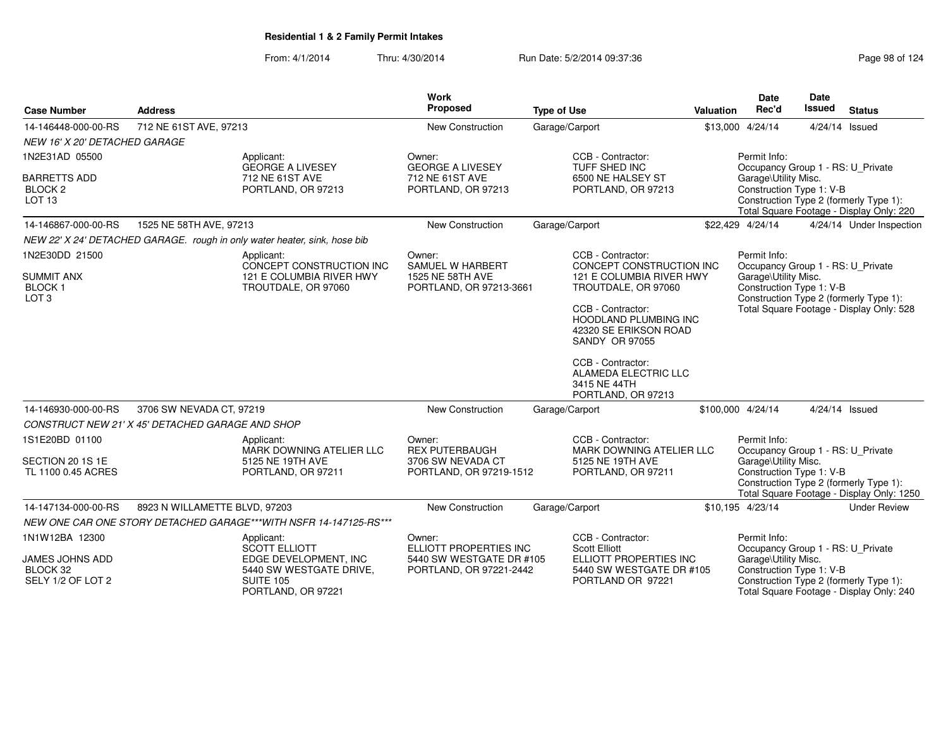| <b>Case Number</b><br><b>Address</b>                           |                                                  |                                                                                     | <b>Work</b><br>Proposed                                                         | <b>Type of Use</b>                      |                                                                                              | Valuation                                                                                                                              | <b>Date</b><br>Rec'd                                                                                                            | Date<br><b>Issued</b> | <b>Status</b>                                                                       |
|----------------------------------------------------------------|--------------------------------------------------|-------------------------------------------------------------------------------------|---------------------------------------------------------------------------------|-----------------------------------------|----------------------------------------------------------------------------------------------|----------------------------------------------------------------------------------------------------------------------------------------|---------------------------------------------------------------------------------------------------------------------------------|-----------------------|-------------------------------------------------------------------------------------|
| 14-146448-000-00-RS                                            | 712 NE 61ST AVE, 97213                           |                                                                                     | New Construction                                                                |                                         | Garage/Carport                                                                               |                                                                                                                                        | \$13,000 4/24/14                                                                                                                |                       | 4/24/14 Issued                                                                      |
| NEW 16' X 20' DETACHED GARAGE                                  |                                                  |                                                                                     |                                                                                 |                                         |                                                                                              |                                                                                                                                        |                                                                                                                                 |                       |                                                                                     |
| 1N2E31AD 05500                                                 |                                                  | Applicant:<br><b>GEORGE A LIVESEY</b>                                               | Owner:<br><b>GEORGE A LIVESEY</b>                                               |                                         | CCB - Contractor:<br>TUFF SHED INC                                                           |                                                                                                                                        | Permit Info:<br>Occupancy Group 1 - RS: U_Private                                                                               |                       |                                                                                     |
| <b>BARRETTS ADD</b><br>BLOCK <sub>2</sub><br>LOT <sub>13</sub> |                                                  | 712 NE 61ST AVE<br>PORTLAND, OR 97213                                               | 712 NE 61ST AVE<br>PORTLAND, OR 97213                                           | 6500 NE HALSEY ST<br>PORTLAND, OR 97213 |                                                                                              | Garage\Utility Misc.<br>Construction Type 1: V-B<br>Construction Type 2 (formerly Type 1):<br>Total Square Footage - Display Only: 220 |                                                                                                                                 |                       |                                                                                     |
| 14-146867-000-00-RS                                            | 1525 NE 58TH AVE, 97213                          |                                                                                     | New Construction                                                                |                                         | Garage/Carport                                                                               |                                                                                                                                        | \$22,429 4/24/14                                                                                                                |                       | 4/24/14 Under Inspection                                                            |
|                                                                |                                                  | NEW 22' X 24' DETACHED GARAGE. rough in only water heater, sink, hose bib           |                                                                                 |                                         |                                                                                              |                                                                                                                                        |                                                                                                                                 |                       |                                                                                     |
| 1N2E30DD 21500                                                 |                                                  | Applicant:<br>CONCEPT CONSTRUCTION INC                                              | Owner:<br>SAMUEL W HARBERT                                                      |                                         | CCB - Contractor:<br>CONCEPT CONSTRUCTION INC                                                |                                                                                                                                        | Permit Info:                                                                                                                    |                       |                                                                                     |
| <b>SUMMIT ANX</b><br><b>BLOCK1</b><br>LOT <sub>3</sub>         |                                                  | 121 E COLUMBIA RIVER HWY<br>TROUTDALE, OR 97060                                     | 1525 NE 58TH AVE<br>PORTLAND, OR 97213-3661                                     |                                         | 121 E COLUMBIA RIVER HWY<br>TROUTDALE, OR 97060                                              |                                                                                                                                        | Occupancy Group 1 - RS: U_Private<br>Garage\Utility Misc.<br>Construction Type 1: V-B<br>Construction Type 2 (formerly Type 1): |                       |                                                                                     |
|                                                                |                                                  |                                                                                     |                                                                                 |                                         | CCB - Contractor:<br><b>HOODLAND PLUMBING INC</b><br>42320 SE ERIKSON ROAD<br>SANDY OR 97055 |                                                                                                                                        |                                                                                                                                 |                       | Total Square Footage - Display Only: 528                                            |
|                                                                |                                                  |                                                                                     |                                                                                 |                                         | CCB - Contractor:<br>ALAMEDA ELECTRIC LLC<br>3415 NE 44TH<br>PORTLAND, OR 97213              |                                                                                                                                        |                                                                                                                                 |                       |                                                                                     |
| 14-146930-000-00-RS                                            | 3706 SW NEVADA CT, 97219                         |                                                                                     | New Construction                                                                |                                         | Garage/Carport                                                                               |                                                                                                                                        | \$100,000 4/24/14                                                                                                               |                       | 4/24/14 Issued                                                                      |
|                                                                | CONSTRUCT NEW 21' X 45' DETACHED GARAGE AND SHOP |                                                                                     |                                                                                 |                                         |                                                                                              |                                                                                                                                        |                                                                                                                                 |                       |                                                                                     |
| 1S1E20BD 01100<br>SECTION 20 1S 1E<br>TL 1100 0.45 ACRES       |                                                  | Applicant:<br>MARK DOWNING ATELIER LLC<br>5125 NE 19TH AVE<br>PORTLAND, OR 97211    | Owner:<br><b>REX PUTERBAUGH</b><br>3706 SW NEVADA CT<br>PORTLAND, OR 97219-1512 |                                         | CCB - Contractor:<br>MARK DOWNING ATELIER LLC<br>5125 NE 19TH AVE<br>PORTLAND, OR 97211      |                                                                                                                                        | Permit Info:<br>Occupancy Group 1 - RS: U_Private<br>Garage\Utility Misc.<br>Construction Type 1: V-B                           |                       | Construction Type 2 (formerly Type 1):<br>Total Square Footage - Display Only: 1250 |
| 14-147134-000-00-RS                                            | 8923 N WILLAMETTE BLVD, 97203                    |                                                                                     | New Construction                                                                |                                         | Garage/Carport                                                                               |                                                                                                                                        | \$10,195 4/23/14                                                                                                                |                       | <b>Under Review</b>                                                                 |
|                                                                |                                                  | NEW ONE CAR ONE STORY DETACHED GARAGE***WITH NSFR 14-147125-RS***                   |                                                                                 |                                         |                                                                                              |                                                                                                                                        |                                                                                                                                 |                       |                                                                                     |
| 1N1W12BA 12300                                                 |                                                  | Applicant:<br><b>SCOTT ELLIOTT</b>                                                  | Owner:<br>ELLIOTT PROPERTIES INC                                                |                                         | CCB - Contractor:<br><b>Scott Elliott</b>                                                    |                                                                                                                                        | Permit Info:<br>Occupancy Group 1 - RS: U_Private                                                                               |                       |                                                                                     |
| JAMES JOHNS ADD<br>BLOCK 32<br>SELY 1/2 OF LOT 2               |                                                  | EDGE DEVELOPMENT, INC<br>5440 SW WESTGATE DRIVE,<br>SUITE 105<br>PORTLAND, OR 97221 | 5440 SW WESTGATE DR #105<br>PORTLAND, OR 97221-2442                             |                                         | ELLIOTT PROPERTIES INC<br>5440 SW WESTGATE DR #105<br>PORTLAND OR 97221                      |                                                                                                                                        | Garage\Utility Misc.<br>Construction Type 1: V-B                                                                                |                       | Construction Type 2 (formerly Type 1):<br>Total Square Footage - Display Only: 240  |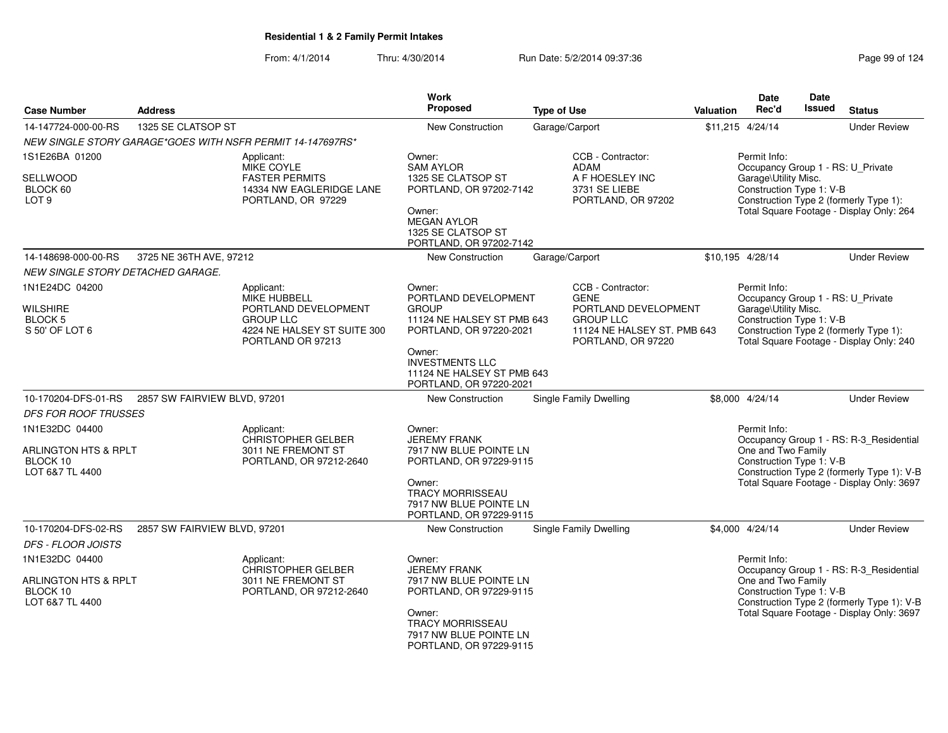|                                                                 |                              |                                                                                                                     | Work                                                                                                    |                                                                                                              |                                                                                              | <b>Date</b>                                                                           | <b>Date</b>                               |                                                                                    |
|-----------------------------------------------------------------|------------------------------|---------------------------------------------------------------------------------------------------------------------|---------------------------------------------------------------------------------------------------------|--------------------------------------------------------------------------------------------------------------|----------------------------------------------------------------------------------------------|---------------------------------------------------------------------------------------|-------------------------------------------|------------------------------------------------------------------------------------|
| <b>Case Number</b>                                              | <b>Address</b>               |                                                                                                                     | <b>Proposed</b>                                                                                         | <b>Type of Use</b>                                                                                           | <b>Valuation</b>                                                                             | Rec'd                                                                                 | Issued                                    | <b>Status</b>                                                                      |
| 14-147724-000-00-RS                                             | 1325 SE CLATSOP ST           |                                                                                                                     | New Construction                                                                                        | Garage/Carport                                                                                               |                                                                                              | \$11,215 4/24/14                                                                      |                                           | <b>Under Review</b>                                                                |
|                                                                 |                              | NEW SINGLE STORY GARAGE*GOES WITH NSFR PERMIT 14-147697RS*                                                          |                                                                                                         |                                                                                                              |                                                                                              |                                                                                       |                                           |                                                                                    |
| 1S1E26BA 01200                                                  |                              | Applicant:<br><b>MIKE COYLE</b>                                                                                     | Owner:<br><b>SAM AYLOR</b>                                                                              | CCB - Contractor:<br>ADAM                                                                                    |                                                                                              | Permit Info:                                                                          |                                           |                                                                                    |
| SELLWOOD<br>BLOCK 60<br>LOT <sub>9</sub>                        |                              | <b>FASTER PERMITS</b><br>14334 NW EAGLERIDGE LANE<br>PORTLAND, OR 97229                                             | 1325 SE CLATSOP ST<br>PORTLAND, OR 97202-7142<br>Owner:<br><b>MEGAN AYLOR</b><br>1325 SE CLATSOP ST     | A F HOESLEY INC<br>3731 SE LIEBE<br>PORTLAND, OR 97202                                                       |                                                                                              | Occupancy Group 1 - RS: U_Private<br>Garage\Utility Misc.<br>Construction Type 1: V-B |                                           | Construction Type 2 (formerly Type 1):<br>Total Square Footage - Display Only: 264 |
|                                                                 |                              |                                                                                                                     | PORTLAND, OR 97202-7142                                                                                 |                                                                                                              |                                                                                              |                                                                                       |                                           |                                                                                    |
| 14-148698-000-00-RS<br><b>NEW SINGLE STORY DETACHED GARAGE.</b> | 3725 NE 36TH AVE, 97212      |                                                                                                                     | New Construction                                                                                        | Garage/Carport                                                                                               |                                                                                              | \$10,195 4/28/14                                                                      |                                           | <b>Under Review</b>                                                                |
| 1N1E24DC 04200                                                  |                              | Applicant:                                                                                                          | Owner:                                                                                                  | CCB - Contractor:                                                                                            |                                                                                              | Permit Info:                                                                          |                                           |                                                                                    |
| <b>WILSHIRE</b><br><b>BLOCK 5</b><br>S 50' OF LOT 6             |                              | <b>MIKE HUBBELL</b><br>PORTLAND DEVELOPMENT<br><b>GROUP LLC</b><br>4224 NE HALSEY ST SUITE 300<br>PORTLAND OR 97213 | PORTLAND DEVELOPMENT<br><b>GROUP</b><br>11124 NE HALSEY ST PMB 643<br>PORTLAND, OR 97220-2021<br>Owner: | <b>GENE</b><br>PORTLAND DEVELOPMENT<br><b>GROUP LLC</b><br>11124 NE HALSEY ST. PMB 643<br>PORTLAND, OR 97220 |                                                                                              | Occupancy Group 1 - RS: U_Private<br>Garage\Utility Misc.<br>Construction Type 1: V-B |                                           | Construction Type 2 (formerly Type 1):<br>Total Square Footage - Display Only: 240 |
|                                                                 |                              |                                                                                                                     | <b>INVESTMENTS LLC</b><br>11124 NE HALSEY ST PMB 643<br>PORTLAND, OR 97220-2021                         |                                                                                                              |                                                                                              |                                                                                       |                                           |                                                                                    |
| 10-170204-DFS-01-RS                                             | 2857 SW FAIRVIEW BLVD, 97201 |                                                                                                                     | New Construction                                                                                        | Single Family Dwelling                                                                                       |                                                                                              | \$8,000 4/24/14                                                                       |                                           | <b>Under Review</b>                                                                |
| DFS FOR ROOF TRUSSES                                            |                              |                                                                                                                     |                                                                                                         |                                                                                                              |                                                                                              |                                                                                       |                                           |                                                                                    |
| 1N1E32DC 04400                                                  |                              | Applicant:<br><b>CHRISTOPHER GELBER</b>                                                                             | Owner:<br><b>JEREMY FRANK</b>                                                                           |                                                                                                              |                                                                                              | Permit Info:                                                                          |                                           | Occupancy Group 1 - RS: R-3_Residential                                            |
| ARLINGTON HTS & RPLT<br>BLOCK 10<br>LOT 6&7 TL 4400             |                              | 3011 NE FREMONT ST<br>PORTLAND, OR 97212-2640                                                                       | 7917 NW BLUE POINTE LN<br>PORTLAND, OR 97229-9115                                                       |                                                                                                              | One and Two Family<br>Construction Type 1: V-B<br>Construction Type 2 (formerly Type 1): V-B |                                                                                       |                                           |                                                                                    |
|                                                                 |                              |                                                                                                                     | Owner:<br>TRACY MORRISSEAU<br>7917 NW BLUE POINTE LN<br>PORTLAND, OR 97229-9115                         |                                                                                                              |                                                                                              |                                                                                       |                                           | Total Square Footage - Display Only: 3697                                          |
| 10-170204-DFS-02-RS                                             | 2857 SW FAIRVIEW BLVD, 97201 |                                                                                                                     | New Construction                                                                                        | Single Family Dwelling                                                                                       |                                                                                              | \$4,000 4/24/14                                                                       |                                           | <b>Under Review</b>                                                                |
| <b>DFS - FLOOR JOISTS</b>                                       |                              |                                                                                                                     |                                                                                                         |                                                                                                              |                                                                                              |                                                                                       |                                           |                                                                                    |
| 1N1E32DC 04400                                                  |                              | Applicant:<br>CHRISTOPHER GELBER                                                                                    | Owner:<br><b>JEREMY FRANK</b>                                                                           |                                                                                                              |                                                                                              | Permit Info:                                                                          |                                           | Occupancy Group 1 - RS: R-3_Residential                                            |
| ARLINGTON HTS & RPLT<br>BLOCK 10<br>LOT 6&7 TL 4400             |                              | 3011 NE FREMONT ST<br>PORTLAND, OR 97212-2640                                                                       | 7917 NW BLUE POINTE LN<br>PORTLAND, OR 97229-9115                                                       |                                                                                                              |                                                                                              | One and Two Family<br>Construction Type 1: V-B                                        |                                           | Construction Type 2 (formerly Type 1): V-B                                         |
|                                                                 |                              |                                                                                                                     | Owner:<br><b>TRACY MORRISSEAU</b><br>7917 NW BLUE POINTE LN<br>PORTLAND, OR 97229-9115                  |                                                                                                              |                                                                                              |                                                                                       | Total Square Footage - Display Only: 3697 |                                                                                    |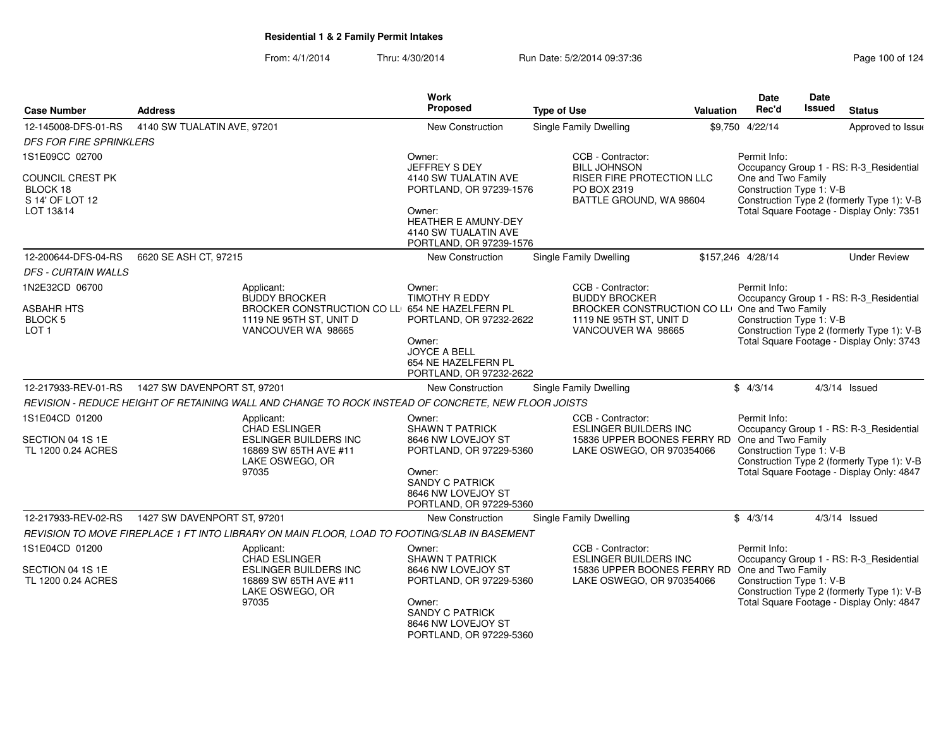| <b>Case Number</b>                                           | <b>Address</b>                                                                                                                         | Work<br>Proposed                                                                                                                           | <b>Type of Use</b>                                                                                                                           | Valuation | Date<br>Rec'd                                                                                             | <b>Date</b><br>Issued                                                                   | <b>Status</b>                                                                                                                      |
|--------------------------------------------------------------|----------------------------------------------------------------------------------------------------------------------------------------|--------------------------------------------------------------------------------------------------------------------------------------------|----------------------------------------------------------------------------------------------------------------------------------------------|-----------|-----------------------------------------------------------------------------------------------------------|-----------------------------------------------------------------------------------------|------------------------------------------------------------------------------------------------------------------------------------|
| 12-145008-DFS-01-RS                                          | 4140 SW TUALATIN AVE, 97201                                                                                                            | <b>New Construction</b>                                                                                                                    | Single Family Dwelling                                                                                                                       |           | \$9,750 4/22/14                                                                                           |                                                                                         | Approved to Issue                                                                                                                  |
| <b>DFS FOR FIRE SPRINKLERS</b>                               |                                                                                                                                        |                                                                                                                                            |                                                                                                                                              |           |                                                                                                           |                                                                                         |                                                                                                                                    |
| 1S1E09CC 02700                                               |                                                                                                                                        | Owner:<br>JEFFREY S DEY                                                                                                                    | CCB - Contractor:<br><b>BILL JOHNSON</b>                                                                                                     |           | Permit Info:                                                                                              |                                                                                         | Occupancy Group 1 - RS: R-3_Residential                                                                                            |
| COUNCIL CREST PK<br>BLOCK 18<br>S 14' OF LOT 12<br>LOT 13&14 |                                                                                                                                        | 4140 SW TUALATIN AVE<br>PORTLAND, OR 97239-1576<br>Owner:<br><b>HEATHER E AMUNY-DEY</b><br>4140 SW TUALATIN AVE<br>PORTLAND, OR 97239-1576 | <b>RISER FIRE PROTECTION LLC</b><br>PO BOX 2319<br>BATTLE GROUND, WA 98604                                                                   |           | One and Two Family<br>Construction Type 1: V-B                                                            | Construction Type 2 (formerly Type 1): V-B<br>Total Square Footage - Display Only: 7351 |                                                                                                                                    |
| 12-200644-DFS-04-RS                                          | 6620 SE ASH CT, 97215                                                                                                                  | New Construction                                                                                                                           | Single Family Dwelling                                                                                                                       |           | \$157,246 4/28/14                                                                                         |                                                                                         | <b>Under Review</b>                                                                                                                |
| <b>DFS - CURTAIN WALLS</b>                                   |                                                                                                                                        |                                                                                                                                            |                                                                                                                                              |           |                                                                                                           |                                                                                         |                                                                                                                                    |
| 1N2E32CD 06700<br>ASBAHR HTS<br>BLOCK 5<br>LOT <sub>1</sub>  | Applicant:<br><b>BUDDY BROCKER</b><br>BROCKER CONSTRUCTION CO LLI 654 NE HAZELFERN PL<br>1119 NE 95TH ST, UNIT D<br>VANCOUVER WA 98665 | Owner:<br><b>TIMOTHY R EDDY</b><br>PORTLAND, OR 97232-2622<br>Owner:<br>JOYCE A BELL<br>654 NE HAZELFERN PL<br>PORTLAND, OR 97232-2622     | CCB - Contractor:<br><b>BUDDY BROCKER</b><br>BROCKER CONSTRUCTION CO LLI One and Two Family<br>1119 NE 95TH ST, UNIT D<br>VANCOUVER WA 98665 |           | Permit Info:<br>Construction Type 1: V-B                                                                  |                                                                                         | Occupancy Group 1 - RS: R-3_Residential<br>Construction Type 2 (formerly Type 1): V-B<br>Total Square Footage - Display Only: 3743 |
| 12-217933-REV-01-RS                                          | 1427 SW DAVENPORT ST, 97201                                                                                                            | <b>New Construction</b>                                                                                                                    | Single Family Dwelling                                                                                                                       |           | \$4/3/14                                                                                                  |                                                                                         | $4/3/14$ Issued                                                                                                                    |
|                                                              | REVISION - REDUCE HEIGHT OF RETAINING WALL AND CHANGE TO ROCK INSTEAD OF CONCRETE, NEW FLOOR JOISTS                                    |                                                                                                                                            |                                                                                                                                              |           |                                                                                                           |                                                                                         |                                                                                                                                    |
| 1S1E04CD 01200                                               | Applicant:<br>CHAD ESLINGER                                                                                                            | Owner:<br><b>SHAWN T PATRICK</b>                                                                                                           | CCB - Contractor:<br><b>ESLINGER BUILDERS INC</b>                                                                                            |           | Permit Info:                                                                                              |                                                                                         | Occupancy Group 1 - RS: R-3_Residential                                                                                            |
| SECTION 04 1S 1E<br>TL 1200 0.24 ACRES                       | <b>ESLINGER BUILDERS INC</b><br>16869 SW 65TH AVE #11<br>LAKE OSWEGO, OR<br>97035                                                      | 8646 NW LOVEJOY ST<br>PORTLAND, OR 97229-5360<br>Owner:<br><b>SANDY C PATRICK</b><br>8646 NW LOVEJOY ST<br>PORTLAND, OR 97229-5360         | 15836 UPPER BOONES FERRY RD<br>LAKE OSWEGO, OR 970354066                                                                                     |           | One and Two Family<br>Construction Type 1: V-B                                                            |                                                                                         | Construction Type 2 (formerly Type 1): V-B<br>Total Square Footage - Display Only: 4847                                            |
| 12-217933-REV-02-RS                                          | 1427 SW DAVENPORT ST. 97201                                                                                                            | <b>New Construction</b>                                                                                                                    | <b>Single Family Dwelling</b>                                                                                                                |           | \$4/3/14                                                                                                  |                                                                                         | $4/3/14$ Issued                                                                                                                    |
|                                                              | REVISION TO MOVE FIREPLACE 1 FT INTO LIBRARY ON MAIN FLOOR, LOAD TO FOOTING/SLAB IN BASEMENT                                           |                                                                                                                                            |                                                                                                                                              |           |                                                                                                           |                                                                                         |                                                                                                                                    |
| 1S1E04CD 01200<br>SECTION 04 1S 1E<br>TL 1200 0.24 ACRES     | Applicant:<br><b>CHAD ESLINGER</b><br><b>ESLINGER BUILDERS INC</b><br>16869 SW 65TH AVE #11<br>LAKE OSWEGO, OR                         | Owner:<br><b>SHAWN T PATRICK</b><br>8646 NW LOVEJOY ST<br>PORTLAND, OR 97229-5360                                                          | CCB - Contractor:<br><b>ESLINGER BUILDERS INC</b><br>15836 UPPER BOONES FERRY RD<br>LAKE OSWEGO, OR 970354066                                |           | Permit Info:<br>Occupancy Group 1 - RS: R-3_Residential<br>One and Two Family<br>Construction Type 1: V-B |                                                                                         | Construction Type 2 (formerly Type 1): V-B                                                                                         |
|                                                              | 97035                                                                                                                                  | Owner:<br><b>SANDY C PATRICK</b><br>8646 NW LOVEJOY ST<br>PORTLAND, OR 97229-5360                                                          |                                                                                                                                              |           | Total Square Footage - Display Only: 4847                                                                 |                                                                                         |                                                                                                                                    |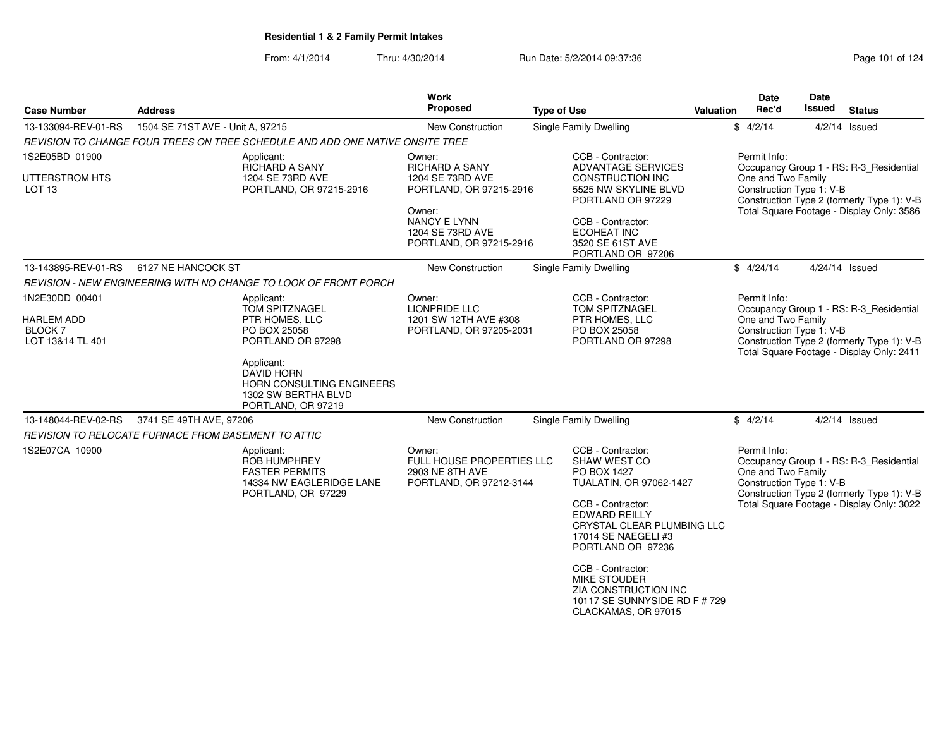| <b>Case Number</b>                  | <b>Address</b>                                                                                               | Work<br>Proposed                                                                  | <b>Type of Use</b>                                                                                                                                                                                                                                           | <b>Valuation</b>                                                                             | <b>Date</b><br>Rec'd                                           | <b>Date</b><br>Issued | <b>Status</b>                                                                                                                      |
|-------------------------------------|--------------------------------------------------------------------------------------------------------------|-----------------------------------------------------------------------------------|--------------------------------------------------------------------------------------------------------------------------------------------------------------------------------------------------------------------------------------------------------------|----------------------------------------------------------------------------------------------|----------------------------------------------------------------|-----------------------|------------------------------------------------------------------------------------------------------------------------------------|
| 13-133094-REV-01-RS                 | 1504 SE 71ST AVE - Unit A, 97215                                                                             | New Construction                                                                  | <b>Single Family Dwelling</b>                                                                                                                                                                                                                                |                                                                                              | \$4/2/14                                                       |                       | $4/2/14$ Issued                                                                                                                    |
|                                     | REVISION TO CHANGE FOUR TREES ON TREE SCHEDULE AND ADD ONE NATIVE ONSITE TREE                                |                                                                                   |                                                                                                                                                                                                                                                              |                                                                                              |                                                                |                       |                                                                                                                                    |
| 1S2E05BD 01900                      | Applicant:<br>RICHARD A SANY                                                                                 | Owner:<br><b>RICHARD A SANY</b>                                                   | CCB - Contractor:<br><b>ADVANTAGE SERVICES</b>                                                                                                                                                                                                               |                                                                                              | Permit Info:                                                   |                       | Occupancy Group 1 - RS: R-3 Residential                                                                                            |
| UTTERSTROM HTS<br>LOT <sub>13</sub> | 1204 SE 73RD AVE<br>PORTLAND, OR 97215-2916                                                                  | 1204 SE 73RD AVE<br>PORTLAND, OR 97215-2916                                       | <b>CONSTRUCTION INC</b><br>5525 NW SKYLINE BLVD<br>PORTLAND OR 97229                                                                                                                                                                                         | One and Two Family<br>Construction Type 1: V-B<br>Construction Type 2 (formerly Type 1): V-B |                                                                |                       |                                                                                                                                    |
|                                     |                                                                                                              | Owner:<br><b>NANCY E LYNN</b><br>1204 SE 73RD AVE<br>PORTLAND, OR 97215-2916      | CCB - Contractor:<br><b>ECOHEAT INC</b><br>3520 SE 61ST AVE<br>PORTLAND OR 97206                                                                                                                                                                             |                                                                                              |                                                                |                       | Total Square Footage - Display Only: 3586                                                                                          |
| 13-143895-REV-01-RS                 | 6127 NE HANCOCK ST                                                                                           | New Construction                                                                  | Single Family Dwelling                                                                                                                                                                                                                                       |                                                                                              | \$4/24/14                                                      | 4/24/14 Issued        |                                                                                                                                    |
|                                     | REVISION - NEW ENGINEERING WITH NO CHANGE TO LOOK OF FRONT PORCH                                             |                                                                                   |                                                                                                                                                                                                                                                              |                                                                                              |                                                                |                       |                                                                                                                                    |
| 1N2E30DD 00401                      | Applicant:<br>TOM SPITZNAGEL                                                                                 | Owner:<br>LIONPRIDE LLC                                                           | CCB - Contractor:<br>TOM SPITZNAGEL                                                                                                                                                                                                                          |                                                                                              | Permit Info:                                                   |                       | Occupancy Group 1 - RS: R-3_Residential                                                                                            |
| <b>HARLEM ADD</b><br><b>BLOCK7</b>  | PTR HOMES, LLC                                                                                               | 1201 SW 12TH AVE #308                                                             | PTR HOMES, LLC<br>PO BOX 25058                                                                                                                                                                                                                               |                                                                                              | One and Two Family<br>Construction Type 1: V-B                 |                       |                                                                                                                                    |
| LOT 13&14 TL 401                    | PO BOX 25058<br>PORTLAND OR 97298                                                                            | PORTLAND, OR 97205-2031                                                           | PORTLAND OR 97298                                                                                                                                                                                                                                            |                                                                                              |                                                                |                       | Construction Type 2 (formerly Type 1): V-B<br>Total Square Footage - Display Only: 2411                                            |
|                                     | Applicant:<br><b>DAVID HORN</b><br>HORN CONSULTING ENGINEERS<br>1302 SW BERTHA BLVD<br>PORTLAND, OR 97219    |                                                                                   |                                                                                                                                                                                                                                                              |                                                                                              |                                                                |                       |                                                                                                                                    |
| 13-148044-REV-02-RS                 | 3741 SE 49TH AVE, 97206                                                                                      | New Construction                                                                  | Single Family Dwelling                                                                                                                                                                                                                                       |                                                                                              | \$4/2/14                                                       |                       | $4/2/14$ Issued                                                                                                                    |
|                                     | REVISION TO RELOCATE FURNACE FROM BASEMENT TO ATTIC                                                          |                                                                                   |                                                                                                                                                                                                                                                              |                                                                                              |                                                                |                       |                                                                                                                                    |
| 1S2E07CA 10900                      | Applicant:<br><b>ROB HUMPHREY</b><br><b>FASTER PERMITS</b><br>14334 NW EAGLERIDGE LANE<br>PORTLAND, OR 97229 | Owner:<br>FULL HOUSE PROPERTIES LLC<br>2903 NE 8TH AVE<br>PORTLAND, OR 97212-3144 | CCB - Contractor:<br><b>SHAW WEST CO</b><br><b>PO BOX 1427</b><br>TUALATIN, OR 97062-1427<br>CCB - Contractor:<br><b>EDWARD REILLY</b><br>CRYSTAL CLEAR PLUMBING LLC<br>17014 SE NAEGELI #3<br>PORTLAND OR 97236<br>CCB - Contractor:<br><b>MIKE STOUDER</b> |                                                                                              | Permit Info:<br>One and Two Family<br>Construction Type 1: V-B |                       | Occupancy Group 1 - RS: R-3_Residential<br>Construction Type 2 (formerly Type 1): V-B<br>Total Square Footage - Display Only: 3022 |
|                                     |                                                                                                              |                                                                                   | ZIA CONSTRUCTION INC<br>10117 SE SUNNYSIDE RD F # 729<br>CLACKAMAS, OR 97015                                                                                                                                                                                 |                                                                                              |                                                                |                       |                                                                                                                                    |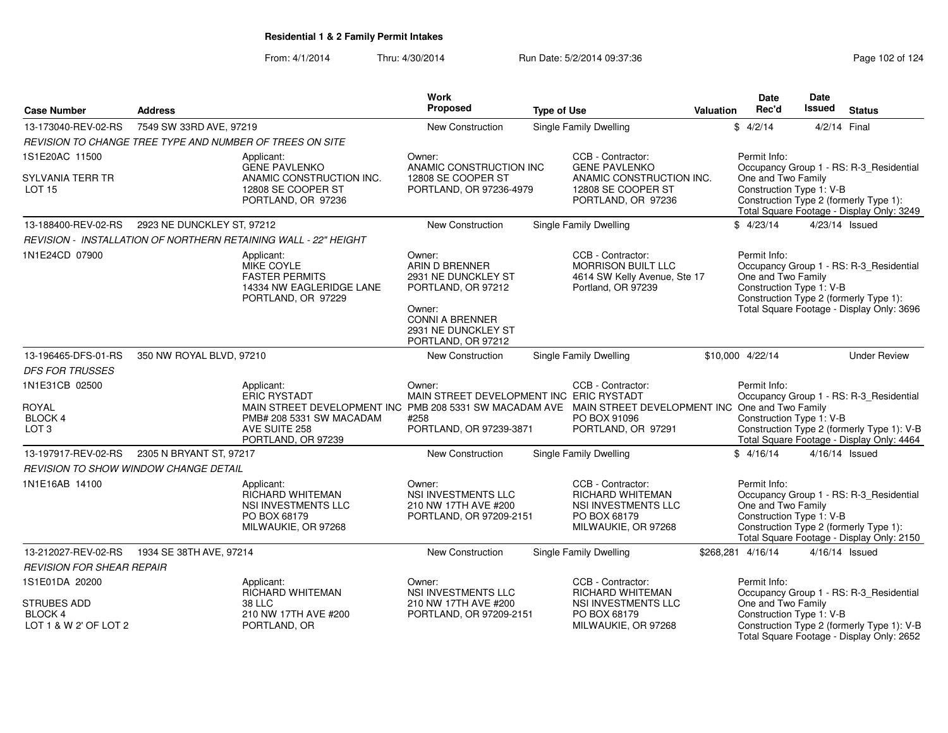From: 4/1/2014Thru: 4/30/2014 Run Date: 5/2/2014 09:37:36 Research 2010 124

|                                                               |                                              |                                                                                                                        | <b>Work</b><br>Proposed                                                                                   |                                                                      |                                                                                                      |                  | <b>Date</b>                                                    | <b>Date</b><br><b>Issued</b> |                                                                                                                                |
|---------------------------------------------------------------|----------------------------------------------|------------------------------------------------------------------------------------------------------------------------|-----------------------------------------------------------------------------------------------------------|----------------------------------------------------------------------|------------------------------------------------------------------------------------------------------|------------------|----------------------------------------------------------------|------------------------------|--------------------------------------------------------------------------------------------------------------------------------|
| <b>Case Number</b>                                            | <b>Address</b>                               |                                                                                                                        |                                                                                                           | <b>Type of Use</b>                                                   |                                                                                                      | <b>Valuation</b> | Rec'd                                                          |                              | <b>Status</b>                                                                                                                  |
| 13-173040-REV-02-RS                                           | 7549 SW 33RD AVE, 97219                      |                                                                                                                        | <b>New Construction</b>                                                                                   |                                                                      | <b>Single Family Dwelling</b>                                                                        |                  | \$4/2/14                                                       | 4/2/14 Final                 |                                                                                                                                |
|                                                               |                                              | REVISION TO CHANGE TREE TYPE AND NUMBER OF TREES ON SITE                                                               |                                                                                                           |                                                                      |                                                                                                      |                  |                                                                |                              |                                                                                                                                |
| 1S1E20AC 11500                                                |                                              | Applicant:<br><b>GENE PAVLENKO</b>                                                                                     | Owner:<br>ANAMIC CONSTRUCTION INC                                                                         |                                                                      | CCB - Contractor:<br><b>GENE PAVLENKO</b>                                                            |                  | Permit Info:                                                   |                              |                                                                                                                                |
| SYLVANIA TERR TR<br><b>LOT 15</b>                             |                                              | ANAMIC CONSTRUCTION INC.<br>12808 SE COOPER ST<br>PORTLAND, OR 97236                                                   | 12808 SE COOPER ST<br>PORTLAND, OR 97236-4979                                                             | ANAMIC CONSTRUCTION INC.<br>12808 SE COOPER ST<br>PORTLAND, OR 97236 |                                                                                                      |                  | One and Two Family<br>Construction Type 1: V-B                 |                              | Occupancy Group 1 - RS: R-3_Residential<br>Construction Type 2 (formerly Type 1):<br>Total Square Footage - Display Only: 3249 |
| 13-188400-REV-02-RS                                           | 2923 NE DUNCKLEY ST, 97212                   |                                                                                                                        | <b>New Construction</b>                                                                                   |                                                                      | <b>Single Family Dwelling</b>                                                                        |                  | \$4/23/14                                                      |                              | 4/23/14 Issued                                                                                                                 |
|                                                               |                                              | REVISION - INSTALLATION OF NORTHERN RETAINING WALL - 22" HEIGHT                                                        |                                                                                                           |                                                                      |                                                                                                      |                  |                                                                |                              |                                                                                                                                |
| 1N1E24CD 07900                                                |                                              | Applicant:<br><b>MIKE COYLE</b><br><b>FASTER PERMITS</b><br>14334 NW EAGLERIDGE LANE<br>PORTLAND, OR 97229             | Owner:<br>ARIN D BRENNER<br>2931 NE DUNCKLEY ST<br>PORTLAND, OR 97212<br>Owner:<br><b>CONNI A BRENNER</b> |                                                                      | CCB - Contractor:<br><b>MORRISON BUILT LLC</b><br>4614 SW Kelly Avenue, Ste 17<br>Portland, OR 97239 |                  | Permit Info:<br>One and Two Family<br>Construction Type 1: V-B |                              | Occupancy Group 1 - RS: R-3_Residential<br>Construction Type 2 (formerly Type 1):<br>Total Square Footage - Display Only: 3696 |
|                                                               |                                              |                                                                                                                        | 2931 NE DUNCKLEY ST<br>PORTLAND, OR 97212                                                                 |                                                                      |                                                                                                      |                  |                                                                |                              |                                                                                                                                |
| 13-196465-DFS-01-RS                                           | 350 NW ROYAL BLVD, 97210                     |                                                                                                                        | <b>New Construction</b>                                                                                   |                                                                      | Single Family Dwelling                                                                               |                  | \$10,000 4/22/14                                               |                              | <b>Under Review</b>                                                                                                            |
| <b>DFS FOR TRUSSES</b>                                        |                                              |                                                                                                                        |                                                                                                           |                                                                      |                                                                                                      |                  |                                                                |                              |                                                                                                                                |
| 1N1E31CB 02500                                                |                                              | Applicant:                                                                                                             | Owner:                                                                                                    |                                                                      | CCB - Contractor:                                                                                    |                  | Permit Info:                                                   |                              |                                                                                                                                |
| ROYAL                                                         |                                              | ERIC RYSTADT<br>MAIN STREET DEVELOPMENT INC PMB 208 5331 SW MACADAM AVE MAIN STREET DEVELOPMENT INC One and Two Family | MAIN STREET DEVELOPMENT INC ERIC RYSTADT                                                                  |                                                                      |                                                                                                      |                  |                                                                |                              | Occupancy Group 1 - RS: R-3_Residential                                                                                        |
| BLOCK 4                                                       |                                              | PMB# 208 5331 SW MACADAM                                                                                               | #258                                                                                                      |                                                                      | PO BOX 91096                                                                                         |                  | Construction Type 1: V-B                                       |                              |                                                                                                                                |
| LOT <sub>3</sub>                                              |                                              | AVE SUITE 258<br>PORTLAND, OR 97239                                                                                    | PORTLAND, OR 97239-3871                                                                                   |                                                                      | PORTLAND, OR 97291                                                                                   |                  |                                                                |                              | Construction Type 2 (formerly Type 1): V-B<br>Total Square Footage - Display Only: 4464                                        |
| 13-197917-REV-02-RS                                           | 2305 N BRYANT ST, 97217                      |                                                                                                                        | <b>New Construction</b>                                                                                   |                                                                      | Single Family Dwelling                                                                               |                  | \$4/16/14                                                      |                              | $4/16/14$ Issued                                                                                                               |
|                                                               | <b>REVISION TO SHOW WINDOW CHANGE DETAIL</b> |                                                                                                                        |                                                                                                           |                                                                      |                                                                                                      |                  |                                                                |                              |                                                                                                                                |
| 1N1E16AB 14100                                                |                                              | Applicant:<br>RICHARD WHITEMAN<br>NSI INVESTMENTS LLC<br>PO BOX 68179<br>MILWAUKIE, OR 97268                           | Owner:<br><b>NSI INVESTMENTS LLC</b><br>210 NW 17TH AVE #200<br>PORTLAND, OR 97209-2151                   |                                                                      | CCB - Contractor:<br>RICHARD WHITEMAN<br>NSI INVESTMENTS LLC<br>PO BOX 68179<br>MILWAUKIE, OR 97268  |                  | Permit Info:<br>One and Two Family<br>Construction Type 1: V-B |                              | Occupancy Group 1 - RS: R-3_Residential<br>Construction Type 2 (formerly Type 1):<br>Total Square Footage - Display Only: 2150 |
| 13-212027-REV-02-RS                                           | 1934 SE 38TH AVE, 97214                      |                                                                                                                        | New Construction                                                                                          |                                                                      | Single Family Dwelling                                                                               |                  | \$268,281 4/16/14                                              |                              | 4/16/14 Issued                                                                                                                 |
| <b>REVISION FOR SHEAR REPAIR</b>                              |                                              |                                                                                                                        |                                                                                                           |                                                                      |                                                                                                      |                  |                                                                |                              |                                                                                                                                |
| 1S1E01DA 20200                                                |                                              | Applicant:<br>RICHARD WHITEMAN                                                                                         | Owner:<br>NSI INVESTMENTS LLC                                                                             |                                                                      | CCB - Contractor:<br>RICHARD WHITEMAN                                                                |                  | Permit Info:                                                   |                              | Occupancy Group 1 - RS: R-3_Residential                                                                                        |
| <b>STRUBES ADD</b><br><b>BLOCK 4</b><br>LOT 1 & W 2' OF LOT 2 |                                              | 38 LLC<br>210 NW 17TH AVE #200<br>PORTLAND, OR                                                                         | 210 NW 17TH AVE #200<br>PORTLAND, OR 97209-2151                                                           |                                                                      | NSI INVESTMENTS LLC<br>PO BOX 68179<br>MILWAUKIE, OR 97268                                           |                  | One and Two Family<br>Construction Type 1: V-B                 |                              | Construction Type 2 (formerly Type 1): V-B<br>Total Square Footage - Display Only: 2652                                        |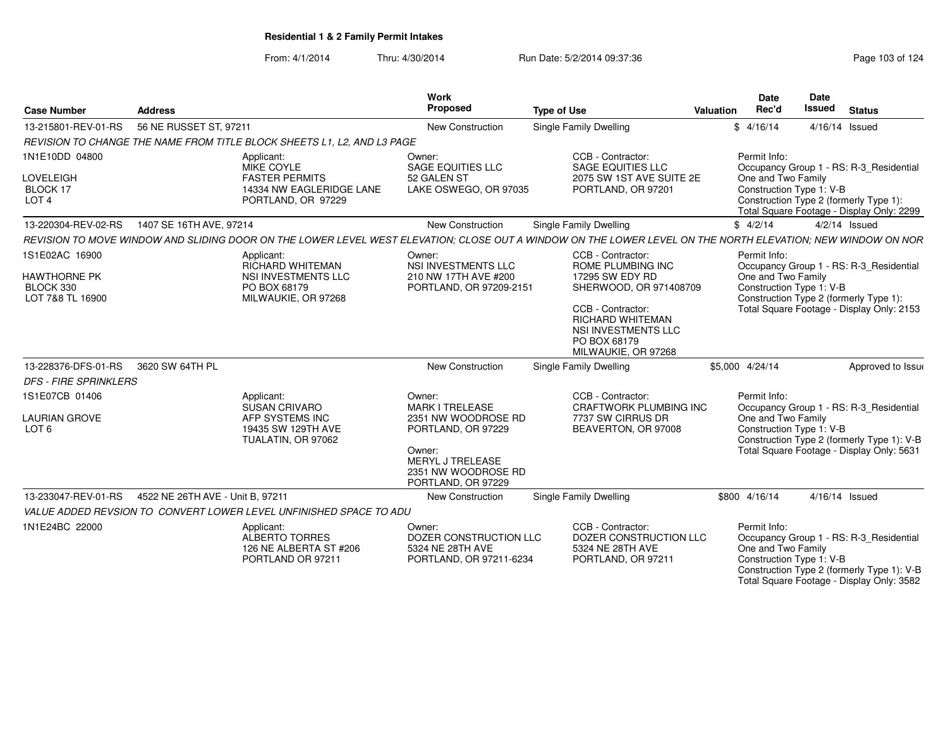| <b>Case Number</b>                                              | <b>Address</b>                   |                                                                                                                                                             | Work<br>Proposed                                                                                                                                      | <b>Type of Use</b>                                                                                                                                                                                | Valuation | <b>Date</b><br>Rec'd               | Date<br><b>Issued</b>    | <b>Status</b>                                                                                                                      |
|-----------------------------------------------------------------|----------------------------------|-------------------------------------------------------------------------------------------------------------------------------------------------------------|-------------------------------------------------------------------------------------------------------------------------------------------------------|---------------------------------------------------------------------------------------------------------------------------------------------------------------------------------------------------|-----------|------------------------------------|--------------------------|------------------------------------------------------------------------------------------------------------------------------------|
| 13-215801-REV-01-RS                                             | 56 NE RUSSET ST, 97211           |                                                                                                                                                             | <b>New Construction</b>                                                                                                                               | <b>Single Family Dwelling</b>                                                                                                                                                                     |           | \$4/16/14                          |                          | 4/16/14 Issued                                                                                                                     |
|                                                                 |                                  | REVISION TO CHANGE THE NAME FROM TITLE BLOCK SHEETS L1. L2. AND L3 PAGE                                                                                     |                                                                                                                                                       |                                                                                                                                                                                                   |           |                                    |                          |                                                                                                                                    |
| 1N1E10DD 04800<br>LOVELEIGH<br>BLOCK 17<br>LOT <sub>4</sub>     |                                  | Applicant:<br>MIKE COYLE<br><b>FASTER PERMITS</b><br>14334 NW EAGLERIDGE LANE<br>PORTLAND, OR 97229                                                         | Owner:<br><b>SAGE EQUITIES LLC</b><br>52 GALEN ST<br>LAKE OSWEGO, OR 97035                                                                            | CCB - Contractor:<br><b>SAGE EQUITIES LLC</b><br>2075 SW 1ST AVE SUITE 2E<br>PORTLAND, OR 97201                                                                                                   |           | Permit Info:<br>One and Two Family | Construction Type 1: V-B | Occupancy Group 1 - RS: R-3_Residential<br>Construction Type 2 (formerly Type 1):<br>Total Square Footage - Display Only: 2299     |
| 13-220304-REV-02-RS                                             | 1407 SE 16TH AVE, 97214          |                                                                                                                                                             | <b>New Construction</b>                                                                                                                               | Single Family Dwelling                                                                                                                                                                            |           | \$4/2/14                           |                          | $4/2/14$ Issued                                                                                                                    |
|                                                                 |                                  | REVISION TO MOVE WINDOW AND SLIDING DOOR ON THE LOWER LEVEL WEST ELEVATION: CLOSE OUT A WINDOW ON THE LOWER LEVEL ON THE NORTH ELEVATION: NEW WINDOW ON NOR |                                                                                                                                                       |                                                                                                                                                                                                   |           |                                    |                          |                                                                                                                                    |
| 1S1E02AC 16900<br>HAWTHORNE PK<br>BLOCK 330<br>LOT 7&8 TL 16900 |                                  | Applicant:<br>RICHARD WHITEMAN<br>NSI INVESTMENTS LLC<br>PO BOX 68179<br>MILWAUKIE, OR 97268                                                                | Owner:<br><b>NSI INVESTMENTS LLC</b><br>210 NW 17TH AVE #200<br>PORTLAND, OR 97209-2151                                                               | CCB - Contractor:<br>ROME PLUMBING INC<br>17295 SW EDY RD<br>SHERWOOD, OR 971408709<br>CCB - Contractor:<br><b>RICHARD WHITEMAN</b><br>NSI INVESTMENTS LLC<br>PO BOX 68179<br>MILWAUKIE, OR 97268 |           | Permit Info:<br>One and Two Family | Construction Type 1: V-B | Occupancy Group 1 - RS: R-3 Residential<br>Construction Type 2 (formerly Type 1):<br>Total Square Footage - Display Only: 2153     |
| 13-228376-DFS-01-RS                                             | 3620 SW 64TH PL                  |                                                                                                                                                             | <b>New Construction</b>                                                                                                                               | Single Family Dwelling                                                                                                                                                                            |           | \$5,000 4/24/14                    |                          | Approved to Issue                                                                                                                  |
| <b>DFS - FIRE SPRINKLERS</b>                                    |                                  |                                                                                                                                                             |                                                                                                                                                       |                                                                                                                                                                                                   |           |                                    |                          |                                                                                                                                    |
| 1S1E07CB 01406                                                  |                                  | Applicant:                                                                                                                                                  | Owner:                                                                                                                                                | CCB - Contractor:                                                                                                                                                                                 |           | Permit Info:                       |                          |                                                                                                                                    |
| <b>LAURIAN GROVE</b><br>LOT <sub>6</sub>                        |                                  | SUSAN CRIVARO<br>AFP SYSTEMS INC<br>19435 SW 129TH AVE<br>TUALATIN, OR 97062                                                                                | <b>MARK I TRELEASE</b><br>2351 NW WOODROSE RD<br>PORTLAND, OR 97229<br>Owner:<br><b>MERYL J TRELEASE</b><br>2351 NW WOODROSE RD<br>PORTLAND, OR 97229 | CRAFTWORK PLUMBING INC<br>7737 SW CIRRUS DR<br>BEAVERTON, OR 97008                                                                                                                                |           | One and Two Family                 | Construction Type 1: V-B | Occupancy Group 1 - RS: R-3_Residential<br>Construction Type 2 (formerly Type 1): V-B<br>Total Square Footage - Display Only: 5631 |
| 13-233047-REV-01-RS                                             | 4522 NE 26TH AVE - Unit B, 97211 |                                                                                                                                                             | New Construction                                                                                                                                      | Single Family Dwelling                                                                                                                                                                            |           | \$800 4/16/14                      |                          | 4/16/14 Issued                                                                                                                     |
|                                                                 |                                  | VALUE ADDED REVSION TO CONVERT LOWER LEVEL UNFINISHED SPACE TO ADU                                                                                          |                                                                                                                                                       |                                                                                                                                                                                                   |           |                                    |                          |                                                                                                                                    |
| 1N1E24BC 22000                                                  |                                  | Applicant:<br>ALBERTO TORRES<br>126 NE ALBERTA ST #206<br>PORTLAND OR 97211                                                                                 | Owner:<br>DOZER CONSTRUCTION LLC<br>5324 NE 28TH AVE<br>PORTLAND, OR 97211-6234                                                                       | CCB - Contractor:<br>DOZER CONSTRUCTION LLC<br>5324 NE 28TH AVE<br>PORTLAND, OR 97211                                                                                                             |           | Permit Info:<br>One and Two Family | Construction Type 1: V-B | Occupancy Group 1 - RS: R-3_Residential<br>Construction Type 2 (formerly Type 1): V-B<br>Total Square Footage - Display Only: 3582 |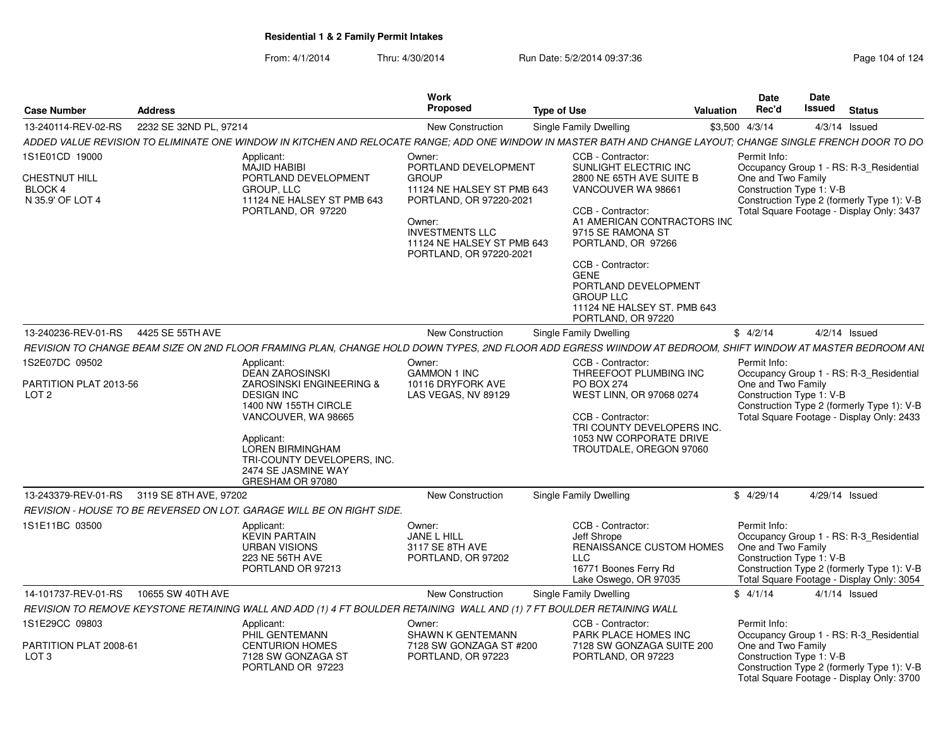| Case Number                                  | <b>Address</b>                                                                                                                                                                                                                     | Work<br><b>Proposed</b>                                                                                                                                            | <b>Type of Use</b>                                                                                                                                                                                                                                                                 | <b>Date</b><br>Rec'd<br><b>Valuation</b> |                                                | Date<br>Issued<br><b>Status</b>                                                                                                    |  |
|----------------------------------------------|------------------------------------------------------------------------------------------------------------------------------------------------------------------------------------------------------------------------------------|--------------------------------------------------------------------------------------------------------------------------------------------------------------------|------------------------------------------------------------------------------------------------------------------------------------------------------------------------------------------------------------------------------------------------------------------------------------|------------------------------------------|------------------------------------------------|------------------------------------------------------------------------------------------------------------------------------------|--|
| 13-240114-REV-02-RS                          | 2232 SE 32ND PL, 97214                                                                                                                                                                                                             | New Construction                                                                                                                                                   | Single Family Dwelling                                                                                                                                                                                                                                                             | \$3,500 4/3/14                           |                                                | $4/3/14$ Issued                                                                                                                    |  |
|                                              | ADDED VALUE REVISION TO ELIMINATE ONE WINDOW IN KITCHEN AND RELOCATE RANGE: ADD ONE WINDOW IN MASTER BATH AND CHANGE LAYOUT: CHANGE SINGLE FRENCH DOOR TO DO                                                                       |                                                                                                                                                                    |                                                                                                                                                                                                                                                                                    |                                          |                                                |                                                                                                                                    |  |
| 1S1E01CD 19000                               | Applicant:<br><b>MAJID HABIBI</b>                                                                                                                                                                                                  | Owner:<br>PORTLAND DEVELOPMENT                                                                                                                                     | CCB - Contractor:<br>SUNLIGHT ELECTRIC INC                                                                                                                                                                                                                                         | Permit Info:                             |                                                | Occupancy Group 1 - RS: R-3 Residential                                                                                            |  |
| CHESTNUT HILL<br>BLOCK 4<br>N 35.9' OF LOT 4 | PORTLAND DEVELOPMENT<br>GROUP, LLC<br>11124 NE HALSEY ST PMB 643<br>PORTLAND, OR 97220                                                                                                                                             | <b>GROUP</b><br>11124 NE HALSEY ST PMB 643<br>PORTLAND, OR 97220-2021<br>Owner:<br><b>INVESTMENTS LLC</b><br>11124 NE HALSEY ST PMB 643<br>PORTLAND, OR 97220-2021 | 2800 NE 65TH AVE SUITE B<br>VANCOUVER WA 98661<br>CCB - Contractor:<br>A1 AMERICAN CONTRACTORS INC<br>9715 SE RAMONA ST<br>PORTLAND, OR 97266<br>CCB - Contractor:<br><b>GENE</b><br>PORTLAND DEVELOPMENT<br><b>GROUP LLC</b><br>11124 NE HALSEY ST. PMB 643<br>PORTLAND, OR 97220 |                                          | One and Two Family<br>Construction Type 1: V-B | Construction Type 2 (formerly Type 1): V-B<br>Total Square Footage - Display Only: 3437                                            |  |
| 13-240236-REV-01-RS                          | 4425 SE 55TH AVE                                                                                                                                                                                                                   | New Construction                                                                                                                                                   | Single Family Dwelling                                                                                                                                                                                                                                                             | \$4/2/14                                 |                                                | $4/2/14$ Issued                                                                                                                    |  |
|                                              | REVISION TO CHANGE BEAM SIZE ON 2ND FLOOR FRAMING PLAN, CHANGE HOLD DOWN TYPES, 2ND FLOOR ADD EGRESS WIINDOW AT BEDROOM, SHIFT WINDOW AT MASTER BEDROOM ANL                                                                        |                                                                                                                                                                    |                                                                                                                                                                                                                                                                                    |                                          |                                                |                                                                                                                                    |  |
| 1S2E07DC 09502                               | Applicant:                                                                                                                                                                                                                         | Owner:                                                                                                                                                             | CCB - Contractor:                                                                                                                                                                                                                                                                  | Permit Info:                             |                                                |                                                                                                                                    |  |
| PARTITION PLAT 2013-56<br>LOT <sub>2</sub>   | <b>DEAN ZAROSINSKI</b><br>ZAROSINSKI ENGINEERING &<br><b>DESIGN INC</b><br>1400 NW 155TH CIRCLE<br>VANCOUVER, WA 98665<br>Applicant:<br>LOREN BIRMINGHAM<br>TRI-COUNTY DEVELOPERS. INC.<br>2474 SE JASMINE WAY<br>GRESHAM OR 97080 | <b>GAMMON 1 INC</b><br>10116 DRYFORK AVE<br>LAS VEGAS, NV 89129                                                                                                    | THREEFOOT PLUMBING INC<br><b>PO BOX 274</b><br>WEST LINN, OR 97068 0274<br>CCB - Contractor:<br>TRI COUNTY DEVELOPERS INC.<br>1053 NW CORPORATE DRIVE<br>TROUTDALE, OREGON 97060                                                                                                   |                                          | One and Two Family<br>Construction Type 1: V-B | Occupancy Group 1 - RS: R-3 Residential<br>Construction Type 2 (formerly Type 1): V-B<br>Total Square Footage - Display Only: 2433 |  |
|                                              | 13-243379-REV-01-RS 3119 SE 8TH AVE, 97202                                                                                                                                                                                         | New Construction                                                                                                                                                   | <b>Single Family Dwelling</b>                                                                                                                                                                                                                                                      | \$4/29/14                                |                                                | 4/29/14 Issued                                                                                                                     |  |
|                                              | REVISION - HOUSE TO BE REVERSED ON LOT. GARAGE WILL BE ON RIGHT SIDE.                                                                                                                                                              |                                                                                                                                                                    |                                                                                                                                                                                                                                                                                    |                                          |                                                |                                                                                                                                    |  |
| 1S1E11BC 03500                               | Applicant:<br><b>KEVIN PARTAIN</b><br><b>URBAN VISIONS</b><br>223 NE 56TH AVE<br>PORTLAND OR 97213                                                                                                                                 | Owner:<br>JANE L HILL<br>3117 SE 8TH AVE<br>PORTLAND, OR 97202                                                                                                     | CCB - Contractor:<br>Jeff Shrope<br>RENAISSANCE CUSTOM HOMES<br><b>LLC</b><br>16771 Boones Ferry Rd<br>Lake Oswego, OR 97035                                                                                                                                                       | Permit Info:                             | One and Two Family<br>Construction Type 1: V-B | Occupancy Group 1 - RS: R-3_Residential<br>Construction Type 2 (formerly Type 1): V-B<br>Total Square Footage - Display Only: 3054 |  |
| 14-101737-REV-01-RS                          | 10655 SW 40TH AVE                                                                                                                                                                                                                  | <b>New Construction</b>                                                                                                                                            | Single Family Dwelling                                                                                                                                                                                                                                                             | \$4/1/14                                 |                                                | $4/1/14$ Issued                                                                                                                    |  |
|                                              | REVISION TO REMOVE KEYSTONE RETAINING WALL AND ADD (1) 4 FT BOULDER RETAINING WALL AND (1) 7 FT BOULDER RETAINING WALL                                                                                                             |                                                                                                                                                                    |                                                                                                                                                                                                                                                                                    |                                          |                                                |                                                                                                                                    |  |
| IS1E29CC 09803<br>PARTITION PLAT 2008-61     | Applicant:<br>PHIL GENTEMANN<br><b>CENTURION HOMES</b>                                                                                                                                                                             | Owner:<br>SHAWN K GENTEMANN<br>7128 SW GONZAGA ST #200                                                                                                             | CCB - Contractor:<br>PARK PLACE HOMES INC<br>7128 SW GONZAGA SUITE 200                                                                                                                                                                                                             | Permit Info:                             | One and Two Family                             | Occupancy Group 1 - RS: R-3 Residential                                                                                            |  |
| LOT <sub>3</sub>                             | 7128 SW GONZAGA ST<br>PORTLAND OR 97223                                                                                                                                                                                            | PORTLAND, OR 97223                                                                                                                                                 | PORTLAND, OR 97223                                                                                                                                                                                                                                                                 |                                          | Construction Type 1: V-B                       | Construction Type 2 (formerly Type 1): V-B<br>Total Square Footage - Display Only: 3700                                            |  |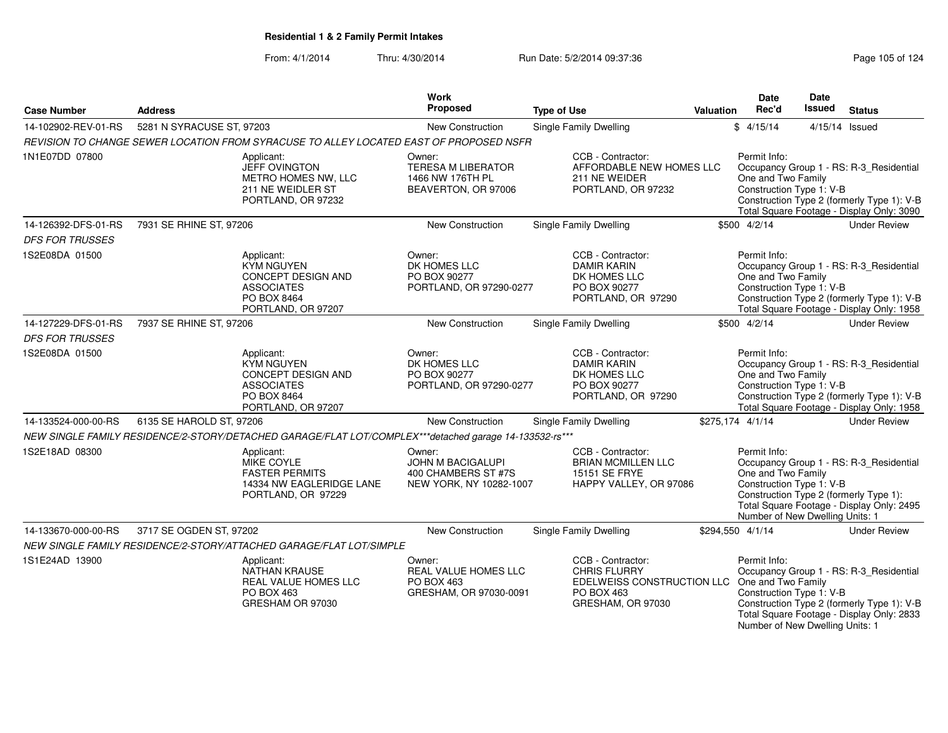From: 4/1/2014Thru: 4/30/2014 Run Date: 5/2/2014 09:37:36 Research 24

| <b>Case Number</b>                            | <b>Address</b>            |                                                                                                                 | Work<br>Proposed                                                                     | <b>Type of Use</b>                                                                                                                  | <b>Valuation</b> | <b>Date</b><br>Rec'd                                                                              | Date<br>Issued | <b>Status</b>                                                                                                                      |
|-----------------------------------------------|---------------------------|-----------------------------------------------------------------------------------------------------------------|--------------------------------------------------------------------------------------|-------------------------------------------------------------------------------------------------------------------------------------|------------------|---------------------------------------------------------------------------------------------------|----------------|------------------------------------------------------------------------------------------------------------------------------------|
| 14-102902-REV-01-RS                           | 5281 N SYRACUSE ST, 97203 |                                                                                                                 | New Construction                                                                     | Single Family Dwelling                                                                                                              |                  | \$4/15/14                                                                                         |                | 4/15/14 Issued                                                                                                                     |
|                                               |                           | REVISION TO CHANGE SEWER LOCATION FROM SYRACUSE TO ALLEY LOCATED EAST OF PROPOSED NSFR                          |                                                                                      |                                                                                                                                     |                  |                                                                                                   |                |                                                                                                                                    |
| 1N1E07DD 07800                                |                           | Applicant:<br><b>JEFF OVINGTON</b><br>METRO HOMES NW, LLC<br>211 NE WEIDLER ST<br>PORTLAND, OR 97232            | Owner:<br><b>TERESA M LIBERATOR</b><br>1466 NW 176TH PL<br>BEAVERTON, OR 97006       | CCB - Contractor:<br>AFFORDABLE NEW HOMES LLC<br>211 NE WEIDER<br>PORTLAND, OR 97232                                                |                  | Permit Info:<br>One and Two Family<br>Construction Type 1: V-B                                    |                | Occupancy Group 1 - RS: R-3_Residential<br>Construction Type 2 (formerly Type 1): V-B<br>Total Square Footage - Display Only: 3090 |
| 14-126392-DFS-01-RS<br><b>DFS FOR TRUSSES</b> | 7931 SE RHINE ST, 97206   |                                                                                                                 | <b>New Construction</b>                                                              | <b>Single Family Dwelling</b>                                                                                                       |                  | \$500 4/2/14                                                                                      |                | <b>Under Review</b>                                                                                                                |
| 1S2E08DA 01500                                |                           | Applicant:<br><b>KYM NGUYEN</b><br>CONCEPT DESIGN AND<br><b>ASSOCIATES</b><br>PO BOX 8464<br>PORTLAND, OR 97207 | Owner:<br>DK HOMES LLC<br>PO BOX 90277<br>PORTLAND, OR 97290-0277                    | CCB - Contractor:<br><b>DAMIR KARIN</b><br>DK HOMES LLC<br>PO BOX 90277<br>PORTLAND, OR 97290                                       |                  | Permit Info:<br>One and Two Family<br>Construction Type 1: V-B                                    |                | Occupancy Group 1 - RS: R-3_Residential<br>Construction Type 2 (formerly Type 1): V-B<br>Total Square Footage - Display Only: 1958 |
| 14-127229-DFS-01-RS                           | 7937 SE RHINE ST, 97206   |                                                                                                                 | New Construction                                                                     | <b>Single Family Dwelling</b>                                                                                                       |                  | \$500 4/2/14                                                                                      |                | <b>Under Review</b>                                                                                                                |
| <b>DFS FOR TRUSSES</b>                        |                           |                                                                                                                 |                                                                                      |                                                                                                                                     |                  |                                                                                                   |                |                                                                                                                                    |
| 1S2E08DA 01500                                |                           | Applicant:<br><b>KYM NGUYEN</b><br>CONCEPT DESIGN AND<br><b>ASSOCIATES</b><br>PO BOX 8464<br>PORTLAND, OR 97207 | Owner:<br>DK HOMES LLC<br>PO BOX 90277<br>PORTLAND, OR 97290-0277                    | CCB - Contractor:<br><b>DAMIR KARIN</b><br>DK HOMES LLC<br>PO BOX 90277<br>PORTLAND, OR 97290                                       |                  | Permit Info:<br>One and Two Family<br>Construction Type 1: V-B                                    |                | Occupancy Group 1 - RS: R-3_Residential<br>Construction Type 2 (formerly Type 1): V-B<br>Total Square Footage - Display Only: 1958 |
| 14-133524-000-00-RS                           | 6135 SE HAROLD ST, 97206  |                                                                                                                 | <b>New Construction</b>                                                              | Single Family Dwelling                                                                                                              |                  | \$275,174 4/1/14                                                                                  |                | <b>Under Review</b>                                                                                                                |
|                                               |                           | NEW SINGLE FAMILY RESIDENCE/2-STORY/DETACHED GARAGE/FLAT LOT/COMPLEX***detached garage 14-133532-rs***          |                                                                                      |                                                                                                                                     |                  |                                                                                                   |                |                                                                                                                                    |
| 1S2E18AD 08300                                |                           | Applicant:<br>MIKE COYLE<br><b>FASTER PERMITS</b><br>14334 NW EAGLERIDGE LANE<br>PORTLAND, OR 97229             | Owner:<br><b>JOHN M BACIGALUPI</b><br>400 CHAMBERS ST #7S<br>NEW YORK, NY 10282-1007 | CCB - Contractor:<br><b>BRIAN MCMILLEN LLC</b><br><b>15151 SE FRYE</b><br>HAPPY VALLEY, OR 97086                                    |                  | Permit Info:<br>One and Two Family<br>Construction Type 1: V-B<br>Number of New Dwelling Units: 1 |                | Occupancy Group 1 - RS: R-3 Residential<br>Construction Type 2 (formerly Type 1):<br>Total Square Footage - Display Only: 2495     |
| 14-133670-000-00-RS                           | 3717 SE OGDEN ST, 97202   |                                                                                                                 | New Construction                                                                     | Single Family Dwelling                                                                                                              |                  | \$294,550 4/1/14                                                                                  |                | <b>Under Review</b>                                                                                                                |
|                                               |                           | NEW SINGLE FAMILY RESIDENCE/2-STORY/ATTACHED GARAGE/FLAT LOT/SIMPLE                                             |                                                                                      |                                                                                                                                     |                  |                                                                                                   |                |                                                                                                                                    |
| 1S1E24AD 13900                                |                           | Applicant:<br><b>NATHAN KRAUSE</b><br>REAL VALUE HOMES LLC<br>PO BOX 463<br>GRESHAM OR 97030                    | Owner:<br><b>REAL VALUE HOMES LLC</b><br>PO BOX 463<br>GRESHAM, OR 97030-0091        | CCB - Contractor:<br><b>CHRIS FLURRY</b><br>EDELWEISS CONSTRUCTION LLC One and Two Family<br><b>PO BOX 463</b><br>GRESHAM, OR 97030 |                  | Permit Info:<br>Construction Type 1: V-B<br>Number of New Dwelling Units: 1                       |                | Occupancy Group 1 - RS: R-3_Residential<br>Construction Type 2 (formerly Type 1): V-B<br>Total Square Footage - Display Only: 2833 |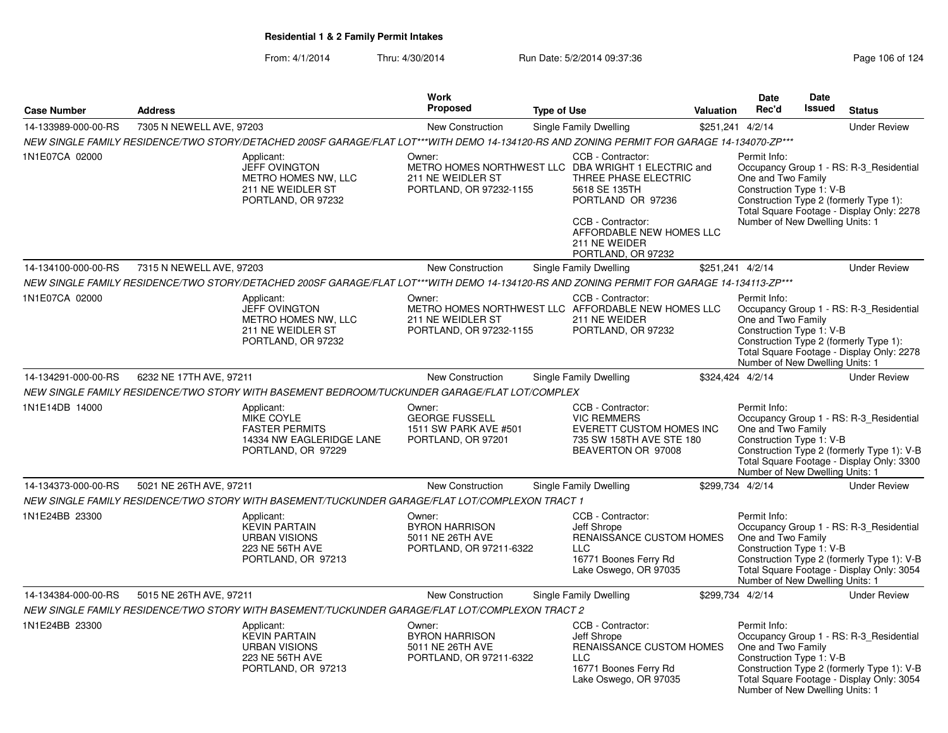|                     |                          | Work                                                                                                                                       |                                                                                |                    | <b>Date</b>                                                                                                                                                                                                                    | Date      |                                                                                                   |        |                                                                                                                                    |
|---------------------|--------------------------|--------------------------------------------------------------------------------------------------------------------------------------------|--------------------------------------------------------------------------------|--------------------|--------------------------------------------------------------------------------------------------------------------------------------------------------------------------------------------------------------------------------|-----------|---------------------------------------------------------------------------------------------------|--------|------------------------------------------------------------------------------------------------------------------------------------|
| <b>Case Number</b>  | <b>Address</b>           |                                                                                                                                            | Proposed                                                                       | <b>Type of Use</b> |                                                                                                                                                                                                                                | Valuation | Rec'd                                                                                             | Issued | <b>Status</b>                                                                                                                      |
| 14-133989-000-00-RS | 7305 N NEWELL AVE, 97203 |                                                                                                                                            | New Construction                                                               |                    | Single Family Dwelling                                                                                                                                                                                                         |           | \$251,241 4/2/14                                                                                  |        | <b>Under Review</b>                                                                                                                |
|                     |                          | NEW SINGLE FAMILY RESIDENCE/TWO STORY/DETACHED 200SF GARAGE/FLAT LOT***WITH DEMO 14-134120-RS AND ZONING PERMIT FOR GARAGE 14-134070-ZP*** |                                                                                |                    |                                                                                                                                                                                                                                |           |                                                                                                   |        |                                                                                                                                    |
| 1N1E07CA 02000      |                          | Applicant:<br><b>JEFF OVINGTON</b><br>METRO HOMES NW, LLC<br>211 NE WEIDLER ST<br>PORTLAND, OR 97232                                       | Owner:<br>211 NE WEIDLER ST<br>PORTLAND, OR 97232-1155                         |                    | CCB - Contractor:<br>METRO HOMES NORTHWEST LLC DBA WRIGHT 1 ELECTRIC and<br>THREE PHASE ELECTRIC<br>5618 SE 135TH<br>PORTLAND OR 97236<br>CCB - Contractor:<br>AFFORDABLE NEW HOMES LLC<br>211 NE WEIDER<br>PORTLAND, OR 97232 |           | Permit Info:<br>One and Two Family<br>Construction Type 1: V-B<br>Number of New Dwelling Units: 1 |        | Occupancy Group 1 - RS: R-3_Residential<br>Construction Type 2 (formerly Type 1):<br>Total Square Footage - Display Only: 2278     |
| 14-134100-000-00-RS | 7315 N NEWELL AVE, 97203 |                                                                                                                                            | New Construction                                                               |                    | Single Family Dwelling                                                                                                                                                                                                         |           | \$251,241 4/2/14                                                                                  |        | <b>Under Review</b>                                                                                                                |
|                     |                          | NEW SINGLE FAMILY RESIDENCE/TWO STORY/DETACHED 200SF GARAGE/FLAT LOT***WITH DEMO 14-134120-RS AND ZONING PERMIT FOR GARAGE 14-134113-ZP*** |                                                                                |                    |                                                                                                                                                                                                                                |           |                                                                                                   |        |                                                                                                                                    |
| 1N1E07CA 02000      |                          | Applicant:<br><b>JEFF OVINGTON</b><br>METRO HOMES NW, LLC<br>211 NE WEIDLER ST<br>PORTLAND, OR 97232                                       | Owner:<br>211 NE WEIDLER ST<br>PORTLAND, OR 97232-1155                         |                    | CCB - Contractor:<br>METRO HOMES NORTHWEST LLC AFFORDABLE NEW HOMES LLC<br>211 NE WEIDER<br>PORTLAND, OR 97232                                                                                                                 |           | Permit Info:<br>One and Two Family<br>Construction Type 1: V-B<br>Number of New Dwelling Units: 1 |        | Occupancy Group 1 - RS: R-3_Residential<br>Construction Type 2 (formerly Type 1):<br>Total Square Footage - Display Only: 2278     |
| 14-134291-000-00-RS | 6232 NE 17TH AVE, 97211  |                                                                                                                                            | New Construction                                                               |                    | Single Family Dwelling                                                                                                                                                                                                         |           | \$324,424 4/2/14                                                                                  |        | <b>Under Review</b>                                                                                                                |
|                     |                          | NEW SINGLE FAMILY RESIDENCE/TWO STORY WITH BASEMENT BEDROOM/TUCKUNDER GARAGE/FLAT LOT/COMPLEX                                              |                                                                                |                    |                                                                                                                                                                                                                                |           |                                                                                                   |        |                                                                                                                                    |
| 1N1E14DB 14000      |                          | Applicant:<br><b>MIKE COYLE</b><br><b>FASTER PERMITS</b><br>14334 NW EAGLERIDGE LANE<br>PORTLAND, OR 97229                                 | Owner:<br><b>GEORGE FUSSELL</b><br>1511 SW PARK AVE #501<br>PORTLAND, OR 97201 |                    | CCB - Contractor:<br><b>VIC REMMERS</b><br>EVERETT CUSTOM HOMES INC<br>735 SW 158TH AVE STE 180<br>BEAVERTON OR 97008                                                                                                          |           | Permit Info:<br>One and Two Family<br>Construction Type 1: V-B<br>Number of New Dwelling Units: 1 |        | Occupancy Group 1 - RS: R-3_Residential<br>Construction Type 2 (formerly Type 1): V-B<br>Total Square Footage - Display Only: 3300 |
| 14-134373-000-00-RS | 5021 NE 26TH AVE, 97211  |                                                                                                                                            | New Construction                                                               |                    | Single Family Dwelling                                                                                                                                                                                                         |           | \$299,734 4/2/14                                                                                  |        | <b>Under Review</b>                                                                                                                |
|                     |                          | NEW SINGLE FAMILY RESIDENCE/TWO STORY WITH BASEMENT/TUCKUNDER GARAGE/FLAT LOT/COMPLEXON TRACT 1                                            |                                                                                |                    |                                                                                                                                                                                                                                |           |                                                                                                   |        |                                                                                                                                    |
| 1N1E24BB 23300      |                          | Applicant:<br><b>KEVIN PARTAIN</b><br><b>URBAN VISIONS</b><br><b>223 NE 56TH AVE</b><br>PORTLAND, OR 97213                                 | Owner:<br><b>BYRON HARRISON</b><br>5011 NE 26TH AVE<br>PORTLAND, OR 97211-6322 |                    | CCB - Contractor:<br>Jeff Shrope<br>RENAISSANCE CUSTOM HOMES<br><b>LLC</b><br>16771 Boones Ferry Rd<br>Lake Oswego, OR 97035                                                                                                   |           | Permit Info:<br>One and Two Family<br>Construction Type 1: V-B<br>Number of New Dwelling Units: 1 |        | Occupancy Group 1 - RS: R-3 Residential<br>Construction Type 2 (formerly Type 1): V-B<br>Total Square Footage - Display Only: 3054 |
| 14-134384-000-00-RS | 5015 NE 26TH AVE, 97211  |                                                                                                                                            | New Construction                                                               |                    | Single Family Dwelling                                                                                                                                                                                                         |           | \$299,734 4/2/14                                                                                  |        | <b>Under Review</b>                                                                                                                |
|                     |                          | NEW SINGLE FAMILY RESIDENCE/TWO STORY WITH BASEMENT/TUCKUNDER GARAGE/FLAT LOT/COMPLEXON TRACT 2                                            |                                                                                |                    |                                                                                                                                                                                                                                |           |                                                                                                   |        |                                                                                                                                    |
| 1N1E24BB 23300      |                          | Applicant:<br><b>KEVIN PARTAIN</b><br><b>URBAN VISIONS</b><br>223 NE 56TH AVE<br>PORTLAND, OR 97213                                        | Owner:<br><b>BYRON HARRISON</b><br>5011 NE 26TH AVE<br>PORTLAND, OR 97211-6322 |                    | CCB - Contractor:<br>Jeff Shrope<br>RENAISSANCE CUSTOM HOMES<br>LLC<br>16771 Boones Ferry Rd<br>Lake Oswego, OR 97035                                                                                                          |           | Permit Info:<br>One and Two Family<br>Construction Type 1: V-B<br>Number of New Dwelling Units: 1 |        | Occupancy Group 1 - RS: R-3 Residential<br>Construction Type 2 (formerly Type 1): V-B<br>Total Square Footage - Display Only: 3054 |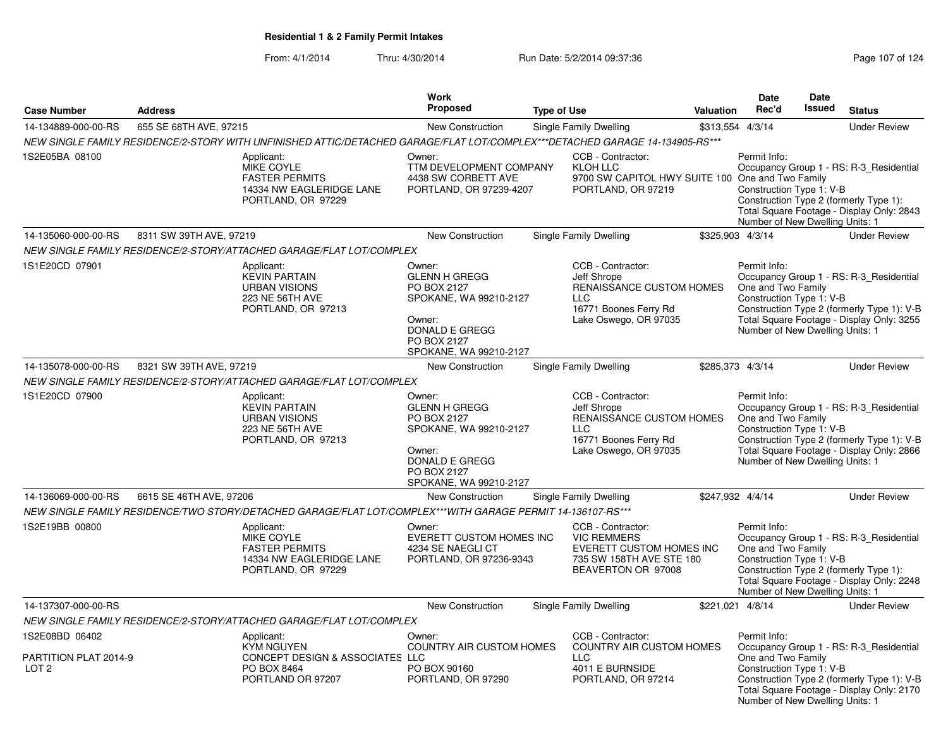|                                           |                         |                                                                                                                              | Work                                                                                                                                                |                    |                                                                                                                                     |           | <b>Date</b>                                                                                       | <b>Date</b>   |                                                                                                                                    |
|-------------------------------------------|-------------------------|------------------------------------------------------------------------------------------------------------------------------|-----------------------------------------------------------------------------------------------------------------------------------------------------|--------------------|-------------------------------------------------------------------------------------------------------------------------------------|-----------|---------------------------------------------------------------------------------------------------|---------------|------------------------------------------------------------------------------------------------------------------------------------|
| <b>Case Number</b>                        | <b>Address</b>          |                                                                                                                              | <b>Proposed</b>                                                                                                                                     | <b>Type of Use</b> |                                                                                                                                     | Valuation | Rec'd                                                                                             | <b>Issued</b> | <b>Status</b>                                                                                                                      |
| 14-134889-000-00-RS                       | 655 SE 68TH AVE, 97215  |                                                                                                                              | New Construction                                                                                                                                    |                    | Single Family Dwelling                                                                                                              |           | \$313,554 4/3/14                                                                                  |               | <b>Under Review</b>                                                                                                                |
|                                           |                         | NEW SINGLE FAMILY RESIDENCE/2-STORY WITH UNFINISHED ATTIC/DETACHED GARAGE/FLAT LOT/COMPLEX***DETACHED GARAGE 14-134905-RS*** |                                                                                                                                                     |                    |                                                                                                                                     |           |                                                                                                   |               |                                                                                                                                    |
| 1S2E05BA 08100                            |                         | Applicant:<br>MIKE COYLE<br><b>FASTER PERMITS</b><br>14334 NW EAGLERIDGE LANE<br>PORTLAND, OR 97229                          | Owner:<br>TTM DEVELOPMENT COMPANY<br>4438 SW CORBETT AVE<br>PORTLAND, OR 97239-4207                                                                 |                    | CCB - Contractor:<br>KLOH LLC<br>9700 SW CAPITOL HWY SUITE 100 One and Two Family<br>PORTLAND, OR 97219                             |           | Permit Info:<br>Construction Type 1: V-B<br>Number of New Dwelling Units: 1                       |               | Occupancy Group 1 - RS: R-3_Residential<br>Construction Type 2 (formerly Type 1):<br>Total Square Footage - Display Only: 2843     |
| 14-135060-000-00-RS                       | 8311 SW 39TH AVE, 97219 |                                                                                                                              | <b>New Construction</b>                                                                                                                             |                    | Single Family Dwelling                                                                                                              |           | \$325,903 4/3/14                                                                                  |               | <b>Under Review</b>                                                                                                                |
|                                           |                         | NEW SINGLE FAMILY RESIDENCE/2-STORY/ATTACHED GARAGE/FLAT LOT/COMPLEX                                                         |                                                                                                                                                     |                    |                                                                                                                                     |           |                                                                                                   |               |                                                                                                                                    |
| 1S1E20CD 07901                            |                         | Applicant:<br><b>KEVIN PARTAIN</b><br><b>URBAN VISIONS</b><br>223 NE 56TH AVE<br>PORTLAND, OR 97213                          | Owner:<br><b>GLENN H GREGG</b><br>PO BOX 2127<br>SPOKANE, WA 99210-2127<br>Owner:<br>DONALD E GREGG<br>PO BOX 2127<br>SPOKANE, WA 99210-2127        |                    | CCB - Contractor:<br>Jeff Shrope<br>RENAISSANCE CUSTOM HOMES<br><b>LLC</b><br>16771 Boones Ferry Rd<br>Lake Oswego, OR 97035        |           | Permit Info:<br>One and Two Family<br>Construction Type 1: V-B<br>Number of New Dwelling Units: 1 |               | Occupancy Group 1 - RS: R-3_Residential<br>Construction Type 2 (formerly Type 1): V-B<br>Total Square Footage - Display Only: 3255 |
| 14-135078-000-00-RS                       | 8321 SW 39TH AVE, 97219 |                                                                                                                              | New Construction                                                                                                                                    |                    | Single Family Dwelling                                                                                                              |           | \$285,373 4/3/14                                                                                  |               | <b>Under Review</b>                                                                                                                |
|                                           |                         | NEW SINGLE FAMILY RESIDENCE/2-STORY/ATTACHED GARAGE/FLAT LOT/COMPLEX                                                         |                                                                                                                                                     |                    |                                                                                                                                     |           |                                                                                                   |               |                                                                                                                                    |
| 1S1E20CD 07900                            |                         | Applicant:<br><b>KEVIN PARTAIN</b><br><b>URBAN VISIONS</b><br>223 NE 56TH AVE<br>PORTLAND, OR 97213                          | Owner:<br><b>GLENN H GREGG</b><br><b>PO BOX 2127</b><br>SPOKANE, WA 99210-2127<br>Owner:<br>DONALD E GREGG<br>PO BOX 2127<br>SPOKANE, WA 99210-2127 |                    | CCB - Contractor:<br>Jeff Shrope<br><b>RENAISSANCE CUSTOM HOMES</b><br><b>LLC</b><br>16771 Boones Ferry Rd<br>Lake Oswego, OR 97035 |           | Permit Info:<br>One and Two Family<br>Construction Type 1: V-B<br>Number of New Dwelling Units: 1 |               | Occupancy Group 1 - RS: R-3 Residential<br>Construction Type 2 (formerly Type 1): V-B<br>Total Square Footage - Display Only: 2866 |
| 14-136069-000-00-RS                       | 6615 SE 46TH AVE, 97206 |                                                                                                                              | <b>New Construction</b>                                                                                                                             |                    | Single Family Dwelling                                                                                                              |           | \$247,932 4/4/14                                                                                  |               | <b>Under Review</b>                                                                                                                |
|                                           |                         | NEW SINGLE FAMILY RESIDENCE/TWO STORY/DETACHED GARAGE/FLAT LOT/COMPLEX***WITH GARAGE PERMIT 14-136107-RS***                  |                                                                                                                                                     |                    |                                                                                                                                     |           |                                                                                                   |               |                                                                                                                                    |
| 1S2E19BB 00800                            |                         | Applicant:<br>MIKE COYLE<br><b>FASTER PERMITS</b><br>14334 NW EAGLERIDGE LANE<br>PORTLAND, OR 97229                          | Owner:<br>EVERETT CUSTOM HOMES INC<br>4234 SE NAEGLI CT<br>PORTLAND, OR 97236-9343                                                                  |                    | CCB - Contractor:<br><b>VIC REMMERS</b><br>EVERETT CUSTOM HOMES INC<br>735 SW 158TH AVE STE 180<br>BEAVERTON OR 97008               |           | Permit Info:<br>One and Two Family<br>Construction Type 1: V-B<br>Number of New Dwelling Units: 1 |               | Occupancy Group 1 - RS: R-3_Residential<br>Construction Type 2 (formerly Type 1):<br>Total Square Footage - Display Only: 2248     |
| 14-137307-000-00-RS                       |                         |                                                                                                                              | <b>New Construction</b>                                                                                                                             |                    | Single Family Dwelling                                                                                                              |           | \$221,021 4/8/14                                                                                  |               | <b>Under Review</b>                                                                                                                |
|                                           |                         | NEW SINGLE FAMILY RESIDENCE/2-STORY/ATTACHED GARAGE/FLAT LOT/COMPLEX                                                         |                                                                                                                                                     |                    |                                                                                                                                     |           |                                                                                                   |               |                                                                                                                                    |
| 1S2E08BD 06402                            |                         | Applicant:                                                                                                                   | Owner:                                                                                                                                              |                    | CCB - Contractor:                                                                                                                   |           | Permit Info:                                                                                      |               |                                                                                                                                    |
| PARTITION PLAT 2014-9<br>LOT <sub>2</sub> |                         | <b>KYM NGUYEN</b><br>CONCEPT DESIGN & ASSOCIATES LLC<br>PO BOX 8464<br>PORTLAND OR 97207                                     | <b>COUNTRY AIR CUSTOM HOMES</b><br>PO BOX 90160<br>PORTLAND, OR 97290                                                                               |                    | <b>COUNTRY AIR CUSTOM HOMES</b><br>LLC<br>4011 E BURNSIDE<br>PORTLAND, OR 97214                                                     |           | One and Two Family<br>Construction Type 1: V-B<br>Number of New Dwelling Units: 1                 |               | Occupancy Group 1 - RS: R-3_Residential<br>Construction Type 2 (formerly Type 1): V-B<br>Total Square Footage - Display Only: 2170 |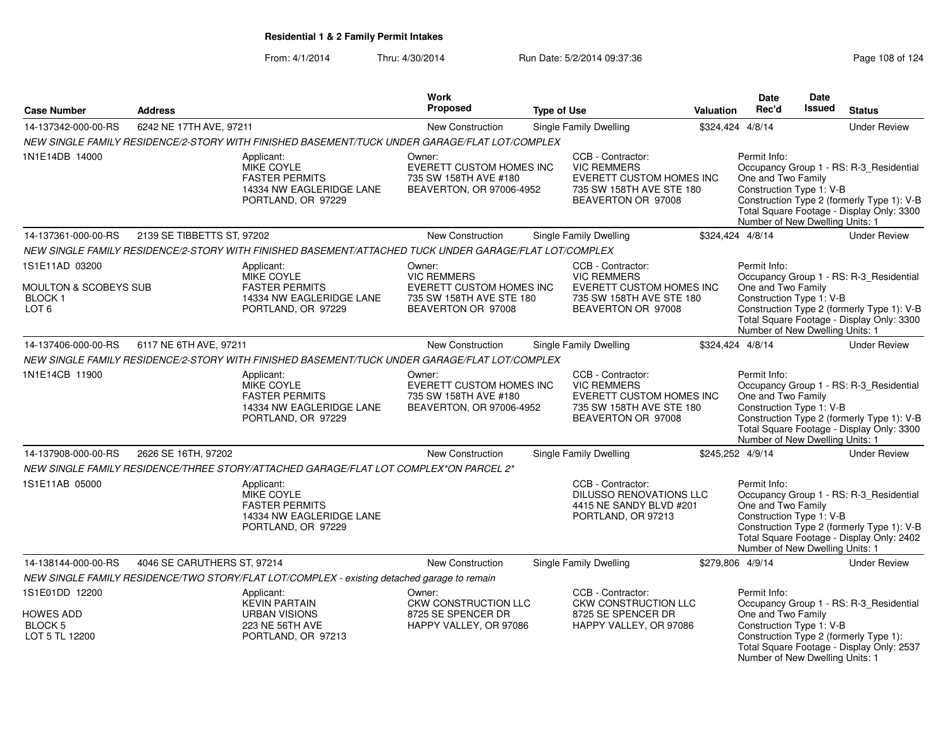|                                                                                   |                             |                                                                                                            | Work                                                                                                       |                    |                                                                                                                              |           | <b>Date</b>                                                                                       | Date          |                                                                                                                                    |
|-----------------------------------------------------------------------------------|-----------------------------|------------------------------------------------------------------------------------------------------------|------------------------------------------------------------------------------------------------------------|--------------------|------------------------------------------------------------------------------------------------------------------------------|-----------|---------------------------------------------------------------------------------------------------|---------------|------------------------------------------------------------------------------------------------------------------------------------|
| <b>Case Number</b>                                                                | <b>Address</b>              |                                                                                                            | <b>Proposed</b>                                                                                            | <b>Type of Use</b> |                                                                                                                              | Valuation | Rec'd                                                                                             | <b>Issued</b> | <b>Status</b>                                                                                                                      |
| 14-137342-000-00-RS                                                               | 6242 NE 17TH AVE, 97211     |                                                                                                            | <b>New Construction</b>                                                                                    |                    | <b>Single Family Dwelling</b>                                                                                                |           | \$324,424 4/8/14                                                                                  |               | <b>Under Review</b>                                                                                                                |
|                                                                                   |                             | NEW SINGLE FAMILY RESIDENCE/2-STORY WITH FINISHED BASEMENT/TUCK UNDER GARAGE/FLAT LOT/COMPLEX              |                                                                                                            |                    |                                                                                                                              |           |                                                                                                   |               |                                                                                                                                    |
| 1N1E14DB 14000                                                                    |                             | Applicant:<br><b>MIKE COYLE</b><br><b>FASTER PERMITS</b><br>14334 NW EAGLERIDGE LANE<br>PORTLAND, OR 97229 | Owner:<br>EVERETT CUSTOM HOMES INC<br>735 SW 158TH AVE #180<br>BEAVERTON, OR 97006-4952                    |                    | CCB - Contractor:<br><b>VIC REMMERS</b><br>EVERETT CUSTOM HOMES INC<br>735 SW 158TH AVE STE 180<br>BEAVERTON OR 97008        |           | Permit Info:<br>One and Two Family<br>Construction Type 1: V-B<br>Number of New Dwelling Units: 1 |               | Occupancy Group 1 - RS: R-3_Residential<br>Construction Type 2 (formerly Type 1): V-B<br>Total Square Footage - Display Only: 3300 |
| 14-137361-000-00-RS                                                               | 2139 SE TIBBETTS ST, 97202  |                                                                                                            | New Construction                                                                                           |                    | Single Family Dwelling                                                                                                       |           | \$324,424 4/8/14                                                                                  |               | <b>Under Review</b>                                                                                                                |
|                                                                                   |                             | NEW SINGLE FAMILY RESIDENCE/2-STORY WITH FINISHED BASEMENT/ATTACHED TUCK UNDER GARAGE/FLAT LOT/COMPLEX     |                                                                                                            |                    |                                                                                                                              |           |                                                                                                   |               |                                                                                                                                    |
| 1S1E11AD 03200<br><b>MOULTON &amp; SCOBEYS SUB</b><br>BLOCK 1<br>LOT <sub>6</sub> |                             | Applicant:<br><b>MIKE COYLE</b><br><b>FASTER PERMITS</b><br>14334 NW EAGLERIDGE LANE<br>PORTLAND, OR 97229 | Owner:<br><b>VIC REMMERS</b><br>EVERETT CUSTOM HOMES INC<br>735 SW 158TH AVE STE 180<br>BEAVERTON OR 97008 |                    | CCB - Contractor:<br><b>VIC REMMERS</b><br><b>EVERETT CUSTOM HOMES INC</b><br>735 SW 158TH AVE STE 180<br>BEAVERTON OR 97008 |           | Permit Info:<br>One and Two Family<br>Construction Type 1: V-B<br>Number of New Dwelling Units: 1 |               | Occupancy Group 1 - RS: R-3 Residential<br>Construction Type 2 (formerly Type 1): V-B<br>Total Square Footage - Display Only: 3300 |
| 14-137406-000-00-RS                                                               | 6117 NE 6TH AVE, 97211      |                                                                                                            | New Construction                                                                                           |                    | <b>Single Family Dwelling</b>                                                                                                |           | \$324,424 4/8/14                                                                                  |               | <b>Under Review</b>                                                                                                                |
|                                                                                   |                             | NEW SINGLE FAMILY RESIDENCE/2-STORY WITH FINISHED BASEMENT/TUCK UNDER GARAGE/FLAT LOT/COMPLEX              |                                                                                                            |                    |                                                                                                                              |           |                                                                                                   |               |                                                                                                                                    |
| 1N1E14CB 11900                                                                    |                             | Applicant:<br>MIKE COYLE<br><b>FASTER PERMITS</b><br>14334 NW EAGLERIDGE LANE<br>PORTLAND, OR 97229        | Owner:<br>EVERETT CUSTOM HOMES INC<br>735 SW 158TH AVE #180<br>BEAVERTON, OR 97006-4952                    |                    | CCB - Contractor:<br><b>VIC REMMERS</b><br><b>EVERETT CUSTOM HOMES INC</b><br>735 SW 158TH AVE STE 180<br>BEAVERTON OR 97008 |           | Permit Info:<br>One and Two Family<br>Construction Type 1: V-B<br>Number of New Dwelling Units: 1 |               | Occupancy Group 1 - RS: R-3_Residential<br>Construction Type 2 (formerly Type 1): V-B<br>Total Square Footage - Display Only: 3300 |
| 14-137908-000-00-RS                                                               | 2626 SE 16TH, 97202         |                                                                                                            | <b>New Construction</b>                                                                                    |                    | <b>Single Family Dwelling</b>                                                                                                |           | \$245,252 4/9/14                                                                                  |               | <b>Under Review</b>                                                                                                                |
|                                                                                   |                             | NEW SINGLE FAMILY RESIDENCE/THREE STORY/ATTACHED GARAGE/FLAT LOT COMPLEX*ON PARCEL 2*                      |                                                                                                            |                    |                                                                                                                              |           |                                                                                                   |               |                                                                                                                                    |
| 1S1E11AB 05000                                                                    |                             | Applicant:<br>MIKE COYLE<br><b>FASTER PERMITS</b><br>14334 NW EAGLERIDGE LANE<br>PORTLAND, OR 97229        |                                                                                                            |                    | CCB - Contractor:<br><b>DILUSSO RENOVATIONS LLC</b><br>4415 NE SANDY BLVD #201<br>PORTLAND, OR 97213                         |           | Permit Info:<br>One and Two Family<br>Construction Type 1: V-B<br>Number of New Dwelling Units: 1 |               | Occupancy Group 1 - RS: R-3_Residential<br>Construction Type 2 (formerly Type 1): V-B<br>Total Square Footage - Display Only: 2402 |
| 14-138144-000-00-RS                                                               | 4046 SE CARUTHERS ST, 97214 |                                                                                                            | <b>New Construction</b>                                                                                    |                    | <b>Single Family Dwelling</b>                                                                                                |           | \$279,806 4/9/14                                                                                  |               | <b>Under Review</b>                                                                                                                |
|                                                                                   |                             | NEW SINGLE FAMILY RESIDENCE/TWO STORY/FLAT LOT/COMPLEX - existing detached garage to remain                |                                                                                                            |                    |                                                                                                                              |           |                                                                                                   |               |                                                                                                                                    |
| 1S1E01DD 12200<br><b>HOWES ADD</b><br>BLOCK 5<br>LOT 5 TL 12200                   |                             | Applicant:<br><b>KEVIN PARTAIN</b><br><b>URBAN VISIONS</b><br>223 NE 56TH AVE<br>PORTLAND, OR 97213        | Owner:<br>CKW CONSTRUCTION LLC<br>8725 SE SPENCER DR<br>HAPPY VALLEY, OR 97086                             |                    | CCB - Contractor:<br><b>CKW CONSTRUCTION LLC</b><br>8725 SE SPENCER DR<br>HAPPY VALLEY, OR 97086                             |           | Permit Info:<br>One and Two Family<br>Construction Type 1: V-B<br>Number of New Dwelling Units: 1 |               | Occupancy Group 1 - RS: R-3_Residential<br>Construction Type 2 (formerly Type 1):<br>Total Square Footage - Display Only: 2537     |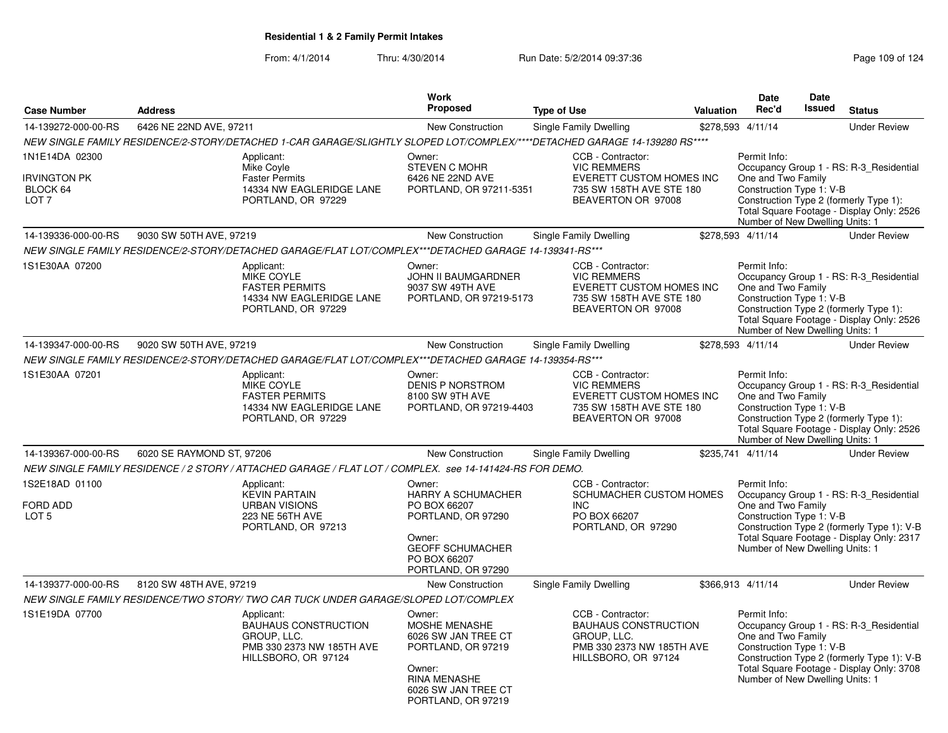| <b>Case Number</b>                                                    | <b>Address</b>                                                                                                             |                                                          | <b>Work</b><br>Proposed                                                                                                                                   | <b>Type of Use</b> |                                                                                                                       | Valuation | Date<br>Rec'd                                                                                     | <b>Date</b><br><b>Issued</b> | <b>Status</b>                                                                                                                      |
|-----------------------------------------------------------------------|----------------------------------------------------------------------------------------------------------------------------|----------------------------------------------------------|-----------------------------------------------------------------------------------------------------------------------------------------------------------|--------------------|-----------------------------------------------------------------------------------------------------------------------|-----------|---------------------------------------------------------------------------------------------------|------------------------------|------------------------------------------------------------------------------------------------------------------------------------|
| 14-139272-000-00-RS                                                   | 6426 NE 22ND AVE, 97211                                                                                                    |                                                          | <b>New Construction</b>                                                                                                                                   |                    | Single Family Dwelling                                                                                                |           | \$278,593 4/11/14                                                                                 |                              | <b>Under Review</b>                                                                                                                |
|                                                                       | NEW SINGLE FAMILY RESIDENCE/2-STORY/DETACHED 1-CAR GARAGE/SLIGHTLY SLOPED LOT/COMPLEX/****DETACHED GARAGE 14-139280 RS**** |                                                          |                                                                                                                                                           |                    |                                                                                                                       |           |                                                                                                   |                              |                                                                                                                                    |
| 1N1E14DA 02300<br><b>IRVINGTON PK</b><br>BLOCK 64<br>LOT <sub>7</sub> | Applicant:<br>Mike Coyle<br><b>Faster Permits</b><br>PORTLAND, OR 97229                                                    | 14334 NW EAGLERIDGE LANE                                 | Owner:<br><b>STEVEN C MOHR</b><br>6426 NE 22ND AVE<br>PORTLAND, OR 97211-5351                                                                             |                    | CCB - Contractor:<br><b>VIC REMMERS</b><br>EVERETT CUSTOM HOMES INC<br>735 SW 158TH AVE STE 180<br>BEAVERTON OR 97008 |           | Permit Info:<br>One and Two Family<br>Construction Type 1: V-B<br>Number of New Dwelling Units: 1 |                              | Occupancy Group 1 - RS: R-3 Residential<br>Construction Type 2 (formerly Type 1):<br>Total Square Footage - Display Only: 2526     |
| 14-139336-000-00-RS                                                   | 9030 SW 50TH AVE, 97219                                                                                                    |                                                          | <b>New Construction</b>                                                                                                                                   |                    | Single Family Dwelling                                                                                                |           | \$278,593 4/11/14                                                                                 |                              | <b>Under Review</b>                                                                                                                |
|                                                                       | NEW SINGLE FAMILY RESIDENCE/2-STORY/DETACHED GARAGE/FLAT LOT/COMPLEX***DETACHED GARAGE 14-139341-RS***                     |                                                          |                                                                                                                                                           |                    |                                                                                                                       |           |                                                                                                   |                              |                                                                                                                                    |
| 1S1E30AA 07200                                                        | Applicant:<br>MIKE COYLE<br><b>FASTER PERMITS</b><br>PORTLAND, OR 97229                                                    | 14334 NW EAGLERIDGE LANE                                 | Owner:<br><b>JOHN II BAUMGARDNER</b><br>9037 SW 49TH AVE<br>PORTLAND, OR 97219-5173                                                                       |                    | CCB - Contractor:<br><b>VIC REMMERS</b><br>EVERETT CUSTOM HOMES INC<br>735 SW 158TH AVE STE 180<br>BEAVERTON OR 97008 |           | Permit Info:<br>One and Two Family<br>Construction Type 1: V-B<br>Number of New Dwelling Units: 1 |                              | Occupancy Group 1 - RS: R-3_Residential<br>Construction Type 2 (formerly Type 1):<br>Total Square Footage - Display Only: 2526     |
| 14-139347-000-00-RS                                                   | 9020 SW 50TH AVE, 97219                                                                                                    |                                                          | <b>New Construction</b>                                                                                                                                   |                    | Single Family Dwelling                                                                                                |           | \$278,593 4/11/14                                                                                 |                              | <b>Under Review</b>                                                                                                                |
|                                                                       | NEW SINGLE FAMILY RESIDENCE/2-STORY/DETACHED GARAGE/FLAT LOT/COMPLEX***DETACHED GARAGE 14-139354-RS***                     |                                                          |                                                                                                                                                           |                    |                                                                                                                       |           |                                                                                                   |                              |                                                                                                                                    |
| 1S1E30AA 07201                                                        | Applicant:<br><b>MIKE COYLE</b><br><b>FASTER PERMITS</b><br>PORTLAND, OR 97229                                             | 14334 NW EAGLERIDGE LANE                                 | Owner:<br><b>DENIS P NORSTROM</b><br>8100 SW 9TH AVE<br>PORTLAND, OR 97219-4403                                                                           |                    | CCB - Contractor:<br><b>VIC REMMERS</b><br>EVERETT CUSTOM HOMES INC<br>735 SW 158TH AVE STE 180<br>BEAVERTON OR 97008 |           | Permit Info:<br>One and Two Family<br>Construction Type 1: V-B<br>Number of New Dwelling Units: 1 |                              | Occupancy Group 1 - RS: R-3_Residential<br>Construction Type 2 (formerly Type 1):<br>Total Square Footage - Display Only: 2526     |
| 14-139367-000-00-RS                                                   | 6020 SE RAYMOND ST, 97206                                                                                                  |                                                          | New Construction                                                                                                                                          |                    | <b>Single Family Dwelling</b>                                                                                         |           | \$235,741 4/11/14                                                                                 |                              | <b>Under Review</b>                                                                                                                |
|                                                                       | NEW SINGLE FAMILY RESIDENCE / 2 STORY / ATTACHED GARAGE / FLAT LOT / COMPLEX. see 14-141424-RS FOR DEMO.                   |                                                          |                                                                                                                                                           |                    |                                                                                                                       |           |                                                                                                   |                              |                                                                                                                                    |
| 1S2E18AD 01100<br><b>FORD ADD</b><br>LOT <sub>5</sub>                 | Applicant:<br><b>KEVIN PARTAIN</b><br><b>URBAN VISIONS</b><br>223 NE 56TH AVE<br>PORTLAND, OR 97213                        |                                                          | Owner:<br><b>HARRY A SCHUMACHER</b><br>PO BOX 66207<br>PORTLAND, OR 97290<br>Owner:<br><b>GEOFF SCHUMACHER</b><br>PO BOX 66207<br>PORTLAND, OR 97290      |                    | CCB - Contractor:<br>SCHUMACHER CUSTOM HOMES<br><b>INC</b><br>PO BOX 66207<br>PORTLAND, OR 97290                      |           | Permit Info:<br>One and Two Family<br>Construction Type 1: V-B<br>Number of New Dwelling Units: 1 |                              | Occupancy Group 1 - RS: R-3 Residential<br>Construction Type 2 (formerly Type 1): V-B<br>Total Square Footage - Display Only: 2317 |
| 14-139377-000-00-RS                                                   | 8120 SW 48TH AVE, 97219                                                                                                    |                                                          | <b>New Construction</b>                                                                                                                                   |                    | Single Family Dwelling                                                                                                |           | \$366,913 4/11/14                                                                                 |                              | <b>Under Review</b>                                                                                                                |
|                                                                       | NEW SINGLE FAMILY RESIDENCE/TWO STORY/ TWO CAR TUCK UNDER GARAGE/SLOPED LOT/COMPLEX                                        |                                                          |                                                                                                                                                           |                    |                                                                                                                       |           |                                                                                                   |                              |                                                                                                                                    |
| 1S1E19DA 07700                                                        | Applicant:<br>GROUP, LLC.<br>HILLSBORO, OR 97124                                                                           | <b>BAUHAUS CONSTRUCTION</b><br>PMB 330 2373 NW 185TH AVE | Owner:<br><b>MOSHE MENASHE</b><br>6026 SW JAN TREE CT<br>PORTLAND, OR 97219<br>Owner:<br><b>RINA MENASHE</b><br>6026 SW JAN TREE CT<br>PORTLAND, OR 97219 |                    | CCB - Contractor:<br><b>BAUHAUS CONSTRUCTION</b><br>GROUP, LLC.<br>PMB 330 2373 NW 185TH AVE<br>HILLSBORO, OR 97124   |           | Permit Info:<br>One and Two Family<br>Construction Type 1: V-B<br>Number of New Dwelling Units: 1 |                              | Occupancy Group 1 - RS: R-3_Residential<br>Construction Type 2 (formerly Type 1): V-B<br>Total Square Footage - Display Only: 3708 |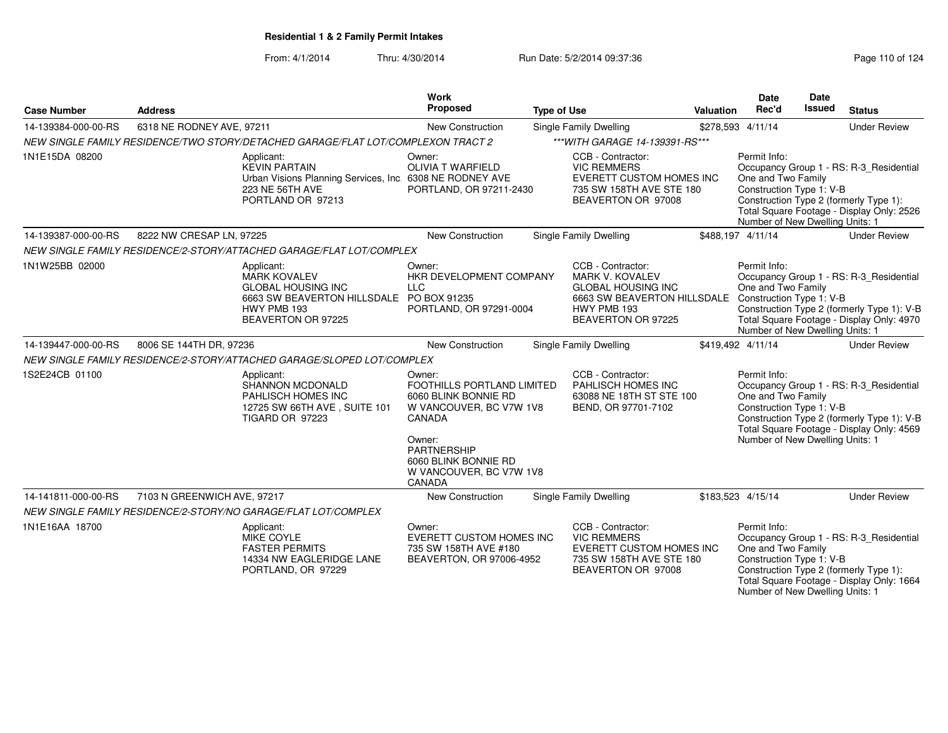From: 4/1/2014

Thru: 4/30/2014 Run Date: 5/2/2014 09:37:36 Run Date: 5/2/2014 09:37:36

Number of New Dwelling Units: 1

| <b>Case Number</b>  | <b>Address</b>              |                                                                                                                                                 | <b>Work</b><br>Proposed                                                                                                                                                                 | <b>Type of Use</b>                                                                                                                                                    | <b>Valuation</b> | <b>Date</b><br>Rec'd                                                                              | <b>Date</b><br>Issued | <b>Status</b>                                                                                                                      |
|---------------------|-----------------------------|-------------------------------------------------------------------------------------------------------------------------------------------------|-----------------------------------------------------------------------------------------------------------------------------------------------------------------------------------------|-----------------------------------------------------------------------------------------------------------------------------------------------------------------------|------------------|---------------------------------------------------------------------------------------------------|-----------------------|------------------------------------------------------------------------------------------------------------------------------------|
| 14-139384-000-00-RS | 6318 NE RODNEY AVE, 97211   |                                                                                                                                                 | New Construction                                                                                                                                                                        | Single Family Dwelling                                                                                                                                                |                  | \$278,593 4/11/14                                                                                 |                       | <b>Under Review</b>                                                                                                                |
|                     |                             | NEW SINGLE FAMILY RESIDENCE/TWO STORY/DETACHED GARAGE/FLAT LOT/COMPLEXON TRACT 2                                                                |                                                                                                                                                                                         | *** WITH GARAGE 14-139391-RS***                                                                                                                                       |                  |                                                                                                   |                       |                                                                                                                                    |
| 1N1E15DA 08200      |                             | Applicant:<br><b>KEVIN PARTAIN</b><br>Urban Visions Planning Services, Inc. 6308 NE RODNEY AVE<br>223 NE 56TH AVE<br>PORTLAND OR 97213          | Owner:<br>OLIVIA T WARFIELD<br>PORTLAND, OR 97211-2430                                                                                                                                  | CCB - Contractor:<br><b>VIC REMMERS</b><br>EVERETT CUSTOM HOMES INC<br>735 SW 158TH AVE STE 180<br>BEAVERTON OR 97008                                                 |                  | Permit Info:<br>One and Two Family<br>Construction Type 1: V-B<br>Number of New Dwelling Units: 1 |                       | Occupancy Group 1 - RS: R-3_Residential<br>Construction Type 2 (formerly Type 1):<br>Total Square Footage - Display Only: 2526     |
| 14-139387-000-00-RS | 8222 NW CRESAP LN. 97225    |                                                                                                                                                 | <b>New Construction</b>                                                                                                                                                                 | <b>Single Family Dwelling</b>                                                                                                                                         |                  | \$488.197 4/11/14                                                                                 |                       | <b>Under Review</b>                                                                                                                |
|                     |                             | NEW SINGLE FAMILY RESIDENCE/2-STORY/ATTACHED GARAGE/FLAT LOT/COMPLEX                                                                            |                                                                                                                                                                                         |                                                                                                                                                                       |                  |                                                                                                   |                       |                                                                                                                                    |
| 1N1W25BB 02000      |                             | Applicant:<br><b>MARK KOVALEV</b><br><b>GLOBAL HOUSING INC</b><br>6663 SW BEAVERTON HILLSDALE PO BOX 91235<br>HWY PMB 193<br>BEAVERTON OR 97225 | Owner:<br>HKR DEVELOPMENT COMPANY<br><b>LLC</b><br>PORTLAND, OR 97291-0004                                                                                                              | CCB - Contractor:<br><b>MARK V. KOVALEV</b><br><b>GLOBAL HOUSING INC</b><br>6663 SW BEAVERTON HILLSDALE Construction Type 1: V-B<br>HWY PMB 193<br>BEAVERTON OR 97225 |                  | Permit Info:<br>One and Two Family<br>Number of New Dwelling Units: 1                             |                       | Occupancy Group 1 - RS: R-3_Residential<br>Construction Type 2 (formerly Type 1): V-B<br>Total Square Footage - Display Only: 4970 |
| 14-139447-000-00-RS | 8006 SE 144TH DR, 97236     |                                                                                                                                                 | <b>New Construction</b>                                                                                                                                                                 | Single Family Dwelling                                                                                                                                                |                  | \$419,492 4/11/14                                                                                 |                       | <b>Under Review</b>                                                                                                                |
|                     |                             | NEW SINGLE FAMILY RESIDENCE/2-STORY/ATTACHED GARAGE/SLOPED LOT/COMPLEX                                                                          |                                                                                                                                                                                         |                                                                                                                                                                       |                  |                                                                                                   |                       |                                                                                                                                    |
| 1S2E24CB 01100      |                             | Applicant:<br><b>SHANNON MCDONALD</b><br>PAHLISCH HOMES INC<br>12725 SW 66TH AVE, SUITE 101<br>TIGARD OR 97223                                  | Owner:<br>FOOTHILLS PORTLAND LIMITED<br>6060 BLINK BONNIE RD<br>W VANCOUVER, BC V7W 1V8<br>CANADA<br>Owner:<br>PARTNERSHIP<br>6060 BLINK BONNIE RD<br>W VANCOUVER, BC V7W 1V8<br>CANADA | CCB - Contractor:<br>PAHLISCH HOMES INC<br>63088 NE 18TH ST STE 100<br>BEND, OR 97701-7102                                                                            |                  | Permit Info:<br>One and Two Family<br>Construction Type 1: V-B<br>Number of New Dwelling Units: 1 |                       | Occupancy Group 1 - RS: R-3_Residential<br>Construction Type 2 (formerly Type 1): V-B<br>Total Square Footage - Display Only: 4569 |
| 14-141811-000-00-RS | 7103 N GREENWICH AVE, 97217 |                                                                                                                                                 | <b>New Construction</b>                                                                                                                                                                 | Single Family Dwelling                                                                                                                                                |                  | \$183,523 4/15/14                                                                                 |                       | <b>Under Review</b>                                                                                                                |
|                     |                             | NEW SINGLE FAMILY RESIDENCE/2-STORY/NO GARAGE/FLAT LOT/COMPLEX                                                                                  |                                                                                                                                                                                         |                                                                                                                                                                       |                  |                                                                                                   |                       |                                                                                                                                    |
| 1N1E16AA 18700      |                             | Applicant:<br>MIKE COYLE<br><b>FASTER PERMITS</b><br>14334 NW EAGLERIDGE LANE<br>PORTLAND, OR 97229                                             | Owner:<br><b>EVERETT CUSTOM HOMES INC</b><br>735 SW 158TH AVE #180<br>BEAVERTON, OR 97006-4952                                                                                          | CCB - Contractor:<br><b>VIC REMMERS</b><br>EVERETT CUSTOM HOMES INC<br>735 SW 158TH AVE STE 180<br>BEAVERTON OR 97008                                                 |                  | Permit Info:<br>One and Two Family<br>Construction Type 1: V-B                                    |                       | Occupancy Group 1 - RS: R-3_Residential<br>Construction Type 2 (formerly Type 1):<br>Total Square Footage - Display Only: 1664     |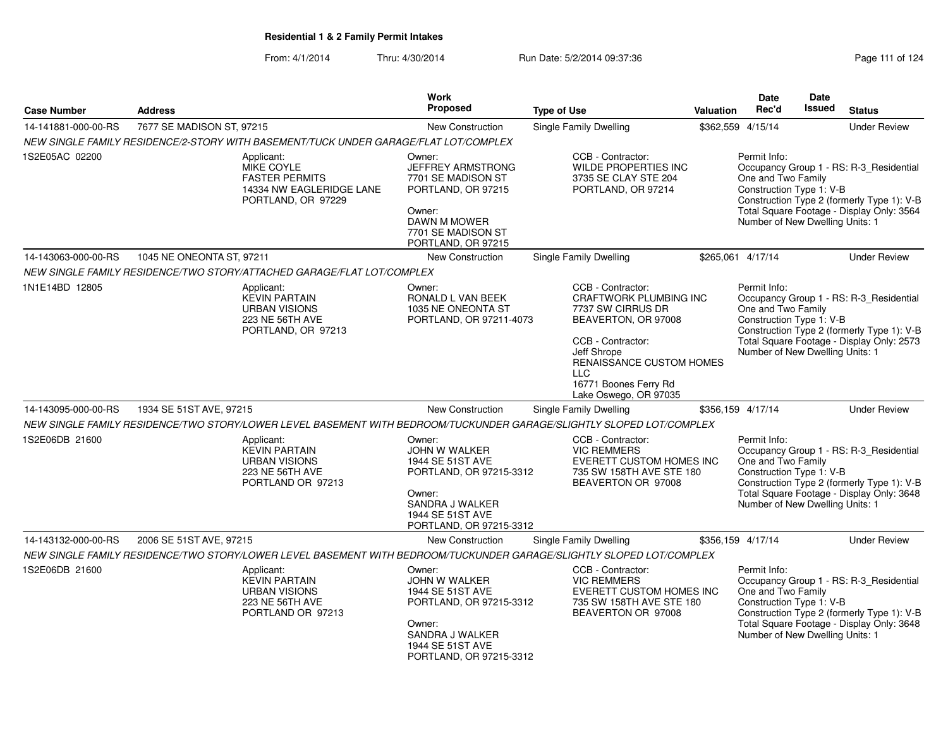| <b>Case Number</b>  | <b>Address</b>            |                                                                                                            | Work<br><b>Proposed</b>                                                                                                                                     | <b>Type of Use</b>                                                                                                                                                                                                                    | <b>Valuation</b> | <b>Date</b><br>Rec'd                                                                              | Date<br>Issued | <b>Status</b>                                                                                                                      |
|---------------------|---------------------------|------------------------------------------------------------------------------------------------------------|-------------------------------------------------------------------------------------------------------------------------------------------------------------|---------------------------------------------------------------------------------------------------------------------------------------------------------------------------------------------------------------------------------------|------------------|---------------------------------------------------------------------------------------------------|----------------|------------------------------------------------------------------------------------------------------------------------------------|
| 14-141881-000-00-RS | 7677 SE MADISON ST, 97215 |                                                                                                            | New Construction                                                                                                                                            | Single Family Dwelling                                                                                                                                                                                                                |                  | \$362,559 4/15/14                                                                                 |                | <b>Under Review</b>                                                                                                                |
|                     |                           | NEW SINGLE FAMILY RESIDENCE/2-STORY WITH BASEMENT/TUCK UNDER GARAGE/FLAT LOT/COMPLEX                       |                                                                                                                                                             |                                                                                                                                                                                                                                       |                  |                                                                                                   |                |                                                                                                                                    |
| 1S2E05AC 02200      |                           | Applicant:<br><b>MIKE COYLE</b><br><b>FASTER PERMITS</b><br>14334 NW EAGLERIDGE LANE<br>PORTLAND, OR 97229 | Owner:<br><b>JEFFREY ARMSTRONG</b><br>7701 SE MADISON ST<br>PORTLAND, OR 97215<br>Owner:<br><b>DAWN M MOWER</b><br>7701 SE MADISON ST<br>PORTLAND, OR 97215 | CCB - Contractor:<br>WILDE PROPERTIES INC<br>3735 SE CLAY STE 204<br>PORTLAND, OR 97214                                                                                                                                               |                  | Permit Info:<br>One and Two Family<br>Construction Type 1: V-B<br>Number of New Dwelling Units: 1 |                | Occupancy Group 1 - RS: R-3_Residential<br>Construction Type 2 (formerly Type 1): V-B<br>Total Square Footage - Display Only: 3564 |
| 14-143063-000-00-RS | 1045 NE ONEONTA ST, 97211 |                                                                                                            | New Construction                                                                                                                                            | Single Family Dwelling                                                                                                                                                                                                                |                  | \$265,061 4/17/14                                                                                 |                | <b>Under Review</b>                                                                                                                |
|                     |                           | NEW SINGLE FAMILY RESIDENCE/TWO STORY/ATTACHED GARAGE/FLAT LOT/COMPLEX                                     |                                                                                                                                                             |                                                                                                                                                                                                                                       |                  |                                                                                                   |                |                                                                                                                                    |
| 1N1E14BD 12805      |                           | Applicant:<br><b>KEVIN PARTAIN</b><br><b>URBAN VISIONS</b><br><b>223 NE 56TH AVE</b><br>PORTLAND, OR 97213 | Owner:<br>RONALD L VAN BEEK<br>1035 NE ONEONTA ST<br>PORTLAND, OR 97211-4073                                                                                | CCB - Contractor:<br><b>CRAFTWORK PLUMBING INC</b><br>7737 SW CIRRUS DR<br>BEAVERTON, OR 97008<br>CCB - Contractor:<br>Jeff Shrope<br><b>RENAISSANCE CUSTOM HOMES</b><br><b>LLC</b><br>16771 Boones Ferry Rd<br>Lake Oswego, OR 97035 |                  | Permit Info:<br>One and Two Family<br>Construction Type 1: V-B<br>Number of New Dwelling Units: 1 |                | Occupancy Group 1 - RS: R-3_Residential<br>Construction Type 2 (formerly Type 1): V-B<br>Total Square Footage - Display Only: 2573 |
| 14-143095-000-00-RS | 1934 SE 51ST AVE, 97215   |                                                                                                            | <b>New Construction</b>                                                                                                                                     | <b>Single Family Dwelling</b>                                                                                                                                                                                                         |                  | \$356,159 4/17/14                                                                                 |                | <b>Under Review</b>                                                                                                                |
|                     |                           |                                                                                                            |                                                                                                                                                             | NEW SINGLE FAMILY RESIDENCE/TWO STORY/LOWER LEVEL BASEMENT WITH BEDROOM/TUCKUNDER GARAGE/SLIGHTLY SLOPED LOT/COMPLEX                                                                                                                  |                  |                                                                                                   |                |                                                                                                                                    |
| 1S2E06DB 21600      |                           | Applicant:<br><b>KEVIN PARTAIN</b><br><b>URBAN VISIONS</b><br>223 NE 56TH AVE<br>PORTLAND OR 97213         | Owner:<br>JOHN W WALKER<br>1944 SE 51ST AVE<br>PORTLAND, OR 97215-3312<br>Owner:<br>SANDRA J WALKER<br>1944 SE 51ST AVE<br>PORTLAND, OR 97215-3312          | CCB - Contractor:<br><b>VIC REMMERS</b><br>EVERETT CUSTOM HOMES INC<br>735 SW 158TH AVE STE 180<br>BEAVERTON OR 97008                                                                                                                 |                  | Permit Info:<br>One and Two Family<br>Construction Type 1: V-B<br>Number of New Dwelling Units: 1 |                | Occupancy Group 1 - RS: R-3_Residential<br>Construction Type 2 (formerly Type 1): V-B<br>Total Square Footage - Display Only: 3648 |
| 14-143132-000-00-RS | 2006 SE 51ST AVE, 97215   |                                                                                                            | <b>New Construction</b>                                                                                                                                     | Single Family Dwelling                                                                                                                                                                                                                |                  | \$356,159 4/17/14                                                                                 |                | <b>Under Review</b>                                                                                                                |
|                     |                           |                                                                                                            |                                                                                                                                                             | NEW SINGLE FAMILY RESIDENCE/TWO STORY/LOWER LEVEL BASEMENT WITH BEDROOM/TUCKUNDER GARAGE/SLIGHTLY SLOPED LOT/COMPLEX                                                                                                                  |                  |                                                                                                   |                |                                                                                                                                    |
| 1S2E06DB 21600      |                           | Applicant:<br><b>KEVIN PARTAIN</b><br><b>URBAN VISIONS</b><br><b>223 NE 56TH AVE</b><br>PORTLAND OR 97213  | Owner:<br><b>JOHN W WALKER</b><br>1944 SE 51ST AVE<br>PORTLAND, OR 97215-3312<br>Owner:<br>SANDRA J WALKER<br>1944 SE 51ST AVE<br>PORTLAND, OR 97215-3312   | CCB - Contractor:<br><b>VIC REMMERS</b><br>EVERETT CUSTOM HOMES INC<br>735 SW 158TH AVE STE 180<br>BEAVERTON OR 97008                                                                                                                 |                  | Permit Info:<br>One and Two Family<br>Construction Type 1: V-B<br>Number of New Dwelling Units: 1 |                | Occupancy Group 1 - RS: R-3_Residential<br>Construction Type 2 (formerly Type 1): V-B<br>Total Square Footage - Display Only: 3648 |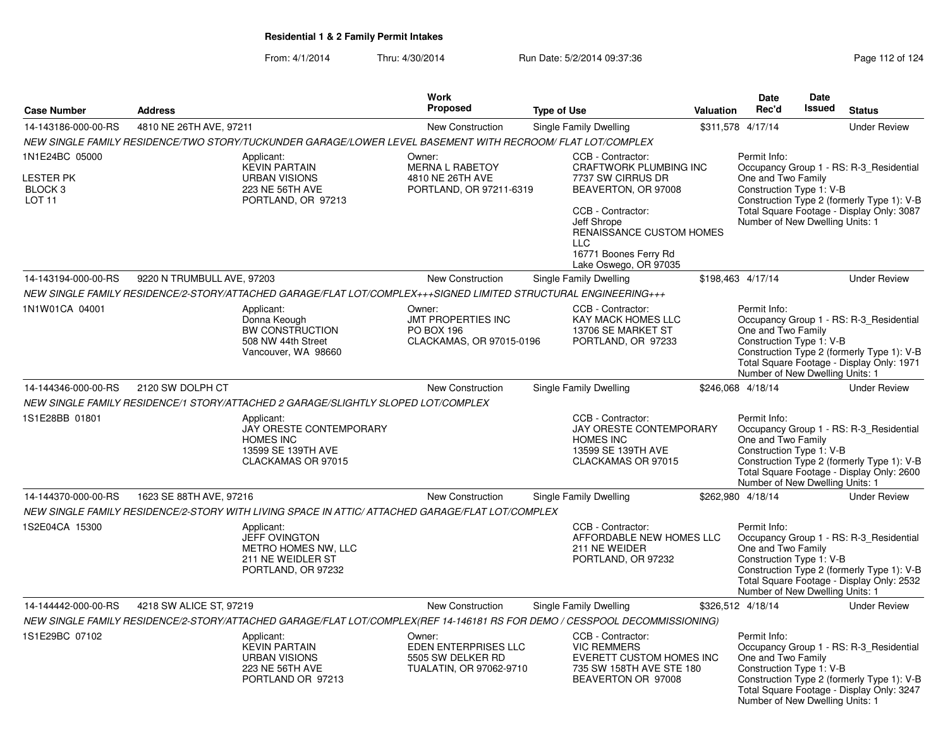|                                                                    |                            |                                                                                                                            | <b>Work</b>                                                                           |                                                                                                                                                                                                                         |           | Date                                                                                              | Date          |                                                                                                                                    |
|--------------------------------------------------------------------|----------------------------|----------------------------------------------------------------------------------------------------------------------------|---------------------------------------------------------------------------------------|-------------------------------------------------------------------------------------------------------------------------------------------------------------------------------------------------------------------------|-----------|---------------------------------------------------------------------------------------------------|---------------|------------------------------------------------------------------------------------------------------------------------------------|
| <b>Case Number</b>                                                 | <b>Address</b>             |                                                                                                                            | <b>Proposed</b>                                                                       | <b>Type of Use</b>                                                                                                                                                                                                      | Valuation | Rec'd                                                                                             | <b>Issued</b> | <b>Status</b>                                                                                                                      |
| 14-143186-000-00-RS                                                | 4810 NE 26TH AVE, 97211    |                                                                                                                            | New Construction                                                                      | Single Family Dwelling                                                                                                                                                                                                  |           | \$311,578 4/17/14                                                                                 |               | <b>Under Review</b>                                                                                                                |
|                                                                    |                            | NEW SINGLE FAMILY RESIDENCE/TWO STORY/TUCKUNDER GARAGE/LOWER LEVEL BASEMENT WITH RECROOM/ FLAT LOT/COMPLEX                 |                                                                                       |                                                                                                                                                                                                                         |           |                                                                                                   |               |                                                                                                                                    |
| 1N1E24BC 05000<br>LESTER PK<br>BLOCK <sub>3</sub><br><b>LOT 11</b> |                            | Applicant:<br><b>KEVIN PARTAIN</b><br><b>URBAN VISIONS</b><br>223 NE 56TH AVE<br>PORTLAND, OR 97213                        | Owner:<br><b>MERNA L RABETOY</b><br>4810 NE 26TH AVE<br>PORTLAND, OR 97211-6319       | CCB - Contractor:<br>CRAFTWORK PLUMBING INC<br>7737 SW CIRRUS DR<br>BEAVERTON, OR 97008<br>CCB - Contractor:<br>Jeff Shrope<br>RENAISSANCE CUSTOM HOMES<br><b>LLC</b><br>16771 Boones Ferry Rd<br>Lake Oswego, OR 97035 |           | Permit Info:<br>One and Two Family<br>Construction Type 1: V-B<br>Number of New Dwelling Units: 1 |               | Occupancy Group 1 - RS: R-3_Residential<br>Construction Type 2 (formerly Type 1): V-B<br>Total Square Footage - Display Only: 3087 |
| 14-143194-000-00-RS                                                | 9220 N TRUMBULL AVE, 97203 |                                                                                                                            | New Construction                                                                      | Single Family Dwelling                                                                                                                                                                                                  |           | \$198,463 4/17/14                                                                                 |               | <b>Under Review</b>                                                                                                                |
|                                                                    |                            | NEW SINGLE FAMILY RESIDENCE/2-STORY/ATTACHED GARAGE/FLAT LOT/COMPLEX+++SIGNED LIMITED STRUCTURAL ENGINEERING+++            |                                                                                       |                                                                                                                                                                                                                         |           |                                                                                                   |               |                                                                                                                                    |
| 1N1W01CA 04001                                                     |                            | Applicant:<br>Donna Keough<br><b>BW CONSTRUCTION</b><br>508 NW 44th Street<br>Vancouver, WA 98660                          | Owner:<br>JMT PROPERTIES INC<br><b>PO BOX 196</b><br>CLACKAMAS, OR 97015-0196         | CCB - Contractor:<br>KAY MACK HOMES LLC<br>13706 SE MARKET ST<br>PORTLAND, OR 97233                                                                                                                                     |           | Permit Info:<br>One and Two Family<br>Construction Type 1: V-B<br>Number of New Dwelling Units: 1 |               | Occupancy Group 1 - RS: R-3_Residential<br>Construction Type 2 (formerly Type 1): V-B<br>Total Square Footage - Display Only: 1971 |
| 14-144346-000-00-RS                                                | 2120 SW DOLPH CT           |                                                                                                                            | <b>New Construction</b>                                                               | Single Family Dwelling                                                                                                                                                                                                  |           | \$246,068 4/18/14                                                                                 |               | <b>Under Review</b>                                                                                                                |
|                                                                    |                            | NEW SINGLE FAMILY RESIDENCE/1 STORY/ATTACHED 2 GARAGE/SLIGHTLY SLOPED LOT/COMPLEX                                          |                                                                                       |                                                                                                                                                                                                                         |           |                                                                                                   |               |                                                                                                                                    |
| 1S1E28BB 01801                                                     |                            | Applicant:<br><b>JAY ORESTE CONTEMPORARY</b><br><b>HOMES INC</b><br>13599 SE 139TH AVE<br>CLACKAMAS OR 97015               |                                                                                       | CCB - Contractor:<br><b>JAY ORESTE CONTEMPORARY</b><br><b>HOMES INC</b><br>13599 SE 139TH AVE<br>CLACKAMAS OR 97015                                                                                                     |           | Permit Info:<br>One and Two Family<br>Construction Type 1: V-B<br>Number of New Dwelling Units: 1 |               | Occupancy Group 1 - RS: R-3_Residential<br>Construction Type 2 (formerly Type 1): V-B<br>Total Square Footage - Display Only: 2600 |
| 14-144370-000-00-RS                                                | 1623 SE 88TH AVE, 97216    |                                                                                                                            | <b>New Construction</b>                                                               | Single Family Dwelling                                                                                                                                                                                                  |           | \$262,980 4/18/14                                                                                 |               | <b>Under Review</b>                                                                                                                |
|                                                                    |                            | NEW SINGLE FAMILY RESIDENCE/2-STORY WITH LIVING SPACE IN ATTIC/ ATTACHED GARAGE/FLAT LOT/COMPLEX                           |                                                                                       |                                                                                                                                                                                                                         |           |                                                                                                   |               |                                                                                                                                    |
| 1S2E04CA 15300                                                     |                            | Applicant:<br><b>JEFF OVINGTON</b><br>METRO HOMES NW, LLC<br>211 NE WEIDLER ST<br>PORTLAND, OR 97232                       |                                                                                       | CCB - Contractor:<br>AFFORDABLE NEW HOMES LLC<br>211 NE WEIDER<br>PORTLAND, OR 97232                                                                                                                                    |           | Permit Info:<br>One and Two Family<br>Construction Type 1: V-B<br>Number of New Dwelling Units: 1 |               | Occupancy Group 1 - RS: R-3 Residential<br>Construction Type 2 (formerly Type 1): V-B<br>Total Square Footage - Display Only: 2532 |
| 14-144442-000-00-RS                                                | 4218 SW ALICE ST, 97219    |                                                                                                                            | <b>New Construction</b>                                                               | Single Family Dwelling                                                                                                                                                                                                  |           | \$326,512 4/18/14                                                                                 |               | <b>Under Review</b>                                                                                                                |
|                                                                    |                            | NEW SINGLE FAMILY RESIDENCE/2-STORY/ATTACHED GARAGE/FLAT LOT/COMPLEX(REF 14-146181 RS FOR DEMO / CESSPOOL DECOMMISSIONING) |                                                                                       |                                                                                                                                                                                                                         |           |                                                                                                   |               |                                                                                                                                    |
| 1S1E29BC 07102                                                     |                            | Applicant:<br><b>KEVIN PARTAIN</b><br><b>URBAN VISIONS</b><br>223 NE 56TH AVE<br>PORTLAND OR 97213                         | Owner:<br><b>EDEN ENTERPRISES LLC</b><br>5505 SW DELKER RD<br>TUALATIN, OR 97062-9710 | CCB - Contractor:<br><b>VIC REMMERS</b><br>EVERETT CUSTOM HOMES INC<br>735 SW 158TH AVE STE 180<br>BEAVERTON OR 97008                                                                                                   |           | Permit Info:<br>One and Two Family<br>Construction Type 1: V-B<br>Number of New Dwelling Units: 1 |               | Occupancy Group 1 - RS: R-3 Residential<br>Construction Type 2 (formerly Type 1): V-B<br>Total Square Footage - Display Only: 3247 |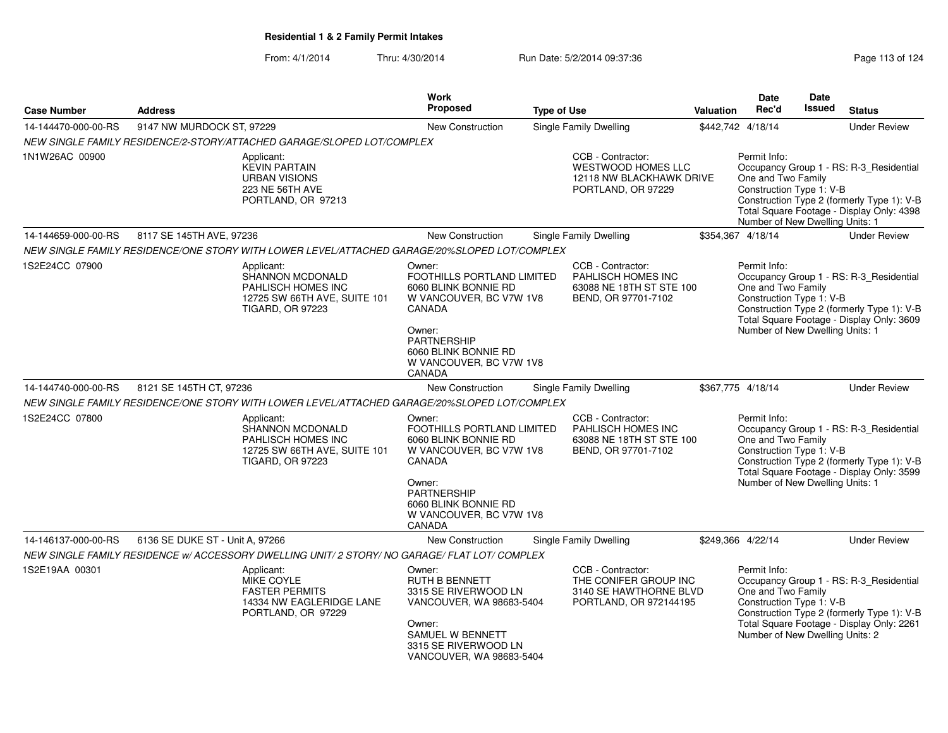| <b>Case Number</b>  | <b>Address</b>                  |                                                                                                                 | <b>Work</b><br>Proposed                                                                                                                                                                        | <b>Type of Use</b> |                                                                                                   | <b>Valuation</b> | Date<br>Rec'd                                                                                     | Date<br>Issued | <b>Status</b>                                                                                                                      |
|---------------------|---------------------------------|-----------------------------------------------------------------------------------------------------------------|------------------------------------------------------------------------------------------------------------------------------------------------------------------------------------------------|--------------------|---------------------------------------------------------------------------------------------------|------------------|---------------------------------------------------------------------------------------------------|----------------|------------------------------------------------------------------------------------------------------------------------------------|
| 14-144470-000-00-RS | 9147 NW MURDOCK ST, 97229       |                                                                                                                 | <b>New Construction</b>                                                                                                                                                                        |                    | <b>Single Family Dwelling</b>                                                                     |                  | \$442,742 4/18/14                                                                                 |                | <b>Under Review</b>                                                                                                                |
|                     |                                 | NEW SINGLE FAMILY RESIDENCE/2-STORY/ATTACHED GARAGE/SLOPED LOT/COMPLEX                                          |                                                                                                                                                                                                |                    |                                                                                                   |                  |                                                                                                   |                |                                                                                                                                    |
| 1N1W26AC 00900      |                                 | Applicant:<br><b>KEVIN PARTAIN</b><br><b>URBAN VISIONS</b><br>223 NE 56TH AVE<br>PORTLAND, OR 97213             |                                                                                                                                                                                                |                    | CCB - Contractor:<br>WESTWOOD HOMES LLC<br>12118 NW BLACKHAWK DRIVE<br>PORTLAND, OR 97229         |                  | Permit Info:<br>One and Two Family<br>Construction Type 1: V-B<br>Number of New Dwelling Units: 1 |                | Occupancy Group 1 - RS: R-3_Residential<br>Construction Type 2 (formerly Type 1): V-B<br>Total Square Footage - Display Only: 4398 |
| 14-144659-000-00-RS | 8117 SE 145TH AVE, 97236        |                                                                                                                 | New Construction                                                                                                                                                                               |                    | Single Family Dwelling                                                                            |                  | \$354.367 4/18/14                                                                                 |                | <b>Under Review</b>                                                                                                                |
|                     |                                 | NEW SINGLE FAMILY RESIDENCE/ONE STORY WITH LOWER LEVEL/ATTACHED GARAGE/20%SLOPED LOT/COMPLEX                    |                                                                                                                                                                                                |                    |                                                                                                   |                  |                                                                                                   |                |                                                                                                                                    |
| 1S2E24CC 07900      |                                 | Applicant:<br>SHANNON MCDONALD<br>PAHLISCH HOMES INC<br>12725 SW 66TH AVE, SUITE 101<br><b>TIGARD, OR 97223</b> | Owner:<br>FOOTHILLS PORTLAND LIMITED<br>6060 BLINK BONNIE RD<br>W VANCOUVER, BC V7W 1V8<br>CANADA<br>Owner:<br><b>PARTNERSHIP</b><br>6060 BLINK BONNIE RD<br>W VANCOUVER, BC V7W 1V8<br>CANADA |                    | CCB - Contractor:<br>PAHLISCH HOMES INC<br>63088 NE 18TH ST STE 100<br>BEND, OR 97701-7102        |                  | Permit Info:<br>One and Two Family<br>Construction Type 1: V-B<br>Number of New Dwelling Units: 1 |                | Occupancy Group 1 - RS: R-3_Residential<br>Construction Type 2 (formerly Type 1): V-B<br>Total Square Footage - Display Only: 3609 |
| 14-144740-000-00-RS | 8121 SE 145TH CT, 97236         |                                                                                                                 | New Construction                                                                                                                                                                               |                    | Single Family Dwelling                                                                            |                  | \$367,775 4/18/14                                                                                 |                | <b>Under Review</b>                                                                                                                |
|                     |                                 | NEW SINGLE FAMILY RESIDENCE/ONE STORY WITH LOWER LEVEL/ATTACHED GARAGE/20%SLOPED LOT/COMPLEX                    |                                                                                                                                                                                                |                    |                                                                                                   |                  |                                                                                                   |                |                                                                                                                                    |
| 1S2E24CC 07800      |                                 | Applicant:<br>SHANNON MCDONALD<br>PAHLISCH HOMES INC<br>12725 SW 66TH AVE, SUITE 101<br><b>TIGARD, OR 97223</b> | Owner:<br>FOOTHILLS PORTLAND LIMITED<br>6060 BLINK BONNIE RD<br>W VANCOUVER, BC V7W 1V8<br>CANADA<br>Owner:<br>PARTNERSHIP<br>6060 BLINK BONNIE RD<br>W VANCOUVER, BC V7W 1V8<br>CANADA        |                    | CCB - Contractor:<br><b>PAHLISCH HOMES INC</b><br>63088 NE 18TH ST STE 100<br>BEND, OR 97701-7102 |                  | Permit Info:<br>One and Two Family<br>Construction Type 1: V-B<br>Number of New Dwelling Units: 1 |                | Occupancy Group 1 - RS: R-3_Residential<br>Construction Type 2 (formerly Type 1): V-B<br>Total Square Footage - Display Only: 3599 |
| 14-146137-000-00-RS | 6136 SE DUKE ST - Unit A, 97266 |                                                                                                                 | <b>New Construction</b>                                                                                                                                                                        |                    | Single Family Dwelling                                                                            |                  | \$249.366 4/22/14                                                                                 |                | <b>Under Review</b>                                                                                                                |
|                     |                                 | NEW SINGLE FAMILY RESIDENCE W/ ACCESSORY DWELLING UNIT/ 2 STORY/ NO GARAGE/ FLAT LOT/ COMPLEX                   |                                                                                                                                                                                                |                    |                                                                                                   |                  |                                                                                                   |                |                                                                                                                                    |
| 1S2E19AA 00301      |                                 | Applicant:<br>MIKE COYLE<br><b>FASTER PERMITS</b><br>14334 NW EAGLERIDGE LANE<br>PORTLAND, OR 97229             | Owner:<br><b>RUTH B BENNETT</b><br>3315 SE RIVERWOOD LN<br>VANCOUVER, WA 98683-5404<br>Owner:<br>SAMUEL W BENNETT<br>3315 SE RIVERWOOD LN<br>VANCOUVER, WA 98683-5404                          |                    | CCB - Contractor:<br>THE CONIFER GROUP INC<br>3140 SE HAWTHORNE BLVD<br>PORTLAND, OR 972144195    |                  | Permit Info:<br>One and Two Family<br>Construction Type 1: V-B<br>Number of New Dwelling Units: 2 |                | Occupancy Group 1 - RS: R-3_Residential<br>Construction Type 2 (formerly Type 1): V-B<br>Total Square Footage - Display Only: 2261 |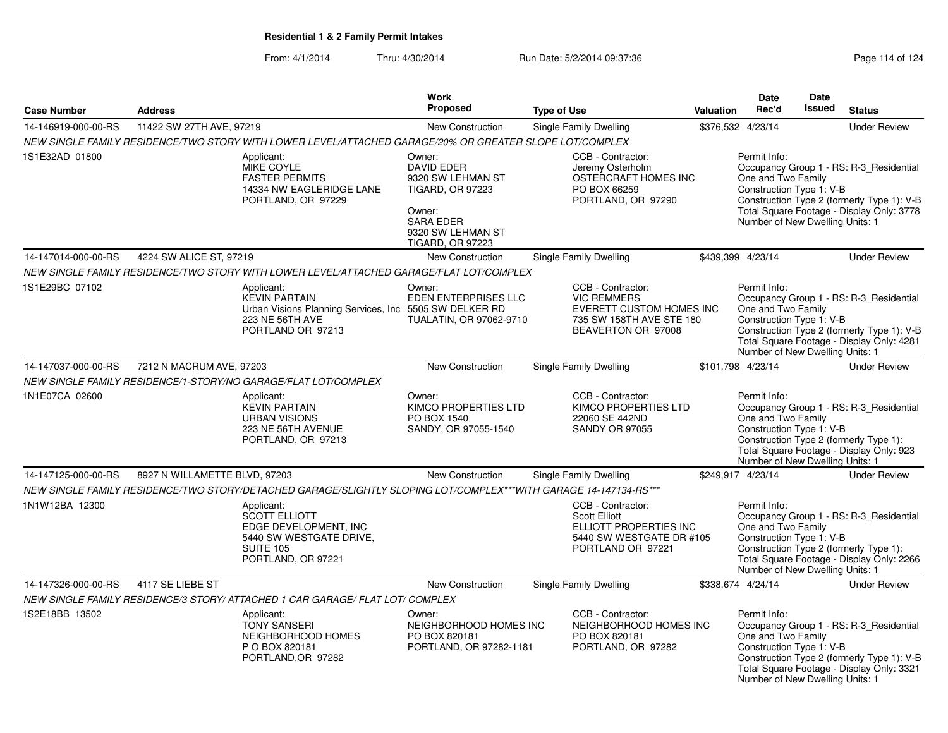|                     |                               |                                                                                                                                       | Work                                                                                                                                                      |                                                                                                                       |           | <b>Date</b>                                                                                       | Date   |                                                                                                                                    |
|---------------------|-------------------------------|---------------------------------------------------------------------------------------------------------------------------------------|-----------------------------------------------------------------------------------------------------------------------------------------------------------|-----------------------------------------------------------------------------------------------------------------------|-----------|---------------------------------------------------------------------------------------------------|--------|------------------------------------------------------------------------------------------------------------------------------------|
| <b>Case Number</b>  | <b>Address</b>                |                                                                                                                                       | <b>Proposed</b>                                                                                                                                           | <b>Type of Use</b>                                                                                                    | Valuation | Rec'd                                                                                             | Issued | <b>Status</b>                                                                                                                      |
| 14-146919-000-00-RS | 11422 SW 27TH AVE, 97219      |                                                                                                                                       | New Construction                                                                                                                                          | Single Family Dwelling                                                                                                |           | \$376,532 4/23/14                                                                                 |        | <b>Under Review</b>                                                                                                                |
|                     |                               | NEW SINGLE FAMILY RESIDENCE/TWO STORY WITH LOWER LEVEL/ATTACHED GARAGE/20% OR GREATER SLOPE LOT/COMPLEX                               |                                                                                                                                                           |                                                                                                                       |           |                                                                                                   |        |                                                                                                                                    |
| 1S1E32AD 01800      |                               | Applicant:<br><b>MIKE COYLE</b><br><b>FASTER PERMITS</b><br>14334 NW EAGLERIDGE LANE<br>PORTLAND, OR 97229                            | Owner:<br><b>DAVID EDER</b><br>9320 SW LEHMAN ST<br><b>TIGARD, OR 97223</b><br>Owner:<br><b>SARA EDER</b><br>9320 SW LEHMAN ST<br><b>TIGARD, OR 97223</b> | CCB - Contractor:<br>Jeremy Osterholm<br>OSTERCRAFT HOMES INC<br>PO BOX 66259<br>PORTLAND, OR 97290                   |           | Permit Info:<br>One and Two Family<br>Construction Type 1: V-B<br>Number of New Dwelling Units: 1 |        | Occupancy Group 1 - RS: R-3_Residential<br>Construction Type 2 (formerly Type 1): V-B<br>Total Square Footage - Display Only: 3778 |
| 14-147014-000-00-RS | 4224 SW ALICE ST, 97219       |                                                                                                                                       | <b>New Construction</b>                                                                                                                                   | Single Family Dwelling                                                                                                |           | \$439,399 4/23/14                                                                                 |        | <b>Under Review</b>                                                                                                                |
|                     |                               | NEW SINGLE FAMILY RESIDENCE/TWO STORY WITH LOWER LEVEL/ATTACHED GARAGE/FLAT LOT/COMPLEX                                               |                                                                                                                                                           |                                                                                                                       |           |                                                                                                   |        |                                                                                                                                    |
| 1S1E29BC 07102      |                               | Applicant:<br><b>KEVIN PARTAIN</b><br>Urban Visions Planning Services, Inc. 5505 SW DELKER RD<br>223 NE 56TH AVE<br>PORTLAND OR 97213 | Owner:<br><b>EDEN ENTERPRISES LLC</b><br>TUALATIN, OR 97062-9710                                                                                          | CCB - Contractor:<br><b>VIC REMMERS</b><br>EVERETT CUSTOM HOMES INC<br>735 SW 158TH AVE STE 180<br>BEAVERTON OR 97008 |           | Permit Info:<br>One and Two Family<br>Construction Type 1: V-B<br>Number of New Dwelling Units: 1 |        | Occupancy Group 1 - RS: R-3_Residential<br>Construction Type 2 (formerly Type 1): V-B<br>Total Square Footage - Display Only: 4281 |
| 14-147037-000-00-RS | 7212 N MACRUM AVE, 97203      |                                                                                                                                       | New Construction                                                                                                                                          | Single Family Dwelling                                                                                                |           | \$101,798 4/23/14                                                                                 |        | <b>Under Review</b>                                                                                                                |
|                     |                               | NEW SINGLE FAMILY RESIDENCE/1-STORY/NO GARAGE/FLAT LOT/COMPLEX                                                                        |                                                                                                                                                           |                                                                                                                       |           |                                                                                                   |        |                                                                                                                                    |
| 1N1E07CA 02600      |                               | Applicant:<br><b>KEVIN PARTAIN</b><br><b>URBAN VISIONS</b><br>223 NE 56TH AVENUE<br>PORTLAND, OR 97213                                | Owner:<br>KIMCO PROPERTIES LTD<br>PO BOX 1540<br>SANDY, OR 97055-1540                                                                                     | CCB - Contractor:<br>KIMCO PROPERTIES LTD<br>22060 SE 442ND<br><b>SANDY OR 97055</b>                                  |           | Permit Info:<br>One and Two Family<br>Construction Type 1: V-B<br>Number of New Dwelling Units: 1 |        | Occupancy Group 1 - RS: R-3_Residential<br>Construction Type 2 (formerly Type 1):<br>Total Square Footage - Display Only: 923      |
| 14-147125-000-00-RS | 8927 N WILLAMETTE BLVD, 97203 |                                                                                                                                       | <b>New Construction</b>                                                                                                                                   | <b>Single Family Dwelling</b>                                                                                         |           | \$249,917 4/23/14                                                                                 |        | <b>Under Review</b>                                                                                                                |
|                     |                               | NEW SINGLE FAMILY RESIDENCE/TWO STORY/DETACHED GARAGE/SLIGHTLY SLOPING LOT/COMPLEX***WITH GARAGE 14-147134-RS***                      |                                                                                                                                                           |                                                                                                                       |           |                                                                                                   |        |                                                                                                                                    |
| 1N1W12BA 12300      |                               | Applicant:<br><b>SCOTT ELLIOTT</b><br>EDGE DEVELOPMENT, INC<br>5440 SW WESTGATE DRIVE,<br><b>SUITE 105</b><br>PORTLAND, OR 97221      |                                                                                                                                                           | CCB - Contractor:<br><b>Scott Elliott</b><br>ELLIOTT PROPERTIES INC<br>5440 SW WESTGATE DR #105<br>PORTLAND OR 97221  |           | Permit Info:<br>One and Two Family<br>Construction Type 1: V-B<br>Number of New Dwelling Units: 1 |        | Occupancy Group 1 - RS: R-3_Residential<br>Construction Type 2 (formerly Type 1):<br>Total Square Footage - Display Only: 2266     |
| 14-147326-000-00-RS | 4117 SE LIEBE ST              |                                                                                                                                       | <b>New Construction</b>                                                                                                                                   | Single Family Dwelling                                                                                                |           | \$338,674 4/24/14                                                                                 |        | <b>Under Review</b>                                                                                                                |
|                     |                               | NEW SINGLE FAMILY RESIDENCE/3 STORY/ ATTACHED 1 CAR GARAGE/ FLAT LOT/ COMPLEX                                                         |                                                                                                                                                           |                                                                                                                       |           |                                                                                                   |        |                                                                                                                                    |
| 1S2E18BB 13502      |                               | Applicant:<br><b>TONY SANSERI</b><br>NEIGHBORHOOD HOMES<br>P O BOX 820181<br>PORTLAND, OR 97282                                       | Owner:<br>NEIGHBORHOOD HOMES INC<br>PO BOX 820181<br>PORTLAND, OR 97282-1181                                                                              | CCB - Contractor:<br>NEIGHBORHOOD HOMES INC<br>PO BOX 820181<br>PORTLAND, OR 97282                                    |           | Permit Info:<br>One and Two Family<br>Construction Type 1: V-B<br>Number of New Dwelling Units: 1 |        | Occupancy Group 1 - RS: R-3_Residential<br>Construction Type 2 (formerly Type 1): V-B<br>Total Square Footage - Display Only: 3321 |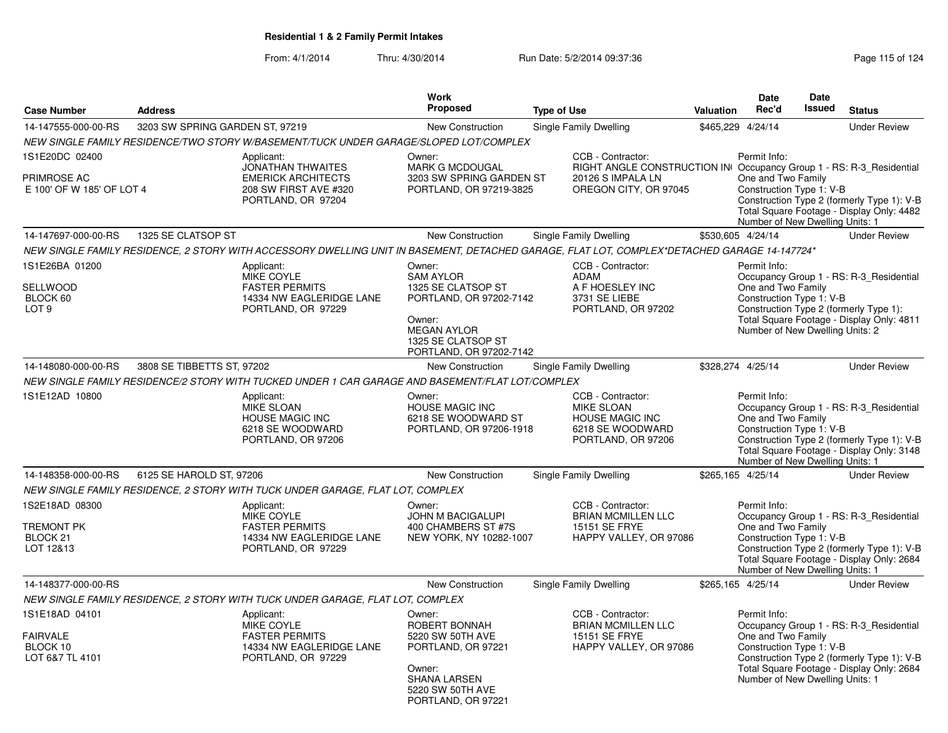| <b>Case Number</b>                                               | <b>Address</b>                  |                                                                                                                                              | <b>Work</b><br>Proposed                                                                                                                                      | <b>Type of Use</b>                                                                                         | <b>Valuation</b>                                                                             | Date<br>Rec'd                                                                                     | Date<br><b>Issued</b> | <b>Status</b>                                                                                                                      |
|------------------------------------------------------------------|---------------------------------|----------------------------------------------------------------------------------------------------------------------------------------------|--------------------------------------------------------------------------------------------------------------------------------------------------------------|------------------------------------------------------------------------------------------------------------|----------------------------------------------------------------------------------------------|---------------------------------------------------------------------------------------------------|-----------------------|------------------------------------------------------------------------------------------------------------------------------------|
| 14-147555-000-00-RS                                              | 3203 SW SPRING GARDEN ST, 97219 |                                                                                                                                              | New Construction                                                                                                                                             | Single Family Dwelling                                                                                     |                                                                                              | \$465,229 4/24/14                                                                                 |                       | <b>Under Review</b>                                                                                                                |
|                                                                  |                                 | NEW SINGLE FAMILY RESIDENCE/TWO STORY W/BASEMENT/TUCK UNDER GARAGE/SLOPED LOT/COMPLEX                                                        |                                                                                                                                                              |                                                                                                            |                                                                                              |                                                                                                   |                       |                                                                                                                                    |
| 1S1E20DC 02400<br>PRIMROSE AC<br>E 100' OF W 185' OF LOT 4       |                                 | Applicant:<br><b>JONATHAN THWAITES</b><br><b>EMERICK ARCHITECTS</b><br>208 SW FIRST AVE #320<br>PORTLAND, OR 97204                           | Owner:<br><b>MARK G MCDOUGAL</b><br>3203 SW SPRING GARDEN ST<br>PORTLAND, OR 97219-3825                                                                      | CCB - Contractor:<br>20126 S IMPALA LN                                                                     | RIGHT ANGLE CONSTRUCTION IN Occupancy Group 1 - RS: R-3 Residential<br>OREGON CITY, OR 97045 | Permit Info:<br>One and Two Family<br>Construction Type 1: V-B<br>Number of New Dwelling Units: 1 |                       | Construction Type 2 (formerly Type 1): V-B<br>Total Square Footage - Display Only: 4482                                            |
| 14-147697-000-00-RS                                              | 1325 SE CLATSOP ST              |                                                                                                                                              | New Construction                                                                                                                                             | Single Family Dwelling                                                                                     |                                                                                              | \$530,605 4/24/14                                                                                 |                       | <b>Under Review</b>                                                                                                                |
|                                                                  |                                 | NEW SINGLE FAMILY RESIDENCE, 2 STORY WITH ACCESSORY DWELLING UNIT IN BASEMENT, DETACHED GARAGE, FLAT LOT, COMPLEX*DETACHED GARAGE 14-147724* |                                                                                                                                                              |                                                                                                            |                                                                                              |                                                                                                   |                       |                                                                                                                                    |
| 1S1E26BA 01200<br>SELLWOOD<br>BLOCK 60<br>LOT <sub>9</sub>       |                                 | Applicant:<br><b>MIKE COYLE</b><br><b>FASTER PERMITS</b><br>14334 NW EAGLERIDGE LANE<br>PORTLAND, OR 97229                                   | Owner:<br><b>SAM AYLOR</b><br>1325 SE CLATSOP ST<br>PORTLAND, OR 97202-7142<br>Owner:<br><b>MEGAN AYLOR</b><br>1325 SE CLATSOP ST<br>PORTLAND, OR 97202-7142 | CCB - Contractor:<br>ADAM<br>A F HOESLEY INC<br>3731 SE LIEBE<br>PORTLAND, OR 97202                        |                                                                                              | Permit Info:<br>One and Two Family<br>Construction Type 1: V-B<br>Number of New Dwelling Units: 2 |                       | Occupancy Group 1 - RS: R-3_Residential<br>Construction Type 2 (formerly Type 1):<br>Total Square Footage - Display Only: 4811     |
| 14-148080-000-00-RS                                              | 3808 SE TIBBETTS ST, 97202      |                                                                                                                                              | <b>New Construction</b>                                                                                                                                      | Single Family Dwelling                                                                                     |                                                                                              | \$328,274 4/25/14                                                                                 |                       | <b>Under Review</b>                                                                                                                |
|                                                                  |                                 | NEW SINGLE FAMILY RESIDENCE/2 STORY WITH TUCKED UNDER 1 CAR GARAGE AND BASEMENT/FLAT LOT/COMPLEX                                             |                                                                                                                                                              |                                                                                                            |                                                                                              |                                                                                                   |                       |                                                                                                                                    |
| 1S1E12AD 10800                                                   |                                 | Applicant:<br><b>MIKE SLOAN</b><br><b>HOUSE MAGIC INC</b><br>6218 SE WOODWARD<br>PORTLAND, OR 97206                                          | Owner:<br><b>HOUSE MAGIC INC</b><br>6218 SE WOODWARD ST<br>PORTLAND, OR 97206-1918                                                                           | CCB - Contractor:<br><b>MIKE SLOAN</b><br><b>HOUSE MAGIC INC</b><br>6218 SE WOODWARD<br>PORTLAND, OR 97206 |                                                                                              | Permit Info:<br>One and Two Family<br>Construction Type 1: V-B<br>Number of New Dwelling Units: 1 |                       | Occupancy Group 1 - RS: R-3_Residential<br>Construction Type 2 (formerly Type 1): V-B<br>Total Square Footage - Display Only: 3148 |
| 14-148358-000-00-RS                                              | 6125 SE HAROLD ST, 97206        |                                                                                                                                              | New Construction                                                                                                                                             | Single Family Dwelling                                                                                     |                                                                                              | \$265,165 4/25/14                                                                                 |                       | <b>Under Review</b>                                                                                                                |
|                                                                  |                                 | NEW SINGLE FAMILY RESIDENCE, 2 STORY WITH TUCK UNDER GARAGE, FLAT LOT, COMPLEX                                                               |                                                                                                                                                              |                                                                                                            |                                                                                              |                                                                                                   |                       |                                                                                                                                    |
| 1S2E18AD 08300<br><b>TREMONT PK</b><br>BLOCK 21<br>LOT 12&13     |                                 | Applicant:<br>MIKE COYLE<br><b>FASTER PERMITS</b><br>14334 NW EAGLERIDGE LANE<br>PORTLAND, OR 97229                                          | Owner:<br>JOHN M BACIGALUPI<br>400 CHAMBERS ST #7S<br>NEW YORK, NY 10282-1007                                                                                | CCB - Contractor:<br><b>BRIAN MCMILLEN LLC</b><br>15151 SE FRYE                                            | HAPPY VALLEY, OR 97086                                                                       | Permit Info:<br>One and Two Family<br>Construction Type 1: V-B<br>Number of New Dwelling Units: 1 |                       | Occupancy Group 1 - RS: R-3_Residential<br>Construction Type 2 (formerly Type 1): V-B<br>Total Square Footage - Display Only: 2684 |
| 14-148377-000-00-RS                                              |                                 |                                                                                                                                              | <b>New Construction</b>                                                                                                                                      | Single Family Dwelling                                                                                     |                                                                                              | \$265,165 4/25/14                                                                                 |                       | <b>Under Review</b>                                                                                                                |
|                                                                  |                                 | NEW SINGLE FAMILY RESIDENCE, 2 STORY WITH TUCK UNDER GARAGE, FLAT LOT, COMPLEX                                                               |                                                                                                                                                              |                                                                                                            |                                                                                              |                                                                                                   |                       |                                                                                                                                    |
| 1S1E18AD 04101<br><b>FAIRVALE</b><br>BLOCK 10<br>LOT 6&7 TL 4101 |                                 | Applicant:<br>MIKE COYLE<br><b>FASTER PERMITS</b><br>14334 NW EAGLERIDGE LANE<br>PORTLAND, OR 97229                                          | Owner:<br>ROBERT BONNAH<br>5220 SW 50TH AVE<br>PORTLAND, OR 97221<br>Owner:<br><b>SHANA LARSEN</b><br>5220 SW 50TH AVE<br>PORTLAND, OR 97221                 | CCB - Contractor:<br><b>BRIAN MCMILLEN LLC</b><br>15151 SE FRYE                                            | HAPPY VALLEY, OR 97086                                                                       | Permit Info:<br>One and Two Family<br>Construction Type 1: V-B<br>Number of New Dwelling Units: 1 |                       | Occupancy Group 1 - RS: R-3_Residential<br>Construction Type 2 (formerly Type 1): V-B<br>Total Square Footage - Display Only: 2684 |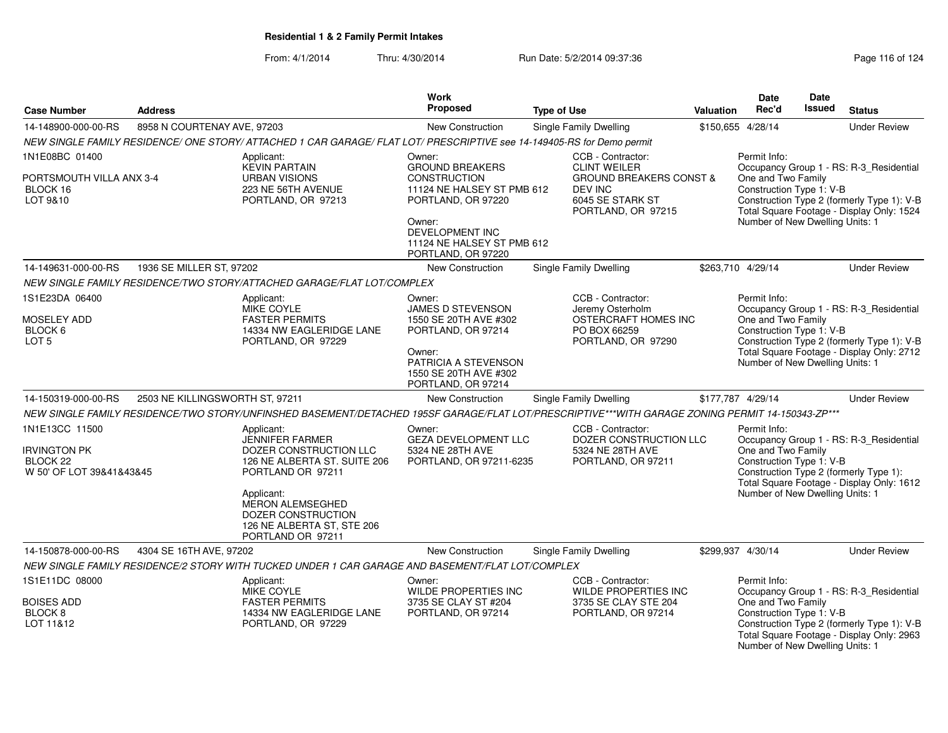| <b>Case Number</b>                                                     | <b>Address</b>                  |                                                                                                                                                  | Work<br>Proposed                                                                  | <b>Type of Use</b>                                                                      | Valuation                       | Date<br>Rec'd                                                                                                                                                                                     | Date<br>Issued | <b>Status</b>                                                                           |
|------------------------------------------------------------------------|---------------------------------|--------------------------------------------------------------------------------------------------------------------------------------------------|-----------------------------------------------------------------------------------|-----------------------------------------------------------------------------------------|---------------------------------|---------------------------------------------------------------------------------------------------------------------------------------------------------------------------------------------------|----------------|-----------------------------------------------------------------------------------------|
| 14-148900-000-00-RS                                                    | 8958 N COURTENAY AVE, 97203     |                                                                                                                                                  | New Construction                                                                  | Single Family Dwelling                                                                  |                                 | \$150,655 4/28/14                                                                                                                                                                                 |                | <b>Under Review</b>                                                                     |
|                                                                        |                                 | NEW SINGLE FAMILY RESIDENCE/ ONE STORY/ ATTACHED 1 CAR GARAGE/ FLAT LOT/ PRESCRIPTIVE see 14-149405-RS for Demo permit                           |                                                                                   |                                                                                         |                                 |                                                                                                                                                                                                   |                |                                                                                         |
| 1N1E08BC 01400                                                         |                                 | Applicant:<br><b>KEVIN PARTAIN</b>                                                                                                               | Owner:<br><b>GROUND BREAKERS</b>                                                  | CCB - Contractor:<br><b>CLINT WEILER</b>                                                |                                 | Permit Info:                                                                                                                                                                                      |                | Occupancy Group 1 - RS: R-3_Residential                                                 |
| PORTSMOUTH VILLA ANX 3-4<br>BLOCK 16<br>LOT 9&10                       |                                 | <b>URBAN VISIONS</b><br>223 NE 56TH AVENUE<br>PORTLAND, OR 97213                                                                                 | <b>CONSTRUCTION</b><br>11124 NE HALSEY ST PMB 612<br>PORTLAND, OR 97220<br>Owner: | <b>GROUND BREAKERS CONST &amp;</b><br>DEV INC<br>6045 SE STARK ST<br>PORTLAND, OR 97215 |                                 | One and Two Family<br>Construction Type 1: V-B<br>Construction Type 2 (formerly Type 1): V-B<br>Total Square Footage - Display Only: 1524<br>Number of New Dwelling Units: 1<br>\$263,710 4/29/14 |                |                                                                                         |
|                                                                        |                                 |                                                                                                                                                  | DEVELOPMENT INC<br>11124 NE HALSEY ST PMB 612<br>PORTLAND, OR 97220               |                                                                                         |                                 |                                                                                                                                                                                                   |                |                                                                                         |
| 14-149631-000-00-RS                                                    | 1936 SE MILLER ST, 97202        |                                                                                                                                                  | New Construction                                                                  | Single Family Dwelling                                                                  |                                 |                                                                                                                                                                                                   |                | <b>Under Review</b>                                                                     |
|                                                                        |                                 | NEW SINGLE FAMILY RESIDENCE/TWO STORY/ATTACHED GARAGE/FLAT LOT/COMPLEX                                                                           |                                                                                   |                                                                                         |                                 |                                                                                                                                                                                                   |                |                                                                                         |
| 1S1E23DA 06400                                                         |                                 | Applicant:<br><b>MIKE COYLE</b>                                                                                                                  | Owner:<br>JAMES D STEVENSON                                                       | CCB - Contractor:<br>Jeremy Osterholm                                                   |                                 | Permit Info:                                                                                                                                                                                      |                | Occupancy Group 1 - RS: R-3 Residential                                                 |
| <b>MOSELEY ADD</b><br>BLOCK 6<br>LOT <sub>5</sub>                      |                                 | <b>FASTER PERMITS</b><br>14334 NW EAGLERIDGE LANE<br>PORTLAND, OR 97229                                                                          | 1550 SE 20TH AVE #302<br>PORTLAND, OR 97214                                       | OSTERCRAFT HOMES INC<br>PO BOX 66259<br>PORTLAND, OR 97290                              |                                 | One and Two Family<br>Construction Type 1: V-B<br>Construction Type 2 (formerly Type 1): V-B                                                                                                      |                |                                                                                         |
|                                                                        |                                 |                                                                                                                                                  | Owner:<br>PATRICIA A STEVENSON<br>1550 SE 20TH AVE #302<br>PORTLAND, OR 97214     |                                                                                         | Number of New Dwelling Units: 1 |                                                                                                                                                                                                   |                | Total Square Footage - Display Only: 2712                                               |
| 14-150319-000-00-RS                                                    | 2503 NE KILLINGSWORTH ST, 97211 |                                                                                                                                                  | New Construction                                                                  | <b>Single Family Dwelling</b>                                                           | \$177,787 4/29/14               |                                                                                                                                                                                                   |                | <b>Under Review</b>                                                                     |
|                                                                        |                                 | NEW SINGLE FAMILY RESIDENCE/TWO STORY/UNFINSHED BASEMENT/DETACHED 195SF GARAGE/FLAT LOT/PRESCRIPTIVE***WITH GARAGE ZONING PERMIT 14-150343-ZP*** |                                                                                   |                                                                                         |                                 |                                                                                                                                                                                                   |                |                                                                                         |
| 1N1E13CC 11500                                                         |                                 | Applicant:<br>JENNIFER FARMER                                                                                                                    | Owner:<br><b>GEZA DEVELOPMENT LLC</b>                                             | CCB - Contractor:<br>DOZER CONSTRUCTION LLC                                             |                                 | Permit Info:                                                                                                                                                                                      |                | Occupancy Group 1 - RS: R-3_Residential                                                 |
| <b>IRVINGTON PK</b><br>BLOCK <sub>22</sub><br>W 50' OF LOT 39&41&43&45 |                                 | DOZER CONSTRUCTION LLC<br>126 NE ALBERTA ST. SUITE 206<br>PORTLAND OR 97211                                                                      | 5324 NE 28TH AVE<br>PORTLAND, OR 97211-6235                                       | 5324 NE 28TH AVE<br>PORTLAND, OR 97211                                                  |                                 | One and Two Family<br>Construction Type 1: V-B                                                                                                                                                    |                | Construction Type 2 (formerly Type 1):<br>Total Square Footage - Display Only: 1612     |
|                                                                        |                                 | Applicant:<br>MERON ALEMSEGHED<br>DOZER CONSTRUCTION<br>126 NE ALBERTA ST, STE 206<br>PORTLAND OR 97211                                          |                                                                                   |                                                                                         |                                 | Number of New Dwelling Units: 1                                                                                                                                                                   |                |                                                                                         |
| 14-150878-000-00-RS                                                    | 4304 SE 16TH AVE, 97202         |                                                                                                                                                  | New Construction                                                                  | <b>Single Family Dwelling</b>                                                           |                                 | \$299,937 4/30/14                                                                                                                                                                                 |                | <b>Under Review</b>                                                                     |
|                                                                        |                                 | NEW SINGLE FAMILY RESIDENCE/2 STORY WITH TUCKED UNDER 1 CAR GARAGE AND BASEMENT/FLAT LOT/COMPLEX                                                 |                                                                                   |                                                                                         |                                 |                                                                                                                                                                                                   |                |                                                                                         |
| 1S1E11DC 08000                                                         |                                 | Applicant:<br>MIKE COYLE                                                                                                                         | Owner:<br>WILDE PROPERTIES INC                                                    | CCB - Contractor:<br>WILDE PROPERTIES INC                                               |                                 | Permit Info:                                                                                                                                                                                      |                | Occupancy Group 1 - RS: R-3_Residential                                                 |
| <b>BOISES ADD</b><br>BLOCK <sub>8</sub><br>LOT 11&12                   |                                 | <b>FASTER PERMITS</b><br>14334 NW EAGLERIDGE LANE<br>PORTLAND, OR 97229                                                                          | 3735 SE CLAY ST #204<br>PORTLAND, OR 97214                                        | 3735 SE CLAY STE 204<br>PORTLAND, OR 97214                                              |                                 | One and Two Family<br>Construction Type 1: V-B<br>Number of New Dwelling Units: 1                                                                                                                 |                | Construction Type 2 (formerly Type 1): V-B<br>Total Square Footage - Display Only: 2963 |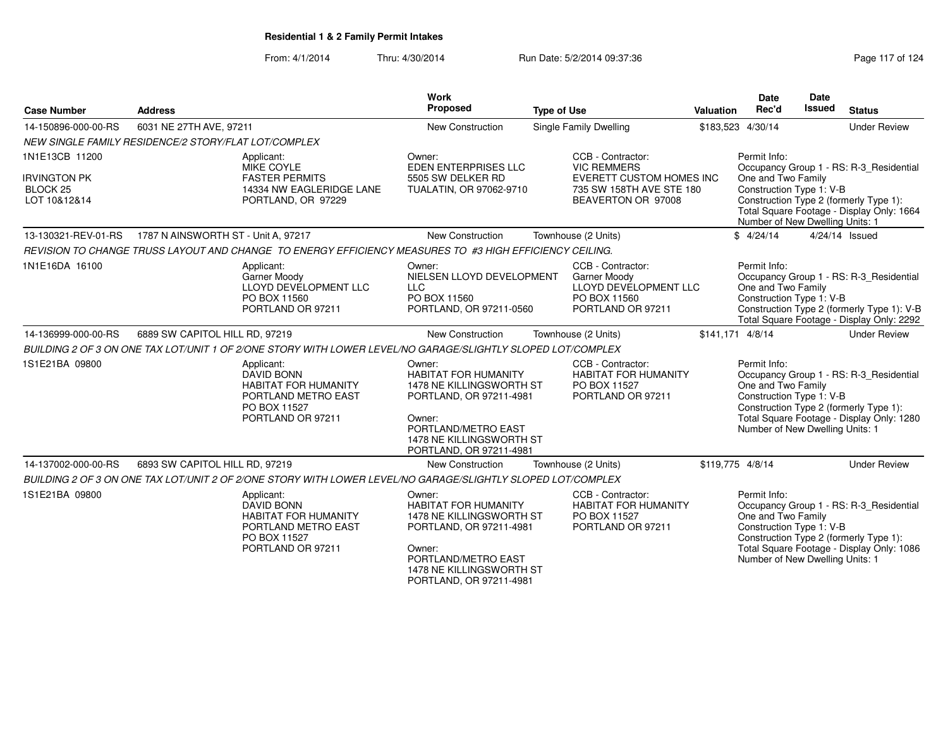| <b>Case Number</b>                                                       | <b>Address</b>                                                                                                             | <b>Work</b><br>Proposed                                                                                                                                                              | <b>Type of Use</b>                                                                                                    | <b>Valuation</b> | <b>Date</b><br>Rec'd                                                                              | Date<br><b>Issued</b> | <b>Status</b>                                                                                                                      |
|--------------------------------------------------------------------------|----------------------------------------------------------------------------------------------------------------------------|--------------------------------------------------------------------------------------------------------------------------------------------------------------------------------------|-----------------------------------------------------------------------------------------------------------------------|------------------|---------------------------------------------------------------------------------------------------|-----------------------|------------------------------------------------------------------------------------------------------------------------------------|
|                                                                          |                                                                                                                            |                                                                                                                                                                                      |                                                                                                                       |                  |                                                                                                   |                       |                                                                                                                                    |
| 14-150896-000-00-RS                                                      | 6031 NE 27TH AVE, 97211                                                                                                    | New Construction                                                                                                                                                                     | Single Family Dwelling                                                                                                |                  | \$183,523 4/30/14                                                                                 |                       | <b>Under Review</b>                                                                                                                |
|                                                                          | NEW SINGLE FAMILY RESIDENCE/2 STORY/FLAT LOT/COMPLEX                                                                       |                                                                                                                                                                                      |                                                                                                                       |                  |                                                                                                   |                       |                                                                                                                                    |
| 1N1E13CB 11200<br><b>IRVINGTON PK</b><br><b>BLOCK 25</b><br>LOT 10&12&14 | Applicant:<br>MIKE COYLE<br><b>FASTER PERMITS</b><br>14334 NW EAGLERIDGE LANE<br>PORTLAND, OR 97229                        | Owner:<br><b>EDEN ENTERPRISES LLC</b><br>5505 SW DELKER RD<br>TUALATIN, OR 97062-9710                                                                                                | CCB - Contractor:<br><b>VIC REMMERS</b><br>EVERETT CUSTOM HOMES INC<br>735 SW 158TH AVE STE 180<br>BEAVERTON OR 97008 |                  | Permit Info:<br>One and Two Family<br>Construction Type 1: V-B<br>Number of New Dwelling Units: 1 |                       | Occupancy Group 1 - RS: R-3 Residential<br>Construction Type 2 (formerly Type 1):<br>Total Square Footage - Display Only: 1664     |
| 13-130321-REV-01-RS                                                      | 1787 N AINSWORTH ST - Unit A, 97217                                                                                        | New Construction                                                                                                                                                                     | Townhouse (2 Units)                                                                                                   |                  | \$4/24/14                                                                                         |                       | 4/24/14 Issued                                                                                                                     |
|                                                                          | REVISION TO CHANGE TRUSS LAYOUT AND CHANGE TO ENERGY EFFICIENCY MEASURES TO #3 HIGH EFFICIENCY CEILING.                    |                                                                                                                                                                                      |                                                                                                                       |                  |                                                                                                   |                       |                                                                                                                                    |
| 1N1E16DA 16100                                                           | Applicant:<br>Garner Moody<br>LLOYD DEVELOPMENT LLC<br>PO BOX 11560<br>PORTLAND OR 97211                                   | Owner:<br>NIELSEN LLOYD DEVELOPMENT<br><b>LLC</b><br>PO BOX 11560<br>PORTLAND, OR 97211-0560                                                                                         | CCB - Contractor:<br>Garner Moody<br>LLOYD DEVELOPMENT LLC<br>PO BOX 11560<br>PORTLAND OR 97211                       |                  | Permit Info:<br>One and Two Family<br>Construction Type 1: V-B                                    |                       | Occupancy Group 1 - RS: R-3_Residential<br>Construction Type 2 (formerly Type 1): V-B<br>Total Square Footage - Display Only: 2292 |
| 14-136999-000-00-RS                                                      | 6889 SW CAPITOL HILL RD, 97219                                                                                             | New Construction                                                                                                                                                                     | Townhouse (2 Units)                                                                                                   | \$141,171 4/8/14 |                                                                                                   |                       | <b>Under Review</b>                                                                                                                |
|                                                                          | BUILDING 2 OF 3 ON ONE TAX LOT/UNIT 1 OF 2/ONE STORY WITH LOWER LEVEL/NO GARAGE/SLIGHTLY SLOPED LOT/COMPLEX                |                                                                                                                                                                                      |                                                                                                                       |                  |                                                                                                   |                       |                                                                                                                                    |
| 1S1E21BA 09800                                                           | Applicant:<br><b>DAVID BONN</b><br><b>HABITAT FOR HUMANITY</b><br>PORTLAND METRO EAST<br>PO BOX 11527<br>PORTLAND OR 97211 | Owner:<br><b>HABITAT FOR HUMANITY</b><br>1478 NE KILLINGSWORTH ST<br>PORTLAND, OR 97211-4981<br>Owner:<br>PORTLAND/METRO EAST<br>1478 NE KILLINGSWORTH ST<br>PORTLAND, OR 97211-4981 | CCB - Contractor:<br>HABITAT FOR HUMANITY<br>PO BOX 11527<br>PORTLAND OR 97211                                        |                  | Permit Info:<br>One and Two Family<br>Construction Type 1: V-B<br>Number of New Dwelling Units: 1 |                       | Occupancy Group 1 - RS: R-3_Residential<br>Construction Type 2 (formerly Type 1):<br>Total Square Footage - Display Only: 1280     |
| 14-137002-000-00-RS                                                      | 6893 SW CAPITOL HILL RD, 97219                                                                                             | <b>New Construction</b>                                                                                                                                                              | Townhouse (2 Units)                                                                                                   | \$119.775 4/8/14 |                                                                                                   |                       | <b>Under Review</b>                                                                                                                |
|                                                                          | BUILDING 2 OF 3 ON ONE TAX LOT/UNIT 2 OF 2/ONE STORY WITH LOWER LEVEL/NO GARAGE/SLIGHTLY SLOPED LOT/COMPLEX                |                                                                                                                                                                                      |                                                                                                                       |                  |                                                                                                   |                       |                                                                                                                                    |
| 1S1E21BA 09800                                                           | Applicant:<br><b>DAVID BONN</b><br><b>HABITAT FOR HUMANITY</b><br>PORTLAND METRO EAST<br>PO BOX 11527<br>PORTLAND OR 97211 | Owner:<br><b>HABITAT FOR HUMANITY</b><br>1478 NE KILLINGSWORTH ST<br>PORTLAND, OR 97211-4981<br>Owner:<br>PORTLAND/METRO EAST<br>1478 NE KILLINGSWORTH ST<br>PORTLAND, OR 97211-4981 | CCB - Contractor:<br><b>HABITAT FOR HUMANITY</b><br>PO BOX 11527<br>PORTLAND OR 97211                                 |                  | Permit Info:<br>One and Two Family<br>Construction Type 1: V-B<br>Number of New Dwelling Units: 1 |                       | Occupancy Group 1 - RS: R-3_Residential<br>Construction Type 2 (formerly Type 1):<br>Total Square Footage - Display Only: 1086     |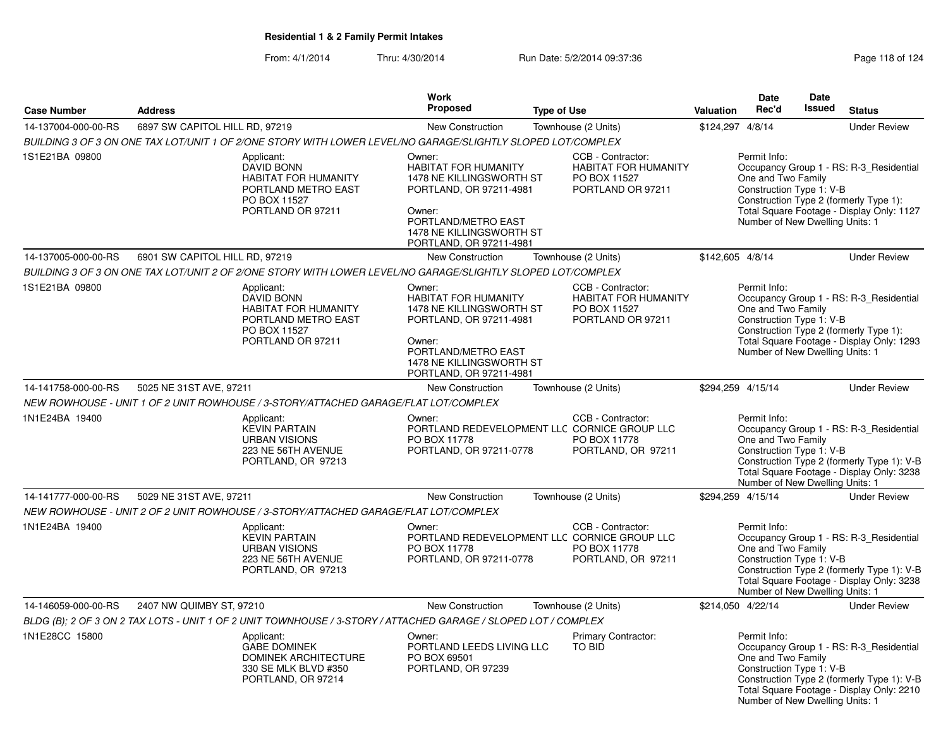|                     |                                                                                                                            | <b>Work</b>                                                                                                                                                                          |                                                                                                         | <b>Date</b>                                                    | Date                                                                                                                                                                  |
|---------------------|----------------------------------------------------------------------------------------------------------------------------|--------------------------------------------------------------------------------------------------------------------------------------------------------------------------------------|---------------------------------------------------------------------------------------------------------|----------------------------------------------------------------|-----------------------------------------------------------------------------------------------------------------------------------------------------------------------|
| <b>Case Number</b>  | <b>Address</b>                                                                                                             | <b>Proposed</b>                                                                                                                                                                      | <b>Type of Use</b>                                                                                      | Rec'd<br><b>Valuation</b>                                      | <b>Issued</b><br><b>Status</b>                                                                                                                                        |
| 14-137004-000-00-RS | 6897 SW CAPITOL HILL RD, 97219                                                                                             | <b>New Construction</b>                                                                                                                                                              | Townhouse (2 Units)                                                                                     | \$124,297 4/8/14                                               | <b>Under Review</b>                                                                                                                                                   |
|                     | BUILDING 3 OF 3 ON ONE TAX LOT/UNIT 1 OF 2/ONE STORY WITH LOWER LEVEL/NO GARAGE/SLIGHTLY SLOPED LOT/COMPLEX                |                                                                                                                                                                                      |                                                                                                         |                                                                |                                                                                                                                                                       |
| 1S1E21BA 09800      | Applicant:<br>DAVID BONN<br><b>HABITAT FOR HUMANITY</b><br>PORTLAND METRO EAST<br>PO BOX 11527<br>PORTLAND OR 97211        | Owner:<br><b>HABITAT FOR HUMANITY</b><br>1478 NE KILLINGSWORTH ST<br>PORTLAND, OR 97211-4981<br>Owner:<br>PORTLAND/METRO EAST<br>1478 NE KILLINGSWORTH ST<br>PORTLAND, OR 97211-4981 | CCB - Contractor:<br><b>HABITAT FOR HUMANITY</b><br>PO BOX 11527<br>PORTLAND OR 97211                   | Permit Info:<br>One and Two Family<br>Construction Type 1: V-B | Occupancy Group 1 - RS: R-3_Residential<br>Construction Type 2 (formerly Type 1):<br>Total Square Footage - Display Only: 1127<br>Number of New Dwelling Units: 1     |
| 14-137005-000-00-RS | 6901 SW CAPITOL HILL RD, 97219                                                                                             | <b>New Construction</b>                                                                                                                                                              | Townhouse (2 Units)                                                                                     | \$142,605 4/8/14                                               | <b>Under Review</b>                                                                                                                                                   |
|                     | BUILDING 3 OF 3 ON ONE TAX LOT/UNIT 2 OF 2/ONE STORY WITH LOWER LEVEL/NO GARAGE/SLIGHTLY SLOPED LOT/COMPLEX                |                                                                                                                                                                                      |                                                                                                         |                                                                |                                                                                                                                                                       |
| 1S1E21BA 09800      | Applicant:<br><b>DAVID BONN</b><br><b>HABITAT FOR HUMANITY</b><br>PORTLAND METRO EAST<br>PO BOX 11527<br>PORTLAND OR 97211 | Owner:<br><b>HABITAT FOR HUMANITY</b><br>1478 NE KILLINGSWORTH ST<br>PORTLAND, OR 97211-4981<br>Owner:<br>PORTLAND/METRO EAST<br>1478 NE KILLINGSWORTH ST<br>PORTLAND, OR 97211-4981 | CCB - Contractor:<br><b>HABITAT FOR HUMANITY</b><br>PO BOX 11527<br>PORTLAND OR 97211                   | Permit Info:<br>One and Two Family<br>Construction Type 1: V-B | Occupancy Group 1 - RS: R-3_Residential<br>Construction Type 2 (formerly Type 1):<br>Total Square Footage - Display Only: 1293<br>Number of New Dwelling Units: 1     |
| 14-141758-000-00-RS | 5025 NE 31ST AVE, 97211                                                                                                    | <b>New Construction</b>                                                                                                                                                              | Townhouse (2 Units)                                                                                     | \$294,259 4/15/14                                              | <b>Under Review</b>                                                                                                                                                   |
|                     | NEW ROWHOUSE - UNIT 1 OF 2 UNIT ROWHOUSE / 3-STORY/ATTACHED GARAGE/FLAT LOT/COMPLEX                                        |                                                                                                                                                                                      |                                                                                                         |                                                                |                                                                                                                                                                       |
| 1N1E24BA 19400      | Applicant:<br><b>KEVIN PARTAIN</b><br><b>URBAN VISIONS</b><br>223 NE 56TH AVENUE<br>PORTLAND, OR 97213                     | Owner:<br>PO BOX 11778<br>PORTLAND, OR 97211-0778                                                                                                                                    | CCB - Contractor:<br>PORTLAND REDEVELOPMENT LLC CORNICE GROUP LLC<br>PO BOX 11778<br>PORTLAND, OR 97211 | Permit Info:<br>One and Two Family<br>Construction Type 1: V-B | Occupancy Group 1 - RS: R-3_Residential<br>Construction Type 2 (formerly Type 1): V-B<br>Total Square Footage - Display Only: 3238<br>Number of New Dwelling Units: 1 |
| 14-141777-000-00-RS | 5029 NE 31ST AVE, 97211                                                                                                    | <b>New Construction</b>                                                                                                                                                              | Townhouse (2 Units)                                                                                     | \$294,259 4/15/14                                              | <b>Under Review</b>                                                                                                                                                   |
|                     | NEW ROWHOUSE - UNIT 2 OF 2 UNIT ROWHOUSE / 3-STORY/ATTACHED GARAGE/FLAT LOT/COMPLEX                                        |                                                                                                                                                                                      |                                                                                                         |                                                                |                                                                                                                                                                       |
| 1N1E24BA 19400      | Applicant:<br><b>KEVIN PARTAIN</b><br><b>URBAN VISIONS</b><br>223 NE 56TH AVENUE<br>PORTLAND, OR 97213                     | Owner:<br>PO BOX 11778<br>PORTLAND, OR 97211-0778                                                                                                                                    | CCB - Contractor:<br>PORTLAND REDEVELOPMENT LLC CORNICE GROUP LLC<br>PO BOX 11778<br>PORTLAND, OR 97211 | Permit Info:<br>One and Two Family<br>Construction Type 1: V-B | Occupancy Group 1 - RS: R-3_Residential<br>Construction Type 2 (formerly Type 1): V-B<br>Total Square Footage - Display Only: 3238<br>Number of New Dwelling Units: 1 |
| 14-146059-000-00-RS | 2407 NW QUIMBY ST, 97210                                                                                                   | <b>New Construction</b>                                                                                                                                                              | Townhouse (2 Units)                                                                                     | \$214,050 4/22/14                                              | <b>Under Review</b>                                                                                                                                                   |
|                     | BLDG (B); 2 OF 3 ON 2 TAX LOTS - UNIT 1 OF 2 UNIT TOWNHOUSE / 3-STORY / ATTACHED GARAGE / SLOPED LOT / COMPLEX             |                                                                                                                                                                                      |                                                                                                         |                                                                |                                                                                                                                                                       |
| 1N1E28CC 15800      | Applicant:<br><b>GABE DOMINEK</b><br>DOMINEK ARCHITECTURE<br>330 SE MLK BLVD #350<br>PORTLAND, OR 97214                    | Owner:<br>PORTLAND LEEDS LIVING LLC<br>PO BOX 69501<br>PORTLAND, OR 97239                                                                                                            | Primary Contractor:<br><b>TO BID</b>                                                                    | Permit Info:<br>One and Two Family<br>Construction Type 1: V-B | Occupancy Group 1 - RS: R-3 Residential<br>Construction Type 2 (formerly Type 1): V-B<br>Total Square Footage - Display Only: 2210<br>Number of New Dwelling Units: 1 |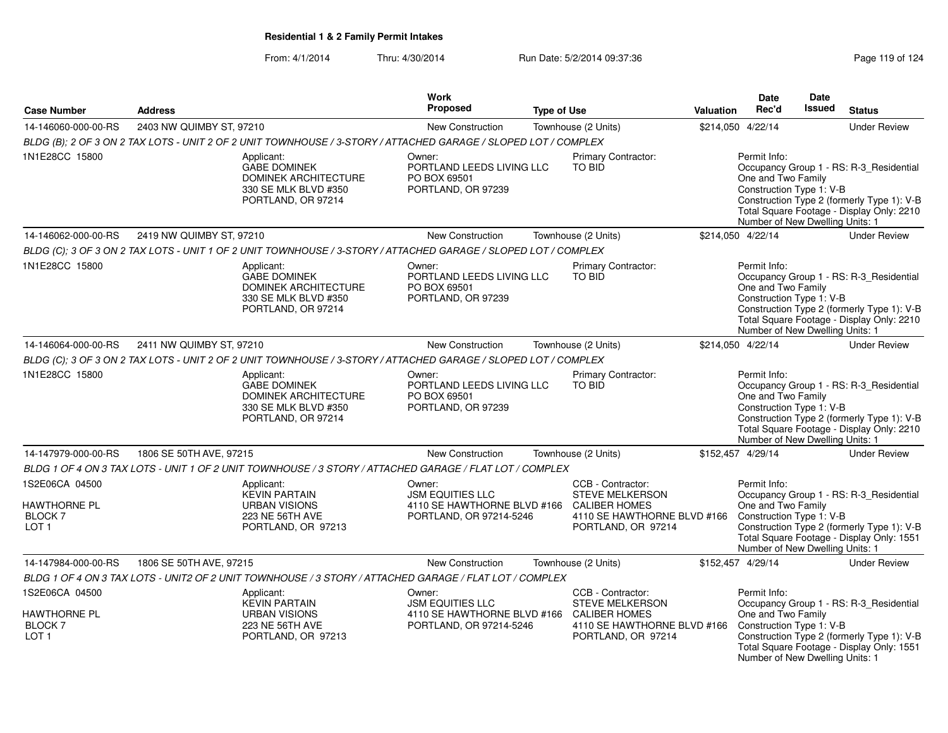|                                                                            |                          |                                                                                                                | <b>Work</b>                                                                                               |                    |                                                                                                  |           | <b>Date</b>                                                                                       | Date          |                                                                                                                                    |
|----------------------------------------------------------------------------|--------------------------|----------------------------------------------------------------------------------------------------------------|-----------------------------------------------------------------------------------------------------------|--------------------|--------------------------------------------------------------------------------------------------|-----------|---------------------------------------------------------------------------------------------------|---------------|------------------------------------------------------------------------------------------------------------------------------------|
| <b>Case Number</b>                                                         | <b>Address</b>           |                                                                                                                | Proposed                                                                                                  | <b>Type of Use</b> |                                                                                                  | Valuation | Rec'd                                                                                             | <b>Issued</b> | <b>Status</b>                                                                                                                      |
| 14-146060-000-00-RS                                                        | 2403 NW QUIMBY ST, 97210 |                                                                                                                | New Construction                                                                                          |                    | Townhouse (2 Units)                                                                              |           | \$214,050 4/22/14                                                                                 |               | <b>Under Review</b>                                                                                                                |
|                                                                            |                          | BLDG (B); 2 OF 3 ON 2 TAX LOTS - UNIT 2 OF 2 UNIT TOWNHOUSE / 3-STORY / ATTACHED GARAGE / SLOPED LOT / COMPLEX |                                                                                                           |                    |                                                                                                  |           |                                                                                                   |               |                                                                                                                                    |
| 1N1E28CC 15800                                                             |                          | Applicant:<br><b>GABE DOMINEK</b><br><b>DOMINEK ARCHITECTURE</b><br>330 SE MLK BLVD #350<br>PORTLAND, OR 97214 | Owner:<br>PORTLAND LEEDS LIVING LLC<br>PO BOX 69501<br>PORTLAND, OR 97239                                 |                    | Primary Contractor:<br>TO BID                                                                    |           | Permit Info:<br>One and Two Family<br>Construction Type 1: V-B<br>Number of New Dwelling Units: 1 |               | Occupancy Group 1 - RS: R-3 Residential<br>Construction Type 2 (formerly Type 1): V-B<br>Total Square Footage - Display Only: 2210 |
| 14-146062-000-00-RS                                                        | 2419 NW QUIMBY ST, 97210 |                                                                                                                | New Construction                                                                                          |                    | Townhouse (2 Units)                                                                              |           | \$214,050 4/22/14                                                                                 |               | <b>Under Review</b>                                                                                                                |
|                                                                            |                          | BLDG (C); 3 OF 3 ON 2 TAX LOTS - UNIT 1 OF 2 UNIT TOWNHOUSE / 3-STORY / ATTACHED GARAGE / SLOPED LOT / COMPLEX |                                                                                                           |                    |                                                                                                  |           |                                                                                                   |               |                                                                                                                                    |
| 1N1E28CC 15800                                                             |                          | Applicant:<br><b>GABE DOMINEK</b><br><b>DOMINEK ARCHITECTURE</b><br>330 SE MLK BLVD #350<br>PORTLAND, OR 97214 | Owner:<br>PORTLAND LEEDS LIVING LLC<br>PO BOX 69501<br>PORTLAND, OR 97239                                 |                    | Primary Contractor:<br>TO BID                                                                    |           | Permit Info:<br>One and Two Family<br>Construction Type 1: V-B<br>Number of New Dwelling Units: 1 |               | Occupancy Group 1 - RS: R-3_Residential<br>Construction Type 2 (formerly Type 1): V-B<br>Total Square Footage - Display Only: 2210 |
| 14-146064-000-00-RS                                                        | 2411 NW QUIMBY ST, 97210 |                                                                                                                | <b>New Construction</b>                                                                                   |                    | Townhouse (2 Units)                                                                              |           | \$214,050 4/22/14                                                                                 |               | <b>Under Review</b>                                                                                                                |
|                                                                            |                          | BLDG (C); 3 OF 3 ON 2 TAX LOTS - UNIT 2 OF 2 UNIT TOWNHOUSE / 3-STORY / ATTACHED GARAGE / SLOPED LOT / COMPLEX |                                                                                                           |                    |                                                                                                  |           |                                                                                                   |               |                                                                                                                                    |
| 1N1E28CC 15800                                                             |                          | Applicant:<br><b>GABE DOMINEK</b><br>DOMINEK ARCHITECTURE<br>330 SE MLK BLVD #350<br>PORTLAND, OR 97214        | Owner:<br>PORTLAND LEEDS LIVING LLC<br>PO BOX 69501<br>PORTLAND, OR 97239                                 |                    | Primary Contractor:<br><b>TO BID</b>                                                             |           | Permit Info:<br>One and Two Family<br>Construction Type 1: V-B<br>Number of New Dwelling Units: 1 |               | Occupancy Group 1 - RS: R-3_Residential<br>Construction Type 2 (formerly Type 1): V-B<br>Total Square Footage - Display Only: 2210 |
| 14-147979-000-00-RS                                                        | 1806 SE 50TH AVE, 97215  |                                                                                                                | New Construction                                                                                          |                    | Townhouse (2 Units)                                                                              |           | \$152,457 4/29/14                                                                                 |               | <b>Under Review</b>                                                                                                                |
|                                                                            |                          | BLDG 1 OF 4 ON 3 TAX LOTS - UNIT 1 OF 2 UNIT TOWNHOUSE / 3 STORY / ATTACHED GARAGE / FLAT LOT / COMPLEX        |                                                                                                           |                    |                                                                                                  |           |                                                                                                   |               |                                                                                                                                    |
| 1S2E06CA 04500<br><b>HAWTHORNE PL</b><br><b>BLOCK7</b><br>LOT <sub>1</sub> |                          | Applicant:<br><b>KEVIN PARTAIN</b><br><b>URBAN VISIONS</b><br>223 NE 56TH AVE<br>PORTLAND, OR 97213            | Owner:<br><b>JSM EQUITIES LLC</b><br>4110 SE HAWTHORNE BLVD #166 CALIBER HOMES<br>PORTLAND, OR 97214-5246 |                    | CCB - Contractor:<br><b>STEVE MELKERSON</b><br>4110 SE HAWTHORNE BLVD #166<br>PORTLAND, OR 97214 |           | Permit Info:<br>One and Two Family<br>Construction Type 1: V-B<br>Number of New Dwelling Units: 1 |               | Occupancy Group 1 - RS: R-3_Residential<br>Construction Type 2 (formerly Type 1): V-B<br>Total Square Footage - Display Only: 1551 |
| 14-147984-000-00-RS                                                        | 1806 SE 50TH AVE, 97215  |                                                                                                                | New Construction                                                                                          |                    | Townhouse (2 Units)                                                                              |           | \$152,457 4/29/14                                                                                 |               | <b>Under Review</b>                                                                                                                |
|                                                                            |                          | BLDG 1 OF 4 ON 3 TAX LOTS - UNIT2 OF 2 UNIT TOWNHOUSE / 3 STORY / ATTACHED GARAGE / FLAT LOT / COMPLEX         |                                                                                                           |                    |                                                                                                  |           |                                                                                                   |               |                                                                                                                                    |
| 1S2E06CA 04500<br><b>HAWTHORNE PL</b><br><b>BLOCK7</b><br>LOT <sub>1</sub> |                          | Applicant:<br><b>KEVIN PARTAIN</b><br><b>URBAN VISIONS</b><br>223 NE 56TH AVE<br>PORTLAND, OR 97213            | Owner:<br><b>JSM EQUITIES LLC</b><br>4110 SE HAWTHORNE BLVD #166 CALIBER HOMES<br>PORTLAND, OR 97214-5246 |                    | CCB - Contractor:<br><b>STEVE MELKERSON</b><br>4110 SE HAWTHORNE BLVD #166<br>PORTLAND, OR 97214 |           | Permit Info:<br>One and Two Family<br>Construction Type 1: V-B<br>Number of New Dwelling Units: 1 |               | Occupancy Group 1 - RS: R-3_Residential<br>Construction Type 2 (formerly Type 1): V-B<br>Total Square Footage - Display Only: 1551 |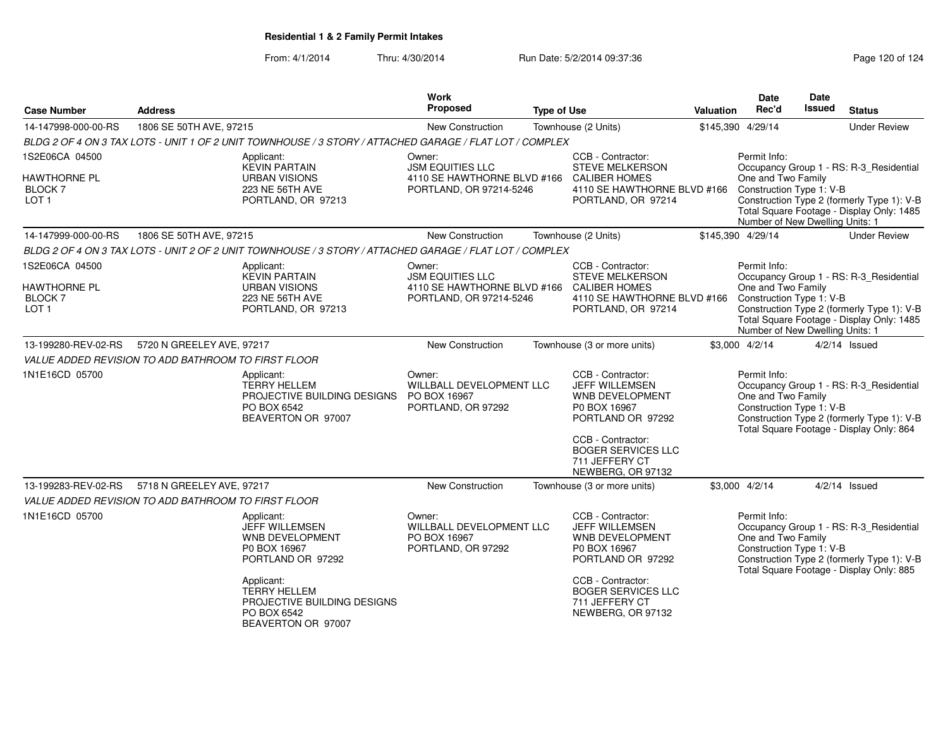From: 4/1/2014Thru: 4/30/2014 Run Date: 5/2/2014 09:37:36 Research 20 of 124

| <b>Case Number</b>                                            | <b>Address</b>                                      |                                                                                                         | Work<br><b>Proposed</b>                                                           | <b>Type of Use</b> |                                                                                                                              | Valuation | Date<br>Rec'd                                                                     | Date<br><b>Issued</b> | <b>Status</b>                                                                                                                      |
|---------------------------------------------------------------|-----------------------------------------------------|---------------------------------------------------------------------------------------------------------|-----------------------------------------------------------------------------------|--------------------|------------------------------------------------------------------------------------------------------------------------------|-----------|-----------------------------------------------------------------------------------|-----------------------|------------------------------------------------------------------------------------------------------------------------------------|
| 14-147998-000-00-RS                                           | 1806 SE 50TH AVE, 97215                             |                                                                                                         | New Construction                                                                  |                    | Townhouse (2 Units)                                                                                                          |           | \$145,390 4/29/14                                                                 |                       | <b>Under Review</b>                                                                                                                |
|                                                               |                                                     | BLDG 2 OF 4 ON 3 TAX LOTS - UNIT 1 OF 2 UNIT TOWNHOUSE / 3 STORY / ATTACHED GARAGE / FLAT LOT / COMPLEX |                                                                                   |                    |                                                                                                                              |           |                                                                                   |                       |                                                                                                                                    |
| 1S2E06CA 04500                                                |                                                     | Applicant:<br><b>KEVIN PARTAIN</b>                                                                      | Owner:<br><b>JSM EQUITIES LLC</b>                                                 |                    | CCB - Contractor:<br><b>STEVE MELKERSON</b>                                                                                  |           | Permit Info:                                                                      |                       | Occupancy Group 1 - RS: R-3 Residential                                                                                            |
| <b>HAWTHORNE PL</b><br><b>BLOCK7</b><br>LOT <sub>1</sub>      |                                                     | <b>URBAN VISIONS</b><br>223 NE 56TH AVE<br>PORTLAND, OR 97213                                           | 4110 SE HAWTHORNE BLVD #166<br>PORTLAND, OR 97214-5246                            |                    | <b>CALIBER HOMES</b><br>4110 SE HAWTHORNE BLVD #166<br>PORTLAND, OR 97214                                                    |           | One and Two Family<br>Construction Type 1: V-B<br>Number of New Dwelling Units: 1 |                       | Construction Type 2 (formerly Type 1): V-B<br>Total Square Footage - Display Only: 1485                                            |
| 14-147999-000-00-RS                                           | 1806 SE 50TH AVE, 97215                             |                                                                                                         | New Construction                                                                  |                    | Townhouse (2 Units)                                                                                                          |           | \$145,390 4/29/14                                                                 |                       | <b>Under Review</b>                                                                                                                |
|                                                               |                                                     | BLDG 2 OF 4 ON 3 TAX LOTS - UNIT 2 OF 2 UNIT TOWNHOUSE / 3 STORY / ATTACHED GARAGE / FLAT LOT / COMPLEX |                                                                                   |                    |                                                                                                                              |           |                                                                                   |                       |                                                                                                                                    |
| 1S2E06CA 04500                                                |                                                     | Applicant:                                                                                              | Owner:                                                                            |                    | CCB - Contractor:                                                                                                            |           | Permit Info:                                                                      |                       |                                                                                                                                    |
| <b>HAWTHORNE PL</b><br>BLOCK <sub>7</sub><br>LOT <sub>1</sub> |                                                     | <b>KEVIN PARTAIN</b><br><b>URBAN VISIONS</b><br>223 NE 56TH AVE<br>PORTLAND, OR 97213                   | <b>JSM EQUITIES LLC</b><br>4110 SE HAWTHORNE BLVD #166<br>PORTLAND, OR 97214-5246 |                    | <b>STEVE MELKERSON</b><br><b>CALIBER HOMES</b><br>4110 SE HAWTHORNE BLVD #166 Construction Type 1: V-B<br>PORTLAND, OR 97214 |           | One and Two Family<br>Number of New Dwelling Units: 1                             |                       | Occupancy Group 1 - RS: R-3_Residential<br>Construction Type 2 (formerly Type 1): V-B<br>Total Square Footage - Display Only: 1485 |
| 13-199280-REV-02-RS                                           | 5720 N GREELEY AVE, 97217                           |                                                                                                         | New Construction                                                                  |                    | Townhouse (3 or more units)                                                                                                  |           | \$3,000 4/2/14                                                                    |                       | $4/2/14$ Issued                                                                                                                    |
|                                                               | VALUE ADDED REVISION TO ADD BATHROOM TO FIRST FLOOR |                                                                                                         |                                                                                   |                    |                                                                                                                              |           |                                                                                   |                       |                                                                                                                                    |
| 1N1E16CD 05700                                                |                                                     | Applicant:<br><b>TERRY HELLEM</b><br>PROJECTIVE BUILDING DESIGNS<br>PO BOX 6542<br>BEAVERTON OR 97007   | Owner:<br>WILLBALL DEVELOPMENT LLC<br>PO BOX 16967<br>PORTLAND, OR 97292          |                    | CCB - Contractor:<br>JEFF WILLEMSEN<br><b>WNB DEVELOPMENT</b><br>P0 BOX 16967<br>PORTLAND OR 97292                           |           | Permit Info:<br>One and Two Family<br>Construction Type 1: V-B                    |                       | Occupancy Group 1 - RS: R-3_Residential<br>Construction Type 2 (formerly Type 1): V-B<br>Total Square Footage - Display Only: 864  |
|                                                               |                                                     |                                                                                                         |                                                                                   |                    | CCB - Contractor:<br><b>BOGER SERVICES LLC</b><br>711 JEFFERY CT<br>NEWBERG, OR 97132                                        |           |                                                                                   |                       |                                                                                                                                    |
| 13-199283-REV-02-RS                                           | 5718 N GREELEY AVE, 97217                           |                                                                                                         | New Construction                                                                  |                    | Townhouse (3 or more units)                                                                                                  |           | \$3,000 4/2/14                                                                    |                       | $4/2/14$ Issued                                                                                                                    |
| VALUE ADDED REVISION TO ADD BATHROOM TO FIRST FLOOR           |                                                     |                                                                                                         |                                                                                   |                    |                                                                                                                              |           |                                                                                   |                       |                                                                                                                                    |
| 1N1E16CD 05700                                                |                                                     | Applicant:<br>JEFF WILLEMSEN<br>WNB DEVELOPMENT<br>P0 BOX 16967<br>PORTLAND OR 97292                    | Owner:<br>WILLBALL DEVELOPMENT LLC<br>PO BOX 16967<br>PORTLAND, OR 97292          |                    | CCB - Contractor:<br><b>JEFF WILLEMSEN</b><br><b>WNB DEVELOPMENT</b><br>P0 BOX 16967<br>PORTLAND OR 97292                    |           | Permit Info:<br>One and Two Family<br>Construction Type 1: V-B                    |                       | Occupancy Group 1 - RS: R-3_Residential<br>Construction Type 2 (formerly Type 1): V-B<br>Total Square Footage - Display Only: 885  |
|                                                               |                                                     | Applicant:<br><b>TERRY HELLEM</b><br>PROJECTIVE BUILDING DESIGNS<br>PO BOX 6542<br>BEAVERTON OR 97007   |                                                                                   |                    | CCB - Contractor:<br><b>BOGER SERVICES LLC</b><br>711 JEFFERY CT<br>NEWBERG, OR 97132                                        |           |                                                                                   |                       |                                                                                                                                    |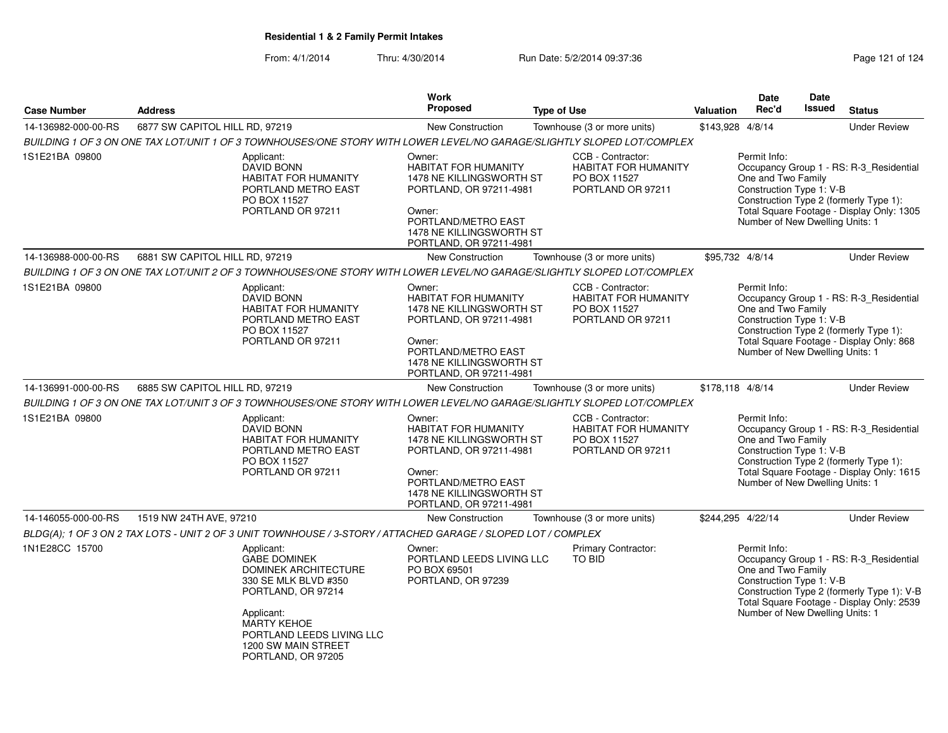|                     |                                                                                                                                                                                                                              | <b>Work</b>                                                                                                                                                                          |                                                                                       |                                                                                                                                                                                                                                     | Date                                                                                              | Date   |                                                                                                                                    |
|---------------------|------------------------------------------------------------------------------------------------------------------------------------------------------------------------------------------------------------------------------|--------------------------------------------------------------------------------------------------------------------------------------------------------------------------------------|---------------------------------------------------------------------------------------|-------------------------------------------------------------------------------------------------------------------------------------------------------------------------------------------------------------------------------------|---------------------------------------------------------------------------------------------------|--------|------------------------------------------------------------------------------------------------------------------------------------|
| <b>Case Number</b>  | <b>Address</b>                                                                                                                                                                                                               | <b>Proposed</b>                                                                                                                                                                      | <b>Type of Use</b>                                                                    | <b>Valuation</b>                                                                                                                                                                                                                    | Rec'd                                                                                             | Issued | <b>Status</b>                                                                                                                      |
| 14-136982-000-00-RS | 6877 SW CAPITOL HILL RD, 97219                                                                                                                                                                                               | <b>New Construction</b>                                                                                                                                                              | Townhouse (3 or more units)                                                           | \$143,928 4/8/14                                                                                                                                                                                                                    |                                                                                                   |        | <b>Under Review</b>                                                                                                                |
|                     | BUILDING 1 OF 3 ON ONE TAX LOT/UNIT 1 OF 3 TOWNHOUSES/ONE STORY WITH LOWER LEVEL/NO GARAGE/SLIGHTLY SLOPED LOT/COMPLEX                                                                                                       |                                                                                                                                                                                      |                                                                                       |                                                                                                                                                                                                                                     |                                                                                                   |        |                                                                                                                                    |
| 1S1E21BA 09800      | Applicant:<br>DAVID BONN<br><b>HABITAT FOR HUMANITY</b><br>PORTLAND METRO EAST<br>PO BOX 11527<br>PORTLAND OR 97211                                                                                                          | Owner:<br><b>HABITAT FOR HUMANITY</b><br>1478 NE KILLINGSWORTH ST<br>PORTLAND, OR 97211-4981<br>Owner:<br>PORTLAND/METRO EAST<br>1478 NE KILLINGSWORTH ST<br>PORTLAND, OR 97211-4981 | CCB - Contractor:<br><b>HABITAT FOR HUMANITY</b><br>PO BOX 11527<br>PORTLAND OR 97211 | Permit Info:<br>Occupancy Group 1 - RS: R-3 Residential<br>One and Two Family<br>Construction Type 1: V-B<br>Construction Type 2 (formerly Type 1):<br>Total Square Footage - Display Only: 1305<br>Number of New Dwelling Units: 1 |                                                                                                   |        |                                                                                                                                    |
| 14-136988-000-00-RS | 6881 SW CAPITOL HILL RD, 97219                                                                                                                                                                                               | <b>New Construction</b>                                                                                                                                                              | Townhouse (3 or more units)                                                           | \$95.732 4/8/14                                                                                                                                                                                                                     |                                                                                                   |        | <b>Under Review</b>                                                                                                                |
|                     | BUILDING 1 OF 3 ON ONE TAX LOT/UNIT 2 OF 3 TOWNHOUSES/ONE STORY WITH LOWER LEVEL/NO GARAGE/SLIGHTLY SLOPED LOT/COMPLEX                                                                                                       |                                                                                                                                                                                      |                                                                                       |                                                                                                                                                                                                                                     |                                                                                                   |        |                                                                                                                                    |
| 1S1E21BA 09800      | Applicant:<br><b>DAVID BONN</b><br><b>HABITAT FOR HUMANITY</b><br>PORTLAND METRO EAST<br>PO BOX 11527<br>PORTLAND OR 97211                                                                                                   | Owner:<br><b>HABITAT FOR HUMANITY</b><br>1478 NE KILLINGSWORTH ST<br>PORTLAND, OR 97211-4981<br>Owner:<br>PORTLAND/METRO EAST<br>1478 NE KILLINGSWORTH ST<br>PORTLAND, OR 97211-4981 | CCB - Contractor:<br><b>HABITAT FOR HUMANITY</b><br>PO BOX 11527<br>PORTLAND OR 97211 |                                                                                                                                                                                                                                     | Permit Info:<br>One and Two Family<br>Construction Type 1: V-B<br>Number of New Dwelling Units: 1 |        | Occupancy Group 1 - RS: R-3_Residential<br>Construction Type 2 (formerly Type 1):<br>Total Square Footage - Display Only: 868      |
| 14-136991-000-00-RS | 6885 SW CAPITOL HILL RD, 97219                                                                                                                                                                                               | New Construction                                                                                                                                                                     | Townhouse (3 or more units)                                                           | \$178,118 4/8/14                                                                                                                                                                                                                    |                                                                                                   |        | <b>Under Review</b>                                                                                                                |
|                     | BUILDING 1 OF 3 ON ONE TAX LOT/UNIT 3 OF 3 TOWNHOUSES/ONE STORY WITH LOWER LEVEL/NO GARAGE/SLIGHTLY SLOPED LOT/COMPLEX                                                                                                       |                                                                                                                                                                                      |                                                                                       |                                                                                                                                                                                                                                     |                                                                                                   |        |                                                                                                                                    |
| 1S1E21BA 09800      | Applicant:<br><b>DAVID BONN</b><br><b>HABITAT FOR HUMANITY</b><br>PORTLAND METRO EAST<br>PO BOX 11527<br>PORTLAND OR 97211                                                                                                   | Owner:<br><b>HABITAT FOR HUMANITY</b><br>1478 NE KILLINGSWORTH ST<br>PORTLAND, OR 97211-4981<br>Owner:<br>PORTLAND/METRO EAST<br>1478 NE KILLINGSWORTH ST<br>PORTLAND, OR 97211-4981 | CCB - Contractor:<br><b>HABITAT FOR HUMANITY</b><br>PO BOX 11527<br>PORTLAND OR 97211 | Permit Info:<br>Occupancy Group 1 - RS: R-3_Residential<br>One and Two Family<br>Construction Type 1: V-B<br>Construction Type 2 (formerly Type 1):<br>Total Square Footage - Display Only: 1615<br>Number of New Dwelling Units: 1 |                                                                                                   |        |                                                                                                                                    |
| 14-146055-000-00-RS | 1519 NW 24TH AVE, 97210                                                                                                                                                                                                      | New Construction                                                                                                                                                                     | Townhouse (3 or more units)                                                           | \$244,295 4/22/14                                                                                                                                                                                                                   |                                                                                                   |        | <b>Under Review</b>                                                                                                                |
|                     | BLDG(A); 1 OF 3 ON 2 TAX LOTS - UNIT 2 OF 3 UNIT TOWNHOUSE / 3-STORY / ATTACHED GARAGE / SLOPED LOT / COMPLEX                                                                                                                |                                                                                                                                                                                      |                                                                                       |                                                                                                                                                                                                                                     |                                                                                                   |        |                                                                                                                                    |
| 1N1E28CC 15700      | Applicant:<br><b>GABE DOMINEK</b><br><b>DOMINEK ARCHITECTURE</b><br>330 SE MLK BLVD #350<br>PORTLAND, OR 97214<br>Applicant:<br><b>MARTY KEHOE</b><br>PORTLAND LEEDS LIVING LLC<br>1200 SW MAIN STREET<br>PORTLAND, OR 97205 | Owner:<br>PORTLAND LEEDS LIVING LLC<br>PO BOX 69501<br>PORTLAND, OR 97239                                                                                                            | Primary Contractor:<br>TO BID                                                         |                                                                                                                                                                                                                                     | Permit Info:<br>One and Two Family<br>Construction Type 1: V-B<br>Number of New Dwelling Units: 1 |        | Occupancy Group 1 - RS: R-3_Residential<br>Construction Type 2 (formerly Type 1): V-B<br>Total Square Footage - Display Only: 2539 |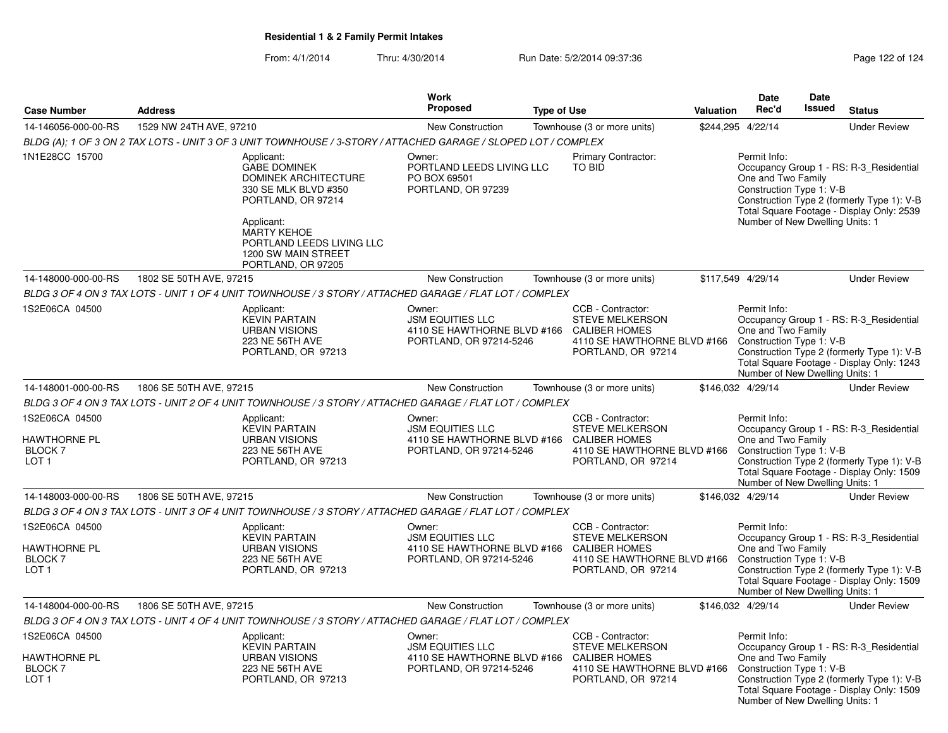|                                                                            |                                                                                                                                                                                                                              | <b>Work</b>                                                                                 |                                                                                                                                                   |                  | Date                                                                                              | Date          |                                                                                                                                    |
|----------------------------------------------------------------------------|------------------------------------------------------------------------------------------------------------------------------------------------------------------------------------------------------------------------------|---------------------------------------------------------------------------------------------|---------------------------------------------------------------------------------------------------------------------------------------------------|------------------|---------------------------------------------------------------------------------------------------|---------------|------------------------------------------------------------------------------------------------------------------------------------|
| <b>Case Number</b>                                                         | <b>Address</b>                                                                                                                                                                                                               | <b>Proposed</b>                                                                             | <b>Type of Use</b>                                                                                                                                | <b>Valuation</b> | Rec'd                                                                                             | <b>Issued</b> | <b>Status</b>                                                                                                                      |
| 14-146056-000-00-RS                                                        | 1529 NW 24TH AVE, 97210                                                                                                                                                                                                      | New Construction                                                                            | Townhouse (3 or more units)                                                                                                                       |                  | \$244,295 4/22/14                                                                                 |               | <b>Under Review</b>                                                                                                                |
|                                                                            | BLDG (A): 1 OF 3 ON 2 TAX LOTS - UNIT 3 OF 3 UNIT TOWNHOUSE / 3-STORY / ATTACHED GARAGE / SLOPED LOT / COMPLEX                                                                                                               |                                                                                             |                                                                                                                                                   |                  |                                                                                                   |               |                                                                                                                                    |
| 1N1E28CC 15700                                                             | Applicant:<br><b>GABE DOMINEK</b><br><b>DOMINEK ARCHITECTURE</b><br>330 SE MLK BLVD #350<br>PORTLAND, OR 97214<br>Applicant:<br><b>MARTY KEHOE</b><br>PORTLAND LEEDS LIVING LLC<br>1200 SW MAIN STREET<br>PORTLAND, OR 97205 | Owner:<br>PORTLAND LEEDS LIVING LLC<br>PO BOX 69501<br>PORTLAND, OR 97239                   | <b>Primary Contractor:</b><br>TO BID                                                                                                              |                  | Permit Info:<br>One and Two Family<br>Construction Type 1: V-B<br>Number of New Dwelling Units: 1 |               | Occupancy Group 1 - RS: R-3 Residential<br>Construction Type 2 (formerly Type 1): V-B<br>Total Square Footage - Display Only: 2539 |
| 14-148000-000-00-RS                                                        | 1802 SE 50TH AVE, 97215                                                                                                                                                                                                      | New Construction                                                                            | Townhouse (3 or more units)                                                                                                                       |                  | \$117,549 4/29/14                                                                                 |               | <b>Under Review</b>                                                                                                                |
|                                                                            | BLDG 3 OF 4 ON 3 TAX LOTS - UNIT 1 OF 4 UNIT TOWNHOUSE / 3 STORY / ATTACHED GARAGE / FLAT LOT / COMPLEX                                                                                                                      |                                                                                             |                                                                                                                                                   |                  |                                                                                                   |               |                                                                                                                                    |
| 1S2E06CA 04500                                                             | Applicant:<br><b>KEVIN PARTAIN</b><br><b>URBAN VISIONS</b><br>223 NE 56TH AVE<br>PORTLAND, OR 97213                                                                                                                          | Owner:<br><b>JSM EQUITIES LLC</b><br>4110 SE HAWTHORNE BLVD #166<br>PORTLAND, OR 97214-5246 | CCB - Contractor:<br><b>STEVE MELKERSON</b><br><b>CALIBER HOMES</b><br>4110 SE HAWTHORNE BLVD #166 Construction Type 1: V-B<br>PORTLAND, OR 97214 |                  | Permit Info:<br>One and Two Family<br>Number of New Dwelling Units: 1                             |               | Occupancy Group 1 - RS: R-3 Residential<br>Construction Type 2 (formerly Type 1): V-B<br>Total Square Footage - Display Only: 1243 |
| 14-148001-000-00-RS                                                        | 1806 SE 50TH AVE, 97215                                                                                                                                                                                                      | New Construction                                                                            | Townhouse (3 or more units)                                                                                                                       |                  | \$146,032 4/29/14                                                                                 |               | <b>Under Review</b>                                                                                                                |
|                                                                            | BLDG 3 OF 4 ON 3 TAX LOTS - UNIT 2 OF 4 UNIT TOWNHOUSE / 3 STORY / ATTACHED GARAGE / FLAT LOT / COMPLEX                                                                                                                      |                                                                                             |                                                                                                                                                   |                  |                                                                                                   |               |                                                                                                                                    |
| 1S2E06CA 04500<br>HAWTHORNE PL<br>BLOCK <sub>7</sub><br>LOT 1              | Applicant:<br><b>KEVIN PARTAIN</b><br><b>URBAN VISIONS</b><br>223 NE 56TH AVE<br>PORTLAND, OR 97213                                                                                                                          | Owner:<br><b>JSM EQUITIES LLC</b><br>4110 SE HAWTHORNE BLVD #166<br>PORTLAND, OR 97214-5246 | CCB - Contractor:<br><b>STEVE MELKERSON</b><br><b>CALIBER HOMES</b><br>4110 SE HAWTHORNE BLVD #166<br>PORTLAND, OR 97214                          |                  | Permit Info:<br>One and Two Family<br>Construction Type 1: V-B<br>Number of New Dwelling Units: 1 |               | Occupancy Group 1 - RS: R-3_Residential<br>Construction Type 2 (formerly Type 1): V-B<br>Total Square Footage - Display Only: 1509 |
| 14-148003-000-00-RS                                                        | 1806 SE 50TH AVE, 97215                                                                                                                                                                                                      | <b>New Construction</b>                                                                     | Townhouse (3 or more units)                                                                                                                       |                  | \$146,032 4/29/14                                                                                 |               | <b>Under Review</b>                                                                                                                |
|                                                                            | BLDG 3 OF 4 ON 3 TAX LOTS - UNIT 3 OF 4 UNIT TOWNHOUSE / 3 STORY / ATTACHED GARAGE / FLAT LOT / COMPLEX                                                                                                                      |                                                                                             |                                                                                                                                                   |                  |                                                                                                   |               |                                                                                                                                    |
| 1S2E06CA 04500<br><b>HAWTHORNE PL</b><br><b>BLOCK7</b><br>LOT <sub>1</sub> | Applicant:<br><b>KEVIN PARTAIN</b><br><b>URBAN VISIONS</b><br>223 NE 56TH AVE<br>PORTLAND, OR 97213                                                                                                                          | Owner:<br><b>JSM EQUITIES LLC</b><br>4110 SE HAWTHORNE BLVD #166<br>PORTLAND, OR 97214-5246 | CCB - Contractor:<br><b>STEVE MELKERSON</b><br><b>CALIBER HOMES</b><br>4110 SE HAWTHORNE BLVD #166<br>PORTLAND, OR 97214                          |                  | Permit Info:<br>One and Two Family<br>Construction Type 1: V-B<br>Number of New Dwelling Units: 1 |               | Occupancy Group 1 - RS: R-3_Residential<br>Construction Type 2 (formerly Type 1): V-B<br>Total Square Footage - Display Only: 1509 |
| 14-148004-000-00-RS                                                        | 1806 SE 50TH AVE, 97215                                                                                                                                                                                                      | New Construction                                                                            | Townhouse (3 or more units)                                                                                                                       |                  | \$146,032 4/29/14                                                                                 |               | <b>Under Review</b>                                                                                                                |
|                                                                            | BLDG 3 OF 4 ON 3 TAX LOTS - UNIT 4 OF 4 UNIT TOWNHOUSE / 3 STORY / ATTACHED GARAGE / FLAT LOT / COMPLEX                                                                                                                      |                                                                                             |                                                                                                                                                   |                  |                                                                                                   |               |                                                                                                                                    |
| 1S2E06CA 04500<br>HAWTHORNE PL<br>BLOCK 7<br>LOT <sub>1</sub>              | Applicant:<br><b>KEVIN PARTAIN</b><br><b>URBAN VISIONS</b><br>223 NE 56TH AVE<br>PORTLAND, OR 97213                                                                                                                          | Owner:<br><b>JSM EQUITIES LLC</b><br>4110 SE HAWTHORNE BLVD #166<br>PORTLAND, OR 97214-5246 | CCB - Contractor:<br><b>STEVE MELKERSON</b><br><b>CALIBER HOMES</b><br>4110 SE HAWTHORNE BLVD #166<br>PORTLAND, OR 97214                          |                  | Permit Info:<br>One and Two Family<br>Construction Type 1: V-B<br>Number of New Dwelling Units: 1 |               | Occupancy Group 1 - RS: R-3_Residential<br>Construction Type 2 (formerly Type 1): V-B<br>Total Square Footage - Display Only: 1509 |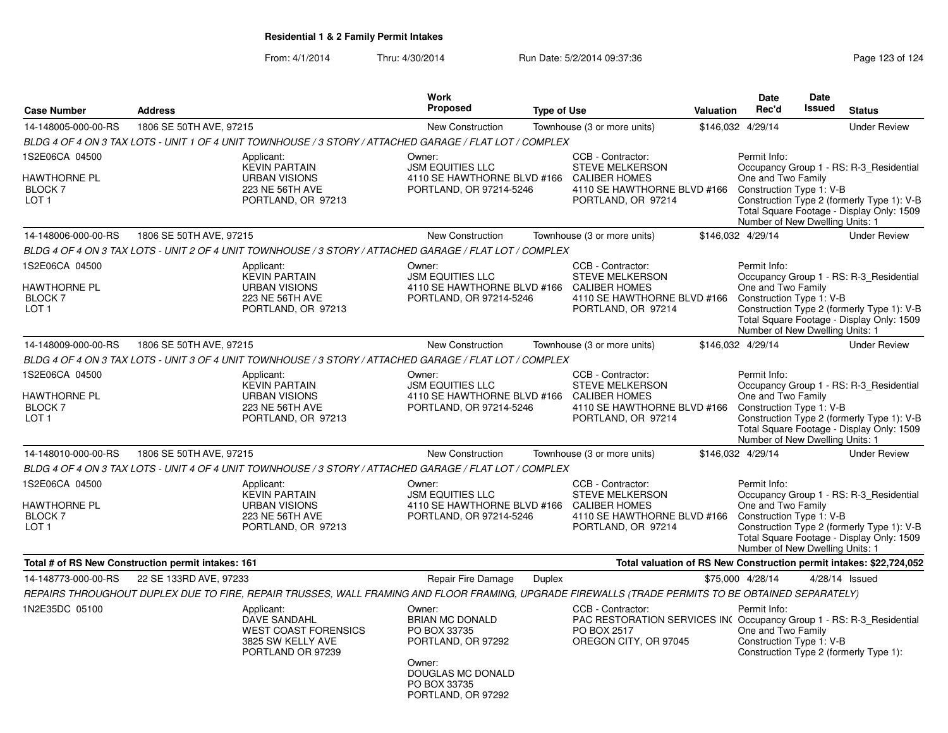|                                                                             |                         |                                                                                                                                                    | <b>Work</b>                                                                                                                                 |                    |                                                                                                                                   |           | <b>Date</b>                                                                                       | <b>Date</b>   |                                                                                                                                    |
|-----------------------------------------------------------------------------|-------------------------|----------------------------------------------------------------------------------------------------------------------------------------------------|---------------------------------------------------------------------------------------------------------------------------------------------|--------------------|-----------------------------------------------------------------------------------------------------------------------------------|-----------|---------------------------------------------------------------------------------------------------|---------------|------------------------------------------------------------------------------------------------------------------------------------|
| <b>Case Number</b>                                                          | <b>Address</b>          |                                                                                                                                                    | <b>Proposed</b>                                                                                                                             | <b>Type of Use</b> |                                                                                                                                   | Valuation | Rec'd                                                                                             | <b>Issued</b> | <b>Status</b>                                                                                                                      |
| 14-148005-000-00-RS                                                         | 1806 SE 50TH AVE, 97215 |                                                                                                                                                    | <b>New Construction</b>                                                                                                                     |                    | Townhouse (3 or more units)                                                                                                       |           | \$146,032 4/29/14                                                                                 |               | <b>Under Review</b>                                                                                                                |
|                                                                             |                         | BLDG 4 OF 4 ON 3 TAX LOTS - UNIT 1 OF 4 UNIT TOWNHOUSE / 3 STORY / ATTACHED GARAGE / FLAT LOT / COMPLEX                                            |                                                                                                                                             |                    |                                                                                                                                   |           |                                                                                                   |               |                                                                                                                                    |
| 1S2E06CA 04500<br><b>HAWTHORNE PL</b><br><b>BLOCK7</b><br>LOT <sub>1</sub>  |                         | Applicant:<br><b>KEVIN PARTAIN</b><br><b>URBAN VISIONS</b><br>223 NE 56TH AVE<br>PORTLAND, OR 97213                                                | Owner:<br><b>JSM EQUITIES LLC</b><br>4110 SE HAWTHORNE BLVD #166 CALIBER HOMES<br>PORTLAND, OR 97214-5246                                   |                    | CCB - Contractor:<br><b>STEVE MELKERSON</b><br>4110 SE HAWTHORNE BLVD #166<br>PORTLAND, OR 97214                                  |           | Permit Info:<br>One and Two Family<br>Construction Type 1: V-B<br>Number of New Dwelling Units: 1 |               | Occupancy Group 1 - RS: R-3 Residential<br>Construction Type 2 (formerly Type 1): V-B<br>Total Square Footage - Display Only: 1509 |
| 14-148006-000-00-RS                                                         | 1806 SE 50TH AVE, 97215 |                                                                                                                                                    | New Construction                                                                                                                            |                    | Townhouse (3 or more units)                                                                                                       |           | \$146,032 4/29/14                                                                                 |               | <b>Under Review</b>                                                                                                                |
|                                                                             |                         | BLDG 4 OF 4 ON 3 TAX LOTS - UNIT 2 OF 4 UNIT TOWNHOUSE / 3 STORY / ATTACHED GARAGE / FLAT LOT / COMPLEX                                            |                                                                                                                                             |                    |                                                                                                                                   |           |                                                                                                   |               |                                                                                                                                    |
| 1S2E06CA 04500<br>HAWTHORNE PL<br>BLOCK 7<br>LOT 1                          |                         | Applicant:<br><b>KEVIN PARTAIN</b><br><b>URBAN VISIONS</b><br>223 NE 56TH AVE<br>PORTLAND, OR 97213                                                | Owner:<br><b>JSM EQUITIES LLC</b><br>4110 SE HAWTHORNE BLVD #166<br>PORTLAND, OR 97214-5246                                                 |                    | CCB - Contractor:<br><b>STEVE MELKERSON</b><br><b>CALIBER HOMES</b><br>4110 SE HAWTHORNE BLVD #166<br>PORTLAND, OR 97214          |           | Permit Info:<br>One and Two Family<br>Construction Type 1: V-B<br>Number of New Dwelling Units: 1 |               | Occupancy Group 1 - RS: R-3_Residential<br>Construction Type 2 (formerly Type 1): V-B<br>Total Square Footage - Display Only: 1509 |
| 14-148009-000-00-RS                                                         | 1806 SE 50TH AVE, 97215 |                                                                                                                                                    | <b>New Construction</b>                                                                                                                     |                    | Townhouse (3 or more units)                                                                                                       |           | \$146,032 4/29/14                                                                                 |               | <b>Under Review</b>                                                                                                                |
|                                                                             |                         | BLDG 4 OF 4 ON 3 TAX LOTS - UNIT 3 OF 4 UNIT TOWNHOUSE / 3 STORY / ATTACHED GARAGE / FLAT LOT / COMPLEX                                            |                                                                                                                                             |                    |                                                                                                                                   |           |                                                                                                   |               |                                                                                                                                    |
| 1S2E06CA 04500<br><b>HAWTHORNE PL</b><br><b>BLOCK 7</b><br>LOT <sub>1</sub> |                         | Applicant:<br><b>KEVIN PARTAIN</b><br><b>URBAN VISIONS</b><br>223 NE 56TH AVE<br>PORTLAND, OR 97213                                                | Owner:<br><b>JSM EQUITIES LLC</b><br>4110 SE HAWTHORNE BLVD #166<br>PORTLAND, OR 97214-5246                                                 |                    | CCB - Contractor:<br><b>STEVE MELKERSON</b><br><b>CALIBER HOMES</b><br>4110 SE HAWTHORNE BLVD #166<br>PORTLAND, OR 97214          |           | Permit Info:<br>One and Two Family<br>Construction Type 1: V-B<br>Number of New Dwelling Units: 1 |               | Occupancy Group 1 - RS: R-3_Residential<br>Construction Type 2 (formerly Type 1): V-B<br>Total Square Footage - Display Only: 1509 |
| 14-148010-000-00-RS                                                         | 1806 SE 50TH AVE, 97215 |                                                                                                                                                    | <b>New Construction</b>                                                                                                                     |                    | Townhouse (3 or more units)                                                                                                       |           | \$146,032 4/29/14                                                                                 |               | <b>Under Review</b>                                                                                                                |
|                                                                             |                         | BLDG 4 OF 4 ON 3 TAX LOTS - UNIT 4 OF 4 UNIT TOWNHOUSE / 3 STORY / ATTACHED GARAGE / FLAT LOT / COMPLEX                                            |                                                                                                                                             |                    |                                                                                                                                   |           |                                                                                                   |               |                                                                                                                                    |
| 1S2E06CA 04500<br>HAWTHORNE PL<br>BLOCK 7<br>LOT <sub>1</sub>               |                         | Applicant:<br><b>KEVIN PARTAIN</b><br><b>URBAN VISIONS</b><br>223 NE 56TH AVE<br>PORTLAND, OR 97213                                                | Owner:<br><b>JSM EQUITIES LLC</b><br>4110 SE HAWTHORNE BLVD #166 CALIBER HOMES<br>PORTLAND, OR 97214-5246                                   |                    | CCB - Contractor:<br><b>STEVE MELKERSON</b><br>4110 SE HAWTHORNE BLVD #166<br>PORTLAND, OR 97214                                  |           | Permit Info:<br>One and Two Family<br>Construction Type 1: V-B<br>Number of New Dwelling Units: 1 |               | Occupancy Group 1 - RS: R-3 Residential<br>Construction Type 2 (formerly Type 1): V-B<br>Total Square Footage - Display Only: 1509 |
| Total # of RS New Construction permit intakes: 161                          |                         |                                                                                                                                                    |                                                                                                                                             |                    |                                                                                                                                   |           |                                                                                                   |               | Total valuation of RS New Construction permit intakes: \$22,724,052                                                                |
| 14-148773-000-00-RS                                                         | 22 SE 133RD AVE, 97233  |                                                                                                                                                    | Repair Fire Damage                                                                                                                          | Duplex             |                                                                                                                                   |           | \$75,000 4/28/14                                                                                  |               | 4/28/14 Issued                                                                                                                     |
|                                                                             |                         | REPAIRS THROUGHOUT DUPLEX DUE TO FIRE, REPAIR TRUSSES, WALL FRAMING AND FLOOR FRAMING, UPGRADE FIREWALLS (TRADE PERMITS TO BE OBTAINED SEPARATELY) |                                                                                                                                             |                    |                                                                                                                                   |           |                                                                                                   |               |                                                                                                                                    |
| 1N2E35DC 05100                                                              |                         | Applicant:<br><b>DAVE SANDAHL</b><br><b>WEST COAST FORENSICS</b><br>3825 SW KELLY AVE<br>PORTLAND OR 97239                                         | Owner:<br><b>BRIAN MC DONALD</b><br>PO BOX 33735<br>PORTLAND, OR 97292<br>Owner:<br>DOUGLAS MC DONALD<br>PO BOX 33735<br>PORTLAND, OR 97292 |                    | CCB - Contractor:<br>PAC RESTORATION SERVICES INC Occupancy Group 1 - RS: R-3_Residential<br>PO BOX 2517<br>OREGON CITY, OR 97045 |           | Permit Info:<br>One and Two Family<br>Construction Type 1: V-B                                    |               | Construction Type 2 (formerly Type 1):                                                                                             |